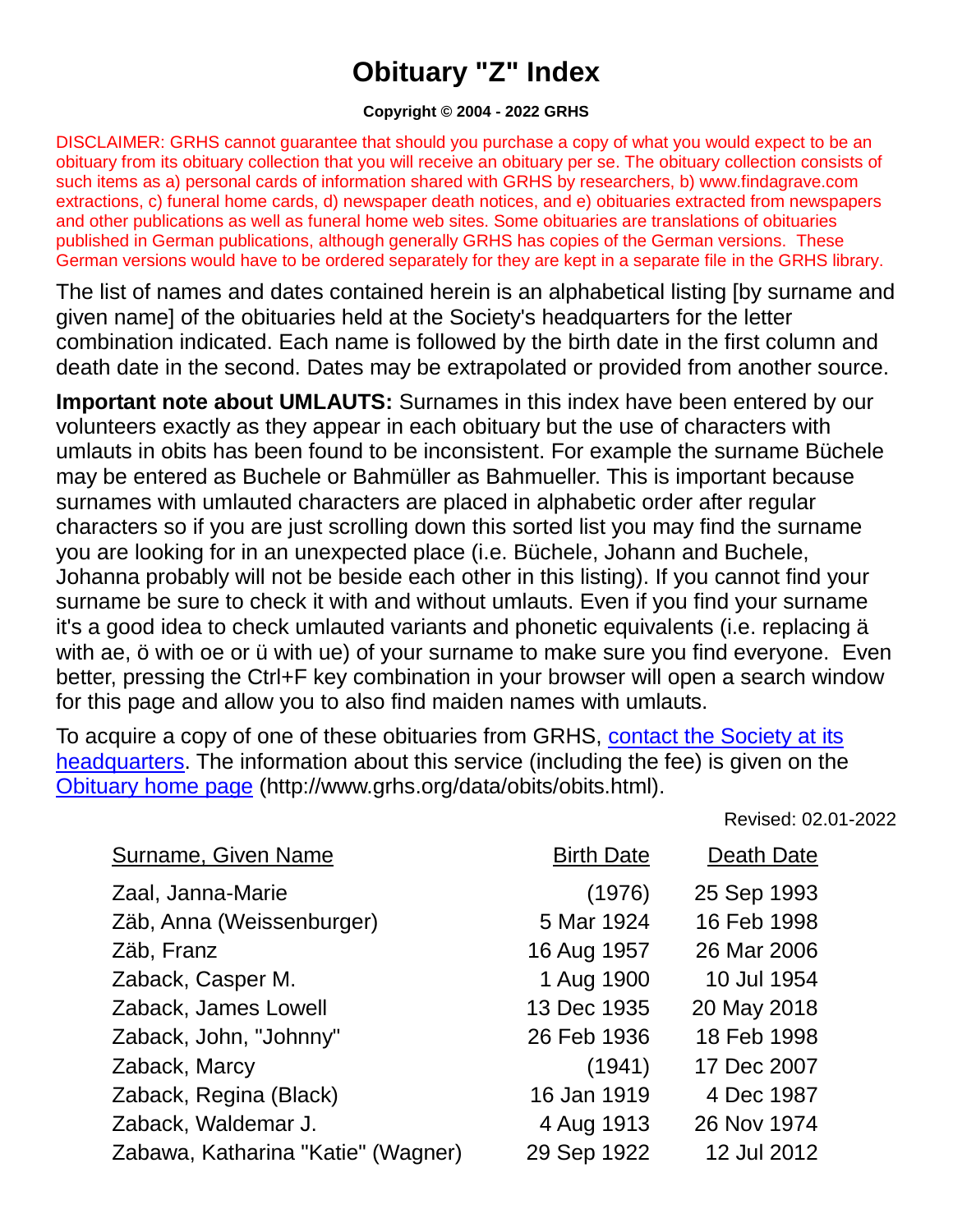## **Obituary "Z" Index**

## **Copyright © 2004 - 2022 GRHS**

DISCLAIMER: GRHS cannot guarantee that should you purchase a copy of what you would expect to be an obituary from its obituary collection that you will receive an obituary per se. The obituary collection consists of such items as a) personal cards of information shared with GRHS by researchers, b) www.findagrave.com extractions, c) funeral home cards, d) newspaper death notices, and e) obituaries extracted from newspapers and other publications as well as funeral home web sites. Some obituaries are translations of obituaries published in German publications, although generally GRHS has copies of the German versions. These German versions would have to be ordered separately for they are kept in a separate file in the GRHS library.

The list of names and dates contained herein is an alphabetical listing [by surname and given name] of the obituaries held at the Society's headquarters for the letter combination indicated. Each name is followed by the birth date in the first column and death date in the second. Dates may be extrapolated or provided from another source.

**Important note about UMLAUTS:** Surnames in this index have been entered by our volunteers exactly as they appear in each obituary but the use of characters with umlauts in obits has been found to be inconsistent. For example the surname Büchele may be entered as Buchele or Bahmüller as Bahmueller. This is important because surnames with umlauted characters are placed in alphabetic order after regular characters so if you are just scrolling down this sorted list you may find the surname you are looking for in an unexpected place (i.e. Büchele, Johann and Buchele, Johanna probably will not be beside each other in this listing). If you cannot find your surname be sure to check it with and without umlauts. Even if you find your surname it's a good idea to check umlauted variants and phonetic equivalents (i.e. replacing ä with ae, ö with oe or ü with ue) of your surname to make sure you find everyone. Even better, pressing the Ctrl+F key combination in your browser will open a search window for this page and allow you to also find maiden names with umlauts.

To acquire a copy of one of these obituaries from GRHS, [contact the Society at its](https://www.grhs.org/pages/contact)  [headquarters.](https://www.grhs.org/pages/contact) The information about this service (including the fee) is given on the [Obituary home page](https://www.grhs.org/pages/obits) (http://www.grhs.org/data/obits/obits.html).

Revised: 02.01-2022

| <b>Surname, Given Name</b>         | <b>Birth Date</b> | Death Date  |
|------------------------------------|-------------------|-------------|
| Zaal, Janna-Marie                  | (1976)            | 25 Sep 1993 |
| Zäb, Anna (Weissenburger)          | 5 Mar 1924        | 16 Feb 1998 |
| Zäb, Franz                         | 16 Aug 1957       | 26 Mar 2006 |
| Zaback, Casper M.                  | 1 Aug 1900        | 10 Jul 1954 |
| Zaback, James Lowell               | 13 Dec 1935       | 20 May 2018 |
| Zaback, John, "Johnny"             | 26 Feb 1936       | 18 Feb 1998 |
| Zaback, Marcy                      | (1941)            | 17 Dec 2007 |
| Zaback, Regina (Black)             | 16 Jan 1919       | 4 Dec 1987  |
| Zaback, Waldemar J.                | 4 Aug 1913        | 26 Nov 1974 |
| Zabawa, Katharina "Katie" (Wagner) | 29 Sep 1922       | 12 Jul 2012 |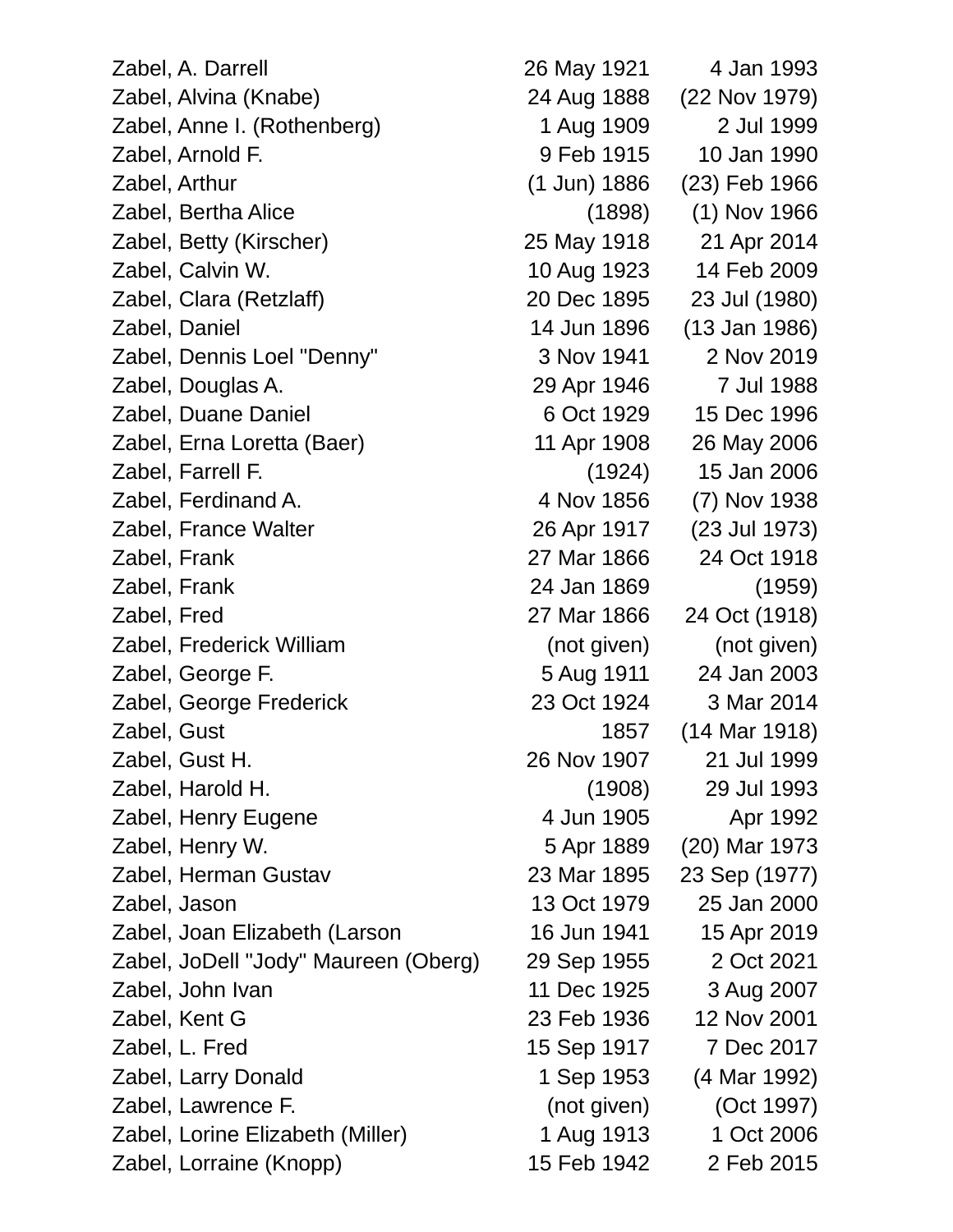Zabel, A. Darrell 26 May 1921 4 Jan 1993 Zabel, Alvina (Knabe) 24 Aug 1888 (22 Nov 1979) Zabel, Anne I. (Rothenberg) 1 Aug 1909 2 Jul 1999 Zabel, Arnold F. 9 Feb 1915 10 Jan 1990 Zabel, Arthur (1 Jun) 1886 (23) Feb 1966 Zabel, Bertha Alice (1898) (1) Nov 1966 Zabel, Betty (Kirscher) 25 May 1918 21 Apr 2014 Zabel, Calvin W. 10 Aug 1923 14 Feb 2009 Zabel, Clara (Retzlaff) 20 Dec 1895 23 Jul (1980) Zabel, Daniel 14 Jun 1896 (13 Jan 1986) Zabel, Dennis Loel "Denny" 3 Nov 1941 2 Nov 2019 Zabel, Douglas A. 29 Apr 1946 7 Jul 1988 Zabel, Duane Daniel 6 Oct 1929 15 Dec 1996 Zabel, Erna Loretta (Baer) 11 Apr 1908 26 May 2006 Zabel, Farrell F. (1924) 15 Jan 2006 Zabel, Ferdinand A. 4 Nov 1856 (7) Nov 1938 Zabel, France Walter 26 Apr 1917 (23 Jul 1973) Zabel, Frank 27 Mar 1866 24 Oct 1918 Zabel, Frank 24 Jan 1869 (1959) Zabel, Fred 27 Mar 1866 24 Oct (1918) Zabel, Frederick William (not given) (not given) Zabel, George F. 5 Aug 1911 24 Jan 2003 Zabel, George Frederick 23 Oct 1924 3 Mar 2014 Zabel, Gust 1857 (14 Mar 1918) Zabel, Gust H. 26 Nov 1907 21 Jul 1999 Zabel, Harold H. (1908) 29 Jul 1993 Zabel, Henry Eugene 4 Jun 1905 Apr 1992 Zabel, Henry W. 5 Apr 1889 (20) Mar 1973 Zabel, Herman Gustav 23 Mar 1895 23 Sep (1977) Zabel, Jason 13 Oct 1979 25 Jan 2000 Zabel, Joan Elizabeth (Larson 16 Jun 1941 15 Apr 2019 Zabel, JoDell "Jody" Maureen (Oberg) 29 Sep 1955 2 Oct 2021 Zabel, John Ivan 11 Dec 1925 3 Aug 2007 Zabel, Kent G 23 Feb 1936 12 Nov 2001 Zabel, L. Fred 15 Sep 1917 7 Dec 2017 Zabel, Larry Donald 1 Sep 1953 (4 Mar 1992) Zabel, Lawrence F. (not given) (Oct 1997) Zabel, Lorine Elizabeth (Miller) 1 Aug 1913 1 Oct 2006

Zabel, Lorraine (Knopp) 15 Feb 1942 2 Feb 2015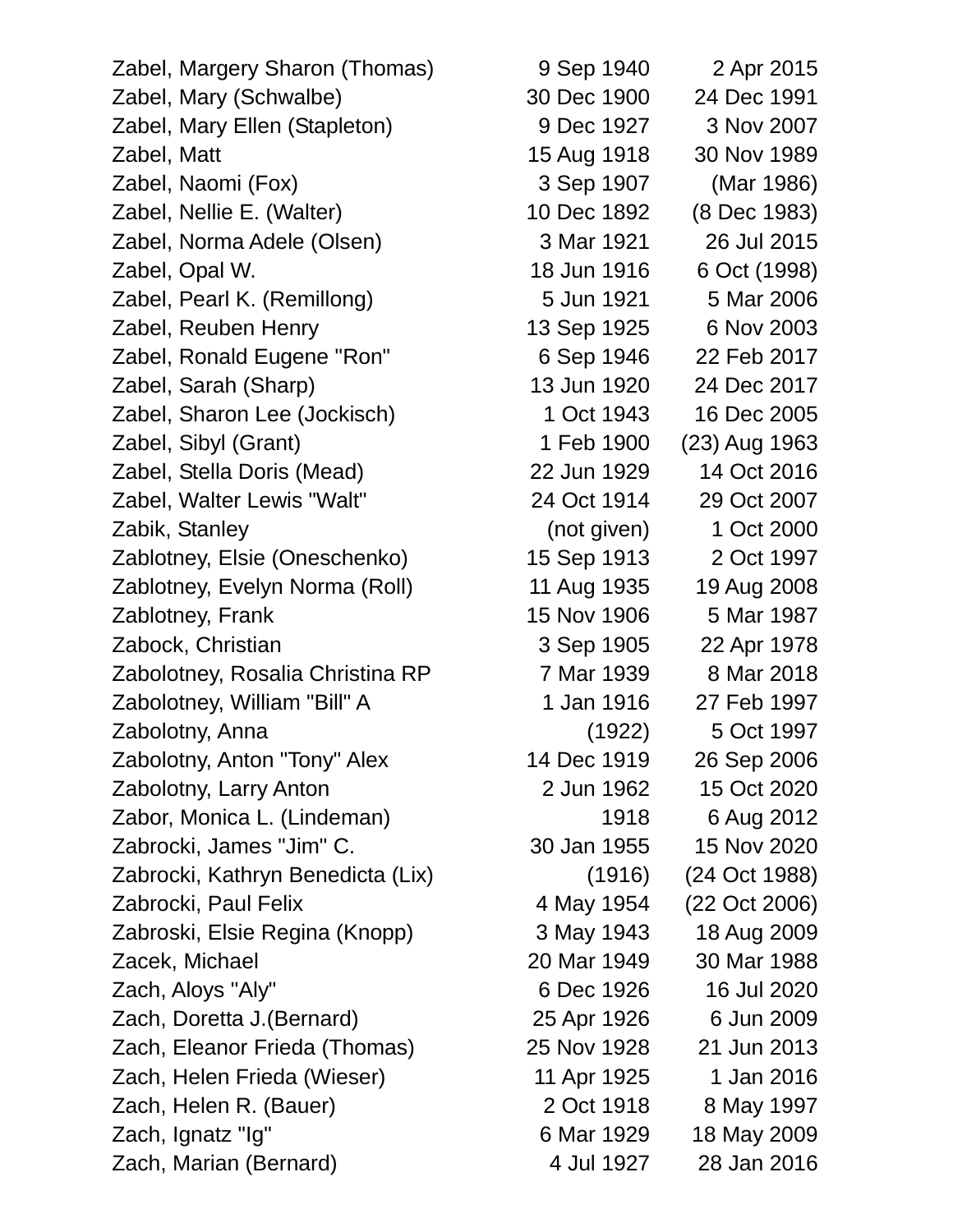Zabel, Margery Sharon (Thomas) 9 Sep 1940 2 Apr 2015 Zabel, Mary (Schwalbe) 30 Dec 1900 24 Dec 1991 Zabel, Mary Ellen (Stapleton) 9 Dec 1927 3 Nov 2007 Zabel, Matt 15 Aug 1918 30 Nov 1989 Zabel, Naomi (Fox) 3 Sep 1907 (Mar 1986) Zabel, Nellie E. (Walter) 10 Dec 1892 (8 Dec 1983) Zabel, Norma Adele (Olsen) 3 Mar 1921 26 Jul 2015 Zabel, Opal W. 18 Jun 1916 6 Oct (1998) Zabel, Pearl K. (Remillong) 5 Jun 1921 5 Mar 2006 Zabel, Reuben Henry 13 Sep 1925 6 Nov 2003 Zabel, Ronald Eugene "Ron" 6 Sep 1946 22 Feb 2017 Zabel, Sarah (Sharp) 13 Jun 1920 24 Dec 2017 Zabel, Sharon Lee (Jockisch) 1 Oct 1943 16 Dec 2005 Zabel, Sibyl (Grant) 1 Feb 1900 (23) Aug 1963 Zabel, Stella Doris (Mead) 22 Jun 1929 14 Oct 2016 Zabel, Walter Lewis "Walt" 24 Oct 1914 29 Oct 2007 Zabik, Stanley (not given) 1 Oct 2000 Zablotney, Elsie (Oneschenko) 15 Sep 1913 2 Oct 1997 Zablotney, Evelyn Norma (Roll) 11 Aug 1935 19 Aug 2008 Zablotney, Frank 15 Nov 1906 5 Mar 1987 Zabock, Christian 3 Sep 1905 22 Apr 1978 Zabolotney, Rosalia Christina RP 7 Mar 1939 8 Mar 2018 Zabolotney, William "Bill" A 1 Jan 1916 27 Feb 1997 Zabolotny, Anna (1922) 5 Oct 1997 Zabolotny, Anton "Tony" Alex 14 Dec 1919 26 Sep 2006 Zabolotny, Larry Anton 2 Jun 1962 15 Oct 2020 Zabor, Monica L. (Lindeman) 1918 6 Aug 2012 Zabrocki, James "Jim" C. 30 Jan 1955 15 Nov 2020 Zabrocki, Kathryn Benedicta (Lix) (1916) (24 Oct 1988) Zabrocki, Paul Felix 4 May 1954 (22 Oct 2006) Zabroski, Elsie Regina (Knopp) 3 May 1943 18 Aug 2009 Zacek, Michael 20 Mar 1949 30 Mar 1988 Zach, Aloys "Aly" 6 Dec 1926 16 Jul 2020 Zach, Doretta J.(Bernard) 25 Apr 1926 6 Jun 2009 Zach, Eleanor Frieda (Thomas) 25 Nov 1928 21 Jun 2013 Zach, Helen Frieda (Wieser) 11 Apr 1925 1 Jan 2016 Zach, Helen R. (Bauer) 2 Oct 1918 8 May 1997 Zach, Ignatz "Ig" 6 Mar 1929 18 May 2009 Zach, Marian (Bernard) 4 Jul 1927 28 Jan 2016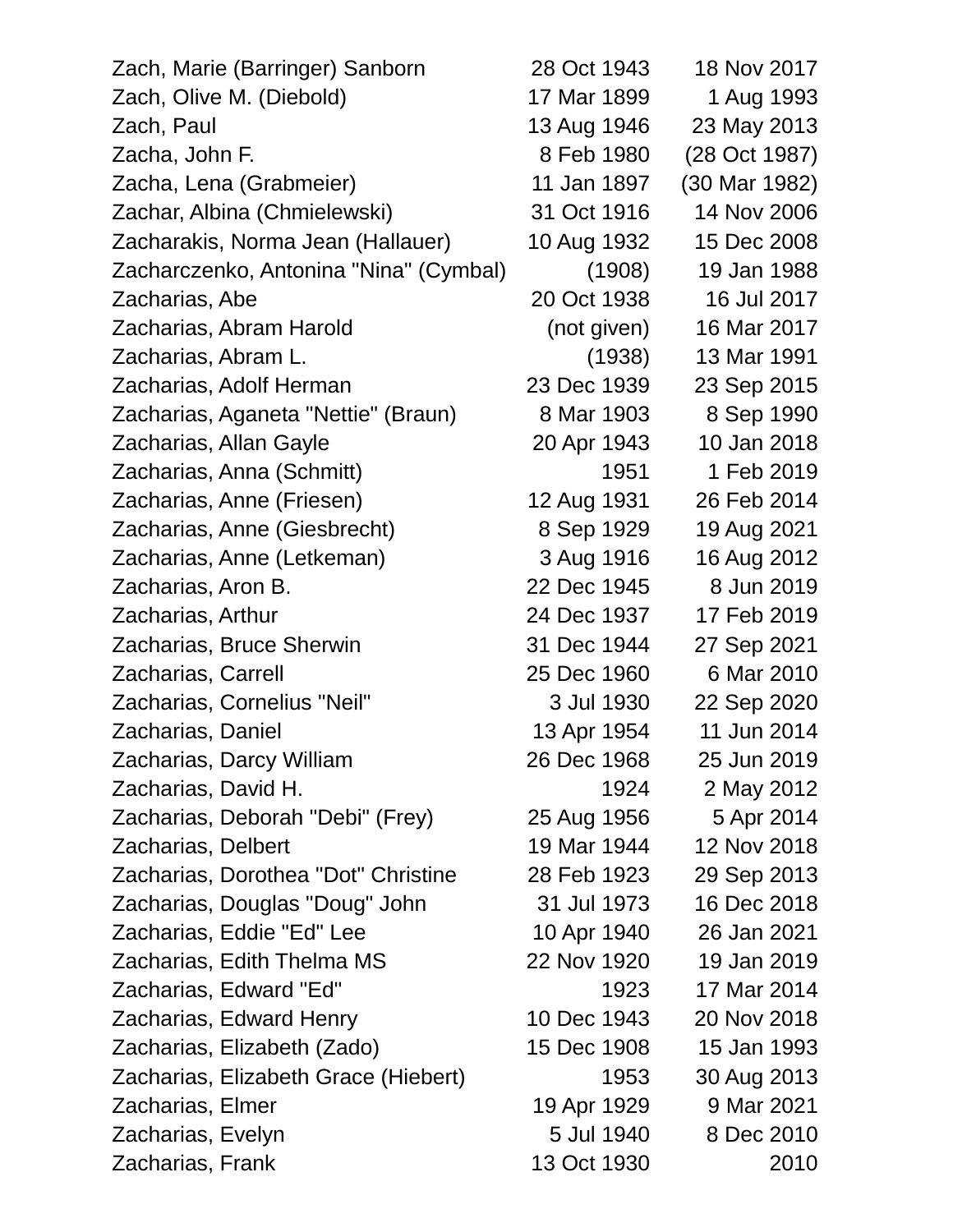| Zach, Marie (Barringer) Sanborn        | 28 Oct 1943 | 18 Nov 2017   |
|----------------------------------------|-------------|---------------|
| Zach, Olive M. (Diebold)               | 17 Mar 1899 | 1 Aug 1993    |
| Zach, Paul                             | 13 Aug 1946 | 23 May 2013   |
| Zacha, John F.                         | 8 Feb 1980  | (28 Oct 1987) |
| Zacha, Lena (Grabmeier)                | 11 Jan 1897 | (30 Mar 1982) |
| Zachar, Albina (Chmielewski)           | 31 Oct 1916 | 14 Nov 2006   |
| Zacharakis, Norma Jean (Hallauer)      | 10 Aug 1932 | 15 Dec 2008   |
| Zacharczenko, Antonina "Nina" (Cymbal) | (1908)      | 19 Jan 1988   |
| Zacharias, Abe                         | 20 Oct 1938 | 16 Jul 2017   |
| Zacharias, Abram Harold                | (not given) | 16 Mar 2017   |
| Zacharias, Abram L.                    | (1938)      | 13 Mar 1991   |
| Zacharias, Adolf Herman                | 23 Dec 1939 | 23 Sep 2015   |
| Zacharias, Aganeta "Nettie" (Braun)    | 8 Mar 1903  | 8 Sep 1990    |
| Zacharias, Allan Gayle                 | 20 Apr 1943 | 10 Jan 2018   |
| Zacharias, Anna (Schmitt)              | 1951        | 1 Feb 2019    |
| Zacharias, Anne (Friesen)              | 12 Aug 1931 | 26 Feb 2014   |
| Zacharias, Anne (Giesbrecht)           | 8 Sep 1929  | 19 Aug 2021   |
| Zacharias, Anne (Letkeman)             | 3 Aug 1916  | 16 Aug 2012   |
| Zacharias, Aron B.                     | 22 Dec 1945 | 8 Jun 2019    |
| Zacharias, Arthur                      | 24 Dec 1937 | 17 Feb 2019   |
| Zacharias, Bruce Sherwin               | 31 Dec 1944 | 27 Sep 2021   |
| Zacharias, Carrell                     | 25 Dec 1960 | 6 Mar 2010    |
| Zacharias, Cornelius "Neil"            | 3 Jul 1930  | 22 Sep 2020   |
| Zacharias, Daniel                      | 13 Apr 1954 | 11 Jun 2014   |
| Zacharias, Darcy William               | 26 Dec 1968 | 25 Jun 2019   |
| Zacharias, David H.                    | 1924        | 2 May 2012    |
| Zacharias, Deborah "Debi" (Frey)       | 25 Aug 1956 | 5 Apr 2014    |
| Zacharias, Delbert                     | 19 Mar 1944 | 12 Nov 2018   |
| Zacharias, Dorothea "Dot" Christine    | 28 Feb 1923 | 29 Sep 2013   |
| Zacharias, Douglas "Doug" John         | 31 Jul 1973 | 16 Dec 2018   |
| Zacharias, Eddie "Ed" Lee              | 10 Apr 1940 | 26 Jan 2021   |
| Zacharias, Edith Thelma MS             | 22 Nov 1920 | 19 Jan 2019   |
| Zacharias, Edward "Ed"                 | 1923        | 17 Mar 2014   |
| Zacharias, Edward Henry                | 10 Dec 1943 | 20 Nov 2018   |
| Zacharias, Elizabeth (Zado)            | 15 Dec 1908 | 15 Jan 1993   |
| Zacharias, Elizabeth Grace (Hiebert)   | 1953        | 30 Aug 2013   |
| Zacharias, Elmer                       | 19 Apr 1929 | 9 Mar 2021    |
| Zacharias, Evelyn                      | 5 Jul 1940  | 8 Dec 2010    |
| Zacharias, Frank                       | 13 Oct 1930 | 2010          |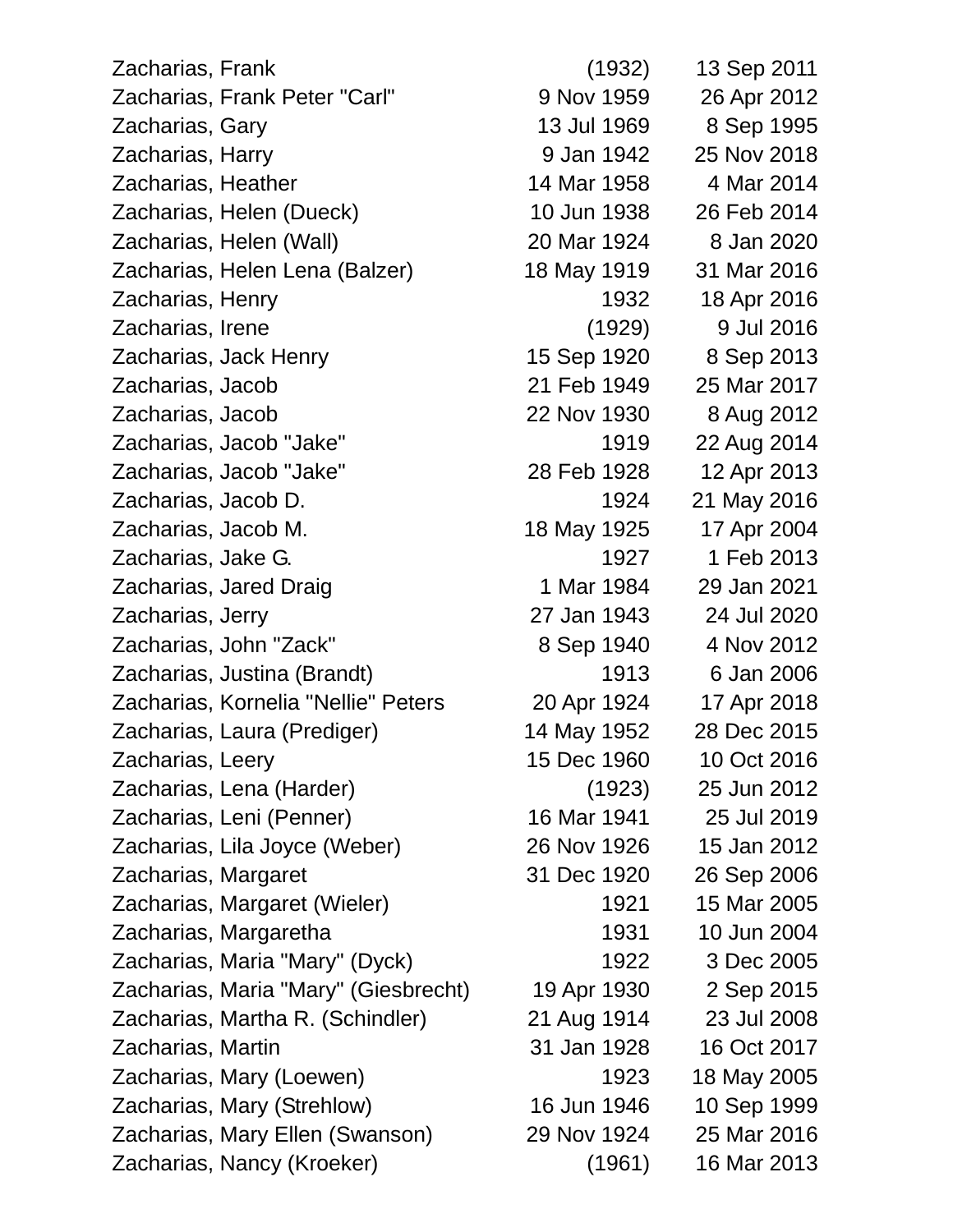Zacharias, Frank (1932) 13 Sep 2011 Zacharias, Frank Peter "Carl" 9 Nov 1959 26 Apr 2012 Zacharias, Gary 13 Jul 1969 8 Sep 1995 Zacharias, Harry 9 Jan 1942 25 Nov 2018 Zacharias, Heather 14 Mar 1958 4 Mar 2014 Zacharias, Helen (Dueck) 10 Jun 1938 26 Feb 2014 Zacharias, Helen (Wall) 20 Mar 1924 8 Jan 2020 Zacharias, Helen Lena (Balzer) 18 May 1919 31 Mar 2016 Zacharias, Henry 1932 18 Apr 2016 Zacharias, Irene (1929) 9 Jul 2016 Zacharias, Jack Henry 15 Sep 1920 8 Sep 2013 Zacharias, Jacob 21 Feb 1949 25 Mar 2017 Zacharias, Jacob 22 Nov 1930 8 Aug 2012 Zacharias, Jacob "Jake" 1919 22 Aug 2014 Zacharias, Jacob "Jake" 28 Feb 1928 12 Apr 2013 Zacharias, Jacob D. 1924 21 May 2016 Zacharias, Jacob M. 18 May 1925 17 Apr 2004 Zacharias, Jake G. 1927 1 Feb 2013 Zacharias, Jared Draig 1 Mar 1984 29 Jan 2021 Zacharias, Jerry 27 Jan 1943 24 Jul 2020 Zacharias, John "Zack" 8 Sep 1940 4 Nov 2012 Zacharias, Justina (Brandt) 1913 6 Jan 2006 Zacharias, Kornelia "Nellie" Peters 20 Apr 1924 17 Apr 2018 Zacharias, Laura (Prediger) 14 May 1952 28 Dec 2015 Zacharias, Leery 15 Dec 1960 10 Oct 2016 Zacharias, Lena (Harder) (1923) 25 Jun 2012 Zacharias, Leni (Penner) 16 Mar 1941 25 Jul 2019 Zacharias, Lila Joyce (Weber) 26 Nov 1926 15 Jan 2012 Zacharias, Margaret 31 Dec 1920 26 Sep 2006 Zacharias, Margaret (Wieler) 1921 15 Mar 2005 Zacharias, Margaretha 1931 10 Jun 2004 Zacharias, Maria "Mary" (Dyck) 1922 3 Dec 2005 Zacharias, Maria "Mary" (Giesbrecht) 19 Apr 1930 2 Sep 2015 Zacharias, Martha R. (Schindler) 21 Aug 1914 23 Jul 2008 Zacharias, Martin 31 Jan 1928 16 Oct 2017 Zacharias, Mary (Loewen) 1923 18 May 2005 Zacharias, Mary (Strehlow) 16 Jun 1946 10 Sep 1999 Zacharias, Mary Ellen (Swanson) 29 Nov 1924 25 Mar 2016 Zacharias, Nancy (Kroeker) (1961) 16 Mar 2013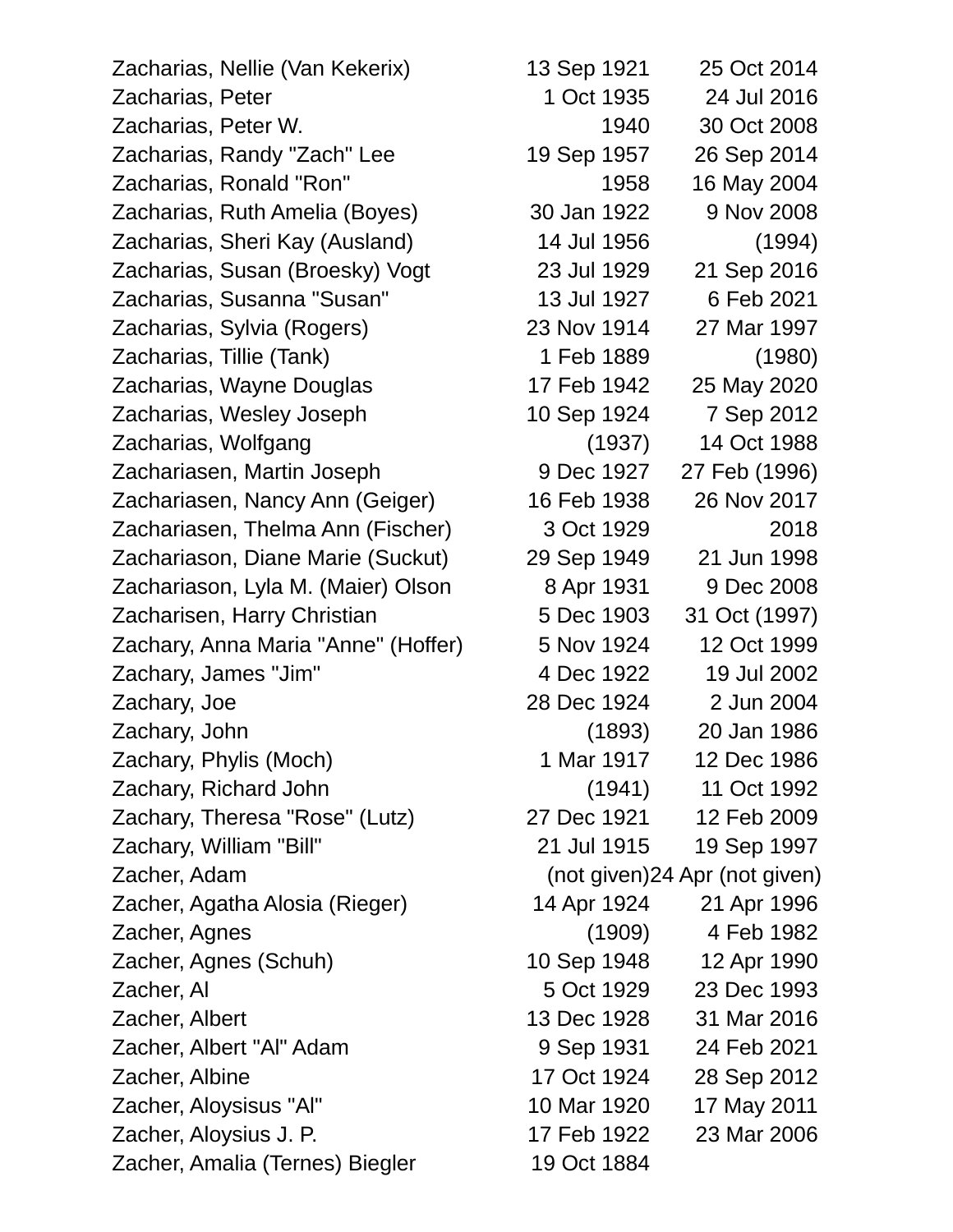Zacharias, Nellie (Van Kekerix) 13 Sep 1921 25 Oct 2014 Zacharias, Peter 1 Oct 1935 24 Jul 2016 Zacharias, Peter W. 1940 30 Oct 2008 Zacharias, Randy "Zach" Lee 19 Sep 1957 26 Sep 2014 Zacharias, Ronald "Ron" 1958 16 May 2004 Zacharias, Ruth Amelia (Boyes) 30 Jan 1922 9 Nov 2008 Zacharias, Sheri Kay (Ausland) 14 Jul 1956 (1994) Zacharias, Susan (Broesky) Vogt 23 Jul 1929 21 Sep 2016 Zacharias, Susanna "Susan" 13 Jul 1927 6 Feb 2021 Zacharias, Sylvia (Rogers) 23 Nov 1914 27 Mar 1997 Zacharias, Tillie (Tank) 1 Feb 1889 (1980) Zacharias, Wayne Douglas 17 Feb 1942 25 May 2020 Zacharias, Wesley Joseph 10 Sep 1924 7 Sep 2012 Zacharias, Wolfgang (1937) 14 Oct 1988 Zachariasen, Martin Joseph 9 Dec 1927 27 Feb (1996) Zachariasen, Nancy Ann (Geiger) 16 Feb 1938 26 Nov 2017 Zachariasen, Thelma Ann (Fischer) 3 Oct 1929 2018 Zachariason, Diane Marie (Suckut) 29 Sep 1949 21 Jun 1998 Zachariason, Lyla M. (Maier) Olson 8 Apr 1931 9 Dec 2008 Zacharisen, Harry Christian 5 Dec 1903 31 Oct (1997) Zachary, Anna Maria "Anne" (Hoffer) 5 Nov 1924 12 Oct 1999 Zachary, James "Jim" 4 Dec 1922 19 Jul 2002 Zachary, Joe 28 Dec 1924 2 Jun 2004 Zachary, John (1893) 20 Jan 1986 Zachary, Phylis (Moch) 1 Mar 1917 12 Dec 1986 Zachary, Richard John (1941) 11 Oct 1992 Zachary, Theresa "Rose" (Lutz) 27 Dec 1921 12 Feb 2009 Zachary, William "Bill" 21 Jul 1915 19 Sep 1997 Zacher, Adam (not given)24 Apr (not given) Zacher, Agatha Alosia (Rieger) 14 Apr 1924 21 Apr 1996 Zacher, Agnes (1909) 4 Feb 1982 Zacher, Agnes (Schuh) 10 Sep 1948 12 Apr 1990 Zacher, Al 5 Oct 1929 23 Dec 1993 Zacher, Albert 13 Dec 1928 31 Mar 2016 Zacher, Albert "Al" Adam 9 Sep 1931 24 Feb 2021 Zacher, Albine 17 Oct 1924 28 Sep 2012 Zacher, Aloysisus "Al" 10 Mar 1920 17 May 2011 Zacher, Aloysius J. P. 17 Feb 1922 23 Mar 2006 Zacher, Amalia (Ternes) Biegler 19 Oct 1884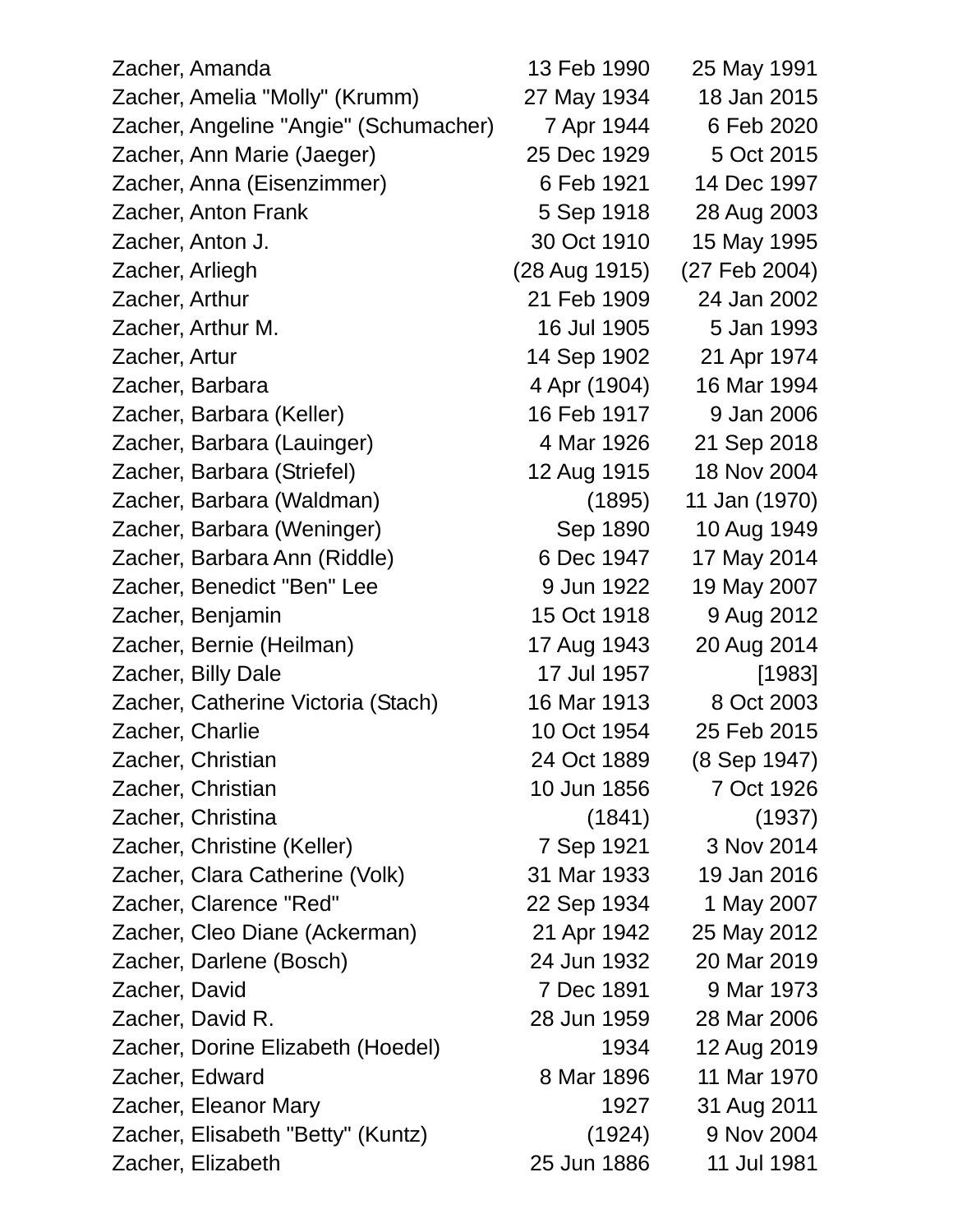| Zacher, Amanda                        | 13 Feb 1990   | 25 May 1991   |
|---------------------------------------|---------------|---------------|
| Zacher, Amelia "Molly" (Krumm)        | 27 May 1934   | 18 Jan 2015   |
| Zacher, Angeline "Angie" (Schumacher) | 7 Apr 1944    | 6 Feb 2020    |
| Zacher, Ann Marie (Jaeger)            | 25 Dec 1929   | 5 Oct 2015    |
| Zacher, Anna (Eisenzimmer)            | 6 Feb 1921    | 14 Dec 1997   |
| Zacher, Anton Frank                   | 5 Sep 1918    | 28 Aug 2003   |
| Zacher, Anton J.                      | 30 Oct 1910   | 15 May 1995   |
| Zacher, Arliegh                       | (28 Aug 1915) | (27 Feb 2004) |
| Zacher, Arthur                        | 21 Feb 1909   | 24 Jan 2002   |
| Zacher, Arthur M.                     | 16 Jul 1905   | 5 Jan 1993    |
| Zacher, Artur                         | 14 Sep 1902   | 21 Apr 1974   |
| Zacher, Barbara                       | 4 Apr (1904)  | 16 Mar 1994   |
| Zacher, Barbara (Keller)              | 16 Feb 1917   | 9 Jan 2006    |
| Zacher, Barbara (Lauinger)            | 4 Mar 1926    | 21 Sep 2018   |
| Zacher, Barbara (Striefel)            | 12 Aug 1915   | 18 Nov 2004   |
| Zacher, Barbara (Waldman)             | (1895)        | 11 Jan (1970) |
| Zacher, Barbara (Weninger)            | Sep 1890      | 10 Aug 1949   |
| Zacher, Barbara Ann (Riddle)          | 6 Dec 1947    | 17 May 2014   |
| Zacher, Benedict "Ben" Lee            | 9 Jun 1922    | 19 May 2007   |
| Zacher, Benjamin                      | 15 Oct 1918   | 9 Aug 2012    |
| Zacher, Bernie (Heilman)              | 17 Aug 1943   | 20 Aug 2014   |
| Zacher, Billy Dale                    | 17 Jul 1957   | [1983]        |
| Zacher, Catherine Victoria (Stach)    | 16 Mar 1913   | 8 Oct 2003    |
| Zacher, Charlie                       | 10 Oct 1954   | 25 Feb 2015   |
| Zacher, Christian                     | 24 Oct 1889   | (8 Sep 1947)  |
| Zacher, Christian                     | 10 Jun 1856   | 7 Oct 1926    |
| Zacher, Christina                     | (1841)        | (1937)        |
| Zacher, Christine (Keller)            | 7 Sep 1921    | 3 Nov 2014    |
| Zacher, Clara Catherine (Volk)        | 31 Mar 1933   | 19 Jan 2016   |
| Zacher, Clarence "Red"                | 22 Sep 1934   | 1 May 2007    |
| Zacher, Cleo Diane (Ackerman)         | 21 Apr 1942   | 25 May 2012   |
| Zacher, Darlene (Bosch)               | 24 Jun 1932   | 20 Mar 2019   |
| Zacher, David                         | 7 Dec 1891    | 9 Mar 1973    |
| Zacher, David R.                      | 28 Jun 1959   | 28 Mar 2006   |
| Zacher, Dorine Elizabeth (Hoedel)     | 1934          | 12 Aug 2019   |
| Zacher, Edward                        | 8 Mar 1896    | 11 Mar 1970   |
| Zacher, Eleanor Mary                  | 1927          | 31 Aug 2011   |
| Zacher, Elisabeth "Betty" (Kuntz)     | (1924)        | 9 Nov 2004    |
| Zacher, Elizabeth                     | 25 Jun 1886   | 11 Jul 1981   |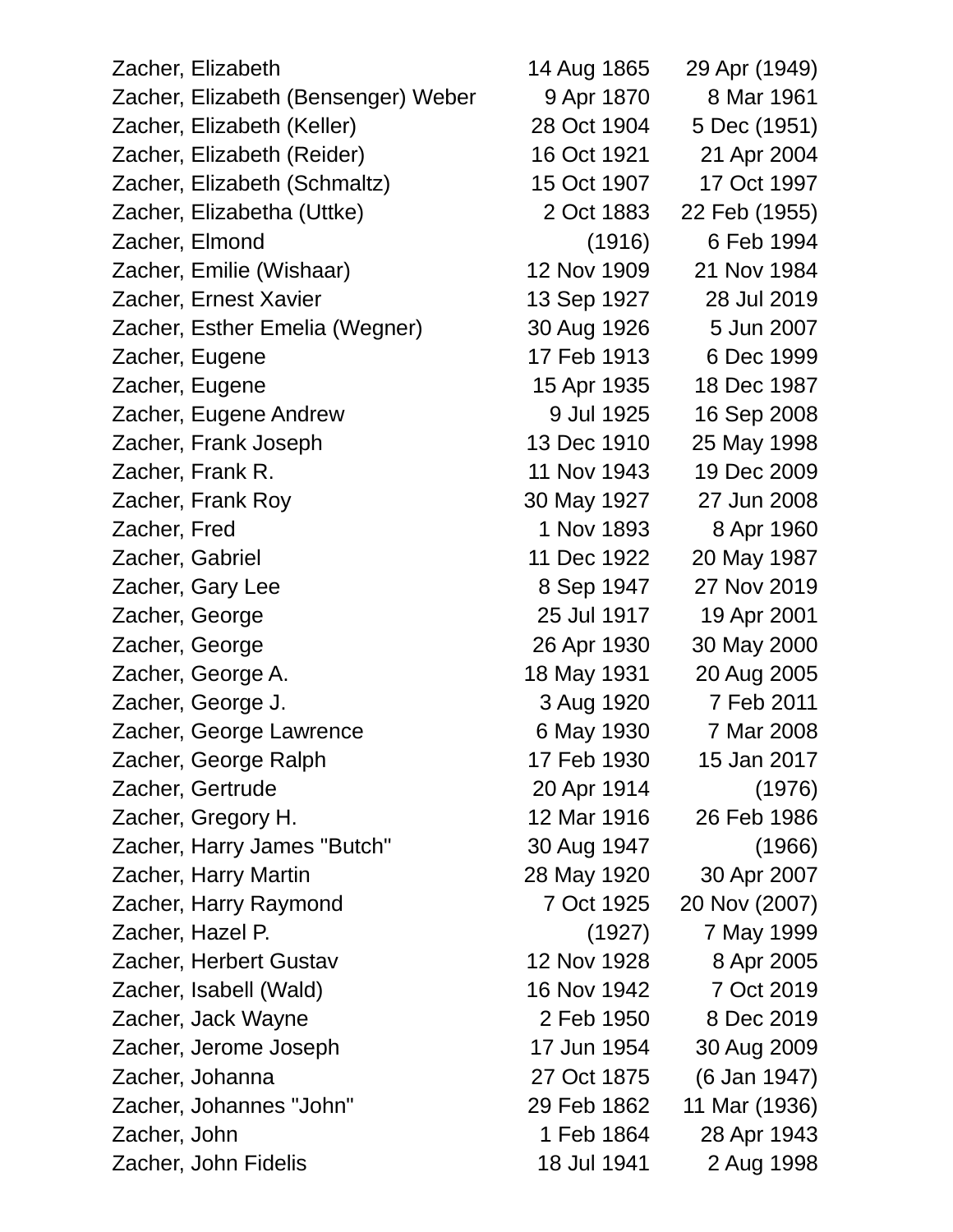| Zacher, Elizabeth                   | 14 Aug 1865 | 29 Apr (1949) |
|-------------------------------------|-------------|---------------|
| Zacher, Elizabeth (Bensenger) Weber | 9 Apr 1870  | 8 Mar 1961    |
| Zacher, Elizabeth (Keller)          | 28 Oct 1904 | 5 Dec (1951)  |
| Zacher, Elizabeth (Reider)          | 16 Oct 1921 | 21 Apr 2004   |
| Zacher, Elizabeth (Schmaltz)        | 15 Oct 1907 | 17 Oct 1997   |
| Zacher, Elizabetha (Uttke)          | 2 Oct 1883  | 22 Feb (1955) |
| Zacher, Elmond                      | (1916)      | 6 Feb 1994    |
| Zacher, Emilie (Wishaar)            | 12 Nov 1909 | 21 Nov 1984   |
| Zacher, Ernest Xavier               | 13 Sep 1927 | 28 Jul 2019   |
| Zacher, Esther Emelia (Wegner)      | 30 Aug 1926 | 5 Jun 2007    |
| Zacher, Eugene                      | 17 Feb 1913 | 6 Dec 1999    |
| Zacher, Eugene                      | 15 Apr 1935 | 18 Dec 1987   |
| Zacher, Eugene Andrew               | 9 Jul 1925  | 16 Sep 2008   |
| Zacher, Frank Joseph                | 13 Dec 1910 | 25 May 1998   |
| Zacher, Frank R.                    | 11 Nov 1943 | 19 Dec 2009   |
| Zacher, Frank Roy                   | 30 May 1927 | 27 Jun 2008   |
| Zacher, Fred                        | 1 Nov 1893  | 8 Apr 1960    |
| Zacher, Gabriel                     | 11 Dec 1922 | 20 May 1987   |
| Zacher, Gary Lee                    | 8 Sep 1947  | 27 Nov 2019   |
| Zacher, George                      | 25 Jul 1917 | 19 Apr 2001   |
| Zacher, George                      | 26 Apr 1930 | 30 May 2000   |
| Zacher, George A.                   | 18 May 1931 | 20 Aug 2005   |
| Zacher, George J.                   | 3 Aug 1920  | 7 Feb 2011    |
| Zacher, George Lawrence             | 6 May 1930  | 7 Mar 2008    |
| Zacher, George Ralph                | 17 Feb 1930 | 15 Jan 2017   |
| Zacher, Gertrude                    | 20 Apr 1914 | (1976)        |
| Zacher, Gregory H.                  | 12 Mar 1916 | 26 Feb 1986   |
| Zacher, Harry James "Butch"         | 30 Aug 1947 | (1966)        |
| Zacher, Harry Martin                | 28 May 1920 | 30 Apr 2007   |
| Zacher, Harry Raymond               | 7 Oct 1925  | 20 Nov (2007) |
| Zacher, Hazel P.                    | (1927)      | 7 May 1999    |
| Zacher, Herbert Gustav              | 12 Nov 1928 | 8 Apr 2005    |
| Zacher, Isabell (Wald)              | 16 Nov 1942 | 7 Oct 2019    |
| Zacher, Jack Wayne                  | 2 Feb 1950  | 8 Dec 2019    |
| Zacher, Jerome Joseph               | 17 Jun 1954 | 30 Aug 2009   |
| Zacher, Johanna                     | 27 Oct 1875 | (6 Jan 1947)  |
| Zacher, Johannes "John"             | 29 Feb 1862 | 11 Mar (1936) |
| Zacher, John                        | 1 Feb 1864  | 28 Apr 1943   |
| Zacher, John Fidelis                | 18 Jul 1941 | 2 Aug 1998    |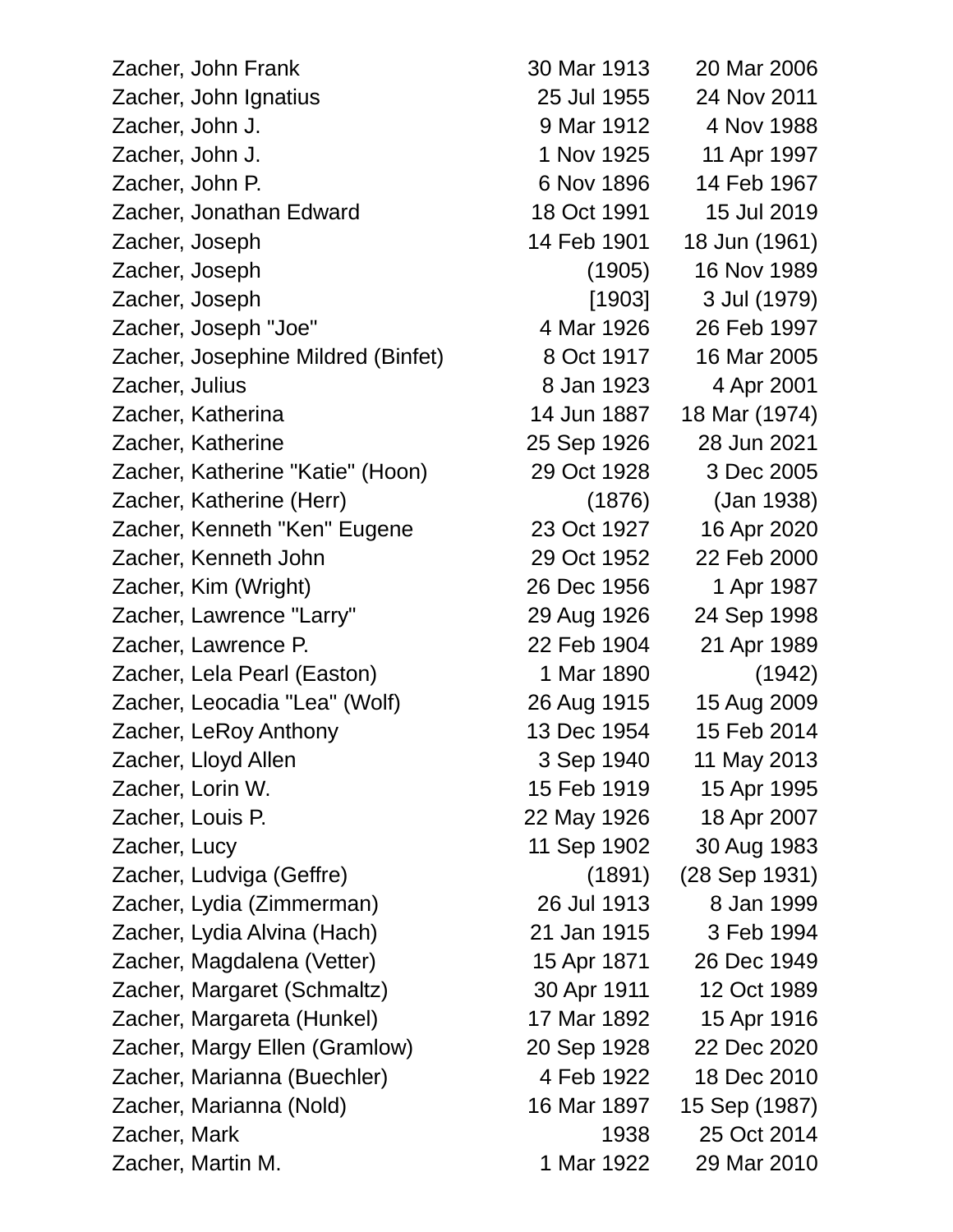Zacher, John Frank 30 Mar 1913 20 Mar 2006 Zacher, John Ignatius 25 Jul 1955 24 Nov 2011 Zacher, John J. 9 Mar 1912 4 Nov 1988 Zacher, John J. 1 Nov 1925 11 Apr 1997 Zacher, John P. 6 Nov 1896 14 Feb 1967 Zacher, Jonathan Edward 18 Oct 1991 15 Jul 2019 Zacher, Joseph 14 Feb 1901 18 Jun (1961) Zacher, Joseph (1905) 16 Nov 1989 Zacher, Joseph [1903] 3 Jul (1979) Zacher, Joseph "Joe" 4 Mar 1926 26 Feb 1997 Zacher, Josephine Mildred (Binfet) 8 Oct 1917 16 Mar 2005 Zacher, Julius 8 Jan 1923 4 Apr 2001 Zacher, Katherina 14 Jun 1887 18 Mar (1974) Zacher, Katherine 25 Sep 1926 28 Jun 2021 Zacher, Katherine "Katie" (Hoon) 29 Oct 1928 3 Dec 2005 Zacher, Katherine (Herr) (1876) (Jan 1938) Zacher, Kenneth "Ken" Eugene 23 Oct 1927 16 Apr 2020 Zacher, Kenneth John 29 Oct 1952 22 Feb 2000 Zacher, Kim (Wright) 26 Dec 1956 1 Apr 1987 Zacher, Lawrence "Larry" 29 Aug 1926 24 Sep 1998 Zacher, Lawrence P. 22 Feb 1904 21 Apr 1989 Zacher, Lela Pearl (Easton) 1 Mar 1890 (1942) Zacher, Leocadia "Lea" (Wolf) 26 Aug 1915 15 Aug 2009 Zacher, LeRoy Anthony 13 Dec 1954 15 Feb 2014 Zacher, Lloyd Allen 3 Sep 1940 11 May 2013 Zacher, Lorin W. 15 Feb 1919 15 Apr 1995 Zacher, Louis P. 22 May 1926 18 Apr 2007 Zacher, Lucy 11 Sep 1902 30 Aug 1983 Zacher, Ludviga (Geffre) (1891) (28 Sep 1931) Zacher, Lydia (Zimmerman) 26 Jul 1913 8 Jan 1999 Zacher, Lydia Alvina (Hach) 21 Jan 1915 3 Feb 1994 Zacher, Magdalena (Vetter) 15 Apr 1871 26 Dec 1949 Zacher, Margaret (Schmaltz) 30 Apr 1911 12 Oct 1989 Zacher, Margareta (Hunkel) 17 Mar 1892 15 Apr 1916 Zacher, Margy Ellen (Gramlow) 20 Sep 1928 22 Dec 2020 Zacher, Marianna (Buechler) 4 Feb 1922 18 Dec 2010 Zacher, Marianna (Nold) 16 Mar 1897 15 Sep (1987) Zacher, Mark 1938 25 Oct 2014 Zacher, Martin M. 1 Mar 1922 29 Mar 2010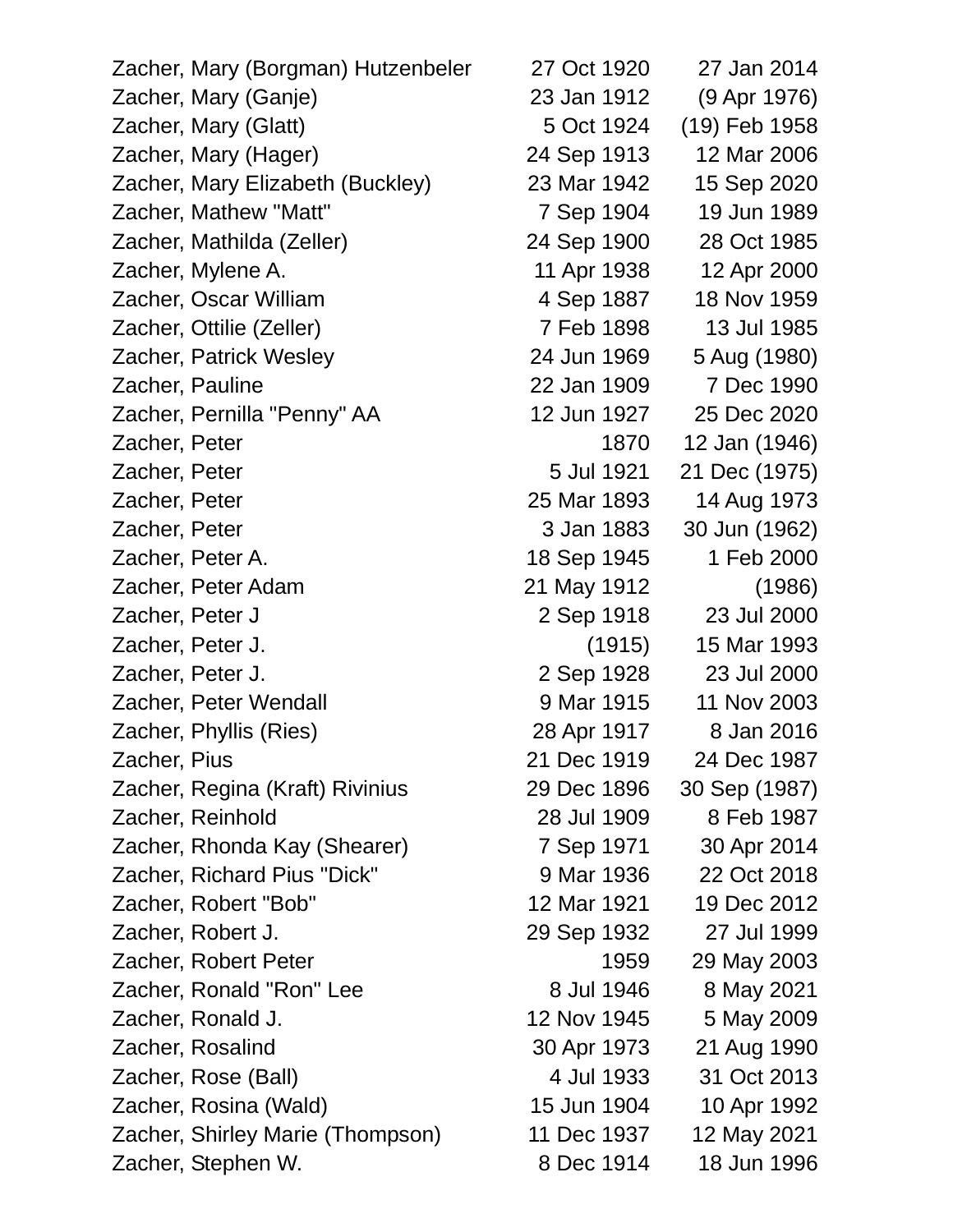| Zacher, Mary (Borgman) Hutzenbeler | 27 Oct 1920 | 27 Jan 2014   |
|------------------------------------|-------------|---------------|
| Zacher, Mary (Ganje)               | 23 Jan 1912 | (9 Apr 1976)  |
| Zacher, Mary (Glatt)               | 5 Oct 1924  | (19) Feb 1958 |
| Zacher, Mary (Hager)               | 24 Sep 1913 | 12 Mar 2006   |
| Zacher, Mary Elizabeth (Buckley)   | 23 Mar 1942 | 15 Sep 2020   |
| Zacher, Mathew "Matt"              | 7 Sep 1904  | 19 Jun 1989   |
| Zacher, Mathilda (Zeller)          | 24 Sep 1900 | 28 Oct 1985   |
| Zacher, Mylene A.                  | 11 Apr 1938 | 12 Apr 2000   |
| Zacher, Oscar William              | 4 Sep 1887  | 18 Nov 1959   |
| Zacher, Ottilie (Zeller)           | 7 Feb 1898  | 13 Jul 1985   |
| Zacher, Patrick Wesley             | 24 Jun 1969 | 5 Aug (1980)  |
| Zacher, Pauline                    | 22 Jan 1909 | 7 Dec 1990    |
| Zacher, Pernilla "Penny" AA        | 12 Jun 1927 | 25 Dec 2020   |
| Zacher, Peter                      | 1870        | 12 Jan (1946) |
| Zacher, Peter                      | 5 Jul 1921  | 21 Dec (1975) |
| Zacher, Peter                      | 25 Mar 1893 | 14 Aug 1973   |
| Zacher, Peter                      | 3 Jan 1883  | 30 Jun (1962) |
| Zacher, Peter A.                   | 18 Sep 1945 | 1 Feb 2000    |
| Zacher, Peter Adam                 | 21 May 1912 | (1986)        |
| Zacher, Peter J                    | 2 Sep 1918  | 23 Jul 2000   |
| Zacher, Peter J.                   | (1915)      | 15 Mar 1993   |
| Zacher, Peter J.                   | 2 Sep 1928  | 23 Jul 2000   |
| Zacher, Peter Wendall              | 9 Mar 1915  | 11 Nov 2003   |
| Zacher, Phyllis (Ries)             | 28 Apr 1917 | 8 Jan 2016    |
| Zacher, Pius                       | 21 Dec 1919 | 24 Dec 1987   |
| Zacher, Regina (Kraft) Rivinius    | 29 Dec 1896 | 30 Sep (1987) |
| Zacher, Reinhold                   | 28 Jul 1909 | 8 Feb 1987    |
| Zacher, Rhonda Kay (Shearer)       | 7 Sep 1971  | 30 Apr 2014   |
| Zacher, Richard Pius "Dick"        | 9 Mar 1936  | 22 Oct 2018   |
| Zacher, Robert "Bob"               | 12 Mar 1921 | 19 Dec 2012   |
| Zacher, Robert J.                  | 29 Sep 1932 | 27 Jul 1999   |
| Zacher, Robert Peter               | 1959        | 29 May 2003   |
| Zacher, Ronald "Ron" Lee           | 8 Jul 1946  | 8 May 2021    |
| Zacher, Ronald J.                  | 12 Nov 1945 | 5 May 2009    |
| Zacher, Rosalind                   | 30 Apr 1973 | 21 Aug 1990   |
| Zacher, Rose (Ball)                | 4 Jul 1933  | 31 Oct 2013   |
| Zacher, Rosina (Wald)              | 15 Jun 1904 | 10 Apr 1992   |
| Zacher, Shirley Marie (Thompson)   | 11 Dec 1937 | 12 May 2021   |
| Zacher, Stephen W.                 | 8 Dec 1914  | 18 Jun 1996   |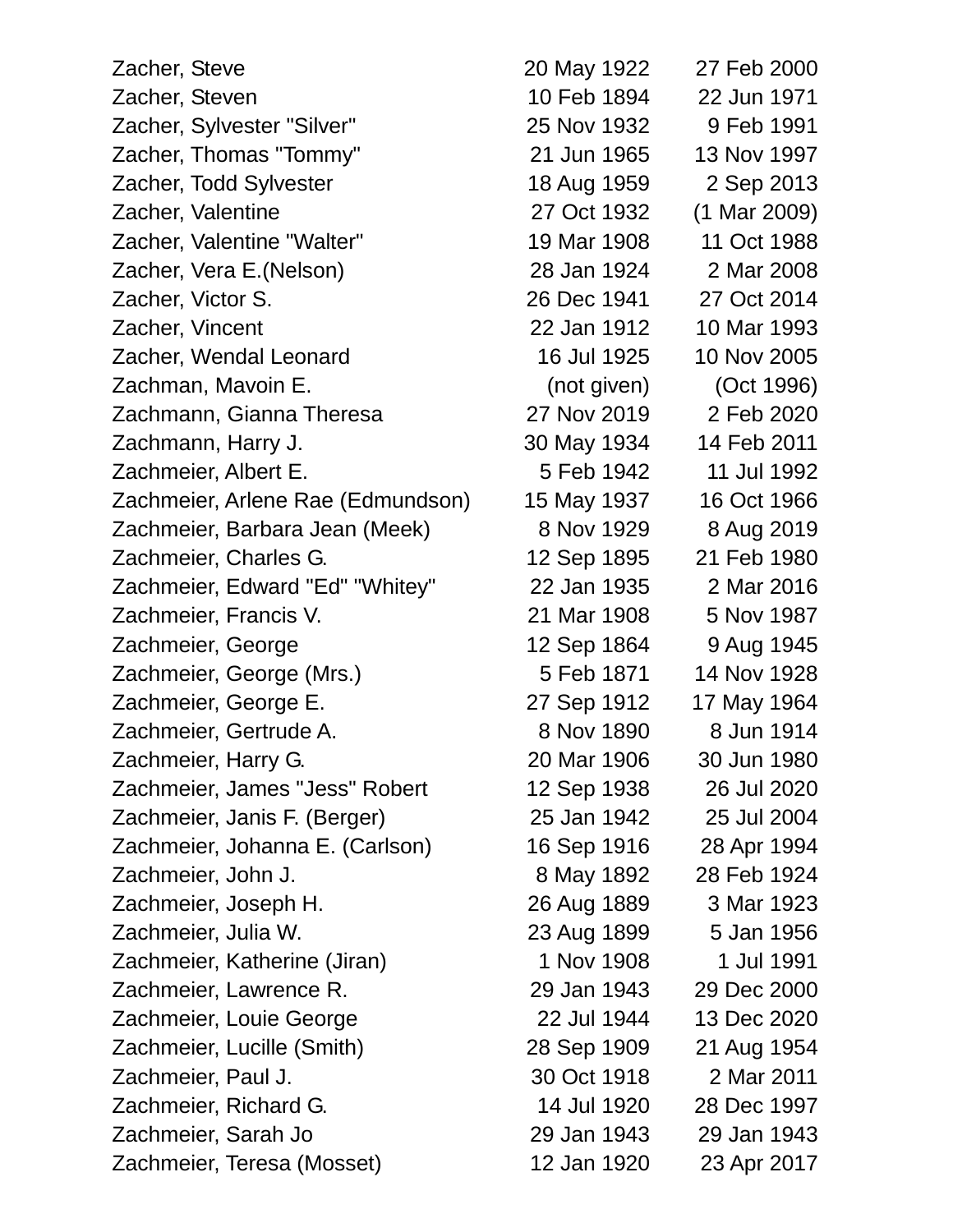| Zacher, Steve                     | 20 May 1922 | 27 Feb 2000  |
|-----------------------------------|-------------|--------------|
| Zacher, Steven                    | 10 Feb 1894 | 22 Jun 1971  |
| Zacher, Sylvester "Silver"        | 25 Nov 1932 | 9 Feb 1991   |
| Zacher, Thomas "Tommy"            | 21 Jun 1965 | 13 Nov 1997  |
| Zacher, Todd Sylvester            | 18 Aug 1959 | 2 Sep 2013   |
| Zacher, Valentine                 | 27 Oct 1932 | (1 Mar 2009) |
| Zacher, Valentine "Walter"        | 19 Mar 1908 | 11 Oct 1988  |
| Zacher, Vera E. (Nelson)          | 28 Jan 1924 | 2 Mar 2008   |
| Zacher, Victor S.                 | 26 Dec 1941 | 27 Oct 2014  |
| Zacher, Vincent                   | 22 Jan 1912 | 10 Mar 1993  |
| Zacher, Wendal Leonard            | 16 Jul 1925 | 10 Nov 2005  |
| Zachman, Mavoin E.                | (not given) | (Oct 1996)   |
| Zachmann, Gianna Theresa          | 27 Nov 2019 | 2 Feb 2020   |
| Zachmann, Harry J.                | 30 May 1934 | 14 Feb 2011  |
| Zachmeier, Albert E.              | 5 Feb 1942  | 11 Jul 1992  |
| Zachmeier, Arlene Rae (Edmundson) | 15 May 1937 | 16 Oct 1966  |
| Zachmeier, Barbara Jean (Meek)    | 8 Nov 1929  | 8 Aug 2019   |
| Zachmeier, Charles G.             | 12 Sep 1895 | 21 Feb 1980  |
| Zachmeier, Edward "Ed" "Whitey"   | 22 Jan 1935 | 2 Mar 2016   |
| Zachmeier, Francis V.             | 21 Mar 1908 | 5 Nov 1987   |
| Zachmeier, George                 | 12 Sep 1864 | 9 Aug 1945   |
| Zachmeier, George (Mrs.)          | 5 Feb 1871  | 14 Nov 1928  |
| Zachmeier, George E.              | 27 Sep 1912 | 17 May 1964  |
| Zachmeier, Gertrude A.            | 8 Nov 1890  | 8 Jun 1914   |
| Zachmeier, Harry G.               | 20 Mar 1906 | 30 Jun 1980  |
| Zachmeier, James "Jess" Robert    | 12 Sep 1938 | 26 Jul 2020  |
| Zachmeier, Janis F. (Berger)      | 25 Jan 1942 | 25 Jul 2004  |
| Zachmeier, Johanna E. (Carlson)   | 16 Sep 1916 | 28 Apr 1994  |
| Zachmeier, John J.                | 8 May 1892  | 28 Feb 1924  |
| Zachmeier, Joseph H.              | 26 Aug 1889 | 3 Mar 1923   |
| Zachmeier, Julia W.               | 23 Aug 1899 | 5 Jan 1956   |
| Zachmeier, Katherine (Jiran)      | 1 Nov 1908  | 1 Jul 1991   |
| Zachmeier, Lawrence R.            | 29 Jan 1943 | 29 Dec 2000  |
| Zachmeier, Louie George           | 22 Jul 1944 | 13 Dec 2020  |
| Zachmeier, Lucille (Smith)        | 28 Sep 1909 | 21 Aug 1954  |
| Zachmeier, Paul J.                | 30 Oct 1918 | 2 Mar 2011   |
| Zachmeier, Richard G.             | 14 Jul 1920 | 28 Dec 1997  |
| Zachmeier, Sarah Jo               | 29 Jan 1943 | 29 Jan 1943  |
| Zachmeier, Teresa (Mosset)        | 12 Jan 1920 | 23 Apr 2017  |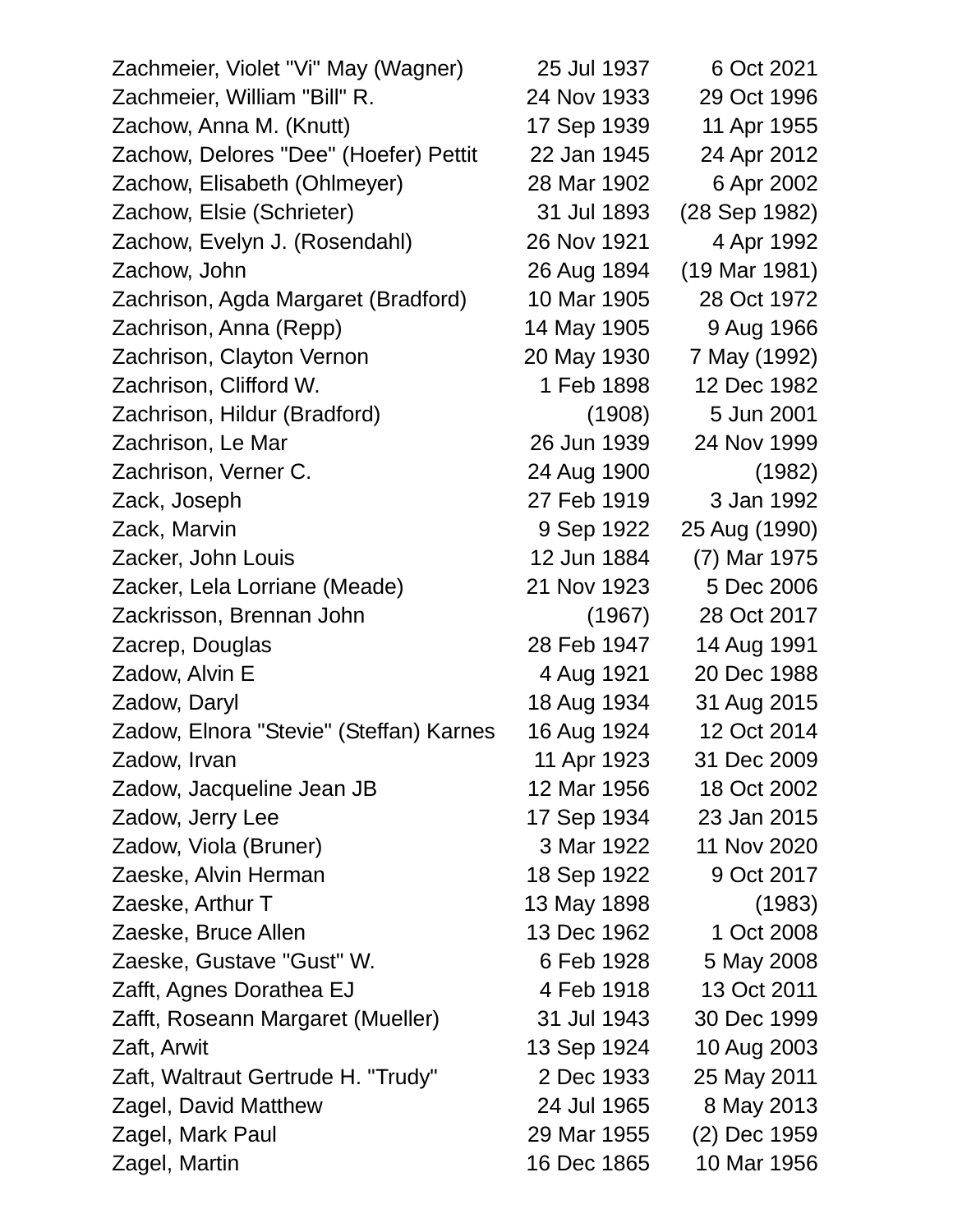| Zachmeier, Violet "Vi" May (Wagner)     | 25 Jul 1937 | 6 Oct 2021    |
|-----------------------------------------|-------------|---------------|
| Zachmeier, William "Bill" R.            | 24 Nov 1933 | 29 Oct 1996   |
| Zachow, Anna M. (Knutt)                 | 17 Sep 1939 | 11 Apr 1955   |
| Zachow, Delores "Dee" (Hoefer) Pettit   | 22 Jan 1945 | 24 Apr 2012   |
| Zachow, Elisabeth (Ohlmeyer)            | 28 Mar 1902 | 6 Apr 2002    |
| Zachow, Elsie (Schrieter)               | 31 Jul 1893 | (28 Sep 1982) |
| Zachow, Evelyn J. (Rosendahl)           | 26 Nov 1921 | 4 Apr 1992    |
| Zachow, John                            | 26 Aug 1894 | (19 Mar 1981) |
| Zachrison, Agda Margaret (Bradford)     | 10 Mar 1905 | 28 Oct 1972   |
| Zachrison, Anna (Repp)                  | 14 May 1905 | 9 Aug 1966    |
| Zachrison, Clayton Vernon               | 20 May 1930 | 7 May (1992)  |
| Zachrison, Clifford W.                  | 1 Feb 1898  | 12 Dec 1982   |
| Zachrison, Hildur (Bradford)            | (1908)      | 5 Jun 2001    |
| Zachrison, Le Mar                       | 26 Jun 1939 | 24 Nov 1999   |
| Zachrison, Verner C.                    | 24 Aug 1900 | (1982)        |
| Zack, Joseph                            | 27 Feb 1919 | 3 Jan 1992    |
| Zack, Marvin                            | 9 Sep 1922  | 25 Aug (1990) |
| Zacker, John Louis                      | 12 Jun 1884 | (7) Mar 1975  |
| Zacker, Lela Lorriane (Meade)           | 21 Nov 1923 | 5 Dec 2006    |
| Zackrisson, Brennan John                | (1967)      | 28 Oct 2017   |
| Zacrep, Douglas                         | 28 Feb 1947 | 14 Aug 1991   |
| Zadow, Alvin E                          | 4 Aug 1921  | 20 Dec 1988   |
| Zadow, Daryl                            | 18 Aug 1934 | 31 Aug 2015   |
| Zadow, Elnora "Stevie" (Steffan) Karnes | 16 Aug 1924 | 12 Oct 2014   |
| Zadow, Irvan                            | 11 Apr 1923 | 31 Dec 2009   |
| Zadow, Jacqueline Jean JB               | 12 Mar 1956 | 18 Oct 2002   |
| Zadow, Jerry Lee                        | 17 Sep 1934 | 23 Jan 2015   |
| Zadow, Viola (Bruner)                   | 3 Mar 1922  | 11 Nov 2020   |
| Zaeske, Alvin Herman                    | 18 Sep 1922 | 9 Oct 2017    |
| Zaeske, Arthur T                        | 13 May 1898 | (1983)        |
| Zaeske, Bruce Allen                     | 13 Dec 1962 | 1 Oct 2008    |
| Zaeske, Gustave "Gust" W.               | 6 Feb 1928  | 5 May 2008    |
| Zafft, Agnes Dorathea EJ                | 4 Feb 1918  | 13 Oct 2011   |
| Zafft, Roseann Margaret (Mueller)       | 31 Jul 1943 | 30 Dec 1999   |
| Zaft, Arwit                             | 13 Sep 1924 | 10 Aug 2003   |
| Zaft, Waltraut Gertrude H. "Trudy"      | 2 Dec 1933  | 25 May 2011   |
| Zagel, David Matthew                    | 24 Jul 1965 | 8 May 2013    |
| Zagel, Mark Paul                        | 29 Mar 1955 | (2) Dec 1959  |
| Zagel, Martin                           | 16 Dec 1865 | 10 Mar 1956   |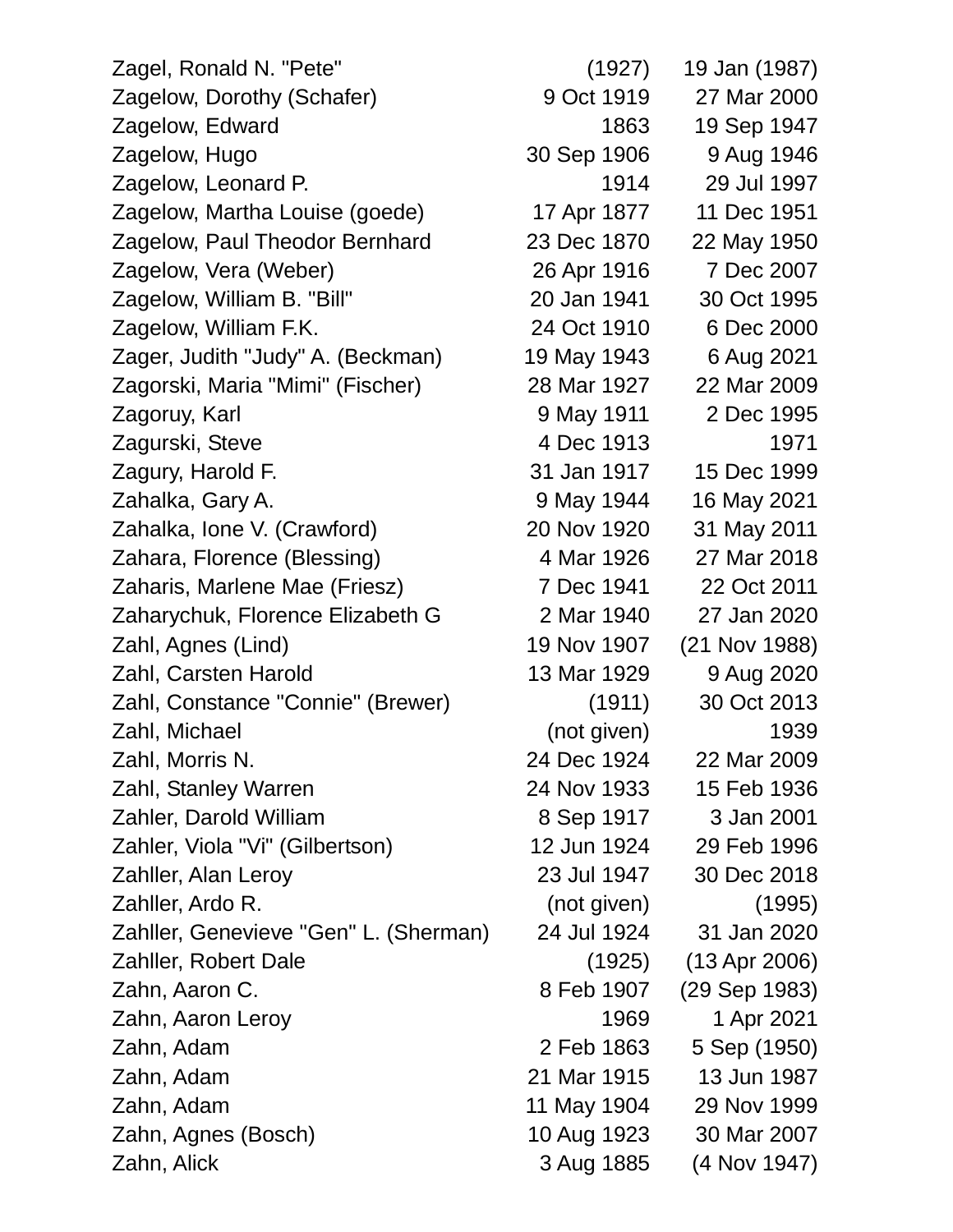Zagel, Ronald N. "Pete" (1927) 19 Jan (1987) Zagelow, Dorothy (Schafer) 9 Oct 1919 27 Mar 2000 Zagelow, Edward 1863 19 Sep 1947 Zagelow, Hugo 30 Sep 1906 9 Aug 1946 Zagelow, Leonard P. 1914 29 Jul 1997 Zagelow, Martha Louise (goede) 17 Apr 1877 11 Dec 1951 Zagelow, Paul Theodor Bernhard 23 Dec 1870 22 May 1950 Zagelow, Vera (Weber) 26 Apr 1916 7 Dec 2007 Zagelow, William B. "Bill" 20 Jan 1941 30 Oct 1995 Zagelow, William F.K. 24 Oct 1910 6 Dec 2000 Zager, Judith "Judy" A. (Beckman) 19 May 1943 6 Aug 2021 Zagorski, Maria "Mimi" (Fischer) 28 Mar 1927 22 Mar 2009 Zagoruy, Karl 9 May 1911 2 Dec 1995 Zagurski, Steve 1913 and 1971 Zagury, Harold F. 31 Jan 1917 15 Dec 1999 Zahalka, Gary A. 9 May 1944 16 May 2021 Zahalka, Ione V. (Crawford) 20 Nov 1920 31 May 2011 Zahara, Florence (Blessing) 4 Mar 1926 27 Mar 2018 Zaharis, Marlene Mae (Friesz) 7 Dec 1941 22 Oct 2011 Zaharychuk, Florence Elizabeth G 2 Mar 1940 27 Jan 2020 Zahl, Agnes (Lind) 19 Nov 1907 (21 Nov 1988) Zahl, Carsten Harold 13 Mar 1929 9 Aug 2020 Zahl, Constance "Connie" (Brewer) (1911) 30 Oct 2013 Zahl, Michael (not given) 1939 Zahl, Morris N. 24 Dec 1924 22 Mar 2009 Zahl, Stanley Warren 24 Nov 1933 15 Feb 1936 Zahler, Darold William 8 Sep 1917 3 Jan 2001 Zahler, Viola "Vi" (Gilbertson) 12 Jun 1924 29 Feb 1996 Zahller, Alan Leroy 23 Jul 1947 30 Dec 2018 Zahller, Ardo R. (not given) (1995) Zahller, Genevieve "Gen" L. (Sherman) 24 Jul 1924 31 Jan 2020 Zahller, Robert Dale (1925) (13 Apr 2006) Zahn, Aaron C. 8 Feb 1907 (29 Sep 1983) Zahn, Aaron Leroy 1969 1 Apr 2021 Zahn, Adam 2 Feb 1863 5 Sep (1950) Zahn, Adam 21 Mar 1915 13 Jun 1987 Zahn, Adam 11 May 1904 29 Nov 1999 Zahn, Agnes (Bosch) 10 Aug 1923 30 Mar 2007 Zahn, Alick 3 Aug 1885 (4 Nov 1947)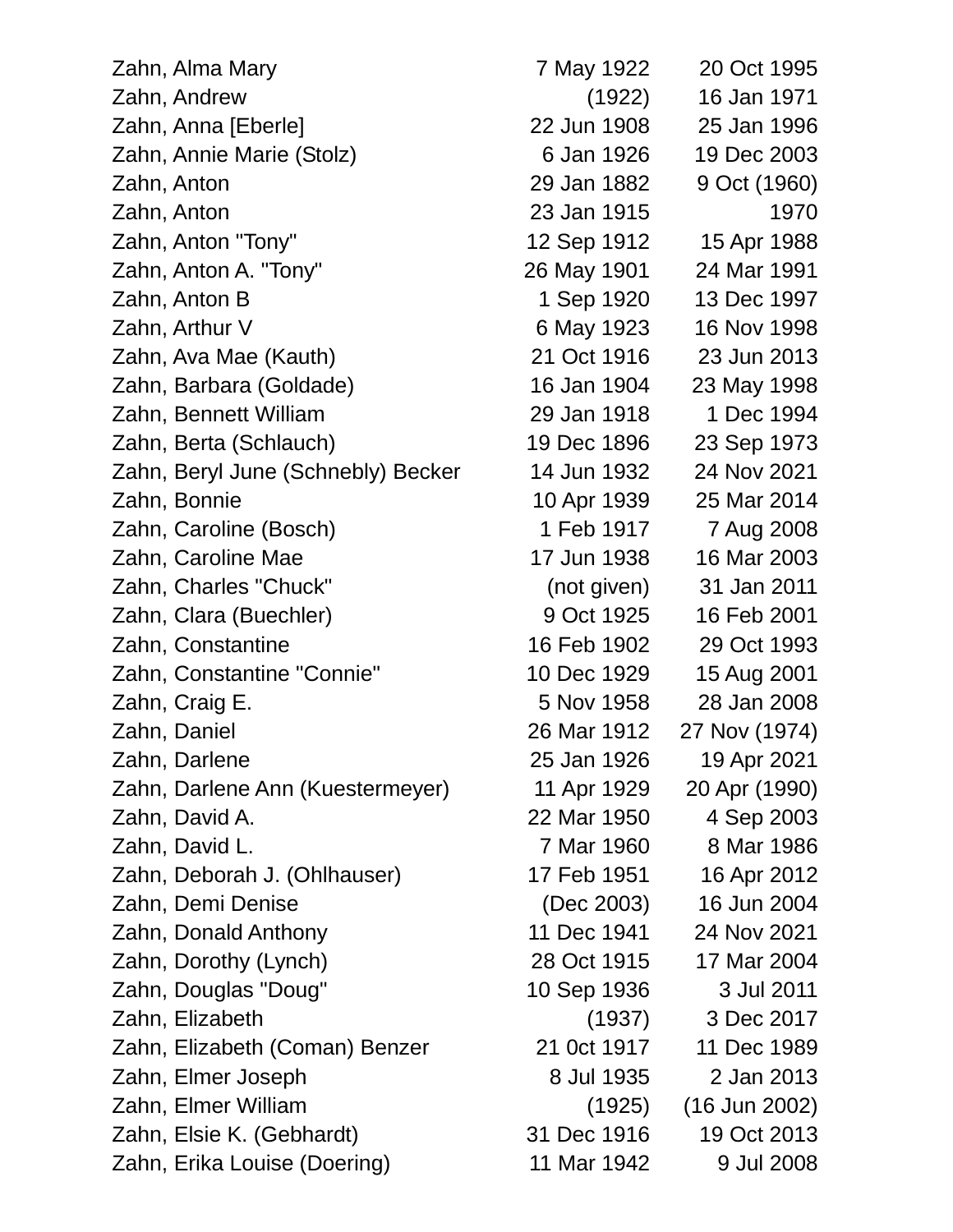| Zahn, Alma Mary                    | 7 May 1922  | 20 Oct 1995     |
|------------------------------------|-------------|-----------------|
| Zahn, Andrew                       | (1922)      | 16 Jan 1971     |
| Zahn, Anna [Eberle]                | 22 Jun 1908 | 25 Jan 1996     |
| Zahn, Annie Marie (Stolz)          | 6 Jan 1926  | 19 Dec 2003     |
| Zahn, Anton                        | 29 Jan 1882 | 9 Oct (1960)    |
| Zahn, Anton                        | 23 Jan 1915 | 1970            |
| Zahn, Anton "Tony"                 | 12 Sep 1912 | 15 Apr 1988     |
| Zahn, Anton A. "Tony"              | 26 May 1901 | 24 Mar 1991     |
| Zahn, Anton B                      | 1 Sep 1920  | 13 Dec 1997     |
| Zahn, Arthur V                     | 6 May 1923  | 16 Nov 1998     |
| Zahn, Ava Mae (Kauth)              | 21 Oct 1916 | 23 Jun 2013     |
| Zahn, Barbara (Goldade)            | 16 Jan 1904 | 23 May 1998     |
| Zahn, Bennett William              | 29 Jan 1918 | 1 Dec 1994      |
| Zahn, Berta (Schlauch)             | 19 Dec 1896 | 23 Sep 1973     |
| Zahn, Beryl June (Schnebly) Becker | 14 Jun 1932 | 24 Nov 2021     |
| Zahn, Bonnie                       | 10 Apr 1939 | 25 Mar 2014     |
| Zahn, Caroline (Bosch)             | 1 Feb 1917  | 7 Aug 2008      |
| Zahn, Caroline Mae                 | 17 Jun 1938 | 16 Mar 2003     |
| Zahn, Charles "Chuck"              | (not given) | 31 Jan 2011     |
| Zahn, Clara (Buechler)             | 9 Oct 1925  | 16 Feb 2001     |
| Zahn, Constantine                  | 16 Feb 1902 | 29 Oct 1993     |
| Zahn, Constantine "Connie"         | 10 Dec 1929 | 15 Aug 2001     |
| Zahn, Craig E.                     | 5 Nov 1958  | 28 Jan 2008     |
| Zahn, Daniel                       | 26 Mar 1912 | 27 Nov (1974)   |
| Zahn, Darlene                      | 25 Jan 1926 | 19 Apr 2021     |
| Zahn, Darlene Ann (Kuestermeyer)   | 11 Apr 1929 | 20 Apr (1990)   |
| Zahn, David A.                     | 22 Mar 1950 | 4 Sep 2003      |
| Zahn, David L.                     | 7 Mar 1960  | 8 Mar 1986      |
| Zahn, Deborah J. (Ohlhauser)       | 17 Feb 1951 | 16 Apr 2012     |
| Zahn, Demi Denise                  | (Dec 2003)  | 16 Jun 2004     |
| Zahn, Donald Anthony               | 11 Dec 1941 | 24 Nov 2021     |
| Zahn, Dorothy (Lynch)              | 28 Oct 1915 | 17 Mar 2004     |
| Zahn, Douglas "Doug"               | 10 Sep 1936 | 3 Jul 2011      |
| Zahn, Elizabeth                    | (1937)      | 3 Dec 2017      |
| Zahn, Elizabeth (Coman) Benzer     | 21 0ct 1917 | 11 Dec 1989     |
| Zahn, Elmer Joseph                 | 8 Jul 1935  | 2 Jan 2013      |
| Zahn, Elmer William                | (1925)      | $(16$ Jun 2002) |
| Zahn, Elsie K. (Gebhardt)          | 31 Dec 1916 | 19 Oct 2013     |
| Zahn, Erika Louise (Doering)       | 11 Mar 1942 | 9 Jul 2008      |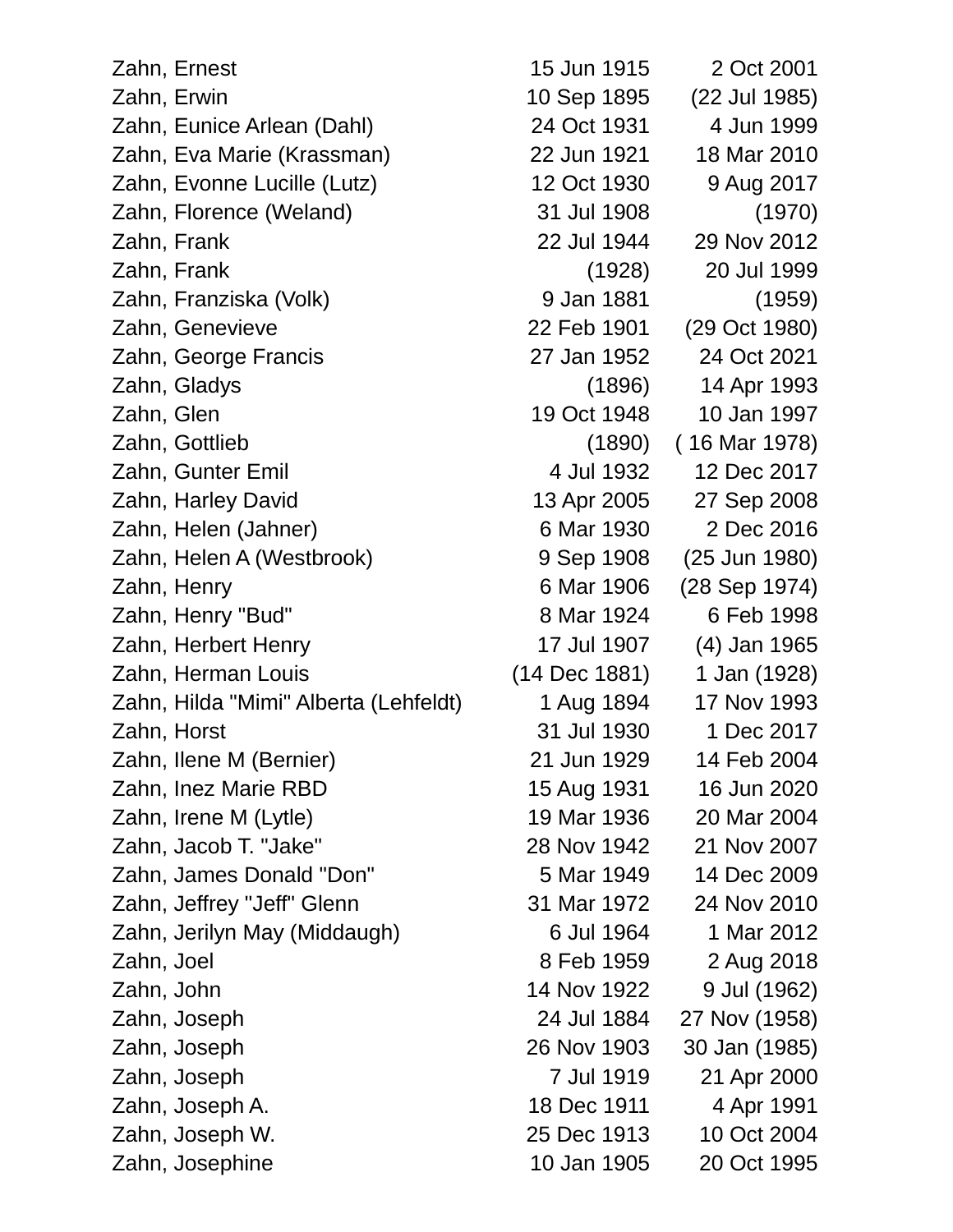| Zahn, Ernest                          | 15 Jun 1915   | 2 Oct 2001    |
|---------------------------------------|---------------|---------------|
| Zahn, Erwin                           | 10 Sep 1895   | (22 Jul 1985) |
| Zahn, Eunice Arlean (Dahl)            | 24 Oct 1931   | 4 Jun 1999    |
| Zahn, Eva Marie (Krassman)            | 22 Jun 1921   | 18 Mar 2010   |
| Zahn, Evonne Lucille (Lutz)           | 12 Oct 1930   | 9 Aug 2017    |
| Zahn, Florence (Weland)               | 31 Jul 1908   | (1970)        |
| Zahn, Frank                           | 22 Jul 1944   | 29 Nov 2012   |
| Zahn, Frank                           | (1928)        | 20 Jul 1999   |
| Zahn, Franziska (Volk)                | 9 Jan 1881    | (1959)        |
| Zahn, Genevieve                       | 22 Feb 1901   | (29 Oct 1980) |
| Zahn, George Francis                  | 27 Jan 1952   | 24 Oct 2021   |
| Zahn, Gladys                          | (1896)        | 14 Apr 1993   |
| Zahn, Glen                            | 19 Oct 1948   | 10 Jan 1997   |
| Zahn, Gottlieb                        | (1890)        | (16 Mar 1978) |
| Zahn, Gunter Emil                     | 4 Jul 1932    | 12 Dec 2017   |
| Zahn, Harley David                    | 13 Apr 2005   | 27 Sep 2008   |
| Zahn, Helen (Jahner)                  | 6 Mar 1930    | 2 Dec 2016    |
| Zahn, Helen A (Westbrook)             | 9 Sep 1908    | (25 Jun 1980) |
| Zahn, Henry                           | 6 Mar 1906    | (28 Sep 1974) |
| Zahn, Henry "Bud"                     | 8 Mar 1924    | 6 Feb 1998    |
| Zahn, Herbert Henry                   | 17 Jul 1907   | (4) Jan 1965  |
| Zahn, Herman Louis                    | (14 Dec 1881) | 1 Jan (1928)  |
| Zahn, Hilda "Mimi" Alberta (Lehfeldt) | 1 Aug 1894    | 17 Nov 1993   |
| Zahn, Horst                           | 31 Jul 1930   | 1 Dec 2017    |
| Zahn, Ilene M (Bernier)               | 21 Jun 1929   | 14 Feb 2004   |
| Zahn, Inez Marie RBD                  | 15 Aug 1931   | 16 Jun 2020   |
| Zahn, Irene M (Lytle)                 | 19 Mar 1936   | 20 Mar 2004   |
| Zahn, Jacob T. "Jake"                 | 28 Nov 1942   | 21 Nov 2007   |
| Zahn, James Donald "Don"              | 5 Mar 1949    | 14 Dec 2009   |
| Zahn, Jeffrey "Jeff" Glenn            | 31 Mar 1972   | 24 Nov 2010   |
| Zahn, Jerilyn May (Middaugh)          | 6 Jul 1964    | 1 Mar 2012    |
| Zahn, Joel                            | 8 Feb 1959    | 2 Aug 2018    |
| Zahn, John                            | 14 Nov 1922   | 9 Jul (1962)  |
| Zahn, Joseph                          | 24 Jul 1884   | 27 Nov (1958) |
| Zahn, Joseph                          | 26 Nov 1903   | 30 Jan (1985) |
| Zahn, Joseph                          | 7 Jul 1919    | 21 Apr 2000   |
| Zahn, Joseph A.                       | 18 Dec 1911   | 4 Apr 1991    |
| Zahn, Joseph W.                       | 25 Dec 1913   | 10 Oct 2004   |
| Zahn, Josephine                       | 10 Jan 1905   | 20 Oct 1995   |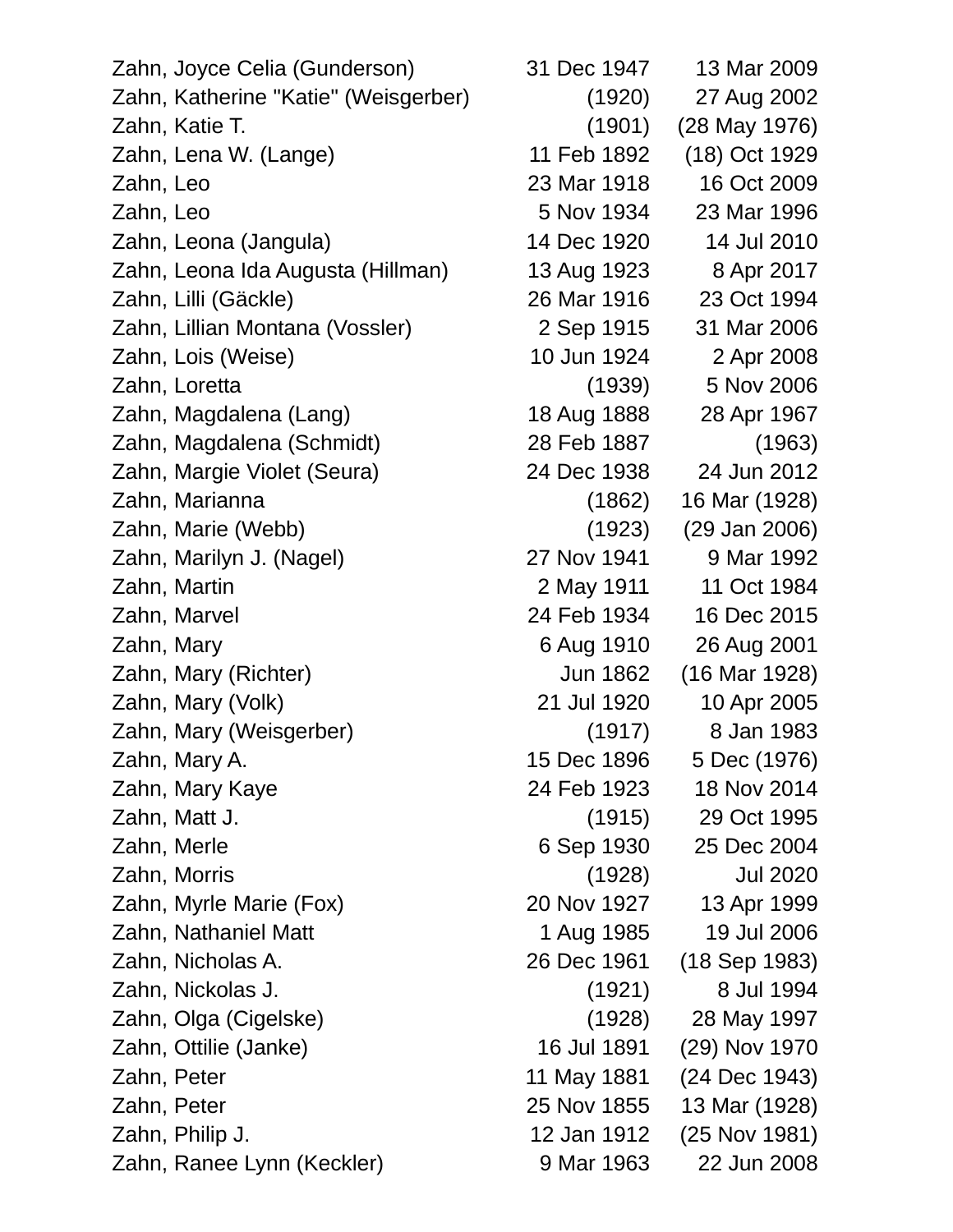Zahn, Joyce Celia (Gunderson) 31 Dec 1947 13 Mar 2009 Zahn, Katherine "Katie" (Weisgerber) (1920) 27 Aug 2002 Zahn, Katie T. (1901) (28 May 1976) Zahn, Lena W. (Lange) 11 Feb 1892 (18) Oct 1929 Zahn, Leo 23 Mar 1918 16 Oct 2009 Zahn, Leo 5 Nov 1934 23 Mar 1996 Zahn, Leona (Jangula) 14 Dec 1920 14 Jul 2010 Zahn, Leona Ida Augusta (Hillman) 13 Aug 1923 8 Apr 2017 Zahn, Lilli (Gäckle) 26 Mar 1916 23 Oct 1994 Zahn, Lillian Montana (Vossler) 2 Sep 1915 31 Mar 2006 Zahn, Lois (Weise) 10 Jun 1924 2 Apr 2008 Zahn, Loretta (1939) 5 Nov 2006 Zahn, Magdalena (Lang) 18 Aug 1888 28 Apr 1967 Zahn, Magdalena (Schmidt) 28 Feb 1887 (1963) Zahn, Margie Violet (Seura) 24 Dec 1938 24 Jun 2012 Zahn, Marianna (1862) 16 Mar (1928) Zahn, Marie (Webb) (1923) (29 Jan 2006) Zahn, Marilyn J. (Nagel) 27 Nov 1941 9 Mar 1992 Zahn, Martin 2 May 1911 11 Oct 1984 Zahn, Marvel 24 Feb 1934 16 Dec 2015 Zahn, Mary 6 Aug 1910 26 Aug 2001 Zahn, Mary (Richter) Jun 1862 (16 Mar 1928) Zahn, Mary (Volk) 21 Jul 1920 10 Apr 2005 Zahn, Mary (Weisgerber) (1917) 8 Jan 1983 Zahn, Mary A. 15 Dec 1896 5 Dec (1976) Zahn, Mary Kaye 24 Feb 1923 18 Nov 2014 Zahn, Matt J. (1915) 29 Oct 1995 Zahn, Merle 6 Sep 1930 25 Dec 2004 Zahn, Morris (1928) Jul 2020 Zahn, Myrle Marie (Fox) 20 Nov 1927 13 Apr 1999 Zahn, Nathaniel Matt 1 Aug 1985 19 Jul 2006 Zahn, Nicholas A. 26 Dec 1961 (18 Sep 1983) Zahn, Nickolas J. (1921) 8 Jul 1994 Zahn, Olga (Cigelske) (1928) 28 May 1997 Zahn, Ottilie (Janke) 16 Jul 1891 (29) Nov 1970 Zahn, Peter 11 May 1881 (24 Dec 1943) Zahn, Peter 25 Nov 1855 13 Mar (1928) Zahn, Philip J. 12 Jan 1912 (25 Nov 1981) Zahn, Ranee Lynn (Keckler) 9 Mar 1963 22 Jun 2008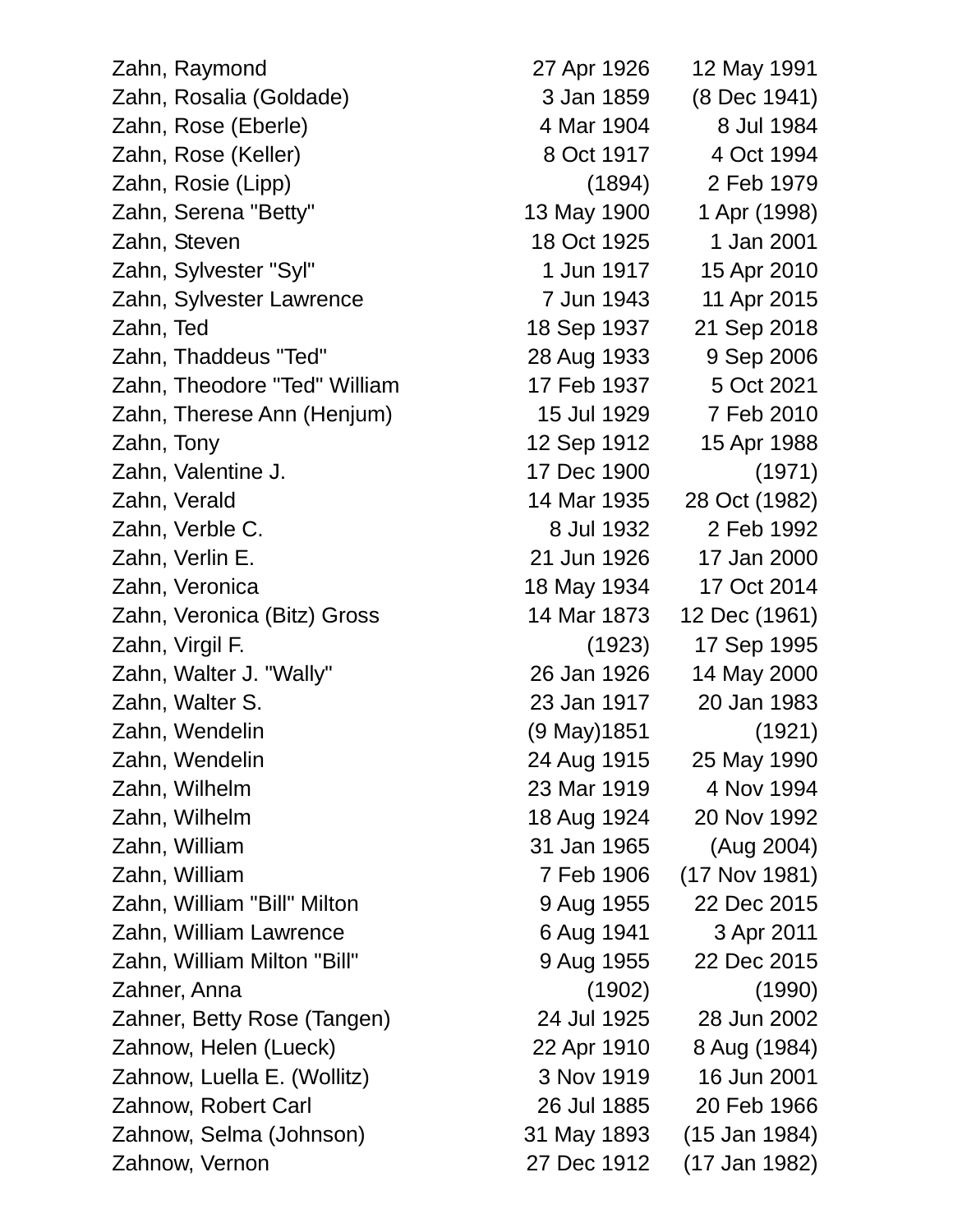Zahn, Raymond 27 Apr 1926 12 May 1991 Zahn, Rosalia (Goldade) 3 Jan 1859 (8 Dec 1941) Zahn, Rose (Eberle) 4 Mar 1904 8 Jul 1984 Zahn, Rose (Keller) 8 Oct 1917 4 Oct 1994 Zahn, Rosie (Lipp) (1894) 2 Feb 1979 Zahn, Serena "Betty" 13 May 1900 1 Apr (1998) Zahn, Steven 18 Oct 1925 1 Jan 2001 Zahn, Sylvester "Syl" 1 Jun 1917 15 Apr 2010 Zahn, Sylvester Lawrence 7 Jun 1943 11 Apr 2015 Zahn, Ted 18 Sep 1937 21 Sep 2018 Zahn, Thaddeus "Ted" 28 Aug 1933 9 Sep 2006 Zahn, Theodore "Ted" William 17 Feb 1937 5 Oct 2021 Zahn, Therese Ann (Henjum) 15 Jul 1929 7 Feb 2010 Zahn, Tony 12 Sep 1912 15 Apr 1988 Zahn, Valentine J. 17 Dec 1900 (1971) Zahn, Verald 14 Mar 1935 28 Oct (1982) Zahn, Verble C. 8 Jul 1932 2 Feb 1992 Zahn, Verlin E. 21 Jun 1926 17 Jan 2000 Zahn, Veronica 18 May 1934 17 Oct 2014 Zahn, Veronica (Bitz) Gross 14 Mar 1873 12 Dec (1961) Zahn, Virgil F. (1923) 17 Sep 1995 Zahn, Walter J. "Wally" 26 Jan 1926 14 May 2000 Zahn, Walter S. 23 Jan 1917 20 Jan 1983 Zahn, Wendelin (9 May)1851 (1921) Zahn, Wendelin 24 Aug 1915 25 May 1990 Zahn, Wilhelm 23 Mar 1919 4 Nov 1994 Zahn, Wilhelm 18 Aug 1924 20 Nov 1992 Zahn, William 31 Jan 1965 (Aug 2004) Zahn, William 7 Feb 1906 (17 Nov 1981) Zahn, William "Bill" Milton 9 Aug 1955 22 Dec 2015 Zahn, William Lawrence 6 Aug 1941 3 Apr 2011 Zahn, William Milton "Bill" 9 Aug 1955 22 Dec 2015 Zahner, Anna (1902) (1990) Zahner, Betty Rose (Tangen) 24 Jul 1925 28 Jun 2002 Zahnow, Helen (Lueck) 22 Apr 1910 8 Aug (1984) Zahnow, Luella E. (Wollitz) 3 Nov 1919 16 Jun 2001 Zahnow, Robert Carl 26 Jul 1885 20 Feb 1966 Zahnow, Selma (Johnson) 31 May 1893 (15 Jan 1984)

Zahnow, Vernon 27 Dec 1912 (17 Jan 1982)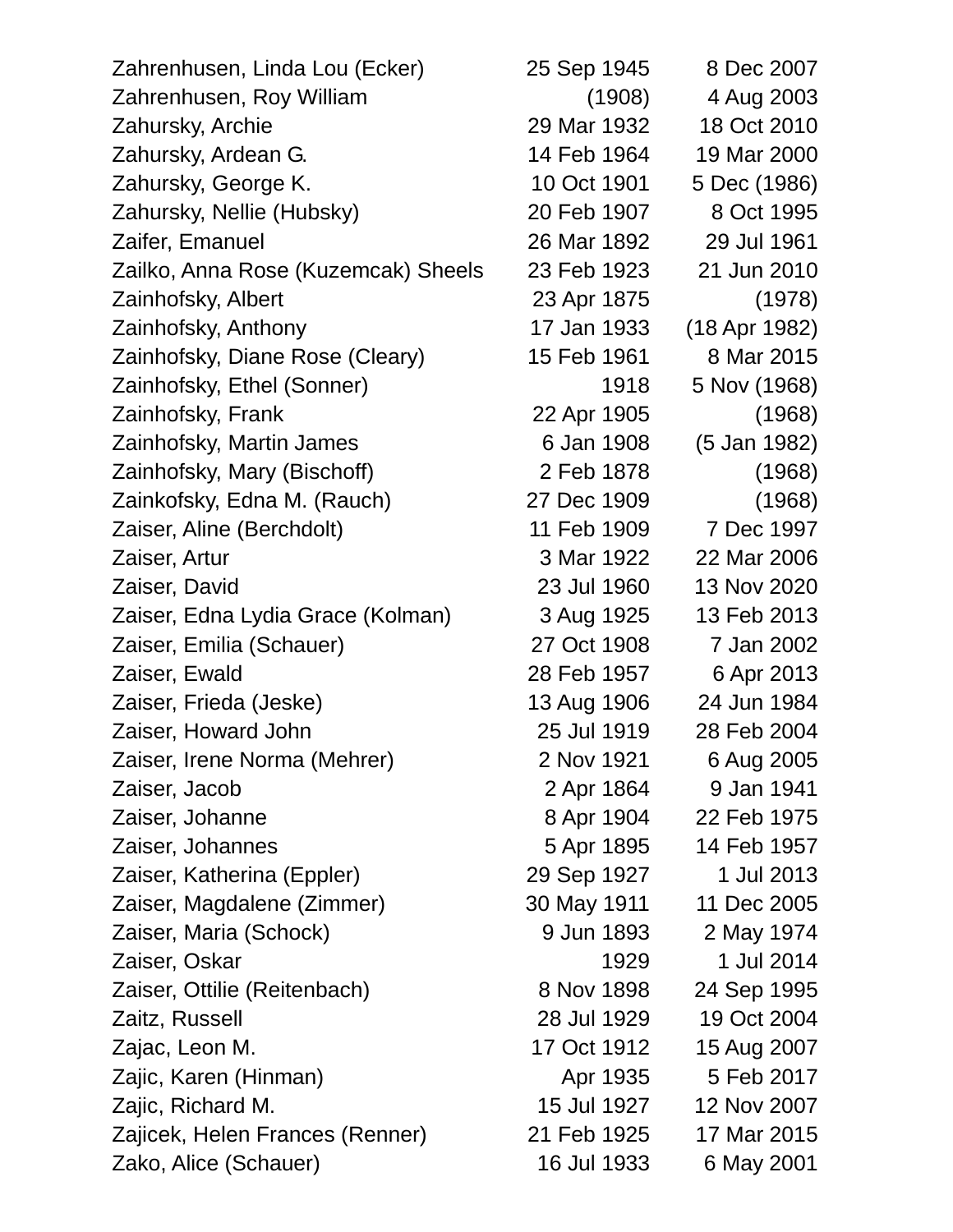| Zahrenhusen, Linda Lou (Ecker)      | 25 Sep 1945 | 8 Dec 2007    |
|-------------------------------------|-------------|---------------|
| Zahrenhusen, Roy William            | (1908)      | 4 Aug 2003    |
| Zahursky, Archie                    | 29 Mar 1932 | 18 Oct 2010   |
| Zahursky, Ardean G.                 | 14 Feb 1964 | 19 Mar 2000   |
| Zahursky, George K.                 | 10 Oct 1901 | 5 Dec (1986)  |
| Zahursky, Nellie (Hubsky)           | 20 Feb 1907 | 8 Oct 1995    |
| Zaifer, Emanuel                     | 26 Mar 1892 | 29 Jul 1961   |
| Zailko, Anna Rose (Kuzemcak) Sheels | 23 Feb 1923 | 21 Jun 2010   |
| Zainhofsky, Albert                  | 23 Apr 1875 | (1978)        |
| Zainhofsky, Anthony                 | 17 Jan 1933 | (18 Apr 1982) |
| Zainhofsky, Diane Rose (Cleary)     | 15 Feb 1961 | 8 Mar 2015    |
| Zainhofsky, Ethel (Sonner)          | 1918        | 5 Nov (1968)  |
| Zainhofsky, Frank                   | 22 Apr 1905 | (1968)        |
| Zainhofsky, Martin James            | 6 Jan 1908  | (5 Jan 1982)  |
| Zainhofsky, Mary (Bischoff)         | 2 Feb 1878  | (1968)        |
| Zainkofsky, Edna M. (Rauch)         | 27 Dec 1909 | (1968)        |
| Zaiser, Aline (Berchdolt)           | 11 Feb 1909 | 7 Dec 1997    |
| Zaiser, Artur                       | 3 Mar 1922  | 22 Mar 2006   |
| Zaiser, David                       | 23 Jul 1960 | 13 Nov 2020   |
| Zaiser, Edna Lydia Grace (Kolman)   | 3 Aug 1925  | 13 Feb 2013   |
| Zaiser, Emilia (Schauer)            | 27 Oct 1908 | 7 Jan 2002    |
| Zaiser, Ewald                       | 28 Feb 1957 | 6 Apr 2013    |
| Zaiser, Frieda (Jeske)              | 13 Aug 1906 | 24 Jun 1984   |
| Zaiser, Howard John                 | 25 Jul 1919 | 28 Feb 2004   |
| Zaiser, Irene Norma (Mehrer)        | 2 Nov 1921  | 6 Aug 2005    |
| Zaiser, Jacob                       | 2 Apr 1864  | 9 Jan 1941    |
| Zaiser, Johanne                     | 8 Apr 1904  | 22 Feb 1975   |
| Zaiser, Johannes                    | 5 Apr 1895  | 14 Feb 1957   |
| Zaiser, Katherina (Eppler)          | 29 Sep 1927 | 1 Jul 2013    |
| Zaiser, Magdalene (Zimmer)          | 30 May 1911 | 11 Dec 2005   |
| Zaiser, Maria (Schock)              | 9 Jun 1893  | 2 May 1974    |
| Zaiser, Oskar                       | 1929        | 1 Jul 2014    |
| Zaiser, Ottilie (Reitenbach)        | 8 Nov 1898  | 24 Sep 1995   |
| Zaitz, Russell                      | 28 Jul 1929 | 19 Oct 2004   |
| Zajac, Leon M.                      | 17 Oct 1912 | 15 Aug 2007   |
| Zajic, Karen (Hinman)               | Apr 1935    | 5 Feb 2017    |
| Zajic, Richard M.                   | 15 Jul 1927 | 12 Nov 2007   |
| Zajicek, Helen Frances (Renner)     | 21 Feb 1925 | 17 Mar 2015   |
| Zako, Alice (Schauer)               | 16 Jul 1933 | 6 May 2001    |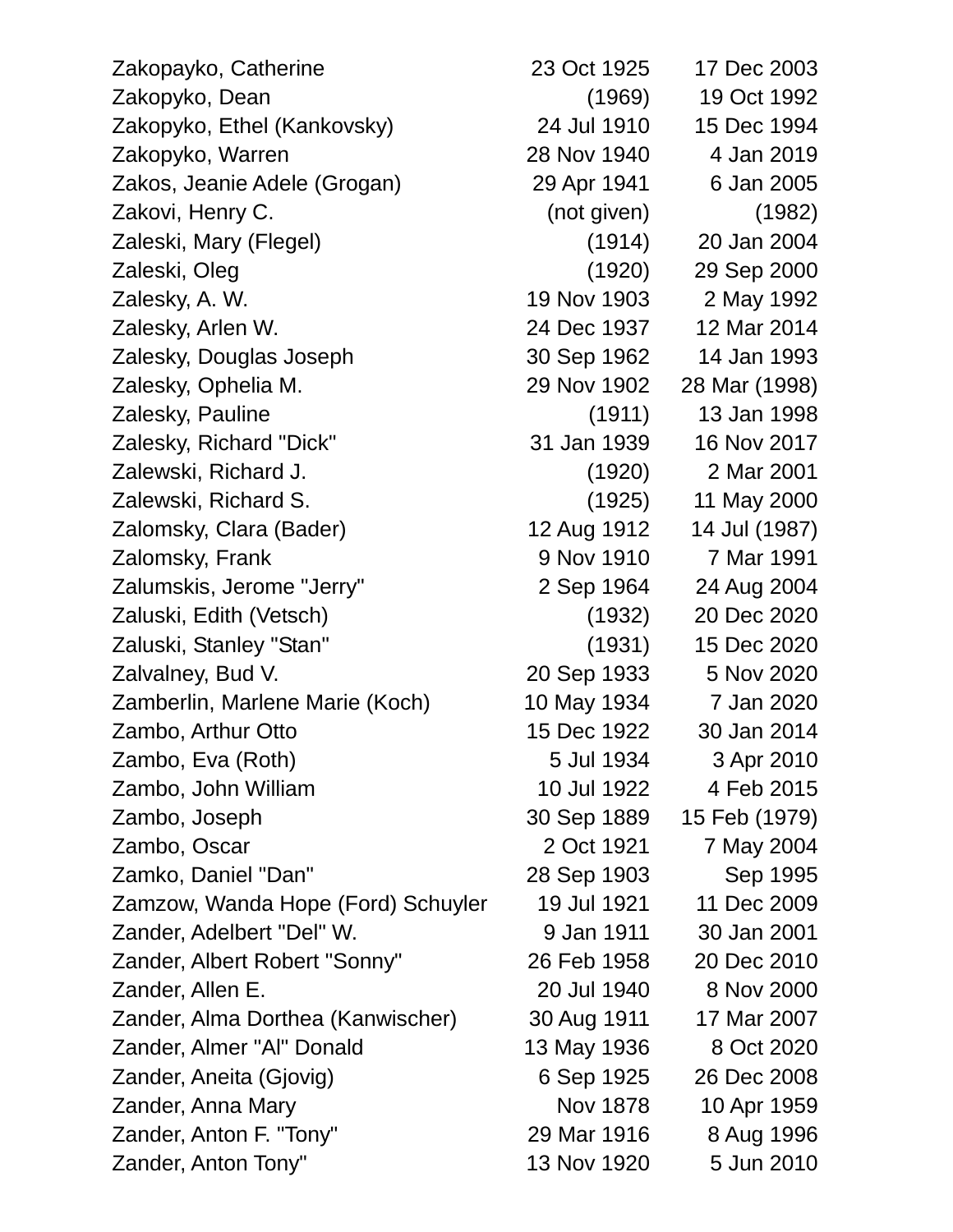| Zakopayko, Catherine               | 23 Oct 1925 | 17 Dec 2003   |
|------------------------------------|-------------|---------------|
| Zakopyko, Dean                     | (1969)      | 19 Oct 1992   |
| Zakopyko, Ethel (Kankovsky)        | 24 Jul 1910 | 15 Dec 1994   |
| Zakopyko, Warren                   | 28 Nov 1940 | 4 Jan 2019    |
| Zakos, Jeanie Adele (Grogan)       | 29 Apr 1941 | 6 Jan 2005    |
| Zakovi, Henry C.                   | (not given) | (1982)        |
| Zaleski, Mary (Flegel)             | (1914)      | 20 Jan 2004   |
| Zaleski, Oleg                      | (1920)      | 29 Sep 2000   |
| Zalesky, A. W.                     | 19 Nov 1903 | 2 May 1992    |
| Zalesky, Arlen W.                  | 24 Dec 1937 | 12 Mar 2014   |
| Zalesky, Douglas Joseph            | 30 Sep 1962 | 14 Jan 1993   |
| Zalesky, Ophelia M.                | 29 Nov 1902 | 28 Mar (1998) |
| Zalesky, Pauline                   | (1911)      | 13 Jan 1998   |
| Zalesky, Richard "Dick"            | 31 Jan 1939 | 16 Nov 2017   |
| Zalewski, Richard J.               | (1920)      | 2 Mar 2001    |
| Zalewski, Richard S.               | (1925)      | 11 May 2000   |
| Zalomsky, Clara (Bader)            | 12 Aug 1912 | 14 Jul (1987) |
| Zalomsky, Frank                    | 9 Nov 1910  | 7 Mar 1991    |
| Zalumskis, Jerome "Jerry"          | 2 Sep 1964  | 24 Aug 2004   |
| Zaluski, Edith (Vetsch)            | (1932)      | 20 Dec 2020   |
| Zaluski, Stanley "Stan"            | (1931)      | 15 Dec 2020   |
| Zalvalney, Bud V.                  | 20 Sep 1933 | 5 Nov 2020    |
| Zamberlin, Marlene Marie (Koch)    | 10 May 1934 | 7 Jan 2020    |
| Zambo, Arthur Otto                 | 15 Dec 1922 | 30 Jan 2014   |
| Zambo, Eva (Roth)                  | 5 Jul 1934  | 3 Apr 2010    |
| Zambo, John William                | 10 Jul 1922 | 4 Feb 2015    |
| Zambo, Joseph                      | 30 Sep 1889 | 15 Feb (1979) |
| Zambo, Oscar                       | 2 Oct 1921  | 7 May 2004    |
| Zamko, Daniel "Dan"                | 28 Sep 1903 | Sep 1995      |
| Zamzow, Wanda Hope (Ford) Schuyler | 19 Jul 1921 | 11 Dec 2009   |
| Zander, Adelbert "Del" W.          | 9 Jan 1911  | 30 Jan 2001   |
| Zander, Albert Robert "Sonny"      | 26 Feb 1958 | 20 Dec 2010   |
| Zander, Allen E.                   | 20 Jul 1940 | 8 Nov 2000    |
| Zander, Alma Dorthea (Kanwischer)  | 30 Aug 1911 | 17 Mar 2007   |
| Zander, Almer "Al" Donald          | 13 May 1936 | 8 Oct 2020    |
| Zander, Aneita (Gjovig)            | 6 Sep 1925  | 26 Dec 2008   |
| Zander, Anna Mary                  | Nov 1878    | 10 Apr 1959   |
| Zander, Anton F. "Tony"            | 29 Mar 1916 | 8 Aug 1996    |
| Zander, Anton Tony"                | 13 Nov 1920 | 5 Jun 2010    |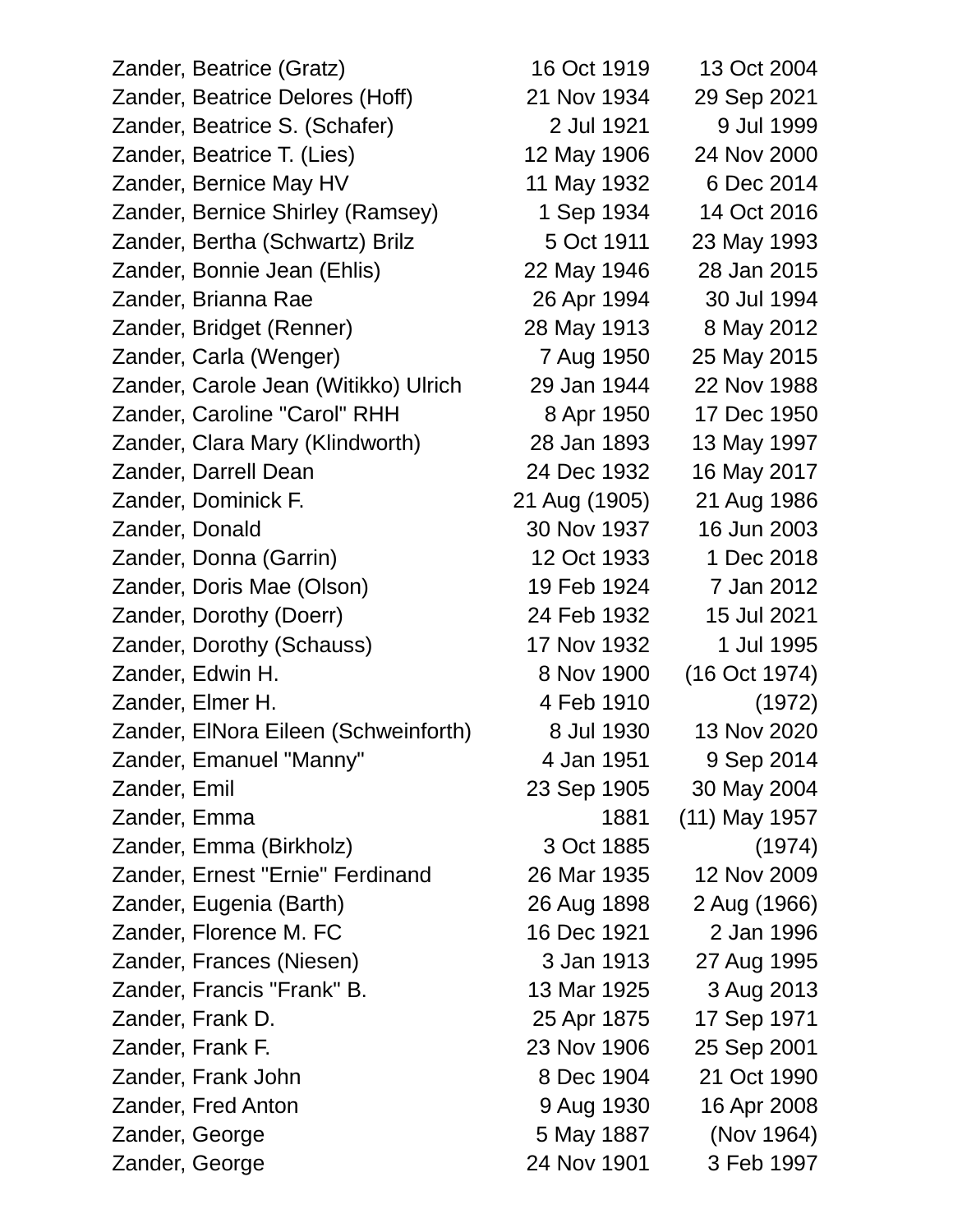Zander, Beatrice (Gratz) 16 Oct 1919 13 Oct 2004 Zander, Beatrice Delores (Hoff) 21 Nov 1934 29 Sep 2021 Zander, Beatrice S. (Schafer) 2 Jul 1921 9 Jul 1999 Zander, Beatrice T. (Lies) 12 May 1906 24 Nov 2000 Zander, Bernice May HV 11 May 1932 6 Dec 2014 Zander, Bernice Shirley (Ramsey) 1 Sep 1934 14 Oct 2016 Zander, Bertha (Schwartz) Brilz 5 Oct 1911 23 May 1993 Zander, Bonnie Jean (Ehlis) 22 May 1946 28 Jan 2015 Zander, Brianna Rae 26 Apr 1994 30 Jul 1994 Zander, Bridget (Renner) 28 May 1913 8 May 2012 Zander, Carla (Wenger) 7 Aug 1950 25 May 2015 Zander, Carole Jean (Witikko) Ulrich 29 Jan 1944 22 Nov 1988 Zander, Caroline "Carol" RHH 8 Apr 1950 17 Dec 1950 Zander, Clara Mary (Klindworth) 28 Jan 1893 13 May 1997 Zander, Darrell Dean 24 Dec 1932 16 May 2017 Zander, Dominick F. 21 Aug (1905) 21 Aug 1986 Zander, Donald 30 Nov 1937 16 Jun 2003 Zander, Donna (Garrin) 12 Oct 1933 1 Dec 2018 Zander, Doris Mae (Olson) 19 Feb 1924 7 Jan 2012 Zander, Dorothy (Doerr) 24 Feb 1932 15 Jul 2021 Zander, Dorothy (Schauss) 17 Nov 1932 1 Jul 1995 Zander, Edwin H. 8 Nov 1900 (16 Oct 1974) Zander, Elmer H. 4 Feb 1910 (1972) Zander, ElNora Eileen (Schweinforth) 8 Jul 1930 13 Nov 2020 Zander, Emanuel "Manny" 4 Jan 1951 9 Sep 2014 Zander, Emil 23 Sep 1905 30 May 2004 Zander, Emma 1881 (11) May 1957 Zander, Emma (Birkholz) 3 Oct 1885 (1974) Zander, Ernest "Ernie" Ferdinand 26 Mar 1935 12 Nov 2009 Zander, Eugenia (Barth) 26 Aug 1898 2 Aug (1966) Zander, Florence M. FC 16 Dec 1921 2 Jan 1996 Zander, Frances (Niesen) 3 Jan 1913 27 Aug 1995 Zander, Francis "Frank" B. 13 Mar 1925 3 Aug 2013 Zander, Frank D. 25 Apr 1875 17 Sep 1971 Zander, Frank F. 23 Nov 1906 25 Sep 2001 Zander, Frank John 8 Dec 1904 21 Oct 1990 Zander, Fred Anton 9 Aug 1930 16 Apr 2008 Zander, George 5 May 1887 (Nov 1964)

Zander, George 24 Nov 1901 3 Feb 1997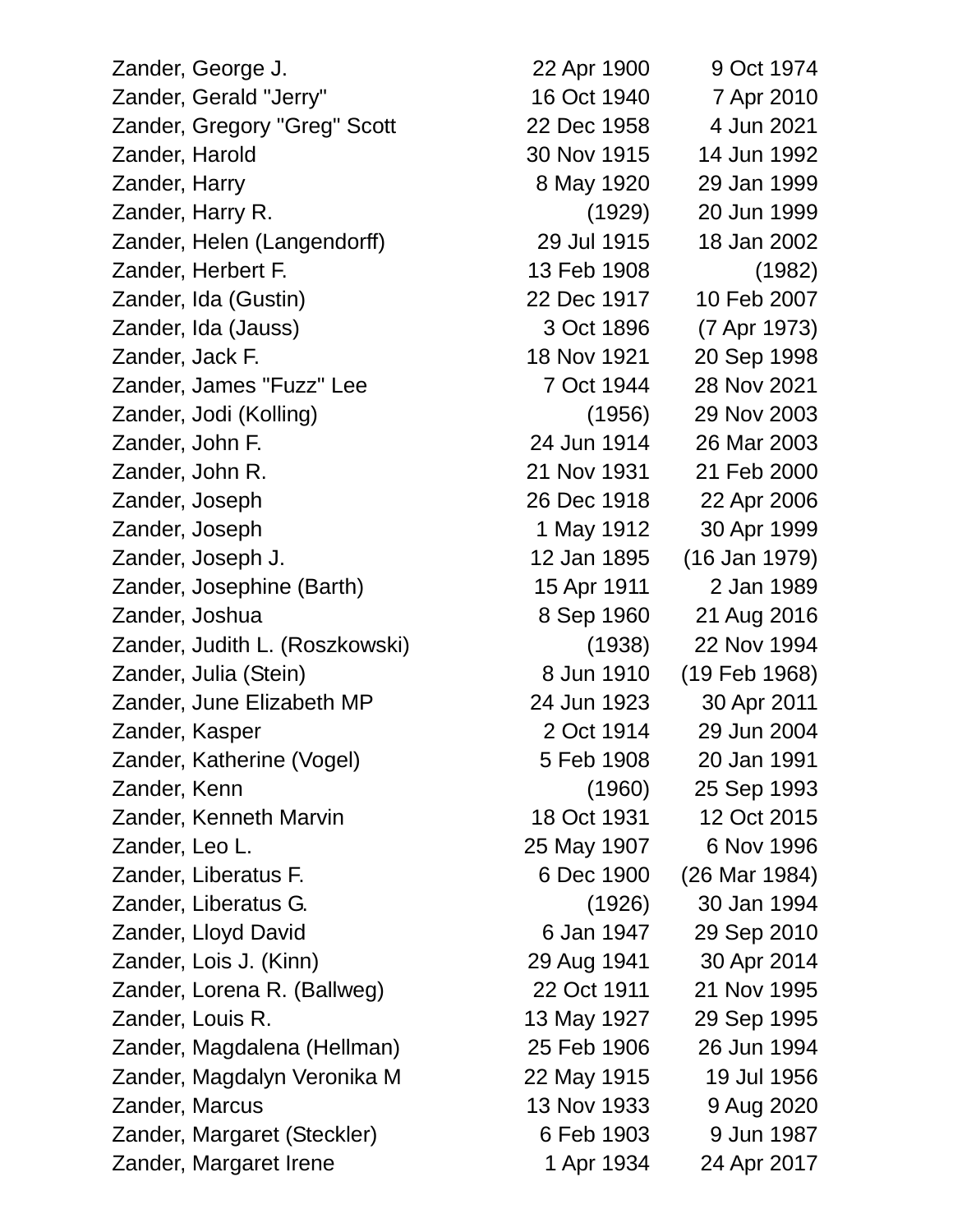Zander, George J. 22 Apr 1900 9 Oct 1974 Zander, Gerald "Jerry" 16 Oct 1940 7 Apr 2010 Zander, Gregory "Greg" Scott 22 Dec 1958 4 Jun 2021 Zander, Harold 30 Nov 1915 14 Jun 1992 Zander, Harry 8 May 1920 29 Jan 1999 Zander, Harry R. (1929) 20 Jun 1999 Zander, Helen (Langendorff) 29 Jul 1915 18 Jan 2002 Zander, Herbert F. 13 Feb 1908 (1982) Zander, Ida (Gustin) 22 Dec 1917 10 Feb 2007 Zander, Ida (Jauss) 3 Oct 1896 (7 Apr 1973) Zander, Jack F. 18 Nov 1921 20 Sep 1998 Zander, James "Fuzz" Lee 7 Oct 1944 28 Nov 2021 Zander, Jodi (Kolling) (1956) 29 Nov 2003 Zander, John F. 24 Jun 1914 26 Mar 2003 Zander, John R. 21 Nov 1931 21 Feb 2000 Zander, Joseph 26 Dec 1918 22 Apr 2006 Zander, Joseph 1 May 1912 30 Apr 1999 Zander, Joseph J. 12 Jan 1895 (16 Jan 1979) Zander, Josephine (Barth) 15 Apr 1911 2 Jan 1989 Zander, Joshua 8 Sep 1960 21 Aug 2016 Zander, Judith L. (Roszkowski) (1938) 22 Nov 1994 Zander, Julia (Stein) 8 Jun 1910 (19 Feb 1968) Zander, June Elizabeth MP 24 Jun 1923 30 Apr 2011 Zander, Kasper 2 Oct 1914 29 Jun 2004 Zander, Katherine (Vogel) 5 Feb 1908 20 Jan 1991 Zander, Kenn (1960) 25 Sep 1993 Zander, Kenneth Marvin 18 Oct 1931 12 Oct 2015 Zander, Leo L. 25 May 1907 6 Nov 1996 Zander, Liberatus F. 6 Dec 1900 (26 Mar 1984) Zander, Liberatus G. (1926) 30 Jan 1994 Zander, Lloyd David **Example 2010** 6 Jan 1947 29 Sep 2010 Zander, Lois J. (Kinn) 29 Aug 1941 30 Apr 2014 Zander, Lorena R. (Ballweg) 22 Oct 1911 21 Nov 1995 Zander, Louis R. 13 May 1927 29 Sep 1995 Zander, Magdalena (Hellman) 25 Feb 1906 26 Jun 1994 Zander, Magdalyn Veronika M 22 May 1915 19 Jul 1956 Zander, Marcus 13 Nov 1933 9 Aug 2020 Zander, Margaret (Steckler) 6 Feb 1903 9 Jun 1987 Zander, Margaret Irene 1 Apr 1934 24 Apr 2017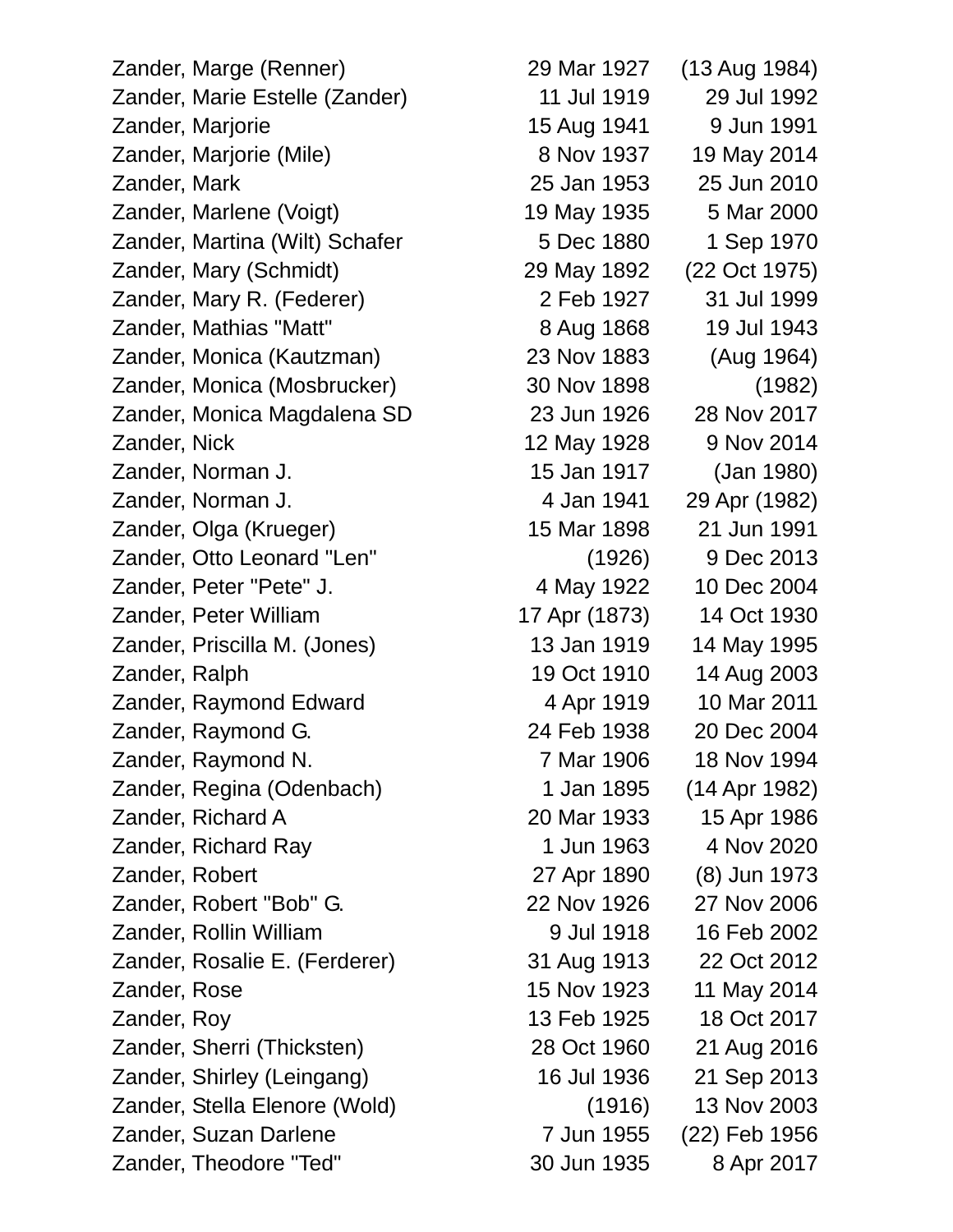Zander, Marge (Renner) 29 Mar 1927 (13 Aug 1984) Zander, Marie Estelle (Zander) 11 Jul 1919 29 Jul 1992 Zander, Marjorie 15 Aug 1941 9 Jun 1991 Zander, Marjorie (Mile) 8 Nov 1937 19 May 2014 Zander, Mark 25 Jan 1953 25 Jun 2010 Zander, Marlene (Voigt) 19 May 1935 5 Mar 2000 Zander, Martina (Wilt) Schafer 5 Dec 1880 1 Sep 1970 Zander, Mary (Schmidt) 29 May 1892 (22 Oct 1975) Zander, Mary R. (Federer) 2 Feb 1927 31 Jul 1999 Zander, Mathias "Matt" 8 Aug 1868 19 Jul 1943 Zander, Monica (Kautzman) 23 Nov 1883 (Aug 1964) Zander, Monica (Mosbrucker) 30 Nov 1898 (1982) Zander, Monica Magdalena SD 23 Jun 1926 28 Nov 2017 Zander, Nick 12 May 1928 9 Nov 2014 Zander, Norman J. 15 Jan 1917 (Jan 1980) Zander, Norman J. 4 Jan 1941 29 Apr (1982) Zander, Olga (Krueger) 15 Mar 1898 21 Jun 1991 Zander, Otto Leonard "Len" (1926) 9 Dec 2013 Zander, Peter "Pete" J. 4 May 1922 10 Dec 2004 Zander, Peter William 17 Apr (1873) 14 Oct 1930 Zander, Priscilla M. (Jones) 13 Jan 1919 14 May 1995 Zander, Ralph 19 Oct 1910 14 Aug 2003 Zander, Raymond Edward 1988 4 Apr 1919 10 Mar 2011 Zander, Raymond G. 24 Feb 1938 20 Dec 2004 Zander, Raymond N. 2006 18 Nov 1994 Zander, Regina (Odenbach) 1 Jan 1895 (14 Apr 1982) Zander, Richard A 20 Mar 1933 15 Apr 1986 Zander, Richard Ray 1 Jun 1963 4 Nov 2020 Zander, Robert 27 Apr 1890 (8) Jun 1973 Zander, Robert "Bob" G. 22 Nov 1926 27 Nov 2006 Zander, Rollin William 9 Jul 1918 16 Feb 2002 Zander, Rosalie E. (Ferderer) 31 Aug 1913 22 Oct 2012 Zander, Rose 15 Nov 1923 11 May 2014 Zander, Roy 13 Feb 1925 18 Oct 2017 Zander, Sherri (Thicksten) 28 Oct 1960 21 Aug 2016 Zander, Shirley (Leingang) 16 Jul 1936 21 Sep 2013 Zander, Stella Elenore (Wold) (1916) 13 Nov 2003 Zander, Suzan Darlene 7 Jun 1955 (22) Feb 1956

Zander, Theodore "Ted" 30 Jun 1935 8 Apr 2017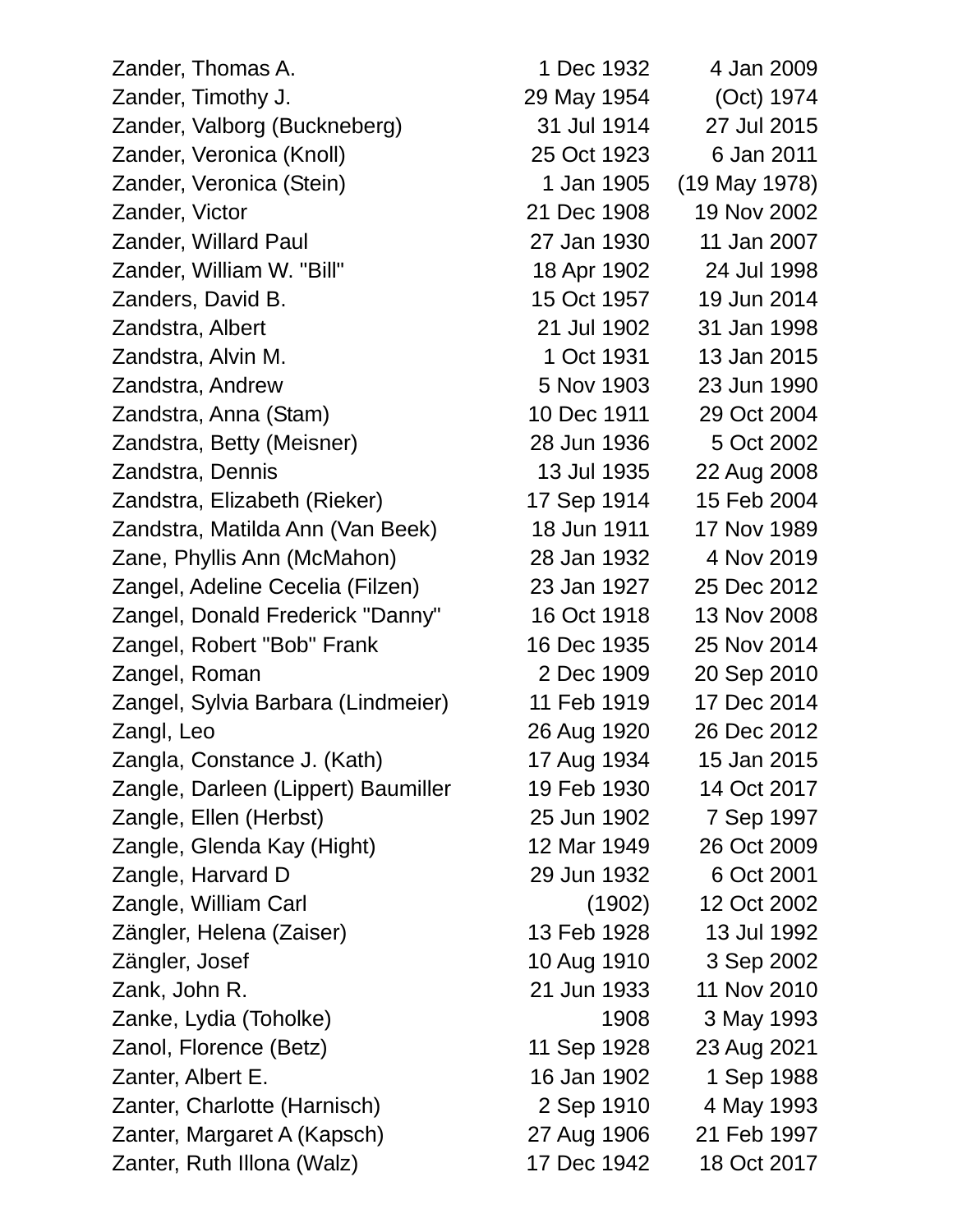| Zander, Thomas A.                   | 1 Dec 1932  | 4 Jan 2009        |
|-------------------------------------|-------------|-------------------|
| Zander, Timothy J.                  | 29 May 1954 | (Oct) 1974        |
| Zander, Valborg (Buckneberg)        | 31 Jul 1914 | 27 Jul 2015       |
| Zander, Veronica (Knoll)            | 25 Oct 1923 | 6 Jan 2011        |
| Zander, Veronica (Stein)            | 1 Jan 1905  | $(19$ May $1978)$ |
| Zander, Victor                      | 21 Dec 1908 | 19 Nov 2002       |
| Zander, Willard Paul                | 27 Jan 1930 | 11 Jan 2007       |
| Zander, William W. "Bill"           | 18 Apr 1902 | 24 Jul 1998       |
| Zanders, David B.                   | 15 Oct 1957 | 19 Jun 2014       |
| Zandstra, Albert                    | 21 Jul 1902 | 31 Jan 1998       |
| Zandstra, Alvin M.                  | 1 Oct 1931  | 13 Jan 2015       |
| Zandstra, Andrew                    | 5 Nov 1903  | 23 Jun 1990       |
| Zandstra, Anna (Stam)               | 10 Dec 1911 | 29 Oct 2004       |
| Zandstra, Betty (Meisner)           | 28 Jun 1936 | 5 Oct 2002        |
| Zandstra, Dennis                    | 13 Jul 1935 | 22 Aug 2008       |
| Zandstra, Elizabeth (Rieker)        | 17 Sep 1914 | 15 Feb 2004       |
| Zandstra, Matilda Ann (Van Beek)    | 18 Jun 1911 | 17 Nov 1989       |
| Zane, Phyllis Ann (McMahon)         | 28 Jan 1932 | 4 Nov 2019        |
| Zangel, Adeline Cecelia (Filzen)    | 23 Jan 1927 | 25 Dec 2012       |
| Zangel, Donald Frederick "Danny"    | 16 Oct 1918 | 13 Nov 2008       |
| Zangel, Robert "Bob" Frank          | 16 Dec 1935 | 25 Nov 2014       |
| Zangel, Roman                       | 2 Dec 1909  | 20 Sep 2010       |
| Zangel, Sylvia Barbara (Lindmeier)  | 11 Feb 1919 | 17 Dec 2014       |
| Zangl, Leo                          | 26 Aug 1920 | 26 Dec 2012       |
| Zangla, Constance J. (Kath)         | 17 Aug 1934 | 15 Jan 2015       |
| Zangle, Darleen (Lippert) Baumiller | 19 Feb 1930 | 14 Oct 2017       |
| Zangle, Ellen (Herbst)              | 25 Jun 1902 | 7 Sep 1997        |
| Zangle, Glenda Kay (Hight)          | 12 Mar 1949 | 26 Oct 2009       |
| Zangle, Harvard D                   | 29 Jun 1932 | 6 Oct 2001        |
| Zangle, William Carl                | (1902)      | 12 Oct 2002       |
| Zängler, Helena (Zaiser)            | 13 Feb 1928 | 13 Jul 1992       |
| Zängler, Josef                      | 10 Aug 1910 | 3 Sep 2002        |
| Zank, John R.                       | 21 Jun 1933 | 11 Nov 2010       |
| Zanke, Lydia (Toholke)              | 1908        | 3 May 1993        |
| Zanol, Florence (Betz)              | 11 Sep 1928 | 23 Aug 2021       |
| Zanter, Albert E.                   | 16 Jan 1902 | 1 Sep 1988        |
| Zanter, Charlotte (Harnisch)        | 2 Sep 1910  | 4 May 1993        |
| Zanter, Margaret A (Kapsch)         | 27 Aug 1906 | 21 Feb 1997       |
| Zanter, Ruth Illona (Walz)          | 17 Dec 1942 | 18 Oct 2017       |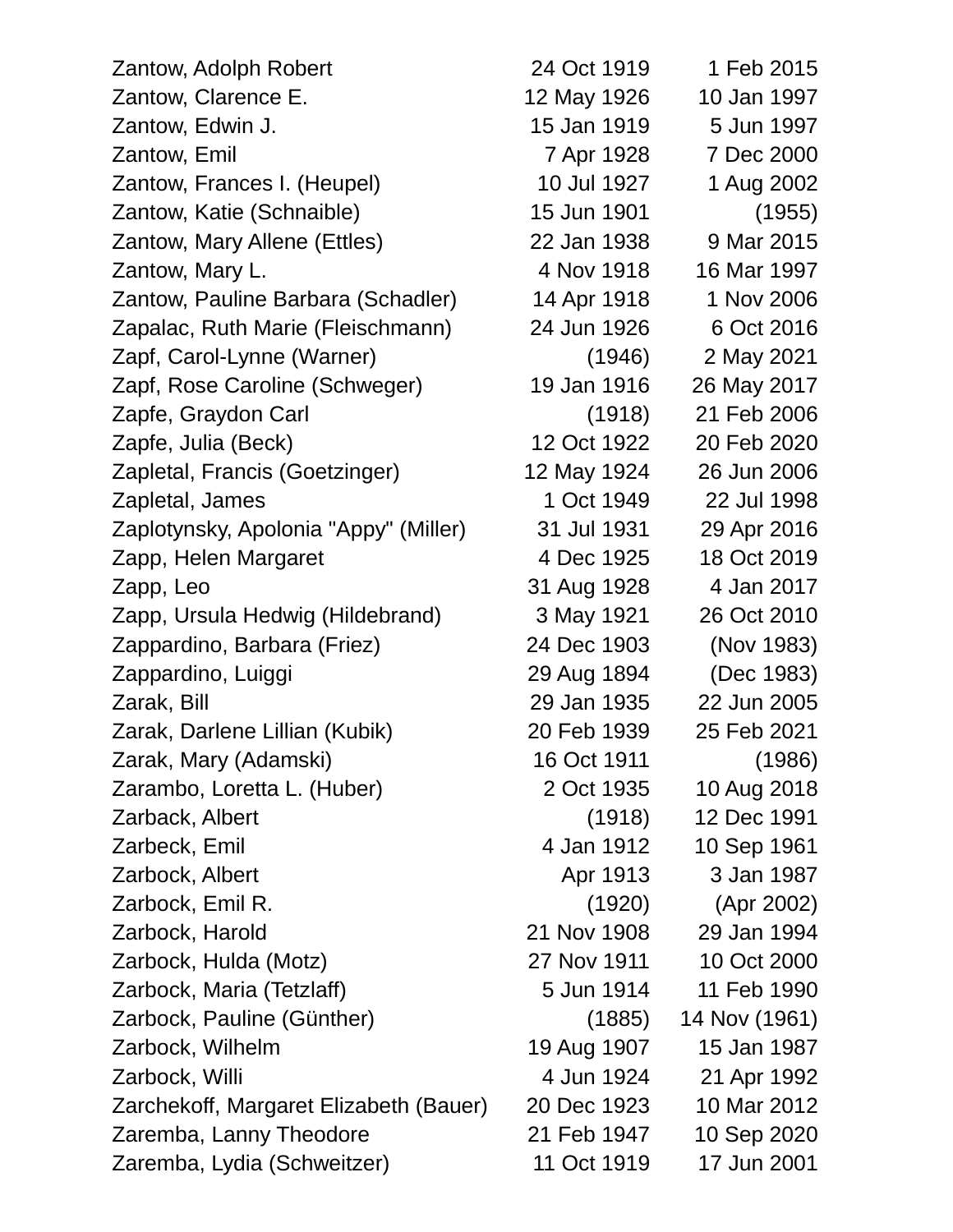| Zantow, Adolph Robert                  | 24 Oct 1919 | 1 Feb 2015    |
|----------------------------------------|-------------|---------------|
| Zantow, Clarence E.                    | 12 May 1926 | 10 Jan 1997   |
| Zantow, Edwin J.                       | 15 Jan 1919 | 5 Jun 1997    |
| Zantow, Emil                           | 7 Apr 1928  | 7 Dec 2000    |
| Zantow, Frances I. (Heupel)            | 10 Jul 1927 | 1 Aug 2002    |
| Zantow, Katie (Schnaible)              | 15 Jun 1901 | (1955)        |
| Zantow, Mary Allene (Ettles)           | 22 Jan 1938 | 9 Mar 2015    |
| Zantow, Mary L.                        | 4 Nov 1918  | 16 Mar 1997   |
| Zantow, Pauline Barbara (Schadler)     | 14 Apr 1918 | 1 Nov 2006    |
| Zapalac, Ruth Marie (Fleischmann)      | 24 Jun 1926 | 6 Oct 2016    |
| Zapf, Carol-Lynne (Warner)             | (1946)      | 2 May 2021    |
| Zapf, Rose Caroline (Schweger)         | 19 Jan 1916 | 26 May 2017   |
| Zapfe, Graydon Carl                    | (1918)      | 21 Feb 2006   |
| Zapfe, Julia (Beck)                    | 12 Oct 1922 | 20 Feb 2020   |
| Zapletal, Francis (Goetzinger)         | 12 May 1924 | 26 Jun 2006   |
| Zapletal, James                        | 1 Oct 1949  | 22 Jul 1998   |
| Zaplotynsky, Apolonia "Appy" (Miller)  | 31 Jul 1931 | 29 Apr 2016   |
| Zapp, Helen Margaret                   | 4 Dec 1925  | 18 Oct 2019   |
| Zapp, Leo                              | 31 Aug 1928 | 4 Jan 2017    |
| Zapp, Ursula Hedwig (Hildebrand)       | 3 May 1921  | 26 Oct 2010   |
| Zappardino, Barbara (Friez)            | 24 Dec 1903 | (Nov 1983)    |
| Zappardino, Luiggi                     | 29 Aug 1894 | (Dec 1983)    |
| Zarak, Bill                            | 29 Jan 1935 | 22 Jun 2005   |
| Zarak, Darlene Lillian (Kubik)         | 20 Feb 1939 | 25 Feb 2021   |
| Zarak, Mary (Adamski)                  | 16 Oct 1911 | (1986)        |
| Zarambo, Loretta L. (Huber)            | 2 Oct 1935  | 10 Aug 2018   |
| Zarback, Albert                        | (1918)      | 12 Dec 1991   |
| Zarbeck, Emil                          | 4 Jan 1912  | 10 Sep 1961   |
| Zarbock, Albert                        | Apr 1913    | 3 Jan 1987    |
| Zarbock, Emil R.                       | (1920)      | (Apr 2002)    |
| Zarbock, Harold                        | 21 Nov 1908 | 29 Jan 1994   |
| Zarbock, Hulda (Motz)                  | 27 Nov 1911 | 10 Oct 2000   |
| Zarbock, Maria (Tetzlaff)              | 5 Jun 1914  | 11 Feb 1990   |
| Zarbock, Pauline (Günther)             | (1885)      | 14 Nov (1961) |
| Zarbock, Wilhelm                       | 19 Aug 1907 | 15 Jan 1987   |
| Zarbock, Willi                         | 4 Jun 1924  | 21 Apr 1992   |
| Zarchekoff, Margaret Elizabeth (Bauer) | 20 Dec 1923 | 10 Mar 2012   |
| Zaremba, Lanny Theodore                | 21 Feb 1947 | 10 Sep 2020   |
| Zaremba, Lydia (Schweitzer)            | 11 Oct 1919 | 17 Jun 2001   |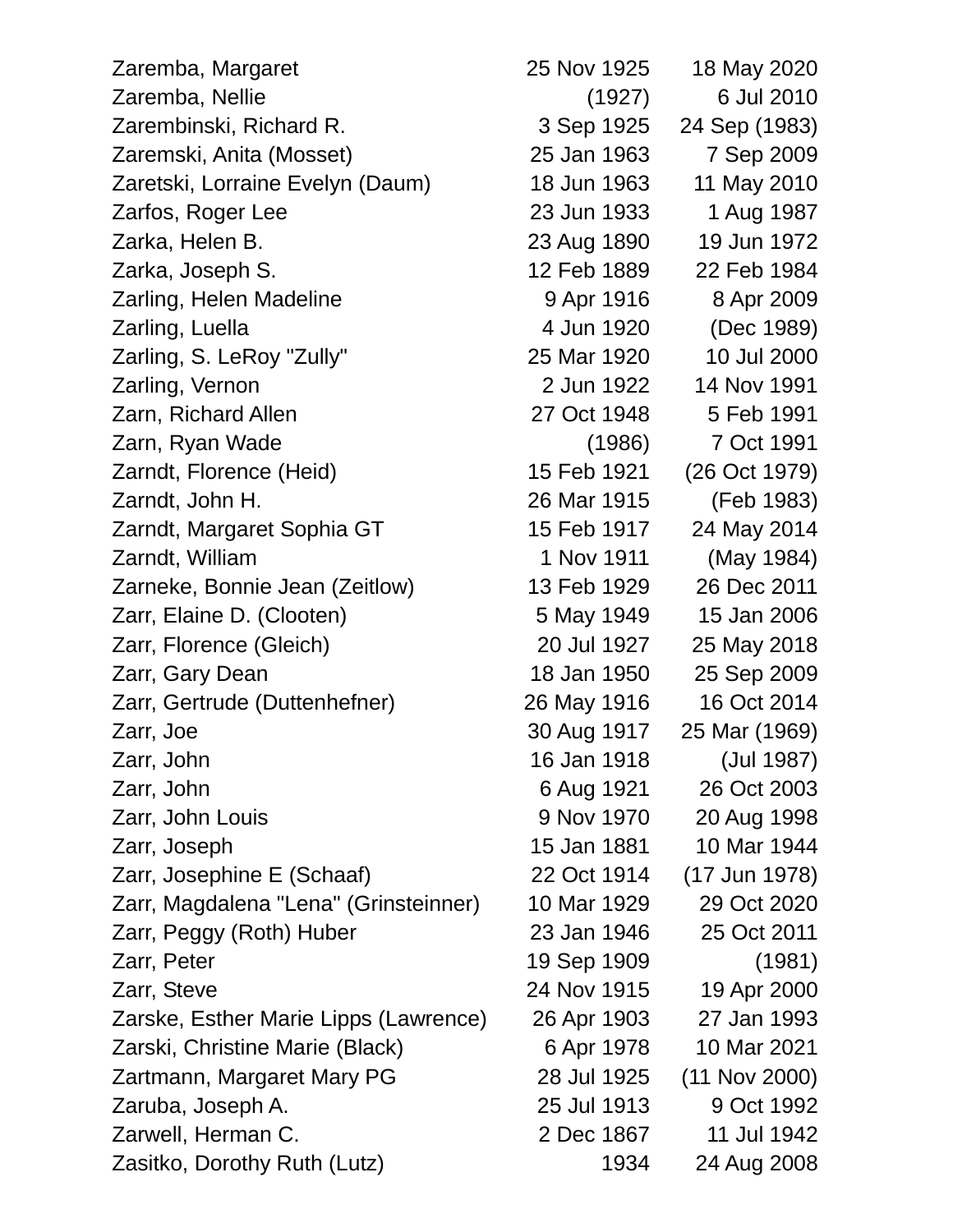Zaremba, Margaret 25 Nov 1925 18 May 2020 Zaremba, Nellie (1927) 6 Jul 2010 Zarembinski, Richard R. 3 Sep 1925 24 Sep (1983) Zaremski, Anita (Mosset) 25 Jan 1963 7 Sep 2009 Zaretski, Lorraine Evelyn (Daum) 18 Jun 1963 11 May 2010 Zarfos, Roger Lee 23 Jun 1933 1 Aug 1987 Zarka, Helen B. 23 Aug 1890 19 Jun 1972 Zarka, Joseph S. 12 Feb 1889 22 Feb 1984 Zarling, Helen Madeline 1988 8 Apr 1916 8 Apr 2009 Zarling, Luella **4 Jun 1920** (Dec 1989) Zarling, S. LeRoy "Zully" 25 Mar 1920 10 Jul 2000 Zarling, Vernon 2 Jun 1922 14 Nov 1991 Zarn, Richard Allen 27 Oct 1948 5 Feb 1991 Zarn, Ryan Wade (1986) 7 Oct 1991 Zarndt, Florence (Heid) 15 Feb 1921 (26 Oct 1979) Zarndt, John H. 26 Mar 1915 (Feb 1983) Zarndt, Margaret Sophia GT 15 Feb 1917 24 May 2014 Zarndt, William 1 Nov 1911 (May 1984) Zarneke, Bonnie Jean (Zeitlow) 13 Feb 1929 26 Dec 2011 Zarr, Elaine D. (Clooten) 5 May 1949 15 Jan 2006 Zarr, Florence (Gleich) 20 Jul 1927 25 May 2018 Zarr, Gary Dean 18 Jan 1950 25 Sep 2009 Zarr, Gertrude (Duttenhefner) 26 May 1916 16 Oct 2014 Zarr, Joe 30 Aug 1917 25 Mar (1969) Zarr, John 16 Jan 1918 (Jul 1987) Zarr, John 6 Aug 1921 26 Oct 2003 Zarr, John Louis 9 Nov 1970 20 Aug 1998 Zarr, Joseph 15 Jan 1881 10 Mar 1944 Zarr, Josephine E (Schaaf) 22 Oct 1914 (17 Jun 1978) Zarr, Magdalena "Lena" (Grinsteinner) 10 Mar 1929 29 Oct 2020 Zarr, Peggy (Roth) Huber 23 Jan 1946 25 Oct 2011 Zarr, Peter 1981) 2009 (1981) Zarr, Steve 24 Nov 1915 19 Apr 2000 Zarske, Esther Marie Lipps (Lawrence) 26 Apr 1903 27 Jan 1993 Zarski, Christine Marie (Black) 6 Apr 1978 10 Mar 2021 Zartmann, Margaret Mary PG 28 Jul 1925 (11 Nov 2000) Zaruba, Joseph A. 25 Jul 1913 9 Oct 1992 Zarwell, Herman C. 2 Dec 1867 11 Jul 1942 Zasitko, Dorothy Ruth (Lutz) 1934 24 Aug 2008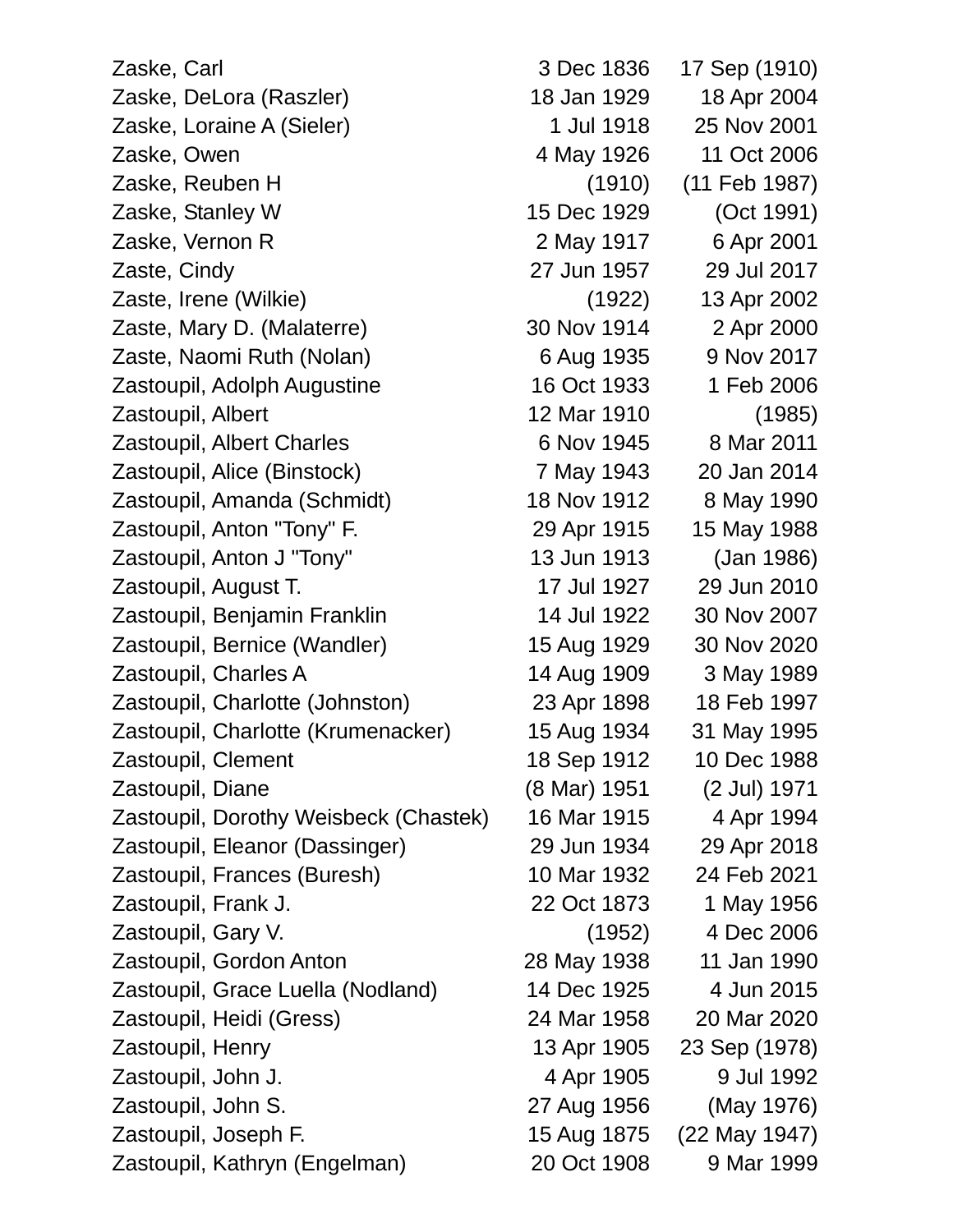Zaske, Carl 3 Dec 1836 17 Sep (1910) Zaske, DeLora (Raszler) 18 Jan 1929 18 Apr 2004 Zaske, Loraine A (Sieler) 1 Jul 1918 25 Nov 2001 Zaske, Owen 4 May 1926 11 Oct 2006 Zaske, Reuben H (1910) (11 Feb 1987) Zaske, Stanley W 15 Dec 1929 (Oct 1991) Zaske, Vernon R 2 May 1917 6 Apr 2001 Zaste, Cindy 27 Jun 1957 29 Jul 2017 Zaste, Irene (Wilkie) (1922) 13 Apr 2002 Zaste, Mary D. (Malaterre) 30 Nov 1914 2 Apr 2000 Zaste, Naomi Ruth (Nolan) 6 Aug 1935 9 Nov 2017 Zastoupil, Adolph Augustine 16 Oct 1933 1 Feb 2006 Zastoupil, Albert 12 Mar 1910 (1985) Zastoupil, Albert Charles 6 Nov 1945 8 Mar 2011 Zastoupil, Alice (Binstock) 7 May 1943 20 Jan 2014 Zastoupil, Amanda (Schmidt) 18 Nov 1912 8 May 1990 Zastoupil, Anton "Tony" F. 29 Apr 1915 15 May 1988 Zastoupil, Anton J "Tony" 13 Jun 1913 (Jan 1986) Zastoupil, August T. 17 Jul 1927 29 Jun 2010 Zastoupil, Benjamin Franklin 14 Jul 1922 30 Nov 2007 Zastoupil, Bernice (Wandler) 15 Aug 1929 30 Nov 2020 Zastoupil, Charles A 14 Aug 1909 3 May 1989 Zastoupil, Charlotte (Johnston) 23 Apr 1898 18 Feb 1997 Zastoupil, Charlotte (Krumenacker) 15 Aug 1934 31 May 1995 Zastoupil, Clement 18 Sep 1912 10 Dec 1988 Zastoupil, Diane (8 Mar) 1951 (2 Jul) 1971 Zastoupil, Dorothy Weisbeck (Chastek) 16 Mar 1915 4 Apr 1994 Zastoupil, Eleanor (Dassinger) 29 Jun 1934 29 Apr 2018 Zastoupil, Frances (Buresh) 10 Mar 1932 24 Feb 2021 Zastoupil, Frank J. 22 Oct 1873 1 May 1956 Zastoupil, Gary V. (1952) 4 Dec 2006 Zastoupil, Gordon Anton 28 May 1938 11 Jan 1990 Zastoupil, Grace Luella (Nodland) 14 Dec 1925 4 Jun 2015 Zastoupil, Heidi (Gress) 24 Mar 1958 20 Mar 2020 Zastoupil, Henry 13 Apr 1905 23 Sep (1978) Zastoupil, John J. 4 Apr 1905 9 Jul 1992 Zastoupil, John S. 27 Aug 1956 (May 1976) Zastoupil, Joseph F. 15 Aug 1875 (22 May 1947) Zastoupil, Kathryn (Engelman) 20 Oct 1908 9 Mar 1999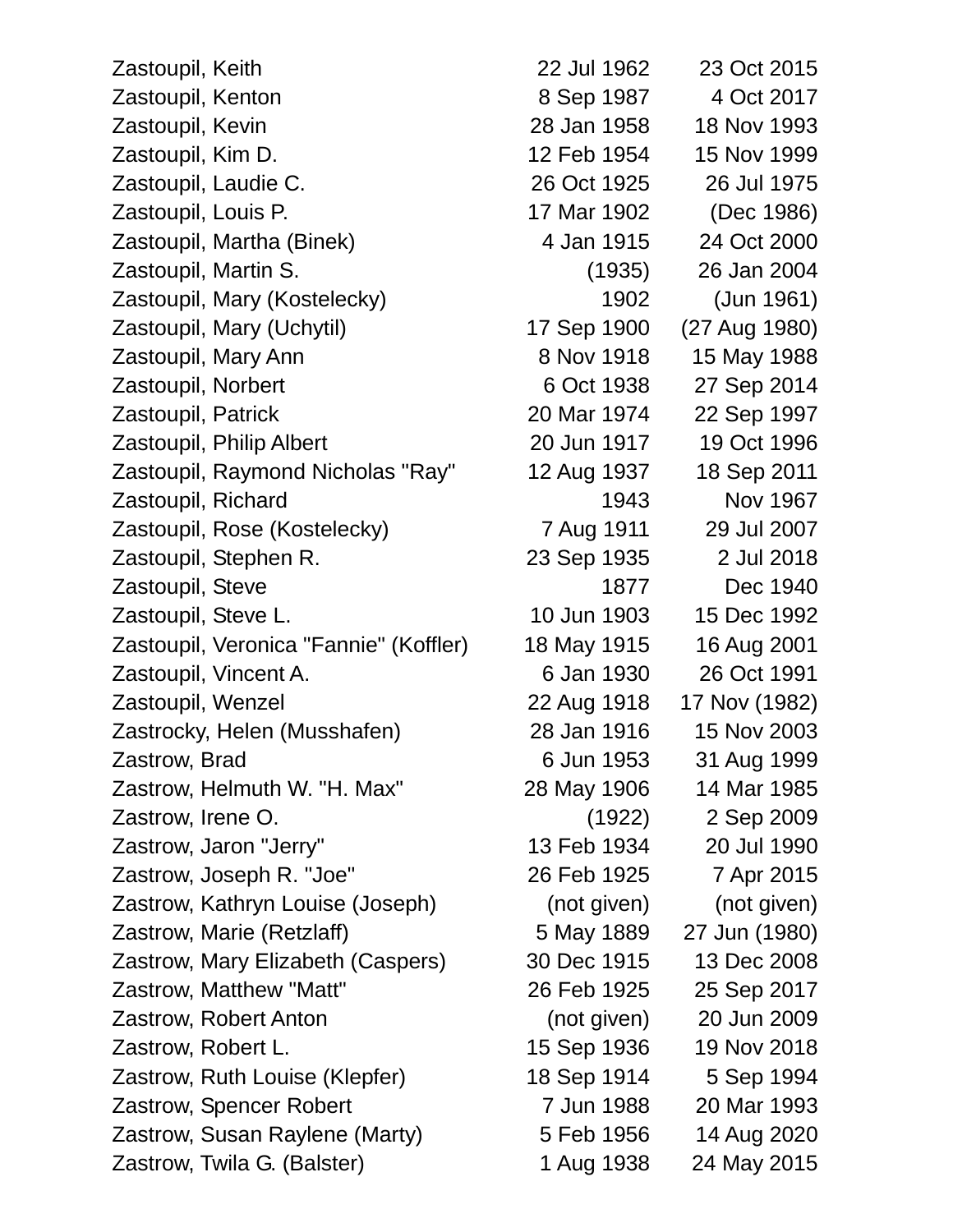| Zastoupil, Keith                       | 22 Jul 196 |
|----------------------------------------|------------|
| Zastoupil, Kenton                      | 8 Sep 198  |
| Zastoupil, Kevin                       | 28 Jan 195 |
| Zastoupil, Kim D.                      | 12 Feb 195 |
| Zastoupil, Laudie C.                   | 26 Oct 192 |
| Zastoupil, Louis P.                    | 17 Mar 190 |
| Zastoupil, Martha (Binek)              | 4 Jan 191  |
| Zastoupil, Martin S.                   | (1935      |
| Zastoupil, Mary (Kostelecky)           | 190        |
| Zastoupil, Mary (Uchytil)              | 17 Sep 190 |
| Zastoupil, Mary Ann                    | 8 Nov 191  |
| Zastoupil, Norbert                     | 6 Oct 193  |
| Zastoupil, Patrick                     | 20 Mar 197 |
| Zastoupil, Philip Albert               | 20 Jun 191 |
| Zastoupil, Raymond Nicholas "Ray"      | 12 Aug 193 |
| Zastoupil, Richard                     | 194        |
| Zastoupil, Rose (Kostelecky)           | 7 Aug 191  |
| Zastoupil, Stephen R.                  | 23 Sep 193 |
| Zastoupil, Steve                       | 187        |
| Zastoupil, Steve L.                    | 10 Jun 190 |
| Zastoupil, Veronica "Fannie" (Koffler) | 18 May 191 |
| Zastoupil, Vincent A.                  | 6 Jan 193  |
| Zastoupil, Wenzel                      | 22 Aug 191 |
| Zastrocky, Helen (Musshafen)           | 28 Jan 191 |
| Zastrow, Brad                          | 6 Jun 195  |
| Zastrow, Helmuth W. "H. Max"           | 28 May 190 |
| Zastrow, Irene O.                      | (1922      |
| Zastrow, Jaron "Jerry"                 | 13 Feb 193 |
| Zastrow, Joseph R. "Joe"               | 26 Feb 192 |
| Zastrow, Kathryn Louise (Joseph)       | (not giver |
| Zastrow, Marie (Retzlaff)              | 5 May 188  |
| Zastrow, Mary Elizabeth (Caspers)      | 30 Dec 191 |
| Zastrow, Matthew "Matt"                | 26 Feb 192 |
| Zastrow, Robert Anton                  | (not giver |
| Zastrow, Robert L.                     | 15 Sep 193 |
| Zastrow, Ruth Louise (Klepfer)         | 18 Sep 191 |
| Zastrow, Spencer Robert                | 7 Jun 198  |
| Zastrow, Susan Raylene (Marty)         | 5 Feb 195  |
| Zastrow, Twila G. (Balster)            | 1 Aug 193  |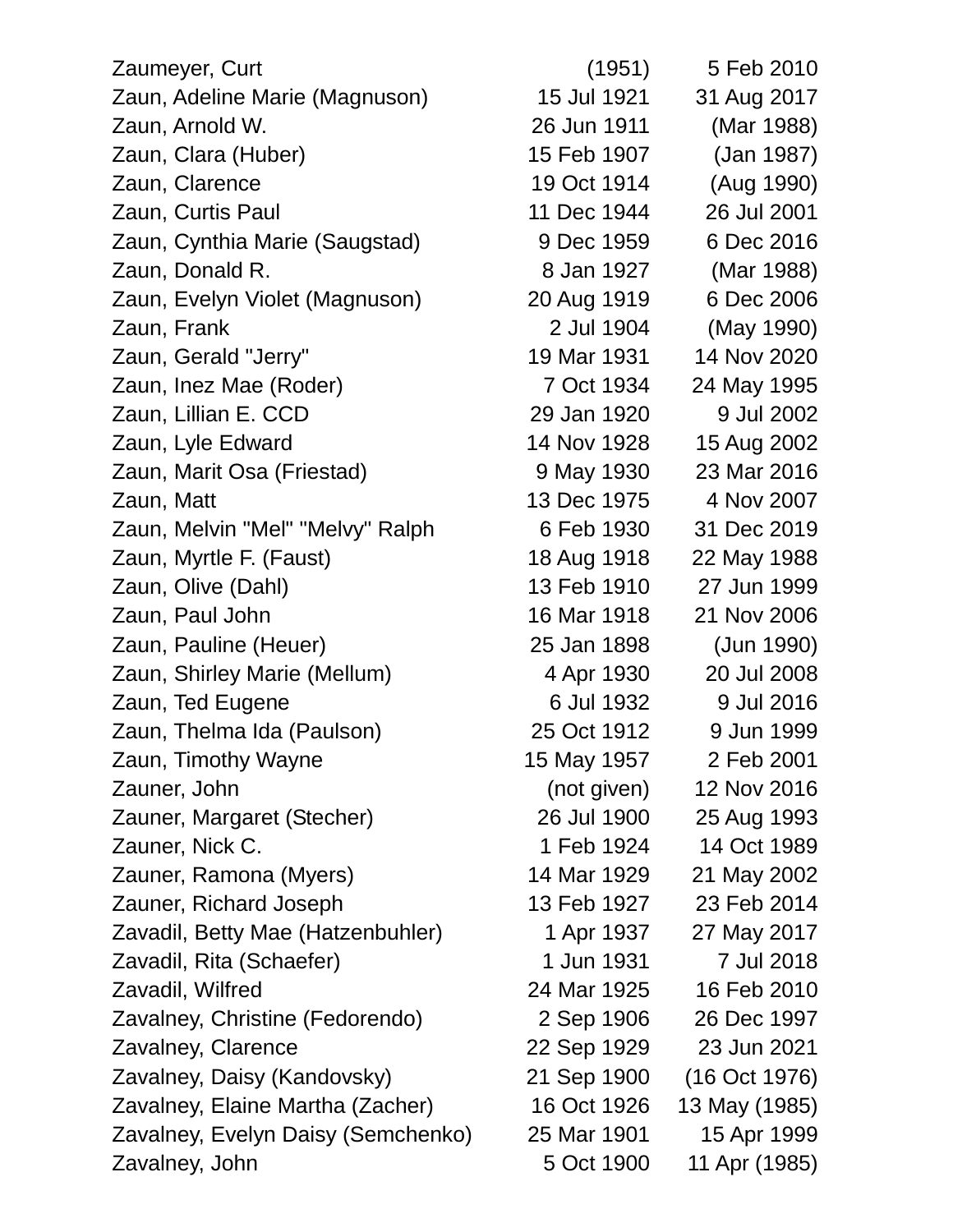| Zaumeyer, Curt                     | (1951)      | 5 Feb 2010    |
|------------------------------------|-------------|---------------|
| Zaun, Adeline Marie (Magnuson)     | 15 Jul 1921 | 31 Aug 2017   |
| Zaun, Arnold W.                    | 26 Jun 1911 | (Mar 1988)    |
| Zaun, Clara (Huber)                | 15 Feb 1907 | (Jan 1987)    |
| Zaun, Clarence                     | 19 Oct 1914 | (Aug 1990)    |
| Zaun, Curtis Paul                  | 11 Dec 1944 | 26 Jul 2001   |
| Zaun, Cynthia Marie (Saugstad)     | 9 Dec 1959  | 6 Dec 2016    |
| Zaun, Donald R.                    | 8 Jan 1927  | (Mar 1988)    |
| Zaun, Evelyn Violet (Magnuson)     | 20 Aug 1919 | 6 Dec 2006    |
| Zaun, Frank                        | 2 Jul 1904  | (May 1990)    |
| Zaun, Gerald "Jerry"               | 19 Mar 1931 | 14 Nov 2020   |
| Zaun, Inez Mae (Roder)             | 7 Oct 1934  | 24 May 1995   |
| Zaun, Lillian E. CCD               | 29 Jan 1920 | 9 Jul 2002    |
| Zaun, Lyle Edward                  | 14 Nov 1928 | 15 Aug 2002   |
| Zaun, Marit Osa (Friestad)         | 9 May 1930  | 23 Mar 2016   |
| Zaun, Matt                         | 13 Dec 1975 | 4 Nov 2007    |
| Zaun, Melvin "Mel" "Melvy" Ralph   | 6 Feb 1930  | 31 Dec 2019   |
| Zaun, Myrtle F. (Faust)            | 18 Aug 1918 | 22 May 1988   |
| Zaun, Olive (Dahl)                 | 13 Feb 1910 | 27 Jun 1999   |
| Zaun, Paul John                    | 16 Mar 1918 | 21 Nov 2006   |
| Zaun, Pauline (Heuer)              | 25 Jan 1898 | (Jun 1990)    |
| Zaun, Shirley Marie (Mellum)       | 4 Apr 1930  | 20 Jul 2008   |
| Zaun, Ted Eugene                   | 6 Jul 1932  | 9 Jul 2016    |
| Zaun, Thelma Ida (Paulson)         | 25 Oct 1912 | 9 Jun 1999    |
| Zaun, Timothy Wayne                | 15 May 1957 | 2 Feb 2001    |
| Zauner, John                       | (not given) | 12 Nov 2016   |
| Zauner, Margaret (Stecher)         | 26 Jul 1900 | 25 Aug 1993   |
| Zauner, Nick C.                    | 1 Feb 1924  | 14 Oct 1989   |
| Zauner, Ramona (Myers)             | 14 Mar 1929 | 21 May 2002   |
| Zauner, Richard Joseph             | 13 Feb 1927 | 23 Feb 2014   |
| Zavadil, Betty Mae (Hatzenbuhler)  | 1 Apr 1937  | 27 May 2017   |
| Zavadil, Rita (Schaefer)           | 1 Jun 1931  | 7 Jul 2018    |
| Zavadil, Wilfred                   | 24 Mar 1925 | 16 Feb 2010   |
| Zavalney, Christine (Fedorendo)    | 2 Sep 1906  | 26 Dec 1997   |
| Zavalney, Clarence                 | 22 Sep 1929 | 23 Jun 2021   |
| Zavalney, Daisy (Kandovsky)        | 21 Sep 1900 | (16 Oct 1976) |
| Zavalney, Elaine Martha (Zacher)   | 16 Oct 1926 | 13 May (1985) |
| Zavalney, Evelyn Daisy (Semchenko) | 25 Mar 1901 | 15 Apr 1999   |
| Zavalney, John                     | 5 Oct 1900  | 11 Apr (1985) |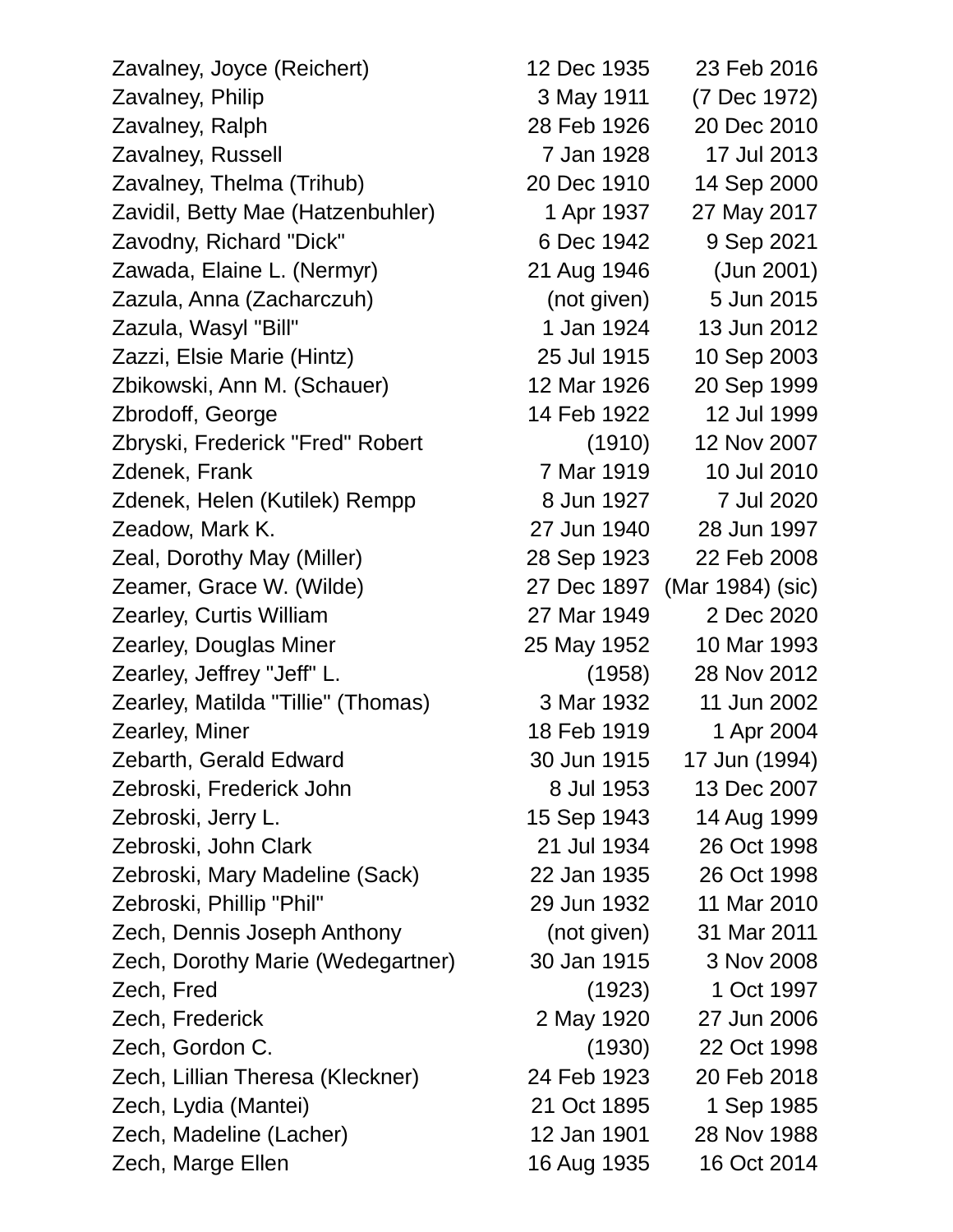Zavalney, Joyce (Reichert) 12 Dec 1935 23 Feb 2016 Zavalney, Philip 3 May 1911 (7 Dec 1972) Zavalney, Ralph 28 Feb 1926 20 Dec 2010 Zavalney, Russell 7 Jan 1928 17 Jul 2013 Zavalney, Thelma (Trihub) 20 Dec 1910 14 Sep 2000 Zavidil, Betty Mae (Hatzenbuhler) 1 Apr 1937 27 May 2017 Zavodny, Richard "Dick" 6 Dec 1942 9 Sep 2021 Zawada, Elaine L. (Nermyr) 21 Aug 1946 (Jun 2001) Zazula, Anna (Zacharczuh) (not given) 5 Jun 2015 Zazula, Wasyl "Bill" 1 Jan 1924 13 Jun 2012 Zazzi, Elsie Marie (Hintz) 25 Jul 1915 10 Sep 2003 Zbikowski, Ann M. (Schauer) 12 Mar 1926 20 Sep 1999 Zbrodoff, George 14 Feb 1922 12 Jul 1999 Zbryski, Frederick "Fred" Robert (1910) 12 Nov 2007 Zdenek, Frank 7 Mar 1919 10 Jul 2010 Zdenek, Helen (Kutilek) Rempp 8 Jun 1927 7 Jul 2020 Zeadow, Mark K. 27 Jun 1940 28 Jun 1997 Zeal, Dorothy May (Miller) 28 Sep 1923 22 Feb 2008 Zeamer, Grace W. (Wilde) 27 Dec 1897 (Mar 1984) (sic) Zearley, Curtis William 27 Mar 1949 2 Dec 2020 Zearley, Douglas Miner 25 May 1952 10 Mar 1993 Zearley, Jeffrey "Jeff" L. (1958) 28 Nov 2012 Zearley, Matilda "Tillie" (Thomas) 3 Mar 1932 11 Jun 2002 **Zearley, Miner 18 Feb 1919** 1 Apr 2004 Zebarth, Gerald Edward 30 Jun 1915 17 Jun (1994) Zebroski, Frederick John 8 Jul 1953 13 Dec 2007 Zebroski, Jerry L. 15 Sep 1943 14 Aug 1999 Zebroski, John Clark 21 Jul 1934 26 Oct 1998 Zebroski, Mary Madeline (Sack) 22 Jan 1935 26 Oct 1998 Zebroski, Phillip "Phil" 29 Jun 1932 11 Mar 2010 Zech, Dennis Joseph Anthony (not given) 31 Mar 2011 Zech, Dorothy Marie (Wedegartner) 30 Jan 1915 3 Nov 2008 Zech, Fred (1923) 1 Oct 1997 Zech, Frederick 2 May 1920 27 Jun 2006 Zech, Gordon C. (1930) 22 Oct 1998 Zech, Lillian Theresa (Kleckner) 24 Feb 1923 20 Feb 2018 Zech, Lydia (Mantei) 21 Oct 1895 1 Sep 1985 Zech, Madeline (Lacher) 12 Jan 1901 28 Nov 1988

Zech, Marge Ellen 16 Aug 1935 16 Oct 2014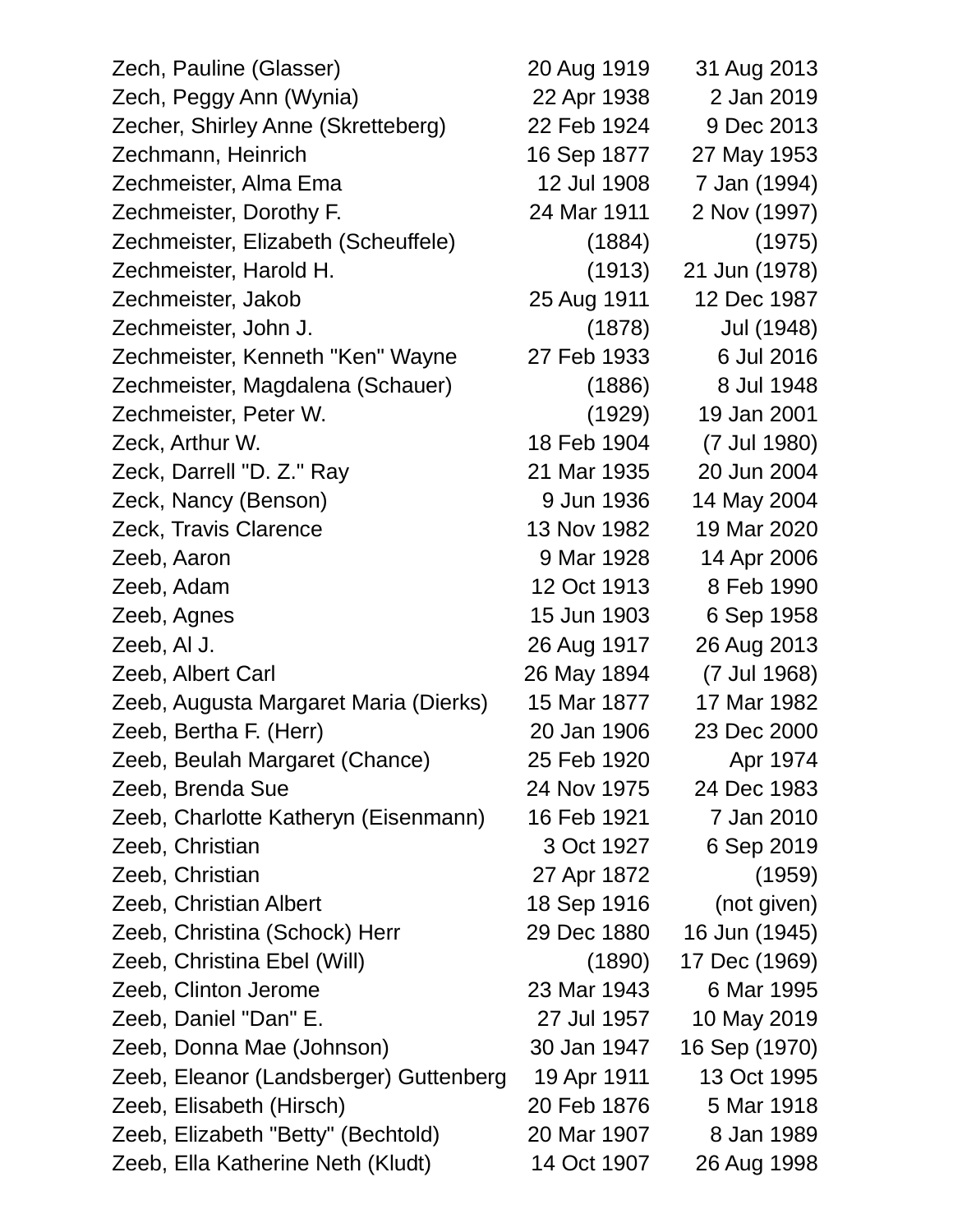| Zech, Pauline (Glasser)                | 20 Aug 1919 | 31 Aug 2013   |
|----------------------------------------|-------------|---------------|
| Zech, Peggy Ann (Wynia)                | 22 Apr 1938 | 2 Jan 2019    |
| Zecher, Shirley Anne (Skretteberg)     | 22 Feb 1924 | 9 Dec 2013    |
| Zechmann, Heinrich                     | 16 Sep 1877 | 27 May 1953   |
| Zechmeister, Alma Ema                  | 12 Jul 1908 | 7 Jan (1994)  |
| Zechmeister, Dorothy F.                | 24 Mar 1911 | 2 Nov (1997)  |
| Zechmeister, Elizabeth (Scheuffele)    | (1884)      | (1975)        |
| Zechmeister, Harold H.                 | (1913)      | 21 Jun (1978) |
| Zechmeister, Jakob                     | 25 Aug 1911 | 12 Dec 1987   |
| Zechmeister, John J.                   | (1878)      | Jul (1948)    |
| Zechmeister, Kenneth "Ken" Wayne       | 27 Feb 1933 | 6 Jul 2016    |
| Zechmeister, Magdalena (Schauer)       | (1886)      | 8 Jul 1948    |
| Zechmeister, Peter W.                  | (1929)      | 19 Jan 2001   |
| Zeck, Arthur W.                        | 18 Feb 1904 | (7 Jul 1980)  |
| Zeck, Darrell "D. Z." Ray              | 21 Mar 1935 | 20 Jun 2004   |
| Zeck, Nancy (Benson)                   | 9 Jun 1936  | 14 May 2004   |
| Zeck, Travis Clarence                  | 13 Nov 1982 | 19 Mar 2020   |
| Zeeb, Aaron                            | 9 Mar 1928  | 14 Apr 2006   |
| Zeeb, Adam                             | 12 Oct 1913 | 8 Feb 1990    |
| Zeeb, Agnes                            | 15 Jun 1903 | 6 Sep 1958    |
| Zeeb, Al J.                            | 26 Aug 1917 | 26 Aug 2013   |
| Zeeb, Albert Carl                      | 26 May 1894 | (7 Jul 1968)  |
| Zeeb, Augusta Margaret Maria (Dierks)  | 15 Mar 1877 | 17 Mar 1982   |
| Zeeb, Bertha F. (Herr)                 | 20 Jan 1906 | 23 Dec 2000   |
| Zeeb, Beulah Margaret (Chance)         | 25 Feb 1920 | Apr 1974      |
| Zeeb, Brenda Sue                       | 24 Nov 1975 | 24 Dec 1983   |
| Zeeb, Charlotte Katheryn (Eisenmann)   | 16 Feb 1921 | 7 Jan 2010    |
| Zeeb, Christian                        | 3 Oct 1927  | 6 Sep 2019    |
| Zeeb, Christian                        | 27 Apr 1872 | (1959)        |
| Zeeb, Christian Albert                 | 18 Sep 1916 | (not given)   |
| Zeeb, Christina (Schock) Herr          | 29 Dec 1880 | 16 Jun (1945) |
| Zeeb, Christina Ebel (Will)            | (1890)      | 17 Dec (1969) |
| Zeeb, Clinton Jerome                   | 23 Mar 1943 | 6 Mar 1995    |
| Zeeb, Daniel "Dan" E.                  | 27 Jul 1957 | 10 May 2019   |
| Zeeb, Donna Mae (Johnson)              | 30 Jan 1947 | 16 Sep (1970) |
| Zeeb, Eleanor (Landsberger) Guttenberg | 19 Apr 1911 | 13 Oct 1995   |
| Zeeb, Elisabeth (Hirsch)               | 20 Feb 1876 | 5 Mar 1918    |
| Zeeb, Elizabeth "Betty" (Bechtold)     | 20 Mar 1907 | 8 Jan 1989    |
| Zeeb, Ella Katherine Neth (Kludt)      | 14 Oct 1907 | 26 Aug 1998   |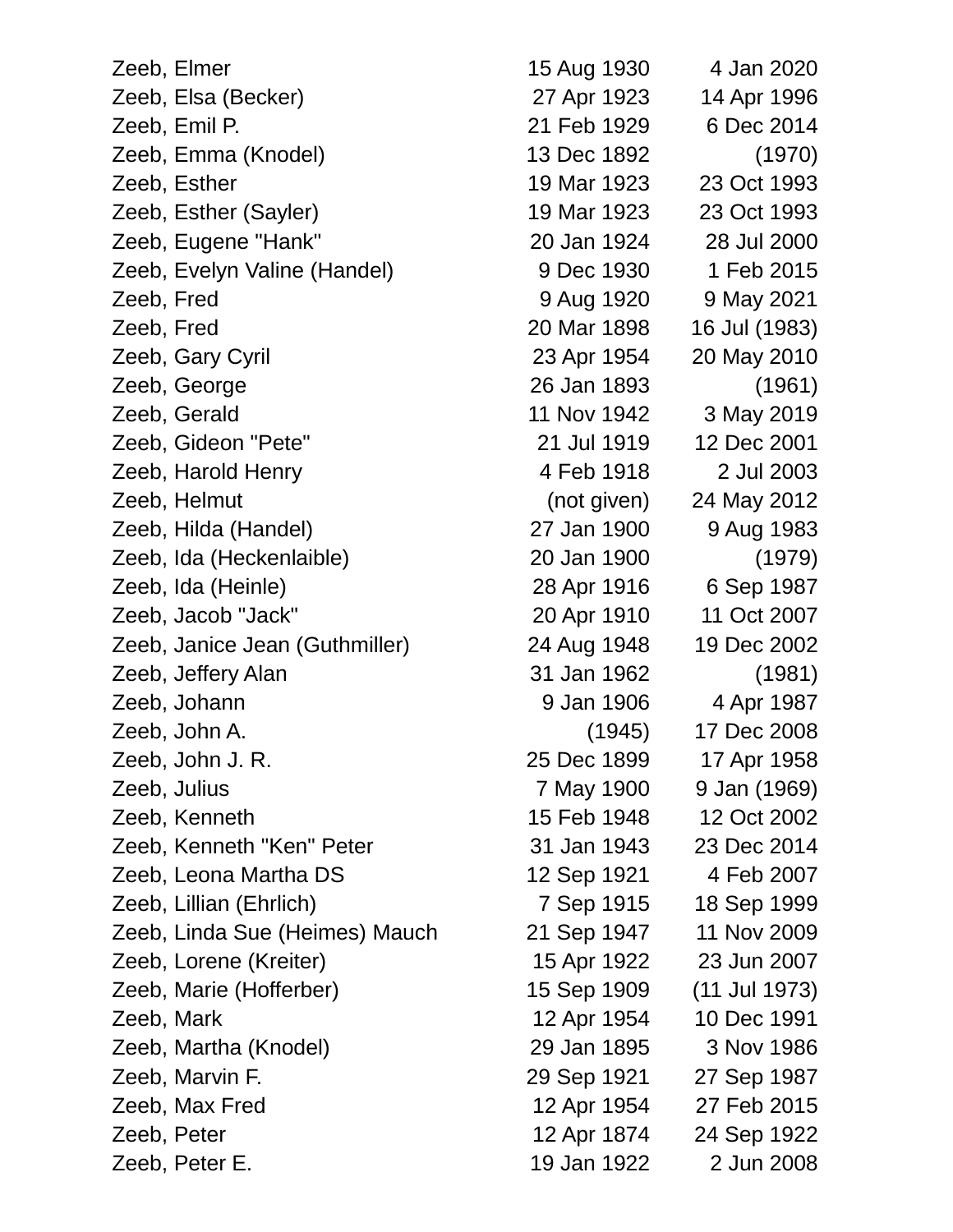| Zeeb, Elmer                    | 15 Aug 1930 | 4 Jan 2020    |
|--------------------------------|-------------|---------------|
| Zeeb, Elsa (Becker)            | 27 Apr 1923 | 14 Apr 1996   |
| Zeeb, Emil P.                  | 21 Feb 1929 | 6 Dec 2014    |
| Zeeb, Emma (Knodel)            | 13 Dec 1892 | (1970)        |
| Zeeb, Esther                   | 19 Mar 1923 | 23 Oct 1993   |
| Zeeb, Esther (Sayler)          | 19 Mar 1923 | 23 Oct 1993   |
| Zeeb, Eugene "Hank"            | 20 Jan 1924 | 28 Jul 2000   |
| Zeeb, Evelyn Valine (Handel)   | 9 Dec 1930  | 1 Feb 2015    |
| Zeeb, Fred                     | 9 Aug 1920  | 9 May 2021    |
| Zeeb, Fred                     | 20 Mar 1898 | 16 Jul (1983) |
| Zeeb, Gary Cyril               | 23 Apr 1954 | 20 May 2010   |
| Zeeb, George                   | 26 Jan 1893 | (1961)        |
| Zeeb, Gerald                   | 11 Nov 1942 | 3 May 2019    |
| Zeeb, Gideon "Pete"            | 21 Jul 1919 | 12 Dec 2001   |
| Zeeb, Harold Henry             | 4 Feb 1918  | 2 Jul 2003    |
| Zeeb, Helmut                   | (not given) | 24 May 2012   |
| Zeeb, Hilda (Handel)           | 27 Jan 1900 | 9 Aug 1983    |
| Zeeb, Ida (Heckenlaible)       | 20 Jan 1900 | (1979)        |
| Zeeb, Ida (Heinle)             | 28 Apr 1916 | 6 Sep 1987    |
| Zeeb, Jacob "Jack"             | 20 Apr 1910 | 11 Oct 2007   |
| Zeeb, Janice Jean (Guthmiller) | 24 Aug 1948 | 19 Dec 2002   |
| Zeeb, Jeffery Alan             | 31 Jan 1962 | (1981)        |
| Zeeb, Johann                   | 9 Jan 1906  | 4 Apr 1987    |
| Zeeb, John A.                  | (1945)      | 17 Dec 2008   |
| Zeeb, John J. R.               | 25 Dec 1899 | 17 Apr 1958   |
| Zeeb, Julius                   | 7 May 1900  | 9 Jan (1969)  |
| Zeeb, Kenneth                  | 15 Feb 1948 | 12 Oct 2002   |
| Zeeb, Kenneth "Ken" Peter      | 31 Jan 1943 | 23 Dec 2014   |
| Zeeb, Leona Martha DS          | 12 Sep 1921 | 4 Feb 2007    |
| Zeeb, Lillian (Ehrlich)        | 7 Sep 1915  | 18 Sep 1999   |
| Zeeb, Linda Sue (Heimes) Mauch | 21 Sep 1947 | 11 Nov 2009   |
| Zeeb, Lorene (Kreiter)         | 15 Apr 1922 | 23 Jun 2007   |
| Zeeb, Marie (Hofferber)        | 15 Sep 1909 | (11 Jul 1973) |
| Zeeb, Mark                     | 12 Apr 1954 | 10 Dec 1991   |
| Zeeb, Martha (Knodel)          | 29 Jan 1895 | 3 Nov 1986    |
| Zeeb, Marvin F.                | 29 Sep 1921 | 27 Sep 1987   |
| Zeeb, Max Fred                 | 12 Apr 1954 | 27 Feb 2015   |
| Zeeb, Peter                    | 12 Apr 1874 | 24 Sep 1922   |
| Zeeb, Peter E.                 | 19 Jan 1922 | 2 Jun 2008    |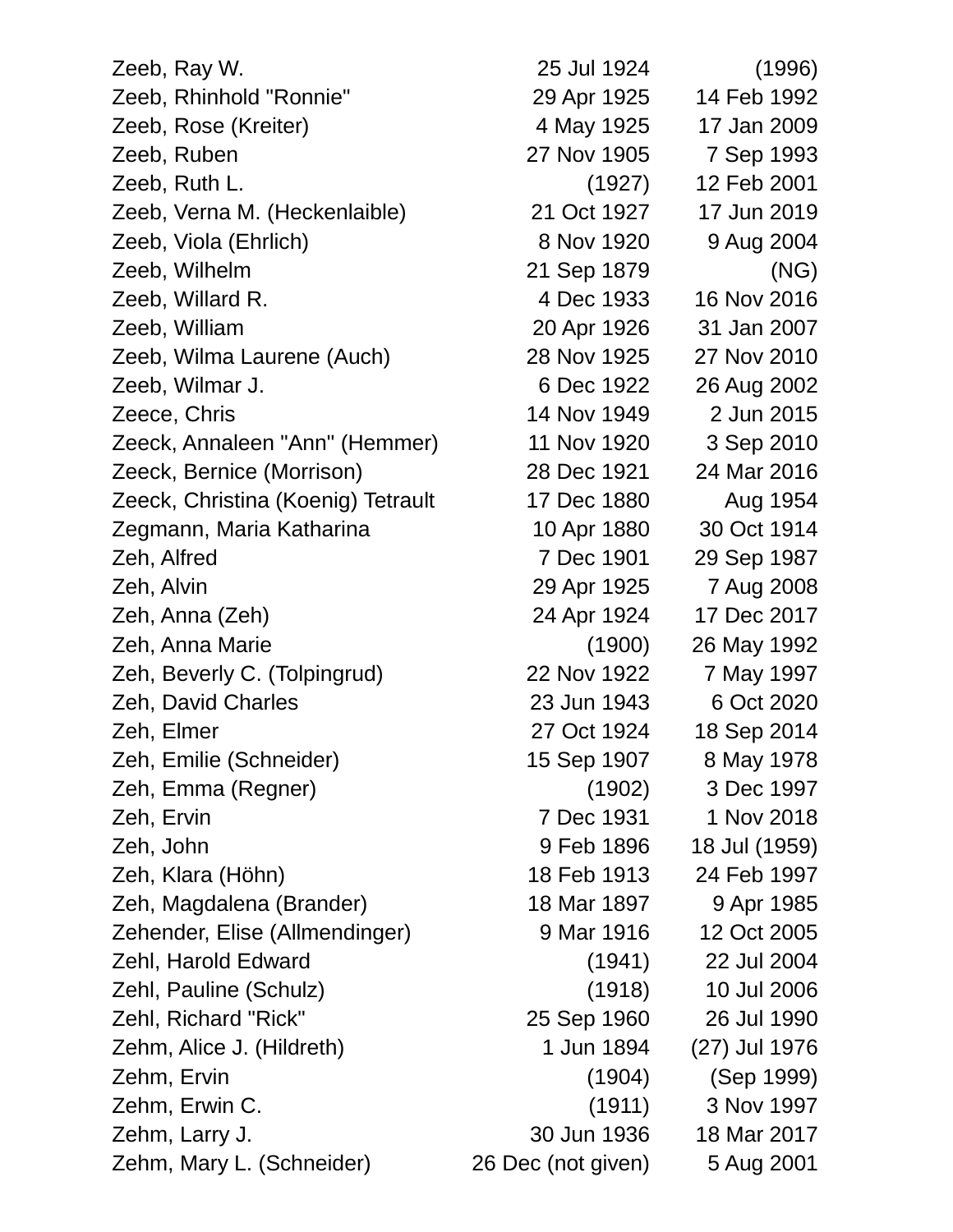| Zeeb, Ray W.                       | 25 Jul 1924        | (1996)        |
|------------------------------------|--------------------|---------------|
| Zeeb, Rhinhold "Ronnie"            | 29 Apr 1925        | 14 Feb 1992   |
| Zeeb, Rose (Kreiter)               | 4 May 1925         | 17 Jan 2009   |
| Zeeb, Ruben                        | 27 Nov 1905        | 7 Sep 1993    |
| Zeeb, Ruth L.                      | (1927)             | 12 Feb 2001   |
| Zeeb, Verna M. (Heckenlaible)      | 21 Oct 1927        | 17 Jun 2019   |
| Zeeb, Viola (Ehrlich)              | 8 Nov 1920         | 9 Aug 2004    |
| Zeeb, Wilhelm                      | 21 Sep 1879        | (NG)          |
| Zeeb, Willard R.                   | 4 Dec 1933         | 16 Nov 2016   |
| Zeeb, William                      | 20 Apr 1926        | 31 Jan 2007   |
| Zeeb, Wilma Laurene (Auch)         | 28 Nov 1925        | 27 Nov 2010   |
| Zeeb, Wilmar J.                    | 6 Dec 1922         | 26 Aug 2002   |
| Zeece, Chris                       | 14 Nov 1949        | 2 Jun 2015    |
| Zeeck, Annaleen "Ann" (Hemmer)     | 11 Nov 1920        | 3 Sep 2010    |
| Zeeck, Bernice (Morrison)          | 28 Dec 1921        | 24 Mar 2016   |
| Zeeck, Christina (Koenig) Tetrault | 17 Dec 1880        | Aug 1954      |
| Zegmann, Maria Katharina           | 10 Apr 1880        | 30 Oct 1914   |
| Zeh, Alfred                        | 7 Dec 1901         | 29 Sep 1987   |
| Zeh, Alvin                         | 29 Apr 1925        | 7 Aug 2008    |
| Zeh, Anna (Zeh)                    | 24 Apr 1924        | 17 Dec 2017   |
| Zeh, Anna Marie                    | (1900)             | 26 May 1992   |
| Zeh, Beverly C. (Tolpingrud)       | 22 Nov 1922        | 7 May 1997    |
| Zeh, David Charles                 | 23 Jun 1943        | 6 Oct 2020    |
| Zeh, Elmer                         | 27 Oct 1924        | 18 Sep 2014   |
| Zeh, Emilie (Schneider)            | 15 Sep 1907        | 8 May 1978    |
| Zeh, Emma (Regner)                 | (1902)             | 3 Dec 1997    |
| Zeh, Ervin                         | 7 Dec 1931         | 1 Nov 2018    |
| Zeh, John                          | 9 Feb 1896         | 18 Jul (1959) |
| Zeh, Klara (Höhn)                  | 18 Feb 1913        | 24 Feb 1997   |
| Zeh, Magdalena (Brander)           | 18 Mar 1897        | 9 Apr 1985    |
| Zehender, Elise (Allmendinger)     | 9 Mar 1916         | 12 Oct 2005   |
| Zehl, Harold Edward                | (1941)             | 22 Jul 2004   |
| Zehl, Pauline (Schulz)             | (1918)             | 10 Jul 2006   |
| Zehl, Richard "Rick"               | 25 Sep 1960        | 26 Jul 1990   |
| Zehm, Alice J. (Hildreth)          | 1 Jun 1894         | (27) Jul 1976 |
| Zehm, Ervin                        | (1904)             | (Sep 1999)    |
| Zehm, Erwin C.                     | (1911)             | 3 Nov 1997    |
| Zehm, Larry J.                     | 30 Jun 1936        | 18 Mar 2017   |
| Zehm, Mary L. (Schneider)          | 26 Dec (not given) | 5 Aug 2001    |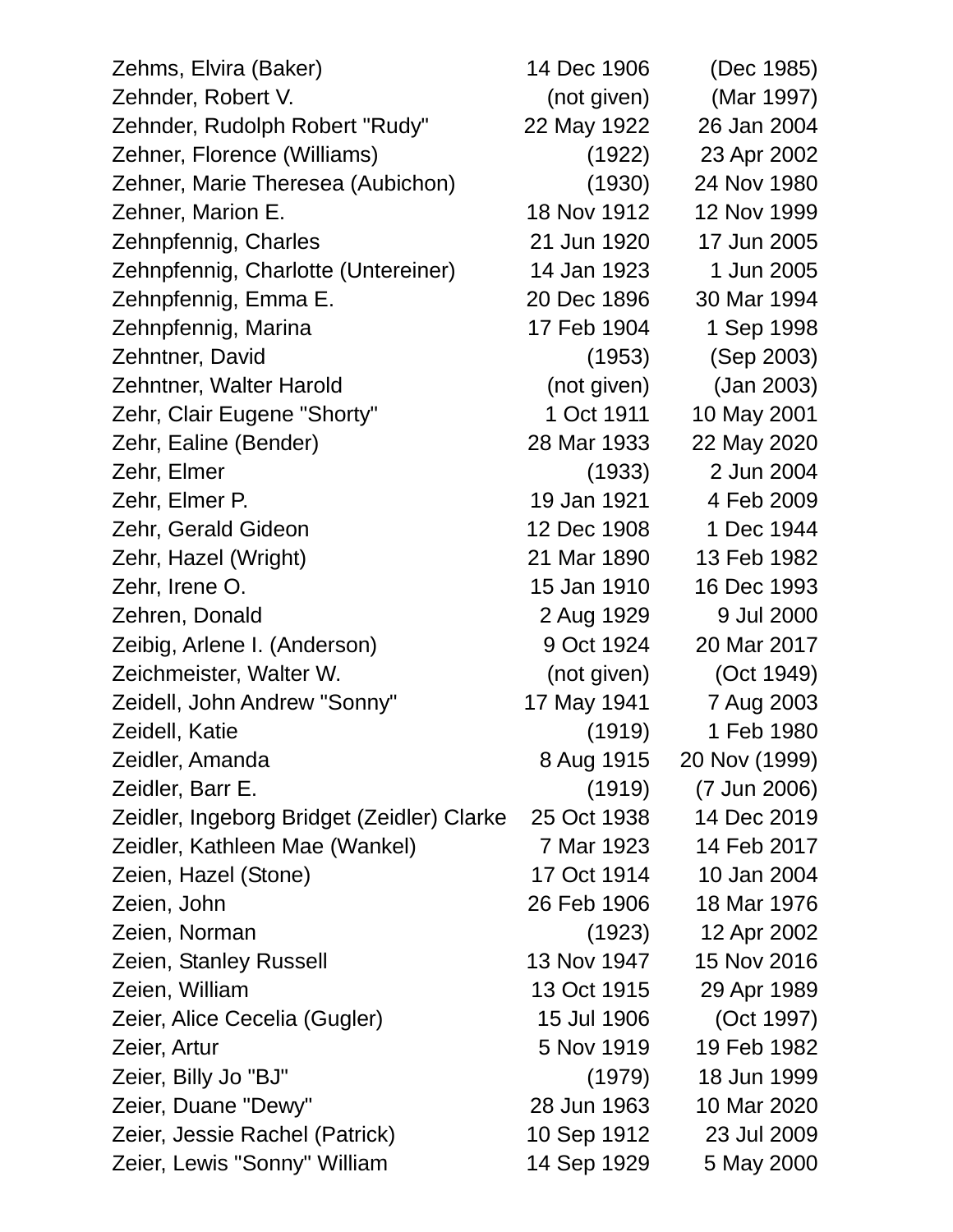| Zehms, Elvira (Baker)                      | 14 Dec 1906 | (Dec 1985)    |
|--------------------------------------------|-------------|---------------|
| Zehnder, Robert V.                         | (not given) | (Mar 1997)    |
| Zehnder, Rudolph Robert "Rudy"             | 22 May 1922 | 26 Jan 2004   |
| Zehner, Florence (Williams)                | (1922)      | 23 Apr 2002   |
| Zehner, Marie Theresea (Aubichon)          | (1930)      | 24 Nov 1980   |
| Zehner, Marion E.                          | 18 Nov 1912 | 12 Nov 1999   |
| Zehnpfennig, Charles                       | 21 Jun 1920 | 17 Jun 2005   |
| Zehnpfennig, Charlotte (Untereiner)        | 14 Jan 1923 | 1 Jun 2005    |
| Zehnpfennig, Emma E.                       | 20 Dec 1896 | 30 Mar 1994   |
| Zehnpfennig, Marina                        | 17 Feb 1904 | 1 Sep 1998    |
| Zehntner, David                            | (1953)      | (Sep 2003)    |
| Zehntner, Walter Harold                    | (not given) | (Jan 2003)    |
| Zehr, Clair Eugene "Shorty"                | 1 Oct 1911  | 10 May 2001   |
| Zehr, Ealine (Bender)                      | 28 Mar 1933 | 22 May 2020   |
| Zehr, Elmer                                | (1933)      | 2 Jun 2004    |
| Zehr, Elmer P.                             | 19 Jan 1921 | 4 Feb 2009    |
| Zehr, Gerald Gideon                        | 12 Dec 1908 | 1 Dec 1944    |
| Zehr, Hazel (Wright)                       | 21 Mar 1890 | 13 Feb 1982   |
| Zehr, Irene O.                             | 15 Jan 1910 | 16 Dec 1993   |
| Zehren, Donald                             | 2 Aug 1929  | 9 Jul 2000    |
| Zeibig, Arlene I. (Anderson)               | 9 Oct 1924  | 20 Mar 2017   |
| Zeichmeister, Walter W.                    | (not given) | (Oct 1949)    |
| Zeidell, John Andrew "Sonny"               | 17 May 1941 | 7 Aug 2003    |
| Zeidell, Katie                             | (1919)      | 1 Feb 1980    |
| Zeidler, Amanda                            | 8 Aug 1915  | 20 Nov (1999) |
| Zeidler, Barr E.                           | (1919)      | (7 Jun 2006)  |
| Zeidler, Ingeborg Bridget (Zeidler) Clarke | 25 Oct 1938 | 14 Dec 2019   |
| Zeidler, Kathleen Mae (Wankel)             | 7 Mar 1923  | 14 Feb 2017   |
| Zeien, Hazel (Stone)                       | 17 Oct 1914 | 10 Jan 2004   |
| Zeien, John                                | 26 Feb 1906 | 18 Mar 1976   |
| Zeien, Norman                              | (1923)      | 12 Apr 2002   |
| Zeien, Stanley Russell                     | 13 Nov 1947 | 15 Nov 2016   |
| Zeien, William                             | 13 Oct 1915 | 29 Apr 1989   |
| Zeier, Alice Cecelia (Gugler)              | 15 Jul 1906 | (Oct 1997)    |
| Zeier, Artur                               | 5 Nov 1919  | 19 Feb 1982   |
| Zeier, Billy Jo "BJ"                       | (1979)      | 18 Jun 1999   |
| Zeier, Duane "Dewy"                        | 28 Jun 1963 | 10 Mar 2020   |
| Zeier, Jessie Rachel (Patrick)             | 10 Sep 1912 | 23 Jul 2009   |
| Zeier, Lewis "Sonny" William               | 14 Sep 1929 | 5 May 2000    |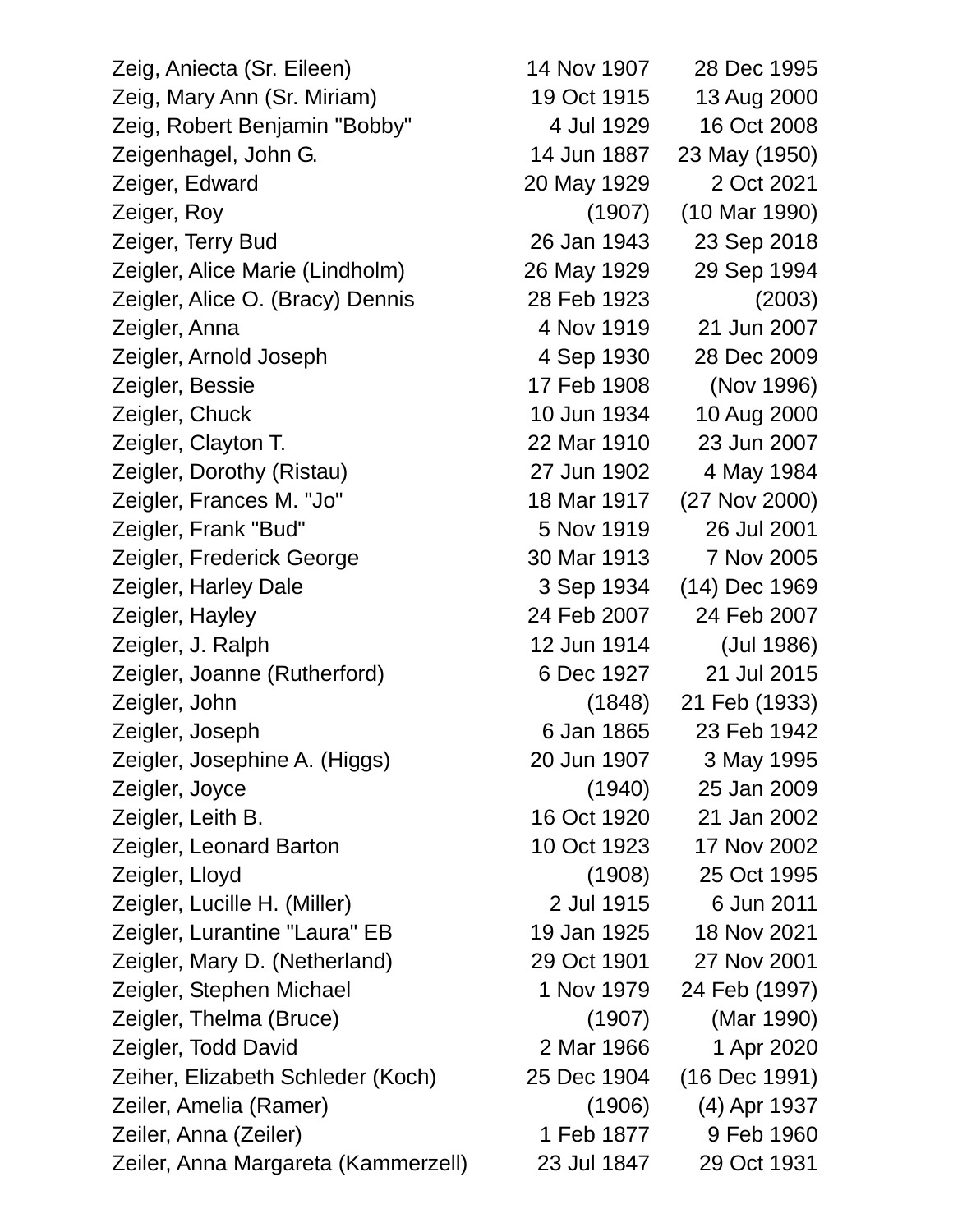Zeig, Aniecta (Sr. Eileen) 14 Nov 1907 28 Dec 1995 Zeig, Mary Ann (Sr. Miriam) 19 Oct 1915 13 Aug 2000 Zeig, Robert Benjamin "Bobby" 4 Jul 1929 16 Oct 2008 Zeigenhagel, John G. 14 Jun 1887 23 May (1950) Zeiger, Edward 20 May 1929 2 Oct 2021 Zeiger, Roy (1907) (10 Mar 1990) Zeiger, Terry Bud 26 Jan 1943 23 Sep 2018 Zeigler, Alice Marie (Lindholm) 26 May 1929 29 Sep 1994 Zeigler, Alice O. (Bracy) Dennis 28 Feb 1923 (2003) Zeigler, Anna 4 Nov 1919 21 Jun 2007 Zeigler, Arnold Joseph 4 Sep 1930 28 Dec 2009 Zeigler, Bessie 17 Feb 1908 (Nov 1996) Zeigler, Chuck 10 Jun 1934 10 Aug 2000 Zeigler, Clayton T. 22 Mar 1910 23 Jun 2007 Zeigler, Dorothy (Ristau) 27 Jun 1902 4 May 1984 Zeigler, Frances M. "Jo" 18 Mar 1917 (27 Nov 2000) Zeigler, Frank "Bud" 5 Nov 1919 26 Jul 2001 Zeigler, Frederick George 30 Mar 1913 7 Nov 2005 Zeigler, Harley Dale 3 Sep 1934 (14) Dec 1969 Zeigler, Hayley 24 Feb 2007 24 Feb 2007 Zeigler, J. Ralph 12 Jun 1914 (Jul 1986) Zeigler, Joanne (Rutherford) 6 Dec 1927 21 Jul 2015 Zeigler, John (1848) 21 Feb (1933) Zeigler, Joseph 6 Jan 1865 23 Feb 1942 Zeigler, Josephine A. (Higgs) 20 Jun 1907 3 May 1995 Zeigler, Joyce (1940) 25 Jan 2009 Zeigler, Leith B. 16 Oct 1920 21 Jan 2002 Zeigler, Leonard Barton 10 Oct 1923 17 Nov 2002 Zeigler, Lloyd (1908) 25 Oct 1995 Zeigler, Lucille H. (Miller) 2 Jul 1915 6 Jun 2011 Zeigler, Lurantine "Laura" EB 19 Jan 1925 18 Nov 2021 Zeigler, Mary D. (Netherland) 29 Oct 1901 27 Nov 2001 Zeigler, Stephen Michael 1 Nov 1979 24 Feb (1997) Zeigler, Thelma (Bruce) (1907) (Mar 1990) Zeigler, Todd David 2 Mar 1966 1 Apr 2020 Zeiher, Elizabeth Schleder (Koch) 25 Dec 1904 (16 Dec 1991) Zeiler, Amelia (Ramer) (1906) (4) Apr 1937 Zeiler, Anna (Zeiler) 1 Feb 1877 9 Feb 1960 Zeiler, Anna Margareta (Kammerzell) 23 Jul 1847 29 Oct 1931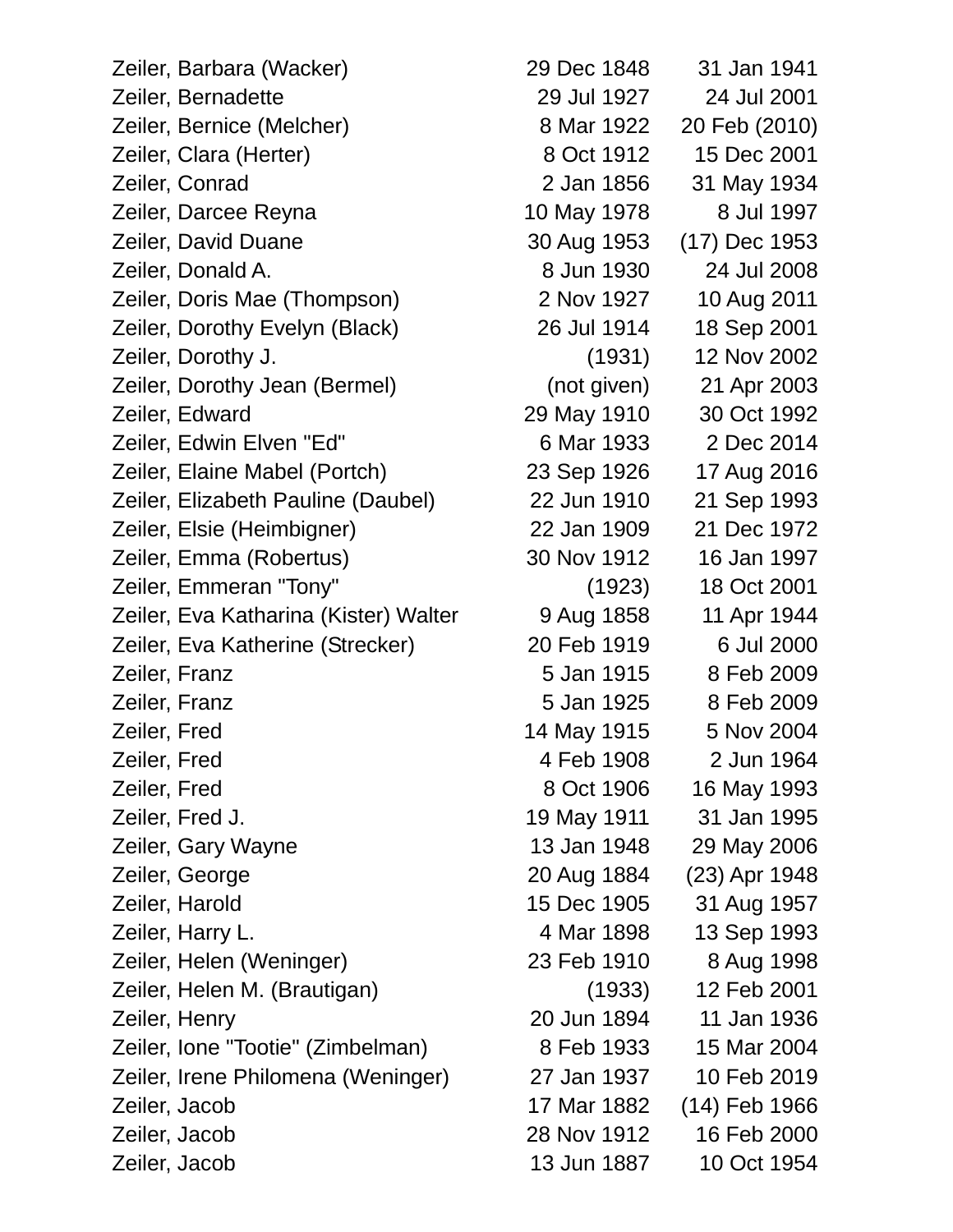Zeiler, Barbara (Wacker) 29 Dec 1848 31 Jan 1941 Zeiler, Bernadette 29 Jul 1927 24 Jul 2001 Zeiler, Bernice (Melcher) 8 Mar 1922 20 Feb (2010) Zeiler, Clara (Herter) 8 Oct 1912 15 Dec 2001 Zeiler, Conrad 2 Jan 1856 31 May 1934 Zeiler, Darcee Reyna 10 May 1978 8 Jul 1997 Zeiler, David Duane 30 Aug 1953 (17) Dec 1953 Zeiler, Donald A. 8 Jun 1930 24 Jul 2008 Zeiler, Doris Mae (Thompson) 2 Nov 1927 10 Aug 2011 Zeiler, Dorothy Evelyn (Black) 26 Jul 1914 18 Sep 2001 Zeiler, Dorothy J. (1931) 12 Nov 2002 Zeiler, Dorothy Jean (Bermel) (not given) 21 Apr 2003 Zeiler, Edward 29 May 1910 30 Oct 1992 Zeiler, Edwin Elven "Ed" 6 Mar 1933 2 Dec 2014 Zeiler, Elaine Mabel (Portch) 23 Sep 1926 17 Aug 2016 Zeiler, Elizabeth Pauline (Daubel) 22 Jun 1910 21 Sep 1993 Zeiler, Elsie (Heimbigner) 22 Jan 1909 21 Dec 1972 Zeiler, Emma (Robertus) 30 Nov 1912 16 Jan 1997 Zeiler, Emmeran "Tony" (1923) 18 Oct 2001 Zeiler, Eva Katharina (Kister) Walter 9 Aug 1858 11 Apr 1944 Zeiler, Eva Katherine (Strecker) 20 Feb 1919 6 Jul 2000 Zeiler, Franz 5 Jan 1915 8 Feb 2009 Zeiler, Franz 5 Jan 1925 8 Feb 2009 Zeiler, Fred 14 May 1915 5 Nov 2004 Zeiler, Fred 4 Feb 1908 2 Jun 1964 Zeiler, Fred 8 Oct 1906 16 May 1993 Zeiler, Fred J. 19 May 1911 31 Jan 1995 Zeiler, Gary Wayne 13 Jan 1948 29 May 2006 Zeiler, George 20 Aug 1884 (23) Apr 1948 Zeiler, Harold 15 Dec 1905 31 Aug 1957 Zeiler, Harry L. 4 Mar 1898 13 Sep 1993 Zeiler, Helen (Weninger) 23 Feb 1910 8 Aug 1998 Zeiler, Helen M. (Brautigan) (1933) 12 Feb 2001 Zeiler, Henry 20 Jun 1894 11 Jan 1936 Zeiler, Ione "Tootie" (Zimbelman) 8 Feb 1933 15 Mar 2004 Zeiler, Irene Philomena (Weninger) 27 Jan 1937 10 Feb 2019 Zeiler, Jacob 17 Mar 1882 (14) Feb 1966 Zeiler, Jacob 28 Nov 1912 16 Feb 2000 Zeiler, Jacob 13 Jun 1887 10 Oct 1954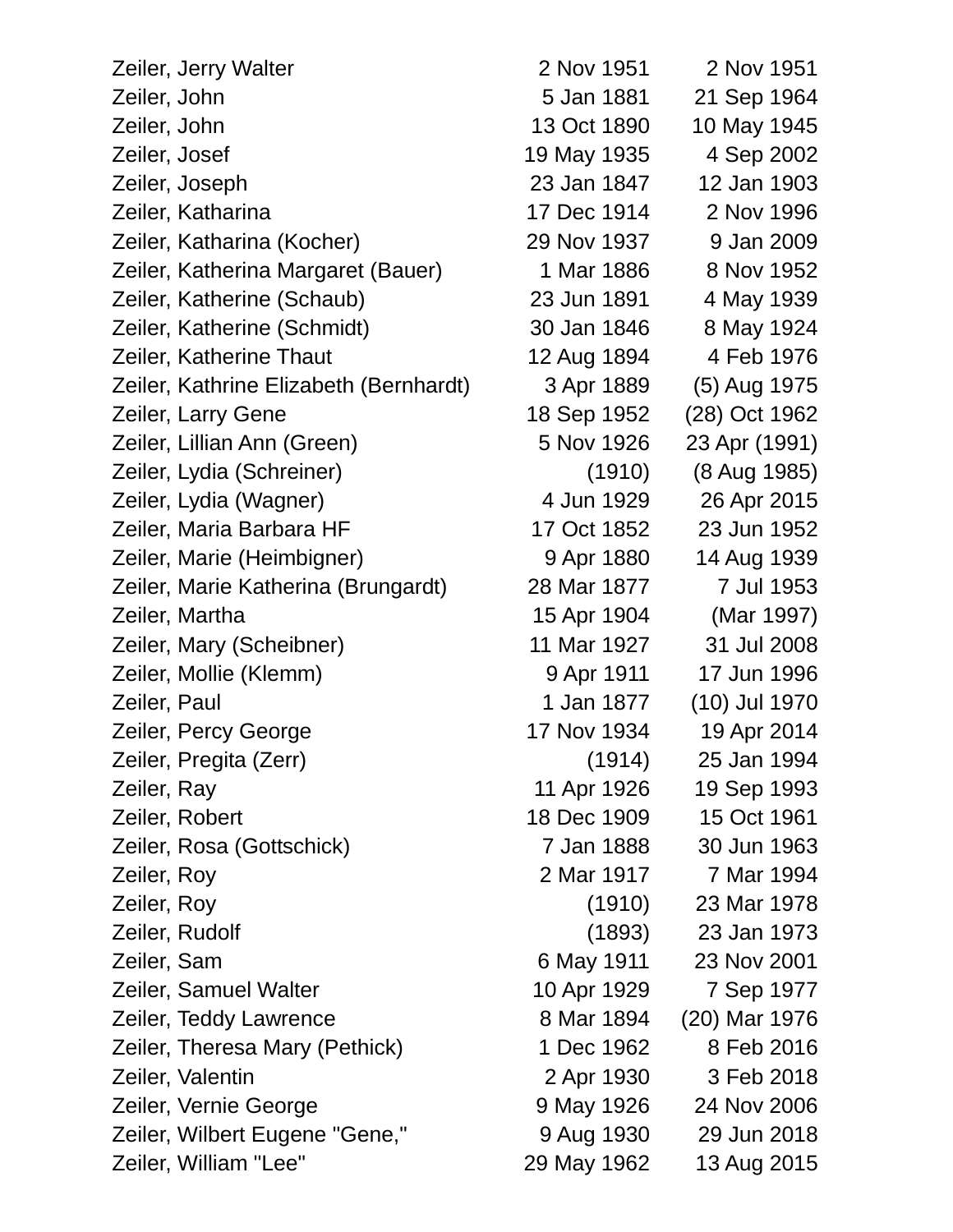| Zeiler, Jerry Walter                   | 2 Nov 1951  | 2 Nov 1951    |
|----------------------------------------|-------------|---------------|
| Zeiler, John                           | 5 Jan 1881  | 21 Sep 1964   |
| Zeiler, John                           | 13 Oct 1890 | 10 May 1945   |
| Zeiler, Josef                          | 19 May 1935 | 4 Sep 2002    |
| Zeiler, Joseph                         | 23 Jan 1847 | 12 Jan 1903   |
| Zeiler, Katharina                      | 17 Dec 1914 | 2 Nov 1996    |
| Zeiler, Katharina (Kocher)             | 29 Nov 1937 | 9 Jan 2009    |
| Zeiler, Katherina Margaret (Bauer)     | 1 Mar 1886  | 8 Nov 1952    |
| Zeiler, Katherine (Schaub)             | 23 Jun 1891 | 4 May 1939    |
| Zeiler, Katherine (Schmidt)            | 30 Jan 1846 | 8 May 1924    |
| Zeiler, Katherine Thaut                | 12 Aug 1894 | 4 Feb 1976    |
| Zeiler, Kathrine Elizabeth (Bernhardt) | 3 Apr 1889  | (5) Aug 1975  |
| Zeiler, Larry Gene                     | 18 Sep 1952 | (28) Oct 1962 |
| Zeiler, Lillian Ann (Green)            | 5 Nov 1926  | 23 Apr (1991) |
| Zeiler, Lydia (Schreiner)              | (1910)      | (8 Aug 1985)  |
| Zeiler, Lydia (Wagner)                 | 4 Jun 1929  | 26 Apr 2015   |
| Zeiler, Maria Barbara HF               | 17 Oct 1852 | 23 Jun 1952   |
| Zeiler, Marie (Heimbigner)             | 9 Apr 1880  | 14 Aug 1939   |
| Zeiler, Marie Katherina (Brungardt)    | 28 Mar 1877 | 7 Jul 1953    |
| Zeiler, Martha                         | 15 Apr 1904 | (Mar 1997)    |
| Zeiler, Mary (Scheibner)               | 11 Mar 1927 | 31 Jul 2008   |
| Zeiler, Mollie (Klemm)                 | 9 Apr 1911  | 17 Jun 1996   |
| Zeiler, Paul                           | 1 Jan 1877  | (10) Jul 1970 |
| Zeiler, Percy George                   | 17 Nov 1934 | 19 Apr 2014   |
| Zeiler, Pregita (Zerr)                 | (1914)      | 25 Jan 1994   |
| Zeiler, Ray                            | 11 Apr 1926 | 19 Sep 1993   |
| Zeiler, Robert                         | 18 Dec 1909 | 15 Oct 1961   |
| Zeiler, Rosa (Gottschick)              | 7 Jan 1888  | 30 Jun 1963   |
| Zeiler, Roy                            | 2 Mar 1917  | 7 Mar 1994    |
| Zeiler, Roy                            | (1910)      | 23 Mar 1978   |
| Zeiler, Rudolf                         | (1893)      | 23 Jan 1973   |
| Zeiler, Sam                            | 6 May 1911  | 23 Nov 2001   |
| Zeiler, Samuel Walter                  | 10 Apr 1929 | 7 Sep 1977    |
| Zeiler, Teddy Lawrence                 | 8 Mar 1894  | (20) Mar 1976 |
| Zeiler, Theresa Mary (Pethick)         | 1 Dec 1962  | 8 Feb 2016    |
| Zeiler, Valentin                       | 2 Apr 1930  | 3 Feb 2018    |
| Zeiler, Vernie George                  | 9 May 1926  | 24 Nov 2006   |
| Zeiler, Wilbert Eugene "Gene,"         | 9 Aug 1930  | 29 Jun 2018   |
| Zeiler, William "Lee"                  | 29 May 1962 | 13 Aug 2015   |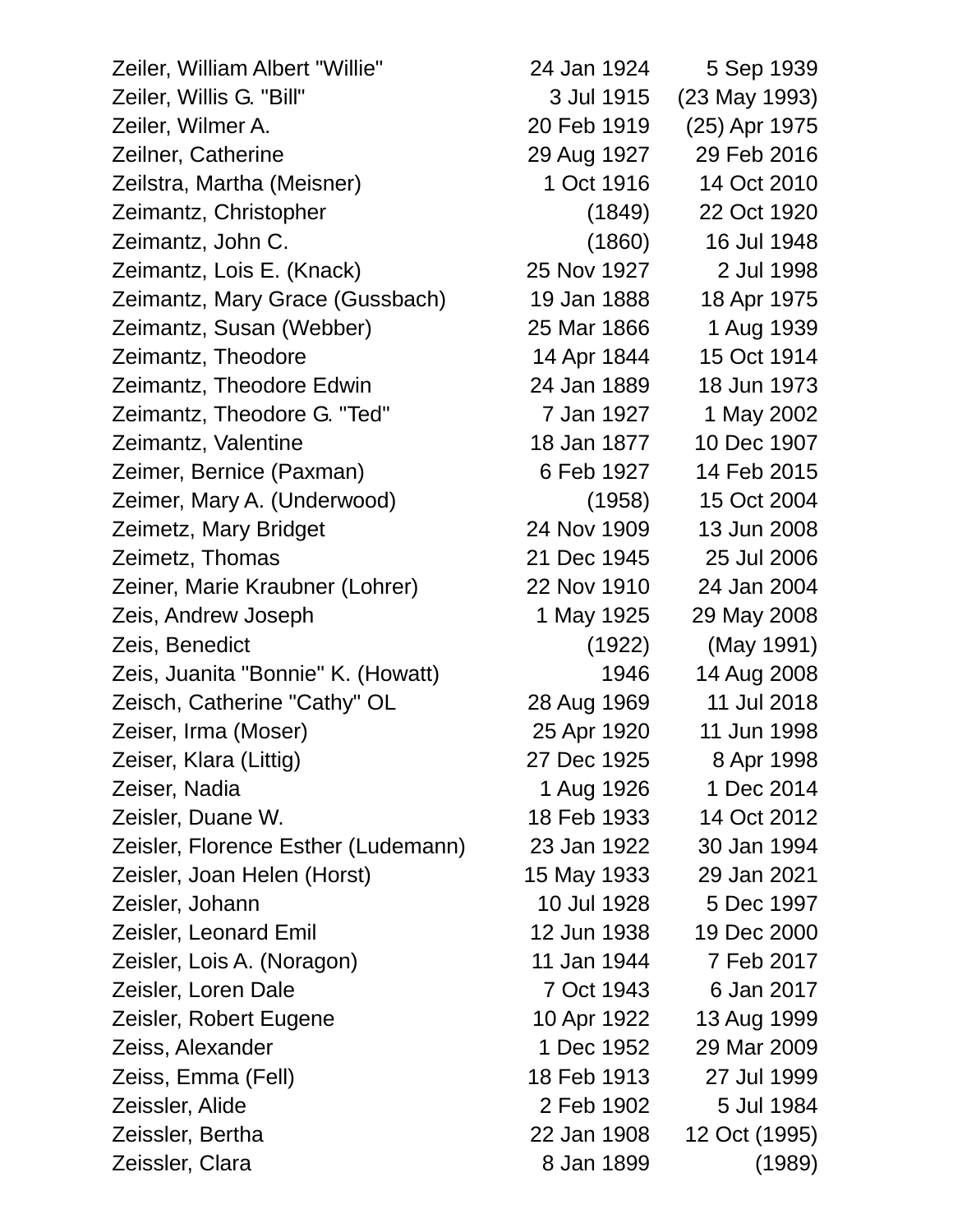| Zeiler, William Albert "Willie"     | 24 Jan 1924 | 5 Sep 1939    |
|-------------------------------------|-------------|---------------|
| Zeiler, Willis G. "Bill"            | 3 Jul 1915  | (23 May 1993) |
| Zeiler, Wilmer A.                   | 20 Feb 1919 | (25) Apr 1975 |
| Zeilner, Catherine                  | 29 Aug 1927 | 29 Feb 2016   |
| Zeilstra, Martha (Meisner)          | 1 Oct 1916  | 14 Oct 2010   |
| Zeimantz, Christopher               | (1849)      | 22 Oct 1920   |
| Zeimantz, John C.                   | (1860)      | 16 Jul 1948   |
| Zeimantz, Lois E. (Knack)           | 25 Nov 1927 | 2 Jul 1998    |
| Zeimantz, Mary Grace (Gussbach)     | 19 Jan 1888 | 18 Apr 1975   |
| Zeimantz, Susan (Webber)            | 25 Mar 1866 | 1 Aug 1939    |
| Zeimantz, Theodore                  | 14 Apr 1844 | 15 Oct 1914   |
| Zeimantz, Theodore Edwin            | 24 Jan 1889 | 18 Jun 1973   |
| Zeimantz, Theodore G. "Ted"         | 7 Jan 1927  | 1 May 2002    |
| Zeimantz, Valentine                 | 18 Jan 1877 | 10 Dec 1907   |
| Zeimer, Bernice (Paxman)            | 6 Feb 1927  | 14 Feb 2015   |
| Zeimer, Mary A. (Underwood)         | (1958)      | 15 Oct 2004   |
| Zeimetz, Mary Bridget               | 24 Nov 1909 | 13 Jun 2008   |
| Zeimetz, Thomas                     | 21 Dec 1945 | 25 Jul 2006   |
| Zeiner, Marie Kraubner (Lohrer)     | 22 Nov 1910 | 24 Jan 2004   |
| Zeis, Andrew Joseph                 | 1 May 1925  | 29 May 2008   |
| Zeis, Benedict                      | (1922)      | (May 1991)    |
| Zeis, Juanita "Bonnie" K. (Howatt)  | 1946        | 14 Aug 2008   |
| Zeisch, Catherine "Cathy" OL        | 28 Aug 1969 | 11 Jul 2018   |
| Zeiser, Irma (Moser)                | 25 Apr 1920 | 11 Jun 1998   |
| Zeiser, Klara (Littig)              | 27 Dec 1925 | 8 Apr 1998    |
| Zeiser, Nadia                       | 1 Aug 1926  | 1 Dec 2014    |
| Zeisler, Duane W.                   | 18 Feb 1933 | 14 Oct 2012   |
| Zeisler, Florence Esther (Ludemann) | 23 Jan 1922 | 30 Jan 1994   |
| Zeisler, Joan Helen (Horst)         | 15 May 1933 | 29 Jan 2021   |
| Zeisler, Johann                     | 10 Jul 1928 | 5 Dec 1997    |
| <b>Zeisler, Leonard Emil</b>        | 12 Jun 1938 | 19 Dec 2000   |
| Zeisler, Lois A. (Noragon)          | 11 Jan 1944 | 7 Feb 2017    |
| Zeisler, Loren Dale                 | 7 Oct 1943  | 6 Jan 2017    |
| Zeisler, Robert Eugene              | 10 Apr 1922 | 13 Aug 1999   |
| Zeiss, Alexander                    | 1 Dec 1952  | 29 Mar 2009   |
| Zeiss, Emma (Fell)                  | 18 Feb 1913 | 27 Jul 1999   |
| Zeissler, Alide                     | 2 Feb 1902  | 5 Jul 1984    |
| Zeissler, Bertha                    | 22 Jan 1908 | 12 Oct (1995) |
| Zeissler, Clara                     | 8 Jan 1899  | (1989)        |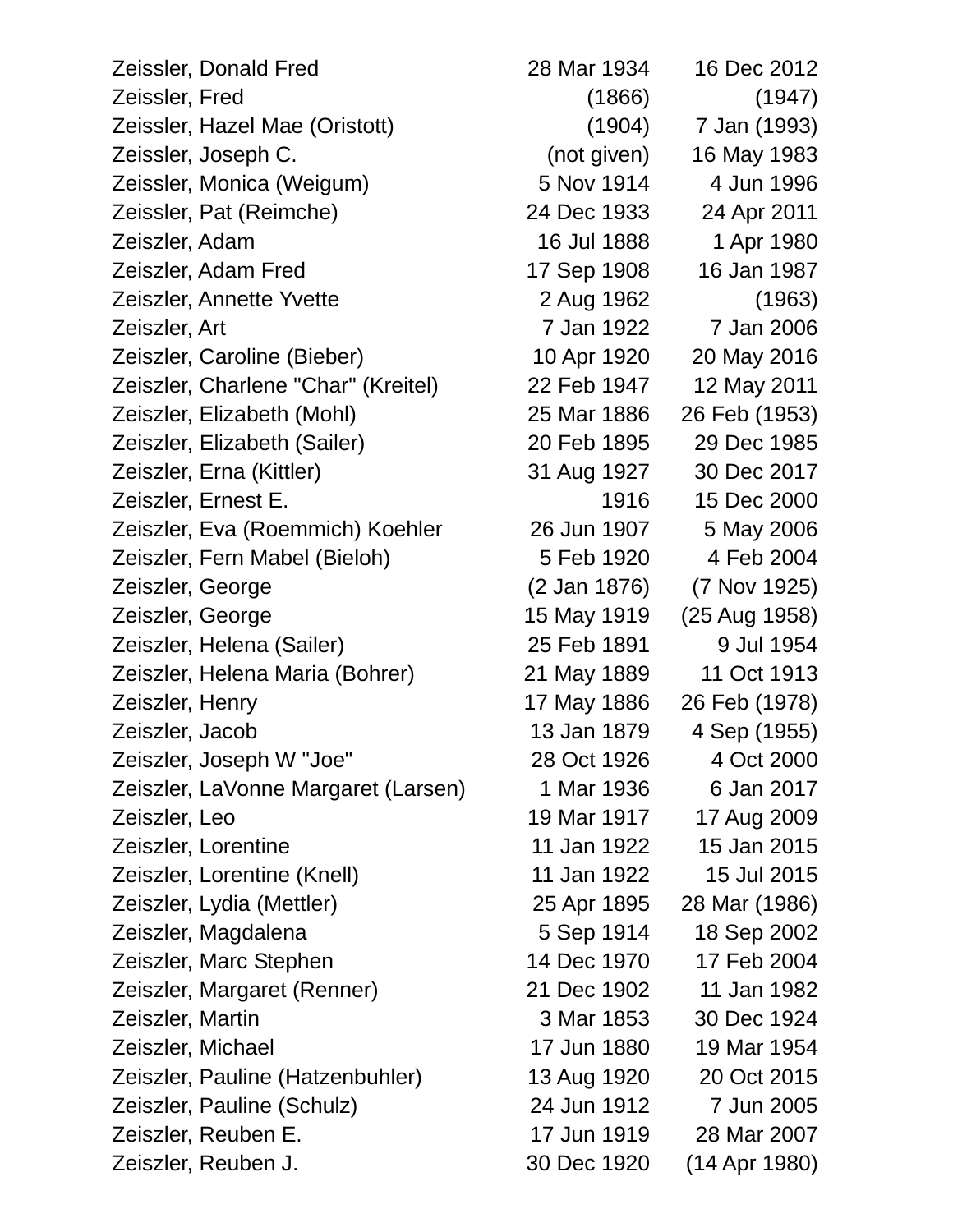| Zeissler, Donald Fred               | 28 Mar 1934  | 16 Dec 2012   |
|-------------------------------------|--------------|---------------|
| Zeissler, Fred                      | (1866)       | (1947)        |
| Zeissler, Hazel Mae (Oristott)      | (1904)       | 7 Jan (1993)  |
| Zeissler, Joseph C.                 | (not given)  | 16 May 1983   |
| Zeissler, Monica (Weigum)           | 5 Nov 1914   | 4 Jun 1996    |
| Zeissler, Pat (Reimche)             | 24 Dec 1933  | 24 Apr 2011   |
| Zeiszler, Adam                      | 16 Jul 1888  | 1 Apr 1980    |
| Zeiszler, Adam Fred                 | 17 Sep 1908  | 16 Jan 1987   |
| Zeiszler, Annette Yvette            | 2 Aug 1962   | (1963)        |
| Zeiszler, Art                       | 7 Jan 1922   | 7 Jan 2006    |
| Zeiszler, Caroline (Bieber)         | 10 Apr 1920  | 20 May 2016   |
| Zeiszler, Charlene "Char" (Kreitel) | 22 Feb 1947  | 12 May 2011   |
| Zeiszler, Elizabeth (Mohl)          | 25 Mar 1886  | 26 Feb (1953) |
| Zeiszler, Elizabeth (Sailer)        | 20 Feb 1895  | 29 Dec 1985   |
| Zeiszler, Erna (Kittler)            | 31 Aug 1927  | 30 Dec 2017   |
| Zeiszler, Ernest E.                 | 1916         | 15 Dec 2000   |
| Zeiszler, Eva (Roemmich) Koehler    | 26 Jun 1907  | 5 May 2006    |
| Zeiszler, Fern Mabel (Bieloh)       | 5 Feb 1920   | 4 Feb 2004    |
| Zeiszler, George                    | (2 Jan 1876) | (7 Nov 1925)  |
| Zeiszler, George                    | 15 May 1919  | (25 Aug 1958) |
| Zeiszler, Helena (Sailer)           | 25 Feb 1891  | 9 Jul 1954    |
| Zeiszler, Helena Maria (Bohrer)     | 21 May 1889  | 11 Oct 1913   |
| Zeiszler, Henry                     | 17 May 1886  | 26 Feb (1978) |
| Zeiszler, Jacob                     | 13 Jan 1879  | 4 Sep (1955)  |
| Zeiszler, Joseph W "Joe"            | 28 Oct 1926  | 4 Oct 2000    |
| Zeiszler, LaVonne Margaret (Larsen) | 1 Mar 1936   | 6 Jan 2017    |
| Zeiszler, Leo                       | 19 Mar 1917  | 17 Aug 2009   |
| Zeiszler, Lorentine                 | 11 Jan 1922  | 15 Jan 2015   |
| Zeiszler, Lorentine (Knell)         | 11 Jan 1922  | 15 Jul 2015   |
| Zeiszler, Lydia (Mettler)           | 25 Apr 1895  | 28 Mar (1986) |
| Zeiszler, Magdalena                 | 5 Sep 1914   | 18 Sep 2002   |
| Zeiszler, Marc Stephen              | 14 Dec 1970  | 17 Feb 2004   |
| Zeiszler, Margaret (Renner)         | 21 Dec 1902  | 11 Jan 1982   |
| Zeiszler, Martin                    | 3 Mar 1853   | 30 Dec 1924   |
| Zeiszler, Michael                   | 17 Jun 1880  | 19 Mar 1954   |
| Zeiszler, Pauline (Hatzenbuhler)    | 13 Aug 1920  | 20 Oct 2015   |
| Zeiszler, Pauline (Schulz)          | 24 Jun 1912  | 7 Jun 2005    |
| Zeiszler, Reuben E.                 | 17 Jun 1919  | 28 Mar 2007   |
| Zeiszler, Reuben J.                 | 30 Dec 1920  | (14 Apr 1980) |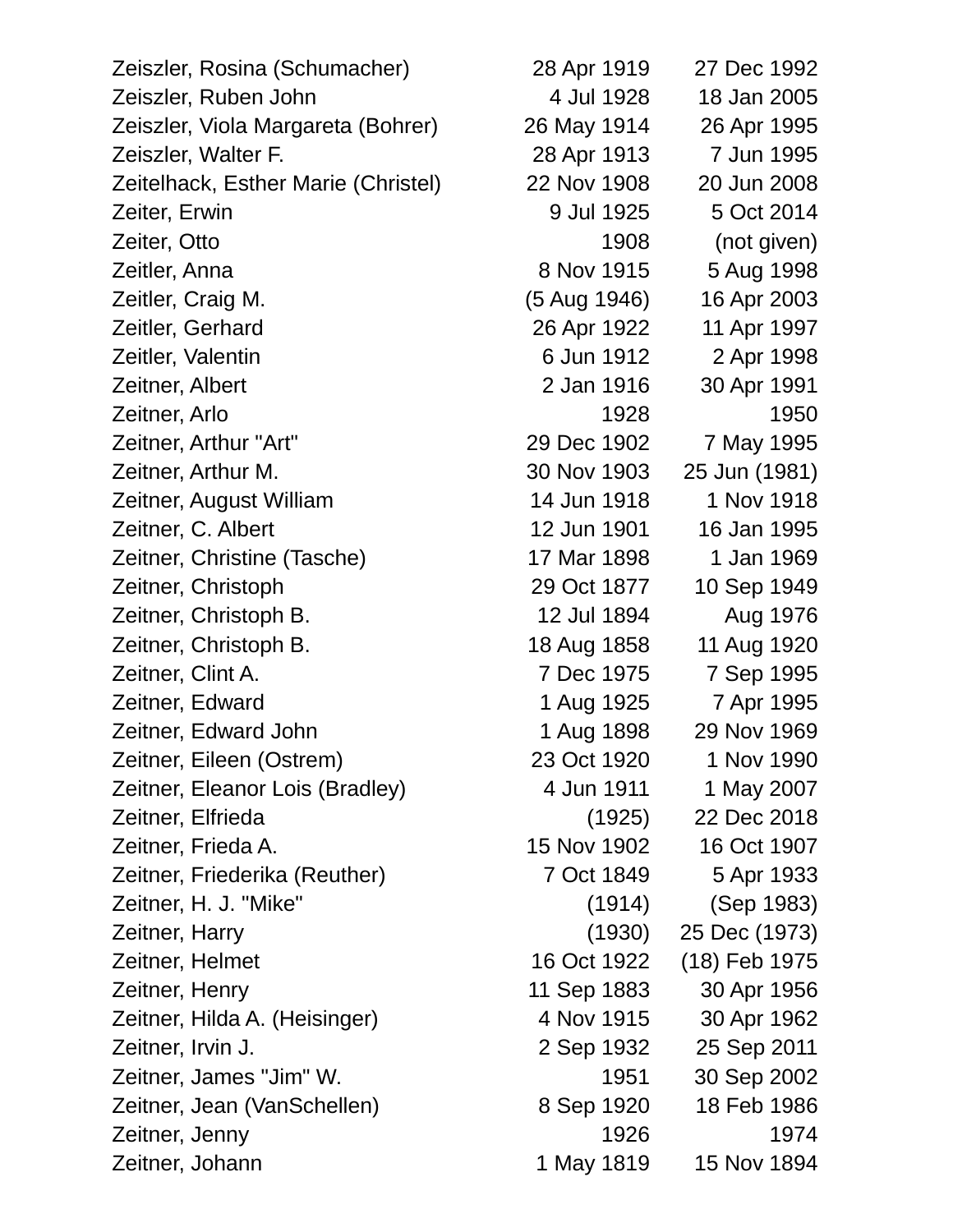| Zeiszler, Rosina (Schumacher)       | 28 Apr 1919  | 27 Dec 1992   |
|-------------------------------------|--------------|---------------|
| Zeiszler, Ruben John                | 4 Jul 1928   | 18 Jan 2005   |
| Zeiszler, Viola Margareta (Bohrer)  | 26 May 1914  | 26 Apr 1995   |
| Zeiszler, Walter F.                 | 28 Apr 1913  | 7 Jun 1995    |
| Zeitelhack, Esther Marie (Christel) | 22 Nov 1908  | 20 Jun 2008   |
| Zeiter, Erwin                       | 9 Jul 1925   | 5 Oct 2014    |
| Zeiter, Otto                        | 1908         | (not given)   |
| Zeitler, Anna                       | 8 Nov 1915   | 5 Aug 1998    |
| Zeitler, Craig M.                   | (5 Aug 1946) | 16 Apr 2003   |
| Zeitler, Gerhard                    | 26 Apr 1922  | 11 Apr 1997   |
| Zeitler, Valentin                   | 6 Jun 1912   | 2 Apr 1998    |
| Zeitner, Albert                     | 2 Jan 1916   | 30 Apr 1991   |
| Zeitner, Arlo                       | 1928         | 1950          |
| Zeitner, Arthur "Art"               | 29 Dec 1902  | 7 May 1995    |
| Zeitner, Arthur M.                  | 30 Nov 1903  | 25 Jun (1981) |
| Zeitner, August William             | 14 Jun 1918  | 1 Nov 1918    |
| Zeitner, C. Albert                  | 12 Jun 1901  | 16 Jan 1995   |
| Zeitner, Christine (Tasche)         | 17 Mar 1898  | 1 Jan 1969    |
| Zeitner, Christoph                  | 29 Oct 1877  | 10 Sep 1949   |
| Zeitner, Christoph B.               | 12 Jul 1894  | Aug 1976      |
| Zeitner, Christoph B.               | 18 Aug 1858  | 11 Aug 1920   |
| Zeitner, Clint A.                   | 7 Dec 1975   | 7 Sep 1995    |
| Zeitner, Edward                     | 1 Aug 1925   | 7 Apr 1995    |
| Zeitner, Edward John                | 1 Aug 1898   | 29 Nov 1969   |
| Zeitner, Eileen (Ostrem)            | 23 Oct 1920  | 1 Nov 1990    |
| Zeitner, Eleanor Lois (Bradley)     | 4 Jun 1911   | 1 May 2007    |
| Zeitner, Elfrieda                   | (1925)       | 22 Dec 2018   |
| Zeitner, Frieda A.                  | 15 Nov 1902  | 16 Oct 1907   |
| Zeitner, Friederika (Reuther)       | 7 Oct 1849   | 5 Apr 1933    |
| Zeitner, H. J. "Mike"               | (1914)       | (Sep 1983)    |
| Zeitner, Harry                      | (1930)       | 25 Dec (1973) |
| Zeitner, Helmet                     | 16 Oct 1922  | (18) Feb 1975 |
| Zeitner, Henry                      | 11 Sep 1883  | 30 Apr 1956   |
| Zeitner, Hilda A. (Heisinger)       | 4 Nov 1915   | 30 Apr 1962   |
| Zeitner, Irvin J.                   | 2 Sep 1932   | 25 Sep 2011   |
| Zeitner, James "Jim" W.             | 1951         | 30 Sep 2002   |
| Zeitner, Jean (VanSchellen)         | 8 Sep 1920   | 18 Feb 1986   |
| Zeitner, Jenny                      | 1926         | 1974          |
| Zeitner, Johann                     | 1 May 1819   | 15 Nov 1894   |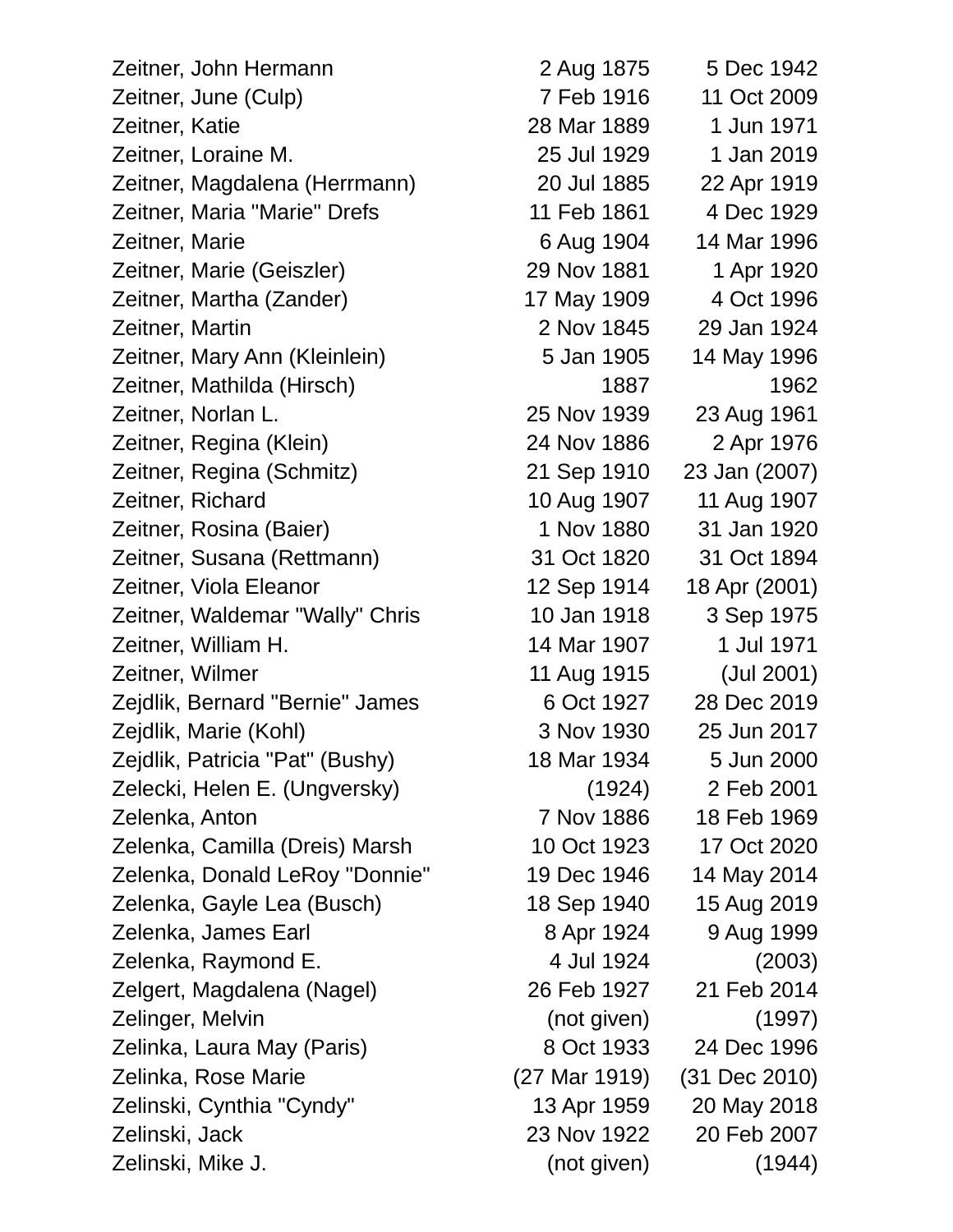Zeitner, John Hermann 2 Aug 1875 5 Dec 1942 Zeitner, June (Culp) 7 Feb 1916 11 Oct 2009 Zeitner, Katie 28 Mar 1889 1 Jun 1971 Zeitner, Loraine M. 25 Jul 1929 1 Jan 2019 Zeitner, Magdalena (Herrmann) 20 Jul 1885 22 Apr 1919 Zeitner, Maria "Marie" Drefs 11 Feb 1861 4 Dec 1929 Zeitner, Marie 6 Aug 1904 14 Mar 1996 Zeitner, Marie (Geiszler) 29 Nov 1881 1 Apr 1920 Zeitner, Martha (Zander) 17 May 1909 4 Oct 1996 Zeitner, Martin 2 Nov 1845 29 Jan 1924 Zeitner, Mary Ann (Kleinlein) 5 Jan 1905 14 May 1996 Zeitner, Mathilda (Hirsch) 1887 1962 Zeitner, Norlan L. 25 Nov 1939 23 Aug 1961 Zeitner, Regina (Klein) 24 Nov 1886 2 Apr 1976 Zeitner, Regina (Schmitz) 21 Sep 1910 23 Jan (2007) Zeitner, Richard 10 Aug 1907 11 Aug 1907 Zeitner, Rosina (Baier) 1 Nov 1880 31 Jan 1920 Zeitner, Susana (Rettmann) 31 Oct 1820 31 Oct 1894 Zeitner, Viola Eleanor 12 Sep 1914 18 Apr (2001) Zeitner, Waldemar "Wally" Chris 10 Jan 1918 3 Sep 1975 Zeitner, William H. 14 Mar 1907 1 Jul 1971 Zeitner, Wilmer 11 Aug 1915 (Jul 2001) Zejdlik, Bernard "Bernie" James 6 Oct 1927 28 Dec 2019 Zejdlik, Marie (Kohl) 3 Nov 1930 25 Jun 2017 Zejdlik, Patricia "Pat" (Bushy) 18 Mar 1934 5 Jun 2000 Zelecki, Helen E. (Ungversky) (1924) 2 Feb 2001 Zelenka, Anton 7 Nov 1886 18 Feb 1969 Zelenka, Camilla (Dreis) Marsh 10 Oct 1923 17 Oct 2020 Zelenka, Donald LeRoy "Donnie" 19 Dec 1946 14 May 2014 Zelenka, Gayle Lea (Busch) 18 Sep 1940 15 Aug 2019 Zelenka, James Earl 8 Apr 1924 9 Aug 1999 Zelenka, Raymond E. 4 Jul 1924 (2003) Zelgert, Magdalena (Nagel) 26 Feb 1927 21 Feb 2014 Zelinger, Melvin (not given) (1997) Zelinka, Laura May (Paris) 8 Oct 1933 24 Dec 1996 Zelinka, Rose Marie (27 Mar 1919) (31 Dec 2010) Zelinski, Cynthia "Cyndy" 13 Apr 1959 20 May 2018 Zelinski, Jack 23 Nov 1922 20 Feb 2007 Zelinski, Mike J. (not given) (1944)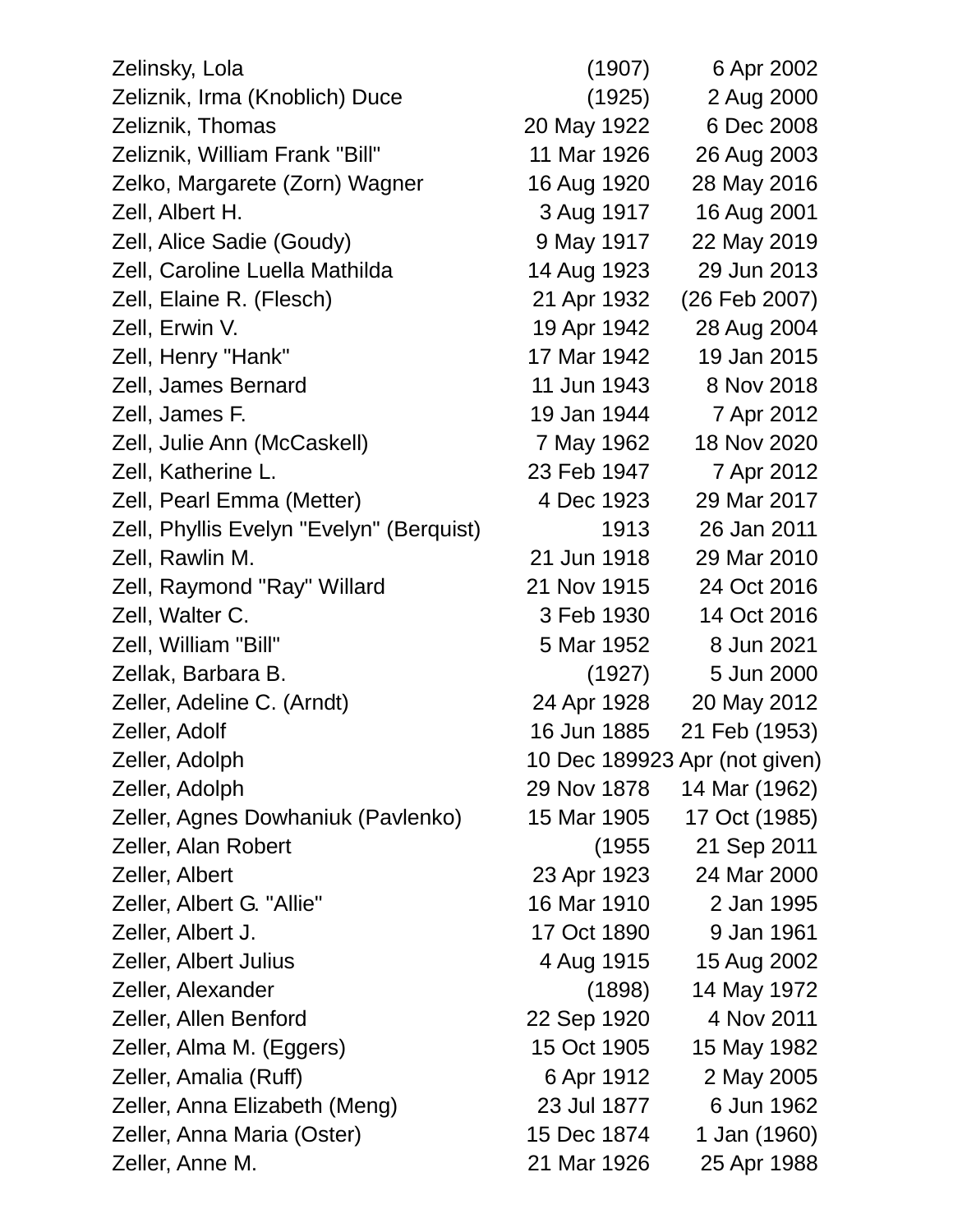| Zelinsky, Lola                           | (1907)      | 6 Apr 2002                    |
|------------------------------------------|-------------|-------------------------------|
| Zeliznik, Irma (Knoblich) Duce           | (1925)      | 2 Aug 2000                    |
| Zeliznik, Thomas                         | 20 May 1922 | 6 Dec 2008                    |
| Zeliznik, William Frank "Bill"           | 11 Mar 1926 | 26 Aug 2003                   |
| Zelko, Margarete (Zorn) Wagner           | 16 Aug 1920 | 28 May 2016                   |
| Zell, Albert H.                          | 3 Aug 1917  | 16 Aug 2001                   |
| Zell, Alice Sadie (Goudy)                | 9 May 1917  | 22 May 2019                   |
| Zell, Caroline Luella Mathilda           | 14 Aug 1923 | 29 Jun 2013                   |
| Zell, Elaine R. (Flesch)                 | 21 Apr 1932 | (26 Feb 2007)                 |
| Zell, Erwin V.                           | 19 Apr 1942 | 28 Aug 2004                   |
| Zell, Henry "Hank"                       | 17 Mar 1942 | 19 Jan 2015                   |
| Zell, James Bernard                      | 11 Jun 1943 | 8 Nov 2018                    |
| Zell, James F.                           | 19 Jan 1944 | 7 Apr 2012                    |
| Zell, Julie Ann (McCaskell)              | 7 May 1962  | 18 Nov 2020                   |
| Zell, Katherine L.                       | 23 Feb 1947 | 7 Apr 2012                    |
| Zell, Pearl Emma (Metter)                | 4 Dec 1923  | 29 Mar 2017                   |
| Zell, Phyllis Evelyn "Evelyn" (Berquist) | 1913        | 26 Jan 2011                   |
| Zell, Rawlin M.                          | 21 Jun 1918 | 29 Mar 2010                   |
| Zell, Raymond "Ray" Willard              | 21 Nov 1915 | 24 Oct 2016                   |
| Zell, Walter C.                          | 3 Feb 1930  | 14 Oct 2016                   |
| Zell, William "Bill"                     | 5 Mar 1952  | 8 Jun 2021                    |
| Zellak, Barbara B.                       | (1927)      | 5 Jun 2000                    |
| Zeller, Adeline C. (Arndt)               | 24 Apr 1928 | 20 May 2012                   |
| Zeller, Adolf                            | 16 Jun 1885 | 21 Feb (1953)                 |
| Zeller, Adolph                           |             | 10 Dec 189923 Apr (not given) |
| Zeller, Adolph                           | 29 Nov 1878 | 14 Mar (1962)                 |
| Zeller, Agnes Dowhaniuk (Pavlenko)       | 15 Mar 1905 | 17 Oct (1985)                 |
| Zeller, Alan Robert                      | (1955       | 21 Sep 2011                   |
| Zeller, Albert                           | 23 Apr 1923 | 24 Mar 2000                   |
| Zeller, Albert G. "Allie"                | 16 Mar 1910 | 2 Jan 1995                    |
| Zeller, Albert J.                        | 17 Oct 1890 | 9 Jan 1961                    |
| Zeller, Albert Julius                    | 4 Aug 1915  | 15 Aug 2002                   |
| Zeller, Alexander                        | (1898)      | 14 May 1972                   |
| Zeller, Allen Benford                    | 22 Sep 1920 | 4 Nov 2011                    |
| Zeller, Alma M. (Eggers)                 | 15 Oct 1905 | 15 May 1982                   |
| Zeller, Amalia (Ruff)                    | 6 Apr 1912  | 2 May 2005                    |
| Zeller, Anna Elizabeth (Meng)            | 23 Jul 1877 | 6 Jun 1962                    |
| Zeller, Anna Maria (Oster)               | 15 Dec 1874 | 1 Jan (1960)                  |
| Zeller, Anne M.                          | 21 Mar 1926 | 25 Apr 1988                   |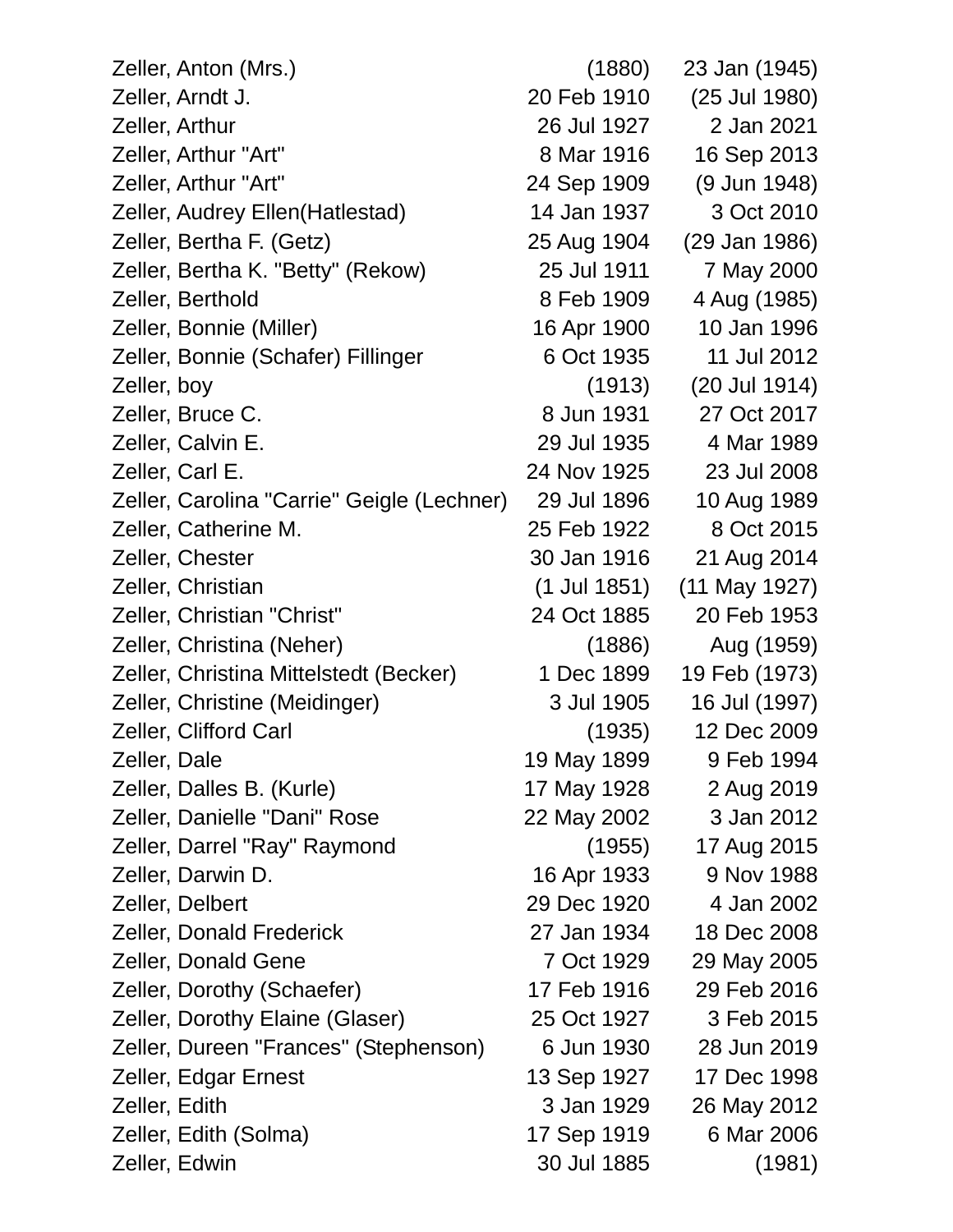| Zeller, Anton (Mrs.)                       | (1880)         | 23 Jan (1945) |
|--------------------------------------------|----------------|---------------|
| Zeller, Arndt J.                           | 20 Feb 1910    | (25 Jul 1980) |
| Zeller, Arthur                             | 26 Jul 1927    | 2 Jan 2021    |
| Zeller, Arthur "Art"                       | 8 Mar 1916     | 16 Sep 2013   |
| Zeller, Arthur "Art"                       | 24 Sep 1909    | (9 Jun 1948)  |
| Zeller, Audrey Ellen (Hatlestad)           | 14 Jan 1937    | 3 Oct 2010    |
| Zeller, Bertha F. (Getz)                   | 25 Aug 1904    | (29 Jan 1986) |
| Zeller, Bertha K. "Betty" (Rekow)          | 25 Jul 1911    | 7 May 2000    |
| Zeller, Berthold                           | 8 Feb 1909     | 4 Aug (1985)  |
| Zeller, Bonnie (Miller)                    | 16 Apr 1900    | 10 Jan 1996   |
| Zeller, Bonnie (Schafer) Fillinger         | 6 Oct 1935     | 11 Jul 2012   |
| Zeller, boy                                | (1913)         | (20 Jul 1914) |
| Zeller, Bruce C.                           | 8 Jun 1931     | 27 Oct 2017   |
| Zeller, Calvin E.                          | 29 Jul 1935    | 4 Mar 1989    |
| Zeller, Carl E.                            | 24 Nov 1925    | 23 Jul 2008   |
| Zeller, Carolina "Carrie" Geigle (Lechner) | 29 Jul 1896    | 10 Aug 1989   |
| Zeller, Catherine M.                       | 25 Feb 1922    | 8 Oct 2015    |
| Zeller, Chester                            | 30 Jan 1916    | 21 Aug 2014   |
| Zeller, Christian                          | $(1$ Jul 1851) | (11 May 1927) |
| Zeller, Christian "Christ"                 | 24 Oct 1885    | 20 Feb 1953   |
| Zeller, Christina (Neher)                  | (1886)         | Aug (1959)    |
| Zeller, Christina Mittelstedt (Becker)     | 1 Dec 1899     | 19 Feb (1973) |
| Zeller, Christine (Meidinger)              | 3 Jul 1905     | 16 Jul (1997) |
| Zeller, Clifford Carl                      | (1935)         | 12 Dec 2009   |
| Zeller, Dale                               | 19 May 1899    | 9 Feb 1994    |
| Zeller, Dalles B. (Kurle)                  | 17 May 1928    | 2 Aug 2019    |
| Zeller, Danielle "Dani" Rose               | 22 May 2002    | 3 Jan 2012    |
| Zeller, Darrel "Ray" Raymond               | (1955)         | 17 Aug 2015   |
| Zeller, Darwin D.                          | 16 Apr 1933    | 9 Nov 1988    |
| Zeller, Delbert                            | 29 Dec 1920    | 4 Jan 2002    |
| <b>Zeller, Donald Frederick</b>            | 27 Jan 1934    | 18 Dec 2008   |
| <b>Zeller, Donald Gene</b>                 | 7 Oct 1929     | 29 May 2005   |
| Zeller, Dorothy (Schaefer)                 | 17 Feb 1916    | 29 Feb 2016   |
| Zeller, Dorothy Elaine (Glaser)            | 25 Oct 1927    | 3 Feb 2015    |
| Zeller, Dureen "Frances" (Stephenson)      | 6 Jun 1930     | 28 Jun 2019   |
| Zeller, Edgar Ernest                       | 13 Sep 1927    | 17 Dec 1998   |
| Zeller, Edith                              | 3 Jan 1929     | 26 May 2012   |
| Zeller, Edith (Solma)                      | 17 Sep 1919    | 6 Mar 2006    |
| Zeller, Edwin                              | 30 Jul 1885    | (1981)        |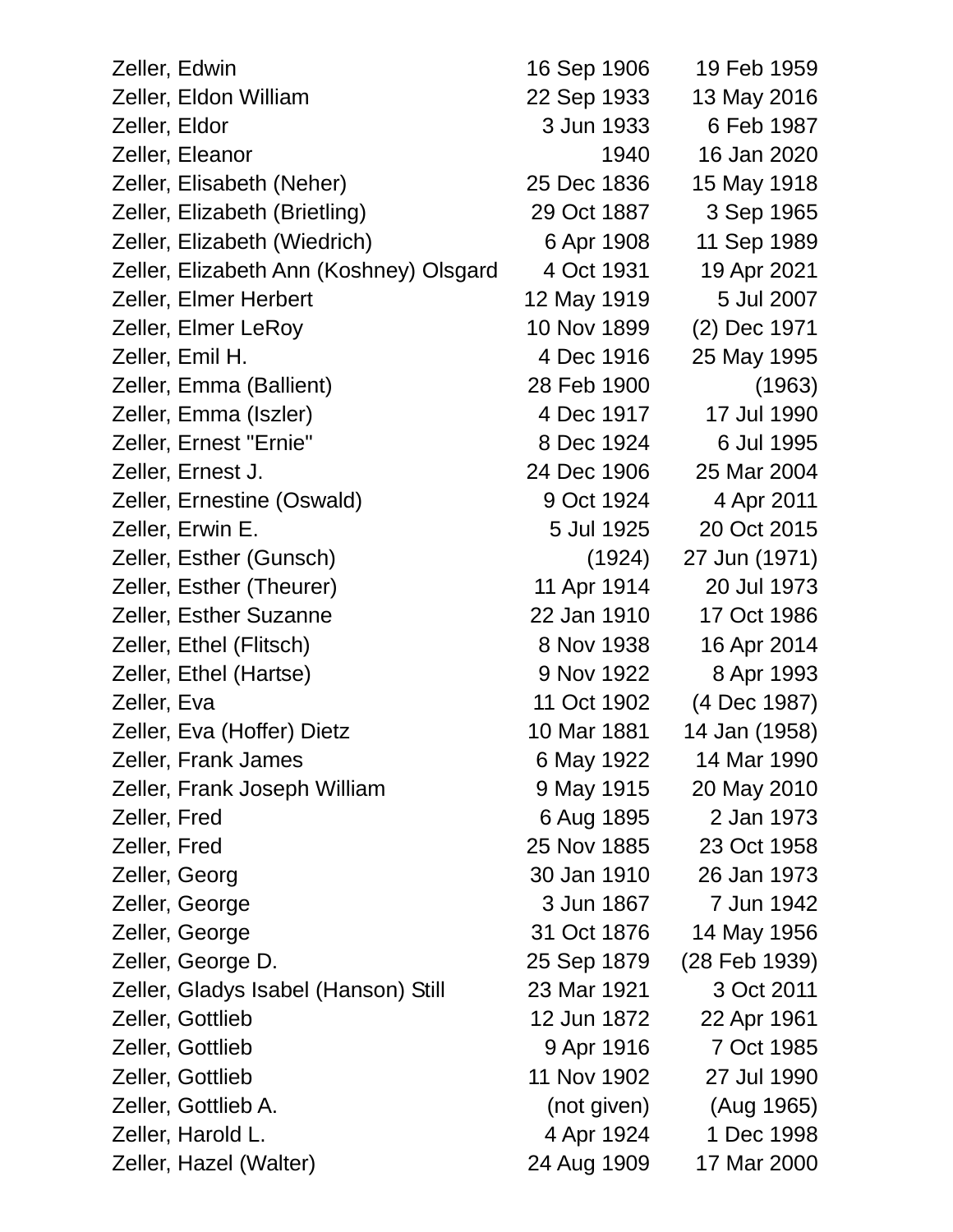| Zeller, Edwin                           | 16 Sep 1906 | 19 Feb 1959   |
|-----------------------------------------|-------------|---------------|
| Zeller, Eldon William                   | 22 Sep 1933 | 13 May 2016   |
| Zeller, Eldor                           | 3 Jun 1933  | 6 Feb 1987    |
| Zeller, Eleanor                         | 1940        | 16 Jan 2020   |
| Zeller, Elisabeth (Neher)               | 25 Dec 1836 | 15 May 1918   |
| Zeller, Elizabeth (Brietling)           | 29 Oct 1887 | 3 Sep 1965    |
| Zeller, Elizabeth (Wiedrich)            | 6 Apr 1908  | 11 Sep 1989   |
| Zeller, Elizabeth Ann (Koshney) Olsgard | 4 Oct 1931  | 19 Apr 2021   |
| Zeller, Elmer Herbert                   | 12 May 1919 | 5 Jul 2007    |
| Zeller, Elmer LeRoy                     | 10 Nov 1899 | (2) Dec 1971  |
| Zeller, Emil H.                         | 4 Dec 1916  | 25 May 1995   |
| Zeller, Emma (Ballient)                 | 28 Feb 1900 | (1963)        |
| Zeller, Emma (Iszler)                   | 4 Dec 1917  | 17 Jul 1990   |
| Zeller, Ernest "Ernie"                  | 8 Dec 1924  | 6 Jul 1995    |
| Zeller, Ernest J.                       | 24 Dec 1906 | 25 Mar 2004   |
| Zeller, Ernestine (Oswald)              | 9 Oct 1924  | 4 Apr 2011    |
| Zeller, Erwin E.                        | 5 Jul 1925  | 20 Oct 2015   |
| Zeller, Esther (Gunsch)                 | (1924)      | 27 Jun (1971) |
| Zeller, Esther (Theurer)                | 11 Apr 1914 | 20 Jul 1973   |
| <b>Zeller, Esther Suzanne</b>           | 22 Jan 1910 | 17 Oct 1986   |
| Zeller, Ethel (Flitsch)                 | 8 Nov 1938  | 16 Apr 2014   |
| Zeller, Ethel (Hartse)                  | 9 Nov 1922  | 8 Apr 1993    |
| Zeller, Eva                             | 11 Oct 1902 | (4 Dec 1987)  |
| Zeller, Eva (Hoffer) Dietz              | 10 Mar 1881 | 14 Jan (1958) |
| Zeller, Frank James                     | 6 May 1922  | 14 Mar 1990   |
| Zeller, Frank Joseph William            | 9 May 1915  | 20 May 2010   |
| Zeller, Fred                            | 6 Aug 1895  | 2 Jan 1973    |
| Zeller, Fred                            | 25 Nov 1885 | 23 Oct 1958   |
| Zeller, Georg                           | 30 Jan 1910 | 26 Jan 1973   |
| Zeller, George                          | 3 Jun 1867  | 7 Jun 1942    |
| Zeller, George                          | 31 Oct 1876 | 14 May 1956   |
| Zeller, George D.                       | 25 Sep 1879 | (28 Feb 1939) |
| Zeller, Gladys Isabel (Hanson) Still    | 23 Mar 1921 | 3 Oct 2011    |
| Zeller, Gottlieb                        | 12 Jun 1872 | 22 Apr 1961   |
| Zeller, Gottlieb                        | 9 Apr 1916  | 7 Oct 1985    |
| Zeller, Gottlieb                        | 11 Nov 1902 | 27 Jul 1990   |
| Zeller, Gottlieb A.                     | (not given) | (Aug 1965)    |
| Zeller, Harold L.                       | 4 Apr 1924  | 1 Dec 1998    |
| Zeller, Hazel (Walter)                  | 24 Aug 1909 | 17 Mar 2000   |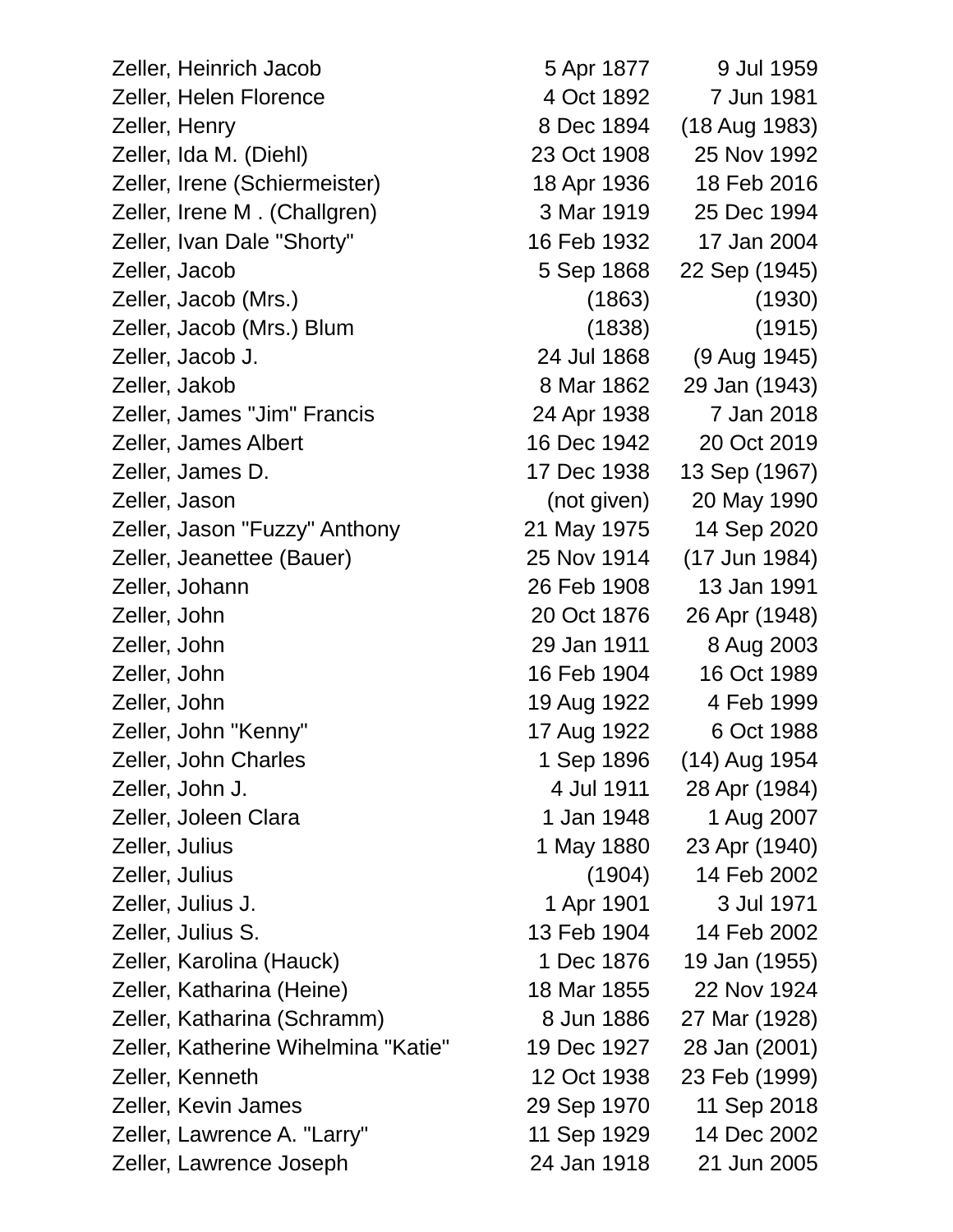Zeller, Heinrich Jacob 5 Apr 1877 9 Jul 1959 Zeller, Helen Florence 4 Oct 1892 7 Jun 1981 Zeller, Henry 8 Dec 1894 (18 Aug 1983) Zeller, Ida M. (Diehl) 23 Oct 1908 25 Nov 1992 Zeller, Irene (Schiermeister) 18 Apr 1936 18 Feb 2016 Zeller, Irene M . (Challgren) 3 Mar 1919 25 Dec 1994 Zeller, Ivan Dale "Shorty" 16 Feb 1932 17 Jan 2004 Zeller, Jacob 5 Sep 1868 22 Sep (1945) Zeller, Jacob (Mrs.) (1863) (1930) Zeller, Jacob (Mrs.) Blum (1838) (1915) Zeller, Jacob J. 24 Jul 1868 (9 Aug 1945) Zeller, Jakob 8 Mar 1862 29 Jan (1943) Zeller, James "Jim" Francis 24 Apr 1938 7 Jan 2018 Zeller, James Albert 16 Dec 1942 20 Oct 2019 Zeller, James D. 17 Dec 1938 13 Sep (1967) Zeller, Jason (not given) 20 May 1990 Zeller, Jason "Fuzzy" Anthony 21 May 1975 14 Sep 2020 Zeller, Jeanettee (Bauer) 25 Nov 1914 (17 Jun 1984) Zeller, Johann 26 Feb 1908 13 Jan 1991 Zeller, John 20 Oct 1876 26 Apr (1948) Zeller, John 29 Jan 1911 8 Aug 2003 Zeller, John 16 Feb 1904 16 Oct 1989 Zeller, John 19 Aug 1922 4 Feb 1999 Zeller, John "Kenny" 17 Aug 1922 6 Oct 1988 Zeller, John Charles 1 Sep 1896 (14) Aug 1954 Zeller, John J. 4 Jul 1911 28 Apr (1984) Zeller, Joleen Clara 1 1 Jan 1948 1 Aug 2007 Zeller, Julius 1 May 1880 23 Apr (1940) Zeller, Julius (1904) 14 Feb 2002 Zeller, Julius J. 1 Apr 1901 3 Jul 1971 Zeller, Julius S. 13 Feb 1904 14 Feb 2002 Zeller, Karolina (Hauck) 1 Dec 1876 19 Jan (1955) Zeller, Katharina (Heine) 18 Mar 1855 22 Nov 1924 Zeller, Katharina (Schramm) 8 Jun 1886 27 Mar (1928) Zeller, Katherine Wihelmina "Katie" 19 Dec 1927 28 Jan (2001) Zeller, Kenneth 12 Oct 1938 23 Feb (1999) Zeller, Kevin James 29 Sep 1970 11 Sep 2018 Zeller, Lawrence A. "Larry" 11 Sep 1929 14 Dec 2002

Zeller, Lawrence Joseph 24 Jan 1918 21 Jun 2005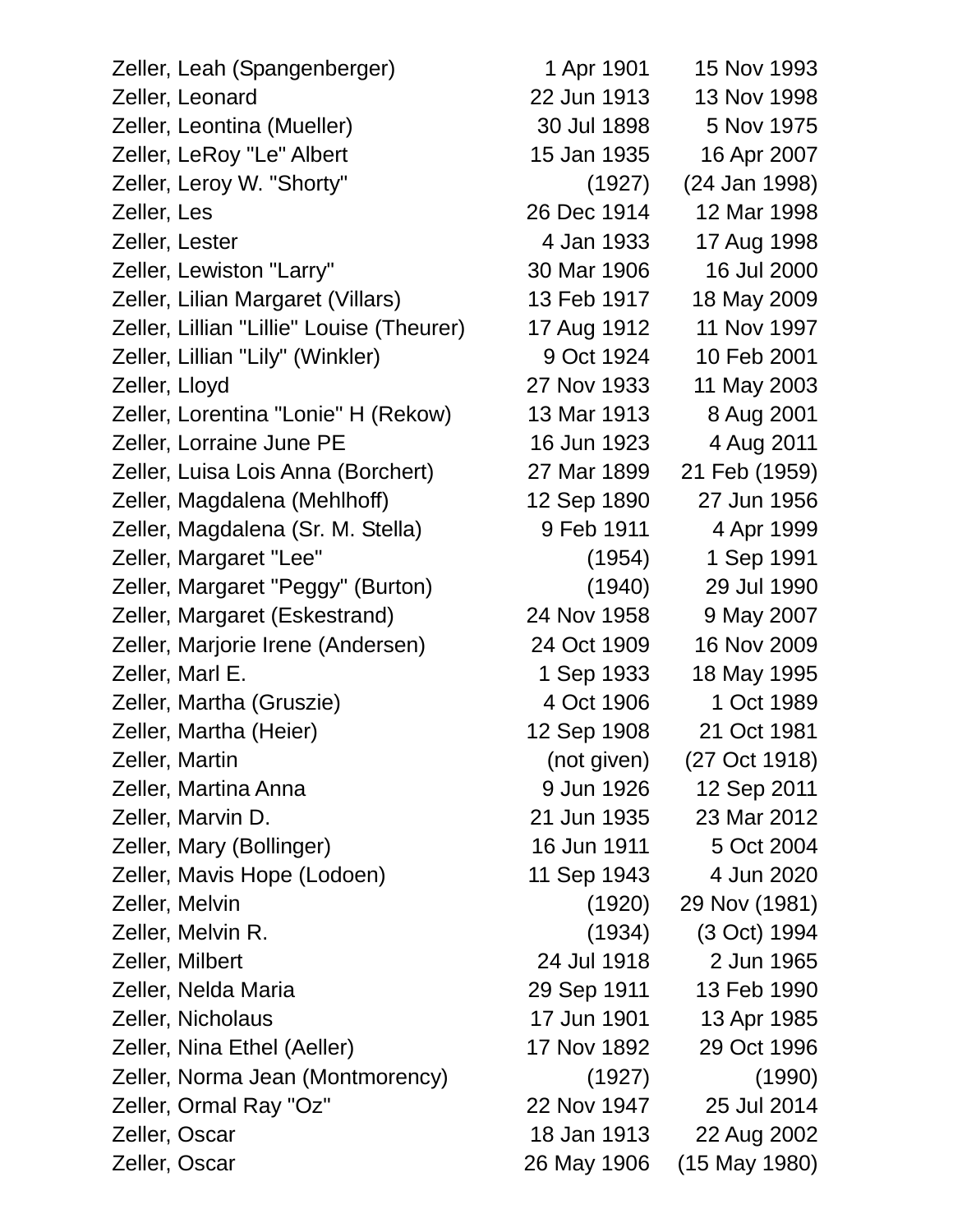Zeller, Leah (Spangenberger) 1 Apr 1901 15 Nov 1993 Zeller, Leonard 22 Jun 1913 13 Nov 1998 Zeller, Leontina (Mueller) 30 Jul 1898 5 Nov 1975 Zeller, LeRoy "Le" Albert 15 Jan 1935 16 Apr 2007 Zeller, Leroy W. "Shorty" (1927) (24 Jan 1998) Zeller, Les 26 Dec 1914 12 Mar 1998 Zeller, Lester 1998 Zeller, Lewiston "Larry" 30 Mar 1906 16 Jul 2000 Zeller, Lilian Margaret (Villars) 13 Feb 1917 18 May 2009 Zeller, Lillian "Lillie" Louise (Theurer) 17 Aug 1912 11 Nov 1997 Zeller, Lillian "Lily" (Winkler) 9 Oct 1924 10 Feb 2001 Zeller, Lloyd 27 Nov 1933 11 May 2003 Zeller, Lorentina "Lonie" H (Rekow) 13 Mar 1913 8 Aug 2001 Zeller, Lorraine June PE 16 Jun 1923 4 Aug 2011 Zeller, Luisa Lois Anna (Borchert) 27 Mar 1899 21 Feb (1959) Zeller, Magdalena (Mehlhoff) 12 Sep 1890 27 Jun 1956 Zeller, Magdalena (Sr. M. Stella) 9 Feb 1911 4 Apr 1999 Zeller, Margaret "Lee" (1954) 1 Sep 1991 Zeller, Margaret "Peggy" (Burton) (1940) 29 Jul 1990 Zeller, Margaret (Eskestrand) 24 Nov 1958 9 May 2007 Zeller, Marjorie Irene (Andersen) 24 Oct 1909 16 Nov 2009 Zeller, Marl E. 1 Sep 1933 18 May 1995 Zeller, Martha (Gruszie) 1989 Zeller, Martha (Heier) 12 Sep 1908 21 Oct 1981 Zeller, Martin (not given) (27 Oct 1918) Zeller, Martina Anna 9 Jun 1926 12 Sep 2011 Zeller, Marvin D. 21 Jun 1935 23 Mar 2012 Zeller, Mary (Bollinger) 16 Jun 1911 5 Oct 2004 Zeller, Mavis Hope (Lodoen) 11 Sep 1943 4 Jun 2020 Zeller, Melvin (1920) 29 Nov (1981) Zeller, Melvin R. (1934) (3 Oct) 1994 Zeller, Milbert 24 Jul 1918 2 Jun 1965 Zeller, Nelda Maria 29 Sep 1911 13 Feb 1990 Zeller, Nicholaus 17 Jun 1901 13 Apr 1985 Zeller, Nina Ethel (Aeller) 17 Nov 1892 29 Oct 1996 Zeller, Norma Jean (Montmorency) (1927) (1990) Zeller, Ormal Ray "Oz" 22 Nov 1947 25 Jul 2014 Zeller, Oscar 18 Jan 1913 22 Aug 2002 Zeller, Oscar 26 May 1906 (15 May 1980)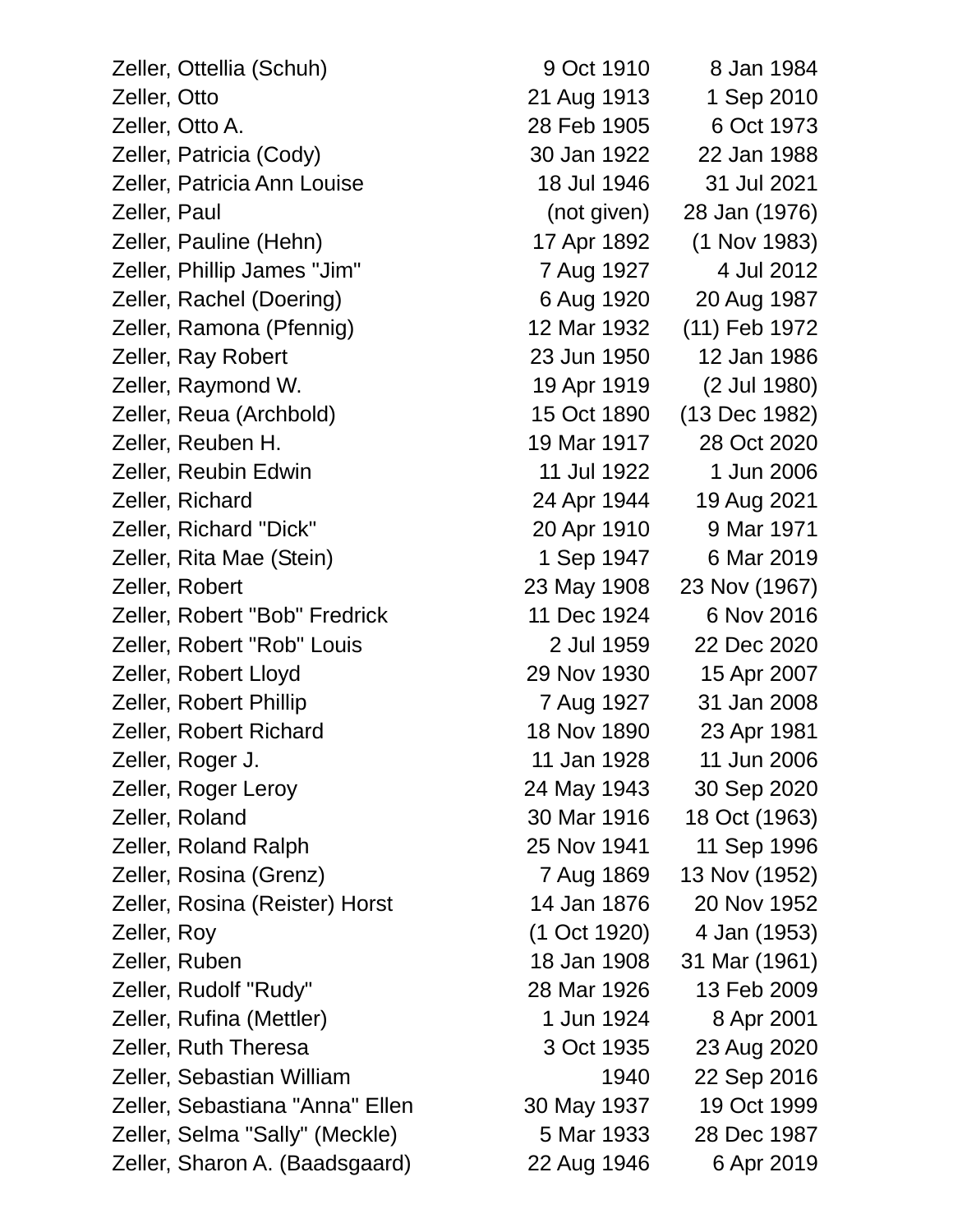| Zeller, Ottellia (Schuh)        | 9 Oct 1910   | 8 Jan 1984    |
|---------------------------------|--------------|---------------|
| Zeller, Otto                    | 21 Aug 1913  | 1 Sep 2010    |
| Zeller, Otto A.                 | 28 Feb 1905  | 6 Oct 1973    |
| Zeller, Patricia (Cody)         | 30 Jan 1922  | 22 Jan 1988   |
| Zeller, Patricia Ann Louise     | 18 Jul 1946  | 31 Jul 2021   |
| Zeller, Paul                    | (not given)  | 28 Jan (1976) |
| Zeller, Pauline (Hehn)          | 17 Apr 1892  | (1 Nov 1983)  |
| Zeller, Phillip James "Jim"     | 7 Aug 1927   | 4 Jul 2012    |
| Zeller, Rachel (Doering)        | 6 Aug 1920   | 20 Aug 1987   |
| Zeller, Ramona (Pfennig)        | 12 Mar 1932  | (11) Feb 1972 |
| Zeller, Ray Robert              | 23 Jun 1950  | 12 Jan 1986   |
| Zeller, Raymond W.              | 19 Apr 1919  | (2 Jul 1980)  |
| Zeller, Reua (Archbold)         | 15 Oct 1890  | (13 Dec 1982) |
| Zeller, Reuben H.               | 19 Mar 1917  | 28 Oct 2020   |
| Zeller, Reubin Edwin            | 11 Jul 1922  | 1 Jun 2006    |
| Zeller, Richard                 | 24 Apr 1944  | 19 Aug 2021   |
| Zeller, Richard "Dick"          | 20 Apr 1910  | 9 Mar 1971    |
| Zeller, Rita Mae (Stein)        | 1 Sep 1947   | 6 Mar 2019    |
| Zeller, Robert                  | 23 May 1908  | 23 Nov (1967) |
| Zeller, Robert "Bob" Fredrick   | 11 Dec 1924  | 6 Nov 2016    |
| Zeller, Robert "Rob" Louis      | 2 Jul 1959   | 22 Dec 2020   |
| Zeller, Robert Lloyd            | 29 Nov 1930  | 15 Apr 2007   |
| Zeller, Robert Phillip          | 7 Aug 1927   | 31 Jan 2008   |
| Zeller, Robert Richard          | 18 Nov 1890  | 23 Apr 1981   |
| Zeller, Roger J.                | 11 Jan 1928  | 11 Jun 2006   |
| Zeller, Roger Leroy             | 24 May 1943  | 30 Sep 2020   |
| Zeller, Roland                  | 30 Mar 1916  | 18 Oct (1963) |
| Zeller, Roland Ralph            | 25 Nov 1941  | 11 Sep 1996   |
| Zeller, Rosina (Grenz)          | 7 Aug 1869   | 13 Nov (1952) |
| Zeller, Rosina (Reister) Horst  | 14 Jan 1876  | 20 Nov 1952   |
| Zeller, Roy                     | (1 Oct 1920) | 4 Jan (1953)  |
| Zeller, Ruben                   | 18 Jan 1908  | 31 Mar (1961) |
| Zeller, Rudolf "Rudy"           | 28 Mar 1926  | 13 Feb 2009   |
| Zeller, Rufina (Mettler)        | 1 Jun 1924   | 8 Apr 2001    |
| Zeller, Ruth Theresa            | 3 Oct 1935   | 23 Aug 2020   |
| Zeller, Sebastian William       | 1940         | 22 Sep 2016   |
| Zeller, Sebastiana "Anna" Ellen | 30 May 1937  | 19 Oct 1999   |
| Zeller, Selma "Sally" (Meckle)  | 5 Mar 1933   | 28 Dec 1987   |
| Zeller, Sharon A. (Baadsgaard)  | 22 Aug 1946  | 6 Apr 2019    |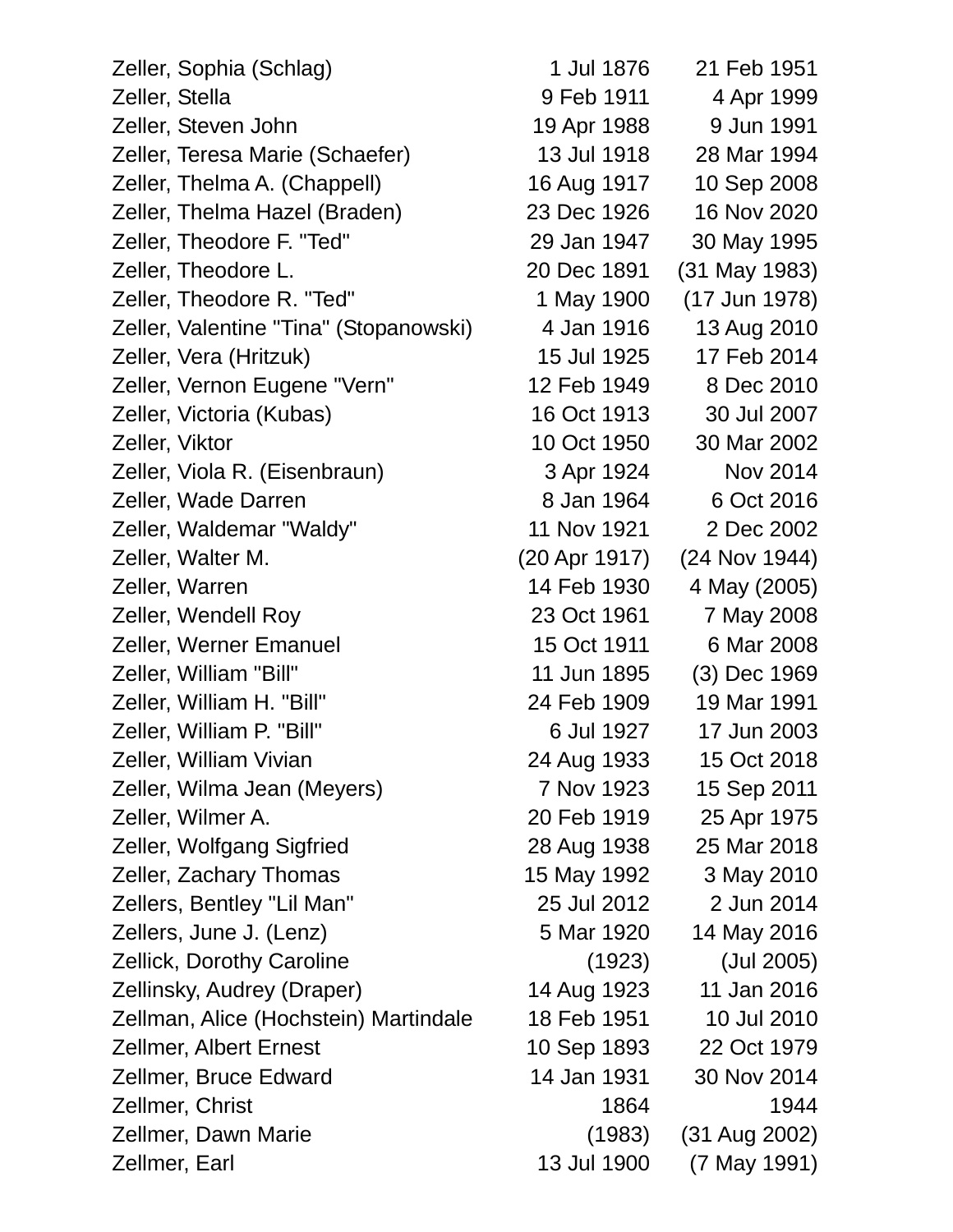| Zeller, Sophia (Schlag)                | 1 Jul 1876    | 21 Feb 1951     |
|----------------------------------------|---------------|-----------------|
| Zeller, Stella                         | 9 Feb 1911    | 4 Apr 1999      |
| Zeller, Steven John                    | 19 Apr 1988   | 9 Jun 1991      |
| Zeller, Teresa Marie (Schaefer)        | 13 Jul 1918   | 28 Mar 1994     |
| Zeller, Thelma A. (Chappell)           | 16 Aug 1917   | 10 Sep 2008     |
| Zeller, Thelma Hazel (Braden)          | 23 Dec 1926   | 16 Nov 2020     |
| Zeller, Theodore F. "Ted"              | 29 Jan 1947   | 30 May 1995     |
| Zeller, Theodore L.                    | 20 Dec 1891   | (31 May 1983)   |
| Zeller, Theodore R. "Ted"              | 1 May 1900    | (17 Jun 1978)   |
| Zeller, Valentine "Tina" (Stopanowski) | 4 Jan 1916    | 13 Aug 2010     |
| Zeller, Vera (Hritzuk)                 | 15 Jul 1925   | 17 Feb 2014     |
| Zeller, Vernon Eugene "Vern"           | 12 Feb 1949   | 8 Dec 2010      |
| Zeller, Victoria (Kubas)               | 16 Oct 1913   | 30 Jul 2007     |
| Zeller, Viktor                         | 10 Oct 1950   | 30 Mar 2002     |
| Zeller, Viola R. (Eisenbraun)          | 3 Apr 1924    | <b>Nov 2014</b> |
| Zeller, Wade Darren                    | 8 Jan 1964    | 6 Oct 2016      |
| Zeller, Waldemar "Waldy"               | 11 Nov 1921   | 2 Dec 2002      |
| Zeller, Walter M.                      | (20 Apr 1917) | (24 Nov 1944)   |
| Zeller, Warren                         | 14 Feb 1930   | 4 May (2005)    |
| Zeller, Wendell Roy                    | 23 Oct 1961   | 7 May 2008      |
| Zeller, Werner Emanuel                 | 15 Oct 1911   | 6 Mar 2008      |
| Zeller, William "Bill"                 | 11 Jun 1895   | (3) Dec 1969    |
| Zeller, William H. "Bill"              | 24 Feb 1909   | 19 Mar 1991     |
| Zeller, William P. "Bill"              | 6 Jul 1927    | 17 Jun 2003     |
| Zeller, William Vivian                 | 24 Aug 1933   | 15 Oct 2018     |
| Zeller, Wilma Jean (Meyers)            | 7 Nov 1923    | 15 Sep 2011     |
| Zeller, Wilmer A.                      | 20 Feb 1919   | 25 Apr 1975     |
| Zeller, Wolfgang Sigfried              | 28 Aug 1938   | 25 Mar 2018     |
| Zeller, Zachary Thomas                 | 15 May 1992   | 3 May 2010      |
| Zellers, Bentley "Lil Man"             | 25 Jul 2012   | 2 Jun 2014      |
| Zellers, June J. (Lenz)                | 5 Mar 1920    | 14 May 2016     |
| <b>Zellick, Dorothy Caroline</b>       | (1923)        | (Jul 2005)      |
| Zellinsky, Audrey (Draper)             | 14 Aug 1923   | 11 Jan 2016     |
| Zellman, Alice (Hochstein) Martindale  | 18 Feb 1951   | 10 Jul 2010     |
| <b>Zellmer, Albert Ernest</b>          | 10 Sep 1893   | 22 Oct 1979     |
| Zellmer, Bruce Edward                  | 14 Jan 1931   | 30 Nov 2014     |
| Zellmer, Christ                        | 1864          | 1944            |
| Zellmer, Dawn Marie                    | (1983)        | (31 Aug 2002)   |
| Zellmer, Earl                          | 13 Jul 1900   | (7 May 1991)    |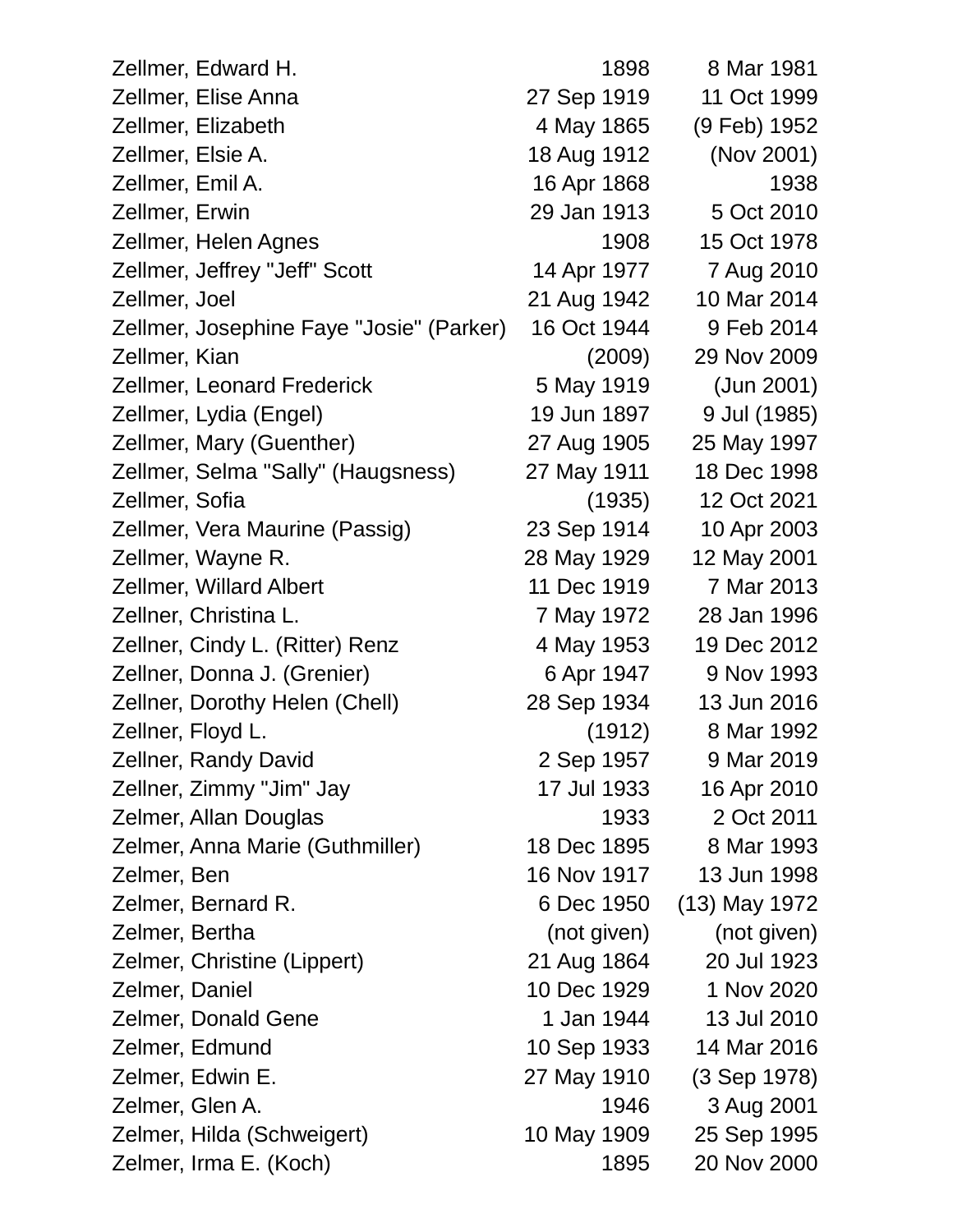| Zellmer, Edward H.                       | 1898        | 8 Mar 1981    |
|------------------------------------------|-------------|---------------|
| Zellmer, Elise Anna                      | 27 Sep 1919 | 11 Oct 1999   |
| Zellmer, Elizabeth                       | 4 May 1865  | (9 Feb) 1952  |
| Zellmer, Elsie A.                        | 18 Aug 1912 | (Nov 2001)    |
| Zellmer, Emil A.                         | 16 Apr 1868 | 1938          |
| Zellmer, Erwin                           | 29 Jan 1913 | 5 Oct 2010    |
| Zellmer, Helen Agnes                     | 1908        | 15 Oct 1978   |
| Zellmer, Jeffrey "Jeff" Scott            | 14 Apr 1977 | 7 Aug 2010    |
| Zellmer, Joel                            | 21 Aug 1942 | 10 Mar 2014   |
| Zellmer, Josephine Faye "Josie" (Parker) | 16 Oct 1944 | 9 Feb 2014    |
| Zellmer, Kian                            | (2009)      | 29 Nov 2009   |
| <b>Zellmer, Leonard Frederick</b>        | 5 May 1919  | (Jun 2001)    |
| Zellmer, Lydia (Engel)                   | 19 Jun 1897 | 9 Jul (1985)  |
| Zellmer, Mary (Guenther)                 | 27 Aug 1905 | 25 May 1997   |
| Zellmer, Selma "Sally" (Haugsness)       | 27 May 1911 | 18 Dec 1998   |
| Zellmer, Sofia                           | (1935)      | 12 Oct 2021   |
| Zellmer, Vera Maurine (Passig)           | 23 Sep 1914 | 10 Apr 2003   |
| Zellmer, Wayne R.                        | 28 May 1929 | 12 May 2001   |
| <b>Zellmer, Willard Albert</b>           | 11 Dec 1919 | 7 Mar 2013    |
| Zellner, Christina L.                    | 7 May 1972  | 28 Jan 1996   |
| Zellner, Cindy L. (Ritter) Renz          | 4 May 1953  | 19 Dec 2012   |
| Zellner, Donna J. (Grenier)              | 6 Apr 1947  | 9 Nov 1993    |
| Zellner, Dorothy Helen (Chell)           | 28 Sep 1934 | 13 Jun 2016   |
| Zellner, Floyd L.                        | (1912)      | 8 Mar 1992    |
| Zellner, Randy David                     | 2 Sep 1957  | 9 Mar 2019    |
| Zellner, Zimmy "Jim" Jay                 | 17 Jul 1933 | 16 Apr 2010   |
| Zelmer, Allan Douglas                    | 1933        | 2 Oct 2011    |
| Zelmer, Anna Marie (Guthmiller)          | 18 Dec 1895 | 8 Mar 1993    |
| Zelmer, Ben                              | 16 Nov 1917 | 13 Jun 1998   |
| Zelmer, Bernard R.                       | 6 Dec 1950  | (13) May 1972 |
| Zelmer, Bertha                           | (not given) | (not given)   |
| Zelmer, Christine (Lippert)              | 21 Aug 1864 | 20 Jul 1923   |
| Zelmer, Daniel                           | 10 Dec 1929 | 1 Nov 2020    |
| Zelmer, Donald Gene                      | 1 Jan 1944  | 13 Jul 2010   |
| Zelmer, Edmund                           | 10 Sep 1933 | 14 Mar 2016   |
| Zelmer, Edwin E.                         | 27 May 1910 | (3 Sep 1978)  |
| Zelmer, Glen A.                          | 1946        | 3 Aug 2001    |
| Zelmer, Hilda (Schweigert)               | 10 May 1909 | 25 Sep 1995   |
| Zelmer, Irma E. (Koch)                   | 1895        | 20 Nov 2000   |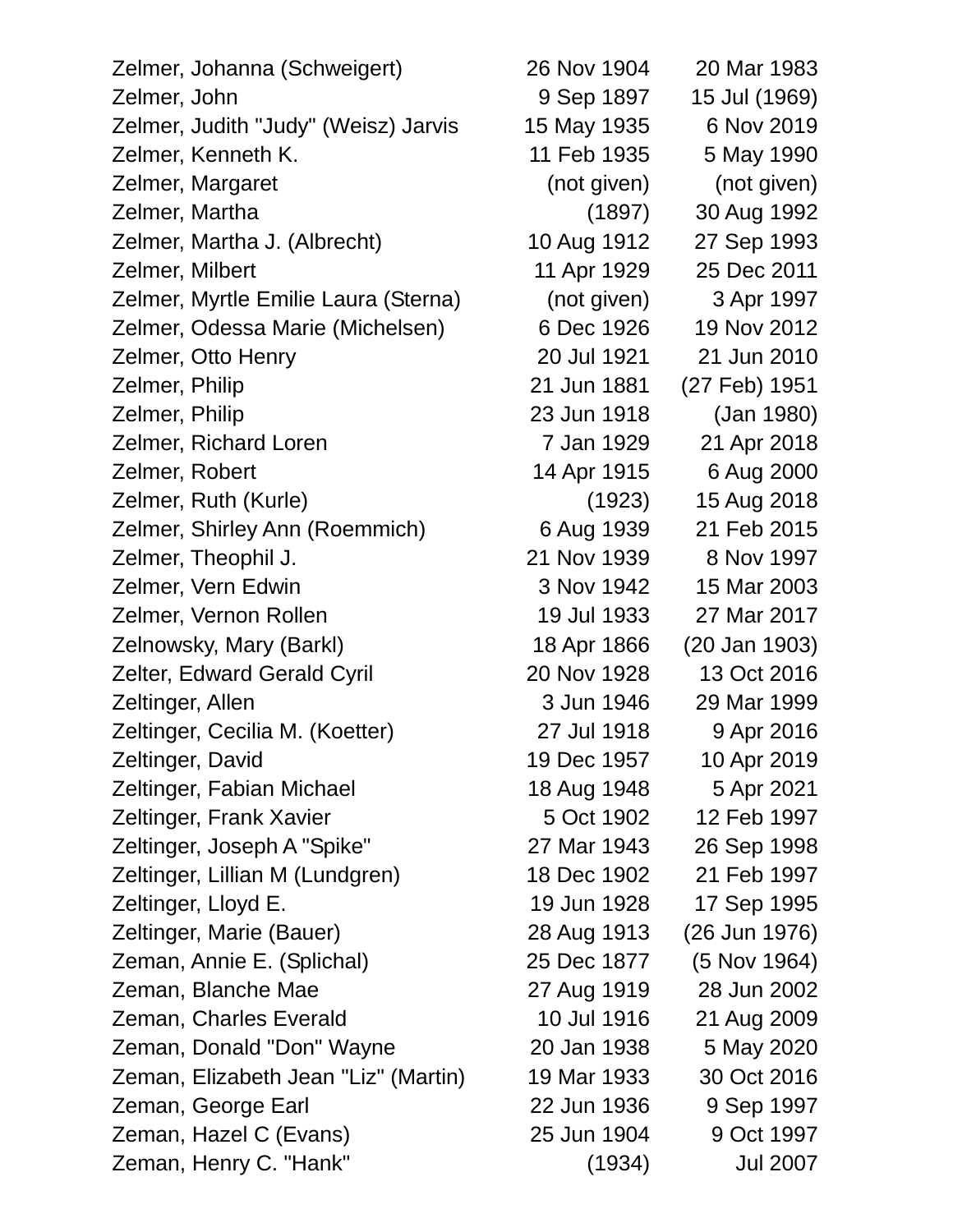Zelmer, Johanna (Schweigert) 26 Nov 1904 20 Mar 1983 Zelmer, John 9 Sep 1897 15 Jul (1969) Zelmer, Judith "Judy" (Weisz) Jarvis 15 May 1935 6 Nov 2019 Zelmer, Kenneth K. 11 Feb 1935 5 May 1990 Zelmer, Margaret (not given) (not given) Zelmer, Martha (1897) 30 Aug 1992 Zelmer, Martha J. (Albrecht) 10 Aug 1912 27 Sep 1993 Zelmer, Milbert 11 Apr 1929 25 Dec 2011 Zelmer, Myrtle Emilie Laura (Sterna) (not given) 3 Apr 1997 Zelmer, Odessa Marie (Michelsen) 6 Dec 1926 19 Nov 2012 Zelmer, Otto Henry 20 Jul 1921 21 Jun 2010 Zelmer, Philip 21 Jun 1881 (27 Feb) 1951 Zelmer, Philip 23 Jun 1918 (Jan 1980) Zelmer, Richard Loren 7 Jan 1929 21 Apr 2018 Zelmer, Robert 14 Apr 1915 6 Aug 2000 Zelmer, Ruth (Kurle) (1923) 15 Aug 2018 Zelmer, Shirley Ann (Roemmich) 6 Aug 1939 21 Feb 2015 Zelmer, Theophil J. 21 Nov 1939 8 Nov 1997 Zelmer, Vern Edwin 3 Nov 1942 15 Mar 2003 Zelmer, Vernon Rollen 19 Jul 1933 27 Mar 2017 Zelnowsky, Mary (Barkl) 18 Apr 1866 (20 Jan 1903) Zelter, Edward Gerald Cyril 20 Nov 1928 13 Oct 2016 Zeltinger, Allen 3 Jun 1946 29 Mar 1999 Zeltinger, Cecilia M. (Koetter) 27 Jul 1918 9 Apr 2016 Zeltinger, David 19 Dec 1957 10 Apr 2019 Zeltinger, Fabian Michael 18 Aug 1948 5 Apr 2021 Zeltinger, Frank Xavier 1902 12 Feb 1997 Zeltinger, Joseph A "Spike" 27 Mar 1943 26 Sep 1998 Zeltinger, Lillian M (Lundgren) 18 Dec 1902 21 Feb 1997 Zeltinger, Lloyd E. 19 Jun 1928 17 Sep 1995 Zeltinger, Marie (Bauer) 28 Aug 1913 (26 Jun 1976) Zeman, Annie E. (Splichal) 25 Dec 1877 (5 Nov 1964) Zeman, Blanche Mae 27 Aug 1919 28 Jun 2002 Zeman, Charles Everald 10 Jul 1916 21 Aug 2009 Zeman, Donald "Don" Wayne 20 Jan 1938 5 May 2020 Zeman, Elizabeth Jean "Liz" (Martin) 19 Mar 1933 30 Oct 2016 Zeman, George Earl 22 Jun 1936 9 Sep 1997 Zeman, Hazel C (Evans) 25 Jun 1904 9 Oct 1997 Zeman, Henry C. "Hank" (1934) Jul 2007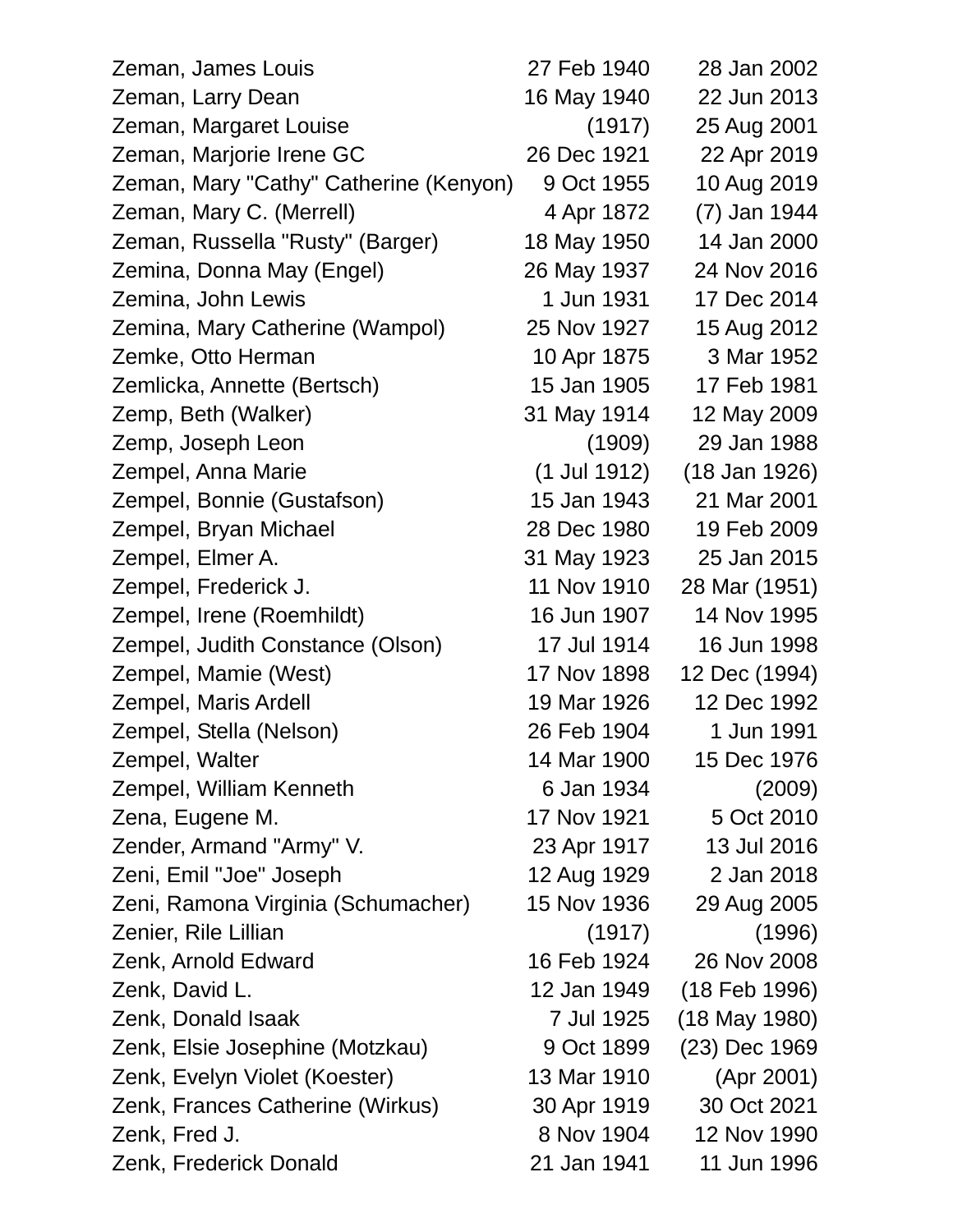| Zeman, James Louis                     | 27 Feb 1940  | 28 Jan 2002     |
|----------------------------------------|--------------|-----------------|
| Zeman, Larry Dean                      | 16 May 1940  | 22 Jun 2013     |
| Zeman, Margaret Louise                 | (1917)       | 25 Aug 2001     |
| Zeman, Marjorie Irene GC               | 26 Dec 1921  | 22 Apr 2019     |
| Zeman, Mary "Cathy" Catherine (Kenyon) | 9 Oct 1955   | 10 Aug 2019     |
| Zeman, Mary C. (Merrell)               | 4 Apr 1872   | (7) Jan 1944    |
| Zeman, Russella "Rusty" (Barger)       | 18 May 1950  | 14 Jan 2000     |
| Zemina, Donna May (Engel)              | 26 May 1937  | 24 Nov 2016     |
| Zemina, John Lewis                     | 1 Jun 1931   | 17 Dec 2014     |
| Zemina, Mary Catherine (Wampol)        | 25 Nov 1927  | 15 Aug 2012     |
| Zemke, Otto Herman                     | 10 Apr 1875  | 3 Mar 1952      |
| Zemlicka, Annette (Bertsch)            | 15 Jan 1905  | 17 Feb 1981     |
| Zemp, Beth (Walker)                    | 31 May 1914  | 12 May 2009     |
| Zemp, Joseph Leon                      | (1909)       | 29 Jan 1988     |
| Zempel, Anna Marie                     | (1 Jul 1912) | (18 Jan 1926)   |
| Zempel, Bonnie (Gustafson)             | 15 Jan 1943  | 21 Mar 2001     |
| Zempel, Bryan Michael                  | 28 Dec 1980  | 19 Feb 2009     |
| Zempel, Elmer A.                       | 31 May 1923  | 25 Jan 2015     |
| Zempel, Frederick J.                   | 11 Nov 1910  | 28 Mar (1951)   |
| Zempel, Irene (Roemhildt)              | 16 Jun 1907  | 14 Nov 1995     |
| Zempel, Judith Constance (Olson)       | 17 Jul 1914  | 16 Jun 1998     |
| Zempel, Mamie (West)                   | 17 Nov 1898  | 12 Dec (1994)   |
| Zempel, Maris Ardell                   | 19 Mar 1926  | 12 Dec 1992     |
| Zempel, Stella (Nelson)                | 26 Feb 1904  | 1 Jun 1991      |
| Zempel, Walter                         | 14 Mar 1900  | 15 Dec 1976     |
| Zempel, William Kenneth                | 6 Jan 1934   | (2009)          |
| Zena, Eugene M.                        | 17 Nov 1921  | 5 Oct 2010      |
| Zender, Armand "Army" V.               | 23 Apr 1917  | 13 Jul 2016     |
| Zeni, Emil "Joe" Joseph                | 12 Aug 1929  | 2 Jan 2018      |
| Zeni, Ramona Virginia (Schumacher)     | 15 Nov 1936  | 29 Aug 2005     |
| Zenier, Rile Lillian                   | (1917)       | (1996)          |
| Zenk, Arnold Edward                    | 16 Feb 1924  | 26 Nov 2008     |
| Zenk, David L.                         | 12 Jan 1949  | (18 Feb 1996)   |
| Zenk, Donald Isaak                     | 7 Jul 1925   | $(18$ May 1980) |
| Zenk, Elsie Josephine (Motzkau)        | 9 Oct 1899   | (23) Dec 1969   |
| Zenk, Evelyn Violet (Koester)          | 13 Mar 1910  | (Apr 2001)      |
| Zenk, Frances Catherine (Wirkus)       | 30 Apr 1919  | 30 Oct 2021     |
| Zenk, Fred J.                          | 8 Nov 1904   | 12 Nov 1990     |
| Zenk, Frederick Donald                 | 21 Jan 1941  | 11 Jun 1996     |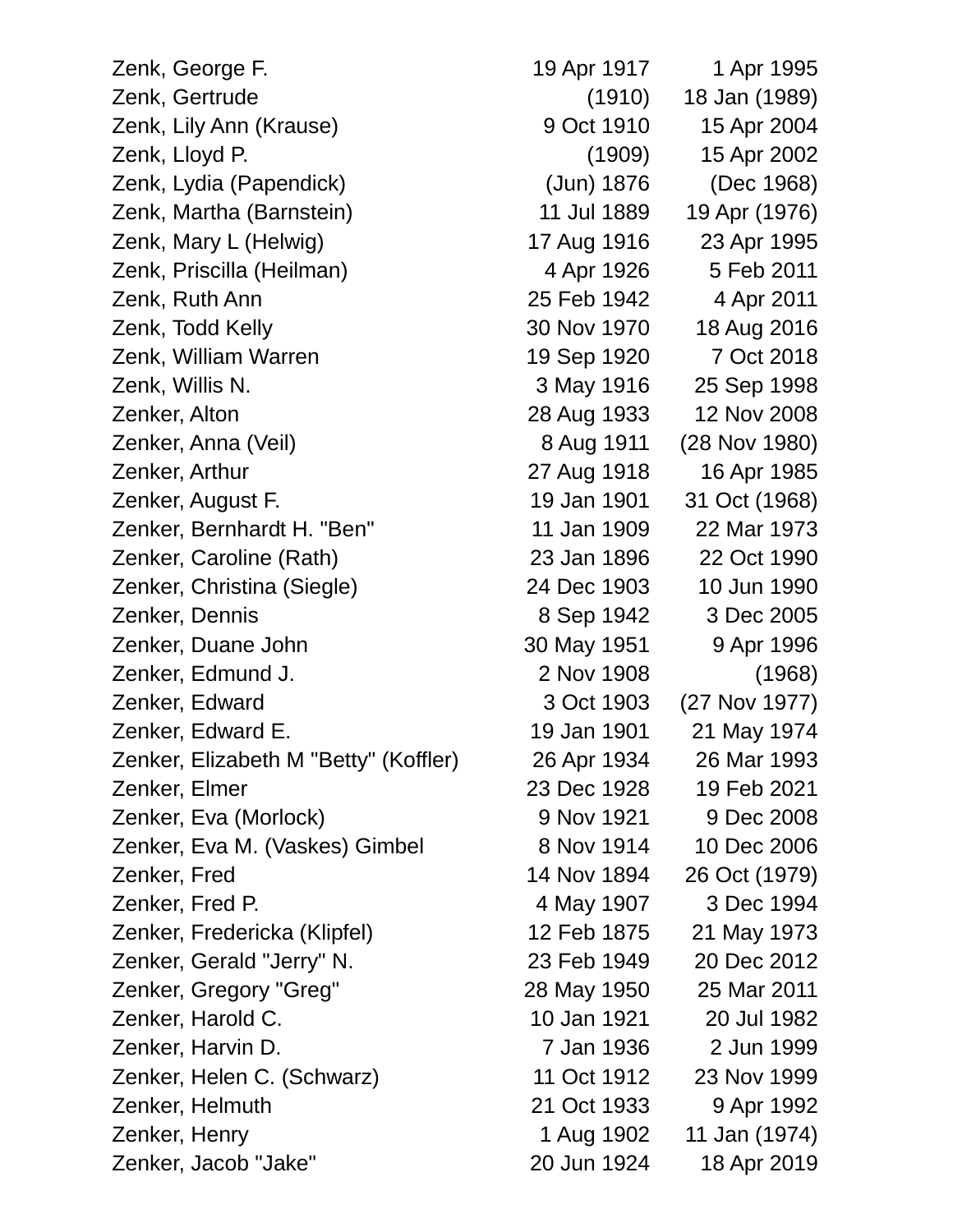Zenk, George F. 19 Apr 1917 1 Apr 1995 Zenk, Gertrude (1910) 18 Jan (1989) Zenk, Lily Ann (Krause) 9 Oct 1910 15 Apr 2004 Zenk, Lloyd P. (1909) 15 Apr 2002 Zenk, Lydia (Papendick) (Jun) 1876 (Dec 1968) Zenk, Martha (Barnstein) 11 Jul 1889 19 Apr (1976) Zenk, Mary L (Helwig) 17 Aug 1916 23 Apr 1995 Zenk, Priscilla (Heilman) 4 Apr 1926 5 Feb 2011 Zenk, Ruth Ann 25 Feb 1942 4 Apr 2011 Zenk, Todd Kelly 30 Nov 1970 18 Aug 2016 Zenk, William Warren 19 Sep 1920 7 Oct 2018 Zenk, Willis N. 3 May 1916 25 Sep 1998 Zenker, Alton 28 Aug 1933 12 Nov 2008 Zenker, Anna (Veil) 8 Aug 1911 (28 Nov 1980) Zenker, Arthur 27 Aug 1918 16 Apr 1985 Zenker, August F. 19 Jan 1901 31 Oct (1968) Zenker, Bernhardt H. "Ben" 11 Jan 1909 22 Mar 1973 Zenker, Caroline (Rath) 23 Jan 1896 22 Oct 1990 Zenker, Christina (Siegle) 24 Dec 1903 10 Jun 1990 Zenker, Dennis 8 Sep 1942 3 Dec 2005 Zenker, Duane John 30 May 1951 9 Apr 1996 Zenker, Edmund J. 2 Nov 1908 (1968) Zenker, Edward 3 Oct 1903 (27 Nov 1977) Zenker, Edward E. 19 Jan 1901 21 May 1974 Zenker, Elizabeth M "Betty" (Koffler) 26 Apr 1934 26 Mar 1993 Zenker, Elmer 23 Dec 1928 19 Feb 2021 Zenker, Eva (Morlock) 8 Nov 1921 9 Dec 2008 Zenker, Eva M. (Vaskes) Gimbel 8 Nov 1914 10 Dec 2006 Zenker, Fred 14 Nov 1894 26 Oct (1979) Zenker, Fred P. 4 May 1907 3 Dec 1994 Zenker, Fredericka (Klipfel) 12 Feb 1875 21 May 1973 Zenker, Gerald "Jerry" N. 23 Feb 1949 20 Dec 2012 Zenker, Gregory "Greg" 28 May 1950 25 Mar 2011 Zenker, Harold C. 10 Jan 1921 20 Jul 1982 Zenker, Harvin D. 7 Jan 1936 2 Jun 1999 Zenker, Helen C. (Schwarz) 11 Oct 1912 23 Nov 1999 Zenker, Helmuth 21 Oct 1933 9 Apr 1992 Zenker, Henry 1 Aug 1902 11 Jan (1974) Zenker, Jacob "Jake" 20 Jun 1924 18 Apr 2019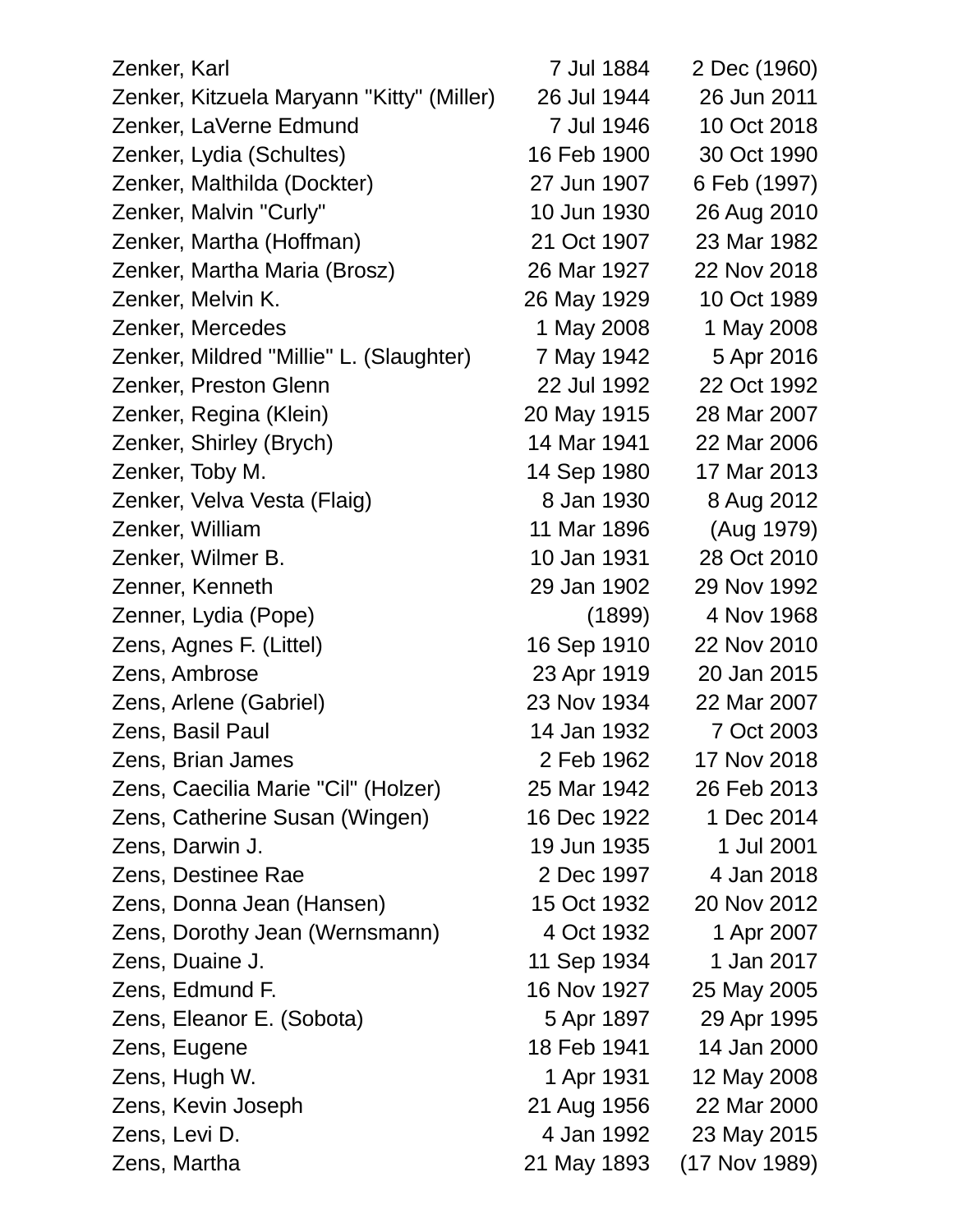| Zenker, Karl                              | 7 Jul 1884  | 2 Dec (1960)  |
|-------------------------------------------|-------------|---------------|
| Zenker, Kitzuela Maryann "Kitty" (Miller) | 26 Jul 1944 | 26 Jun 2011   |
| Zenker, LaVerne Edmund                    | 7 Jul 1946  | 10 Oct 2018   |
| Zenker, Lydia (Schultes)                  | 16 Feb 1900 | 30 Oct 1990   |
| Zenker, Malthilda (Dockter)               | 27 Jun 1907 | 6 Feb (1997)  |
| Zenker, Malvin "Curly"                    | 10 Jun 1930 | 26 Aug 2010   |
| Zenker, Martha (Hoffman)                  | 21 Oct 1907 | 23 Mar 1982   |
| Zenker, Martha Maria (Brosz)              | 26 Mar 1927 | 22 Nov 2018   |
| Zenker, Melvin K.                         | 26 May 1929 | 10 Oct 1989   |
| Zenker, Mercedes                          | 1 May 2008  | 1 May 2008    |
| Zenker, Mildred "Millie" L. (Slaughter)   | 7 May 1942  | 5 Apr 2016    |
| Zenker, Preston Glenn                     | 22 Jul 1992 | 22 Oct 1992   |
| Zenker, Regina (Klein)                    | 20 May 1915 | 28 Mar 2007   |
| Zenker, Shirley (Brych)                   | 14 Mar 1941 | 22 Mar 2006   |
| Zenker, Toby M.                           | 14 Sep 1980 | 17 Mar 2013   |
| Zenker, Velva Vesta (Flaig)               | 8 Jan 1930  | 8 Aug 2012    |
| Zenker, William                           | 11 Mar 1896 | (Aug 1979)    |
| Zenker, Wilmer B.                         | 10 Jan 1931 | 28 Oct 2010   |
| Zenner, Kenneth                           | 29 Jan 1902 | 29 Nov 1992   |
| Zenner, Lydia (Pope)                      | (1899)      | 4 Nov 1968    |
| Zens, Agnes F. (Littel)                   | 16 Sep 1910 | 22 Nov 2010   |
| Zens, Ambrose                             | 23 Apr 1919 | 20 Jan 2015   |
| Zens, Arlene (Gabriel)                    | 23 Nov 1934 | 22 Mar 2007   |
| Zens, Basil Paul                          | 14 Jan 1932 | 7 Oct 2003    |
| Zens, Brian James                         | 2 Feb 1962  | 17 Nov 2018   |
| Zens, Caecilia Marie "Cil" (Holzer)       | 25 Mar 1942 | 26 Feb 2013   |
| Zens, Catherine Susan (Wingen)            | 16 Dec 1922 | 1 Dec 2014    |
| Zens, Darwin J.                           | 19 Jun 1935 | 1 Jul 2001    |
| Zens, Destinee Rae                        | 2 Dec 1997  | 4 Jan 2018    |
| Zens, Donna Jean (Hansen)                 | 15 Oct 1932 | 20 Nov 2012   |
| Zens, Dorothy Jean (Wernsmann)            | 4 Oct 1932  | 1 Apr 2007    |
| Zens, Duaine J.                           | 11 Sep 1934 | 1 Jan 2017    |
| Zens, Edmund F.                           | 16 Nov 1927 | 25 May 2005   |
| Zens, Eleanor E. (Sobota)                 | 5 Apr 1897  | 29 Apr 1995   |
| Zens, Eugene                              | 18 Feb 1941 | 14 Jan 2000   |
| Zens, Hugh W.                             | 1 Apr 1931  | 12 May 2008   |
| Zens, Kevin Joseph                        | 21 Aug 1956 | 22 Mar 2000   |
| Zens, Levi D.                             | 4 Jan 1992  | 23 May 2015   |
| Zens, Martha                              | 21 May 1893 | (17 Nov 1989) |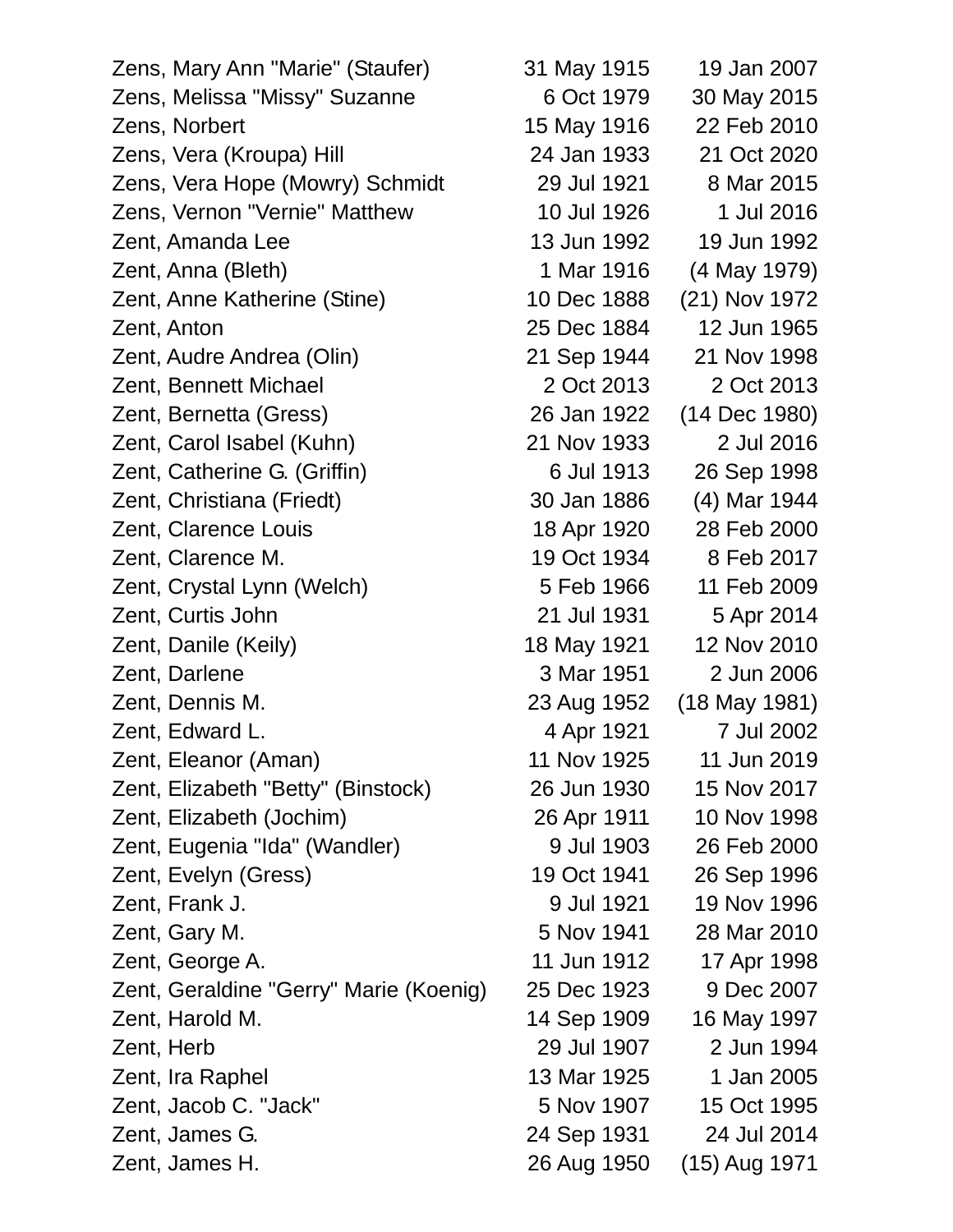| Zens, Mary Ann "Marie" (Staufer)       | 31 May 1915 | 19 Jan 2007   |
|----------------------------------------|-------------|---------------|
| Zens, Melissa "Missy" Suzanne          | 6 Oct 1979  | 30 May 2015   |
| Zens, Norbert                          | 15 May 1916 | 22 Feb 2010   |
| Zens, Vera (Kroupa) Hill               | 24 Jan 1933 | 21 Oct 2020   |
| Zens, Vera Hope (Mowry) Schmidt        | 29 Jul 1921 | 8 Mar 2015    |
| Zens, Vernon "Vernie" Matthew          | 10 Jul 1926 | 1 Jul 2016    |
| Zent, Amanda Lee                       | 13 Jun 1992 | 19 Jun 1992   |
| Zent, Anna (Bleth)                     | 1 Mar 1916  | (4 May 1979)  |
| Zent, Anne Katherine (Stine)           | 10 Dec 1888 | (21) Nov 1972 |
| Zent, Anton                            | 25 Dec 1884 | 12 Jun 1965   |
| Zent, Audre Andrea (Olin)              | 21 Sep 1944 | 21 Nov 1998   |
| Zent, Bennett Michael                  | 2 Oct 2013  | 2 Oct 2013    |
| Zent, Bernetta (Gress)                 | 26 Jan 1922 | (14 Dec 1980) |
| Zent, Carol Isabel (Kuhn)              | 21 Nov 1933 | 2 Jul 2016    |
| Zent, Catherine G. (Griffin)           | 6 Jul 1913  | 26 Sep 1998   |
| Zent, Christiana (Friedt)              | 30 Jan 1886 | (4) Mar 1944  |
| Zent, Clarence Louis                   | 18 Apr 1920 | 28 Feb 2000   |
| Zent, Clarence M.                      | 19 Oct 1934 | 8 Feb 2017    |
| Zent, Crystal Lynn (Welch)             | 5 Feb 1966  | 11 Feb 2009   |
| Zent, Curtis John                      | 21 Jul 1931 | 5 Apr 2014    |
| Zent, Danile (Keily)                   | 18 May 1921 | 12 Nov 2010   |
| Zent, Darlene                          | 3 Mar 1951  | 2 Jun 2006    |
| Zent, Dennis M.                        | 23 Aug 1952 | (18 May 1981) |
| Zent, Edward L.                        | 4 Apr 1921  | 7 Jul 2002    |
| Zent, Eleanor (Aman)                   | 11 Nov 1925 | 11 Jun 2019   |
| Zent, Elizabeth "Betty" (Binstock)     | 26 Jun 1930 | 15 Nov 2017   |
| Zent, Elizabeth (Jochim)               | 26 Apr 1911 | 10 Nov 1998   |
| Zent, Eugenia "Ida" (Wandler)          | 9 Jul 1903  | 26 Feb 2000   |
| Zent, Evelyn (Gress)                   | 19 Oct 1941 | 26 Sep 1996   |
| Zent, Frank J.                         | 9 Jul 1921  | 19 Nov 1996   |
| Zent, Gary M.                          | 5 Nov 1941  | 28 Mar 2010   |
| Zent, George A.                        | 11 Jun 1912 | 17 Apr 1998   |
| Zent, Geraldine "Gerry" Marie (Koenig) | 25 Dec 1923 | 9 Dec 2007    |
| Zent, Harold M.                        | 14 Sep 1909 | 16 May 1997   |
| Zent, Herb                             | 29 Jul 1907 | 2 Jun 1994    |
| Zent, Ira Raphel                       | 13 Mar 1925 | 1 Jan 2005    |
| Zent, Jacob C. "Jack"                  | 5 Nov 1907  | 15 Oct 1995   |
| Zent, James G.                         | 24 Sep 1931 | 24 Jul 2014   |
| Zent, James H.                         | 26 Aug 1950 | (15) Aug 1971 |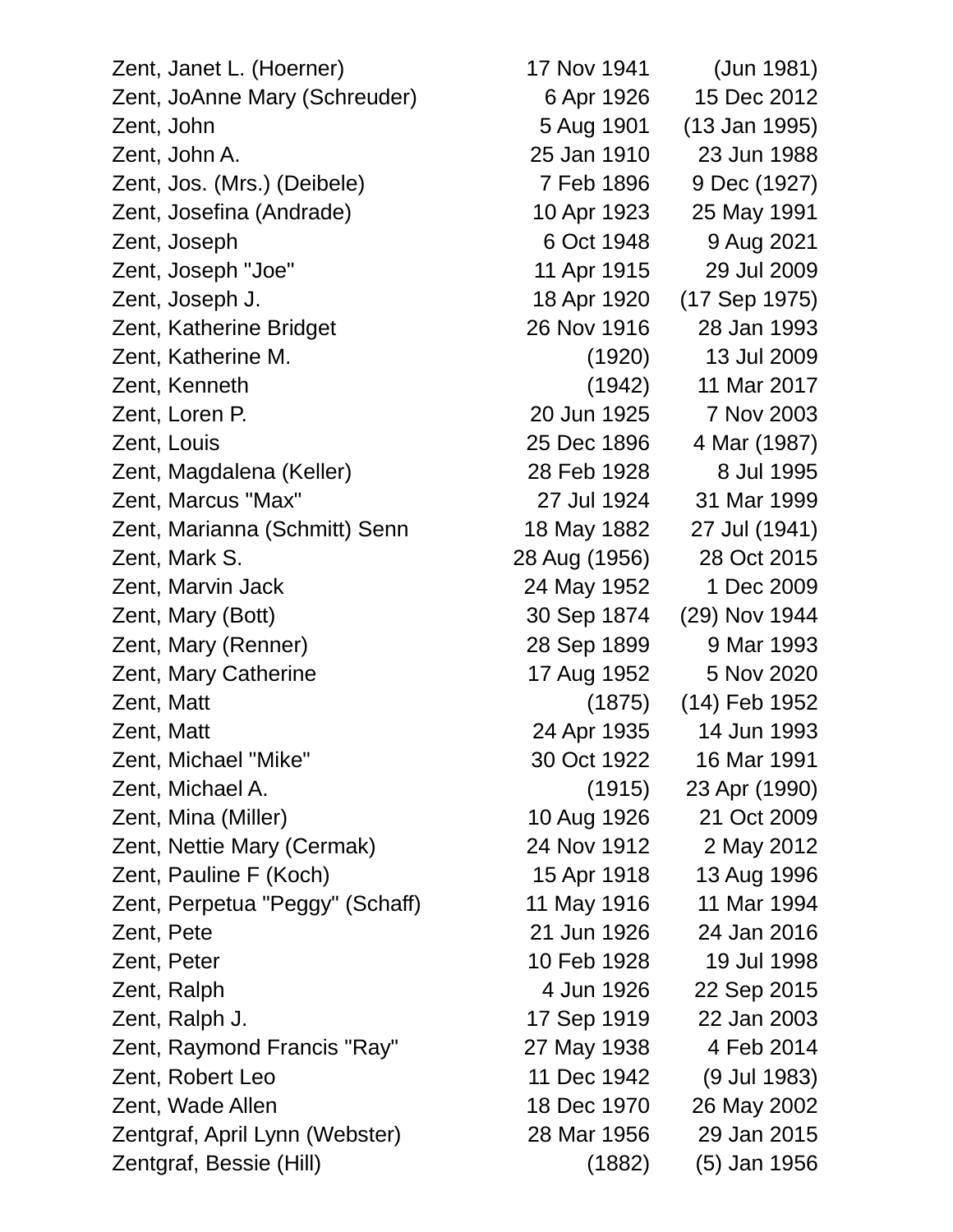Zent, Janet L. (Hoerner) 17 Nov 1941 (Jun 1981) Zent, JoAnne Mary (Schreuder) 6 Apr 1926 15 Dec 2012 Zent, John 5 Aug 1901 (13 Jan 1995) Zent, John A. 25 Jan 1910 23 Jun 1988 Zent, Jos. (Mrs.) (Deibele) 7 Feb 1896 9 Dec (1927) Zent, Josefina (Andrade) 10 Apr 1923 25 May 1991 Zent, Joseph 6 Oct 1948 9 Aug 2021 Zent, Joseph "Joe" 11 Apr 1915 29 Jul 2009 Zent, Joseph J. 18 Apr 1920 (17 Sep 1975) Zent, Katherine Bridget 26 Nov 1916 28 Jan 1993 Zent, Katherine M. (1920) 13 Jul 2009 Zent, Kenneth (1942) 11 Mar 2017 Zent, Loren P. 20 Jun 1925 7 Nov 2003 Zent, Louis 25 Dec 1896 4 Mar (1987) Zent, Magdalena (Keller) 28 Feb 1928 8 Jul 1995 Zent, Marcus "Max" 27 Jul 1924 31 Mar 1999 Zent, Marianna (Schmitt) Senn 18 May 1882 27 Jul (1941) Zent, Mark S. 28 Aug (1956) 28 Oct 2015 Zent, Marvin Jack 24 May 1952 1 Dec 2009 Zent, Mary (Bott) 30 Sep 1874 (29) Nov 1944 Zent, Mary (Renner) 28 Sep 1899 9 Mar 1993 Zent, Mary Catherine 17 Aug 1952 5 Nov 2020 Zent, Matt (1875) (14) Feb 1952 Zent, Matt 24 Apr 1935 14 Jun 1993 Zent, Michael "Mike" 30 Oct 1922 16 Mar 1991 Zent, Michael A. (1915) 23 Apr (1990) Zent, Mina (Miller) 10 Aug 1926 21 Oct 2009 Zent, Nettie Mary (Cermak) 24 Nov 1912 2 May 2012 Zent, Pauline F (Koch) 15 Apr 1918 13 Aug 1996 Zent, Perpetua "Peggy" (Schaff) 11 May 1916 11 Mar 1994 Zent, Pete 21 Jun 1926 24 Jan 2016 Zent, Peter 10 Feb 1928 19 Jul 1998 Zent, Ralph 4 Jun 1926 22 Sep 2015 Zent, Ralph J. 17 Sep 1919 22 Jan 2003 Zent, Raymond Francis "Ray" 27 May 1938 4 Feb 2014 Zent, Robert Leo 11 Dec 1942 (9 Jul 1983) Zent, Wade Allen 18 Dec 1970 26 May 2002 Zentgraf, April Lynn (Webster) 28 Mar 1956 29 Jan 2015

Zentgraf, Bessie (Hill) (1882) (5) Jan 1956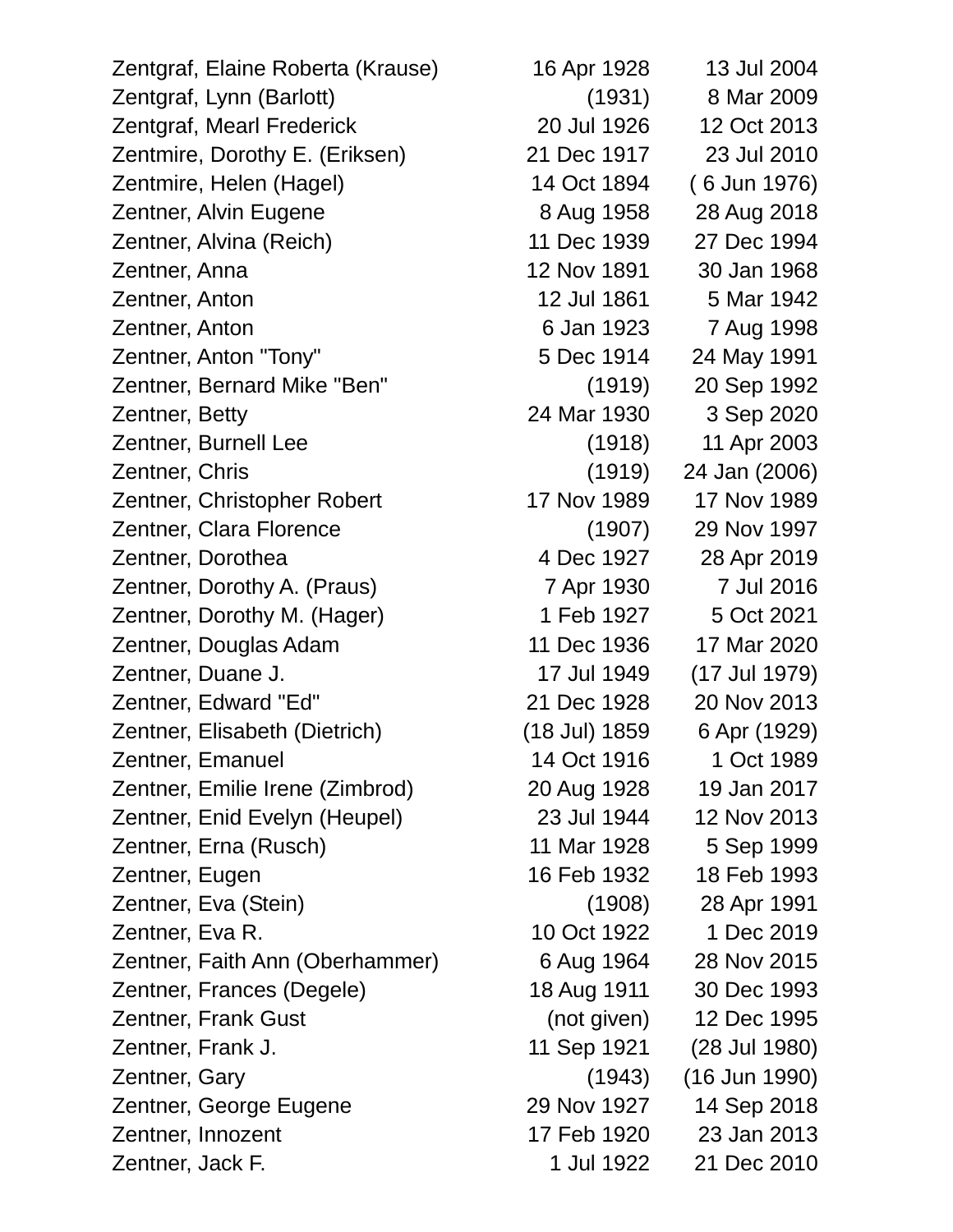| Zentgraf, Elaine Roberta (Krause) | 16 Apr 1928   | 13 Jul 2004   |
|-----------------------------------|---------------|---------------|
| Zentgraf, Lynn (Barlott)          | (1931)        | 8 Mar 2009    |
| Zentgraf, Mearl Frederick         | 20 Jul 1926   | 12 Oct 2013   |
| Zentmire, Dorothy E. (Eriksen)    | 21 Dec 1917   | 23 Jul 2010   |
| Zentmire, Helen (Hagel)           | 14 Oct 1894   | (6 Jun 1976)  |
| Zentner, Alvin Eugene             | 8 Aug 1958    | 28 Aug 2018   |
| Zentner, Alvina (Reich)           | 11 Dec 1939   | 27 Dec 1994   |
| Zentner, Anna                     | 12 Nov 1891   | 30 Jan 1968   |
| Zentner, Anton                    | 12 Jul 1861   | 5 Mar 1942    |
| Zentner, Anton                    | 6 Jan 1923    | 7 Aug 1998    |
| Zentner, Anton "Tony"             | 5 Dec 1914    | 24 May 1991   |
| Zentner, Bernard Mike "Ben"       | (1919)        | 20 Sep 1992   |
| Zentner, Betty                    | 24 Mar 1930   | 3 Sep 2020    |
| Zentner, Burnell Lee              | (1918)        | 11 Apr 2003   |
| Zentner, Chris                    | (1919)        | 24 Jan (2006) |
| Zentner, Christopher Robert       | 17 Nov 1989   | 17 Nov 1989   |
| Zentner, Clara Florence           | (1907)        | 29 Nov 1997   |
| Zentner, Dorothea                 | 4 Dec 1927    | 28 Apr 2019   |
| Zentner, Dorothy A. (Praus)       | 7 Apr 1930    | 7 Jul 2016    |
| Zentner, Dorothy M. (Hager)       | 1 Feb 1927    | 5 Oct 2021    |
| Zentner, Douglas Adam             | 11 Dec 1936   | 17 Mar 2020   |
| Zentner, Duane J.                 | 17 Jul 1949   | (17 Jul 1979) |
| Zentner, Edward "Ed"              | 21 Dec 1928   | 20 Nov 2013   |
| Zentner, Elisabeth (Dietrich)     | (18 Jul) 1859 | 6 Apr (1929)  |
| Zentner, Emanuel                  | 14 Oct 1916   | 1 Oct 1989    |
| Zentner, Emilie Irene (Zimbrod)   | 20 Aug 1928   | 19 Jan 2017   |
| Zentner, Enid Evelyn (Heupel)     | 23 Jul 1944   | 12 Nov 2013   |
| Zentner, Erna (Rusch)             | 11 Mar 1928   | 5 Sep 1999    |
| Zentner, Eugen                    | 16 Feb 1932   | 18 Feb 1993   |
| Zentner, Eva (Stein)              | (1908)        | 28 Apr 1991   |
| Zentner, Eva R.                   | 10 Oct 1922   | 1 Dec 2019    |
| Zentner, Faith Ann (Oberhammer)   | 6 Aug 1964    | 28 Nov 2015   |
| Zentner, Frances (Degele)         | 18 Aug 1911   | 30 Dec 1993   |
| Zentner, Frank Gust               | (not given)   | 12 Dec 1995   |
| Zentner, Frank J.                 | 11 Sep 1921   | (28 Jul 1980) |
| Zentner, Gary                     | (1943)        | (16 Jun 1990) |
| Zentner, George Eugene            | 29 Nov 1927   | 14 Sep 2018   |
| Zentner, Innozent                 | 17 Feb 1920   | 23 Jan 2013   |
| Zentner, Jack F.                  | 1 Jul 1922    | 21 Dec 2010   |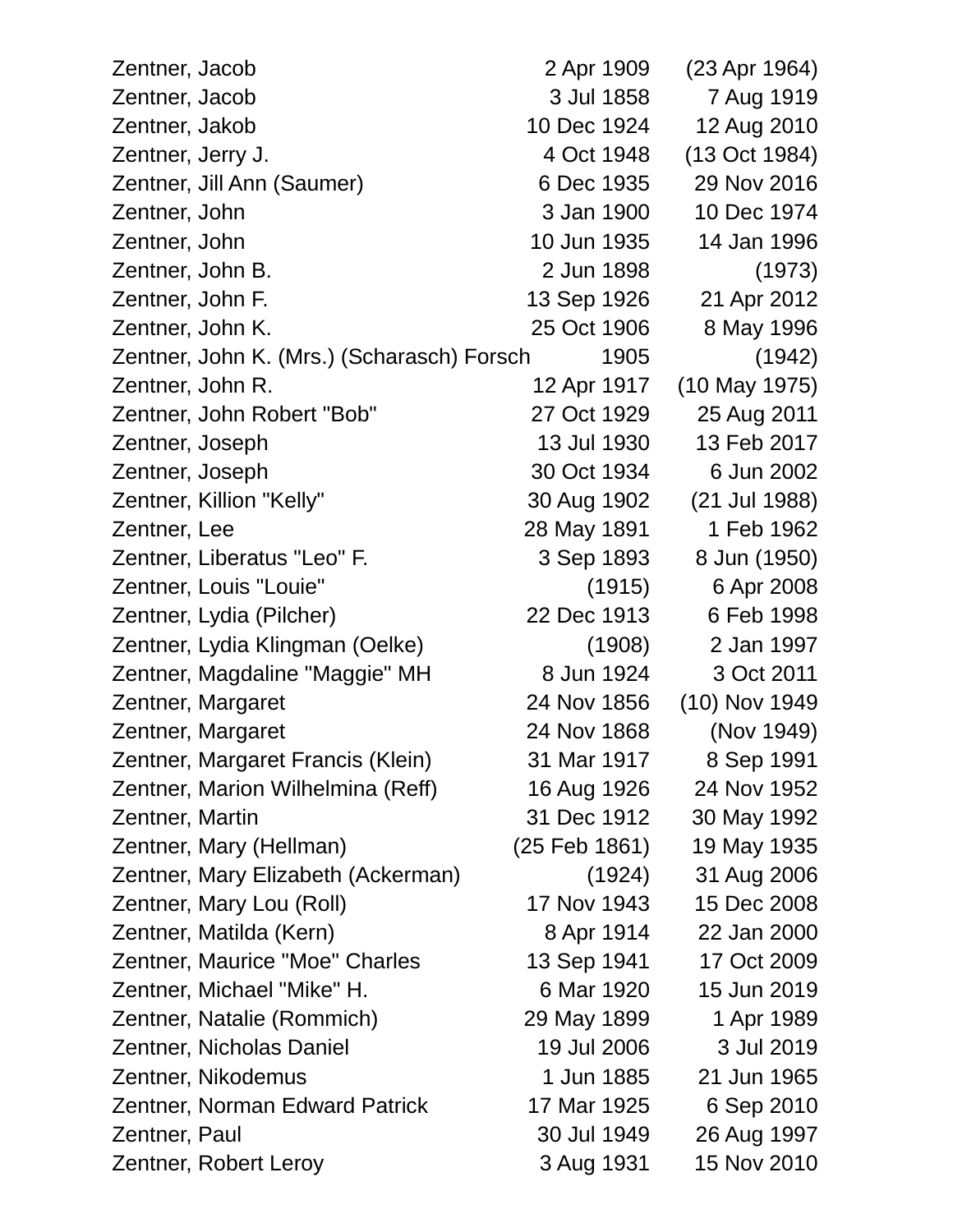| Zentner, Jacob                             | 2 Apr 1909    | (23 Apr 1964)   |
|--------------------------------------------|---------------|-----------------|
| Zentner, Jacob                             | 3 Jul 1858    | 7 Aug 1919      |
| Zentner, Jakob                             | 10 Dec 1924   | 12 Aug 2010     |
| Zentner, Jerry J.                          | 4 Oct 1948    | (13 Oct 1984)   |
| Zentner, Jill Ann (Saumer)                 | 6 Dec 1935    | 29 Nov 2016     |
| Zentner, John                              | 3 Jan 1900    | 10 Dec 1974     |
| Zentner, John                              | 10 Jun 1935   | 14 Jan 1996     |
| Zentner, John B.                           | 2 Jun 1898    | (1973)          |
| Zentner, John F.                           | 13 Sep 1926   | 21 Apr 2012     |
| Zentner, John K.                           | 25 Oct 1906   | 8 May 1996      |
| Zentner, John K. (Mrs.) (Scharasch) Forsch | 1905          | (1942)          |
| Zentner, John R.                           | 12 Apr 1917   | (10 May 1975)   |
| Zentner, John Robert "Bob"                 | 27 Oct 1929   | 25 Aug 2011     |
| Zentner, Joseph                            | 13 Jul 1930   | 13 Feb 2017     |
| Zentner, Joseph                            | 30 Oct 1934   | 6 Jun 2002      |
| Zentner, Killion "Kelly"                   | 30 Aug 1902   | (21 Jul 1988)   |
| Zentner, Lee                               | 28 May 1891   | 1 Feb 1962      |
| Zentner, Liberatus "Leo" F.                | 3 Sep 1893    | 8 Jun (1950)    |
| Zentner, Louis "Louie"                     | (1915)        | 6 Apr 2008      |
| Zentner, Lydia (Pilcher)                   | 22 Dec 1913   | 6 Feb 1998      |
| Zentner, Lydia Klingman (Oelke)            | (1908)        | 2 Jan 1997      |
| Zentner, Magdaline "Maggie" MH             | 8 Jun 1924    | 3 Oct 2011      |
| Zentner, Margaret                          | 24 Nov 1856   | $(10)$ Nov 1949 |
| Zentner, Margaret                          | 24 Nov 1868   | (Nov 1949)      |
| Zentner, Margaret Francis (Klein)          | 31 Mar 1917   | 8 Sep 1991      |
| Zentner, Marion Wilhelmina (Reff)          | 16 Aug 1926   | 24 Nov 1952     |
| Zentner, Martin                            | 31 Dec 1912   | 30 May 1992     |
| Zentner, Mary (Hellman)                    | (25 Feb 1861) | 19 May 1935     |
| Zentner, Mary Elizabeth (Ackerman)         | (1924)        | 31 Aug 2006     |
| Zentner, Mary Lou (Roll)                   | 17 Nov 1943   | 15 Dec 2008     |
| Zentner, Matilda (Kern)                    | 8 Apr 1914    | 22 Jan 2000     |
| Zentner, Maurice "Moe" Charles             | 13 Sep 1941   | 17 Oct 2009     |
| Zentner, Michael "Mike" H.                 | 6 Mar 1920    | 15 Jun 2019     |
| Zentner, Natalie (Rommich)                 | 29 May 1899   | 1 Apr 1989      |
| Zentner, Nicholas Daniel                   | 19 Jul 2006   | 3 Jul 2019      |
| Zentner, Nikodemus                         | 1 Jun 1885    | 21 Jun 1965     |
| <b>Zentner, Norman Edward Patrick</b>      | 17 Mar 1925   | 6 Sep 2010      |
| Zentner, Paul                              | 30 Jul 1949   | 26 Aug 1997     |
| Zentner, Robert Leroy                      | 3 Aug 1931    | 15 Nov 2010     |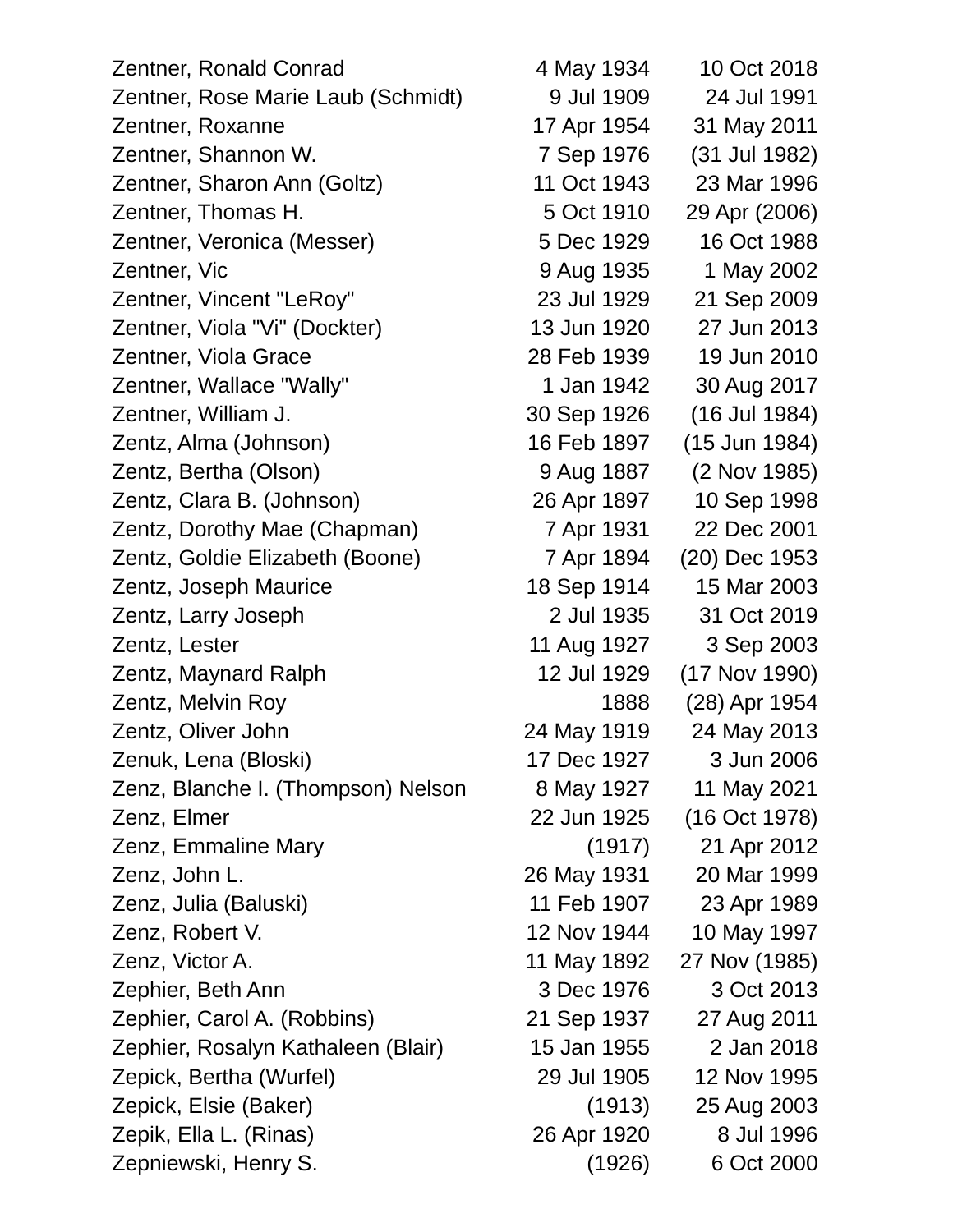| Zentner, Ronald Conrad             | 4 May 1934  | 10 Oct 2018   |
|------------------------------------|-------------|---------------|
| Zentner, Rose Marie Laub (Schmidt) | 9 Jul 1909  | 24 Jul 1991   |
| Zentner, Roxanne                   | 17 Apr 1954 | 31 May 2011   |
| Zentner, Shannon W.                | 7 Sep 1976  | (31 Jul 1982) |
| Zentner, Sharon Ann (Goltz)        | 11 Oct 1943 | 23 Mar 1996   |
| Zentner, Thomas H.                 | 5 Oct 1910  | 29 Apr (2006) |
| Zentner, Veronica (Messer)         | 5 Dec 1929  | 16 Oct 1988   |
| Zentner, Vic                       | 9 Aug 1935  | 1 May 2002    |
| Zentner, Vincent "LeRoy"           | 23 Jul 1929 | 21 Sep 2009   |
| Zentner, Viola "Vi" (Dockter)      | 13 Jun 1920 | 27 Jun 2013   |
| Zentner, Viola Grace               | 28 Feb 1939 | 19 Jun 2010   |
| Zentner, Wallace "Wally"           | 1 Jan 1942  | 30 Aug 2017   |
| Zentner, William J.                | 30 Sep 1926 | (16 Jul 1984) |
| Zentz, Alma (Johnson)              | 16 Feb 1897 | (15 Jun 1984) |
| Zentz, Bertha (Olson)              | 9 Aug 1887  | (2 Nov 1985)  |
| Zentz, Clara B. (Johnson)          | 26 Apr 1897 | 10 Sep 1998   |
| Zentz, Dorothy Mae (Chapman)       | 7 Apr 1931  | 22 Dec 2001   |
| Zentz, Goldie Elizabeth (Boone)    | 7 Apr 1894  | (20) Dec 1953 |
| Zentz, Joseph Maurice              | 18 Sep 1914 | 15 Mar 2003   |
| Zentz, Larry Joseph                | 2 Jul 1935  | 31 Oct 2019   |
| Zentz, Lester                      | 11 Aug 1927 | 3 Sep 2003    |
| Zentz, Maynard Ralph               | 12 Jul 1929 | (17 Nov 1990) |
| Zentz, Melvin Roy                  | 1888        | (28) Apr 1954 |
| Zentz, Oliver John                 | 24 May 1919 | 24 May 2013   |
| Zenuk, Lena (Bloski)               | 17 Dec 1927 | 3 Jun 2006    |
| Zenz, Blanche I. (Thompson) Nelson | 8 May 1927  | 11 May 2021   |
| Zenz, Elmer                        | 22 Jun 1925 | (16 Oct 1978) |
| Zenz, Emmaline Mary                | (1917)      | 21 Apr 2012   |
| Zenz, John L.                      | 26 May 1931 | 20 Mar 1999   |
| Zenz, Julia (Baluski)              | 11 Feb 1907 | 23 Apr 1989   |
| Zenz, Robert V.                    | 12 Nov 1944 | 10 May 1997   |
| Zenz, Victor A.                    | 11 May 1892 | 27 Nov (1985) |
| Zephier, Beth Ann                  | 3 Dec 1976  | 3 Oct 2013    |
| Zephier, Carol A. (Robbins)        | 21 Sep 1937 | 27 Aug 2011   |
| Zephier, Rosalyn Kathaleen (Blair) | 15 Jan 1955 | 2 Jan 2018    |
| Zepick, Bertha (Wurfel)            | 29 Jul 1905 | 12 Nov 1995   |
| Zepick, Elsie (Baker)              | (1913)      | 25 Aug 2003   |
| Zepik, Ella L. (Rinas)             | 26 Apr 1920 | 8 Jul 1996    |
| Zepniewski, Henry S.               | (1926)      | 6 Oct 2000    |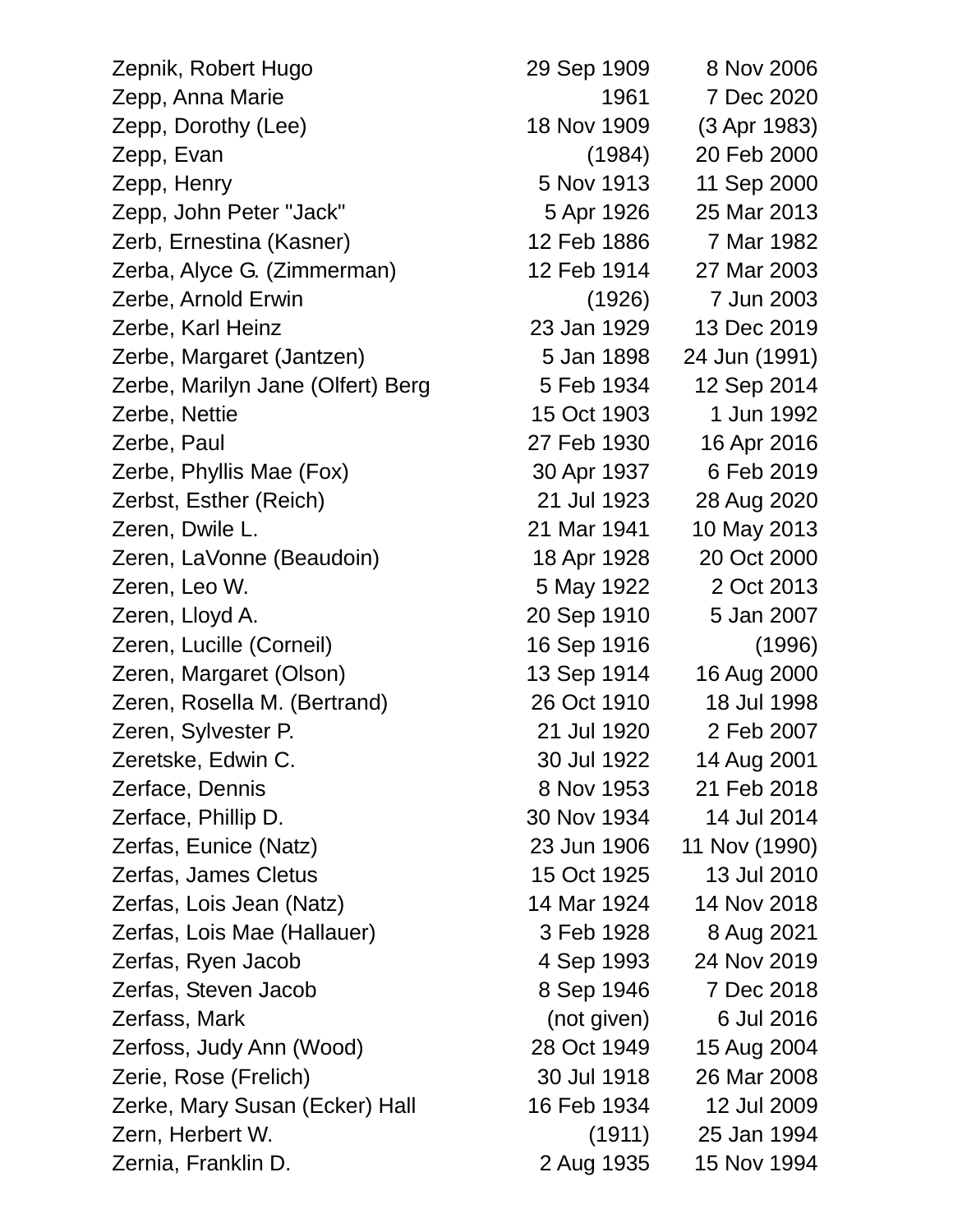Zepnik, Robert Hugo 29 Sep 1909 8 Nov 2006 Zepp, Anna Marie 1961 7 Dec 2020 Zepp, Dorothy (Lee) 18 Nov 1909 (3 Apr 1983) Zepp, Evan (1984) 20 Feb 2000 Zepp, Henry 5 Nov 1913 11 Sep 2000 Zepp, John Peter "Jack" 5 Apr 1926 25 Mar 2013 Zerb, Ernestina (Kasner) 12 Feb 1886 7 Mar 1982 Zerba, Alyce G. (Zimmerman) 12 Feb 1914 27 Mar 2003 Zerbe, Arnold Erwin (1926) 7 Jun 2003 Zerbe, Karl Heinz 23 Jan 1929 13 Dec 2019 Zerbe, Margaret (Jantzen) 5 Jan 1898 24 Jun (1991) Zerbe, Marilyn Jane (Olfert) Berg 5 Feb 1934 12 Sep 2014 Zerbe, Nettie 15 Oct 1903 1 Jun 1992 Zerbe, Paul 27 Feb 1930 16 Apr 2016 Zerbe, Phyllis Mae (Fox) 30 Apr 1937 6 Feb 2019 Zerbst, Esther (Reich) 21 Jul 1923 28 Aug 2020 Zeren, Dwile L. 21 Mar 1941 10 May 2013 Zeren, LaVonne (Beaudoin) 18 Apr 1928 20 Oct 2000 Zeren, Leo W. 5 May 1922 2 Oct 2013 Zeren, Lloyd A. 20 Sep 1910 5 Jan 2007 Zeren, Lucille (Corneil) 16 Sep 1916 (1996) Zeren, Margaret (Olson) 13 Sep 1914 16 Aug 2000 Zeren, Rosella M. (Bertrand) 26 Oct 1910 18 Jul 1998 Zeren, Sylvester P. 21 Jul 1920 2 Feb 2007 Zeretske, Edwin C. 30 Jul 1922 14 Aug 2001 Zerface, Dennis 8 Nov 1953 21 Feb 2018 Zerface, Phillip D. 30 Nov 1934 14 Jul 2014 Zerfas, Eunice (Natz) 23 Jun 1906 11 Nov (1990) Zerfas, James Cletus 15 Oct 1925 13 Jul 2010 Zerfas, Lois Jean (Natz) 14 Mar 1924 14 Nov 2018 Zerfas, Lois Mae (Hallauer) 3 Feb 1928 8 Aug 2021 Zerfas, Ryen Jacob 4 Sep 1993 24 Nov 2019 Zerfas, Steven Jacob 8 Sep 1946 7 Dec 2018 Zerfass, Mark (not given) 6 Jul 2016 Zerfoss, Judy Ann (Wood) 28 Oct 1949 15 Aug 2004 Zerie, Rose (Frelich) 30 Jul 1918 26 Mar 2008 Zerke, Mary Susan (Ecker) Hall 16 Feb 1934 12 Jul 2009 Zern, Herbert W. (1911) 25 Jan 1994 Zernia, Franklin D. 2 Aug 1935 15 Nov 1994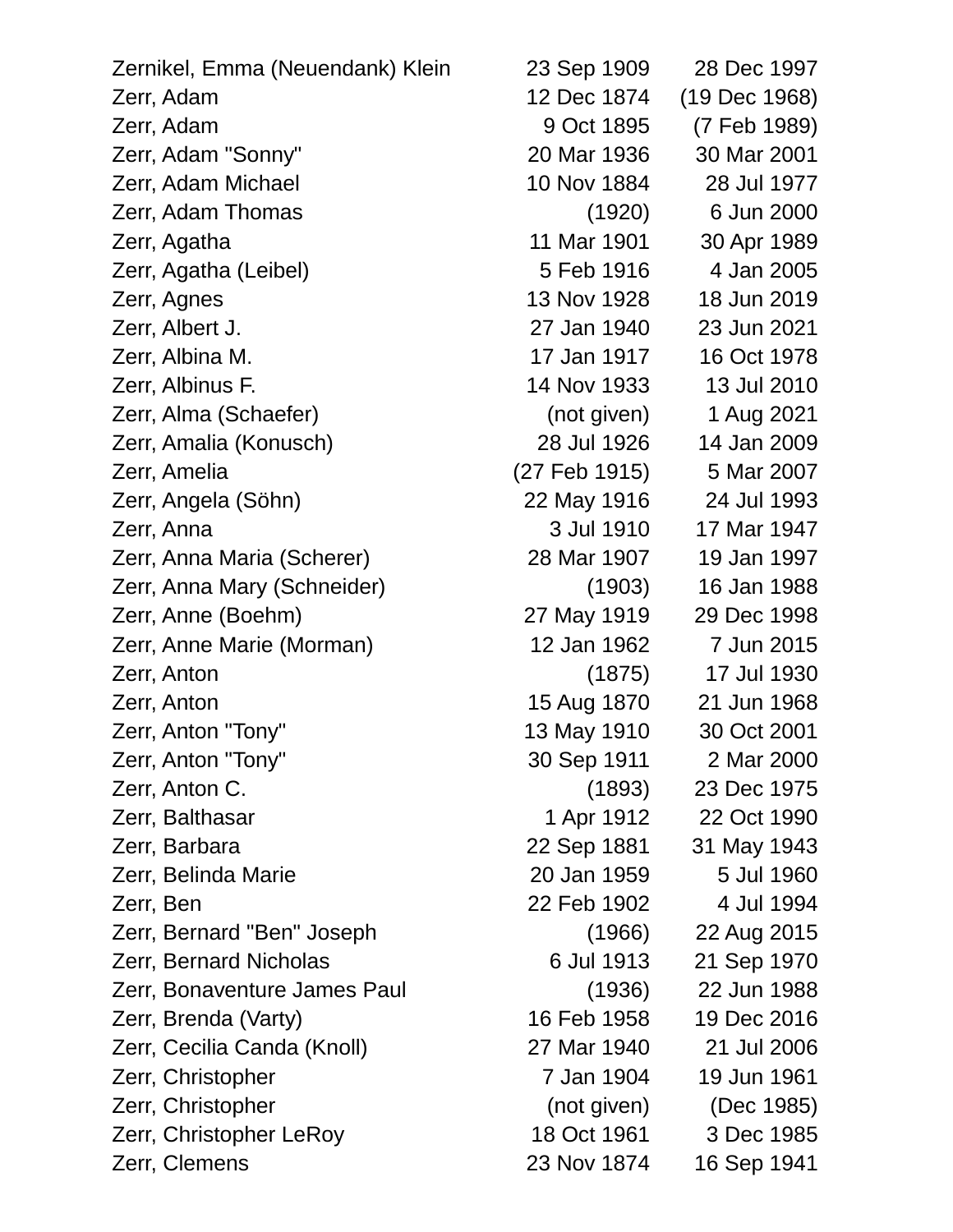| Zernikel, Emma (Neuendank) Klein | 23 Sep 1909   | 28 Dec 1997   |
|----------------------------------|---------------|---------------|
| Zerr, Adam                       | 12 Dec 1874   | (19 Dec 1968) |
| Zerr, Adam                       | 9 Oct 1895    | (7 Feb 1989)  |
| Zerr, Adam "Sonny"               | 20 Mar 1936   | 30 Mar 2001   |
| Zerr, Adam Michael               | 10 Nov 1884   | 28 Jul 1977   |
| Zerr, Adam Thomas                | (1920)        | 6 Jun 2000    |
| Zerr, Agatha                     | 11 Mar 1901   | 30 Apr 1989   |
| Zerr, Agatha (Leibel)            | 5 Feb 1916    | 4 Jan 2005    |
| Zerr, Agnes                      | 13 Nov 1928   | 18 Jun 2019   |
| Zerr, Albert J.                  | 27 Jan 1940   | 23 Jun 2021   |
| Zerr, Albina M.                  | 17 Jan 1917   | 16 Oct 1978   |
| Zerr, Albinus F.                 | 14 Nov 1933   | 13 Jul 2010   |
| Zerr, Alma (Schaefer)            | (not given)   | 1 Aug 2021    |
| Zerr, Amalia (Konusch)           | 28 Jul 1926   | 14 Jan 2009   |
| Zerr, Amelia                     | (27 Feb 1915) | 5 Mar 2007    |
| Zerr, Angela (Söhn)              | 22 May 1916   | 24 Jul 1993   |
| Zerr, Anna                       | 3 Jul 1910    | 17 Mar 1947   |
| Zerr, Anna Maria (Scherer)       | 28 Mar 1907   | 19 Jan 1997   |
| Zerr, Anna Mary (Schneider)      | (1903)        | 16 Jan 1988   |
| Zerr, Anne (Boehm)               | 27 May 1919   | 29 Dec 1998   |
| Zerr, Anne Marie (Morman)        | 12 Jan 1962   | 7 Jun 2015    |
| Zerr, Anton                      | (1875)        | 17 Jul 1930   |
| Zerr, Anton                      | 15 Aug 1870   | 21 Jun 1968   |
| Zerr, Anton "Tony"               | 13 May 1910   | 30 Oct 2001   |
| Zerr, Anton "Tony"               | 30 Sep 1911   | 2 Mar 2000    |
| Zerr, Anton C.                   | (1893)        | 23 Dec 1975   |
| Zerr, Balthasar                  | 1 Apr 1912    | 22 Oct 1990   |
| Zerr, Barbara                    | 22 Sep 1881   | 31 May 1943   |
| Zerr, Belinda Marie              | 20 Jan 1959   | 5 Jul 1960    |
| Zerr, Ben                        | 22 Feb 1902   | 4 Jul 1994    |
| Zerr, Bernard "Ben" Joseph       | (1966)        | 22 Aug 2015   |
| <b>Zerr, Bernard Nicholas</b>    | 6 Jul 1913    | 21 Sep 1970   |
| Zerr, Bonaventure James Paul     | (1936)        | 22 Jun 1988   |
| Zerr, Brenda (Varty)             | 16 Feb 1958   | 19 Dec 2016   |
| Zerr, Cecilia Canda (Knoll)      | 27 Mar 1940   | 21 Jul 2006   |
| Zerr, Christopher                | 7 Jan 1904    | 19 Jun 1961   |
| Zerr, Christopher                | (not given)   | (Dec 1985)    |
| Zerr, Christopher LeRoy          | 18 Oct 1961   | 3 Dec 1985    |
| Zerr, Clemens                    | 23 Nov 1874   | 16 Sep 1941   |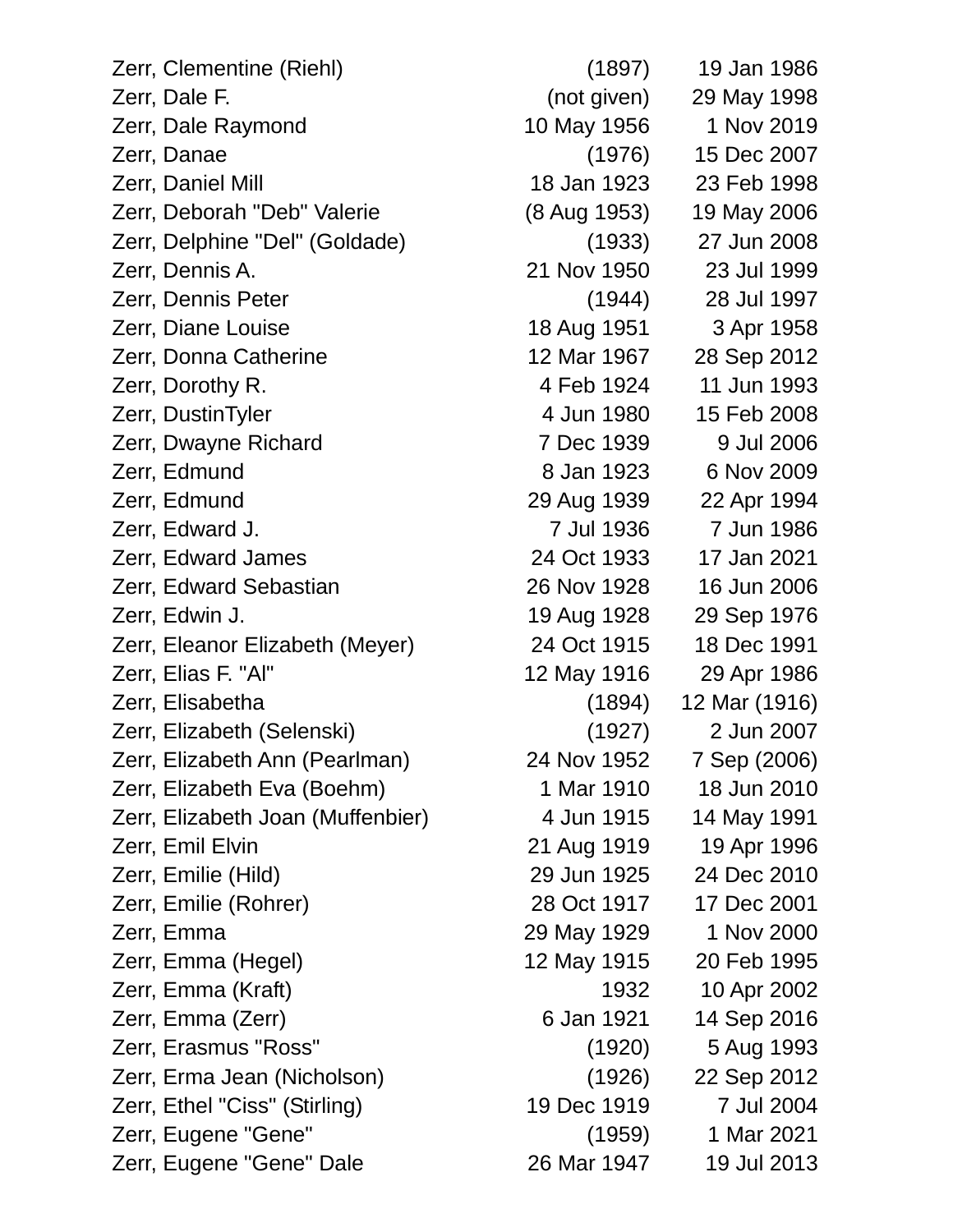| Zerr, Clementine (Riehl)          | (1897)       | 19 Jan 1986   |
|-----------------------------------|--------------|---------------|
| Zerr, Dale F.                     | (not given)  | 29 May 1998   |
| Zerr, Dale Raymond                | 10 May 1956  | 1 Nov 2019    |
| Zerr, Danae                       | (1976)       | 15 Dec 2007   |
| Zerr, Daniel Mill                 | 18 Jan 1923  | 23 Feb 1998   |
| Zerr, Deborah "Deb" Valerie       | (8 Aug 1953) | 19 May 2006   |
| Zerr, Delphine "Del" (Goldade)    | (1933)       | 27 Jun 2008   |
| Zerr, Dennis A.                   | 21 Nov 1950  | 23 Jul 1999   |
| Zerr, Dennis Peter                | (1944)       | 28 Jul 1997   |
| Zerr, Diane Louise                | 18 Aug 1951  | 3 Apr 1958    |
| Zerr, Donna Catherine             | 12 Mar 1967  | 28 Sep 2012   |
| Zerr, Dorothy R.                  | 4 Feb 1924   | 11 Jun 1993   |
| Zerr, DustinTyler                 | 4 Jun 1980   | 15 Feb 2008   |
| Zerr, Dwayne Richard              | 7 Dec 1939   | 9 Jul 2006    |
| Zerr, Edmund                      | 8 Jan 1923   | 6 Nov 2009    |
| Zerr, Edmund                      | 29 Aug 1939  | 22 Apr 1994   |
| Zerr, Edward J.                   | 7 Jul 1936   | 7 Jun 1986    |
| Zerr, Edward James                | 24 Oct 1933  | 17 Jan 2021   |
| Zerr, Edward Sebastian            | 26 Nov 1928  | 16 Jun 2006   |
| Zerr, Edwin J.                    | 19 Aug 1928  | 29 Sep 1976   |
| Zerr, Eleanor Elizabeth (Meyer)   | 24 Oct 1915  | 18 Dec 1991   |
| Zerr, Elias F. "Al"               | 12 May 1916  | 29 Apr 1986   |
| Zerr, Elisabetha                  | (1894)       | 12 Mar (1916) |
| Zerr, Elizabeth (Selenski)        | (1927)       | 2 Jun 2007    |
| Zerr, Elizabeth Ann (Pearlman)    | 24 Nov 1952  | 7 Sep (2006)  |
| Zerr, Elizabeth Eva (Boehm)       | 1 Mar 1910   | 18 Jun 2010   |
| Zerr, Elizabeth Joan (Muffenbier) | 4 Jun 1915   | 14 May 1991   |
| Zerr, Emil Elvin                  | 21 Aug 1919  | 19 Apr 1996   |
| Zerr, Emilie (Hild)               | 29 Jun 1925  | 24 Dec 2010   |
| Zerr, Emilie (Rohrer)             | 28 Oct 1917  | 17 Dec 2001   |
| Zerr, Emma                        | 29 May 1929  | 1 Nov 2000    |
| Zerr, Emma (Hegel)                | 12 May 1915  | 20 Feb 1995   |
| Zerr, Emma (Kraft)                | 1932         | 10 Apr 2002   |
| Zerr, Emma (Zerr)                 | 6 Jan 1921   | 14 Sep 2016   |
| Zerr, Erasmus "Ross"              | (1920)       | 5 Aug 1993    |
| Zerr, Erma Jean (Nicholson)       | (1926)       | 22 Sep 2012   |
| Zerr, Ethel "Ciss" (Stirling)     | 19 Dec 1919  | 7 Jul 2004    |
| Zerr, Eugene "Gene"               | (1959)       | 1 Mar 2021    |
| Zerr, Eugene "Gene" Dale          | 26 Mar 1947  | 19 Jul 2013   |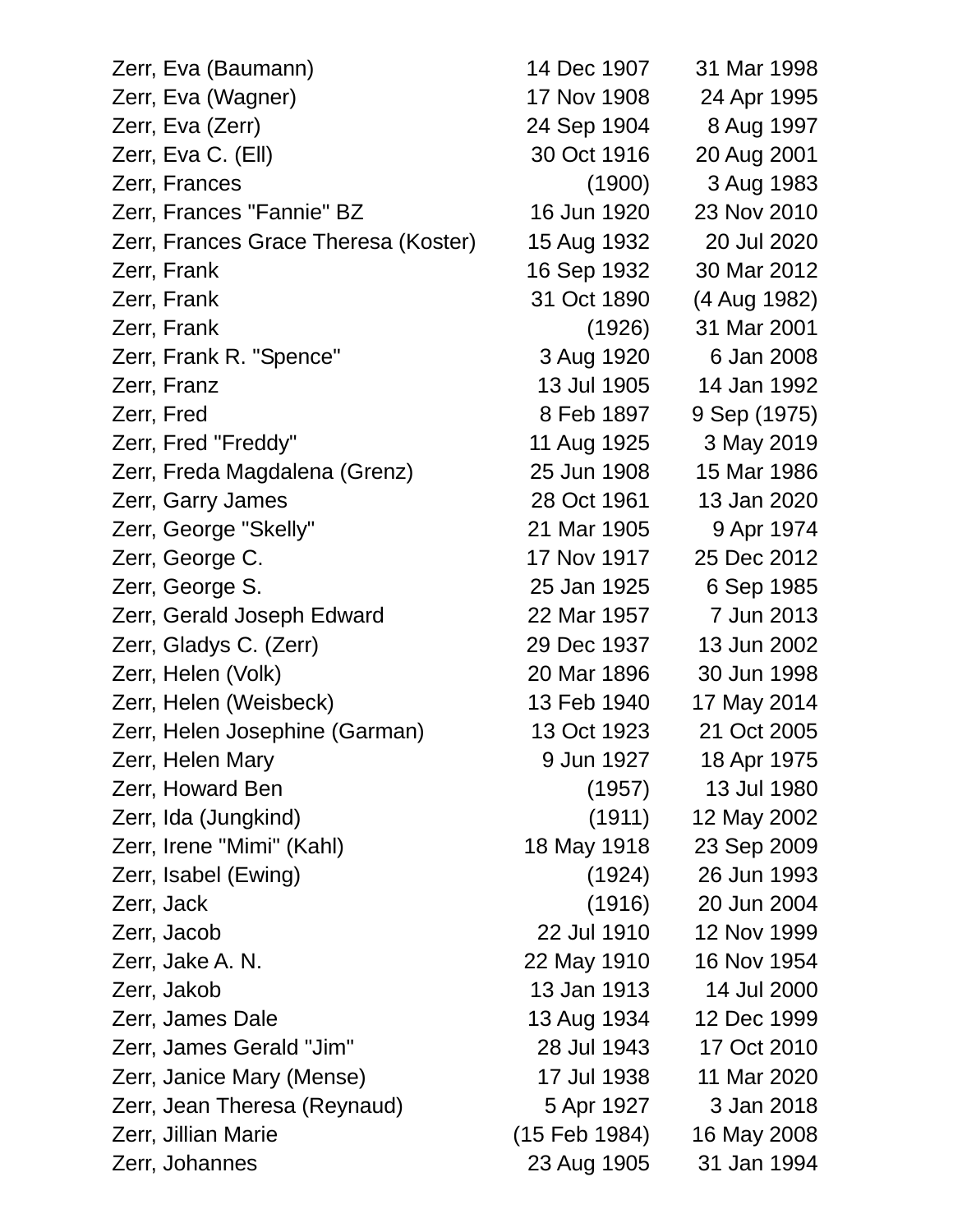| Zerr, Eva (Baumann)                  | 14 Dec 1907   | 31 Mar 1998  |
|--------------------------------------|---------------|--------------|
| Zerr, Eva (Wagner)                   | 17 Nov 1908   | 24 Apr 1995  |
| Zerr, Eva (Zerr)                     | 24 Sep 1904   | 8 Aug 1997   |
| Zerr, Eva C. (Ell)                   | 30 Oct 1916   | 20 Aug 2001  |
| Zerr, Frances                        | (1900)        | 3 Aug 1983   |
| Zerr, Frances "Fannie" BZ            | 16 Jun 1920   | 23 Nov 2010  |
| Zerr, Frances Grace Theresa (Koster) | 15 Aug 1932   | 20 Jul 2020  |
| Zerr, Frank                          | 16 Sep 1932   | 30 Mar 2012  |
| Zerr, Frank                          | 31 Oct 1890   | (4 Aug 1982) |
| Zerr, Frank                          | (1926)        | 31 Mar 2001  |
| Zerr, Frank R. "Spence"              | 3 Aug 1920    | 6 Jan 2008   |
| Zerr, Franz                          | 13 Jul 1905   | 14 Jan 1992  |
| Zerr, Fred                           | 8 Feb 1897    | 9 Sep (1975) |
| Zerr, Fred "Freddy"                  | 11 Aug 1925   | 3 May 2019   |
| Zerr, Freda Magdalena (Grenz)        | 25 Jun 1908   | 15 Mar 1986  |
| Zerr, Garry James                    | 28 Oct 1961   | 13 Jan 2020  |
| Zerr, George "Skelly"                | 21 Mar 1905   | 9 Apr 1974   |
| Zerr, George C.                      | 17 Nov 1917   | 25 Dec 2012  |
| Zerr, George S.                      | 25 Jan 1925   | 6 Sep 1985   |
| Zerr, Gerald Joseph Edward           | 22 Mar 1957   | 7 Jun 2013   |
| Zerr, Gladys C. (Zerr)               | 29 Dec 1937   | 13 Jun 2002  |
| Zerr, Helen (Volk)                   | 20 Mar 1896   | 30 Jun 1998  |
| Zerr, Helen (Weisbeck)               | 13 Feb 1940   | 17 May 2014  |
| Zerr, Helen Josephine (Garman)       | 13 Oct 1923   | 21 Oct 2005  |
| Zerr, Helen Mary                     | 9 Jun 1927    | 18 Apr 1975  |
| Zerr, Howard Ben                     | (1957)        | 13 Jul 1980  |
| Zerr, Ida (Jungkind)                 | (1911)        | 12 May 2002  |
| Zerr, Irene "Mimi" (Kahl)            | 18 May 1918   | 23 Sep 2009  |
| Zerr, Isabel (Ewing)                 | (1924)        | 26 Jun 1993  |
| Zerr, Jack                           | (1916)        | 20 Jun 2004  |
| Zerr, Jacob                          | 22 Jul 1910   | 12 Nov 1999  |
| Zerr, Jake A. N.                     | 22 May 1910   | 16 Nov 1954  |
| Zerr, Jakob                          | 13 Jan 1913   | 14 Jul 2000  |
| Zerr, James Dale                     | 13 Aug 1934   | 12 Dec 1999  |
| Zerr, James Gerald "Jim"             | 28 Jul 1943   | 17 Oct 2010  |
| Zerr, Janice Mary (Mense)            | 17 Jul 1938   | 11 Mar 2020  |
| Zerr, Jean Theresa (Reynaud)         | 5 Apr 1927    | 3 Jan 2018   |
| Zerr, Jillian Marie                  | (15 Feb 1984) | 16 May 2008  |
| Zerr, Johannes                       | 23 Aug 1905   | 31 Jan 1994  |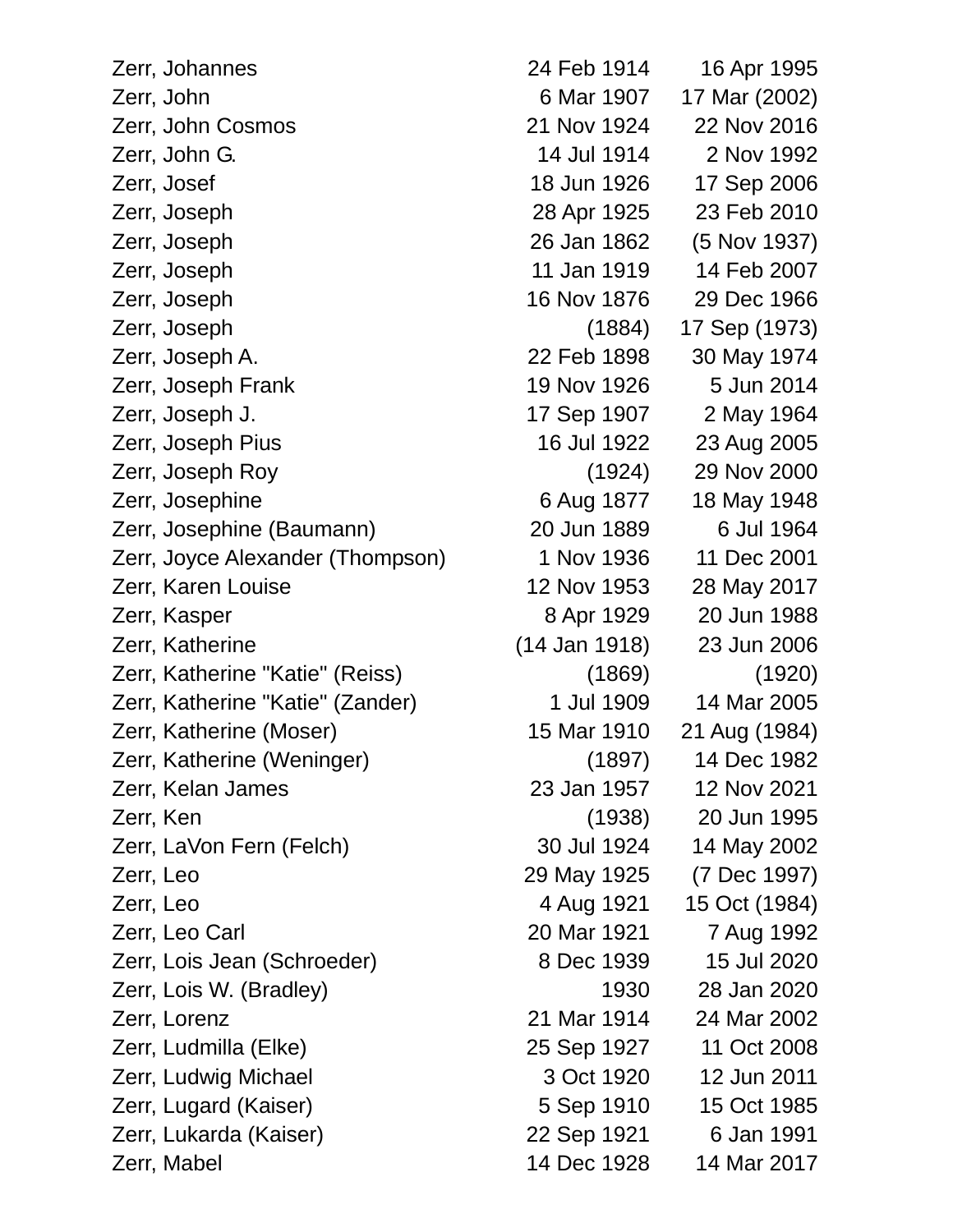Zerr, Johannes 24 Feb 1914 16 Apr 1995 Zerr, John 6 Mar 1907 17 Mar (2002) Zerr, John Cosmos 21 Nov 1924 22 Nov 2016 Zerr, John G. 14 Jul 1914 2 Nov 1992 Zerr, Josef 18 Jun 1926 17 Sep 2006 Zerr, Joseph 28 Apr 1925 23 Feb 2010 Zerr, Joseph 26 Jan 1862 (5 Nov 1937) Zerr, Joseph 11 Jan 1919 14 Feb 2007 Zerr, Joseph 16 Nov 1876 29 Dec 1966 Zerr, Joseph (1884) 17 Sep (1973) Zerr, Joseph A. 22 Feb 1898 30 May 1974 Zerr, Joseph Frank 19 Nov 1926 5 Jun 2014 Zerr, Joseph J. 17 Sep 1907 2 May 1964 Zerr, Joseph Pius 16 Jul 1922 23 Aug 2005 Zerr, Joseph Roy (1924) 29 Nov 2000 Zerr, Josephine 6 Aug 1877 18 May 1948 Zerr, Josephine (Baumann) 20 Jun 1889 6 Jul 1964 Zerr, Joyce Alexander (Thompson) 1 Nov 1936 11 Dec 2001 Zerr, Karen Louise 12 Nov 1953 28 May 2017 Zerr, Kasper 8 Apr 1929 20 Jun 1988 Zerr, Katherine (14 Jan 1918) 23 Jun 2006 Zerr, Katherine "Katie" (Reiss) (1869) (1920) Zerr, Katherine "Katie" (Zander) 1 Jul 1909 14 Mar 2005 Zerr, Katherine (Moser) 15 Mar 1910 21 Aug (1984) Zerr, Katherine (Weninger) (1897) 14 Dec 1982 Zerr, Kelan James 23 Jan 1957 12 Nov 2021 Zerr, Ken (1938) 20 Jun 1995 Zerr, LaVon Fern (Felch) 30 Jul 1924 14 May 2002 Zerr, Leo 29 May 1925 (7 Dec 1997) Zerr, Leo 4 Aug 1921 15 Oct (1984) Zerr, Leo Carl 20 Mar 1921 7 Aug 1992 Zerr, Lois Jean (Schroeder) 8 Dec 1939 15 Jul 2020 Zerr, Lois W. (Bradley) 1930 28 Jan 2020 Zerr, Lorenz 21 Mar 1914 24 Mar 2002 Zerr, Ludmilla (Elke) 25 Sep 1927 11 Oct 2008 Zerr, Ludwig Michael 3 Oct 1920 12 Jun 2011 Zerr, Lugard (Kaiser) 5 Sep 1910 15 Oct 1985 Zerr, Lukarda (Kaiser) 22 Sep 1921 6 Jan 1991 Zerr, Mabel 14 Dec 1928 14 Mar 2017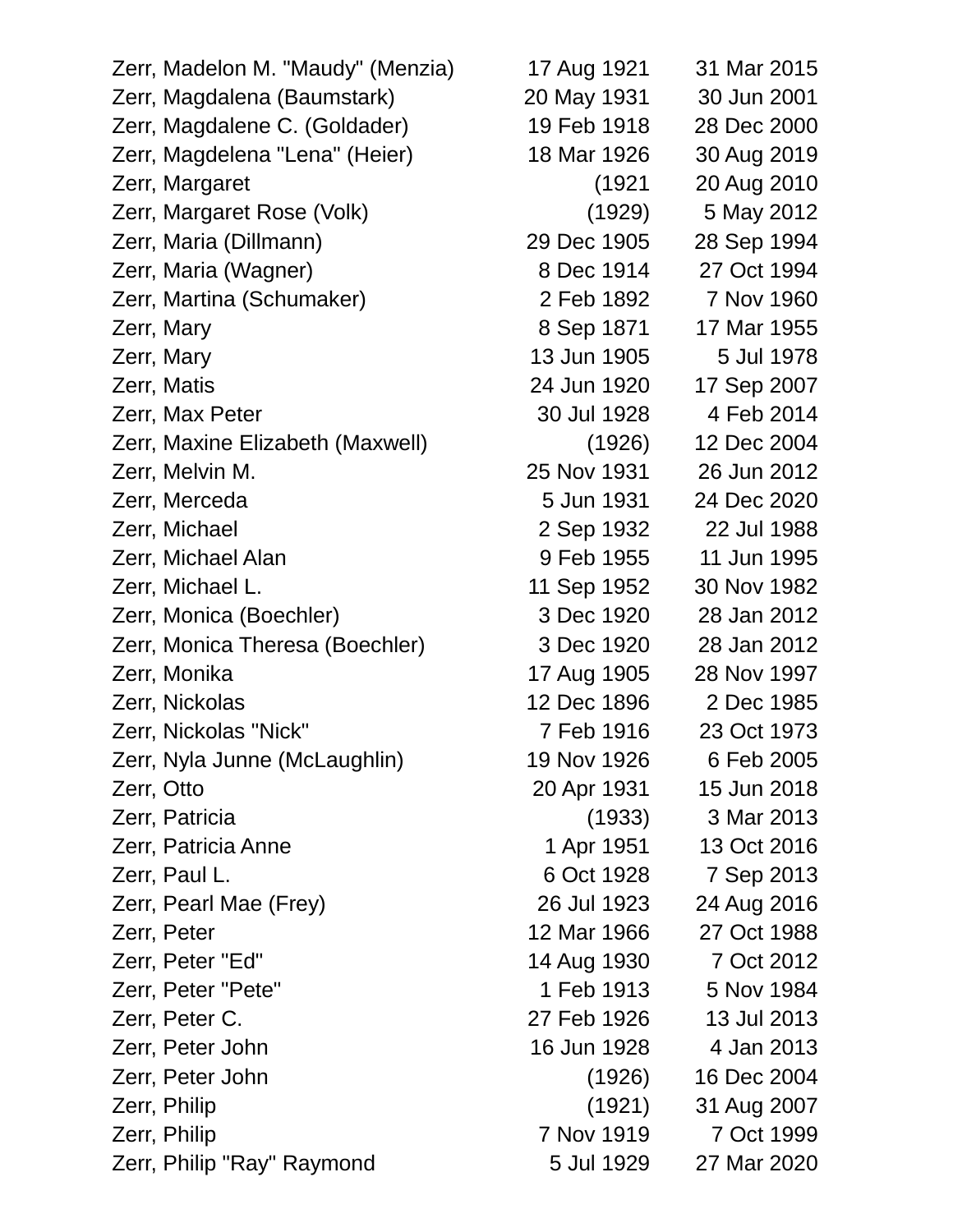Zerr, Madelon M. "Maudy" (Menzia) 17 Aug 1921 31 Mar 2015 Zerr, Magdalena (Baumstark) 20 May 1931 30 Jun 2001 Zerr, Magdalene C. (Goldader) 19 Feb 1918 28 Dec 2000 Zerr, Magdelena "Lena" (Heier) 18 Mar 1926 30 Aug 2019 Zerr, Margaret (1921 20 Aug 2010 Zerr, Margaret Rose (Volk) (1929) 5 May 2012 Zerr, Maria (Dillmann) 29 Dec 1905 28 Sep 1994 Zerr, Maria (Wagner) 8 Dec 1914 27 Oct 1994 Zerr, Martina (Schumaker) 2 Feb 1892 7 Nov 1960 Zerr, Mary 8 Sep 1871 17 Mar 1955 Zerr, Mary 13 Jun 1905 5 Jul 1978 Zerr, Matis 24 Jun 1920 17 Sep 2007 Zerr, Max Peter 30 Jul 1928 4 Feb 2014 Zerr, Maxine Elizabeth (Maxwell) (1926) 12 Dec 2004 Zerr, Melvin M. 25 Nov 1931 26 Jun 2012 Zerr, Merceda 5 Jun 1931 24 Dec 2020 Zerr, Michael 2 Sep 1932 22 Jul 1988 Zerr, Michael Alan 9 Feb 1955 11 Jun 1995 Zerr, Michael L. 11 Sep 1952 30 Nov 1982 Zerr, Monica (Boechler) 3 Dec 1920 28 Jan 2012 Zerr, Monica Theresa (Boechler) 3 Dec 1920 28 Jan 2012 Zerr, Monika 17 Aug 1905 28 Nov 1997 Zerr, Nickolas 12 Dec 1896 2 Dec 1985 Zerr, Nickolas "Nick" 7 Feb 1916 23 Oct 1973 Zerr, Nyla Junne (McLaughlin) 19 Nov 1926 6 Feb 2005 Zerr, Otto 20 Apr 1931 15 Jun 2018 Zerr, Patricia (1933) 3 Mar 2013 Zerr, Patricia Anne 1951 13 Oct 2016 Zerr, Paul L. 6 Oct 1928 7 Sep 2013 Zerr, Pearl Mae (Frey) 26 Jul 1923 24 Aug 2016 Zerr, Peter 12 Mar 1966 27 Oct 1988 Zerr, Peter "Ed" 14 Aug 1930 7 Oct 2012 Zerr, Peter "Pete" 1 Feb 1913 5 Nov 1984 Zerr, Peter C. 27 Feb 1926 13 Jul 2013 Zerr, Peter John 16 Jun 1928 4 Jan 2013 Zerr, Peter John (1926) 16 Dec 2004 Zerr, Philip (1921) 31 Aug 2007 Zerr, Philip 7 Nov 1919 7 Oct 1999 Zerr, Philip "Ray" Raymond 5 Jul 1929 27 Mar 2020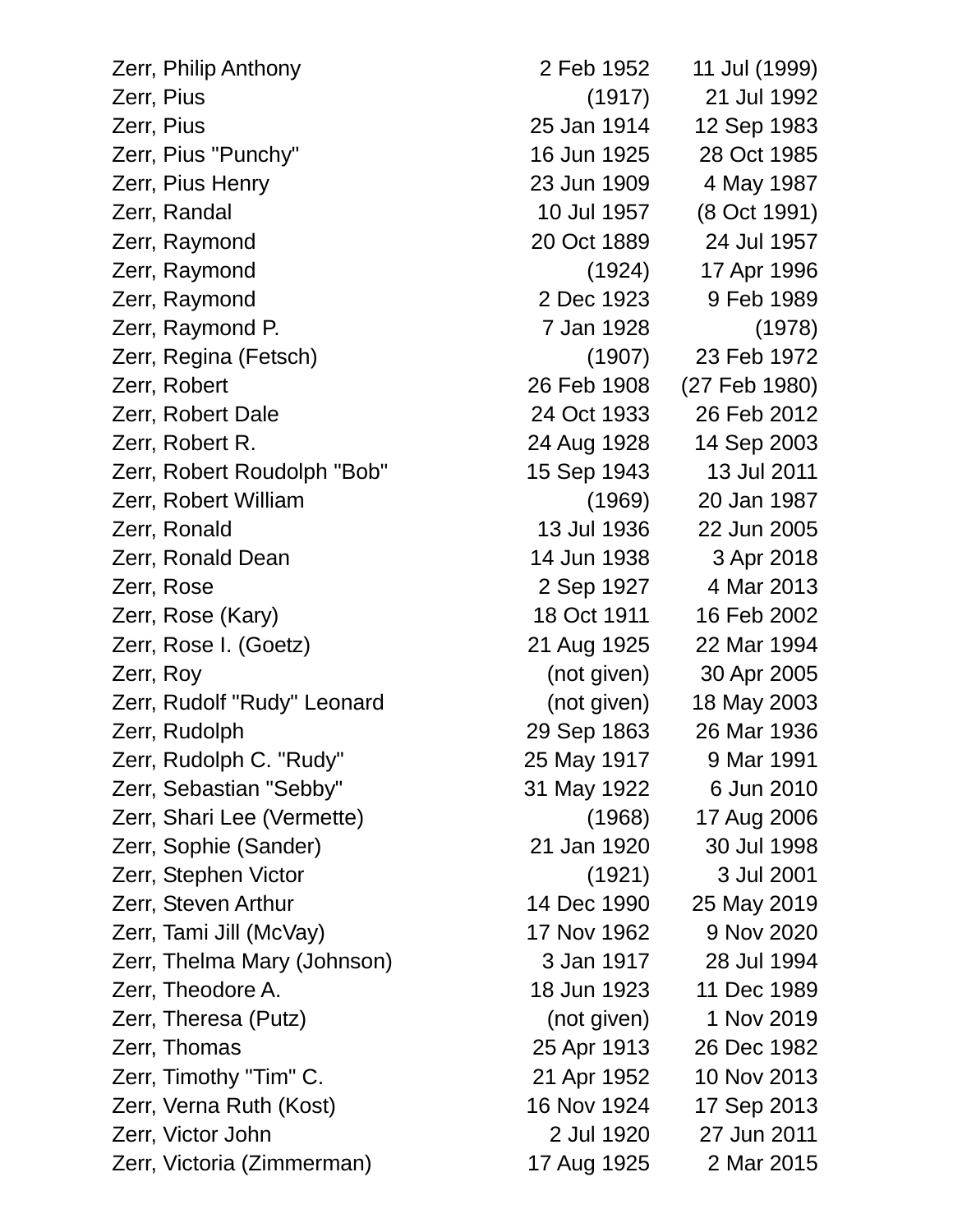| Zerr, Philip Anthony        | 2 Feb 1952  | 11 Jul (1999) |
|-----------------------------|-------------|---------------|
| Zerr, Pius                  | (1917)      | 21 Jul 1992   |
| Zerr, Pius                  | 25 Jan 1914 | 12 Sep 1983   |
| Zerr, Pius "Punchy"         | 16 Jun 1925 | 28 Oct 1985   |
| Zerr, Pius Henry            | 23 Jun 1909 | 4 May 1987    |
| Zerr, Randal                | 10 Jul 1957 | (8 Oct 1991)  |
| Zerr, Raymond               | 20 Oct 1889 | 24 Jul 1957   |
| Zerr, Raymond               | (1924)      | 17 Apr 1996   |
| Zerr, Raymond               | 2 Dec 1923  | 9 Feb 1989    |
| Zerr, Raymond P.            | 7 Jan 1928  | (1978)        |
| Zerr, Regina (Fetsch)       | (1907)      | 23 Feb 1972   |
| Zerr, Robert                | 26 Feb 1908 | (27 Feb 1980) |
| Zerr, Robert Dale           | 24 Oct 1933 | 26 Feb 2012   |
| Zerr, Robert R.             | 24 Aug 1928 | 14 Sep 2003   |
| Zerr, Robert Roudolph "Bob" | 15 Sep 1943 | 13 Jul 2011   |
| Zerr, Robert William        | (1969)      | 20 Jan 1987   |
| Zerr, Ronald                | 13 Jul 1936 | 22 Jun 2005   |
| Zerr, Ronald Dean           | 14 Jun 1938 | 3 Apr 2018    |
| Zerr, Rose                  | 2 Sep 1927  | 4 Mar 2013    |
| Zerr, Rose (Kary)           | 18 Oct 1911 | 16 Feb 2002   |
| Zerr, Rose I. (Goetz)       | 21 Aug 1925 | 22 Mar 1994   |
| Zerr, Roy                   | (not given) | 30 Apr 2005   |
| Zerr, Rudolf "Rudy" Leonard | (not given) | 18 May 2003   |
| Zerr, Rudolph               | 29 Sep 1863 | 26 Mar 1936   |
| Zerr, Rudolph C. "Rudy"     | 25 May 1917 | 9 Mar 1991    |
| Zerr, Sebastian "Sebby"     | 31 May 1922 | 6 Jun 2010    |
| Zerr, Shari Lee (Vermette)  | (1968)      | 17 Aug 2006   |
| Zerr, Sophie (Sander)       | 21 Jan 1920 | 30 Jul 1998   |
| Zerr, Stephen Victor        | (1921)      | 3 Jul 2001    |
| Zerr, Steven Arthur         | 14 Dec 1990 | 25 May 2019   |
| Zerr, Tami Jill (McVay)     | 17 Nov 1962 | 9 Nov 2020    |
| Zerr, Thelma Mary (Johnson) | 3 Jan 1917  | 28 Jul 1994   |
| Zerr, Theodore A.           | 18 Jun 1923 | 11 Dec 1989   |
| Zerr, Theresa (Putz)        | (not given) | 1 Nov 2019    |
| Zerr, Thomas                | 25 Apr 1913 | 26 Dec 1982   |
| Zerr, Timothy "Tim" C.      | 21 Apr 1952 | 10 Nov 2013   |
| Zerr, Verna Ruth (Kost)     | 16 Nov 1924 | 17 Sep 2013   |
| Zerr, Victor John           | 2 Jul 1920  | 27 Jun 2011   |
| Zerr, Victoria (Zimmerman)  | 17 Aug 1925 | 2 Mar 2015    |
|                             |             |               |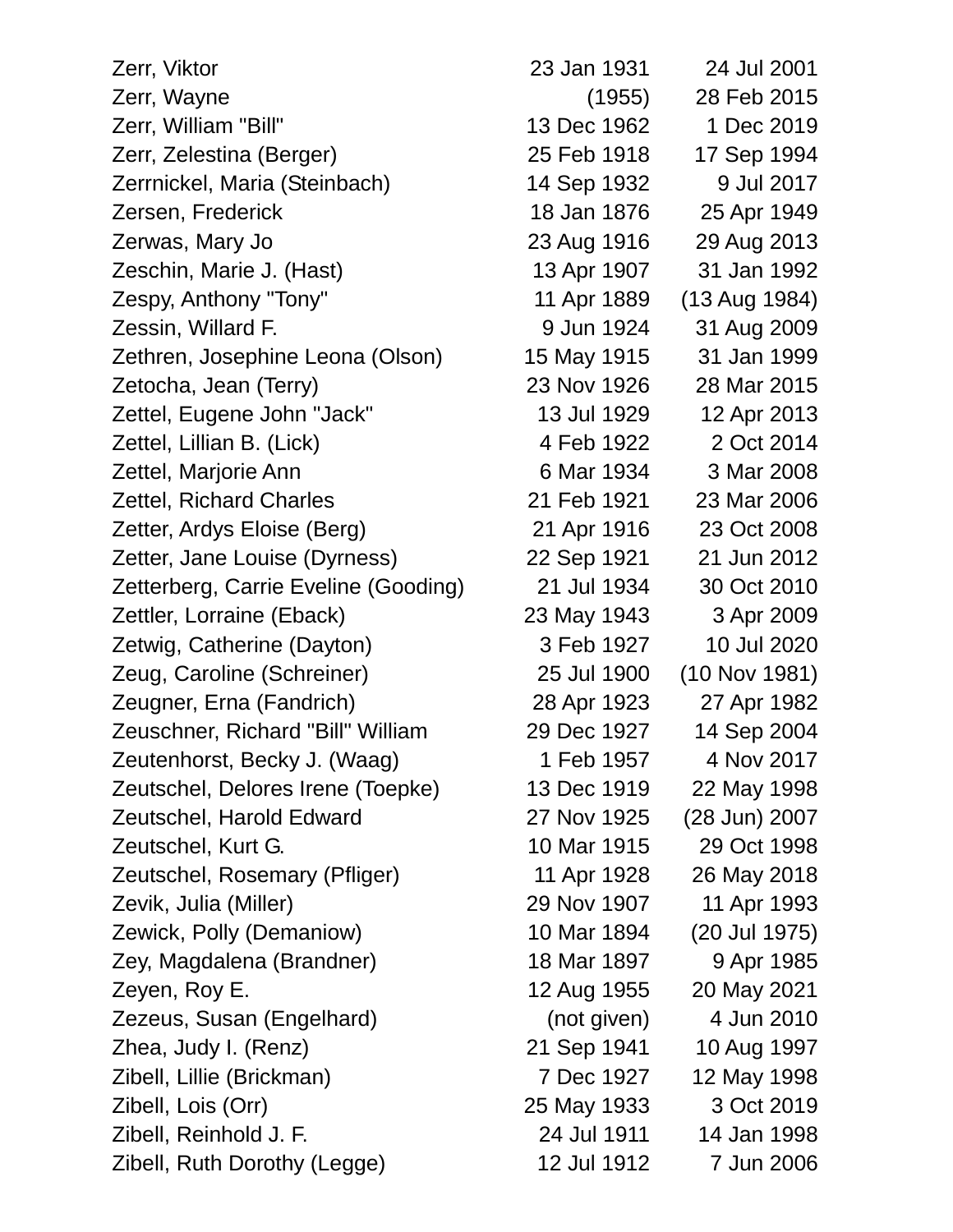| Zerr, Viktor                         | 23 Jan 1931 | 24 Jul 2001   |
|--------------------------------------|-------------|---------------|
| Zerr, Wayne                          | (1955)      | 28 Feb 2015   |
| Zerr, William "Bill"                 | 13 Dec 1962 | 1 Dec 2019    |
| Zerr, Zelestina (Berger)             | 25 Feb 1918 | 17 Sep 1994   |
| Zerrnickel, Maria (Steinbach)        | 14 Sep 1932 | 9 Jul 2017    |
| Zersen, Frederick                    | 18 Jan 1876 | 25 Apr 1949   |
| Zerwas, Mary Jo                      | 23 Aug 1916 | 29 Aug 2013   |
| Zeschin, Marie J. (Hast)             | 13 Apr 1907 | 31 Jan 1992   |
| Zespy, Anthony "Tony"                | 11 Apr 1889 | (13 Aug 1984) |
| Zessin, Willard F.                   | 9 Jun 1924  | 31 Aug 2009   |
| Zethren, Josephine Leona (Olson)     | 15 May 1915 | 31 Jan 1999   |
| Zetocha, Jean (Terry)                | 23 Nov 1926 | 28 Mar 2015   |
| Zettel, Eugene John "Jack"           | 13 Jul 1929 | 12 Apr 2013   |
| Zettel, Lillian B. (Lick)            | 4 Feb 1922  | 2 Oct 2014    |
| Zettel, Marjorie Ann                 | 6 Mar 1934  | 3 Mar 2008    |
| <b>Zettel, Richard Charles</b>       | 21 Feb 1921 | 23 Mar 2006   |
| Zetter, Ardys Eloise (Berg)          | 21 Apr 1916 | 23 Oct 2008   |
| Zetter, Jane Louise (Dyrness)        | 22 Sep 1921 | 21 Jun 2012   |
| Zetterberg, Carrie Eveline (Gooding) | 21 Jul 1934 | 30 Oct 2010   |
| Zettler, Lorraine (Eback)            | 23 May 1943 | 3 Apr 2009    |
| Zetwig, Catherine (Dayton)           | 3 Feb 1927  | 10 Jul 2020   |
| Zeug, Caroline (Schreiner)           | 25 Jul 1900 | (10 Nov 1981) |
| Zeugner, Erna (Fandrich)             | 28 Apr 1923 | 27 Apr 1982   |
| Zeuschner, Richard "Bill" William    | 29 Dec 1927 | 14 Sep 2004   |
| Zeutenhorst, Becky J. (Waag)         | 1 Feb 1957  | 4 Nov 2017    |
| Zeutschel, Delores Irene (Toepke)    | 13 Dec 1919 | 22 May 1998   |
| Zeutschel, Harold Edward             | 27 Nov 1925 | (28 Jun) 2007 |
| Zeutschel, Kurt G.                   | 10 Mar 1915 | 29 Oct 1998   |
| Zeutschel, Rosemary (Pfliger)        | 11 Apr 1928 | 26 May 2018   |
| Zevik, Julia (Miller)                | 29 Nov 1907 | 11 Apr 1993   |
| Zewick, Polly (Demaniow)             | 10 Mar 1894 | (20 Jul 1975) |
| Zey, Magdalena (Brandner)            | 18 Mar 1897 | 9 Apr 1985    |
| Zeyen, Roy E.                        | 12 Aug 1955 | 20 May 2021   |
| Zezeus, Susan (Engelhard)            | (not given) | 4 Jun 2010    |
| Zhea, Judy I. (Renz)                 | 21 Sep 1941 | 10 Aug 1997   |
| Zibell, Lillie (Brickman)            | 7 Dec 1927  | 12 May 1998   |
| Zibell, Lois (Orr)                   | 25 May 1933 | 3 Oct 2019    |
| Zibell, Reinhold J. F.               | 24 Jul 1911 | 14 Jan 1998   |
| Zibell, Ruth Dorothy (Legge)         | 12 Jul 1912 | 7 Jun 2006    |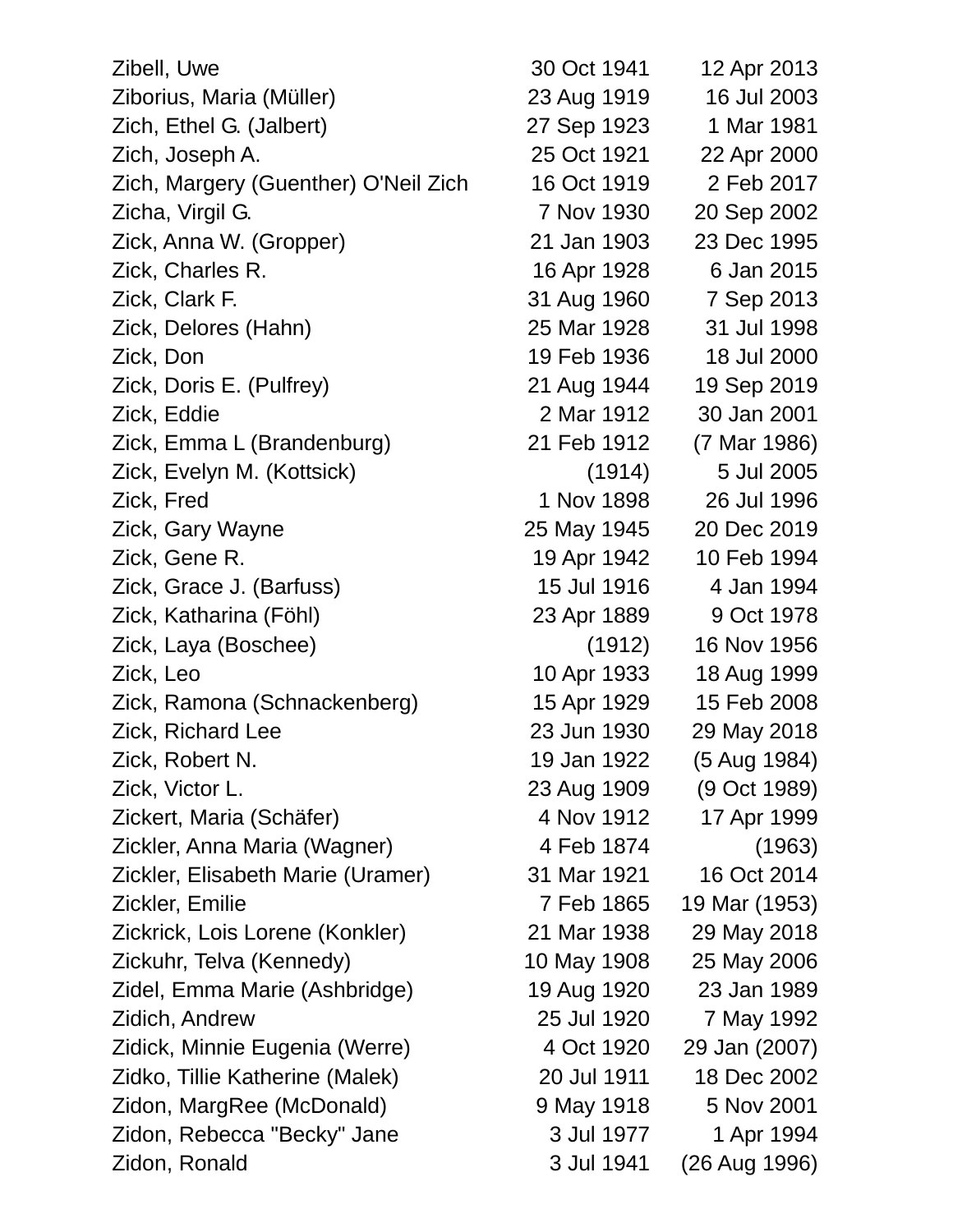| Zibell, Uwe                          | 30 Oct 1941 | 12 Apr 2013   |
|--------------------------------------|-------------|---------------|
| Ziborius, Maria (Müller)             | 23 Aug 1919 | 16 Jul 2003   |
| Zich, Ethel G. (Jalbert)             | 27 Sep 1923 | 1 Mar 1981    |
| Zich, Joseph A.                      | 25 Oct 1921 | 22 Apr 2000   |
| Zich, Margery (Guenther) O'Neil Zich | 16 Oct 1919 | 2 Feb 2017    |
| Zicha, Virgil G.                     | 7 Nov 1930  | 20 Sep 2002   |
| Zick, Anna W. (Gropper)              | 21 Jan 1903 | 23 Dec 1995   |
| Zick, Charles R.                     | 16 Apr 1928 | 6 Jan 2015    |
| Zick, Clark F.                       | 31 Aug 1960 | 7 Sep 2013    |
| Zick, Delores (Hahn)                 | 25 Mar 1928 | 31 Jul 1998   |
| Zick, Don                            | 19 Feb 1936 | 18 Jul 2000   |
| Zick, Doris E. (Pulfrey)             | 21 Aug 1944 | 19 Sep 2019   |
| Zick, Eddie                          | 2 Mar 1912  | 30 Jan 2001   |
| Zick, Emma L (Brandenburg)           | 21 Feb 1912 | (7 Mar 1986)  |
| Zick, Evelyn M. (Kottsick)           | (1914)      | 5 Jul 2005    |
| Zick, Fred                           | 1 Nov 1898  | 26 Jul 1996   |
| Zick, Gary Wayne                     | 25 May 1945 | 20 Dec 2019   |
| Zick, Gene R.                        | 19 Apr 1942 | 10 Feb 1994   |
| Zick, Grace J. (Barfuss)             | 15 Jul 1916 | 4 Jan 1994    |
| Zick, Katharina (Föhl)               | 23 Apr 1889 | 9 Oct 1978    |
| Zick, Laya (Boschee)                 | (1912)      | 16 Nov 1956   |
| Zick, Leo                            | 10 Apr 1933 | 18 Aug 1999   |
| Zick, Ramona (Schnackenberg)         | 15 Apr 1929 | 15 Feb 2008   |
| Zick, Richard Lee                    | 23 Jun 1930 | 29 May 2018   |
| Zick, Robert N.                      | 19 Jan 1922 | (5 Aug 1984)  |
| Zick, Victor L.                      | 23 Aug 1909 | (9 Oct 1989)  |
| Zickert, Maria (Schäfer)             | 4 Nov 1912  | 17 Apr 1999   |
| Zickler, Anna Maria (Wagner)         | 4 Feb 1874  | (1963)        |
| Zickler, Elisabeth Marie (Uramer)    | 31 Mar 1921 | 16 Oct 2014   |
| Zickler, Emilie                      | 7 Feb 1865  | 19 Mar (1953) |
| Zickrick, Lois Lorene (Konkler)      | 21 Mar 1938 | 29 May 2018   |
| Zickuhr, Telva (Kennedy)             | 10 May 1908 | 25 May 2006   |
| Zidel, Emma Marie (Ashbridge)        | 19 Aug 1920 | 23 Jan 1989   |
| Zidich, Andrew                       | 25 Jul 1920 | 7 May 1992    |
| Zidick, Minnie Eugenia (Werre)       | 4 Oct 1920  | 29 Jan (2007) |
| Zidko, Tillie Katherine (Malek)      | 20 Jul 1911 | 18 Dec 2002   |
| Zidon, MargRee (McDonald)            | 9 May 1918  | 5 Nov 2001    |
| Zidon, Rebecca "Becky" Jane          | 3 Jul 1977  | 1 Apr 1994    |
| Zidon, Ronald                        | 3 Jul 1941  | (26 Aug 1996) |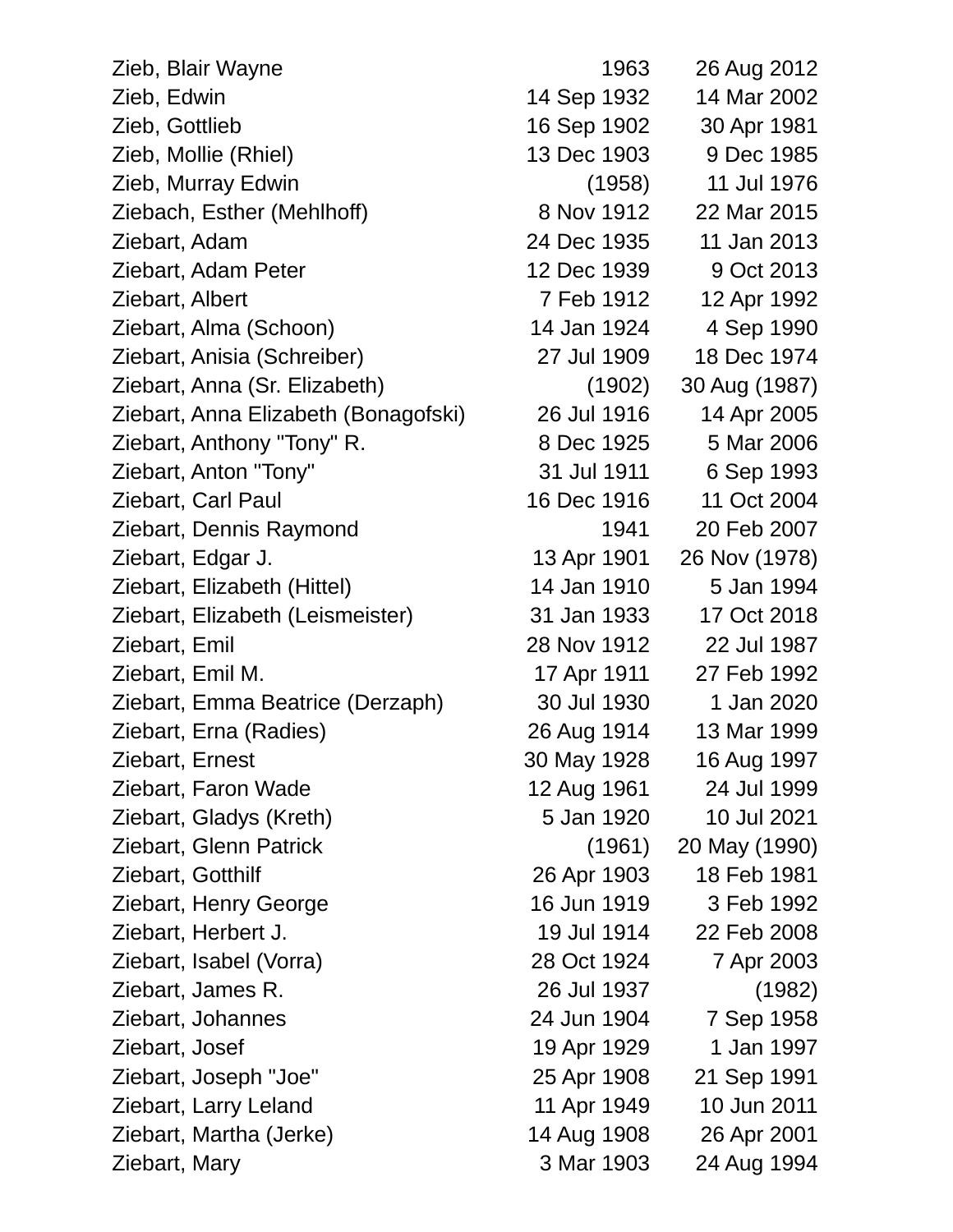| Zieb, Blair Wayne                    | 1963        | 26 Aug 2012   |
|--------------------------------------|-------------|---------------|
| Zieb, Edwin                          | 14 Sep 1932 | 14 Mar 2002   |
| Zieb, Gottlieb                       | 16 Sep 1902 | 30 Apr 1981   |
| Zieb, Mollie (Rhiel)                 | 13 Dec 1903 | 9 Dec 1985    |
| Zieb, Murray Edwin                   | (1958)      | 11 Jul 1976   |
| Ziebach, Esther (Mehlhoff)           | 8 Nov 1912  | 22 Mar 2015   |
| Ziebart, Adam                        | 24 Dec 1935 | 11 Jan 2013   |
| Ziebart, Adam Peter                  | 12 Dec 1939 | 9 Oct 2013    |
| Ziebart, Albert                      | 7 Feb 1912  | 12 Apr 1992   |
| Ziebart, Alma (Schoon)               | 14 Jan 1924 | 4 Sep 1990    |
| Ziebart, Anisia (Schreiber)          | 27 Jul 1909 | 18 Dec 1974   |
| Ziebart, Anna (Sr. Elizabeth)        | (1902)      | 30 Aug (1987) |
| Ziebart, Anna Elizabeth (Bonagofski) | 26 Jul 1916 | 14 Apr 2005   |
| Ziebart, Anthony "Tony" R.           | 8 Dec 1925  | 5 Mar 2006    |
| Ziebart, Anton "Tony"                | 31 Jul 1911 | 6 Sep 1993    |
| Ziebart, Carl Paul                   | 16 Dec 1916 | 11 Oct 2004   |
| Ziebart, Dennis Raymond              | 1941        | 20 Feb 2007   |
| Ziebart, Edgar J.                    | 13 Apr 1901 | 26 Nov (1978) |
| Ziebart, Elizabeth (Hittel)          | 14 Jan 1910 | 5 Jan 1994    |
| Ziebart, Elizabeth (Leismeister)     | 31 Jan 1933 | 17 Oct 2018   |
| Ziebart, Emil                        | 28 Nov 1912 | 22 Jul 1987   |
| Ziebart, Emil M.                     | 17 Apr 1911 | 27 Feb 1992   |
| Ziebart, Emma Beatrice (Derzaph)     | 30 Jul 1930 | 1 Jan 2020    |
| Ziebart, Erna (Radies)               | 26 Aug 1914 | 13 Mar 1999   |
| Ziebart, Ernest                      | 30 May 1928 | 16 Aug 1997   |
| Ziebart, Faron Wade                  | 12 Aug 1961 | 24 Jul 1999   |
| Ziebart, Gladys (Kreth)              | 5 Jan 1920  | 10 Jul 2021   |
| Ziebart, Glenn Patrick               | (1961)      | 20 May (1990) |
| Ziebart, Gotthilf                    | 26 Apr 1903 | 18 Feb 1981   |
| Ziebart, Henry George                | 16 Jun 1919 | 3 Feb 1992    |
| Ziebart, Herbert J.                  | 19 Jul 1914 | 22 Feb 2008   |
| Ziebart, Isabel (Vorra)              | 28 Oct 1924 | 7 Apr 2003    |
| Ziebart, James R.                    | 26 Jul 1937 | (1982)        |
| Ziebart, Johannes                    | 24 Jun 1904 | 7 Sep 1958    |
| Ziebart, Josef                       | 19 Apr 1929 | 1 Jan 1997    |
| Ziebart, Joseph "Joe"                | 25 Apr 1908 | 21 Sep 1991   |
| Ziebart, Larry Leland                | 11 Apr 1949 | 10 Jun 2011   |
| Ziebart, Martha (Jerke)              | 14 Aug 1908 | 26 Apr 2001   |
| Ziebart, Mary                        | 3 Mar 1903  | 24 Aug 1994   |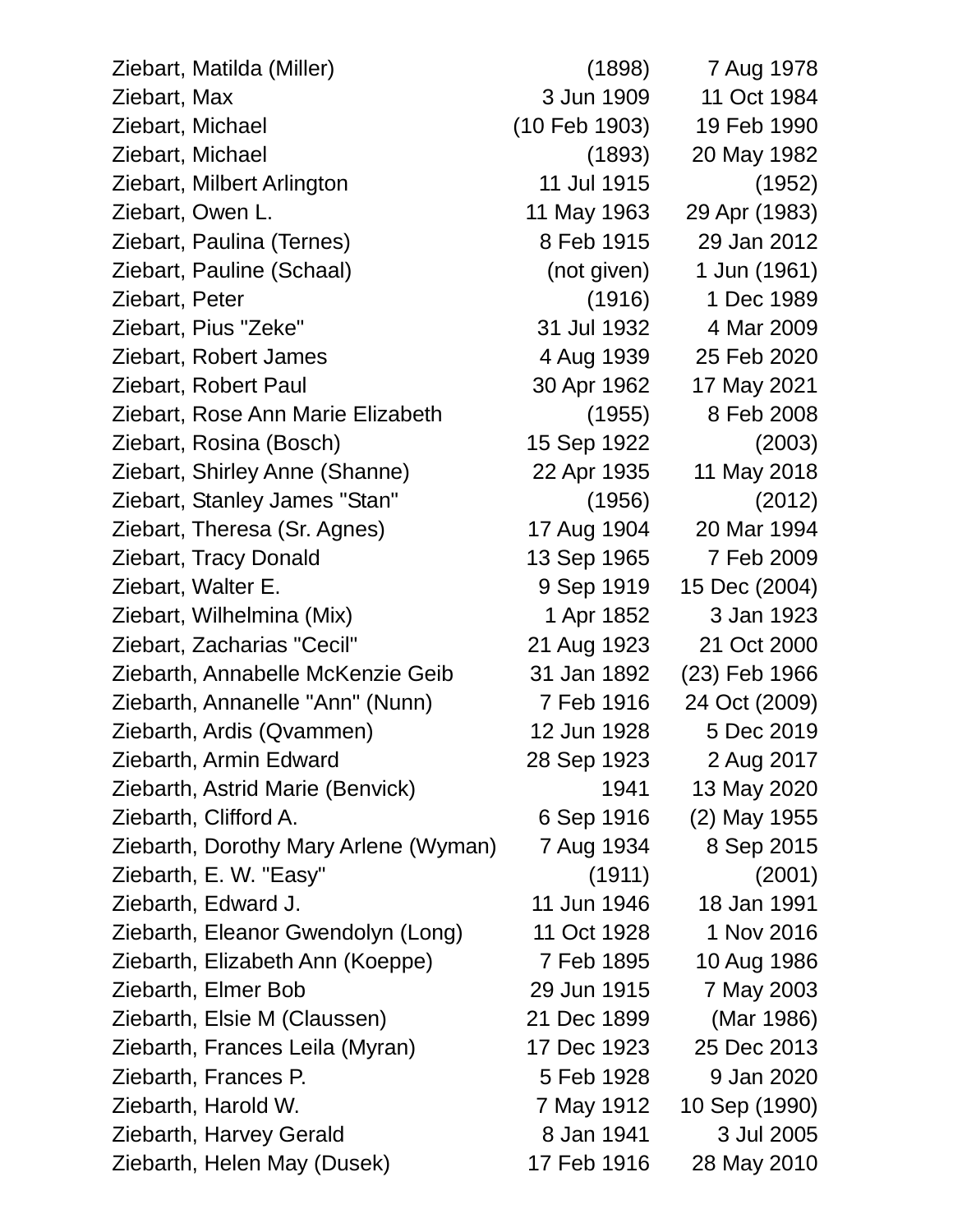| Ziebart, Matilda (Miller)             | (1898)        | 7 Aug 1978    |
|---------------------------------------|---------------|---------------|
| Ziebart, Max                          | 3 Jun 1909    | 11 Oct 1984   |
| Ziebart, Michael                      | (10 Feb 1903) | 19 Feb 1990   |
| Ziebart, Michael                      | (1893)        | 20 May 1982   |
| Ziebart, Milbert Arlington            | 11 Jul 1915   | (1952)        |
| Ziebart, Owen L.                      | 11 May 1963   | 29 Apr (1983) |
| Ziebart, Paulina (Ternes)             | 8 Feb 1915    | 29 Jan 2012   |
| Ziebart, Pauline (Schaal)             | (not given)   | 1 Jun (1961)  |
| Ziebart, Peter                        | (1916)        | 1 Dec 1989    |
| Ziebart, Pius "Zeke"                  | 31 Jul 1932   | 4 Mar 2009    |
| Ziebart, Robert James                 | 4 Aug 1939    | 25 Feb 2020   |
| Ziebart, Robert Paul                  | 30 Apr 1962   | 17 May 2021   |
| Ziebart, Rose Ann Marie Elizabeth     | (1955)        | 8 Feb 2008    |
| Ziebart, Rosina (Bosch)               | 15 Sep 1922   | (2003)        |
| Ziebart, Shirley Anne (Shanne)        | 22 Apr 1935   | 11 May 2018   |
| Ziebart, Stanley James "Stan"         | (1956)        | (2012)        |
| Ziebart, Theresa (Sr. Agnes)          | 17 Aug 1904   | 20 Mar 1994   |
| <b>Ziebart, Tracy Donald</b>          | 13 Sep 1965   | 7 Feb 2009    |
| Ziebart, Walter E.                    | 9 Sep 1919    | 15 Dec (2004) |
| Ziebart, Wilhelmina (Mix)             | 1 Apr 1852    | 3 Jan 1923    |
| Ziebart, Zacharias "Cecil"            | 21 Aug 1923   | 21 Oct 2000   |
| Ziebarth, Annabelle McKenzie Geib     | 31 Jan 1892   | (23) Feb 1966 |
| Ziebarth, Annanelle "Ann" (Nunn)      | 7 Feb 1916    | 24 Oct (2009) |
| Ziebarth, Ardis (Qvammen)             | 12 Jun 1928   | 5 Dec 2019    |
| Ziebarth, Armin Edward                | 28 Sep 1923   | 2 Aug 2017    |
| Ziebarth, Astrid Marie (Benvick)      | 1941          | 13 May 2020   |
| Ziebarth, Clifford A.                 | 6 Sep 1916    | (2) May 1955  |
| Ziebarth, Dorothy Mary Arlene (Wyman) | 7 Aug 1934    | 8 Sep 2015    |
| Ziebarth, E. W. "Easy"                | (1911)        | (2001)        |
| Ziebarth, Edward J.                   | 11 Jun 1946   | 18 Jan 1991   |
| Ziebarth, Eleanor Gwendolyn (Long)    | 11 Oct 1928   | 1 Nov 2016    |
| Ziebarth, Elizabeth Ann (Koeppe)      | 7 Feb 1895    | 10 Aug 1986   |
| Ziebarth, Elmer Bob                   | 29 Jun 1915   | 7 May 2003    |
| Ziebarth, Elsie M (Claussen)          | 21 Dec 1899   | (Mar 1986)    |
| Ziebarth, Frances Leila (Myran)       | 17 Dec 1923   | 25 Dec 2013   |
| Ziebarth, Frances P.                  | 5 Feb 1928    | 9 Jan 2020    |
| Ziebarth, Harold W.                   | 7 May 1912    | 10 Sep (1990) |
| Ziebarth, Harvey Gerald               | 8 Jan 1941    | 3 Jul 2005    |
| Ziebarth, Helen May (Dusek)           | 17 Feb 1916   | 28 May 2010   |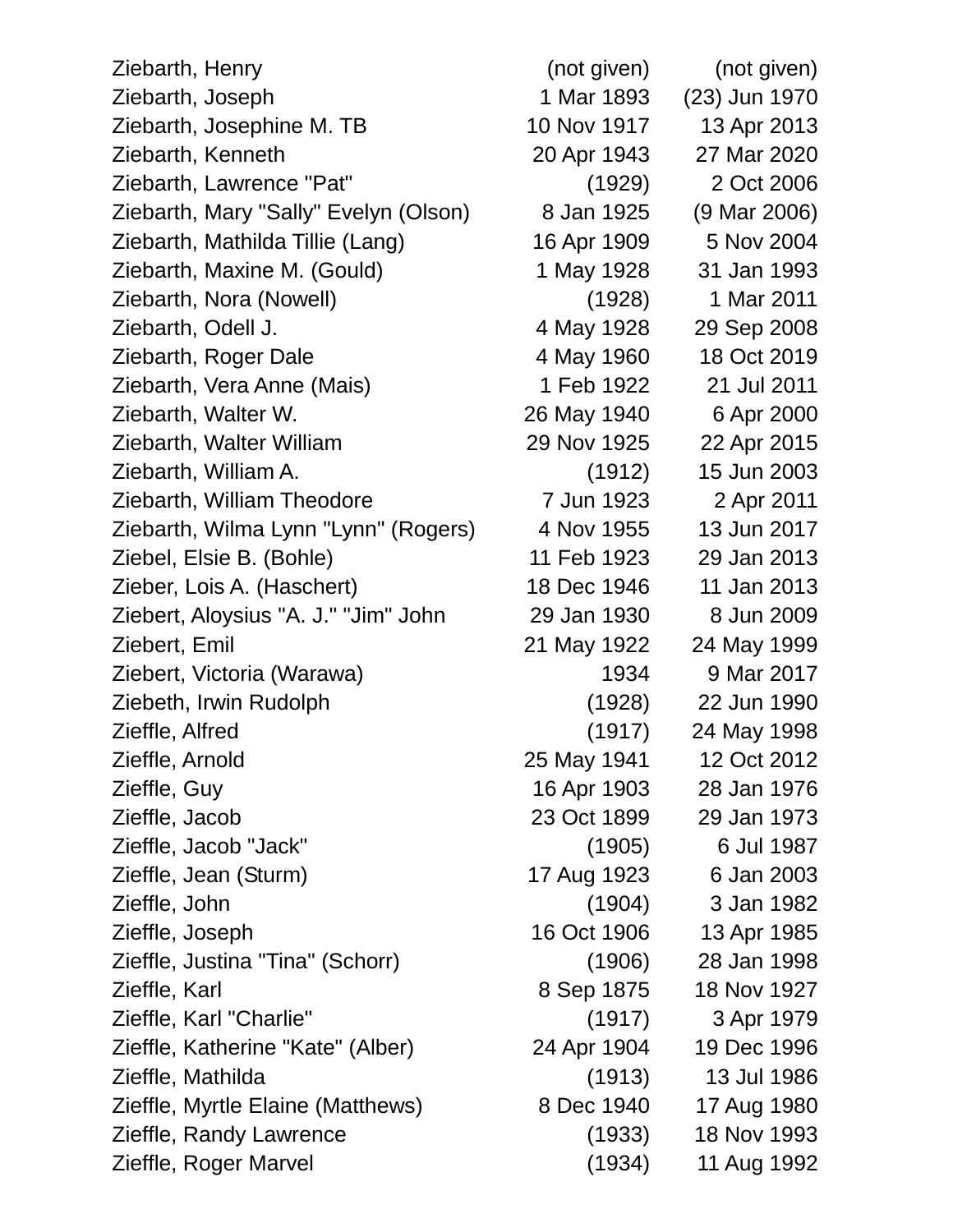| Ziebarth, Henry                       | (not given) | (not given)   |
|---------------------------------------|-------------|---------------|
| Ziebarth, Joseph                      | 1 Mar 1893  | (23) Jun 1970 |
| Ziebarth, Josephine M. TB             | 10 Nov 1917 | 13 Apr 2013   |
| Ziebarth, Kenneth                     | 20 Apr 1943 | 27 Mar 2020   |
| Ziebarth, Lawrence "Pat"              | (1929)      | 2 Oct 2006    |
| Ziebarth, Mary "Sally" Evelyn (Olson) | 8 Jan 1925  | (9 Mar 2006)  |
| Ziebarth, Mathilda Tillie (Lang)      | 16 Apr 1909 | 5 Nov 2004    |
| Ziebarth, Maxine M. (Gould)           | 1 May 1928  | 31 Jan 1993   |
| Ziebarth, Nora (Nowell)               | (1928)      | 1 Mar 2011    |
| Ziebarth, Odell J.                    | 4 May 1928  | 29 Sep 2008   |
| Ziebarth, Roger Dale                  | 4 May 1960  | 18 Oct 2019   |
| Ziebarth, Vera Anne (Mais)            | 1 Feb 1922  | 21 Jul 2011   |
| Ziebarth, Walter W.                   | 26 May 1940 | 6 Apr 2000    |
| Ziebarth, Walter William              | 29 Nov 1925 | 22 Apr 2015   |
| Ziebarth, William A.                  | (1912)      | 15 Jun 2003   |
| Ziebarth, William Theodore            | 7 Jun 1923  | 2 Apr 2011    |
| Ziebarth, Wilma Lynn "Lynn" (Rogers)  | 4 Nov 1955  | 13 Jun 2017   |
| Ziebel, Elsie B. (Bohle)              | 11 Feb 1923 | 29 Jan 2013   |
| Zieber, Lois A. (Haschert)            | 18 Dec 1946 | 11 Jan 2013   |
| Ziebert, Aloysius "A. J." "Jim" John  | 29 Jan 1930 | 8 Jun 2009    |
| Ziebert, Emil                         | 21 May 1922 | 24 May 1999   |
| Ziebert, Victoria (Warawa)            | 1934        | 9 Mar 2017    |
| Ziebeth, Irwin Rudolph                | (1928)      | 22 Jun 1990   |
| Zieffle, Alfred                       | (1917)      | 24 May 1998   |
| Zieffle, Arnold                       | 25 May 1941 | 12 Oct 2012   |
| Zieffle, Guy                          | 16 Apr 1903 | 28 Jan 1976   |
| Zieffle, Jacob                        | 23 Oct 1899 | 29 Jan 1973   |
| Zieffle, Jacob "Jack"                 | (1905)      | 6 Jul 1987    |
| Zieffle, Jean (Sturm)                 | 17 Aug 1923 | 6 Jan 2003    |
| Zieffle, John                         | (1904)      | 3 Jan 1982    |
| Zieffle, Joseph                       | 16 Oct 1906 | 13 Apr 1985   |
| Zieffle, Justina "Tina" (Schorr)      | (1906)      | 28 Jan 1998   |
| Zieffle, Karl                         | 8 Sep 1875  | 18 Nov 1927   |
| Zieffle, Karl "Charlie"               | (1917)      | 3 Apr 1979    |
| Zieffle, Katherine "Kate" (Alber)     | 24 Apr 1904 | 19 Dec 1996   |
| Zieffle, Mathilda                     | (1913)      | 13 Jul 1986   |
| Zieffle, Myrtle Elaine (Matthews)     | 8 Dec 1940  | 17 Aug 1980   |
| Zieffle, Randy Lawrence               | (1933)      | 18 Nov 1993   |
| Zieffle, Roger Marvel                 | (1934)      | 11 Aug 1992   |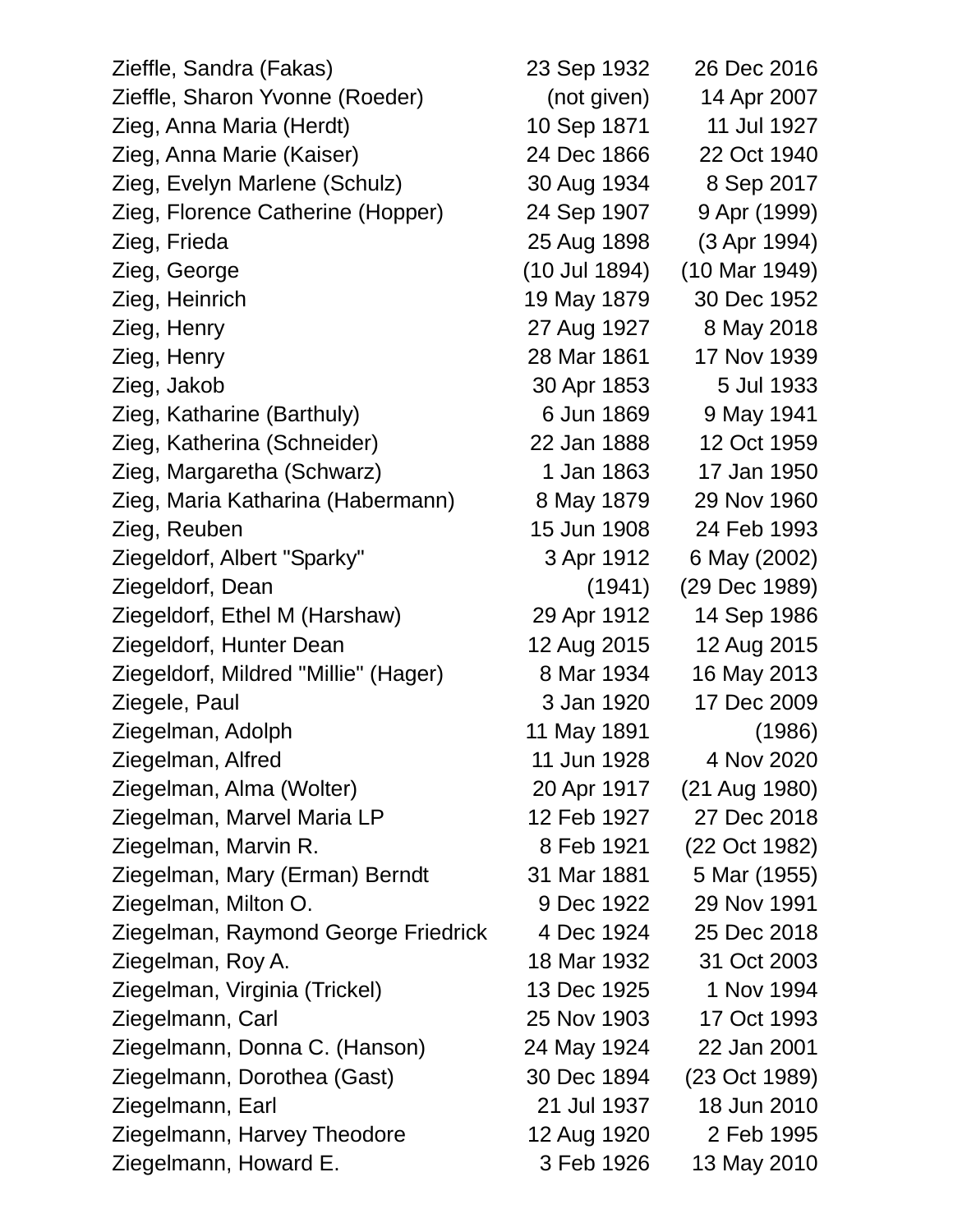| Zieffle, Sandra (Fakas)              | 23 Sep 1932   | 26 Dec 2016              |
|--------------------------------------|---------------|--------------------------|
| Zieffle, Sharon Yvonne (Roeder)      | (not given)   | 14 Apr 2007              |
| Zieg, Anna Maria (Herdt)             | 10 Sep 1871   | 11 Jul 1927              |
| Zieg, Anna Marie (Kaiser)            | 24 Dec 1866   | 22 Oct 1940              |
| Zieg, Evelyn Marlene (Schulz)        | 30 Aug 1934   | 8 Sep 2017               |
| Zieg, Florence Catherine (Hopper)    | 24 Sep 1907   | 9 Apr (1999)             |
| Zieg, Frieda                         | 25 Aug 1898   | (3 Apr 1994)             |
| Zieg, George                         | (10 Jul 1894) | $(10 \text{ Mar } 1949)$ |
| Zieg, Heinrich                       | 19 May 1879   | 30 Dec 1952              |
| Zieg, Henry                          | 27 Aug 1927   | 8 May 2018               |
| Zieg, Henry                          | 28 Mar 1861   | 17 Nov 1939              |
| Zieg, Jakob                          | 30 Apr 1853   | 5 Jul 1933               |
| Zieg, Katharine (Barthuly)           | 6 Jun 1869    | 9 May 1941               |
| Zieg, Katherina (Schneider)          | 22 Jan 1888   | 12 Oct 1959              |
| Zieg, Margaretha (Schwarz)           | 1 Jan 1863    | 17 Jan 1950              |
| Zieg, Maria Katharina (Habermann)    | 8 May 1879    | 29 Nov 1960              |
| Zieg, Reuben                         | 15 Jun 1908   | 24 Feb 1993              |
| Ziegeldorf, Albert "Sparky"          | 3 Apr 1912    | 6 May (2002)             |
| Ziegeldorf, Dean                     | (1941)        | (29 Dec 1989)            |
| Ziegeldorf, Ethel M (Harshaw)        | 29 Apr 1912   | 14 Sep 1986              |
| Ziegeldorf, Hunter Dean              | 12 Aug 2015   | 12 Aug 2015              |
| Ziegeldorf, Mildred "Millie" (Hager) | 8 Mar 1934    | 16 May 2013              |
| Ziegele, Paul                        | 3 Jan 1920    | 17 Dec 2009              |
| Ziegelman, Adolph                    | 11 May 1891   | (1986)                   |
| Ziegelman, Alfred                    | 11 Jun 1928   | 4 Nov 2020               |
| Ziegelman, Alma (Wolter)             | 20 Apr 1917   | (21 Aug 1980)            |
| Ziegelman, Marvel Maria LP           | 12 Feb 1927   | 27 Dec 2018              |
| Ziegelman, Marvin R.                 | 8 Feb 1921    | (22 Oct 1982)            |
| Ziegelman, Mary (Erman) Berndt       | 31 Mar 1881   | 5 Mar (1955)             |
| Ziegelman, Milton O.                 | 9 Dec 1922    | 29 Nov 1991              |
| Ziegelman, Raymond George Friedrick  | 4 Dec 1924    | 25 Dec 2018              |
| Ziegelman, Roy A.                    | 18 Mar 1932   | 31 Oct 2003              |
| Ziegelman, Virginia (Trickel)        | 13 Dec 1925   | 1 Nov 1994               |
| Ziegelmann, Carl                     | 25 Nov 1903   | 17 Oct 1993              |
| Ziegelmann, Donna C. (Hanson)        | 24 May 1924   | 22 Jan 2001              |
| Ziegelmann, Dorothea (Gast)          | 30 Dec 1894   | (23 Oct 1989)            |
| Ziegelmann, Earl                     | 21 Jul 1937   | 18 Jun 2010              |
| Ziegelmann, Harvey Theodore          | 12 Aug 1920   | 2 Feb 1995               |
| Ziegelmann, Howard E.                | 3 Feb 1926    | 13 May 2010              |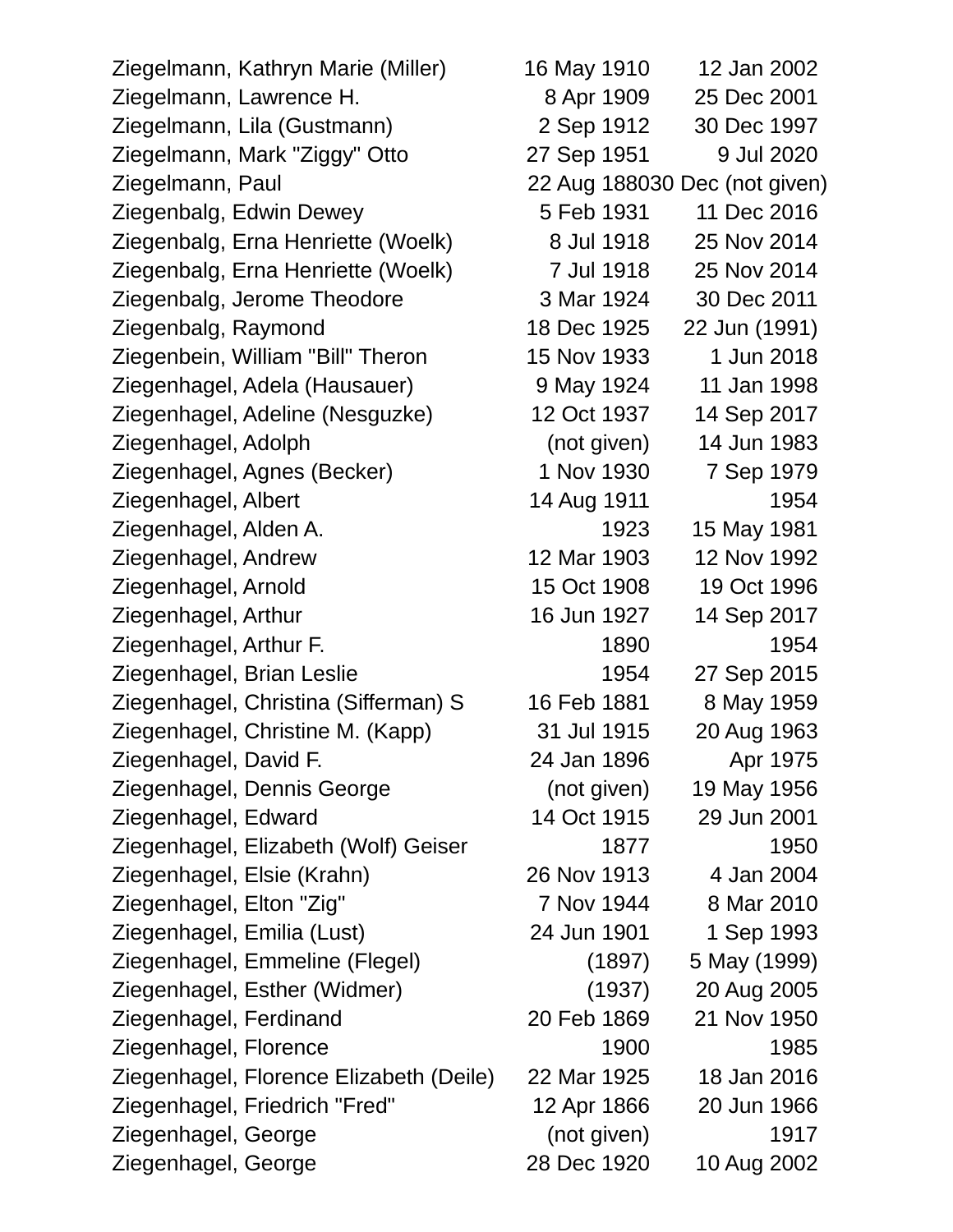Ziegelmann, Kathryn Marie (Miller) 16 May 1910 12 Jan 2002 Ziegelmann, Lawrence H. 8 Apr 1909 25 Dec 2001 Ziegelmann, Lila (Gustmann) 2 Sep 1912 30 Dec 1997 Ziegelmann, Mark "Ziggy" Otto 27 Sep 1951 9 Jul 2020 Ziegelmann, Paul 22 Aug 188030 Dec (not given) Ziegenbalg, Edwin Dewey 5 Feb 1931 11 Dec 2016 Ziegenbalg, Erna Henriette (Woelk) 8 Jul 1918 25 Nov 2014 Ziegenbalg, Erna Henriette (Woelk) 7 Jul 1918 25 Nov 2014 Ziegenbalg, Jerome Theodore 3 Mar 1924 30 Dec 2011 Ziegenbalg, Raymond 18 Dec 1925 22 Jun (1991) Ziegenbein, William "Bill" Theron 15 Nov 1933 1 Jun 2018 Ziegenhagel, Adela (Hausauer) 9 May 1924 11 Jan 1998 Ziegenhagel, Adeline (Nesguzke) 12 Oct 1937 14 Sep 2017 Ziegenhagel, Adolph (not given) 14 Jun 1983 Ziegenhagel, Agnes (Becker) 1 Nov 1930 7 Sep 1979 Ziegenhagel, Albert 14 Aug 1911 1954 Ziegenhagel, Alden A. 1923 15 May 1981 Ziegenhagel, Andrew 12 Mar 1903 12 Nov 1992 Ziegenhagel, Arnold 15 Oct 1908 19 Oct 1996 Ziegenhagel, Arthur 16 Jun 1927 14 Sep 2017 Ziegenhagel, Arthur F. 1890 1954 Ziegenhagel, Brian Leslie 1954 27 Sep 2015 Ziegenhagel, Christina (Sifferman) S 16 Feb 1881 8 May 1959 Ziegenhagel, Christine M. (Kapp) 31 Jul 1915 20 Aug 1963 Ziegenhagel, David F. 24 Jan 1896 Apr 1975 Ziegenhagel, Dennis George (not given) 19 May 1956 Ziegenhagel, Edward 14 Oct 1915 29 Jun 2001 Ziegenhagel, Elizabeth (Wolf) Geiser 1877 1950 Ziegenhagel, Elsie (Krahn) 26 Nov 1913 4 Jan 2004 Ziegenhagel, Elton "Zig" 7 Nov 1944 8 Mar 2010 Ziegenhagel, Emilia (Lust) 24 Jun 1901 1 Sep 1993 Ziegenhagel, Emmeline (Flegel) (1897) 5 May (1999) Ziegenhagel, Esther (Widmer) (1937) 20 Aug 2005 Ziegenhagel, Ferdinand 20 Feb 1869 21 Nov 1950 Ziegenhagel, Florence 1900 1985 Ziegenhagel, Florence Elizabeth (Deile) 22 Mar 1925 18 Jan 2016 Ziegenhagel, Friedrich "Fred" 12 Apr 1866 20 Jun 1966 Ziegenhagel, George (not given) 1917 Ziegenhagel, George 28 Dec 1920 10 Aug 2002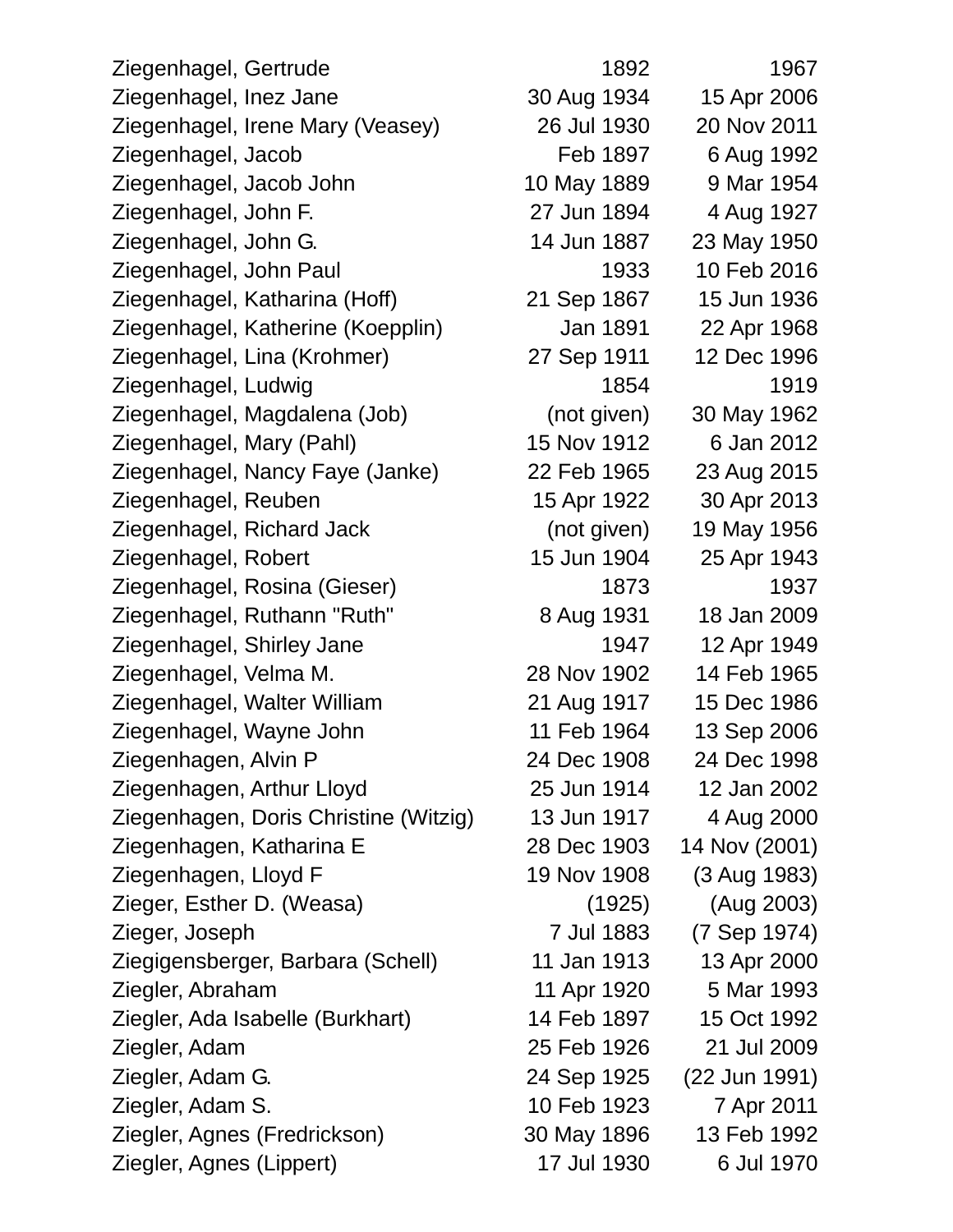| Ziegenhagel, Gertrude                 | 1892        | 1967          |
|---------------------------------------|-------------|---------------|
| Ziegenhagel, Inez Jane                | 30 Aug 1934 | 15 Apr 2006   |
| Ziegenhagel, Irene Mary (Veasey)      | 26 Jul 1930 | 20 Nov 2011   |
| Ziegenhagel, Jacob                    | Feb 1897    | 6 Aug 1992    |
| Ziegenhagel, Jacob John               | 10 May 1889 | 9 Mar 1954    |
| Ziegenhagel, John F.                  | 27 Jun 1894 | 4 Aug 1927    |
| Ziegenhagel, John G.                  | 14 Jun 1887 | 23 May 1950   |
| Ziegenhagel, John Paul                | 1933        | 10 Feb 2016   |
| Ziegenhagel, Katharina (Hoff)         | 21 Sep 1867 | 15 Jun 1936   |
| Ziegenhagel, Katherine (Koepplin)     | Jan 1891    | 22 Apr 1968   |
| Ziegenhagel, Lina (Krohmer)           | 27 Sep 1911 | 12 Dec 1996   |
| Ziegenhagel, Ludwig                   | 1854        | 1919          |
| Ziegenhagel, Magdalena (Job)          | (not given) | 30 May 1962   |
| Ziegenhagel, Mary (Pahl)              | 15 Nov 1912 | 6 Jan 2012    |
| Ziegenhagel, Nancy Faye (Janke)       | 22 Feb 1965 | 23 Aug 2015   |
| Ziegenhagel, Reuben                   | 15 Apr 1922 | 30 Apr 2013   |
| Ziegenhagel, Richard Jack             | (not given) | 19 May 1956   |
| Ziegenhagel, Robert                   | 15 Jun 1904 | 25 Apr 1943   |
| Ziegenhagel, Rosina (Gieser)          | 1873        | 1937          |
| Ziegenhagel, Ruthann "Ruth"           | 8 Aug 1931  | 18 Jan 2009   |
| Ziegenhagel, Shirley Jane             | 1947        | 12 Apr 1949   |
| Ziegenhagel, Velma M.                 | 28 Nov 1902 | 14 Feb 1965   |
| Ziegenhagel, Walter William           | 21 Aug 1917 | 15 Dec 1986   |
| Ziegenhagel, Wayne John               | 11 Feb 1964 | 13 Sep 2006   |
| Ziegenhagen, Alvin P                  | 24 Dec 1908 | 24 Dec 1998   |
| Ziegenhagen, Arthur Lloyd             | 25 Jun 1914 | 12 Jan 2002   |
| Ziegenhagen, Doris Christine (Witzig) | 13 Jun 1917 | 4 Aug 2000    |
| Ziegenhagen, Katharina E              | 28 Dec 1903 | 14 Nov (2001) |
| Ziegenhagen, Lloyd F                  | 19 Nov 1908 | (3 Aug 1983)  |
| Zieger, Esther D. (Weasa)             | (1925)      | (Aug 2003)    |
| Zieger, Joseph                        | 7 Jul 1883  | (7 Sep 1974)  |
| Ziegigensberger, Barbara (Schell)     | 11 Jan 1913 | 13 Apr 2000   |
| Ziegler, Abraham                      | 11 Apr 1920 | 5 Mar 1993    |
| Ziegler, Ada Isabelle (Burkhart)      | 14 Feb 1897 | 15 Oct 1992   |
| Ziegler, Adam                         | 25 Feb 1926 | 21 Jul 2009   |
| Ziegler, Adam G.                      | 24 Sep 1925 | (22 Jun 1991) |
| Ziegler, Adam S.                      | 10 Feb 1923 | 7 Apr 2011    |
| Ziegler, Agnes (Fredrickson)          | 30 May 1896 | 13 Feb 1992   |
| Ziegler, Agnes (Lippert)              | 17 Jul 1930 | 6 Jul 1970    |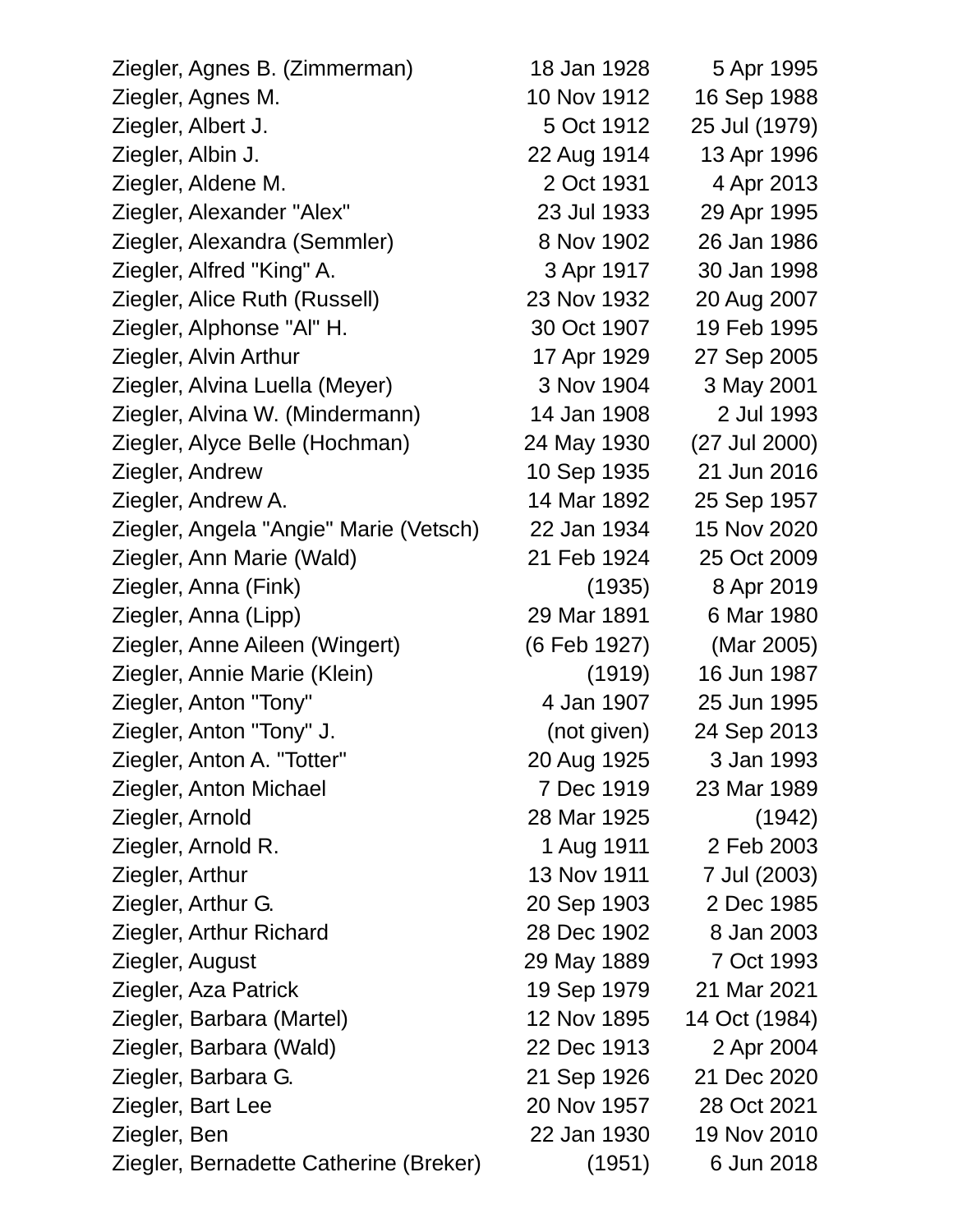| Ziegler, Agnes B. (Zimmerman)          | 18 Jan 1928  | 5 Apr 1995    |
|----------------------------------------|--------------|---------------|
| Ziegler, Agnes M.                      | 10 Nov 1912  | 16 Sep 1988   |
| Ziegler, Albert J.                     | 5 Oct 1912   | 25 Jul (1979) |
| Ziegler, Albin J.                      | 22 Aug 1914  | 13 Apr 1996   |
| Ziegler, Aldene M.                     | 2 Oct 1931   | 4 Apr 2013    |
| Ziegler, Alexander "Alex"              | 23 Jul 1933  | 29 Apr 1995   |
| Ziegler, Alexandra (Semmler)           | 8 Nov 1902   | 26 Jan 1986   |
| Ziegler, Alfred "King" A.              | 3 Apr 1917   | 30 Jan 1998   |
| Ziegler, Alice Ruth (Russell)          | 23 Nov 1932  | 20 Aug 2007   |
| Ziegler, Alphonse "Al" H.              | 30 Oct 1907  | 19 Feb 1995   |
| Ziegler, Alvin Arthur                  | 17 Apr 1929  | 27 Sep 2005   |
| Ziegler, Alvina Luella (Meyer)         | 3 Nov 1904   | 3 May 2001    |
| Ziegler, Alvina W. (Mindermann)        | 14 Jan 1908  | 2 Jul 1993    |
| Ziegler, Alyce Belle (Hochman)         | 24 May 1930  | (27 Jul 2000) |
| Ziegler, Andrew                        | 10 Sep 1935  | 21 Jun 2016   |
| Ziegler, Andrew A.                     | 14 Mar 1892  | 25 Sep 1957   |
| Ziegler, Angela "Angie" Marie (Vetsch) | 22 Jan 1934  | 15 Nov 2020   |
| Ziegler, Ann Marie (Wald)              | 21 Feb 1924  | 25 Oct 2009   |
| Ziegler, Anna (Fink)                   | (1935)       | 8 Apr 2019    |
| Ziegler, Anna (Lipp)                   | 29 Mar 1891  | 6 Mar 1980    |
| Ziegler, Anne Aileen (Wingert)         | (6 Feb 1927) | (Mar 2005)    |
| Ziegler, Annie Marie (Klein)           | (1919)       | 16 Jun 1987   |
| Ziegler, Anton "Tony"                  | 4 Jan 1907   | 25 Jun 1995   |
| Ziegler, Anton "Tony" J.               | (not given)  | 24 Sep 2013   |
| Ziegler, Anton A. "Totter"             | 20 Aug 1925  | 3 Jan 1993    |
| Ziegler, Anton Michael                 | 7 Dec 1919   | 23 Mar 1989   |
| Ziegler, Arnold                        | 28 Mar 1925  | (1942)        |
| Ziegler, Arnold R.                     | 1 Aug 1911   | 2 Feb 2003    |
| Ziegler, Arthur                        | 13 Nov 1911  | 7 Jul (2003)  |
| Ziegler, Arthur G.                     | 20 Sep 1903  | 2 Dec 1985    |
| Ziegler, Arthur Richard                | 28 Dec 1902  | 8 Jan 2003    |
| Ziegler, August                        | 29 May 1889  | 7 Oct 1993    |
| Ziegler, Aza Patrick                   | 19 Sep 1979  | 21 Mar 2021   |
| Ziegler, Barbara (Martel)              | 12 Nov 1895  | 14 Oct (1984) |
| Ziegler, Barbara (Wald)                | 22 Dec 1913  | 2 Apr 2004    |
| Ziegler, Barbara G.                    | 21 Sep 1926  | 21 Dec 2020   |
| Ziegler, Bart Lee                      | 20 Nov 1957  | 28 Oct 2021   |
| Ziegler, Ben                           | 22 Jan 1930  | 19 Nov 2010   |
| Ziegler, Bernadette Catherine (Breker) | (1951)       | 6 Jun 2018    |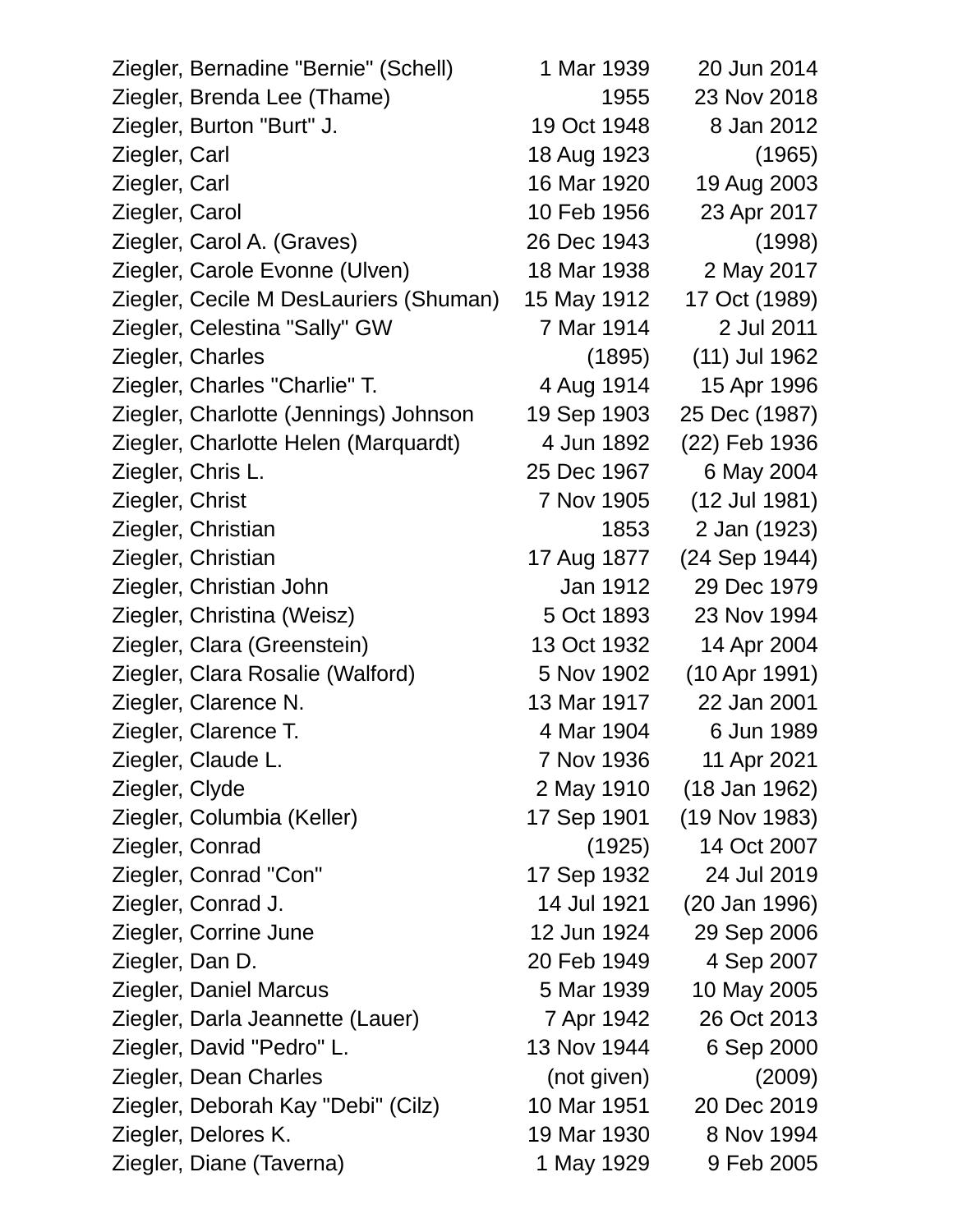| Ziegler, Bernadine "Bernie" (Schell)   | 1 Mar 1939  | 20 Jun 2014   |
|----------------------------------------|-------------|---------------|
| Ziegler, Brenda Lee (Thame)            | 1955        | 23 Nov 2018   |
| Ziegler, Burton "Burt" J.              | 19 Oct 1948 | 8 Jan 2012    |
| Ziegler, Carl                          | 18 Aug 1923 | (1965)        |
| Ziegler, Carl                          | 16 Mar 1920 | 19 Aug 2003   |
| Ziegler, Carol                         | 10 Feb 1956 | 23 Apr 2017   |
| Ziegler, Carol A. (Graves)             | 26 Dec 1943 | (1998)        |
| Ziegler, Carole Evonne (Ulven)         | 18 Mar 1938 | 2 May 2017    |
| Ziegler, Cecile M DesLauriers (Shuman) | 15 May 1912 | 17 Oct (1989) |
| Ziegler, Celestina "Sally" GW          | 7 Mar 1914  | 2 Jul 2011    |
| Ziegler, Charles                       | (1895)      | (11) Jul 1962 |
| Ziegler, Charles "Charlie" T.          | 4 Aug 1914  | 15 Apr 1996   |
| Ziegler, Charlotte (Jennings) Johnson  | 19 Sep 1903 | 25 Dec (1987) |
| Ziegler, Charlotte Helen (Marquardt)   | 4 Jun 1892  | (22) Feb 1936 |
| Ziegler, Chris L.                      | 25 Dec 1967 | 6 May 2004    |
| Ziegler, Christ                        | 7 Nov 1905  | (12 Jul 1981) |
| Ziegler, Christian                     | 1853        | 2 Jan (1923)  |
| Ziegler, Christian                     | 17 Aug 1877 | (24 Sep 1944) |
| Ziegler, Christian John                | Jan 1912    | 29 Dec 1979   |
| Ziegler, Christina (Weisz)             | 5 Oct 1893  | 23 Nov 1994   |
| Ziegler, Clara (Greenstein)            | 13 Oct 1932 | 14 Apr 2004   |
| Ziegler, Clara Rosalie (Walford)       | 5 Nov 1902  | (10 Apr 1991) |
| Ziegler, Clarence N.                   | 13 Mar 1917 | 22 Jan 2001   |
| Ziegler, Clarence T.                   | 4 Mar 1904  | 6 Jun 1989    |
| Ziegler, Claude L.                     | 7 Nov 1936  | 11 Apr 2021   |
| Ziegler, Clyde                         | 2 May 1910  | (18 Jan 1962) |
| Ziegler, Columbia (Keller)             | 17 Sep 1901 | (19 Nov 1983) |
| Ziegler, Conrad                        | (1925)      | 14 Oct 2007   |
| Ziegler, Conrad "Con"                  | 17 Sep 1932 | 24 Jul 2019   |
| Ziegler, Conrad J.                     | 14 Jul 1921 | (20 Jan 1996) |
| Ziegler, Corrine June                  | 12 Jun 1924 | 29 Sep 2006   |
| Ziegler, Dan D.                        | 20 Feb 1949 | 4 Sep 2007    |
| Ziegler, Daniel Marcus                 | 5 Mar 1939  | 10 May 2005   |
| Ziegler, Darla Jeannette (Lauer)       | 7 Apr 1942  | 26 Oct 2013   |
| Ziegler, David "Pedro" L.              | 13 Nov 1944 | 6 Sep 2000    |
| Ziegler, Dean Charles                  | (not given) | (2009)        |
| Ziegler, Deborah Kay "Debi" (Cilz)     | 10 Mar 1951 | 20 Dec 2019   |
| Ziegler, Delores K.                    | 19 Mar 1930 | 8 Nov 1994    |
| Ziegler, Diane (Taverna)               | 1 May 1929  | 9 Feb 2005    |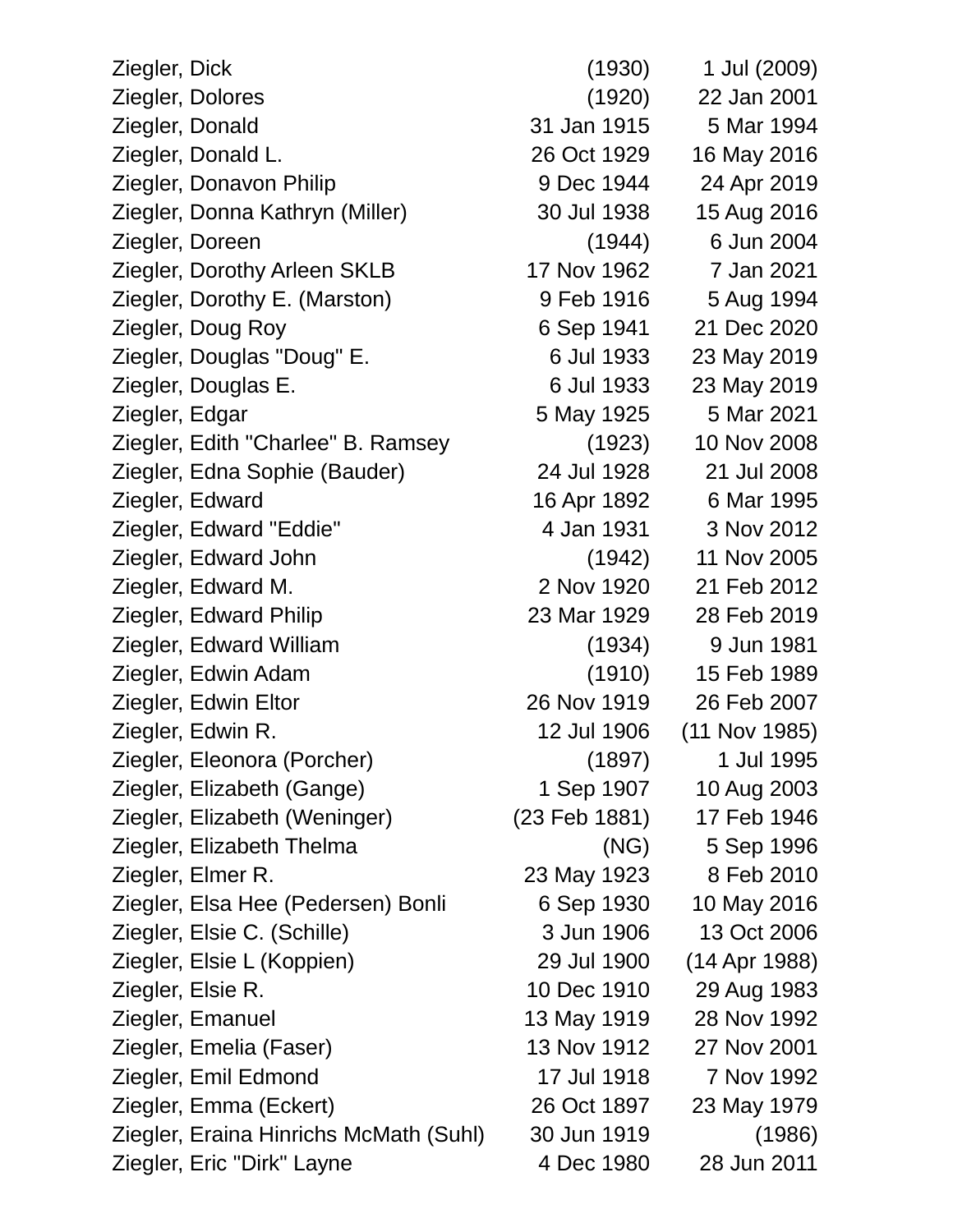| Ziegler, Dick                          | (1930)        | 1 Jul (2009)  |
|----------------------------------------|---------------|---------------|
| Ziegler, Dolores                       | (1920)        | 22 Jan 2001   |
| Ziegler, Donald                        | 31 Jan 1915   | 5 Mar 1994    |
| Ziegler, Donald L.                     | 26 Oct 1929   | 16 May 2016   |
| Ziegler, Donavon Philip                | 9 Dec 1944    | 24 Apr 2019   |
| Ziegler, Donna Kathryn (Miller)        | 30 Jul 1938   | 15 Aug 2016   |
| Ziegler, Doreen                        | (1944)        | 6 Jun 2004    |
| Ziegler, Dorothy Arleen SKLB           | 17 Nov 1962   | 7 Jan 2021    |
| Ziegler, Dorothy E. (Marston)          | 9 Feb 1916    | 5 Aug 1994    |
| Ziegler, Doug Roy                      | 6 Sep 1941    | 21 Dec 2020   |
| Ziegler, Douglas "Doug" E.             | 6 Jul 1933    | 23 May 2019   |
| Ziegler, Douglas E.                    | 6 Jul 1933    | 23 May 2019   |
| Ziegler, Edgar                         | 5 May 1925    | 5 Mar 2021    |
| Ziegler, Edith "Charlee" B. Ramsey     | (1923)        | 10 Nov 2008   |
| Ziegler, Edna Sophie (Bauder)          | 24 Jul 1928   | 21 Jul 2008   |
| Ziegler, Edward                        | 16 Apr 1892   | 6 Mar 1995    |
| Ziegler, Edward "Eddie"                | 4 Jan 1931    | 3 Nov 2012    |
| Ziegler, Edward John                   | (1942)        | 11 Nov 2005   |
| Ziegler, Edward M.                     | 2 Nov 1920    | 21 Feb 2012   |
| Ziegler, Edward Philip                 | 23 Mar 1929   | 28 Feb 2019   |
| Ziegler, Edward William                | (1934)        | 9 Jun 1981    |
| Ziegler, Edwin Adam                    | (1910)        | 15 Feb 1989   |
| Ziegler, Edwin Eltor                   | 26 Nov 1919   | 26 Feb 2007   |
| Ziegler, Edwin R.                      | 12 Jul 1906   | (11 Nov 1985) |
| Ziegler, Eleonora (Porcher)            | (1897)        | 1 Jul 1995    |
| Ziegler, Elizabeth (Gange)             | 1 Sep 1907    | 10 Aug 2003   |
| Ziegler, Elizabeth (Weninger)          | (23 Feb 1881) | 17 Feb 1946   |
| Ziegler, Elizabeth Thelma              | (NG)          | 5 Sep 1996    |
| Ziegler, Elmer R.                      | 23 May 1923   | 8 Feb 2010    |
| Ziegler, Elsa Hee (Pedersen) Bonli     | 6 Sep 1930    | 10 May 2016   |
| Ziegler, Elsie C. (Schille)            | 3 Jun 1906    | 13 Oct 2006   |
| Ziegler, Elsie L (Koppien)             | 29 Jul 1900   | (14 Apr 1988) |
| Ziegler, Elsie R.                      | 10 Dec 1910   | 29 Aug 1983   |
| Ziegler, Emanuel                       | 13 May 1919   | 28 Nov 1992   |
| Ziegler, Emelia (Faser)                | 13 Nov 1912   | 27 Nov 2001   |
| Ziegler, Emil Edmond                   | 17 Jul 1918   | 7 Nov 1992    |
| Ziegler, Emma (Eckert)                 | 26 Oct 1897   | 23 May 1979   |
| Ziegler, Eraina Hinrichs McMath (Suhl) | 30 Jun 1919   | (1986)        |
| Ziegler, Eric "Dirk" Layne             | 4 Dec 1980    | 28 Jun 2011   |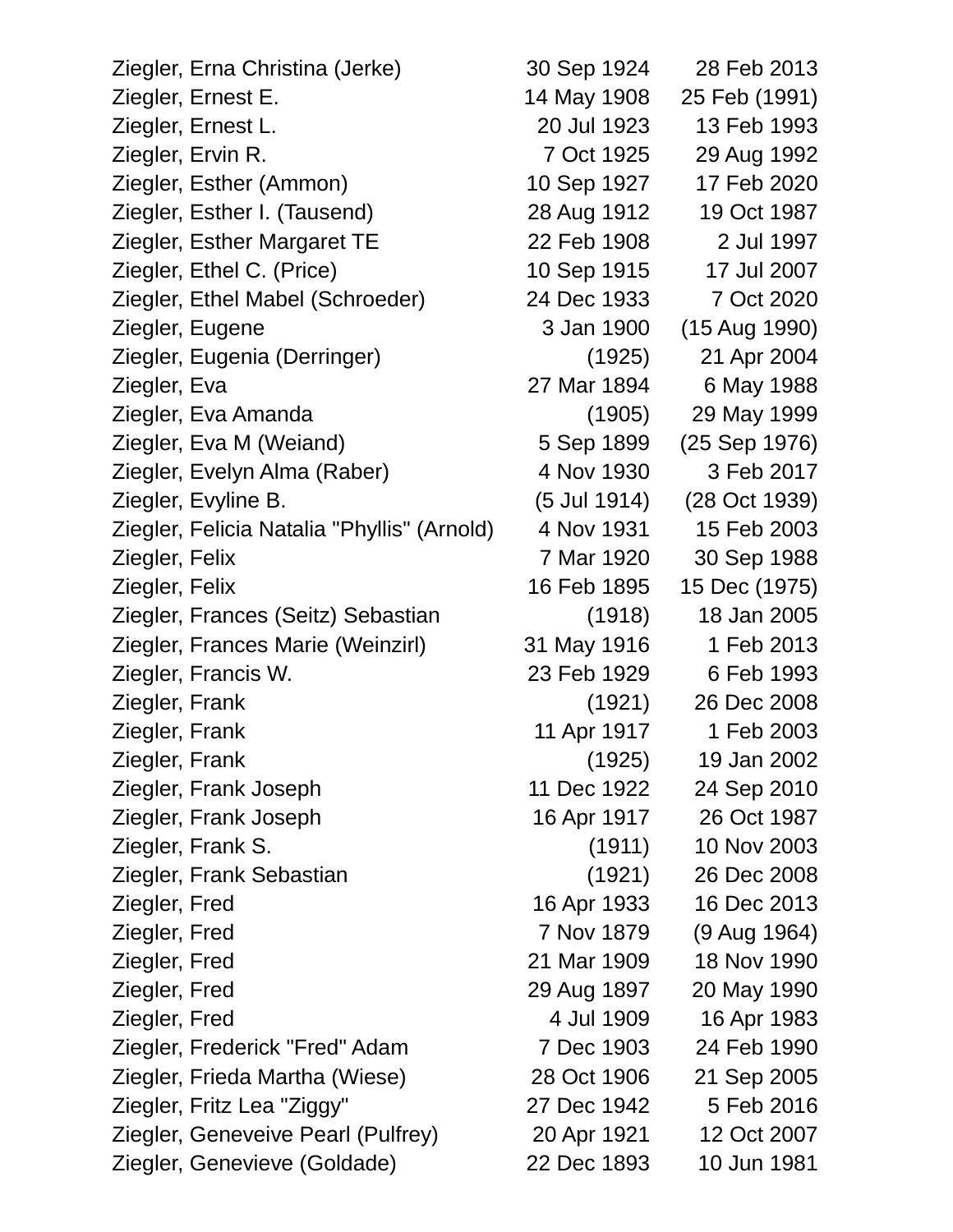Ziegler, Erna Christina (Jerke) 30 Sep 1924 28 Feb 2013 Ziegler, Ernest E. 14 May 1908 25 Feb (1991) Ziegler, Ernest L. 20 Jul 1923 13 Feb 1993 Ziegler, Ervin R. 7 Oct 1925 29 Aug 1992 Ziegler, Esther (Ammon) 10 Sep 1927 17 Feb 2020 Ziegler, Esther I. (Tausend) 28 Aug 1912 19 Oct 1987 Ziegler, Esther Margaret TE 22 Feb 1908 2 Jul 1997 Ziegler, Ethel C. (Price) 10 Sep 1915 17 Jul 2007 Ziegler, Ethel Mabel (Schroeder) 24 Dec 1933 7 Oct 2020 Ziegler, Eugene 3 Jan 1900 (15 Aug 1990) Ziegler, Eugenia (Derringer) (1925) 21 Apr 2004 Ziegler, Eva 27 Mar 1894 6 May 1988 Ziegler, Eva Amanda (1905) 29 May 1999 Ziegler, Eva M (Weiand) 5 Sep 1899 (25 Sep 1976) Ziegler, Evelyn Alma (Raber) 4 Nov 1930 3 Feb 2017 Ziegler, Evyline B. (5 Jul 1914) (28 Oct 1939) Ziegler, Felicia Natalia "Phyllis" (Arnold) 4 Nov 1931 15 Feb 2003 Ziegler, Felix 7 Mar 1920 30 Sep 1988 Ziegler, Felix 16 Feb 1895 15 Dec (1975) Ziegler, Frances (Seitz) Sebastian (1918) 18 Jan 2005 Ziegler, Frances Marie (Weinzirl) 31 May 1916 1 Feb 2013 Ziegler, Francis W. 23 Feb 1929 6 Feb 1993 Ziegler, Frank (1921) 26 Dec 2008 Ziegler, Frank 11 Apr 1917 1 Feb 2003 Ziegler, Frank (1925) 19 Jan 2002 Ziegler, Frank Joseph 11 Dec 1922 24 Sep 2010 Ziegler, Frank Joseph 16 Apr 1917 26 Oct 1987 Ziegler, Frank S. (1911) 10 Nov 2003 Ziegler, Frank Sebastian (1921) 26 Dec 2008 Ziegler, Fred 16 Apr 1933 16 Dec 2013 Ziegler, Fred 7 Nov 1879 (9 Aug 1964) Ziegler, Fred 21 Mar 1909 18 Nov 1990 Ziegler, Fred 29 Aug 1897 20 May 1990 Ziegler, Fred 4 Jul 1909 16 Apr 1983 Ziegler, Frederick "Fred" Adam 7 Dec 1903 24 Feb 1990 Ziegler, Frieda Martha (Wiese) 28 Oct 1906 21 Sep 2005 Ziegler, Fritz Lea "Ziggy" 27 Dec 1942 5 Feb 2016 Ziegler, Geneveive Pearl (Pulfrey) 20 Apr 1921 12 Oct 2007 Ziegler, Genevieve (Goldade) 22 Dec 1893 10 Jun 1981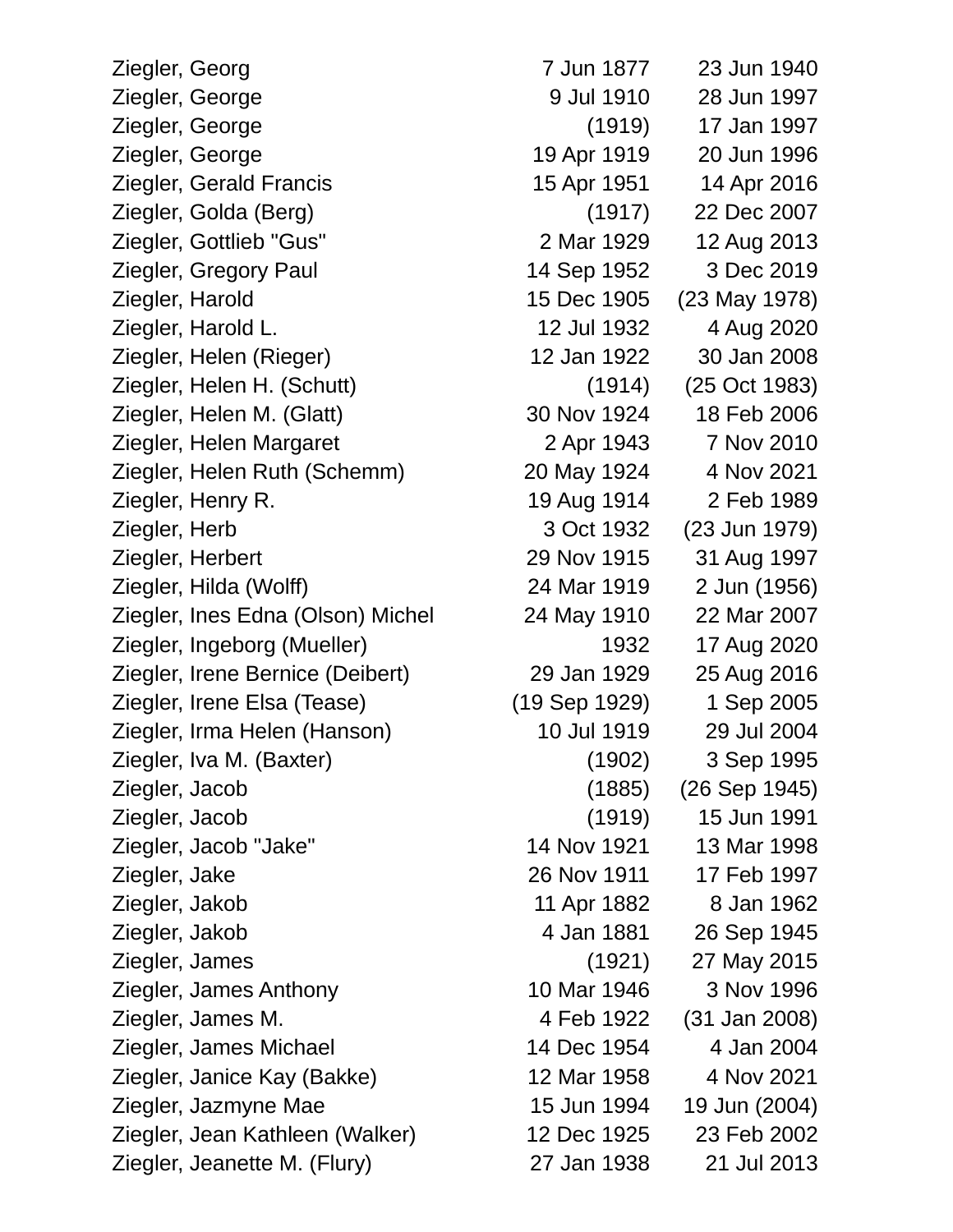Ziegler, Georg 7 Jun 1877 23 Jun 1940 Ziegler, George 1997 1997 1997 9 Jul 1910 28 Jun 1997 Ziegler, George (1919) 17 Jan 1997 Ziegler, George 19 Apr 1919 20 Jun 1996 Ziegler, Gerald Francis 15 Apr 1951 14 Apr 2016 Ziegler, Golda (Berg) (1917) 22 Dec 2007 Ziegler, Gottlieb "Gus" 2 Mar 1929 12 Aug 2013 Ziegler, Gregory Paul 14 Sep 1952 3 Dec 2019 Ziegler, Harold 15 Dec 1905 (23 May 1978) Ziegler, Harold L. 12 Jul 1932 4 Aug 2020 Ziegler, Helen (Rieger) 12 Jan 1922 30 Jan 2008 Ziegler, Helen H. (Schutt) (1914) (25 Oct 1983) Ziegler, Helen M. (Glatt) 30 Nov 1924 18 Feb 2006 Ziegler, Helen Margaret 2 Apr 1943 7 Nov 2010 Ziegler, Helen Ruth (Schemm) 20 May 1924 4 Nov 2021 Ziegler, Henry R. 19 Aug 1914 2 Feb 1989 Ziegler, Herb 3 Oct 1932 (23 Jun 1979) Ziegler, Herbert 29 Nov 1915 31 Aug 1997 Ziegler, Hilda (Wolff) 24 Mar 1919 2 Jun (1956) Ziegler, Ines Edna (Olson) Michel 24 May 1910 22 Mar 2007 Ziegler, Ingeborg (Mueller) 1932 17 Aug 2020 Ziegler, Irene Bernice (Deibert) 29 Jan 1929 25 Aug 2016 Ziegler, Irene Elsa (Tease) (19 Sep 1929) 1 Sep 2005 Ziegler, Irma Helen (Hanson) 10 Jul 1919 29 Jul 2004 Ziegler, Iva M. (Baxter) (1902) 3 Sep 1995 Ziegler, Jacob (1885) (26 Sep 1945) Ziegler, Jacob (1919) 15 Jun 1991 Ziegler, Jacob "Jake" 14 Nov 1921 13 Mar 1998 Ziegler, Jake 26 Nov 1911 17 Feb 1997 Ziegler, Jakob 11 Apr 1882 8 Jan 1962 Ziegler, Jakob 4 Jan 1881 26 Sep 1945 Ziegler, James (1921) 27 May 2015 Ziegler, James Anthony 10 Mar 1946 3 Nov 1996 Ziegler, James M. 4 Feb 1922 (31 Jan 2008) Ziegler, James Michael 14 Dec 1954 4 Jan 2004 Ziegler, Janice Kay (Bakke) 12 Mar 1958 4 Nov 2021 Ziegler, Jazmyne Mae 15 Jun 1994 19 Jun (2004) Ziegler, Jean Kathleen (Walker) 12 Dec 1925 23 Feb 2002 Ziegler, Jeanette M. (Flury) 27 Jan 1938 21 Jul 2013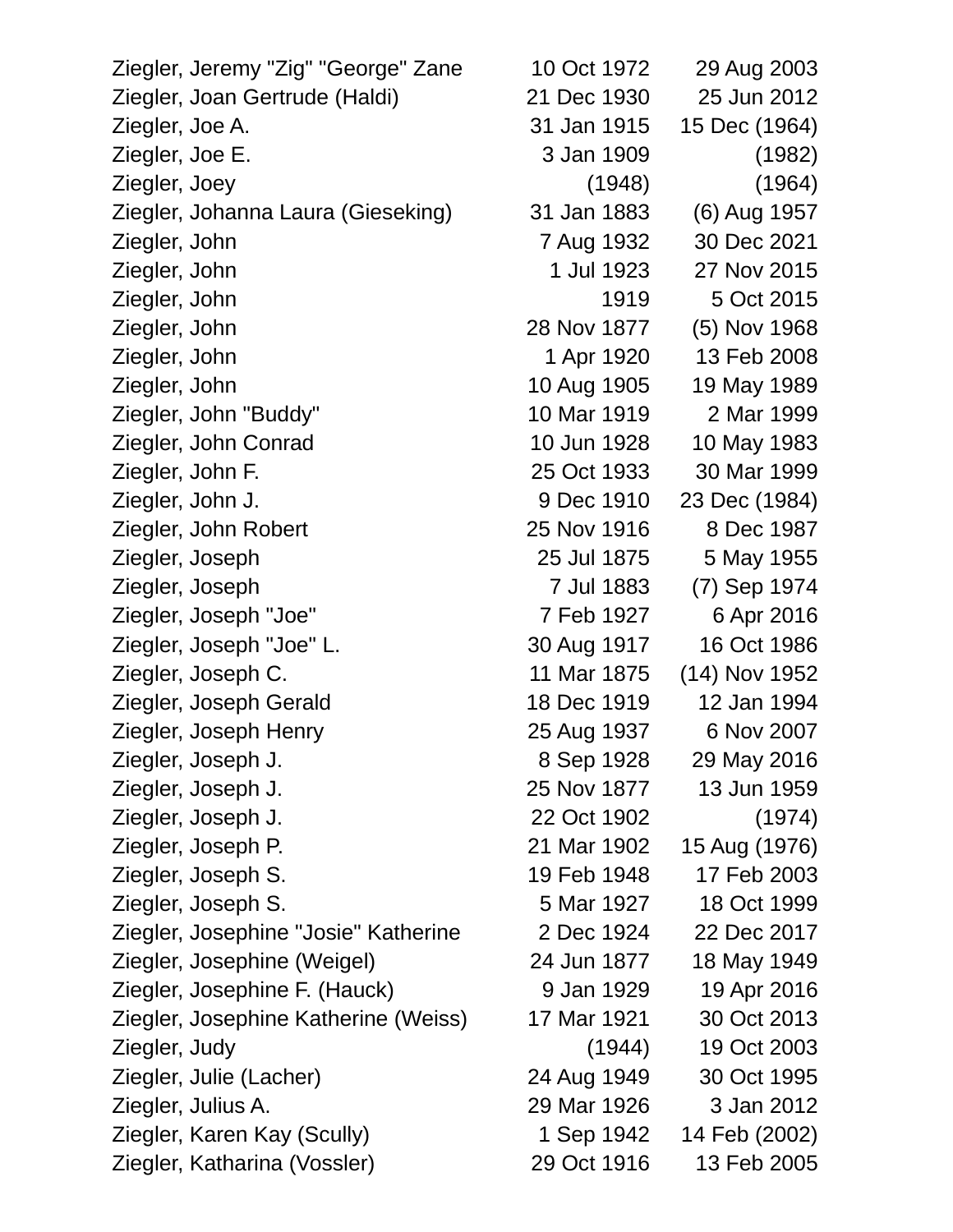Ziegler, Jeremy "Zig" "George" Zane 10 Oct 1972 29 Aug 2003 Ziegler, Joan Gertrude (Haldi) 21 Dec 1930 25 Jun 2012 Ziegler, Joe A. 31 Jan 1915 15 Dec (1964) Ziegler, Joe E. 3 Jan 1909 (1982) Ziegler, Joey (1948) (1964) Ziegler, Johanna Laura (Gieseking) 31 Jan 1883 (6) Aug 1957 Ziegler, John 7 Aug 1932 30 Dec 2021 Ziegler, John 1 Jul 1923 27 Nov 2015 Ziegler, John 1919 5 Oct 2015 Ziegler, John 28 Nov 1877 (5) Nov 1968 Ziegler, John 1 Apr 1920 13 Feb 2008 Ziegler, John 10 Aug 1905 19 May 1989 Ziegler, John "Buddy" 10 Mar 1919 2 Mar 1999 Ziegler, John Conrad 10 Jun 1928 10 May 1983 Ziegler, John F. 25 Oct 1933 30 Mar 1999 Ziegler, John J. 9 Dec 1910 23 Dec (1984) Ziegler, John Robert 25 Nov 1916 8 Dec 1987 Ziegler, Joseph 25 Jul 1875 5 May 1955 Ziegler, Joseph 7 Jul 1883 (7) Sep 1974 Ziegler, Joseph "Joe" 7 Feb 1927 6 Apr 2016 Ziegler, Joseph "Joe" L. 30 Aug 1917 16 Oct 1986 Ziegler, Joseph C. 11 Mar 1875 (14) Nov 1952 Ziegler, Joseph Gerald 18 Dec 1919 12 Jan 1994 Ziegler, Joseph Henry 25 Aug 1937 6 Nov 2007 Ziegler, Joseph J. 8 Sep 1928 29 May 2016 Ziegler, Joseph J. 25 Nov 1877 13 Jun 1959 Ziegler, Joseph J. 22 Oct 1902 (1974) Ziegler, Joseph P. 21 Mar 1902 15 Aug (1976) Ziegler, Joseph S. 19 Feb 1948 17 Feb 2003 Ziegler, Joseph S. 5 Mar 1927 18 Oct 1999 Ziegler, Josephine "Josie" Katherine 2 Dec 1924 22 Dec 2017 Ziegler, Josephine (Weigel) 24 Jun 1877 18 May 1949 Ziegler, Josephine F. (Hauck) 9 Jan 1929 19 Apr 2016 Ziegler, Josephine Katherine (Weiss) 17 Mar 1921 30 Oct 2013 Ziegler, Judy (1944) 19 Oct 2003 Ziegler, Julie (Lacher) 24 Aug 1949 30 Oct 1995 Ziegler, Julius A. 29 Mar 1926 3 Jan 2012 Ziegler, Karen Kay (Scully) 1 Sep 1942 14 Feb (2002)

Ziegler, Katharina (Vossler) 29 Oct 1916 13 Feb 2005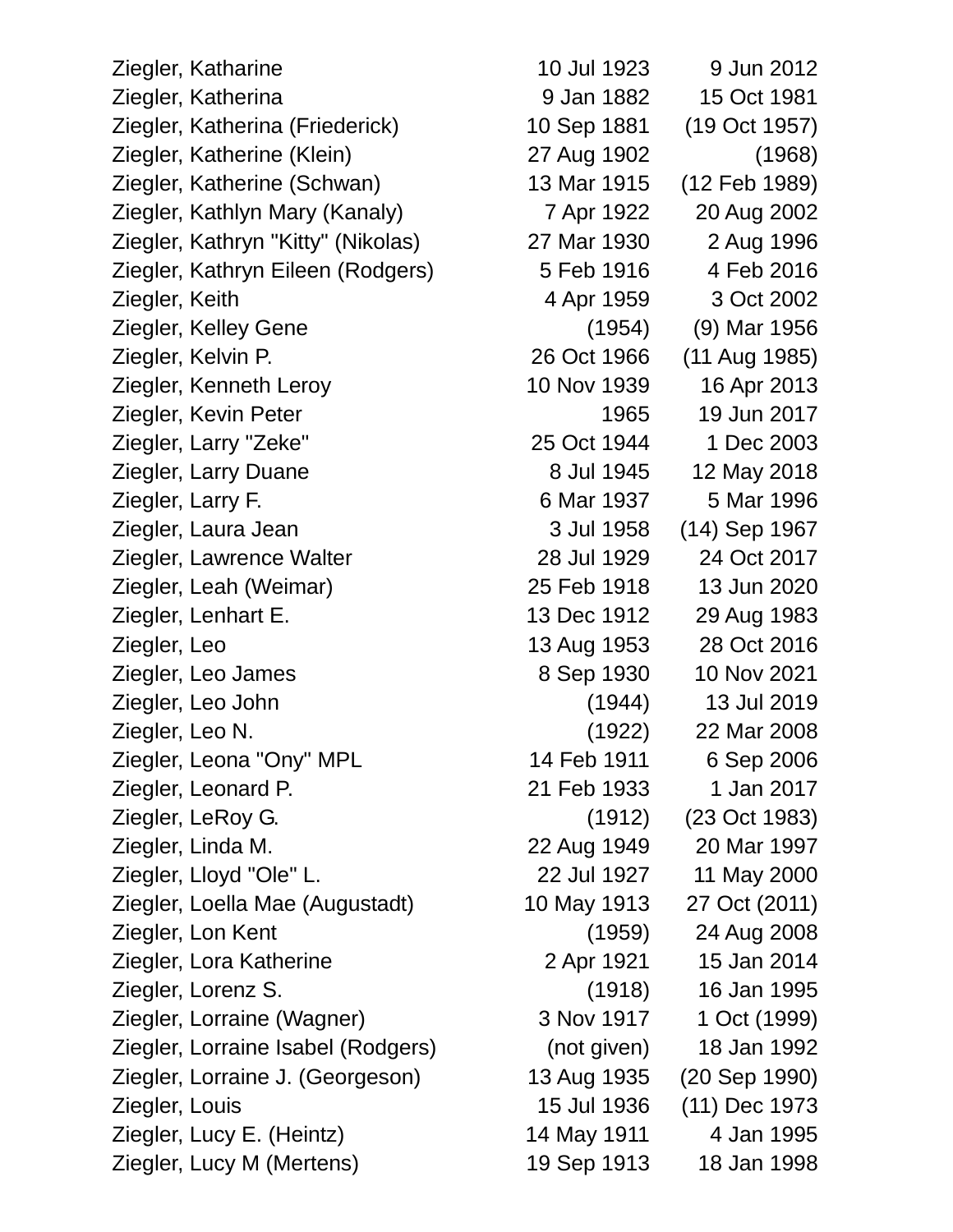Ziegler, Katharine 10 Jul 1923 9 Jun 2012 Ziegler, Katherina 9 Jan 1882 15 Oct 1981 Ziegler, Katherina (Friederick) 10 Sep 1881 (19 Oct 1957) Ziegler, Katherine (Klein) 27 Aug 1902 (1968) Ziegler, Katherine (Schwan) 13 Mar 1915 (12 Feb 1989) Ziegler, Kathlyn Mary (Kanaly) 7 Apr 1922 20 Aug 2002 Ziegler, Kathryn "Kitty" (Nikolas) 27 Mar 1930 2 Aug 1996 Ziegler, Kathryn Eileen (Rodgers) 5 Feb 1916 4 Feb 2016 Ziegler, Keith 4 Apr 1959 3 Oct 2002 Ziegler, Kelley Gene (1954) (9) Mar 1956 Ziegler, Kelvin P. 26 Oct 1966 (11 Aug 1985) Ziegler, Kenneth Leroy 10 Nov 1939 16 Apr 2013 Ziegler, Kevin Peter 1965 19 Jun 2017 Ziegler, Larry "Zeke" 25 Oct 1944 1 Dec 2003 Ziegler, Larry Duane 8 Jul 1945 12 May 2018 Ziegler, Larry F. 6 Mar 1937 5 Mar 1996 Ziegler, Laura Jean 3 Jul 1958 (14) Sep 1967 Ziegler, Lawrence Walter 28 Jul 1929 24 Oct 2017 Ziegler, Leah (Weimar) 25 Feb 1918 13 Jun 2020 Ziegler, Lenhart E. 13 Dec 1912 29 Aug 1983 Ziegler, Leo 13 Aug 1953 28 Oct 2016 Ziegler, Leo James 8 Sep 1930 10 Nov 2021 Ziegler, Leo John (1944) 13 Jul 2019 Ziegler, Leo N. (1922) 22 Mar 2008 Ziegler, Leona "Ony" MPL 14 Feb 1911 6 Sep 2006 Ziegler, Leonard P. 21 Feb 1933 1 Jan 2017 Ziegler, LeRoy G. (1912) (23 Oct 1983) Ziegler, Linda M. 22 Aug 1949 20 Mar 1997 Ziegler, Lloyd "Ole" L. 22 Jul 1927 11 May 2000 Ziegler, Loella Mae (Augustadt) 10 May 1913 27 Oct (2011) Ziegler, Lon Kent (1959) 24 Aug 2008 Ziegler, Lora Katherine 2 Apr 1921 15 Jan 2014 Ziegler, Lorenz S. (1918) 16 Jan 1995 Ziegler, Lorraine (Wagner) 3 Nov 1917 1 Oct (1999) Ziegler, Lorraine Isabel (Rodgers) (not given) 18 Jan 1992 Ziegler, Lorraine J. (Georgeson) 13 Aug 1935 (20 Sep 1990) Ziegler, Louis 15 Jul 1936 (11) Dec 1973 Ziegler, Lucy E. (Heintz) 14 May 1911 4 Jan 1995 Ziegler, Lucy M (Mertens) 19 Sep 1913 18 Jan 1998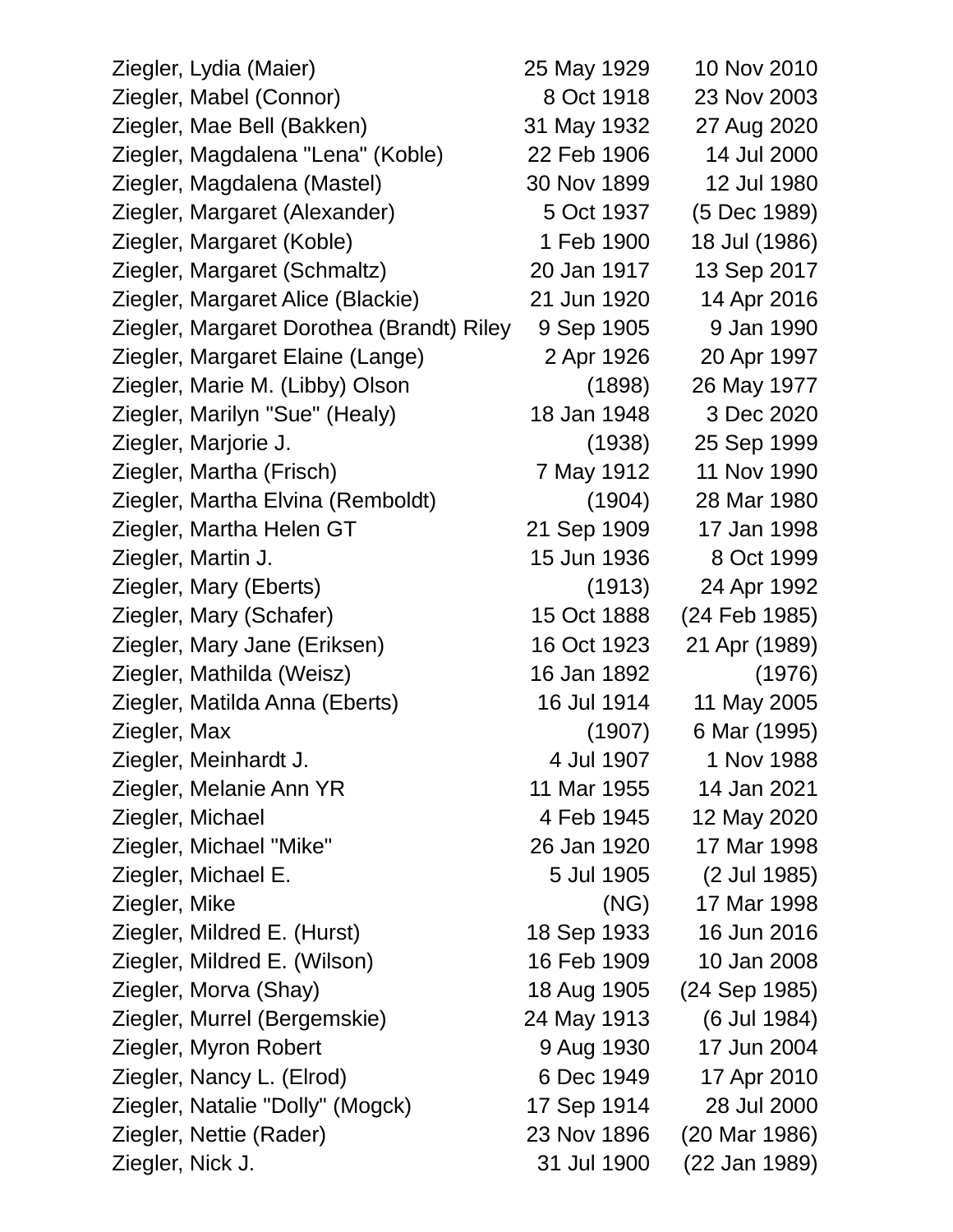|                  | Ziegler, Lydia (Maier)                    | 25 May 1929 | 10 Nov 2010   |
|------------------|-------------------------------------------|-------------|---------------|
|                  | Ziegler, Mabel (Connor)                   | 8 Oct 1918  | 23 Nov 2003   |
|                  | Ziegler, Mae Bell (Bakken)                | 31 May 1932 | 27 Aug 2020   |
|                  | Ziegler, Magdalena "Lena" (Koble)         | 22 Feb 1906 | 14 Jul 2000   |
|                  | Ziegler, Magdalena (Mastel)               | 30 Nov 1899 | 12 Jul 1980   |
|                  | Ziegler, Margaret (Alexander)             | 5 Oct 1937  | (5 Dec 1989)  |
|                  | Ziegler, Margaret (Koble)                 | 1 Feb 1900  | 18 Jul (1986) |
|                  | Ziegler, Margaret (Schmaltz)              | 20 Jan 1917 | 13 Sep 2017   |
|                  | Ziegler, Margaret Alice (Blackie)         | 21 Jun 1920 | 14 Apr 2016   |
|                  | Ziegler, Margaret Dorothea (Brandt) Riley | 9 Sep 1905  | 9 Jan 1990    |
|                  | Ziegler, Margaret Elaine (Lange)          | 2 Apr 1926  | 20 Apr 1997   |
|                  | Ziegler, Marie M. (Libby) Olson           | (1898)      | 26 May 1977   |
|                  | Ziegler, Marilyn "Sue" (Healy)            | 18 Jan 1948 | 3 Dec 2020    |
|                  | Ziegler, Marjorie J.                      | (1938)      | 25 Sep 1999   |
|                  | Ziegler, Martha (Frisch)                  | 7 May 1912  | 11 Nov 1990   |
|                  | Ziegler, Martha Elvina (Remboldt)         | (1904)      | 28 Mar 1980   |
|                  | Ziegler, Martha Helen GT                  | 21 Sep 1909 | 17 Jan 1998   |
|                  | Ziegler, Martin J.                        | 15 Jun 1936 | 8 Oct 1999    |
|                  | Ziegler, Mary (Eberts)                    | (1913)      | 24 Apr 1992   |
|                  | Ziegler, Mary (Schafer)                   | 15 Oct 1888 | (24 Feb 1985) |
|                  | Ziegler, Mary Jane (Eriksen)              | 16 Oct 1923 | 21 Apr (1989) |
|                  | Ziegler, Mathilda (Weisz)                 | 16 Jan 1892 | (1976)        |
|                  | Ziegler, Matilda Anna (Eberts)            | 16 Jul 1914 | 11 May 2005   |
| Ziegler, Max     |                                           | (1907)      | 6 Mar (1995)  |
|                  | Ziegler, Meinhardt J.                     | 4 Jul 1907  | 1 Nov 1988    |
|                  | Ziegler, Melanie Ann YR                   | 11 Mar 1955 | 14 Jan 2021   |
|                  | Ziegler, Michael                          | 4 Feb 1945  | 12 May 2020   |
|                  | Ziegler, Michael "Mike"                   | 26 Jan 1920 | 17 Mar 1998   |
|                  | Ziegler, Michael E.                       | 5 Jul 1905  | (2 Jul 1985)  |
| Ziegler, Mike    |                                           | (NG)        | 17 Mar 1998   |
|                  | Ziegler, Mildred E. (Hurst)               | 18 Sep 1933 | 16 Jun 2016   |
|                  | Ziegler, Mildred E. (Wilson)              | 16 Feb 1909 | 10 Jan 2008   |
|                  | Ziegler, Morva (Shay)                     | 18 Aug 1905 | (24 Sep 1985) |
|                  | Ziegler, Murrel (Bergemskie)              | 24 May 1913 | (6 Jul 1984)  |
|                  | Ziegler, Myron Robert                     | 9 Aug 1930  | 17 Jun 2004   |
|                  | Ziegler, Nancy L. (Elrod)                 | 6 Dec 1949  | 17 Apr 2010   |
|                  | Ziegler, Natalie "Dolly" (Mogck)          | 17 Sep 1914 | 28 Jul 2000   |
|                  | Ziegler, Nettie (Rader)                   | 23 Nov 1896 | (20 Mar 1986) |
| Ziegler, Nick J. |                                           | 31 Jul 1900 | (22 Jan 1989) |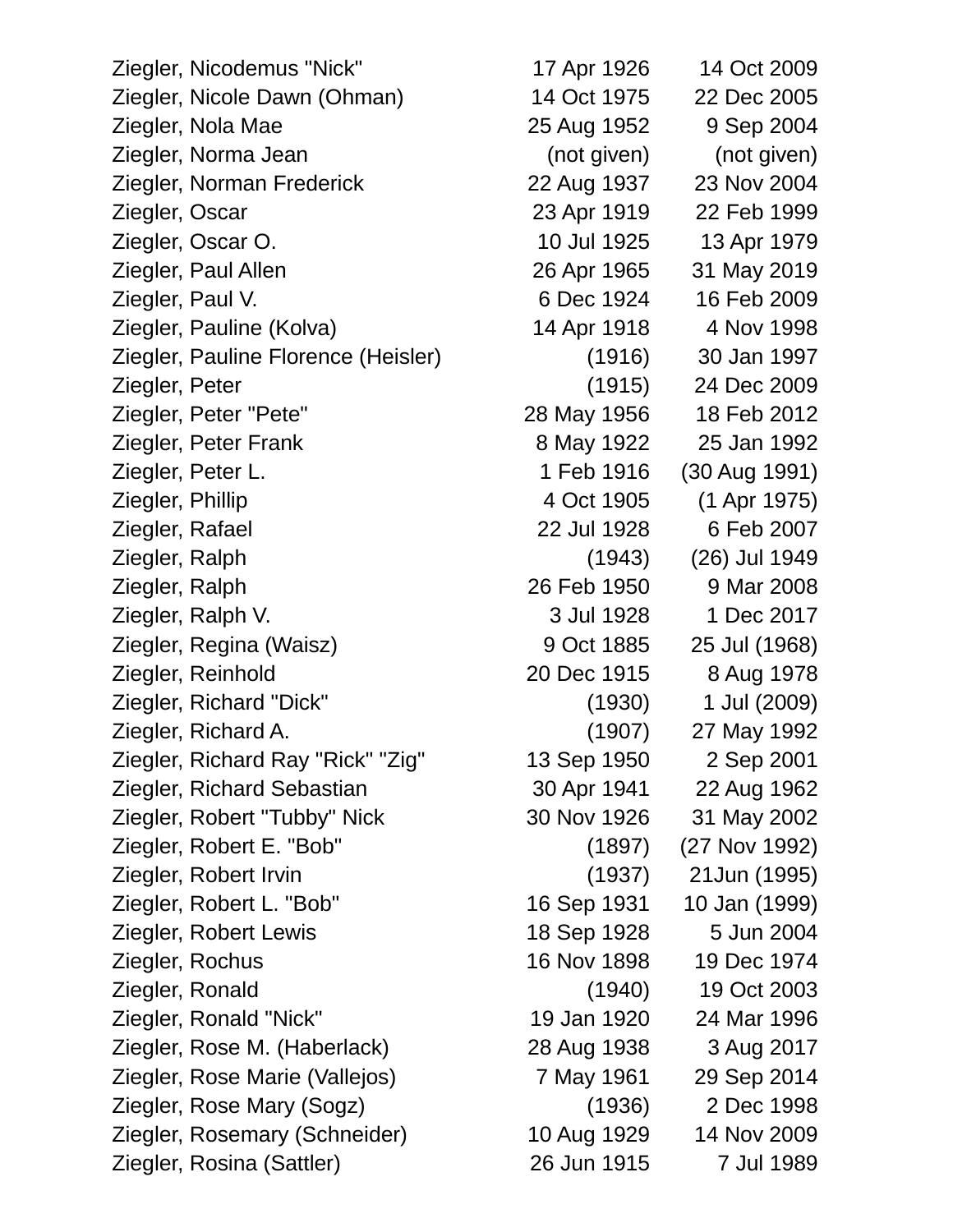Ziegler, Nicodemus "Nick" 17 Apr 1926 14 Oct 2009 Ziegler, Nicole Dawn (Ohman) 14 Oct 1975 22 Dec 2005 Ziegler, Nola Mae 25 Aug 1952 9 Sep 2004 Ziegler, Norma Jean (not given) (not given) Ziegler, Norman Frederick 22 Aug 1937 23 Nov 2004 Ziegler, Oscar 23 Apr 1919 22 Feb 1999 Ziegler, Oscar O. 10 Jul 1925 13 Apr 1979 Ziegler, Paul Allen 26 Apr 1965 31 May 2019 Ziegler, Paul V. 6 Dec 1924 16 Feb 2009 Ziegler, Pauline (Kolva) 14 Apr 1918 4 Nov 1998 Ziegler, Pauline Florence (Heisler) (1916) 30 Jan 1997 Ziegler, Peter (1915) 24 Dec 2009 Ziegler, Peter "Pete" 28 May 1956 18 Feb 2012 Ziegler, Peter Frank 8 May 1922 25 Jan 1992 Ziegler, Peter L. 1 Feb 1916 (30 Aug 1991) Ziegler, Phillip 4 Oct 1905 (1 Apr 1975) Ziegler, Rafael 22 Jul 1928 6 Feb 2007 Ziegler, Ralph (1943) (26) Jul 1949 Ziegler, Ralph 26 Feb 1950 9 Mar 2008 Ziegler, Ralph V. 3 Jul 1928 1 Dec 2017 Ziegler, Regina (Waisz) 9 Oct 1885 25 Jul (1968) Ziegler, Reinhold 20 Dec 1915 8 Aug 1978 Ziegler, Richard "Dick" (1930) 1 Jul (2009) Ziegler, Richard A. (1907) 27 May 1992 Ziegler, Richard Ray "Rick" "Zig" 13 Sep 1950 2 Sep 2001 Ziegler, Richard Sebastian 30 Apr 1941 22 Aug 1962 Ziegler, Robert "Tubby" Nick 30 Nov 1926 31 May 2002 Ziegler, Robert E. "Bob" (1897) (27 Nov 1992) Ziegler, Robert Irvin (1937) 21Jun (1995) Ziegler, Robert L. "Bob" 16 Sep 1931 10 Jan (1999) Ziegler, Robert Lewis 18 Sep 1928 5 Jun 2004 Ziegler, Rochus 16 Nov 1898 19 Dec 1974 Ziegler, Ronald (1940) 19 Oct 2003 Ziegler, Ronald "Nick" 19 Jan 1920 24 Mar 1996 Ziegler, Rose M. (Haberlack) 28 Aug 1938 3 Aug 2017 Ziegler, Rose Marie (Vallejos) 7 May 1961 29 Sep 2014 Ziegler, Rose Mary (Sogz) (1936) 2 Dec 1998 Ziegler, Rosemary (Schneider) 10 Aug 1929 14 Nov 2009 Ziegler, Rosina (Sattler) 26 Jun 1915 7 Jul 1989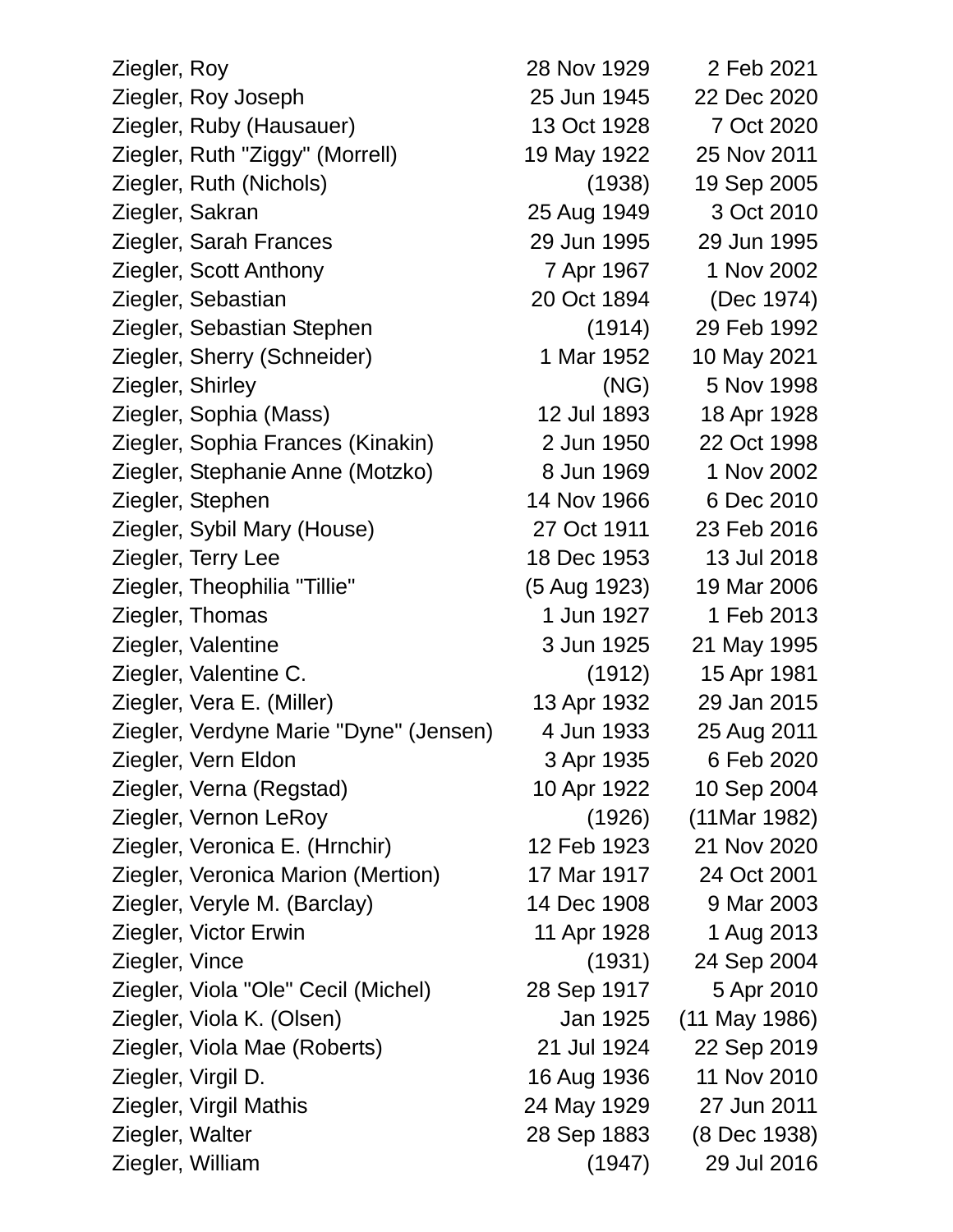| Ziegler, Roy     |                                        | 28 Nov 1929  | 2 Feb 2021      |
|------------------|----------------------------------------|--------------|-----------------|
|                  | Ziegler, Roy Joseph                    | 25 Jun 1945  | 22 Dec 2020     |
|                  | Ziegler, Ruby (Hausauer)               | 13 Oct 1928  | 7 Oct 2020      |
|                  | Ziegler, Ruth "Ziggy" (Morrell)        | 19 May 1922  | 25 Nov 2011     |
|                  | Ziegler, Ruth (Nichols)                | (1938)       | 19 Sep 2005     |
|                  | Ziegler, Sakran                        | 25 Aug 1949  | 3 Oct 2010      |
|                  | Ziegler, Sarah Frances                 | 29 Jun 1995  | 29 Jun 1995     |
|                  | Ziegler, Scott Anthony                 | 7 Apr 1967   | 1 Nov 2002      |
|                  | Ziegler, Sebastian                     | 20 Oct 1894  | (Dec 1974)      |
|                  | Ziegler, Sebastian Stephen             | (1914)       | 29 Feb 1992     |
|                  | Ziegler, Sherry (Schneider)            | 1 Mar 1952   | 10 May 2021     |
| Ziegler, Shirley |                                        | (NG)         | 5 Nov 1998      |
|                  | Ziegler, Sophia (Mass)                 | 12 Jul 1893  | 18 Apr 1928     |
|                  | Ziegler, Sophia Frances (Kinakin)      | 2 Jun 1950   | 22 Oct 1998     |
|                  | Ziegler, Stephanie Anne (Motzko)       | 8 Jun 1969   | 1 Nov 2002      |
|                  | Ziegler, Stephen                       | 14 Nov 1966  | 6 Dec 2010      |
|                  | Ziegler, Sybil Mary (House)            | 27 Oct 1911  | 23 Feb 2016     |
|                  | Ziegler, Terry Lee                     | 18 Dec 1953  | 13 Jul 2018     |
|                  | Ziegler, Theophilia "Tillie"           | (5 Aug 1923) | 19 Mar 2006     |
|                  | Ziegler, Thomas                        | 1 Jun 1927   | 1 Feb 2013      |
|                  | Ziegler, Valentine                     | 3 Jun 1925   | 21 May 1995     |
|                  | Ziegler, Valentine C.                  | (1912)       | 15 Apr 1981     |
|                  | Ziegler, Vera E. (Miller)              | 13 Apr 1932  | 29 Jan 2015     |
|                  | Ziegler, Verdyne Marie "Dyne" (Jensen) | 4 Jun 1933   | 25 Aug 2011     |
|                  | Ziegler, Vern Eldon                    | 3 Apr 1935   | 6 Feb 2020      |
|                  | Ziegler, Verna (Regstad)               | 10 Apr 1922  | 10 Sep 2004     |
|                  | Ziegler, Vernon LeRoy                  | (1926)       | $(11$ Mar 1982) |
|                  | Ziegler, Veronica E. (Hrnchir)         | 12 Feb 1923  | 21 Nov 2020     |
|                  | Ziegler, Veronica Marion (Mertion)     | 17 Mar 1917  | 24 Oct 2001     |
|                  | Ziegler, Veryle M. (Barclay)           | 14 Dec 1908  | 9 Mar 2003      |
|                  | Ziegler, Victor Erwin                  | 11 Apr 1928  | 1 Aug 2013      |
| Ziegler, Vince   |                                        | (1931)       | 24 Sep 2004     |
|                  | Ziegler, Viola "Ole" Cecil (Michel)    | 28 Sep 1917  | 5 Apr 2010      |
|                  | Ziegler, Viola K. (Olsen)              | Jan 1925     | $(11$ May 1986) |
|                  | Ziegler, Viola Mae (Roberts)           | 21 Jul 1924  | 22 Sep 2019     |
|                  | Ziegler, Virgil D.                     | 16 Aug 1936  | 11 Nov 2010     |
|                  | Ziegler, Virgil Mathis                 | 24 May 1929  | 27 Jun 2011     |
| Ziegler, Walter  |                                        | 28 Sep 1883  | (8 Dec 1938)    |
|                  | Ziegler, William                       | (1947)       | 29 Jul 2016     |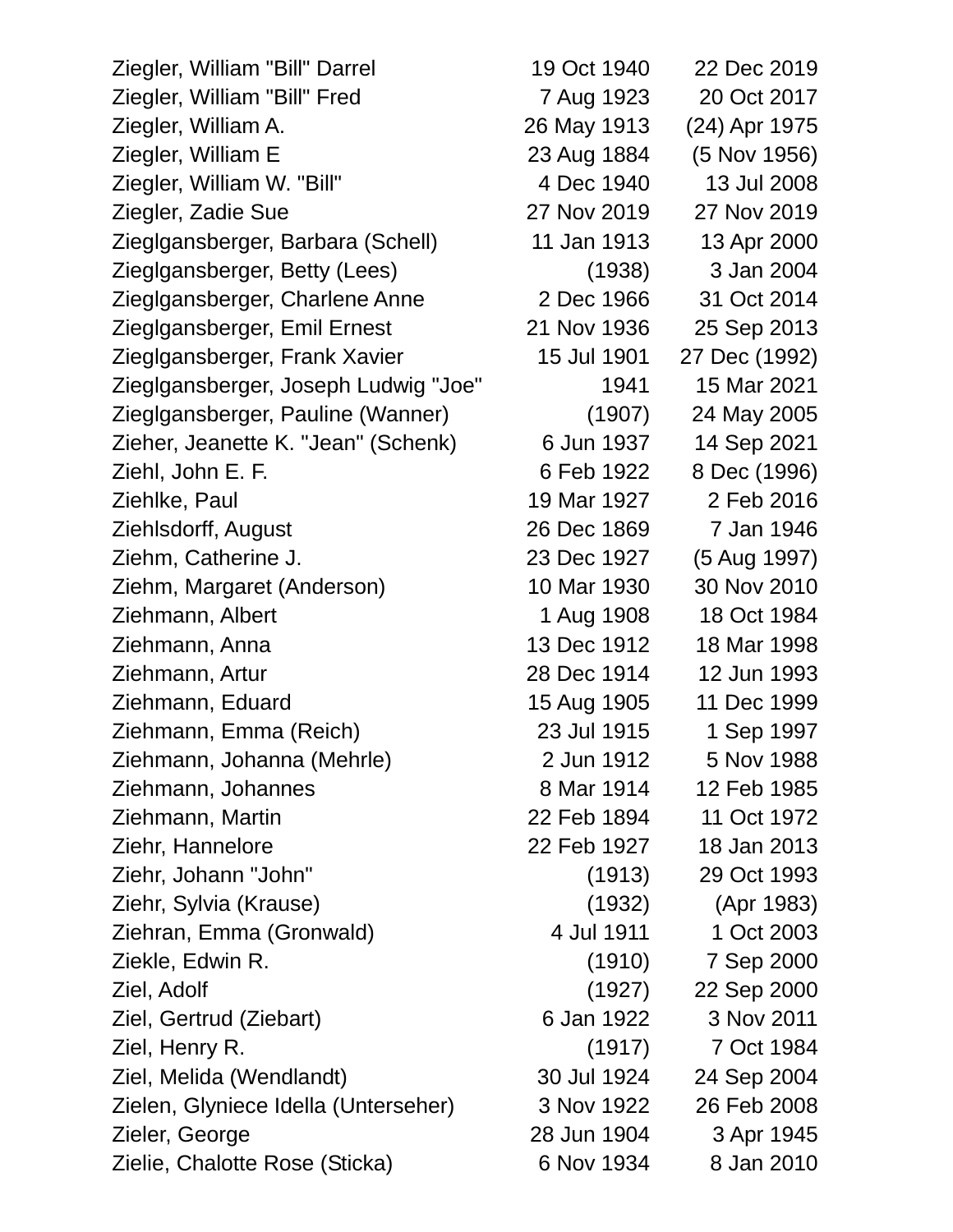Ziegler, William "Bill" Darrel 19 Oct 1940 22 Dec 2019 Ziegler, William "Bill" Fred 7 Aug 1923 20 Oct 2017 Ziegler, William A. 26 May 1913 (24) Apr 1975 Ziegler, William E 23 Aug 1884 (5 Nov 1956) Ziegler, William W. "Bill" 4 Dec 1940 13 Jul 2008 Ziegler, Zadie Sue 27 Nov 2019 27 Nov 2019 Zieglgansberger, Barbara (Schell) 11 Jan 1913 13 Apr 2000 Zieglgansberger, Betty (Lees) (1938) 3 Jan 2004 Zieglgansberger, Charlene Anne 2 Dec 1966 31 Oct 2014 Zieglgansberger, Emil Ernest 21 Nov 1936 25 Sep 2013 Zieglgansberger, Frank Xavier 15 Jul 1901 27 Dec (1992) Zieglgansberger, Joseph Ludwig "Joe" 1941 15 Mar 2021 Zieglgansberger, Pauline (Wanner) (1907) 24 May 2005 Zieher, Jeanette K. "Jean" (Schenk) 6 Jun 1937 14 Sep 2021 Ziehl, John E. F. 6 Feb 1922 8 Dec (1996) Ziehlke, Paul 19 Mar 1927 2 Feb 2016 Ziehlsdorff, August 26 Dec 1869 7 Jan 1946 Ziehm, Catherine J. 23 Dec 1927 (5 Aug 1997) Ziehm, Margaret (Anderson) 10 Mar 1930 30 Nov 2010 Ziehmann, Albert 1 Aug 1908 18 Oct 1984 Ziehmann, Anna 13 Dec 1912 18 Mar 1998 Ziehmann, Artur 28 Dec 1914 12 Jun 1993 Ziehmann, Eduard 15 Aug 1905 11 Dec 1999 Ziehmann, Emma (Reich) 23 Jul 1915 1 Sep 1997 Ziehmann, Johanna (Mehrle) 2 Jun 1912 5 Nov 1988 Ziehmann, Johannes 8 Mar 1914 12 Feb 1985 Ziehmann, Martin 22 Feb 1894 11 Oct 1972 Ziehr, Hannelore 22 Feb 1927 18 Jan 2013 Ziehr, Johann "John" (1913) 29 Oct 1993 Ziehr, Sylvia (Krause) (1932) (Apr 1983) Ziehran, Emma (Gronwald) 4 Jul 1911 1 Oct 2003 Ziekle, Edwin R. (1910) 7 Sep 2000 Ziel, Adolf (1927) 22 Sep 2000 Ziel, Gertrud (Ziebart) 6 Jan 1922 3 Nov 2011 Ziel, Henry R. (1917) 7 Oct 1984 Ziel, Melida (Wendlandt) 30 Jul 1924 24 Sep 2004 Zielen, Glyniece Idella (Unterseher) 3 Nov 1922 26 Feb 2008 Zieler, George 28 Jun 1904 3 Apr 1945 Zielie, Chalotte Rose (Sticka) 6 Nov 1934 8 Jan 2010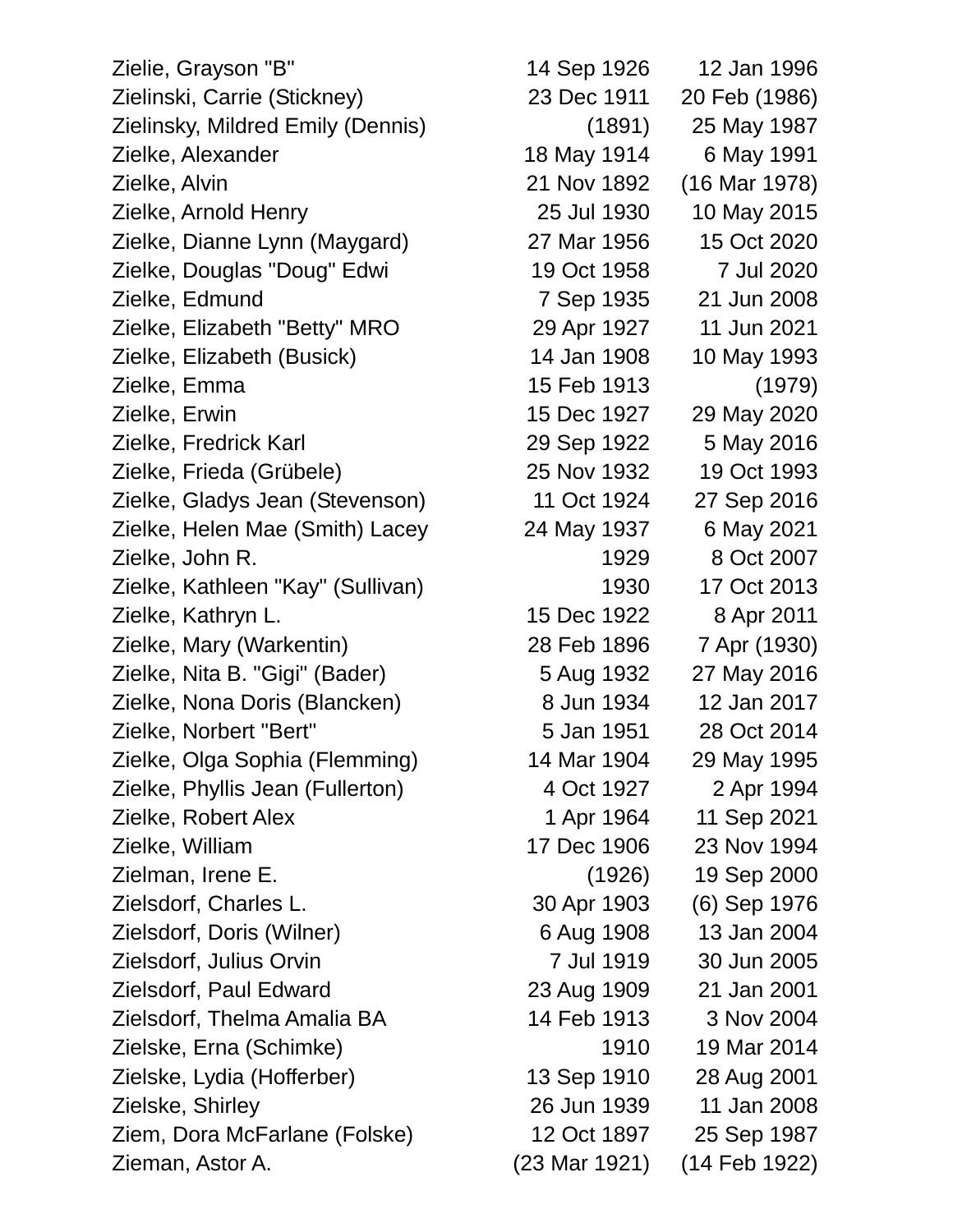Zielie, Grayson "B" 14 Sep 1926 12 Jan 1996 Zielinski, Carrie (Stickney) 23 Dec 1911 20 Feb (1986) Zielinsky, Mildred Emily (Dennis) (1891) 25 May 1987 Zielke, Alexander 18 May 1914 6 May 1991 Zielke, Alvin 21 Nov 1892 (16 Mar 1978) Zielke, Arnold Henry 25 Jul 1930 10 May 2015 Zielke, Dianne Lynn (Maygard) 27 Mar 1956 15 Oct 2020 Zielke, Douglas "Doug" Edwi 19 Oct 1958 7 Jul 2020 Zielke, Edmund 7 Sep 1935 21 Jun 2008 Zielke, Elizabeth "Betty" MRO 29 Apr 1927 11 Jun 2021 Zielke, Elizabeth (Busick) 14 Jan 1908 10 May 1993 Zielke, Emma 15 Feb 1913 (1979) Zielke, Erwin 15 Dec 1927 29 May 2020 Zielke, Fredrick Karl 29 Sep 1922 5 May 2016 Zielke, Frieda (Grübele) 25 Nov 1932 19 Oct 1993 Zielke, Gladys Jean (Stevenson) 11 Oct 1924 27 Sep 2016 Zielke, Helen Mae (Smith) Lacey 24 May 1937 6 May 2021 Zielke, John R. 1929 8 Oct 2007 Zielke, Kathleen "Kay" (Sullivan) 1930 17 Oct 2013 Zielke, Kathryn L. 15 Dec 1922 8 Apr 2011 Zielke, Mary (Warkentin) 28 Feb 1896 7 Apr (1930) Zielke, Nita B. "Gigi" (Bader) 5 Aug 1932 27 May 2016 Zielke, Nona Doris (Blancken) 8 Jun 1934 12 Jan 2017 Zielke, Norbert "Bert" 5 Jan 1951 28 Oct 2014 Zielke, Olga Sophia (Flemming) 14 Mar 1904 29 May 1995 Zielke, Phyllis Jean (Fullerton) 4 Oct 1927 2 Apr 1994 Zielke, Robert Alex 1 Apr 1964 11 Sep 2021 Zielke, William 17 Dec 1906 23 Nov 1994 Zielman, Irene E. (1926) 19 Sep 2000 Zielsdorf, Charles L. 30 Apr 1903 (6) Sep 1976 Zielsdorf, Doris (Wilner) 6 Aug 1908 13 Jan 2004 Zielsdorf, Julius Orvin 7 Jul 1919 30 Jun 2005 Zielsdorf, Paul Edward 23 Aug 1909 21 Jan 2001 Zielsdorf, Thelma Amalia BA 14 Feb 1913 3 Nov 2004 Zielske, Erna (Schimke) 1910 19 Mar 2014 Zielske, Lydia (Hofferber) 13 Sep 1910 28 Aug 2001 Zielske, Shirley 26 Jun 1939 11 Jan 2008 Ziem, Dora McFarlane (Folske) 12 Oct 1897 25 Sep 1987

Zieman, Astor A. (23 Mar 1921) (14 Feb 1922)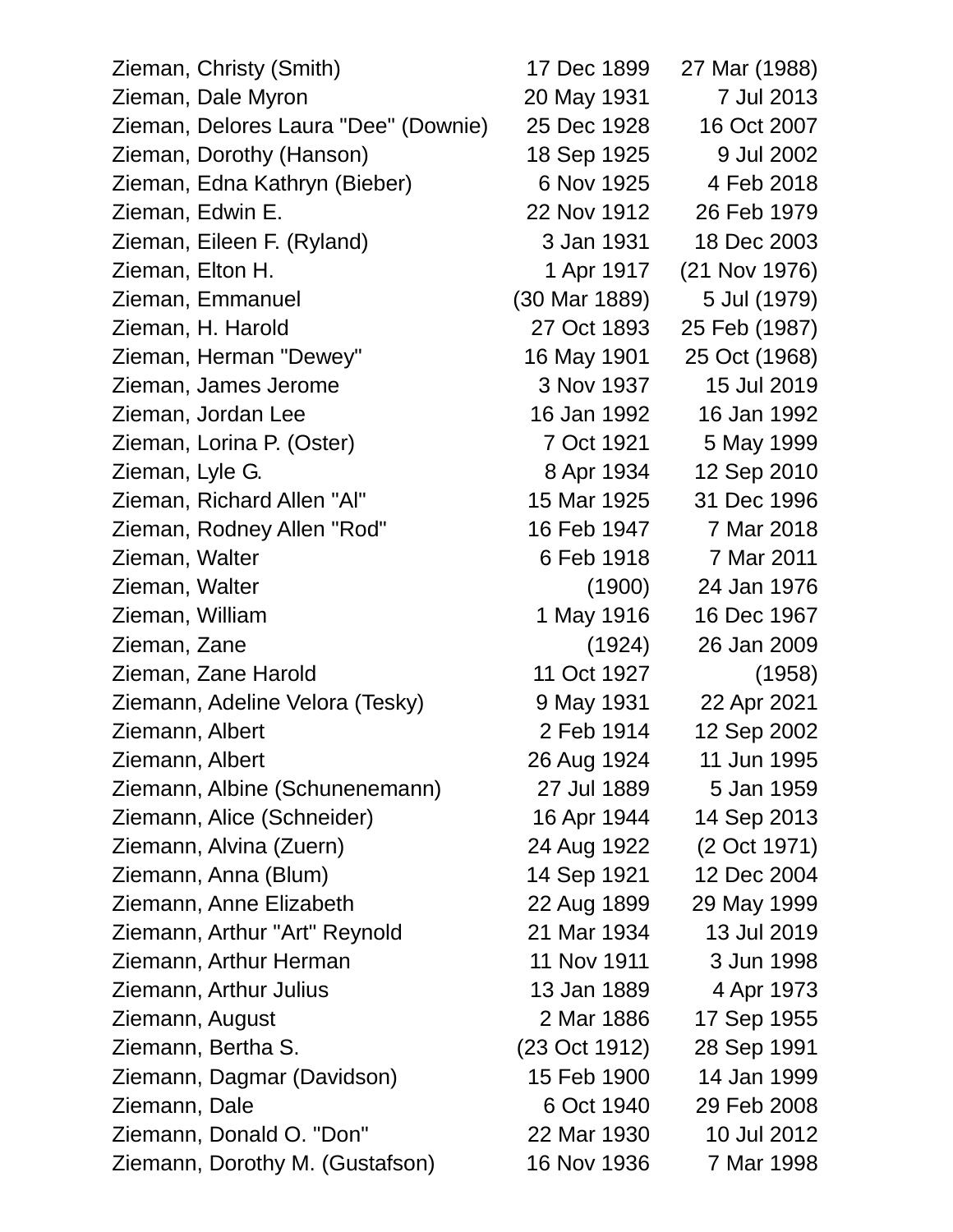Zieman, Christy (Smith) 17 Dec 1899 27 Mar (1988) Zieman, Dale Myron 20 May 1931 7 Jul 2013 Zieman, Delores Laura "Dee" (Downie) 25 Dec 1928 16 Oct 2007 Zieman, Dorothy (Hanson) 18 Sep 1925 9 Jul 2002 Zieman, Edna Kathryn (Bieber) 6 Nov 1925 4 Feb 2018 Zieman, Edwin E. 22 Nov 1912 26 Feb 1979 Zieman, Eileen F. (Ryland) 3 Jan 1931 18 Dec 2003 Zieman, Elton H. 1 Apr 1917 (21 Nov 1976) Zieman, Emmanuel (30 Mar 1889) 5 Jul (1979) Zieman, H. Harold 27 Oct 1893 25 Feb (1987) Zieman, Herman "Dewey" 16 May 1901 25 Oct (1968) Zieman, James Jerome 3 Nov 1937 15 Jul 2019 Zieman, Jordan Lee 16 Jan 1992 16 Jan 1992 Zieman, Lorina P. (Oster) 7 Oct 1921 5 May 1999 Zieman, Lyle G. 8 Apr 1934 12 Sep 2010 Zieman, Richard Allen "Al" 15 Mar 1925 31 Dec 1996 Zieman, Rodney Allen "Rod" 16 Feb 1947 7 Mar 2018 Zieman, Walter 6 Feb 1918 7 Mar 2011 Zieman, Walter (1900) 24 Jan 1976 Zieman, William 1 May 1916 16 Dec 1967 Zieman, Zane (1924) 26 Jan 2009 Zieman, Zane Harold 11 Oct 1927 (1958) Ziemann, Adeline Velora (Tesky) 9 May 1931 22 Apr 2021 Ziemann, Albert 2 Feb 1914 12 Sep 2002 Ziemann, Albert 26 Aug 1924 11 Jun 1995 Ziemann, Albine (Schunenemann) 27 Jul 1889 5 Jan 1959 Ziemann, Alice (Schneider) 16 Apr 1944 14 Sep 2013 Ziemann, Alvina (Zuern) 24 Aug 1922 (2 Oct 1971) Ziemann, Anna (Blum) 14 Sep 1921 12 Dec 2004 Ziemann, Anne Elizabeth 22 Aug 1899 29 May 1999 Ziemann, Arthur "Art" Reynold 21 Mar 1934 13 Jul 2019 Ziemann, Arthur Herman 11 Nov 1911 3 Jun 1998 Ziemann, Arthur Julius 13 Jan 1889 4 Apr 1973 Ziemann, August 2 Mar 1886 17 Sep 1955 Ziemann, Bertha S. (23 Oct 1912) 28 Sep 1991 Ziemann, Dagmar (Davidson) 15 Feb 1900 14 Jan 1999 Ziemann, Dale 6 Oct 1940 29 Feb 2008 Ziemann, Donald O. "Don" 22 Mar 1930 10 Jul 2012 Ziemann, Dorothy M. (Gustafson) 16 Nov 1936 7 Mar 1998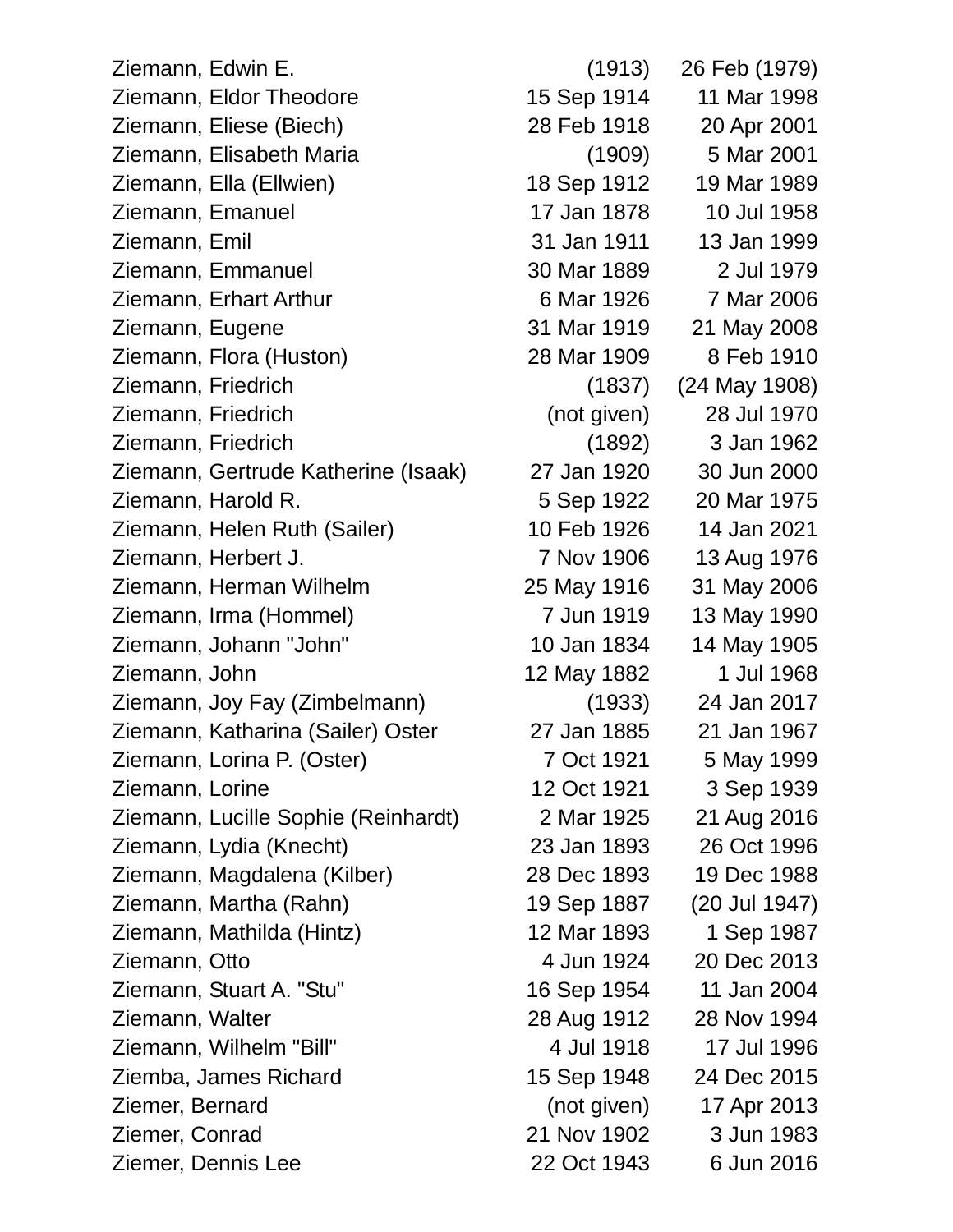Ziemann, Edwin E. (1913) 26 Feb (1979) Ziemann, Eldor Theodore 15 Sep 1914 11 Mar 1998 Ziemann, Eliese (Biech) 28 Feb 1918 20 Apr 2001 Ziemann, Elisabeth Maria (1909) 5 Mar 2001 Ziemann, Ella (Ellwien) 18 Sep 1912 19 Mar 1989 Ziemann, Emanuel 17 Jan 1878 10 Jul 1958 Ziemann, Emil 31 Jan 1911 13 Jan 1999 Ziemann, Emmanuel 30 Mar 1889 2 Jul 1979 Ziemann, Erhart Arthur 6 Mar 1926 7 Mar 2006 Ziemann, Eugene 31 Mar 1919 21 May 2008 Ziemann, Flora (Huston) 28 Mar 1909 8 Feb 1910 Ziemann, Friedrich (1837) (24 May 1908) Ziemann, Friedrich (not given) 28 Jul 1970 Ziemann, Friedrich (1892) 3 Jan 1962 Ziemann, Gertrude Katherine (Isaak) 27 Jan 1920 30 Jun 2000 Ziemann, Harold R. 5 Sep 1922 20 Mar 1975 Ziemann, Helen Ruth (Sailer) 10 Feb 1926 14 Jan 2021 Ziemann, Herbert J. 7 Nov 1906 13 Aug 1976 Ziemann, Herman Wilhelm 25 May 1916 31 May 2006 Ziemann, Irma (Hommel) 7 Jun 1919 13 May 1990 Ziemann, Johann "John" 10 Jan 1834 14 May 1905 Ziemann, John 12 May 1882 1 Jul 1968 Ziemann, Joy Fay (Zimbelmann) (1933) 24 Jan 2017 Ziemann, Katharina (Sailer) Oster 27 Jan 1885 21 Jan 1967 Ziemann, Lorina P. (Oster) 7 Oct 1921 5 May 1999 Ziemann, Lorine 12 Oct 1921 3 Sep 1939 Ziemann, Lucille Sophie (Reinhardt) 2 Mar 1925 21 Aug 2016 Ziemann, Lydia (Knecht) 23 Jan 1893 26 Oct 1996 Ziemann, Magdalena (Kilber) 28 Dec 1893 19 Dec 1988 Ziemann, Martha (Rahn) 19 Sep 1887 (20 Jul 1947) Ziemann, Mathilda (Hintz) 12 Mar 1893 1 Sep 1987 Ziemann, Otto 4 Jun 1924 20 Dec 2013 Ziemann, Stuart A. "Stu" 16 Sep 1954 11 Jan 2004 Ziemann, Walter 28 Aug 1912 28 Nov 1994 Ziemann, Wilhelm "Bill" 4 Jul 1918 17 Jul 1996 Ziemba, James Richard 15 Sep 1948 24 Dec 2015 Ziemer, Bernard (not given) 17 Apr 2013 Ziemer, Conrad 21 Nov 1902 3 Jun 1983 Ziemer, Dennis Lee 22 Oct 1943 6 Jun 2016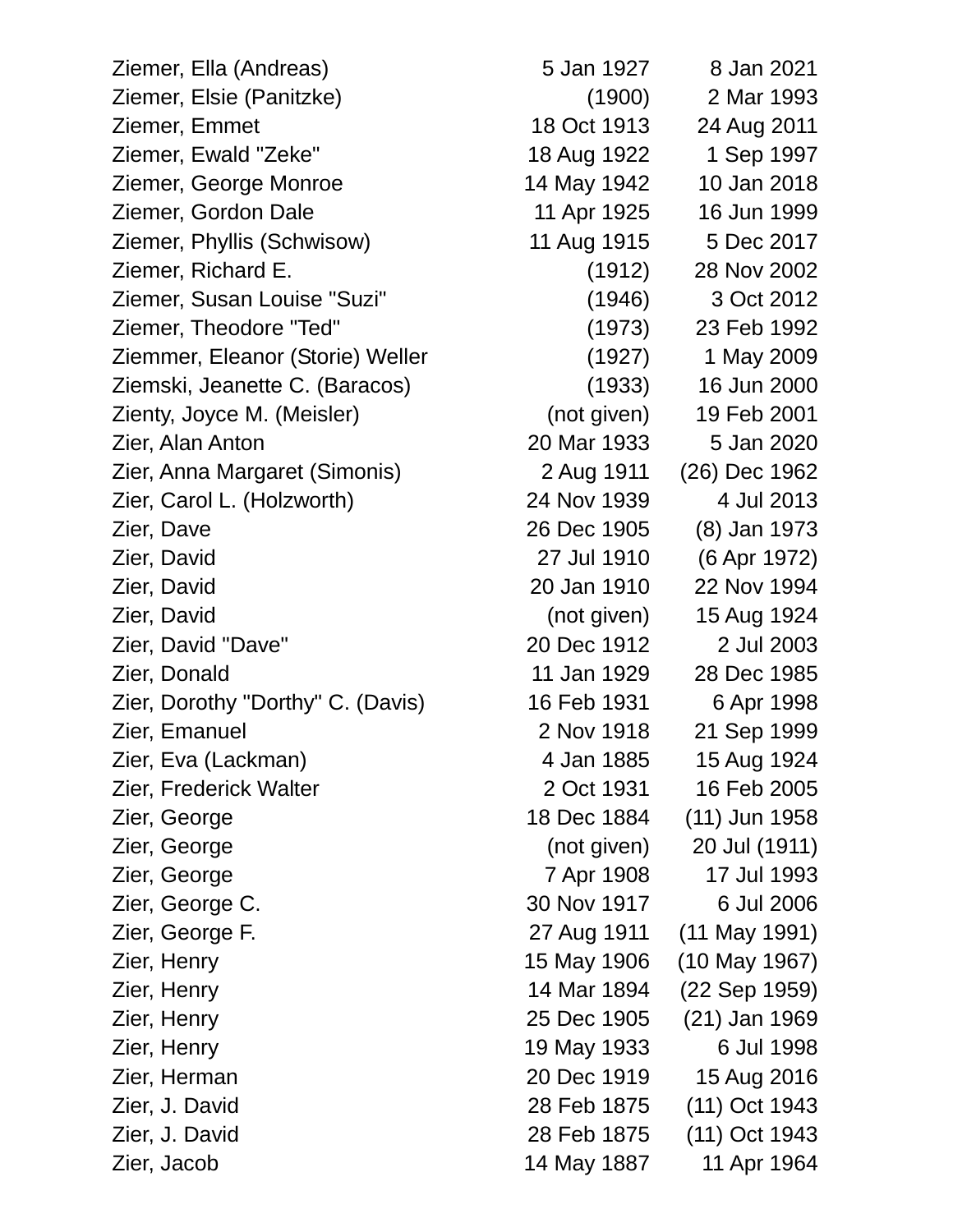Ziemer, Ella (Andreas) 5 Jan 1927 8 Jan 2021 Ziemer, Elsie (Panitzke) (1900) 2 Mar 1993 Ziemer, Emmet 18 Oct 1913 24 Aug 2011 Ziemer, Ewald "Zeke" 18 Aug 1922 1 Sep 1997 Ziemer, George Monroe 14 May 1942 10 Jan 2018 Ziemer, Gordon Dale 11 Apr 1925 16 Jun 1999 Ziemer, Phyllis (Schwisow) 11 Aug 1915 5 Dec 2017 Ziemer, Richard E. (1912) 28 Nov 2002 Ziemer, Susan Louise "Suzi" (1946) 3 Oct 2012 Ziemer, Theodore "Ted" (1973) 23 Feb 1992 Ziemmer, Eleanor (Storie) Weller (1927) 1 May 2009 Ziemski, Jeanette C. (Baracos) (1933) 16 Jun 2000 Zienty, Joyce M. (Meisler) (not given) 19 Feb 2001 Zier, Alan Anton 20 Mar 1933 5 Jan 2020 Zier, Anna Margaret (Simonis) 2 Aug 1911 (26) Dec 1962 Zier, Carol L. (Holzworth) 24 Nov 1939 4 Jul 2013 Zier, Dave 26 Dec 1905 (8) Jan 1973 Zier, David 27 Jul 1910 (6 Apr 1972) Zier, David 20 Jan 1910 22 Nov 1994 Zier, David (not given) 15 Aug 1924 Zier, David "Dave" 20 Dec 1912 2 Jul 2003 Zier, Donald 11 Jan 1929 28 Dec 1985 Zier, Dorothy "Dorthy" C. (Davis) 16 Feb 1931 6 Apr 1998 Zier, Emanuel 2 Nov 1918 21 Sep 1999 Zier, Eva (Lackman) 4 Jan 1885 15 Aug 1924 Zier, Frederick Walter 2 Oct 1931 16 Feb 2005 Zier, George 1884 (11) Jun 1958 Zier, George (not given) 20 Jul (1911) Zier, George 7 Apr 1908 17 Jul 1993 Zier, George C. 30 Nov 1917 6 Jul 2006 Zier, George F. 27 Aug 1911 (11 May 1991) Zier, Henry 15 May 1906 (10 May 1967) Zier, Henry 14 Mar 1894 (22 Sep 1959) Zier, Henry 25 Dec 1905 (21) Jan 1969 Zier, Henry 19 May 1933 6 Jul 1998 Zier, Herman 20 Dec 1919 15 Aug 2016 Zier, J. David 28 Feb 1875 (11) Oct 1943 Zier, J. David 28 Feb 1875 (11) Oct 1943

Zier, Jacob 14 May 1887 11 Apr 1964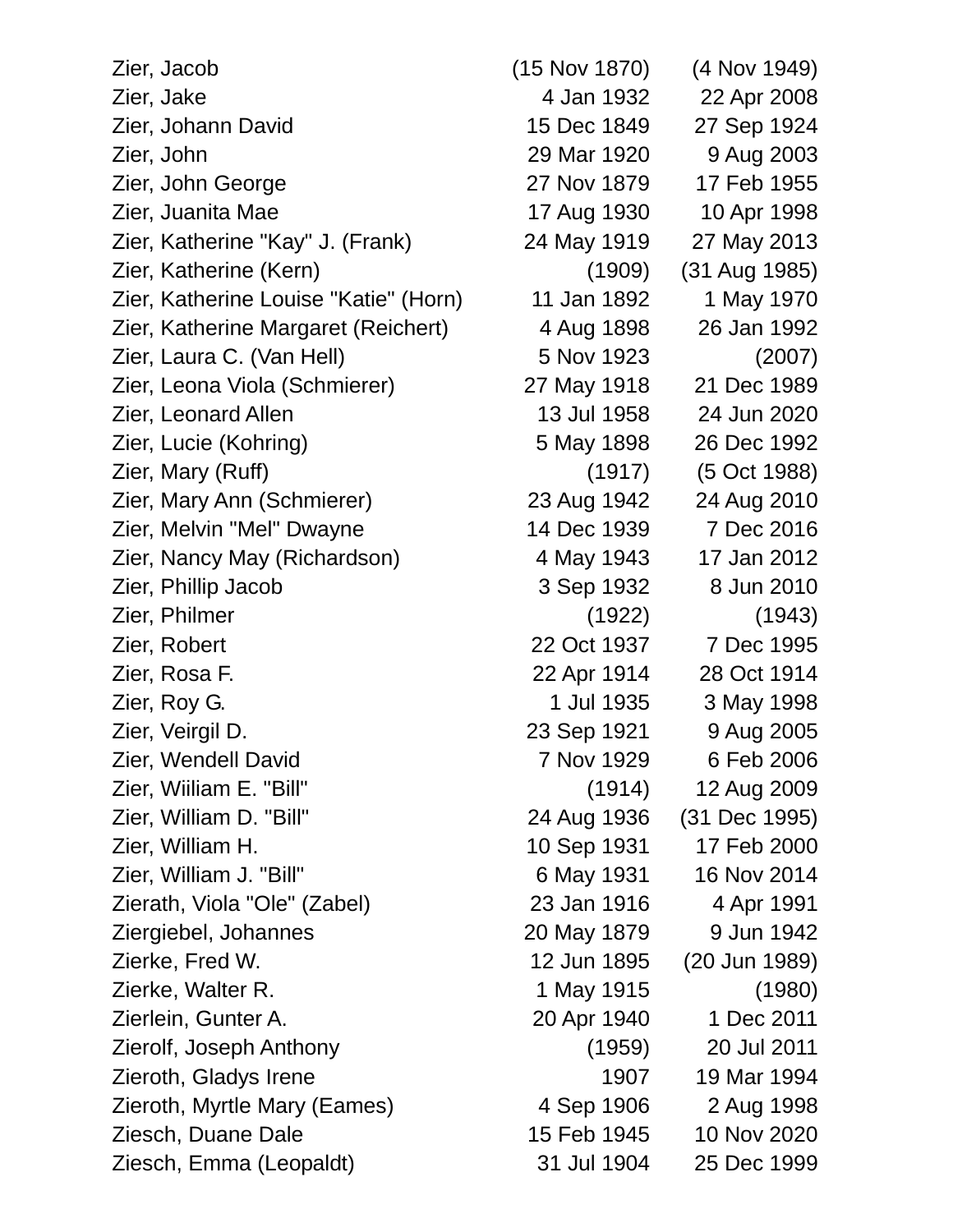Zier, Jacob (15 Nov 1870) (4 Nov 1949) Zier, Jake 4 Jan 1932 22 Apr 2008 Zier, Johann David 15 Dec 1849 27 Sep 1924 Zier, John 29 Mar 1920 9 Aug 2003 Zier, John George 27 Nov 1879 17 Feb 1955 Zier, Juanita Mae 17 Aug 1930 10 Apr 1998 Zier, Katherine "Kay" J. (Frank) 24 May 1919 27 May 2013 Zier, Katherine (Kern) (1909) (31 Aug 1985) Zier, Katherine Louise "Katie" (Horn) 11 Jan 1892 1 May 1970 Zier, Katherine Margaret (Reichert) 4 Aug 1898 26 Jan 1992 Zier, Laura C. (Van Hell) 5 Nov 1923 (2007) Zier, Leona Viola (Schmierer) 27 May 1918 21 Dec 1989 Zier, Leonard Allen 13 Jul 1958 24 Jun 2020 Zier, Lucie (Kohring) 5 May 1898 26 Dec 1992 Zier, Mary (Ruff) (1917) (5 Oct 1988) Zier, Mary Ann (Schmierer) 23 Aug 1942 24 Aug 2010 Zier, Melvin "Mel" Dwayne 14 Dec 1939 7 Dec 2016 Zier, Nancy May (Richardson) 4 May 1943 17 Jan 2012 Zier, Phillip Jacob 3 Sep 1932 8 Jun 2010 Zier, Philmer (1922) (1943) Zier, Robert 22 Oct 1937 7 Dec 1995 Zier, Rosa F. 22 Apr 1914 28 Oct 1914 Zier, Roy G. 1 Jul 1935 3 May 1998 Zier, Veirgil D. 23 Sep 1921 9 Aug 2005 Zier, Wendell David **7 Nov 1929** 6 Feb 2006 Zier, Wiiliam E. "Bill" (1914) 12 Aug 2009 Zier, William D. "Bill" 24 Aug 1936 (31 Dec 1995) Zier, William H. 10 Sep 1931 17 Feb 2000 Zier, William J. "Bill" 6 May 1931 16 Nov 2014 Zierath, Viola "Ole" (Zabel) 23 Jan 1916 4 Apr 1991 Ziergiebel, Johannes 20 May 1879 9 Jun 1942 Zierke, Fred W. 12 Jun 1895 (20 Jun 1989) Zierke, Walter R. 1 May 1915 (1980) Zierlein, Gunter A. 20 Apr 1940 1 Dec 2011 Zierolf, Joseph Anthony (1959) 20 Jul 2011 Zieroth, Gladys Irene 1907 19 Mar 1994 Zieroth, Myrtle Mary (Eames) 4 Sep 1906 2 Aug 1998 Ziesch, Duane Dale 15 Feb 1945 10 Nov 2020 Ziesch, Emma (Leopaldt) 31 Jul 1904 25 Dec 1999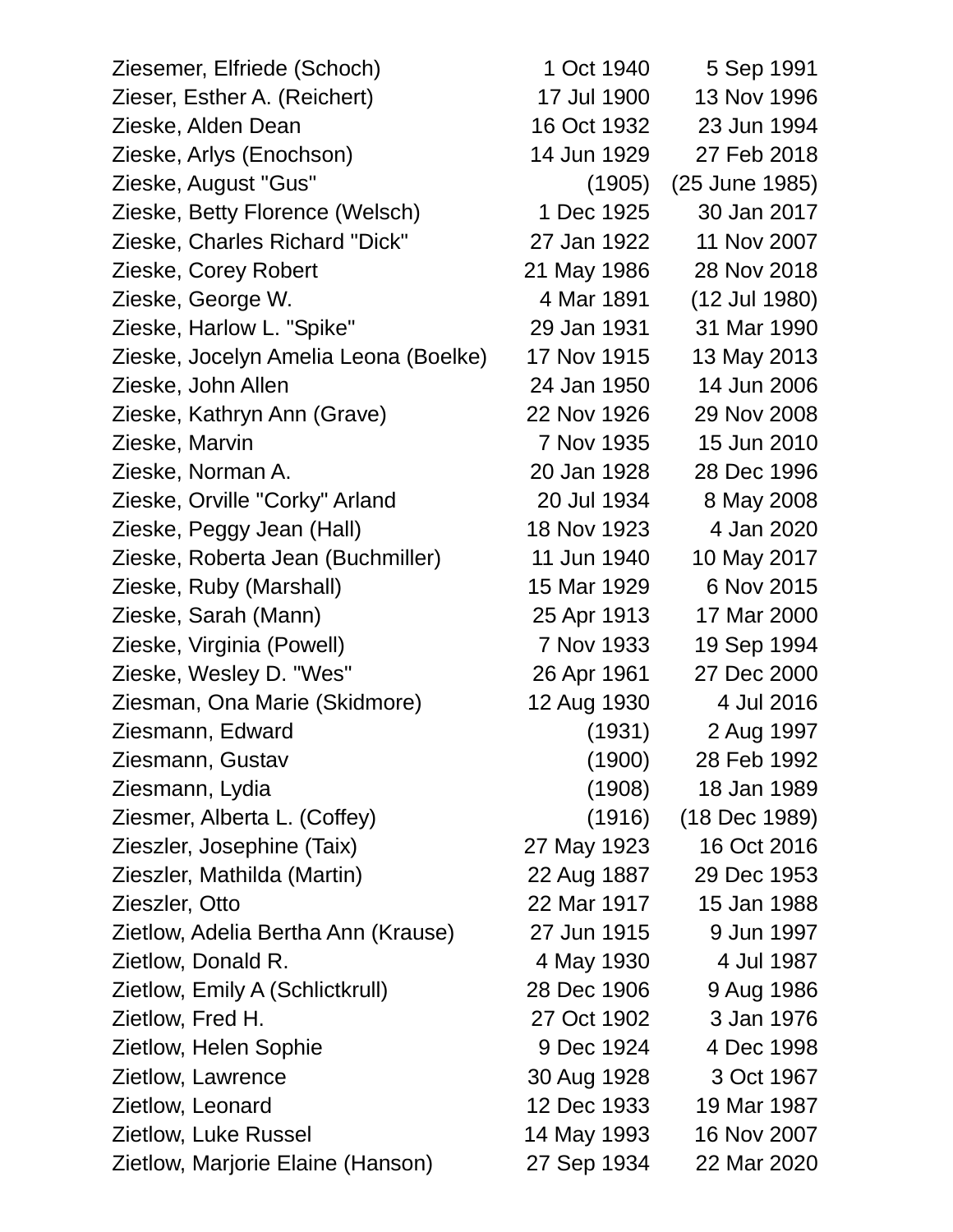| Ziesemer, Elfriede (Schoch)           | 1 Oct 1940  | 5 Sep 1991     |
|---------------------------------------|-------------|----------------|
| Zieser, Esther A. (Reichert)          | 17 Jul 1900 | 13 Nov 1996    |
| Zieske, Alden Dean                    | 16 Oct 1932 | 23 Jun 1994    |
| Zieske, Arlys (Enochson)              | 14 Jun 1929 | 27 Feb 2018    |
| Zieske, August "Gus"                  | (1905)      | (25 June 1985) |
| Zieske, Betty Florence (Welsch)       | 1 Dec 1925  | 30 Jan 2017    |
| Zieske, Charles Richard "Dick"        | 27 Jan 1922 | 11 Nov 2007    |
| Zieske, Corey Robert                  | 21 May 1986 | 28 Nov 2018    |
| Zieske, George W.                     | 4 Mar 1891  | (12 Jul 1980)  |
| Zieske, Harlow L. "Spike"             | 29 Jan 1931 | 31 Mar 1990    |
| Zieske, Jocelyn Amelia Leona (Boelke) | 17 Nov 1915 | 13 May 2013    |
| Zieske, John Allen                    | 24 Jan 1950 | 14 Jun 2006    |
| Zieske, Kathryn Ann (Grave)           | 22 Nov 1926 | 29 Nov 2008    |
| Zieske, Marvin                        | 7 Nov 1935  | 15 Jun 2010    |
| Zieske, Norman A.                     | 20 Jan 1928 | 28 Dec 1996    |
| Zieske, Orville "Corky" Arland        | 20 Jul 1934 | 8 May 2008     |
| Zieske, Peggy Jean (Hall)             | 18 Nov 1923 | 4 Jan 2020     |
| Zieske, Roberta Jean (Buchmiller)     | 11 Jun 1940 | 10 May 2017    |
| Zieske, Ruby (Marshall)               | 15 Mar 1929 | 6 Nov 2015     |
| Zieske, Sarah (Mann)                  | 25 Apr 1913 | 17 Mar 2000    |
| Zieske, Virginia (Powell)             | 7 Nov 1933  | 19 Sep 1994    |
| Zieske, Wesley D. "Wes"               | 26 Apr 1961 | 27 Dec 2000    |
| Ziesman, Ona Marie (Skidmore)         | 12 Aug 1930 | 4 Jul 2016     |
| Ziesmann, Edward                      | (1931)      | 2 Aug 1997     |
| Ziesmann, Gustav                      | (1900)      | 28 Feb 1992    |
| Ziesmann, Lydia                       | (1908)      | 18 Jan 1989    |
| Ziesmer, Alberta L. (Coffey)          | (1916)      | (18 Dec 1989)  |
| Zieszler, Josephine (Taix)            | 27 May 1923 | 16 Oct 2016    |
| Zieszler, Mathilda (Martin)           | 22 Aug 1887 | 29 Dec 1953    |
| Zieszler, Otto                        | 22 Mar 1917 | 15 Jan 1988    |
| Zietlow, Adelia Bertha Ann (Krause)   | 27 Jun 1915 | 9 Jun 1997     |
| Zietlow, Donald R.                    | 4 May 1930  | 4 Jul 1987     |
| Zietlow, Emily A (Schlictkrull)       | 28 Dec 1906 | 9 Aug 1986     |
| Zietlow, Fred H.                      | 27 Oct 1902 | 3 Jan 1976     |
| Zietlow, Helen Sophie                 | 9 Dec 1924  | 4 Dec 1998     |
| Zietlow, Lawrence                     | 30 Aug 1928 | 3 Oct 1967     |
| Zietlow, Leonard                      | 12 Dec 1933 | 19 Mar 1987    |
| Zietlow, Luke Russel                  | 14 May 1993 | 16 Nov 2007    |
| Zietlow, Marjorie Elaine (Hanson)     | 27 Sep 1934 | 22 Mar 2020    |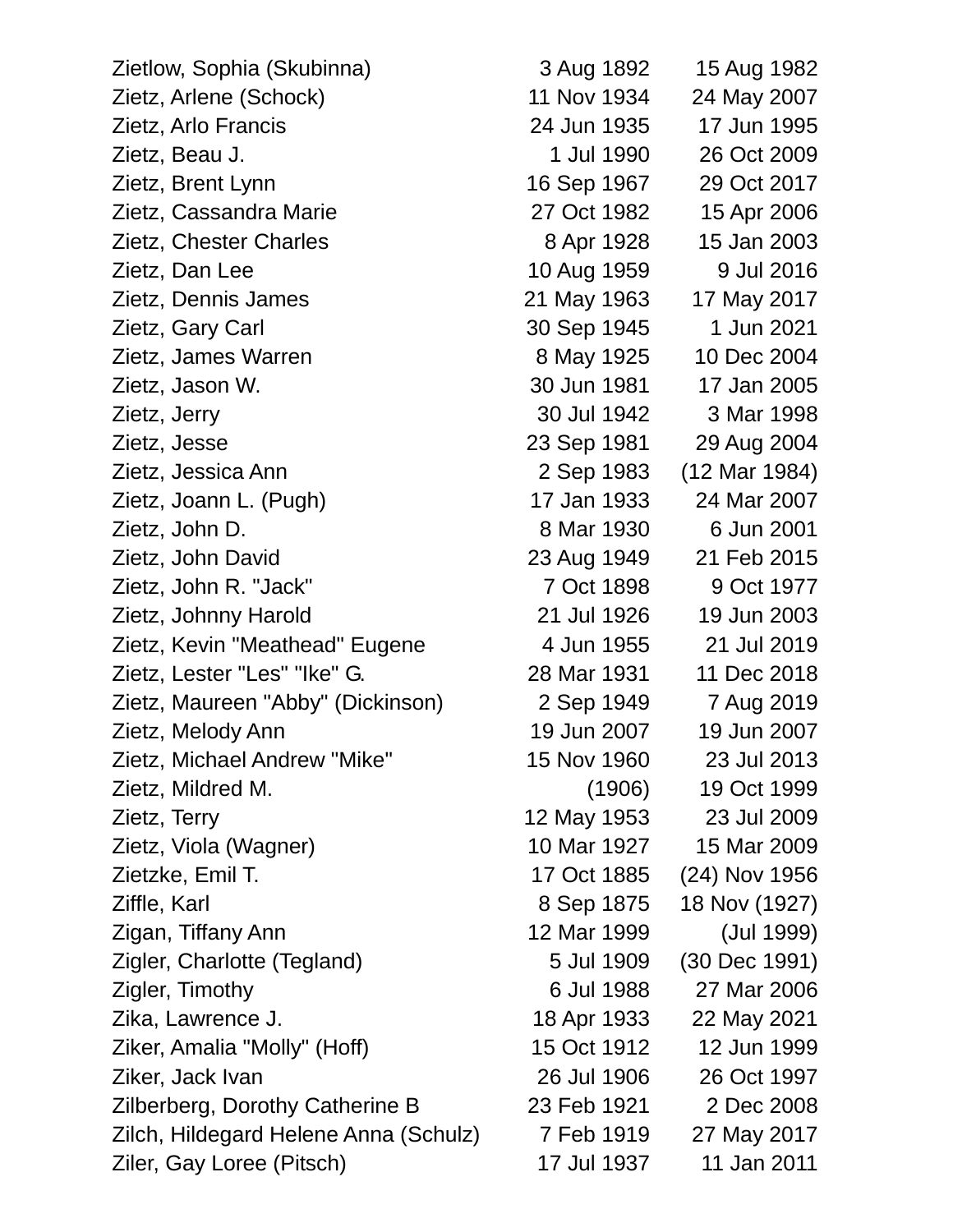| Zietlow, Sophia (Skubinna)            | 3 Aug 1892  | 15 Aug 1982   |
|---------------------------------------|-------------|---------------|
| Zietz, Arlene (Schock)                | 11 Nov 1934 | 24 May 2007   |
| Zietz, Arlo Francis                   | 24 Jun 1935 | 17 Jun 1995   |
| Zietz, Beau J.                        | 1 Jul 1990  | 26 Oct 2009   |
| Zietz, Brent Lynn                     | 16 Sep 1967 | 29 Oct 2017   |
| Zietz, Cassandra Marie                | 27 Oct 1982 | 15 Apr 2006   |
| Zietz, Chester Charles                | 8 Apr 1928  | 15 Jan 2003   |
| Zietz, Dan Lee                        | 10 Aug 1959 | 9 Jul 2016    |
| Zietz, Dennis James                   | 21 May 1963 | 17 May 2017   |
| Zietz, Gary Carl                      | 30 Sep 1945 | 1 Jun 2021    |
| Zietz, James Warren                   | 8 May 1925  | 10 Dec 2004   |
| Zietz, Jason W.                       | 30 Jun 1981 | 17 Jan 2005   |
| Zietz, Jerry                          | 30 Jul 1942 | 3 Mar 1998    |
| Zietz, Jesse                          | 23 Sep 1981 | 29 Aug 2004   |
| Zietz, Jessica Ann                    | 2 Sep 1983  | (12 Mar 1984) |
| Zietz, Joann L. (Pugh)                | 17 Jan 1933 | 24 Mar 2007   |
| Zietz, John D.                        | 8 Mar 1930  | 6 Jun 2001    |
| Zietz, John David                     | 23 Aug 1949 | 21 Feb 2015   |
| Zietz, John R. "Jack"                 | 7 Oct 1898  | 9 Oct 1977    |
| Zietz, Johnny Harold                  | 21 Jul 1926 | 19 Jun 2003   |
| Zietz, Kevin "Meathead" Eugene        | 4 Jun 1955  | 21 Jul 2019   |
| Zietz, Lester "Les" "Ike" G.          | 28 Mar 1931 | 11 Dec 2018   |
| Zietz, Maureen "Abby" (Dickinson)     | 2 Sep 1949  | 7 Aug 2019    |
| Zietz, Melody Ann                     | 19 Jun 2007 | 19 Jun 2007   |
| Zietz, Michael Andrew "Mike"          | 15 Nov 1960 | 23 Jul 2013   |
| Zietz, Mildred M.                     | (1906)      | 19 Oct 1999   |
| Zietz, Terry                          | 12 May 1953 | 23 Jul 2009   |
| Zietz, Viola (Wagner)                 | 10 Mar 1927 | 15 Mar 2009   |
| Zietzke, Emil T.                      | 17 Oct 1885 | (24) Nov 1956 |
| Ziffle, Karl                          | 8 Sep 1875  | 18 Nov (1927) |
| Zigan, Tiffany Ann                    | 12 Mar 1999 | (Jul 1999)    |
| Zigler, Charlotte (Tegland)           | 5 Jul 1909  | (30 Dec 1991) |
| Zigler, Timothy                       | 6 Jul 1988  | 27 Mar 2006   |
| Zika, Lawrence J.                     | 18 Apr 1933 | 22 May 2021   |
| Ziker, Amalia "Molly" (Hoff)          | 15 Oct 1912 | 12 Jun 1999   |
| Ziker, Jack Ivan                      | 26 Jul 1906 | 26 Oct 1997   |
| Zilberberg, Dorothy Catherine B       | 23 Feb 1921 | 2 Dec 2008    |
| Zilch, Hildegard Helene Anna (Schulz) | 7 Feb 1919  | 27 May 2017   |
| Ziler, Gay Loree (Pitsch)             | 17 Jul 1937 | 11 Jan 2011   |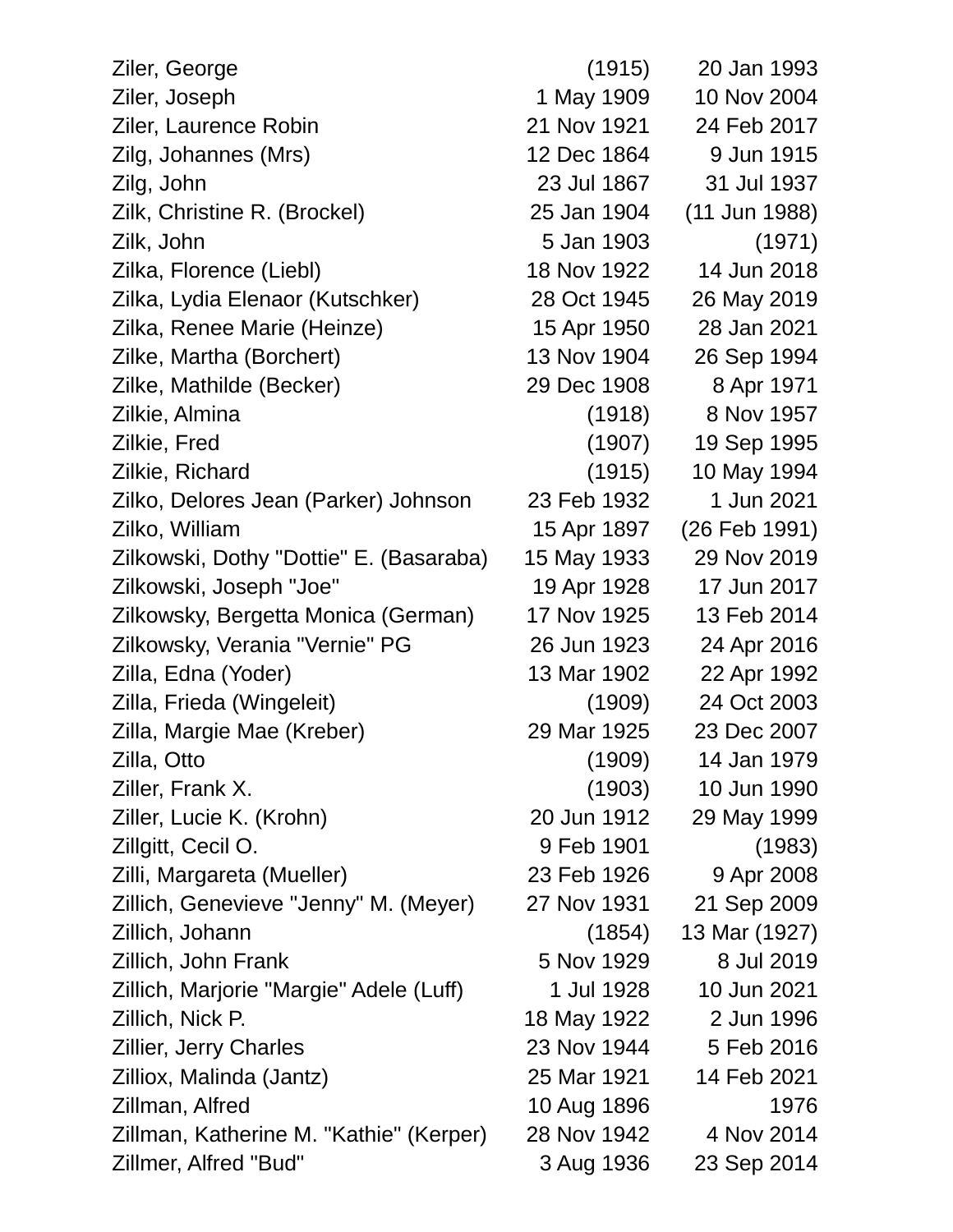| Ziler, George                           | (1915)      | 20 Jan 1993     |
|-----------------------------------------|-------------|-----------------|
| Ziler, Joseph                           | 1 May 1909  | 10 Nov 2004     |
| Ziler, Laurence Robin                   | 21 Nov 1921 | 24 Feb 2017     |
| Zilg, Johannes (Mrs)                    | 12 Dec 1864 | 9 Jun 1915      |
| Zilg, John                              | 23 Jul 1867 | 31 Jul 1937     |
| Zilk, Christine R. (Brockel)            | 25 Jan 1904 | $(11$ Jun 1988) |
| Zilk, John                              | 5 Jan 1903  | (1971)          |
| Zilka, Florence (Liebl)                 | 18 Nov 1922 | 14 Jun 2018     |
| Zilka, Lydia Elenaor (Kutschker)        | 28 Oct 1945 | 26 May 2019     |
| Zilka, Renee Marie (Heinze)             | 15 Apr 1950 | 28 Jan 2021     |
| Zilke, Martha (Borchert)                | 13 Nov 1904 | 26 Sep 1994     |
| Zilke, Mathilde (Becker)                | 29 Dec 1908 | 8 Apr 1971      |
| Zilkie, Almina                          | (1918)      | 8 Nov 1957      |
| Zilkie, Fred                            | (1907)      | 19 Sep 1995     |
| Zilkie, Richard                         | (1915)      | 10 May 1994     |
| Zilko, Delores Jean (Parker) Johnson    | 23 Feb 1932 | 1 Jun 2021      |
| Zilko, William                          | 15 Apr 1897 | (26 Feb 1991)   |
| Zilkowski, Dothy "Dottie" E. (Basaraba) | 15 May 1933 | 29 Nov 2019     |
| Zilkowski, Joseph "Joe"                 | 19 Apr 1928 | 17 Jun 2017     |
| Zilkowsky, Bergetta Monica (German)     | 17 Nov 1925 | 13 Feb 2014     |
| Zilkowsky, Verania "Vernie" PG          | 26 Jun 1923 | 24 Apr 2016     |
| Zilla, Edna (Yoder)                     | 13 Mar 1902 | 22 Apr 1992     |
| Zilla, Frieda (Wingeleit)               | (1909)      | 24 Oct 2003     |
| Zilla, Margie Mae (Kreber)              | 29 Mar 1925 | 23 Dec 2007     |
| Zilla, Otto                             | (1909)      | 14 Jan 1979     |
| Ziller, Frank X.                        | (1903)      | 10 Jun 1990     |
| Ziller, Lucie K. (Krohn)                | 20 Jun 1912 | 29 May 1999     |
| Zillgitt, Cecil O.                      | 9 Feb 1901  | (1983)          |
| Zilli, Margareta (Mueller)              | 23 Feb 1926 | 9 Apr 2008      |
| Zillich, Genevieve "Jenny" M. (Meyer)   | 27 Nov 1931 | 21 Sep 2009     |
| Zillich, Johann                         | (1854)      | 13 Mar (1927)   |
| Zillich, John Frank                     | 5 Nov 1929  | 8 Jul 2019      |
| Zillich, Marjorie "Margie" Adele (Luff) | 1 Jul 1928  | 10 Jun 2021     |
| Zillich, Nick P.                        | 18 May 1922 | 2 Jun 1996      |
| <b>Zillier, Jerry Charles</b>           | 23 Nov 1944 | 5 Feb 2016      |
| Zilliox, Malinda (Jantz)                | 25 Mar 1921 | 14 Feb 2021     |
| Zillman, Alfred                         | 10 Aug 1896 | 1976            |
| Zillman, Katherine M. "Kathie" (Kerper) | 28 Nov 1942 | 4 Nov 2014      |
| Zillmer, Alfred "Bud"                   | 3 Aug 1936  | 23 Sep 2014     |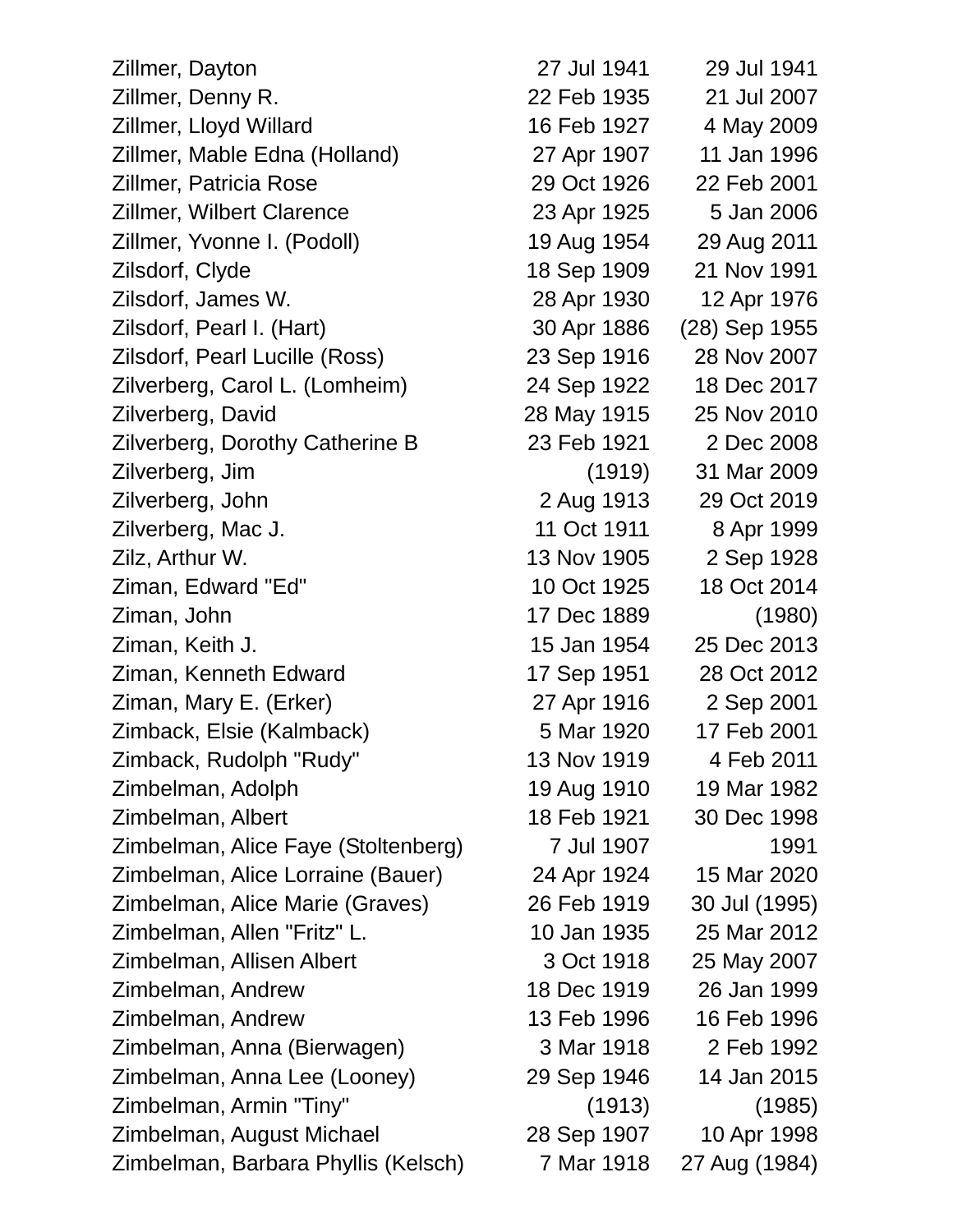| Zillmer, Dayton                     | 27 Jul 1941 | 29 Jul 1941   |
|-------------------------------------|-------------|---------------|
| Zillmer, Denny R.                   | 22 Feb 1935 | 21 Jul 2007   |
| Zillmer, Lloyd Willard              | 16 Feb 1927 | 4 May 2009    |
| Zillmer, Mable Edna (Holland)       | 27 Apr 1907 | 11 Jan 1996   |
| <b>Zillmer, Patricia Rose</b>       | 29 Oct 1926 | 22 Feb 2001   |
| <b>Zillmer, Wilbert Clarence</b>    | 23 Apr 1925 | 5 Jan 2006    |
| Zillmer, Yvonne I. (Podoll)         | 19 Aug 1954 | 29 Aug 2011   |
| Zilsdorf, Clyde                     | 18 Sep 1909 | 21 Nov 1991   |
| Zilsdorf, James W.                  | 28 Apr 1930 | 12 Apr 1976   |
| Zilsdorf, Pearl I. (Hart)           | 30 Apr 1886 | (28) Sep 1955 |
| Zilsdorf, Pearl Lucille (Ross)      | 23 Sep 1916 | 28 Nov 2007   |
| Zilverberg, Carol L. (Lomheim)      | 24 Sep 1922 | 18 Dec 2017   |
| Zilverberg, David                   | 28 May 1915 | 25 Nov 2010   |
| Zilverberg, Dorothy Catherine B     | 23 Feb 1921 | 2 Dec 2008    |
| Zilverberg, Jim                     | (1919)      | 31 Mar 2009   |
| Zilverberg, John                    | 2 Aug 1913  | 29 Oct 2019   |
| Zilverberg, Mac J.                  | 11 Oct 1911 | 8 Apr 1999    |
| Zilz, Arthur W.                     | 13 Nov 1905 | 2 Sep 1928    |
| Ziman, Edward "Ed"                  | 10 Oct 1925 | 18 Oct 2014   |
| Ziman, John                         | 17 Dec 1889 | (1980)        |
| Ziman, Keith J.                     | 15 Jan 1954 | 25 Dec 2013   |
| Ziman, Kenneth Edward               | 17 Sep 1951 | 28 Oct 2012   |
| Ziman, Mary E. (Erker)              | 27 Apr 1916 | 2 Sep 2001    |
| Zimback, Elsie (Kalmback)           | 5 Mar 1920  | 17 Feb 2001   |
| Zimback, Rudolph "Rudy"             | 13 Nov 1919 | 4 Feb 2011    |
| Zimbelman, Adolph                   | 19 Aug 1910 | 19 Mar 1982   |
| Zimbelman, Albert                   | 18 Feb 1921 | 30 Dec 1998   |
| Zimbelman, Alice Faye (Stoltenberg) | 7 Jul 1907  | 1991          |
| Zimbelman, Alice Lorraine (Bauer)   | 24 Apr 1924 | 15 Mar 2020   |
| Zimbelman, Alice Marie (Graves)     | 26 Feb 1919 | 30 Jul (1995) |
| Zimbelman, Allen "Fritz" L.         | 10 Jan 1935 | 25 Mar 2012   |
| Zimbelman, Allisen Albert           | 3 Oct 1918  | 25 May 2007   |
| Zimbelman, Andrew                   | 18 Dec 1919 | 26 Jan 1999   |
| Zimbelman, Andrew                   | 13 Feb 1996 | 16 Feb 1996   |
| Zimbelman, Anna (Bierwagen)         | 3 Mar 1918  | 2 Feb 1992    |
| Zimbelman, Anna Lee (Looney)        | 29 Sep 1946 | 14 Jan 2015   |
| Zimbelman, Armin "Tiny"             | (1913)      | (1985)        |
| Zimbelman, August Michael           | 28 Sep 1907 | 10 Apr 1998   |
| Zimbelman, Barbara Phyllis (Kelsch) | 7 Mar 1918  | 27 Aug (1984) |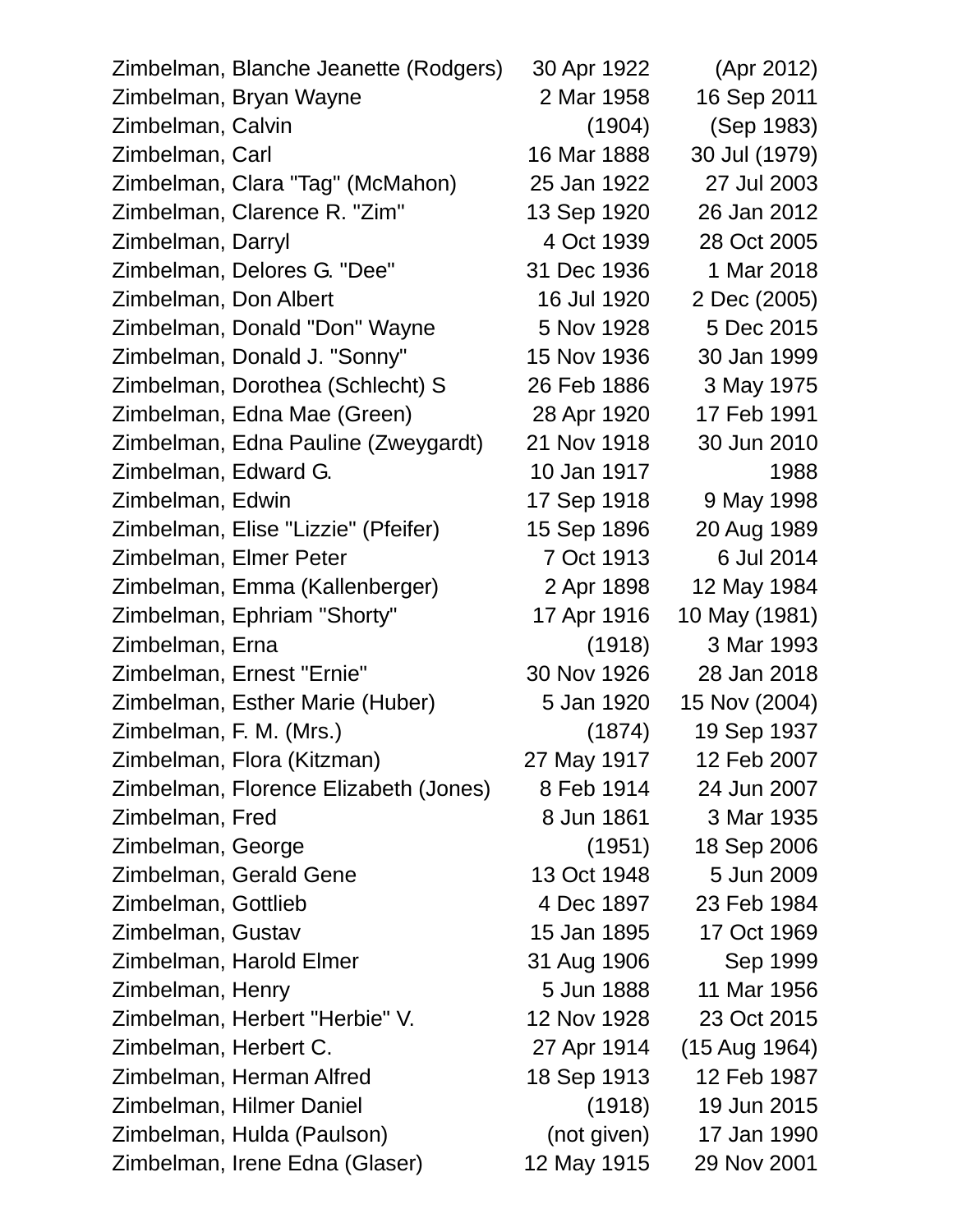| Zimbelman, Blanche Jeanette (Rodgers) | 30 Apr 1922 | (Apr 2012)    |
|---------------------------------------|-------------|---------------|
| Zimbelman, Bryan Wayne                | 2 Mar 1958  | 16 Sep 2011   |
| Zimbelman, Calvin                     | (1904)      | (Sep 1983)    |
| Zimbelman, Carl                       | 16 Mar 1888 | 30 Jul (1979) |
| Zimbelman, Clara "Tag" (McMahon)      | 25 Jan 1922 | 27 Jul 2003   |
| Zimbelman, Clarence R. "Zim"          | 13 Sep 1920 | 26 Jan 2012   |
| Zimbelman, Darryl                     | 4 Oct 1939  | 28 Oct 2005   |
| Zimbelman, Delores G. "Dee"           | 31 Dec 1936 | 1 Mar 2018    |
| Zimbelman, Don Albert                 | 16 Jul 1920 | 2 Dec (2005)  |
| Zimbelman, Donald "Don" Wayne         | 5 Nov 1928  | 5 Dec 2015    |
| Zimbelman, Donald J. "Sonny"          | 15 Nov 1936 | 30 Jan 1999   |
| Zimbelman, Dorothea (Schlecht) S      | 26 Feb 1886 | 3 May 1975    |
| Zimbelman, Edna Mae (Green)           | 28 Apr 1920 | 17 Feb 1991   |
| Zimbelman, Edna Pauline (Zweygardt)   | 21 Nov 1918 | 30 Jun 2010   |
| Zimbelman, Edward G.                  | 10 Jan 1917 | 1988          |
| Zimbelman, Edwin                      | 17 Sep 1918 | 9 May 1998    |
| Zimbelman, Elise "Lizzie" (Pfeifer)   | 15 Sep 1896 | 20 Aug 1989   |
| Zimbelman, Elmer Peter                | 7 Oct 1913  | 6 Jul 2014    |
| Zimbelman, Emma (Kallenberger)        | 2 Apr 1898  | 12 May 1984   |
| Zimbelman, Ephriam "Shorty"           | 17 Apr 1916 | 10 May (1981) |
| Zimbelman, Erna                       | (1918)      | 3 Mar 1993    |
| Zimbelman, Ernest "Ernie"             | 30 Nov 1926 | 28 Jan 2018   |
| Zimbelman, Esther Marie (Huber)       | 5 Jan 1920  | 15 Nov (2004) |
| Zimbelman, F. M. (Mrs.)               | (1874)      | 19 Sep 1937   |
| Zimbelman, Flora (Kitzman)            | 27 May 1917 | 12 Feb 2007   |
| Zimbelman, Florence Elizabeth (Jones) | 8 Feb 1914  | 24 Jun 2007   |
| Zimbelman, Fred                       | 8 Jun 1861  | 3 Mar 1935    |
| Zimbelman, George                     | (1951)      | 18 Sep 2006   |
| Zimbelman, Gerald Gene                | 13 Oct 1948 | 5 Jun 2009    |
| Zimbelman, Gottlieb                   | 4 Dec 1897  | 23 Feb 1984   |
| Zimbelman, Gustav                     | 15 Jan 1895 | 17 Oct 1969   |
| Zimbelman, Harold Elmer               | 31 Aug 1906 | Sep 1999      |
| Zimbelman, Henry                      | 5 Jun 1888  | 11 Mar 1956   |
| Zimbelman, Herbert "Herbie" V.        | 12 Nov 1928 | 23 Oct 2015   |
| Zimbelman, Herbert C.                 | 27 Apr 1914 | (15 Aug 1964) |
| Zimbelman, Herman Alfred              | 18 Sep 1913 | 12 Feb 1987   |
| Zimbelman, Hilmer Daniel              | (1918)      | 19 Jun 2015   |
| Zimbelman, Hulda (Paulson)            | (not given) | 17 Jan 1990   |
| Zimbelman, Irene Edna (Glaser)        | 12 May 1915 | 29 Nov 2001   |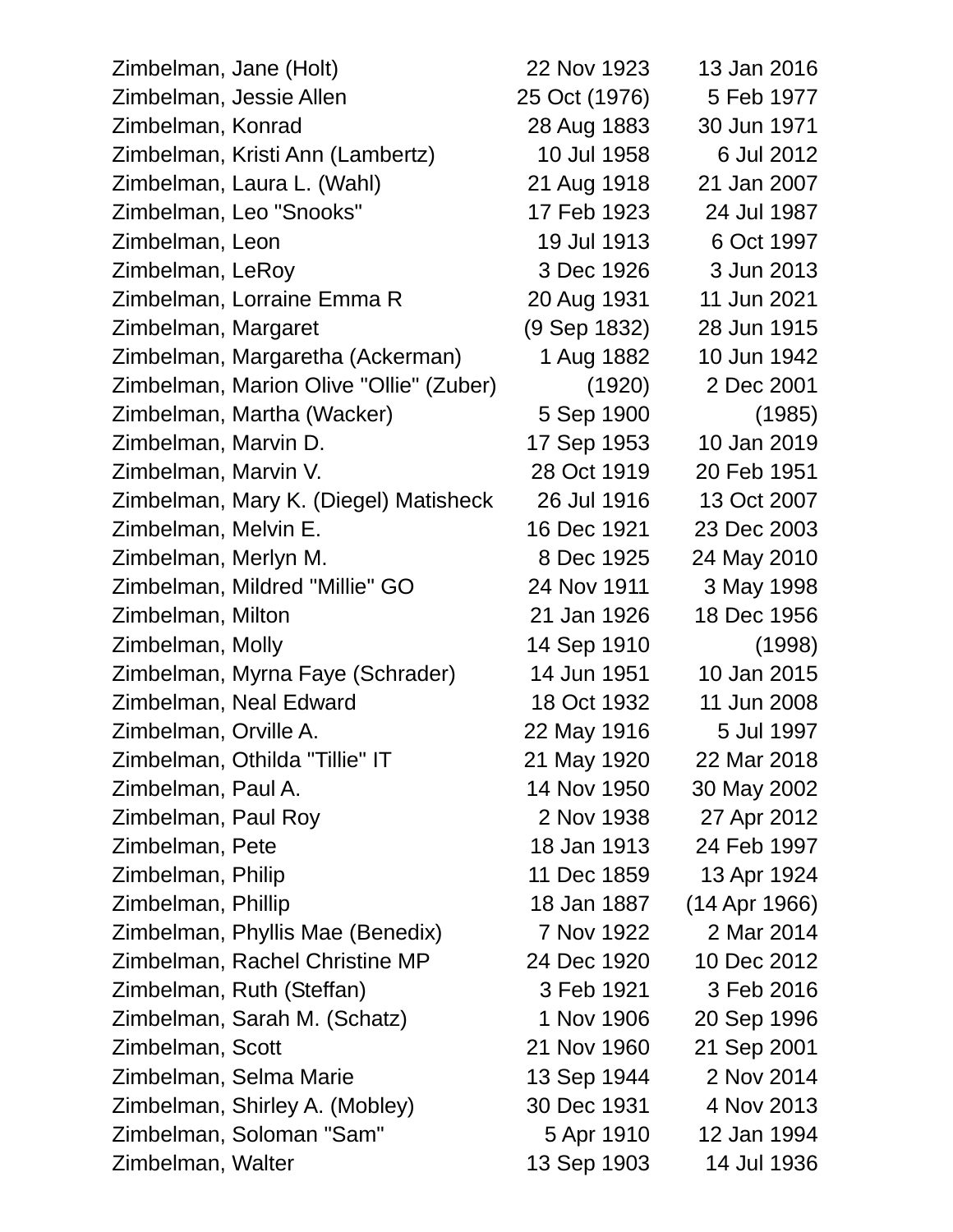| Zimbelman, Jane (Holt)                  | 22 Nov 1923   | 13 Jan 2016   |
|-----------------------------------------|---------------|---------------|
| Zimbelman, Jessie Allen                 | 25 Oct (1976) | 5 Feb 1977    |
| Zimbelman, Konrad                       | 28 Aug 1883   | 30 Jun 1971   |
| Zimbelman, Kristi Ann (Lambertz)        | 10 Jul 1958   | 6 Jul 2012    |
| Zimbelman, Laura L. (Wahl)              | 21 Aug 1918   | 21 Jan 2007   |
| Zimbelman, Leo "Snooks"                 | 17 Feb 1923   | 24 Jul 1987   |
| Zimbelman, Leon                         | 19 Jul 1913   | 6 Oct 1997    |
| Zimbelman, LeRoy                        | 3 Dec 1926    | 3 Jun 2013    |
| Zimbelman, Lorraine Emma R              | 20 Aug 1931   | 11 Jun 2021   |
| Zimbelman, Margaret                     | (9 Sep 1832)  | 28 Jun 1915   |
| Zimbelman, Margaretha (Ackerman)        | 1 Aug 1882    | 10 Jun 1942   |
| Zimbelman, Marion Olive "Ollie" (Zuber) | (1920)        | 2 Dec 2001    |
| Zimbelman, Martha (Wacker)              | 5 Sep 1900    | (1985)        |
| Zimbelman, Marvin D.                    | 17 Sep 1953   | 10 Jan 2019   |
| Zimbelman, Marvin V.                    | 28 Oct 1919   | 20 Feb 1951   |
| Zimbelman, Mary K. (Diegel) Matisheck   | 26 Jul 1916   | 13 Oct 2007   |
| Zimbelman, Melvin E.                    | 16 Dec 1921   | 23 Dec 2003   |
| Zimbelman, Merlyn M.                    | 8 Dec 1925    | 24 May 2010   |
| Zimbelman, Mildred "Millie" GO          | 24 Nov 1911   | 3 May 1998    |
| Zimbelman, Milton                       | 21 Jan 1926   | 18 Dec 1956   |
| Zimbelman, Molly                        | 14 Sep 1910   | (1998)        |
| Zimbelman, Myrna Faye (Schrader)        | 14 Jun 1951   | 10 Jan 2015   |
| Zimbelman, Neal Edward                  | 18 Oct 1932   | 11 Jun 2008   |
| Zimbelman, Orville A.                   | 22 May 1916   | 5 Jul 1997    |
| Zimbelman, Othilda "Tillie" IT          | 21 May 1920   | 22 Mar 2018   |
| Zimbelman, Paul A.                      | 14 Nov 1950   | 30 May 2002   |
| Zimbelman, Paul Roy                     | 2 Nov 1938    | 27 Apr 2012   |
| Zimbelman, Pete                         | 18 Jan 1913   | 24 Feb 1997   |
| Zimbelman, Philip                       | 11 Dec 1859   | 13 Apr 1924   |
| Zimbelman, Phillip                      | 18 Jan 1887   | (14 Apr 1966) |
| Zimbelman, Phyllis Mae (Benedix)        | 7 Nov 1922    | 2 Mar 2014    |
| Zimbelman, Rachel Christine MP          | 24 Dec 1920   | 10 Dec 2012   |
| Zimbelman, Ruth (Steffan)               | 3 Feb 1921    | 3 Feb 2016    |
| Zimbelman, Sarah M. (Schatz)            | 1 Nov 1906    | 20 Sep 1996   |
| Zimbelman, Scott                        | 21 Nov 1960   | 21 Sep 2001   |
| Zimbelman, Selma Marie                  | 13 Sep 1944   | 2 Nov 2014    |
| Zimbelman, Shirley A. (Mobley)          | 30 Dec 1931   | 4 Nov 2013    |
| Zimbelman, Soloman "Sam"                | 5 Apr 1910    | 12 Jan 1994   |
| Zimbelman, Walter                       | 13 Sep 1903   | 14 Jul 1936   |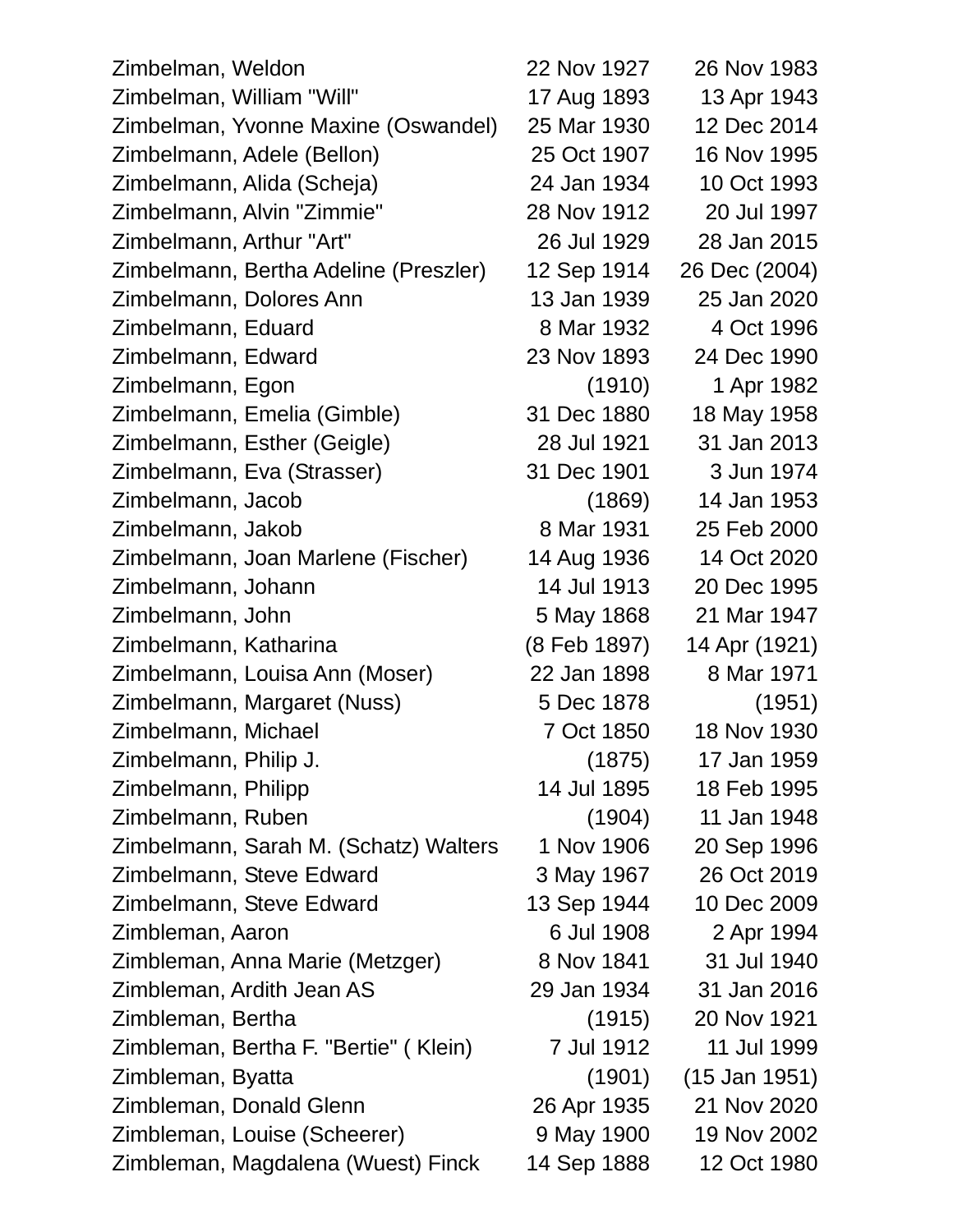| Zimbelman, Weldon                     | 22 Nov 1927  | 26 Nov 1983     |
|---------------------------------------|--------------|-----------------|
| Zimbelman, William "Will"             | 17 Aug 1893  | 13 Apr 1943     |
| Zimbelman, Yvonne Maxine (Oswandel)   | 25 Mar 1930  | 12 Dec 2014     |
| Zimbelmann, Adele (Bellon)            | 25 Oct 1907  | 16 Nov 1995     |
| Zimbelmann, Alida (Scheja)            | 24 Jan 1934  | 10 Oct 1993     |
| Zimbelmann, Alvin "Zimmie"            | 28 Nov 1912  | 20 Jul 1997     |
| Zimbelmann, Arthur "Art"              | 26 Jul 1929  | 28 Jan 2015     |
| Zimbelmann, Bertha Adeline (Preszler) | 12 Sep 1914  | 26 Dec (2004)   |
| Zimbelmann, Dolores Ann               | 13 Jan 1939  | 25 Jan 2020     |
| Zimbelmann, Eduard                    | 8 Mar 1932   | 4 Oct 1996      |
| Zimbelmann, Edward                    | 23 Nov 1893  | 24 Dec 1990     |
| Zimbelmann, Egon                      | (1910)       | 1 Apr 1982      |
| Zimbelmann, Emelia (Gimble)           | 31 Dec 1880  | 18 May 1958     |
| Zimbelmann, Esther (Geigle)           | 28 Jul 1921  | 31 Jan 2013     |
| Zimbelmann, Eva (Strasser)            | 31 Dec 1901  | 3 Jun 1974      |
| Zimbelmann, Jacob                     | (1869)       | 14 Jan 1953     |
| Zimbelmann, Jakob                     | 8 Mar 1931   | 25 Feb 2000     |
| Zimbelmann, Joan Marlene (Fischer)    | 14 Aug 1936  | 14 Oct 2020     |
| Zimbelmann, Johann                    | 14 Jul 1913  | 20 Dec 1995     |
| Zimbelmann, John                      | 5 May 1868   | 21 Mar 1947     |
| Zimbelmann, Katharina                 | (8 Feb 1897) | 14 Apr (1921)   |
| Zimbelmann, Louisa Ann (Moser)        | 22 Jan 1898  | 8 Mar 1971      |
| Zimbelmann, Margaret (Nuss)           | 5 Dec 1878   | (1951)          |
| Zimbelmann, Michael                   | 7 Oct 1850   | 18 Nov 1930     |
| Zimbelmann, Philip J.                 | (1875)       | 17 Jan 1959     |
| Zimbelmann, Philipp                   | 14 Jul 1895  | 18 Feb 1995     |
| Zimbelmann, Ruben                     | (1904)       | 11 Jan 1948     |
| Zimbelmann, Sarah M. (Schatz) Walters | 1 Nov 1906   | 20 Sep 1996     |
| Zimbelmann, Steve Edward              | 3 May 1967   | 26 Oct 2019     |
| Zimbelmann, Steve Edward              | 13 Sep 1944  | 10 Dec 2009     |
| Zimbleman, Aaron                      | 6 Jul 1908   | 2 Apr 1994      |
| Zimbleman, Anna Marie (Metzger)       | 8 Nov 1841   | 31 Jul 1940     |
| Zimbleman, Ardith Jean AS             | 29 Jan 1934  | 31 Jan 2016     |
| Zimbleman, Bertha                     | (1915)       | 20 Nov 1921     |
| Zimbleman, Bertha F. "Bertie" (Klein) | 7 Jul 1912   | 11 Jul 1999     |
| Zimbleman, Byatta                     | (1901)       | $(15$ Jan 1951) |
| Zimbleman, Donald Glenn               | 26 Apr 1935  | 21 Nov 2020     |
| Zimbleman, Louise (Scheerer)          | 9 May 1900   | 19 Nov 2002     |
| Zimbleman, Magdalena (Wuest) Finck    | 14 Sep 1888  | 12 Oct 1980     |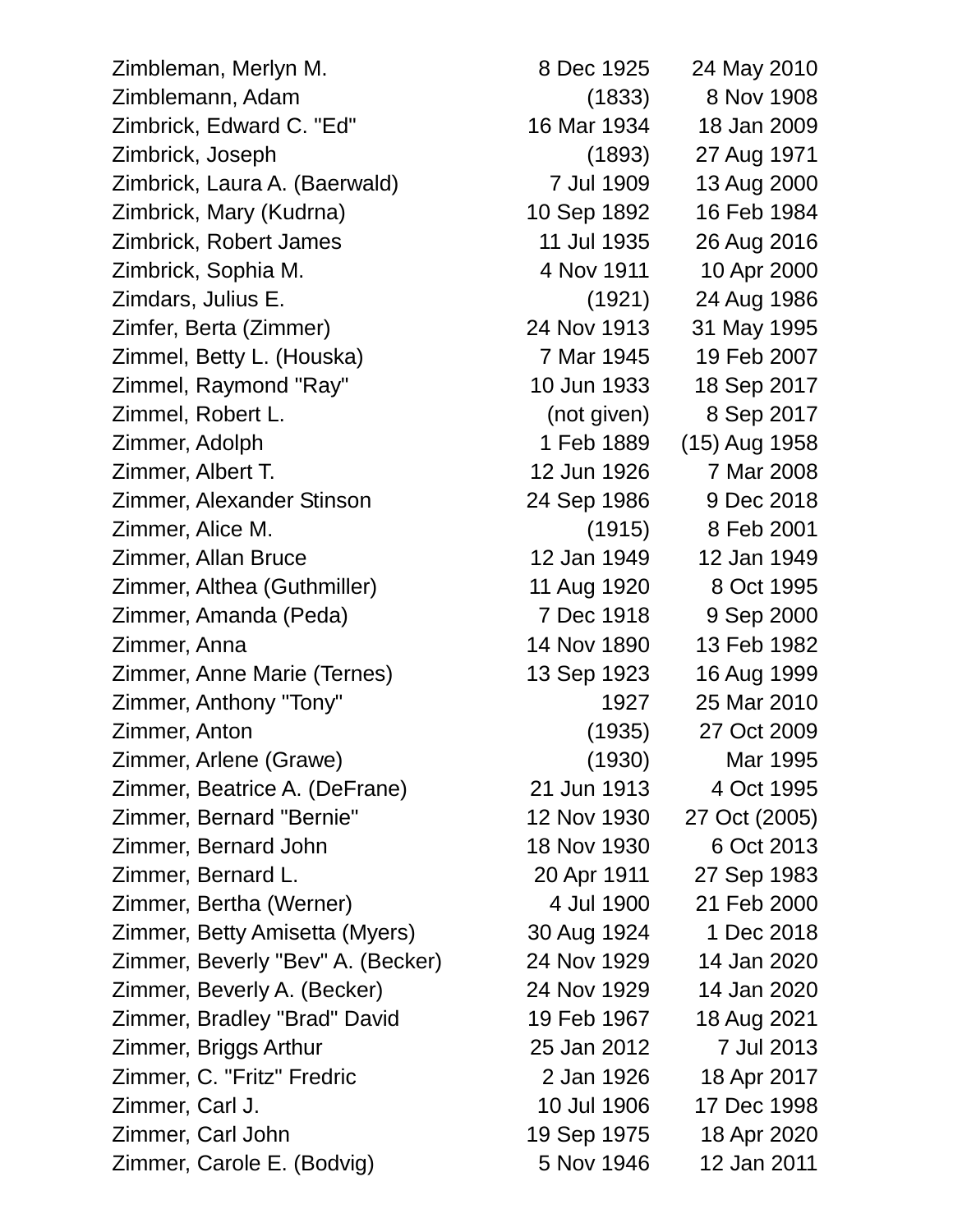Zimbleman, Merlyn M. 8 Dec 1925 24 May 2010 Zimblemann, Adam (1833) 8 Nov 1908 Zimbrick, Edward C. "Ed" 16 Mar 1934 18 Jan 2009 Zimbrick, Joseph (1893) 27 Aug 1971 Zimbrick, Laura A. (Baerwald) 7 Jul 1909 13 Aug 2000 Zimbrick, Mary (Kudrna) 10 Sep 1892 16 Feb 1984 Zimbrick, Robert James 11 Jul 1935 26 Aug 2016 Zimbrick, Sophia M. 4 Nov 1911 10 Apr 2000 Zimdars, Julius E. (1921) 24 Aug 1986 Zimfer, Berta (Zimmer) 24 Nov 1913 31 May 1995 Zimmel, Betty L. (Houska) 7 Mar 1945 19 Feb 2007 Zimmel, Raymond "Ray" 10 Jun 1933 18 Sep 2017 Zimmel, Robert L. (not given) 8 Sep 2017 Zimmer, Adolph 1 Feb 1889 (15) Aug 1958 Zimmer, Albert T. 12 Jun 1926 7 Mar 2008 Zimmer, Alexander Stinson 24 Sep 1986 9 Dec 2018 Zimmer, Alice M. (1915) 8 Feb 2001 Zimmer, Allan Bruce 12 Jan 1949 12 Jan 1949 Zimmer, Althea (Guthmiller) 11 Aug 1920 8 Oct 1995 Zimmer, Amanda (Peda) 7 Dec 1918 9 Sep 2000 Zimmer, Anna 14 Nov 1890 13 Feb 1982 Zimmer, Anne Marie (Ternes) 13 Sep 1923 16 Aug 1999 Zimmer, Anthony "Tony" 1927 25 Mar 2010 Zimmer, Anton (1935) 27 Oct 2009 Zimmer, Arlene (Grawe) (1930) Mar 1995 Zimmer, Beatrice A. (DeFrane) 21 Jun 1913 4 Oct 1995 Zimmer, Bernard "Bernie" 12 Nov 1930 27 Oct (2005) Zimmer, Bernard John 18 Nov 1930 6 Oct 2013 Zimmer, Bernard L. 20 Apr 1911 27 Sep 1983 Zimmer, Bertha (Werner) 4 Jul 1900 21 Feb 2000 Zimmer, Betty Amisetta (Myers) 30 Aug 1924 1 Dec 2018 Zimmer, Beverly "Bev" A. (Becker) 24 Nov 1929 14 Jan 2020 Zimmer, Beverly A. (Becker) 24 Nov 1929 14 Jan 2020 Zimmer, Bradley "Brad" David 19 Feb 1967 18 Aug 2021 Zimmer, Briggs Arthur 25 Jan 2012 7 Jul 2013 Zimmer, C. "Fritz" Fredric 2 Jan 1926 18 Apr 2017 Zimmer, Carl J. 10 Jul 1906 17 Dec 1998 Zimmer, Carl John 19 Sep 1975 18 Apr 2020 Zimmer, Carole E. (Bodvig) 5 Nov 1946 12 Jan 2011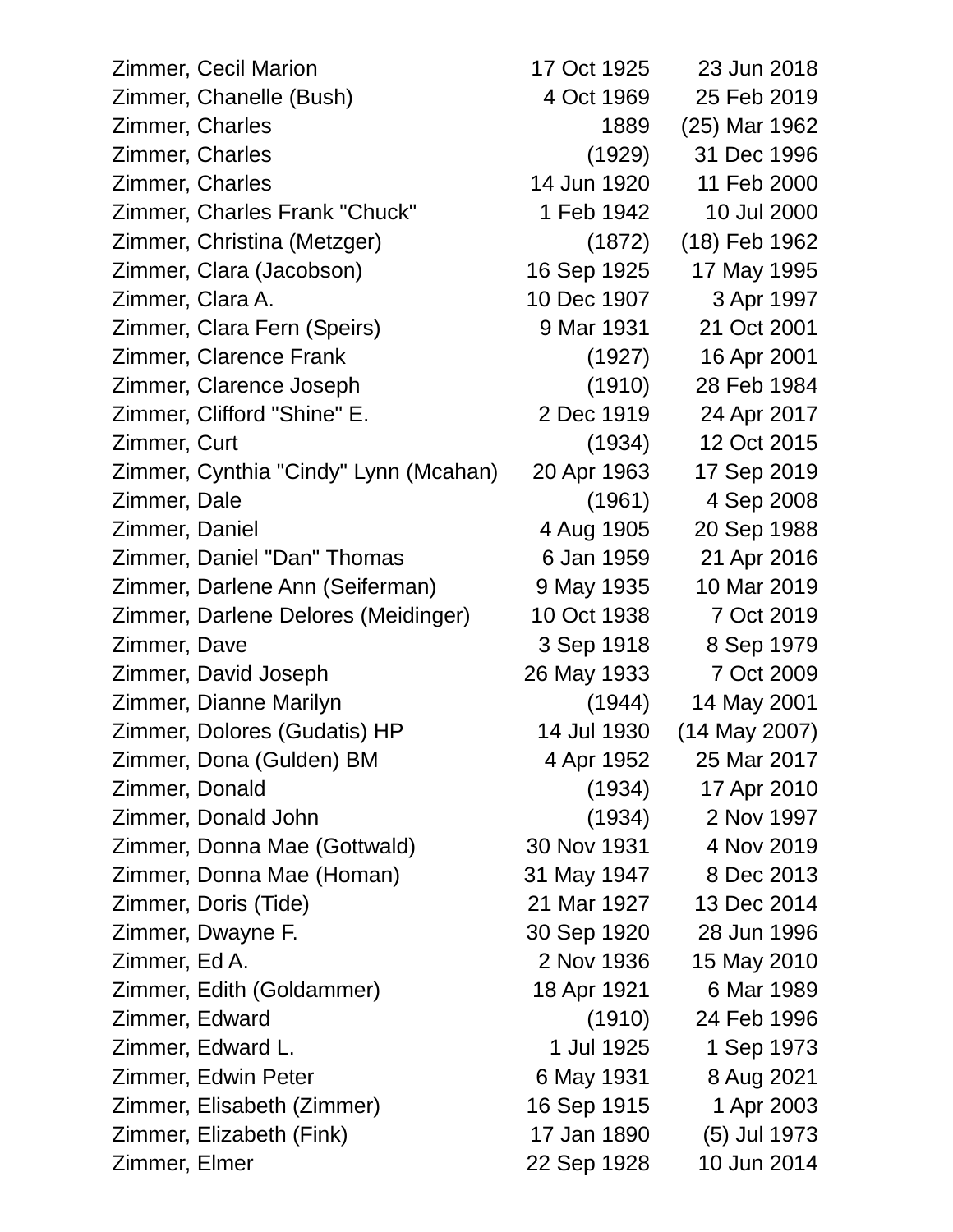| <b>Zimmer, Cecil Marion</b>           | 17 Oct 1925 | 23 Jun 2018     |
|---------------------------------------|-------------|-----------------|
| Zimmer, Chanelle (Bush)               | 4 Oct 1969  | 25 Feb 2019     |
| Zimmer, Charles                       | 1889        | (25) Mar 1962   |
| Zimmer, Charles                       | (1929)      | 31 Dec 1996     |
| Zimmer, Charles                       | 14 Jun 1920 | 11 Feb 2000     |
| Zimmer, Charles Frank "Chuck"         | 1 Feb 1942  | 10 Jul 2000     |
| Zimmer, Christina (Metzger)           | (1872)      | (18) Feb 1962   |
| Zimmer, Clara (Jacobson)              | 16 Sep 1925 | 17 May 1995     |
| Zimmer, Clara A.                      | 10 Dec 1907 | 3 Apr 1997      |
| Zimmer, Clara Fern (Speirs)           | 9 Mar 1931  | 21 Oct 2001     |
| Zimmer, Clarence Frank                | (1927)      | 16 Apr 2001     |
| Zimmer, Clarence Joseph               | (1910)      | 28 Feb 1984     |
| Zimmer, Clifford "Shine" E.           | 2 Dec 1919  | 24 Apr 2017     |
| Zimmer, Curt                          | (1934)      | 12 Oct 2015     |
| Zimmer, Cynthia "Cindy" Lynn (Mcahan) | 20 Apr 1963 | 17 Sep 2019     |
| Zimmer, Dale                          | (1961)      | 4 Sep 2008      |
| Zimmer, Daniel                        | 4 Aug 1905  | 20 Sep 1988     |
| Zimmer, Daniel "Dan" Thomas           | 6 Jan 1959  | 21 Apr 2016     |
| Zimmer, Darlene Ann (Seiferman)       | 9 May 1935  | 10 Mar 2019     |
| Zimmer, Darlene Delores (Meidinger)   | 10 Oct 1938 | 7 Oct 2019      |
| Zimmer, Dave                          | 3 Sep 1918  | 8 Sep 1979      |
| Zimmer, David Joseph                  | 26 May 1933 | 7 Oct 2009      |
| Zimmer, Dianne Marilyn                | (1944)      | 14 May 2001     |
| Zimmer, Dolores (Gudatis) HP          | 14 Jul 1930 | $(14$ May 2007) |
| Zimmer, Dona (Gulden) BM              | 4 Apr 1952  | 25 Mar 2017     |
| Zimmer, Donald                        | (1934)      | 17 Apr 2010     |
| Zimmer, Donald John                   | (1934)      | 2 Nov 1997      |
| Zimmer, Donna Mae (Gottwald)          | 30 Nov 1931 | 4 Nov 2019      |
| Zimmer, Donna Mae (Homan)             | 31 May 1947 | 8 Dec 2013      |
| Zimmer, Doris (Tide)                  | 21 Mar 1927 | 13 Dec 2014     |
| Zimmer, Dwayne F.                     | 30 Sep 1920 | 28 Jun 1996     |
| Zimmer, Ed A.                         | 2 Nov 1936  | 15 May 2010     |
| Zimmer, Edith (Goldammer)             | 18 Apr 1921 | 6 Mar 1989      |
| Zimmer, Edward                        | (1910)      | 24 Feb 1996     |
| Zimmer, Edward L.                     | 1 Jul 1925  | 1 Sep 1973      |
| Zimmer, Edwin Peter                   | 6 May 1931  | 8 Aug 2021      |
| Zimmer, Elisabeth (Zimmer)            | 16 Sep 1915 | 1 Apr 2003      |
| Zimmer, Elizabeth (Fink)              | 17 Jan 1890 | (5) Jul 1973    |
| Zimmer, Elmer                         | 22 Sep 1928 | 10 Jun 2014     |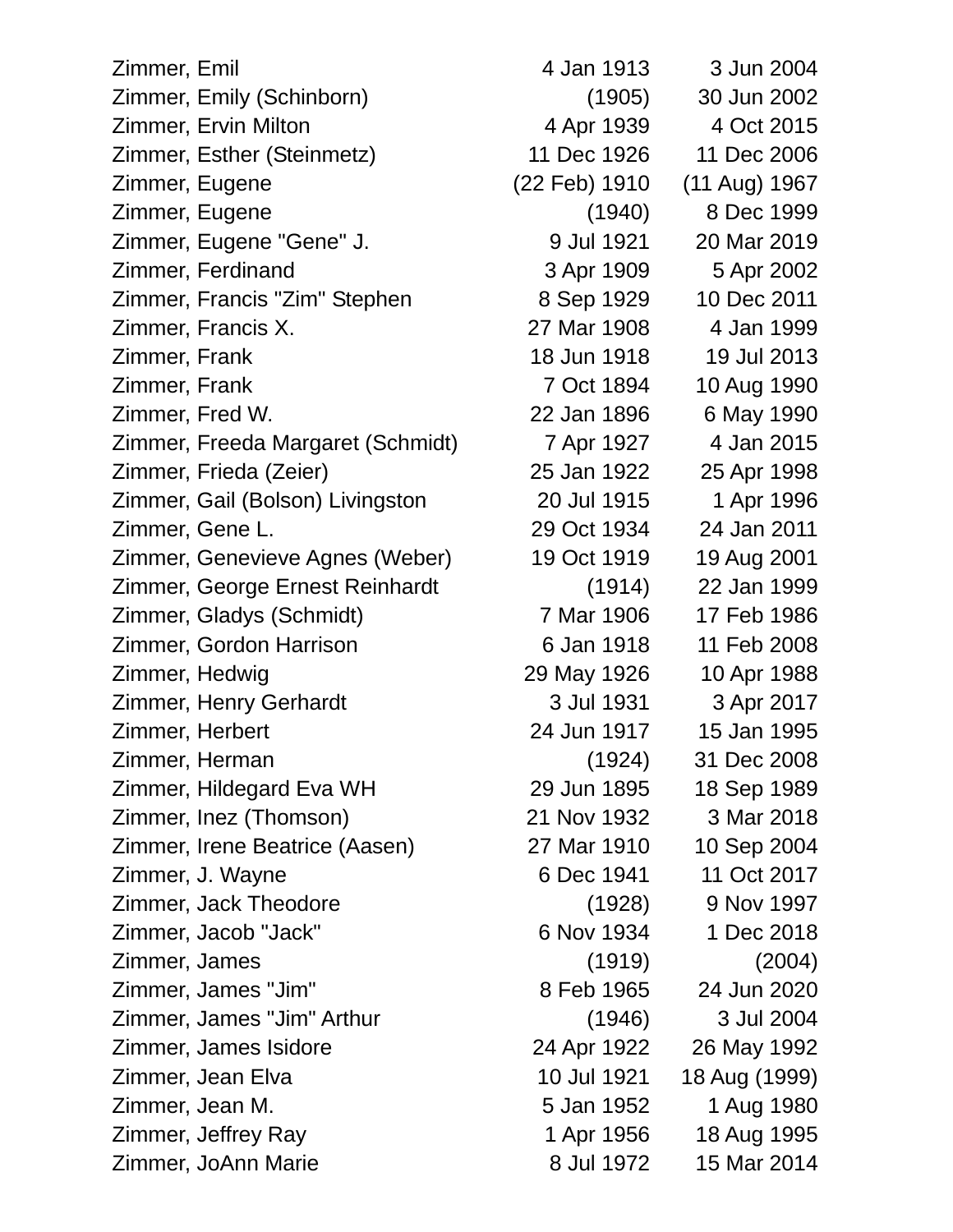| Zimmer, Emil                      | 4 Jan 1913    | 3 Jun 2004    |
|-----------------------------------|---------------|---------------|
| Zimmer, Emily (Schinborn)         | (1905)        | 30 Jun 2002   |
| Zimmer, Ervin Milton              | 4 Apr 1939    | 4 Oct 2015    |
| Zimmer, Esther (Steinmetz)        | 11 Dec 1926   | 11 Dec 2006   |
| Zimmer, Eugene                    | (22 Feb) 1910 | (11 Aug) 1967 |
| Zimmer, Eugene                    | (1940)        | 8 Dec 1999    |
| Zimmer, Eugene "Gene" J.          | 9 Jul 1921    | 20 Mar 2019   |
| Zimmer, Ferdinand                 | 3 Apr 1909    | 5 Apr 2002    |
| Zimmer, Francis "Zim" Stephen     | 8 Sep 1929    | 10 Dec 2011   |
| Zimmer, Francis X.                | 27 Mar 1908   | 4 Jan 1999    |
| Zimmer, Frank                     | 18 Jun 1918   | 19 Jul 2013   |
| Zimmer, Frank                     | 7 Oct 1894    | 10 Aug 1990   |
| Zimmer, Fred W.                   | 22 Jan 1896   | 6 May 1990    |
| Zimmer, Freeda Margaret (Schmidt) | 7 Apr 1927    | 4 Jan 2015    |
| Zimmer, Frieda (Zeier)            | 25 Jan 1922   | 25 Apr 1998   |
| Zimmer, Gail (Bolson) Livingston  | 20 Jul 1915   | 1 Apr 1996    |
| Zimmer, Gene L.                   | 29 Oct 1934   | 24 Jan 2011   |
| Zimmer, Genevieve Agnes (Weber)   | 19 Oct 1919   | 19 Aug 2001   |
| Zimmer, George Ernest Reinhardt   | (1914)        | 22 Jan 1999   |
| Zimmer, Gladys (Schmidt)          | 7 Mar 1906    | 17 Feb 1986   |
| Zimmer, Gordon Harrison           | 6 Jan 1918    | 11 Feb 2008   |
| Zimmer, Hedwig                    | 29 May 1926   | 10 Apr 1988   |
| Zimmer, Henry Gerhardt            | 3 Jul 1931    | 3 Apr 2017    |
| Zimmer, Herbert                   | 24 Jun 1917   | 15 Jan 1995   |
| Zimmer, Herman                    | (1924)        | 31 Dec 2008   |
| Zimmer, Hildegard Eva WH          | 29 Jun 1895   | 18 Sep 1989   |
| Zimmer, Inez (Thomson)            | 21 Nov 1932   | 3 Mar 2018    |
| Zimmer, Irene Beatrice (Aasen)    | 27 Mar 1910   | 10 Sep 2004   |
| Zimmer, J. Wayne                  | 6 Dec 1941    | 11 Oct 2017   |
| Zimmer, Jack Theodore             | (1928)        | 9 Nov 1997    |
| Zimmer, Jacob "Jack"              | 6 Nov 1934    | 1 Dec 2018    |
| Zimmer, James                     | (1919)        | (2004)        |
| Zimmer, James "Jim"               | 8 Feb 1965    | 24 Jun 2020   |
| Zimmer, James "Jim" Arthur        | (1946)        | 3 Jul 2004    |
| Zimmer, James Isidore             | 24 Apr 1922   | 26 May 1992   |
| Zimmer, Jean Elva                 | 10 Jul 1921   | 18 Aug (1999) |
| Zimmer, Jean M.                   | 5 Jan 1952    | 1 Aug 1980    |
| Zimmer, Jeffrey Ray               | 1 Apr 1956    | 18 Aug 1995   |
| Zimmer, JoAnn Marie               | 8 Jul 1972    | 15 Mar 2014   |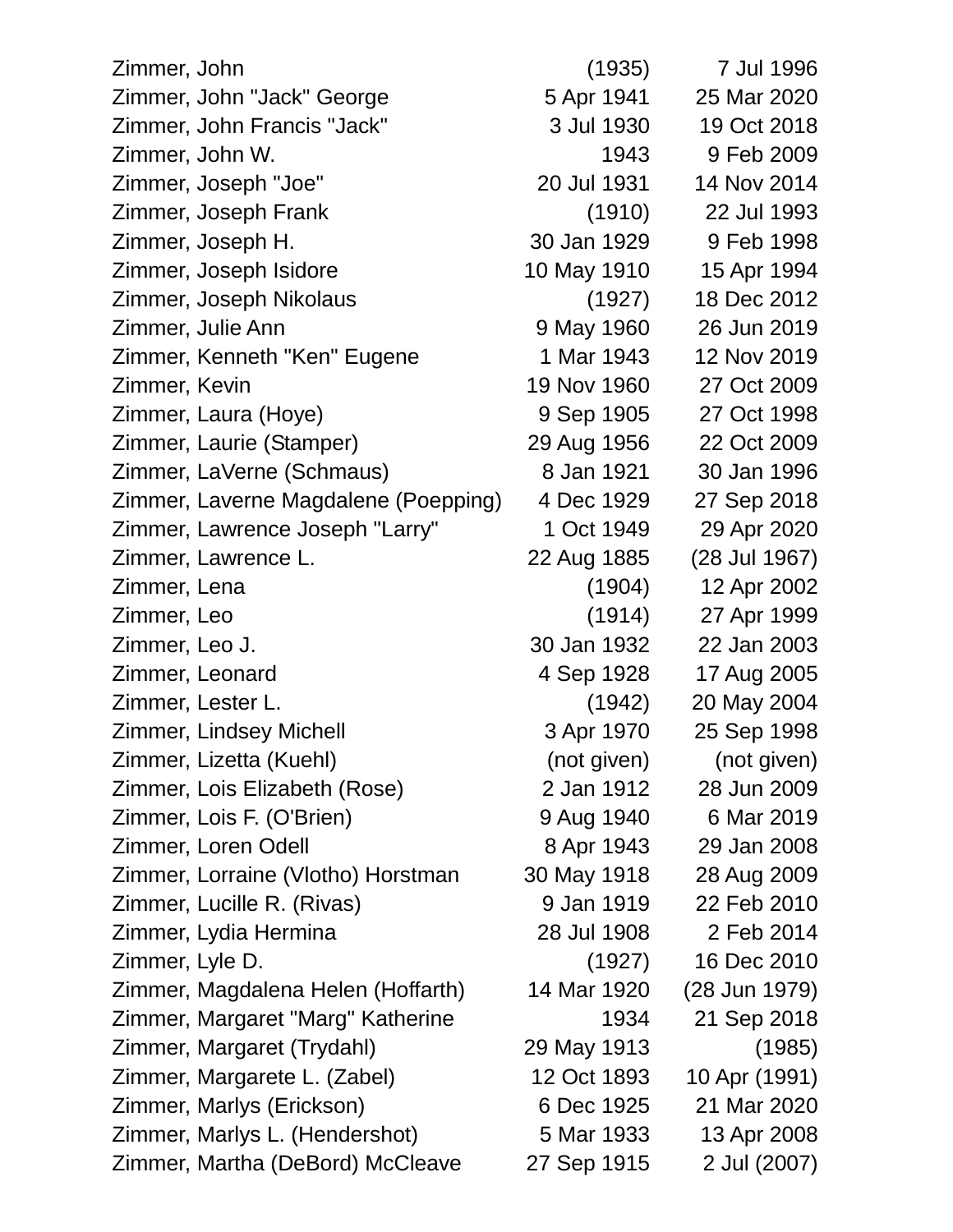| Zimmer, John                         | (1935)      | 7 Jul 1996    |
|--------------------------------------|-------------|---------------|
| Zimmer, John "Jack" George           | 5 Apr 1941  | 25 Mar 2020   |
| Zimmer, John Francis "Jack"          | 3 Jul 1930  | 19 Oct 2018   |
| Zimmer, John W.                      | 1943        | 9 Feb 2009    |
| Zimmer, Joseph "Joe"                 | 20 Jul 1931 | 14 Nov 2014   |
| Zimmer, Joseph Frank                 | (1910)      | 22 Jul 1993   |
| Zimmer, Joseph H.                    | 30 Jan 1929 | 9 Feb 1998    |
| Zimmer, Joseph Isidore               | 10 May 1910 | 15 Apr 1994   |
| Zimmer, Joseph Nikolaus              | (1927)      | 18 Dec 2012   |
| Zimmer, Julie Ann                    | 9 May 1960  | 26 Jun 2019   |
| Zimmer, Kenneth "Ken" Eugene         | 1 Mar 1943  | 12 Nov 2019   |
| Zimmer, Kevin                        | 19 Nov 1960 | 27 Oct 2009   |
| Zimmer, Laura (Hoye)                 | 9 Sep 1905  | 27 Oct 1998   |
| Zimmer, Laurie (Stamper)             | 29 Aug 1956 | 22 Oct 2009   |
| Zimmer, LaVerne (Schmaus)            | 8 Jan 1921  | 30 Jan 1996   |
| Zimmer, Laverne Magdalene (Poepping) | 4 Dec 1929  | 27 Sep 2018   |
| Zimmer, Lawrence Joseph "Larry"      | 1 Oct 1949  | 29 Apr 2020   |
| Zimmer, Lawrence L.                  | 22 Aug 1885 | (28 Jul 1967) |
| Zimmer, Lena                         | (1904)      | 12 Apr 2002   |
| Zimmer, Leo                          | (1914)      | 27 Apr 1999   |
| Zimmer, Leo J.                       | 30 Jan 1932 | 22 Jan 2003   |
| Zimmer, Leonard                      | 4 Sep 1928  | 17 Aug 2005   |
| Zimmer, Lester L.                    | (1942)      | 20 May 2004   |
| Zimmer, Lindsey Michell              | 3 Apr 1970  | 25 Sep 1998   |
| Zimmer, Lizetta (Kuehl)              | (not given) | (not given)   |
| Zimmer, Lois Elizabeth (Rose)        | 2 Jan 1912  | 28 Jun 2009   |
| Zimmer, Lois F. (O'Brien)            | 9 Aug 1940  | 6 Mar 2019    |
| Zimmer, Loren Odell                  | 8 Apr 1943  | 29 Jan 2008   |
| Zimmer, Lorraine (Vlotho) Horstman   | 30 May 1918 | 28 Aug 2009   |
| Zimmer, Lucille R. (Rivas)           | 9 Jan 1919  | 22 Feb 2010   |
| Zimmer, Lydia Hermina                | 28 Jul 1908 | 2 Feb 2014    |
| Zimmer, Lyle D.                      | (1927)      | 16 Dec 2010   |
| Zimmer, Magdalena Helen (Hoffarth)   | 14 Mar 1920 | (28 Jun 1979) |
| Zimmer, Margaret "Marg" Katherine    | 1934        | 21 Sep 2018   |
| Zimmer, Margaret (Trydahl)           | 29 May 1913 | (1985)        |
| Zimmer, Margarete L. (Zabel)         | 12 Oct 1893 | 10 Apr (1991) |
| Zimmer, Marlys (Erickson)            | 6 Dec 1925  | 21 Mar 2020   |
| Zimmer, Marlys L. (Hendershot)       | 5 Mar 1933  | 13 Apr 2008   |
| Zimmer, Martha (DeBord) McCleave     | 27 Sep 1915 | 2 Jul (2007)  |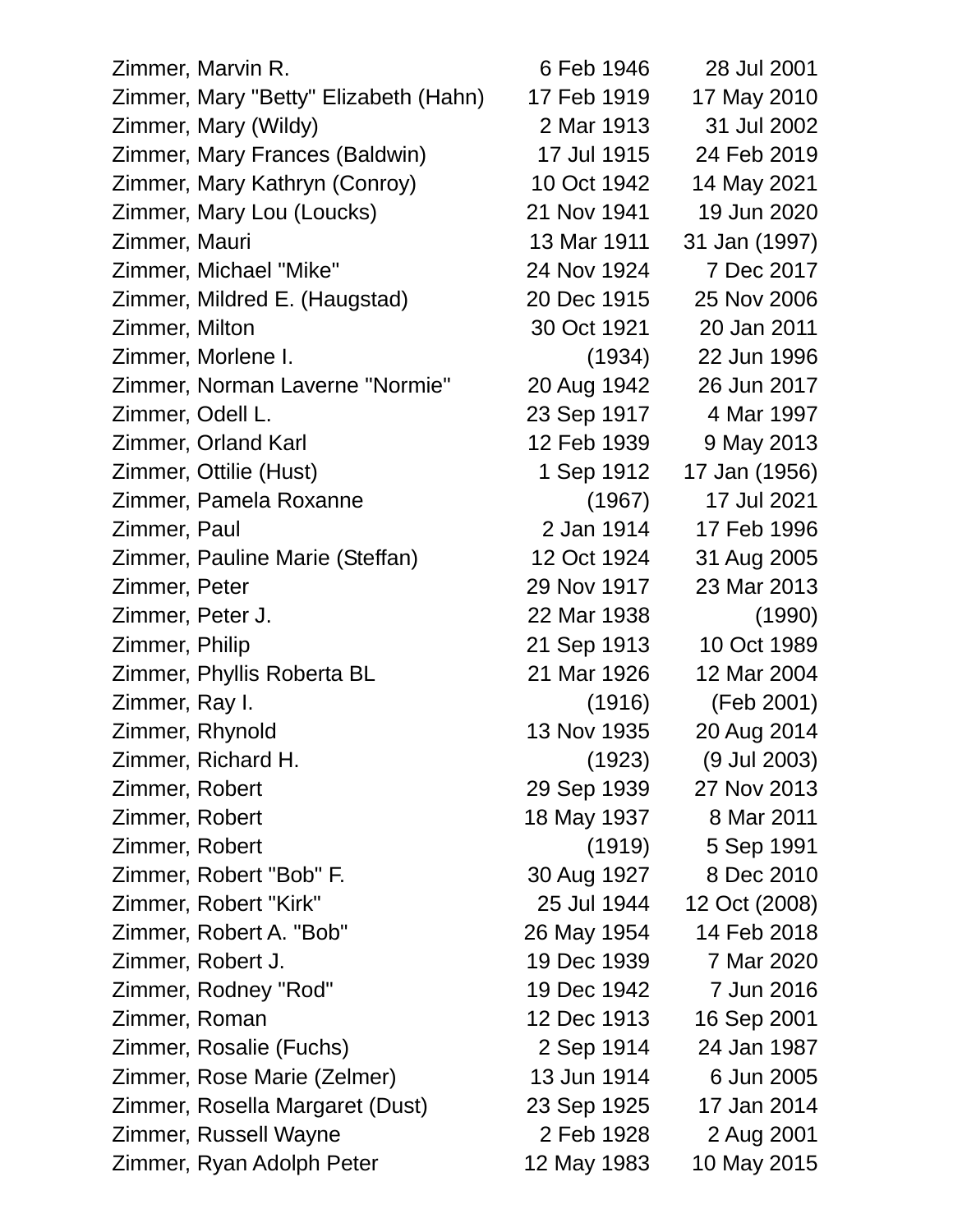| Zimmer, Marvin R.                     | 6 Feb 1946  | 28 Jul 2001   |  |
|---------------------------------------|-------------|---------------|--|
| Zimmer, Mary "Betty" Elizabeth (Hahn) | 17 Feb 1919 | 17 May 2010   |  |
| Zimmer, Mary (Wildy)                  | 2 Mar 1913  | 31 Jul 2002   |  |
| Zimmer, Mary Frances (Baldwin)        | 17 Jul 1915 | 24 Feb 2019   |  |
| Zimmer, Mary Kathryn (Conroy)         | 10 Oct 1942 | 14 May 2021   |  |
| Zimmer, Mary Lou (Loucks)             | 21 Nov 1941 | 19 Jun 2020   |  |
| Zimmer, Mauri                         | 13 Mar 1911 | 31 Jan (1997) |  |
| Zimmer, Michael "Mike"                | 24 Nov 1924 | 7 Dec 2017    |  |
| Zimmer, Mildred E. (Haugstad)         | 20 Dec 1915 | 25 Nov 2006   |  |
| Zimmer, Milton                        | 30 Oct 1921 | 20 Jan 2011   |  |
| Zimmer, Morlene I.                    | (1934)      | 22 Jun 1996   |  |
| Zimmer, Norman Laverne "Normie"       | 20 Aug 1942 | 26 Jun 2017   |  |
| Zimmer, Odell L.                      | 23 Sep 1917 | 4 Mar 1997    |  |
| Zimmer, Orland Karl                   | 12 Feb 1939 | 9 May 2013    |  |
| Zimmer, Ottilie (Hust)                | 1 Sep 1912  | 17 Jan (1956) |  |
| Zimmer, Pamela Roxanne                | (1967)      | 17 Jul 2021   |  |
| Zimmer, Paul                          | 2 Jan 1914  | 17 Feb 1996   |  |
| Zimmer, Pauline Marie (Steffan)       | 12 Oct 1924 | 31 Aug 2005   |  |
| Zimmer, Peter                         | 29 Nov 1917 | 23 Mar 2013   |  |
| Zimmer, Peter J.                      | 22 Mar 1938 | (1990)        |  |
| Zimmer, Philip                        | 21 Sep 1913 | 10 Oct 1989   |  |
| Zimmer, Phyllis Roberta BL            | 21 Mar 1926 | 12 Mar 2004   |  |
| Zimmer, Ray I.                        | (1916)      | (Feb 2001)    |  |
| Zimmer, Rhynold                       | 13 Nov 1935 | 20 Aug 2014   |  |
| Zimmer, Richard H.                    | (1923)      | (9 Jul 2003)  |  |
| Zimmer, Robert                        | 29 Sep 1939 | 27 Nov 2013   |  |
| Zimmer, Robert                        | 18 May 1937 | 8 Mar 2011    |  |
| Zimmer, Robert                        | (1919)      | 5 Sep 1991    |  |
| Zimmer, Robert "Bob" F.               | 30 Aug 1927 | 8 Dec 2010    |  |
| Zimmer, Robert "Kirk"                 | 25 Jul 1944 | 12 Oct (2008) |  |
| Zimmer, Robert A. "Bob"               | 26 May 1954 | 14 Feb 2018   |  |
| Zimmer, Robert J.                     | 19 Dec 1939 | 7 Mar 2020    |  |
| Zimmer, Rodney "Rod"                  | 19 Dec 1942 | 7 Jun 2016    |  |
| Zimmer, Roman                         | 12 Dec 1913 | 16 Sep 2001   |  |
| Zimmer, Rosalie (Fuchs)               | 2 Sep 1914  | 24 Jan 1987   |  |
| Zimmer, Rose Marie (Zelmer)           | 13 Jun 1914 | 6 Jun 2005    |  |
| Zimmer, Rosella Margaret (Dust)       | 23 Sep 1925 | 17 Jan 2014   |  |
| Zimmer, Russell Wayne                 | 2 Feb 1928  | 2 Aug 2001    |  |
| Zimmer, Ryan Adolph Peter             | 12 May 1983 | 10 May 2015   |  |
|                                       |             |               |  |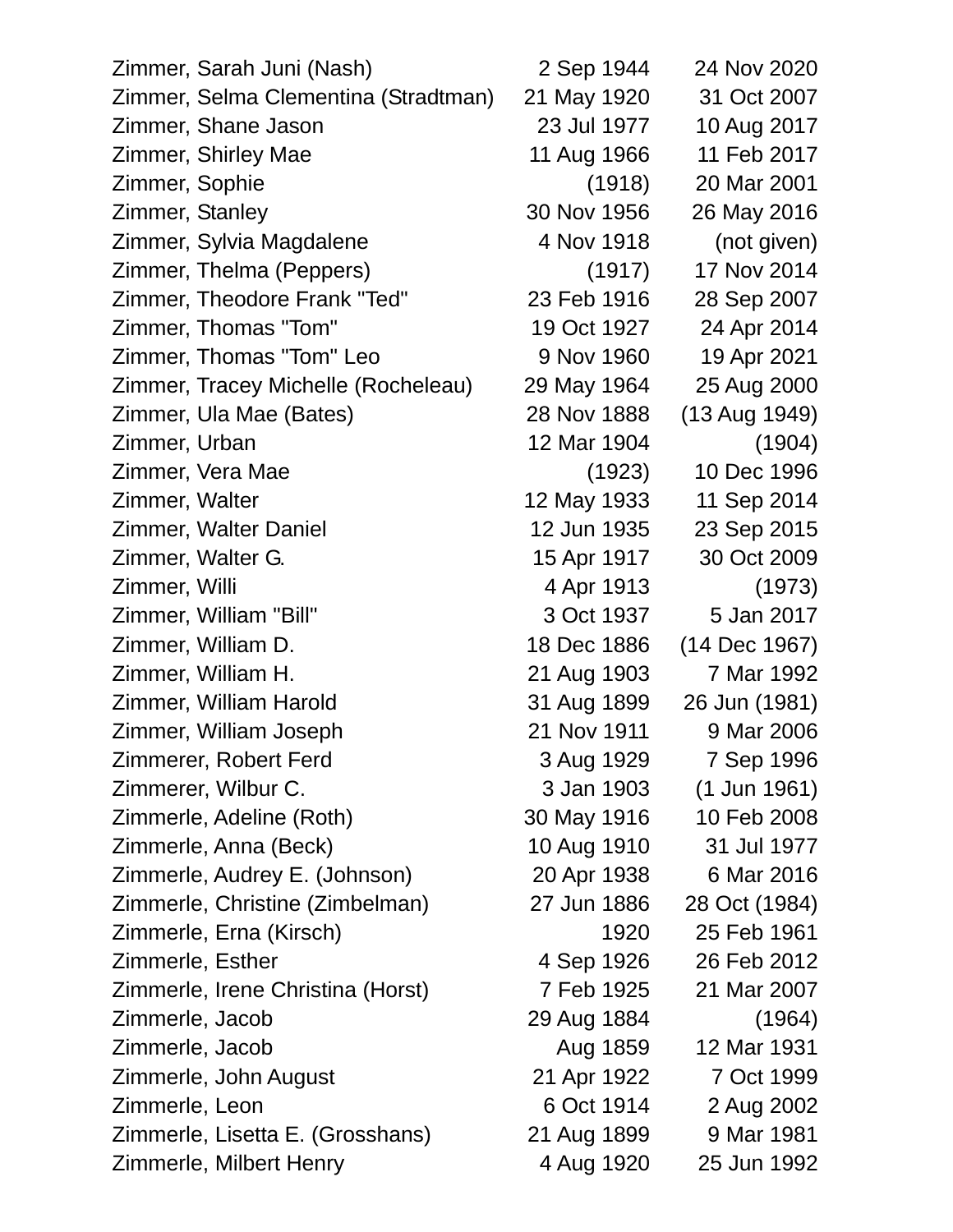| Zimmer, Sarah Juni (Nash)            | 2 Sep 1944  | 24 Nov 2020   |
|--------------------------------------|-------------|---------------|
| Zimmer, Selma Clementina (Stradtman) | 21 May 1920 | 31 Oct 2007   |
| Zimmer, Shane Jason                  | 23 Jul 1977 | 10 Aug 2017   |
| Zimmer, Shirley Mae                  | 11 Aug 1966 | 11 Feb 2017   |
| Zimmer, Sophie                       | (1918)      | 20 Mar 2001   |
| Zimmer, Stanley                      | 30 Nov 1956 | 26 May 2016   |
| Zimmer, Sylvia Magdalene             | 4 Nov 1918  | (not given)   |
| Zimmer, Thelma (Peppers)             | (1917)      | 17 Nov 2014   |
| Zimmer, Theodore Frank "Ted"         | 23 Feb 1916 | 28 Sep 2007   |
| Zimmer, Thomas "Tom"                 | 19 Oct 1927 | 24 Apr 2014   |
| Zimmer, Thomas "Tom" Leo             | 9 Nov 1960  | 19 Apr 2021   |
| Zimmer, Tracey Michelle (Rocheleau)  | 29 May 1964 | 25 Aug 2000   |
| Zimmer, Ula Mae (Bates)              | 28 Nov 1888 | (13 Aug 1949) |
| Zimmer, Urban                        | 12 Mar 1904 | (1904)        |
| Zimmer, Vera Mae                     | (1923)      | 10 Dec 1996   |
| Zimmer, Walter                       | 12 May 1933 | 11 Sep 2014   |
| Zimmer, Walter Daniel                | 12 Jun 1935 | 23 Sep 2015   |
| Zimmer, Walter G.                    | 15 Apr 1917 | 30 Oct 2009   |
| Zimmer, Willi                        | 4 Apr 1913  | (1973)        |
| Zimmer, William "Bill"               | 3 Oct 1937  | 5 Jan 2017    |
| Zimmer, William D.                   | 18 Dec 1886 | (14 Dec 1967) |
| Zimmer, William H.                   | 21 Aug 1903 | 7 Mar 1992    |
| Zimmer, William Harold               | 31 Aug 1899 | 26 Jun (1981) |
| Zimmer, William Joseph               | 21 Nov 1911 | 9 Mar 2006    |
| Zimmerer, Robert Ferd                | 3 Aug 1929  | 7 Sep 1996    |
| Zimmerer, Wilbur C.                  | 3 Jan 1903  | (1 Jun 1961)  |
| Zimmerle, Adeline (Roth)             | 30 May 1916 | 10 Feb 2008   |
| Zimmerle, Anna (Beck)                | 10 Aug 1910 | 31 Jul 1977   |
| Zimmerle, Audrey E. (Johnson)        | 20 Apr 1938 | 6 Mar 2016    |
| Zimmerle, Christine (Zimbelman)      | 27 Jun 1886 | 28 Oct (1984) |
| Zimmerle, Erna (Kirsch)              | 1920        | 25 Feb 1961   |
| Zimmerle, Esther                     | 4 Sep 1926  | 26 Feb 2012   |
| Zimmerle, Irene Christina (Horst)    | 7 Feb 1925  | 21 Mar 2007   |
| Zimmerle, Jacob                      | 29 Aug 1884 | (1964)        |
| Zimmerle, Jacob                      | Aug 1859    | 12 Mar 1931   |
| Zimmerle, John August                | 21 Apr 1922 | 7 Oct 1999    |
| Zimmerle, Leon                       | 6 Oct 1914  | 2 Aug 2002    |
| Zimmerle, Lisetta E. (Grosshans)     | 21 Aug 1899 | 9 Mar 1981    |
| Zimmerle, Milbert Henry              | 4 Aug 1920  | 25 Jun 1992   |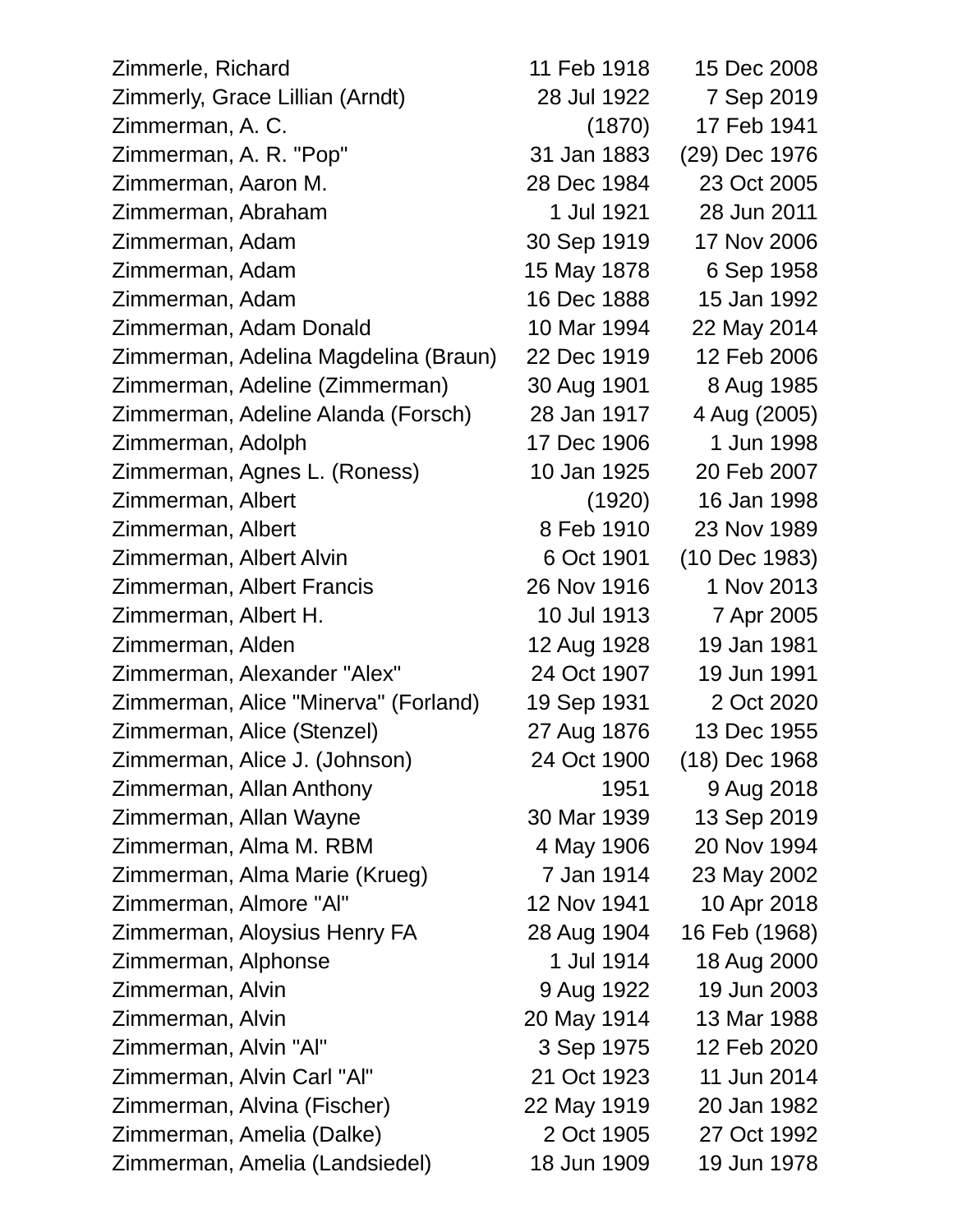| Zimmerle, Richard                    | 11 Feb 1918 | 15 Dec 2008   |
|--------------------------------------|-------------|---------------|
| Zimmerly, Grace Lillian (Arndt)      | 28 Jul 1922 | 7 Sep 2019    |
| Zimmerman, A. C.                     | (1870)      | 17 Feb 1941   |
| Zimmerman, A. R. "Pop"               | 31 Jan 1883 | (29) Dec 1976 |
| Zimmerman, Aaron M.                  | 28 Dec 1984 | 23 Oct 2005   |
| Zimmerman, Abraham                   | 1 Jul 1921  | 28 Jun 2011   |
| Zimmerman, Adam                      | 30 Sep 1919 | 17 Nov 2006   |
| Zimmerman, Adam                      | 15 May 1878 | 6 Sep 1958    |
| Zimmerman, Adam                      | 16 Dec 1888 | 15 Jan 1992   |
| Zimmerman, Adam Donald               | 10 Mar 1994 | 22 May 2014   |
| Zimmerman, Adelina Magdelina (Braun) | 22 Dec 1919 | 12 Feb 2006   |
| Zimmerman, Adeline (Zimmerman)       | 30 Aug 1901 | 8 Aug 1985    |
| Zimmerman, Adeline Alanda (Forsch)   | 28 Jan 1917 | 4 Aug (2005)  |
| Zimmerman, Adolph                    | 17 Dec 1906 | 1 Jun 1998    |
| Zimmerman, Agnes L. (Roness)         | 10 Jan 1925 | 20 Feb 2007   |
| Zimmerman, Albert                    | (1920)      | 16 Jan 1998   |
| Zimmerman, Albert                    | 8 Feb 1910  | 23 Nov 1989   |
| Zimmerman, Albert Alvin              | 6 Oct 1901  | (10 Dec 1983) |
| Zimmerman, Albert Francis            | 26 Nov 1916 | 1 Nov 2013    |
| Zimmerman, Albert H.                 | 10 Jul 1913 | 7 Apr 2005    |
| Zimmerman, Alden                     | 12 Aug 1928 | 19 Jan 1981   |
| Zimmerman, Alexander "Alex"          | 24 Oct 1907 | 19 Jun 1991   |
| Zimmerman, Alice "Minerva" (Forland) | 19 Sep 1931 | 2 Oct 2020    |
| Zimmerman, Alice (Stenzel)           | 27 Aug 1876 | 13 Dec 1955   |
| Zimmerman, Alice J. (Johnson)        | 24 Oct 1900 | (18) Dec 1968 |
| Zimmerman, Allan Anthony             | 1951        | 9 Aug 2018    |
| Zimmerman, Allan Wayne               | 30 Mar 1939 | 13 Sep 2019   |
| Zimmerman, Alma M. RBM               | 4 May 1906  | 20 Nov 1994   |
| Zimmerman, Alma Marie (Krueg)        | 7 Jan 1914  | 23 May 2002   |
| Zimmerman, Almore "Al"               | 12 Nov 1941 | 10 Apr 2018   |
| Zimmerman, Aloysius Henry FA         | 28 Aug 1904 | 16 Feb (1968) |
| Zimmerman, Alphonse                  | 1 Jul 1914  | 18 Aug 2000   |
| Zimmerman, Alvin                     | 9 Aug 1922  | 19 Jun 2003   |
| Zimmerman, Alvin                     | 20 May 1914 | 13 Mar 1988   |
| Zimmerman, Alvin "Al"                | 3 Sep 1975  | 12 Feb 2020   |
| Zimmerman, Alvin Carl "Al"           | 21 Oct 1923 | 11 Jun 2014   |
| Zimmerman, Alvina (Fischer)          | 22 May 1919 | 20 Jan 1982   |
| Zimmerman, Amelia (Dalke)            | 2 Oct 1905  | 27 Oct 1992   |
| Zimmerman, Amelia (Landsiedel)       | 18 Jun 1909 | 19 Jun 1978   |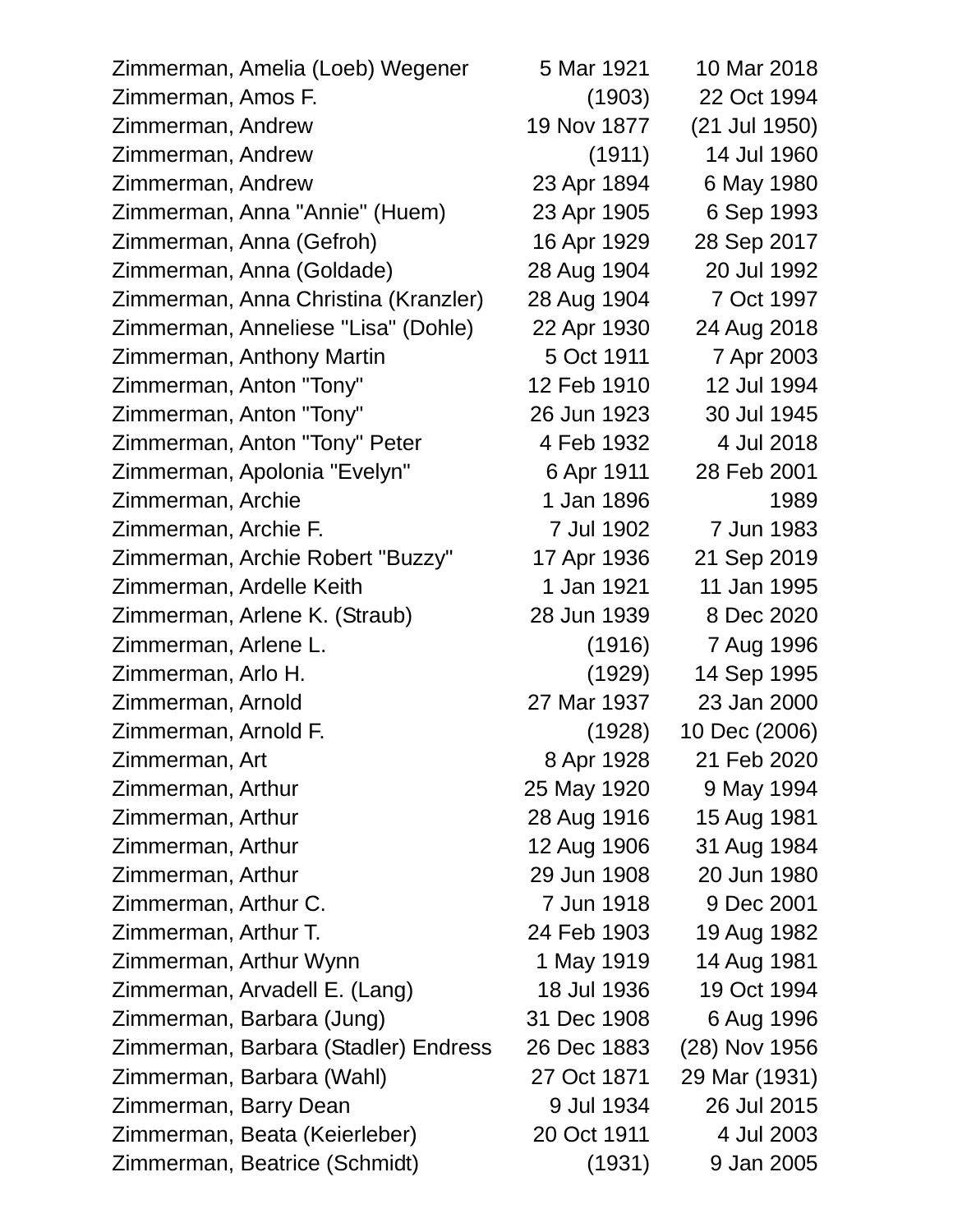| Zimmerman, Amelia (Loeb) Wegener     | 5 Mar 1921  | 10 Mar 2018   |
|--------------------------------------|-------------|---------------|
| Zimmerman, Amos F.                   | (1903)      | 22 Oct 1994   |
| Zimmerman, Andrew                    | 19 Nov 1877 | (21 Jul 1950) |
| Zimmerman, Andrew                    | (1911)      | 14 Jul 1960   |
| Zimmerman, Andrew                    | 23 Apr 1894 | 6 May 1980    |
| Zimmerman, Anna "Annie" (Huem)       | 23 Apr 1905 | 6 Sep 1993    |
| Zimmerman, Anna (Gefroh)             | 16 Apr 1929 | 28 Sep 2017   |
| Zimmerman, Anna (Goldade)            | 28 Aug 1904 | 20 Jul 1992   |
| Zimmerman, Anna Christina (Kranzler) | 28 Aug 1904 | 7 Oct 1997    |
| Zimmerman, Anneliese "Lisa" (Dohle)  | 22 Apr 1930 | 24 Aug 2018   |
| Zimmerman, Anthony Martin            | 5 Oct 1911  | 7 Apr 2003    |
| Zimmerman, Anton "Tony"              | 12 Feb 1910 | 12 Jul 1994   |
| Zimmerman, Anton "Tony"              | 26 Jun 1923 | 30 Jul 1945   |
| Zimmerman, Anton "Tony" Peter        | 4 Feb 1932  | 4 Jul 2018    |
| Zimmerman, Apolonia "Evelyn"         | 6 Apr 1911  | 28 Feb 2001   |
| Zimmerman, Archie                    | 1 Jan 1896  | 1989          |
| Zimmerman, Archie F.                 | 7 Jul 1902  | 7 Jun 1983    |
| Zimmerman, Archie Robert "Buzzy"     | 17 Apr 1936 | 21 Sep 2019   |
| Zimmerman, Ardelle Keith             | 1 Jan 1921  | 11 Jan 1995   |
| Zimmerman, Arlene K. (Straub)        | 28 Jun 1939 | 8 Dec 2020    |
| Zimmerman, Arlene L.                 | (1916)      | 7 Aug 1996    |
| Zimmerman, Arlo H.                   | (1929)      | 14 Sep 1995   |
| Zimmerman, Arnold                    | 27 Mar 1937 | 23 Jan 2000   |
| Zimmerman, Arnold F.                 | (1928)      | 10 Dec (2006) |
| Zimmerman, Art                       | 8 Apr 1928  | 21 Feb 2020   |
| Zimmerman, Arthur                    | 25 May 1920 | 9 May 1994    |
| Zimmerman, Arthur                    | 28 Aug 1916 | 15 Aug 1981   |
| Zimmerman, Arthur                    | 12 Aug 1906 | 31 Aug 1984   |
| Zimmerman, Arthur                    | 29 Jun 1908 | 20 Jun 1980   |
| Zimmerman, Arthur C.                 | 7 Jun 1918  | 9 Dec 2001    |
| Zimmerman, Arthur T.                 | 24 Feb 1903 | 19 Aug 1982   |
| Zimmerman, Arthur Wynn               | 1 May 1919  | 14 Aug 1981   |
| Zimmerman, Arvadell E. (Lang)        | 18 Jul 1936 | 19 Oct 1994   |
| Zimmerman, Barbara (Jung)            | 31 Dec 1908 | 6 Aug 1996    |
| Zimmerman, Barbara (Stadler) Endress | 26 Dec 1883 | (28) Nov 1956 |
| Zimmerman, Barbara (Wahl)            | 27 Oct 1871 | 29 Mar (1931) |
| Zimmerman, Barry Dean                | 9 Jul 1934  | 26 Jul 2015   |
| Zimmerman, Beata (Keierleber)        | 20 Oct 1911 | 4 Jul 2003    |
| Zimmerman, Beatrice (Schmidt)        | (1931)      | 9 Jan 2005    |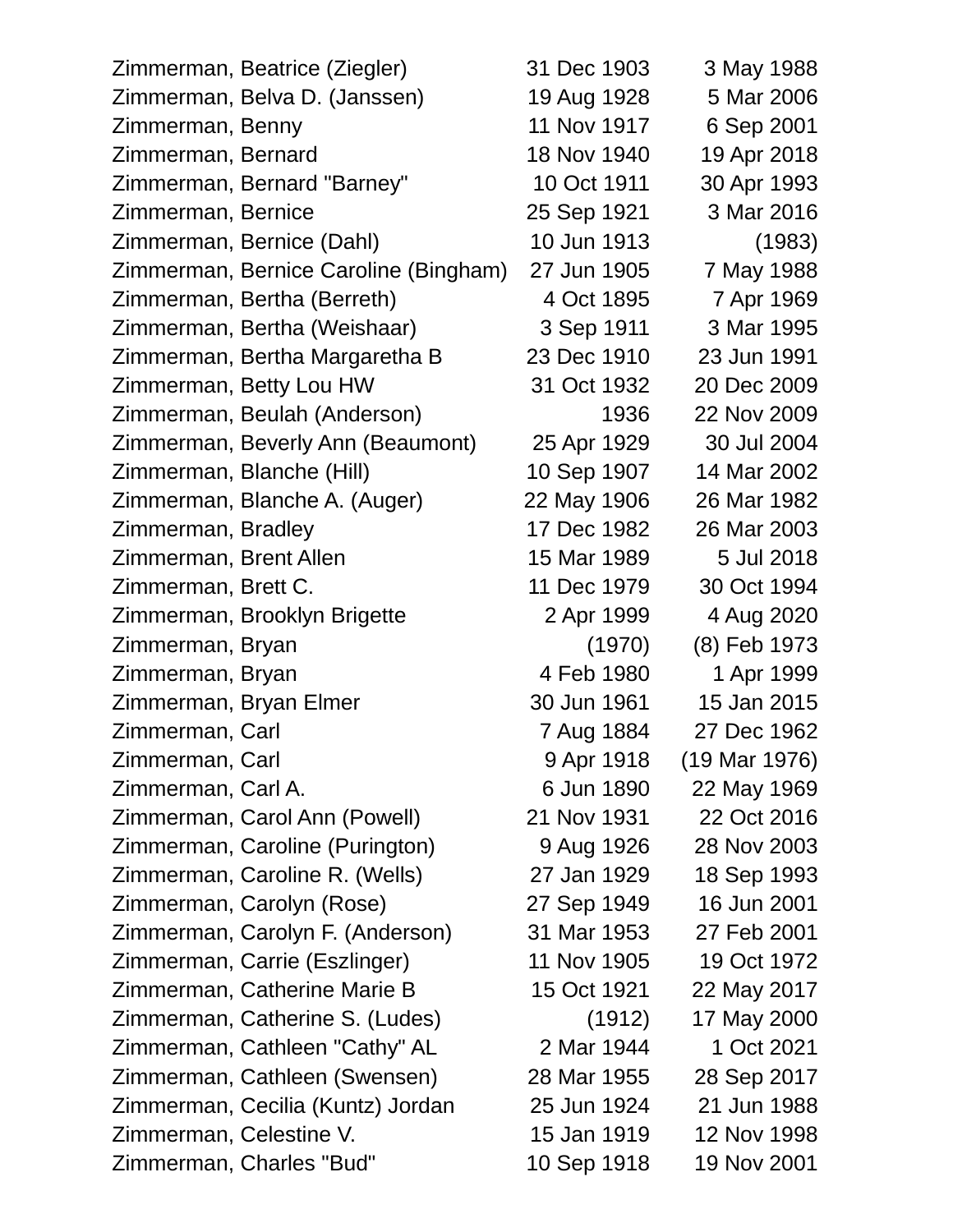| Zimmerman, Beatrice (Ziegler)         | 31 Dec 1903 | 3 May 1988    |
|---------------------------------------|-------------|---------------|
| Zimmerman, Belva D. (Janssen)         | 19 Aug 1928 | 5 Mar 2006    |
| Zimmerman, Benny                      | 11 Nov 1917 | 6 Sep 2001    |
| Zimmerman, Bernard                    | 18 Nov 1940 | 19 Apr 2018   |
| Zimmerman, Bernard "Barney"           | 10 Oct 1911 | 30 Apr 1993   |
| Zimmerman, Bernice                    | 25 Sep 1921 | 3 Mar 2016    |
| Zimmerman, Bernice (Dahl)             | 10 Jun 1913 | (1983)        |
| Zimmerman, Bernice Caroline (Bingham) | 27 Jun 1905 | 7 May 1988    |
| Zimmerman, Bertha (Berreth)           | 4 Oct 1895  | 7 Apr 1969    |
| Zimmerman, Bertha (Weishaar)          | 3 Sep 1911  | 3 Mar 1995    |
| Zimmerman, Bertha Margaretha B        | 23 Dec 1910 | 23 Jun 1991   |
| Zimmerman, Betty Lou HW               | 31 Oct 1932 | 20 Dec 2009   |
| Zimmerman, Beulah (Anderson)          | 1936        | 22 Nov 2009   |
| Zimmerman, Beverly Ann (Beaumont)     | 25 Apr 1929 | 30 Jul 2004   |
| Zimmerman, Blanche (Hill)             | 10 Sep 1907 | 14 Mar 2002   |
| Zimmerman, Blanche A. (Auger)         | 22 May 1906 | 26 Mar 1982   |
| Zimmerman, Bradley                    | 17 Dec 1982 | 26 Mar 2003   |
| Zimmerman, Brent Allen                | 15 Mar 1989 | 5 Jul 2018    |
| Zimmerman, Brett C.                   | 11 Dec 1979 | 30 Oct 1994   |
| Zimmerman, Brooklyn Brigette          | 2 Apr 1999  | 4 Aug 2020    |
| Zimmerman, Bryan                      | (1970)      | (8) Feb 1973  |
| Zimmerman, Bryan                      | 4 Feb 1980  | 1 Apr 1999    |
| Zimmerman, Bryan Elmer                | 30 Jun 1961 | 15 Jan 2015   |
| Zimmerman, Carl                       | 7 Aug 1884  | 27 Dec 1962   |
| Zimmerman, Carl                       | 9 Apr 1918  | (19 Mar 1976) |
| Zimmerman, Carl A.                    | 6 Jun 1890  | 22 May 1969   |
| Zimmerman, Carol Ann (Powell)         | 21 Nov 1931 | 22 Oct 2016   |
| Zimmerman, Caroline (Purington)       | 9 Aug 1926  | 28 Nov 2003   |
| Zimmerman, Caroline R. (Wells)        | 27 Jan 1929 | 18 Sep 1993   |
| Zimmerman, Carolyn (Rose)             | 27 Sep 1949 | 16 Jun 2001   |
| Zimmerman, Carolyn F. (Anderson)      | 31 Mar 1953 | 27 Feb 2001   |
| Zimmerman, Carrie (Eszlinger)         | 11 Nov 1905 | 19 Oct 1972   |
| Zimmerman, Catherine Marie B          | 15 Oct 1921 | 22 May 2017   |
| Zimmerman, Catherine S. (Ludes)       | (1912)      | 17 May 2000   |
| Zimmerman, Cathleen "Cathy" AL        | 2 Mar 1944  | 1 Oct 2021    |
| Zimmerman, Cathleen (Swensen)         | 28 Mar 1955 | 28 Sep 2017   |
| Zimmerman, Cecilia (Kuntz) Jordan     | 25 Jun 1924 | 21 Jun 1988   |
| Zimmerman, Celestine V.               | 15 Jan 1919 | 12 Nov 1998   |
| Zimmerman, Charles "Bud"              | 10 Sep 1918 | 19 Nov 2001   |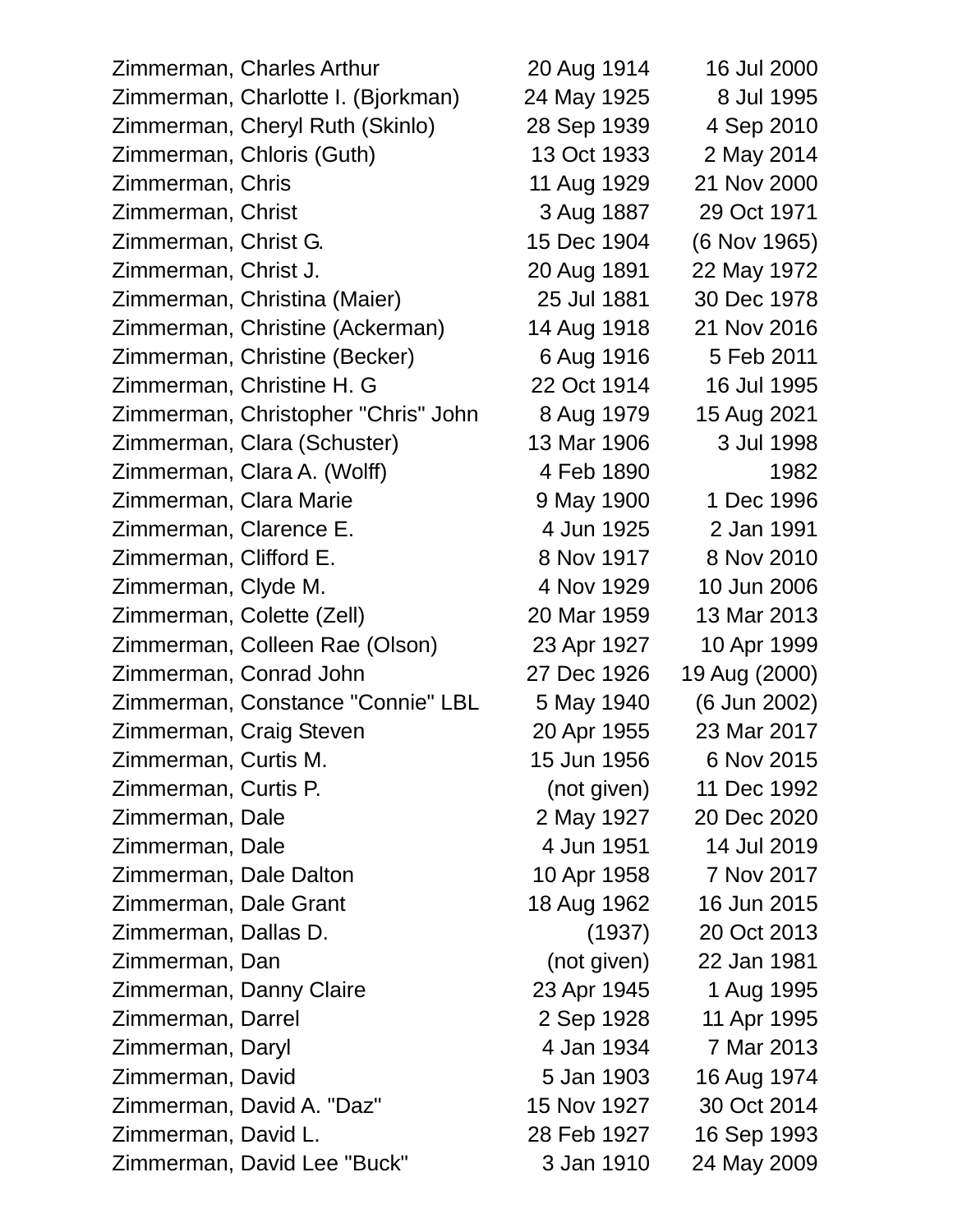Zimmerman, Charles Arthur 20 Aug 1914 16 Jul 2000 Zimmerman, Charlotte I. (Bjorkman) 24 May 1925 8 Jul 1995 Zimmerman, Cheryl Ruth (Skinlo) 28 Sep 1939 4 Sep 2010 Zimmerman, Chloris (Guth) 13 Oct 1933 2 May 2014 Zimmerman, Chris 11 Aug 1929 21 Nov 2000 Zimmerman, Christ 3 Aug 1887 29 Oct 1971 Zimmerman, Christ G. 15 Dec 1904 (6 Nov 1965) Zimmerman, Christ J. 20 Aug 1891 22 May 1972 Zimmerman, Christina (Maier) 25 Jul 1881 30 Dec 1978 Zimmerman, Christine (Ackerman) 14 Aug 1918 21 Nov 2016 Zimmerman, Christine (Becker) 6 Aug 1916 5 Feb 2011 Zimmerman, Christine H. G 22 Oct 1914 16 Jul 1995 Zimmerman, Christopher "Chris" John 8 Aug 1979 15 Aug 2021 Zimmerman, Clara (Schuster) 13 Mar 1906 3 Jul 1998 Zimmerman, Clara A. (Wolff) 4 Feb 1890 1982 Zimmerman, Clara Marie 1980 1980 9 May 1900 1 Dec 1996 Zimmerman, Clarence E. 4 Jun 1925 2 Jan 1991 Zimmerman, Clifford E. 8 Nov 1917 8 Nov 2010 Zimmerman, Clyde M. 4 Nov 1929 10 Jun 2006 Zimmerman, Colette (Zell) 20 Mar 1959 13 Mar 2013 Zimmerman, Colleen Rae (Olson) 23 Apr 1927 10 Apr 1999 Zimmerman, Conrad John 27 Dec 1926 19 Aug (2000) Zimmerman, Constance "Connie" LBL 5 May 1940 (6 Jun 2002) Zimmerman, Craig Steven 20 Apr 1955 23 Mar 2017 Zimmerman, Curtis M. 15 Jun 1956 6 Nov 2015 Zimmerman, Curtis P. (not given) 11 Dec 1992 Zimmerman, Dale 2 May 1927 20 Dec 2020 Zimmerman, Dale 14 Jun 1951 14 Jul 2019 Zimmerman, Dale Dalton 10 Apr 1958 7 Nov 2017 Zimmerman, Dale Grant 18 Aug 1962 16 Jun 2015 Zimmerman, Dallas D. (1937) 20 Oct 2013 Zimmerman, Dan (not given) 22 Jan 1981 Zimmerman, Danny Claire 23 Apr 1945 1 Aug 1995 Zimmerman, Darrel 2 Sep 1928 11 Apr 1995 Zimmerman, Daryl 4 Jan 1934 7 Mar 2013 Zimmerman, David 5 Jan 1903 16 Aug 1974 Zimmerman, David A. "Daz" 15 Nov 1927 30 Oct 2014 Zimmerman, David L. 28 Feb 1927 16 Sep 1993 Zimmerman, David Lee "Buck" 3 Jan 1910 24 May 2009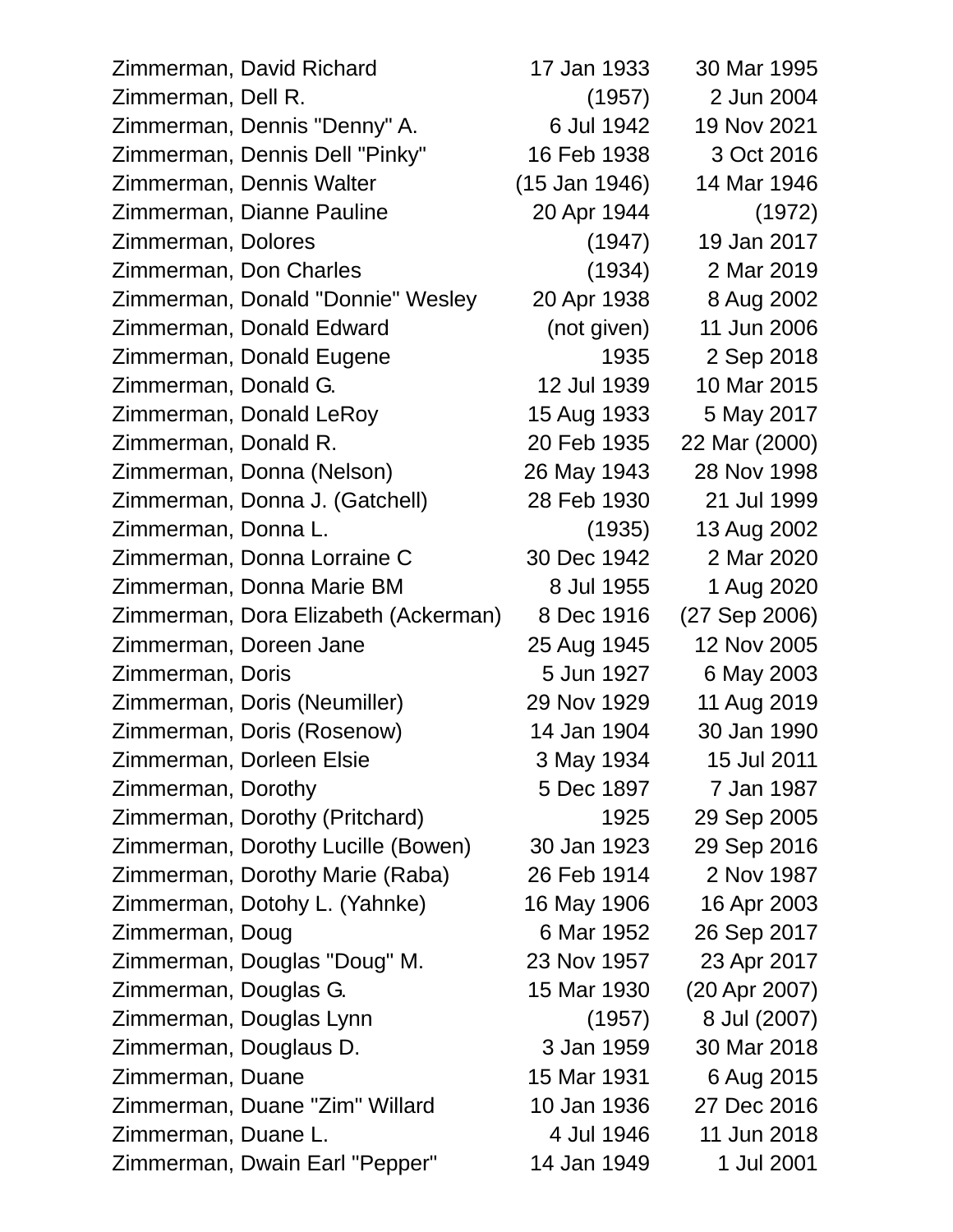| Zimmerman, David Richard             | 17 Jan 1933     | 30 Mar 1995   |
|--------------------------------------|-----------------|---------------|
| Zimmerman, Dell R.                   | (1957)          | 2 Jun 2004    |
| Zimmerman, Dennis "Denny" A.         | 6 Jul 1942      | 19 Nov 2021   |
| Zimmerman, Dennis Dell "Pinky"       | 16 Feb 1938     | 3 Oct 2016    |
| Zimmerman, Dennis Walter             | $(15$ Jan 1946) | 14 Mar 1946   |
| Zimmerman, Dianne Pauline            | 20 Apr 1944     | (1972)        |
| Zimmerman, Dolores                   | (1947)          | 19 Jan 2017   |
| Zimmerman, Don Charles               | (1934)          | 2 Mar 2019    |
| Zimmerman, Donald "Donnie" Wesley    | 20 Apr 1938     | 8 Aug 2002    |
| Zimmerman, Donald Edward             | (not given)     | 11 Jun 2006   |
| Zimmerman, Donald Eugene             | 1935            | 2 Sep 2018    |
| Zimmerman, Donald G.                 | 12 Jul 1939     | 10 Mar 2015   |
| Zimmerman, Donald LeRoy              | 15 Aug 1933     | 5 May 2017    |
| Zimmerman, Donald R.                 | 20 Feb 1935     | 22 Mar (2000) |
| Zimmerman, Donna (Nelson)            | 26 May 1943     | 28 Nov 1998   |
| Zimmerman, Donna J. (Gatchell)       | 28 Feb 1930     | 21 Jul 1999   |
| Zimmerman, Donna L.                  | (1935)          | 13 Aug 2002   |
| Zimmerman, Donna Lorraine C          | 30 Dec 1942     | 2 Mar 2020    |
| Zimmerman, Donna Marie BM            | 8 Jul 1955      | 1 Aug 2020    |
| Zimmerman, Dora Elizabeth (Ackerman) | 8 Dec 1916      | (27 Sep 2006) |
| Zimmerman, Doreen Jane               | 25 Aug 1945     | 12 Nov 2005   |
| Zimmerman, Doris                     | 5 Jun 1927      | 6 May 2003    |
| Zimmerman, Doris (Neumiller)         | 29 Nov 1929     | 11 Aug 2019   |
| Zimmerman, Doris (Rosenow)           | 14 Jan 1904     | 30 Jan 1990   |
| Zimmerman, Dorleen Elsie             | 3 May 1934      | 15 Jul 2011   |
| Zimmerman, Dorothy                   | 5 Dec 1897      | 7 Jan 1987    |
| Zimmerman, Dorothy (Pritchard)       | 1925            | 29 Sep 2005   |
| Zimmerman, Dorothy Lucille (Bowen)   | 30 Jan 1923     | 29 Sep 2016   |
| Zimmerman, Dorothy Marie (Raba)      | 26 Feb 1914     | 2 Nov 1987    |
| Zimmerman, Dotohy L. (Yahnke)        | 16 May 1906     | 16 Apr 2003   |
| Zimmerman, Doug                      | 6 Mar 1952      | 26 Sep 2017   |
| Zimmerman, Douglas "Doug" M.         | 23 Nov 1957     | 23 Apr 2017   |
| Zimmerman, Douglas G.                | 15 Mar 1930     | (20 Apr 2007) |
| Zimmerman, Douglas Lynn              | (1957)          | 8 Jul (2007)  |
| Zimmerman, Douglaus D.               | 3 Jan 1959      | 30 Mar 2018   |
| Zimmerman, Duane                     | 15 Mar 1931     | 6 Aug 2015    |
| Zimmerman, Duane "Zim" Willard       | 10 Jan 1936     | 27 Dec 2016   |
| Zimmerman, Duane L.                  | 4 Jul 1946      | 11 Jun 2018   |
| Zimmerman, Dwain Earl "Pepper"       | 14 Jan 1949     | 1 Jul 2001    |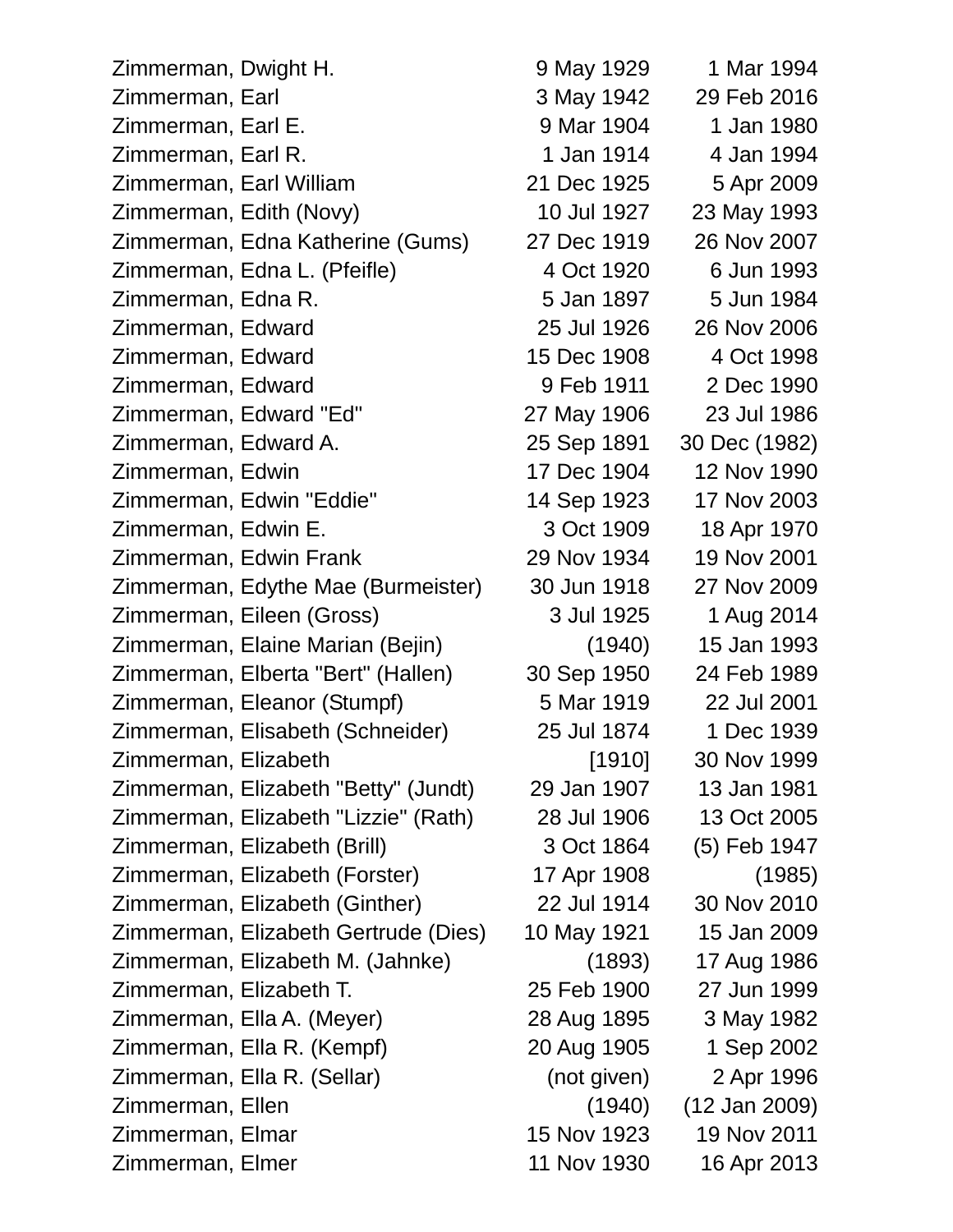| Zimmerman, Dwight H.                 | 9 May 1929  | 1 Mar 1994      |
|--------------------------------------|-------------|-----------------|
| Zimmerman, Earl                      | 3 May 1942  | 29 Feb 2016     |
| Zimmerman, Earl E.                   | 9 Mar 1904  | 1 Jan 1980      |
| Zimmerman, Earl R.                   | 1 Jan 1914  | 4 Jan 1994      |
| Zimmerman, Earl William              | 21 Dec 1925 | 5 Apr 2009      |
| Zimmerman, Edith (Novy)              | 10 Jul 1927 | 23 May 1993     |
| Zimmerman, Edna Katherine (Gums)     | 27 Dec 1919 | 26 Nov 2007     |
| Zimmerman, Edna L. (Pfeifle)         | 4 Oct 1920  | 6 Jun 1993      |
| Zimmerman, Edna R.                   | 5 Jan 1897  | 5 Jun 1984      |
| Zimmerman, Edward                    | 25 Jul 1926 | 26 Nov 2006     |
| Zimmerman, Edward                    | 15 Dec 1908 | 4 Oct 1998      |
| Zimmerman, Edward                    | 9 Feb 1911  | 2 Dec 1990      |
| Zimmerman, Edward "Ed"               | 27 May 1906 | 23 Jul 1986     |
| Zimmerman, Edward A.                 | 25 Sep 1891 | 30 Dec (1982)   |
| Zimmerman, Edwin                     | 17 Dec 1904 | 12 Nov 1990     |
| Zimmerman, Edwin "Eddie"             | 14 Sep 1923 | 17 Nov 2003     |
| Zimmerman, Edwin E.                  | 3 Oct 1909  | 18 Apr 1970     |
| Zimmerman, Edwin Frank               | 29 Nov 1934 | 19 Nov 2001     |
| Zimmerman, Edythe Mae (Burmeister)   | 30 Jun 1918 | 27 Nov 2009     |
| Zimmerman, Eileen (Gross)            | 3 Jul 1925  | 1 Aug 2014      |
| Zimmerman, Elaine Marian (Bejin)     | (1940)      | 15 Jan 1993     |
| Zimmerman, Elberta "Bert" (Hallen)   | 30 Sep 1950 | 24 Feb 1989     |
| Zimmerman, Eleanor (Stumpf)          | 5 Mar 1919  | 22 Jul 2001     |
| Zimmerman, Elisabeth (Schneider)     | 25 Jul 1874 | 1 Dec 1939      |
| Zimmerman, Elizabeth                 | [1910]      | 30 Nov 1999     |
| Zimmerman, Elizabeth "Betty" (Jundt) | 29 Jan 1907 | 13 Jan 1981     |
| Zimmerman, Elizabeth "Lizzie" (Rath) | 28 Jul 1906 | 13 Oct 2005     |
| Zimmerman, Elizabeth (Brill)         | 3 Oct 1864  | (5) Feb 1947    |
| Zimmerman, Elizabeth (Forster)       | 17 Apr 1908 | (1985)          |
| Zimmerman, Elizabeth (Ginther)       | 22 Jul 1914 | 30 Nov 2010     |
| Zimmerman, Elizabeth Gertrude (Dies) | 10 May 1921 | 15 Jan 2009     |
| Zimmerman, Elizabeth M. (Jahnke)     | (1893)      | 17 Aug 1986     |
| Zimmerman, Elizabeth T.              | 25 Feb 1900 | 27 Jun 1999     |
| Zimmerman, Ella A. (Meyer)           | 28 Aug 1895 | 3 May 1982      |
| Zimmerman, Ella R. (Kempf)           | 20 Aug 1905 | 1 Sep 2002      |
| Zimmerman, Ella R. (Sellar)          | (not given) | 2 Apr 1996      |
| Zimmerman, Ellen                     | (1940)      | $(12$ Jan 2009) |
| Zimmerman, Elmar                     | 15 Nov 1923 | 19 Nov 2011     |
| Zimmerman, Elmer                     | 11 Nov 1930 | 16 Apr 2013     |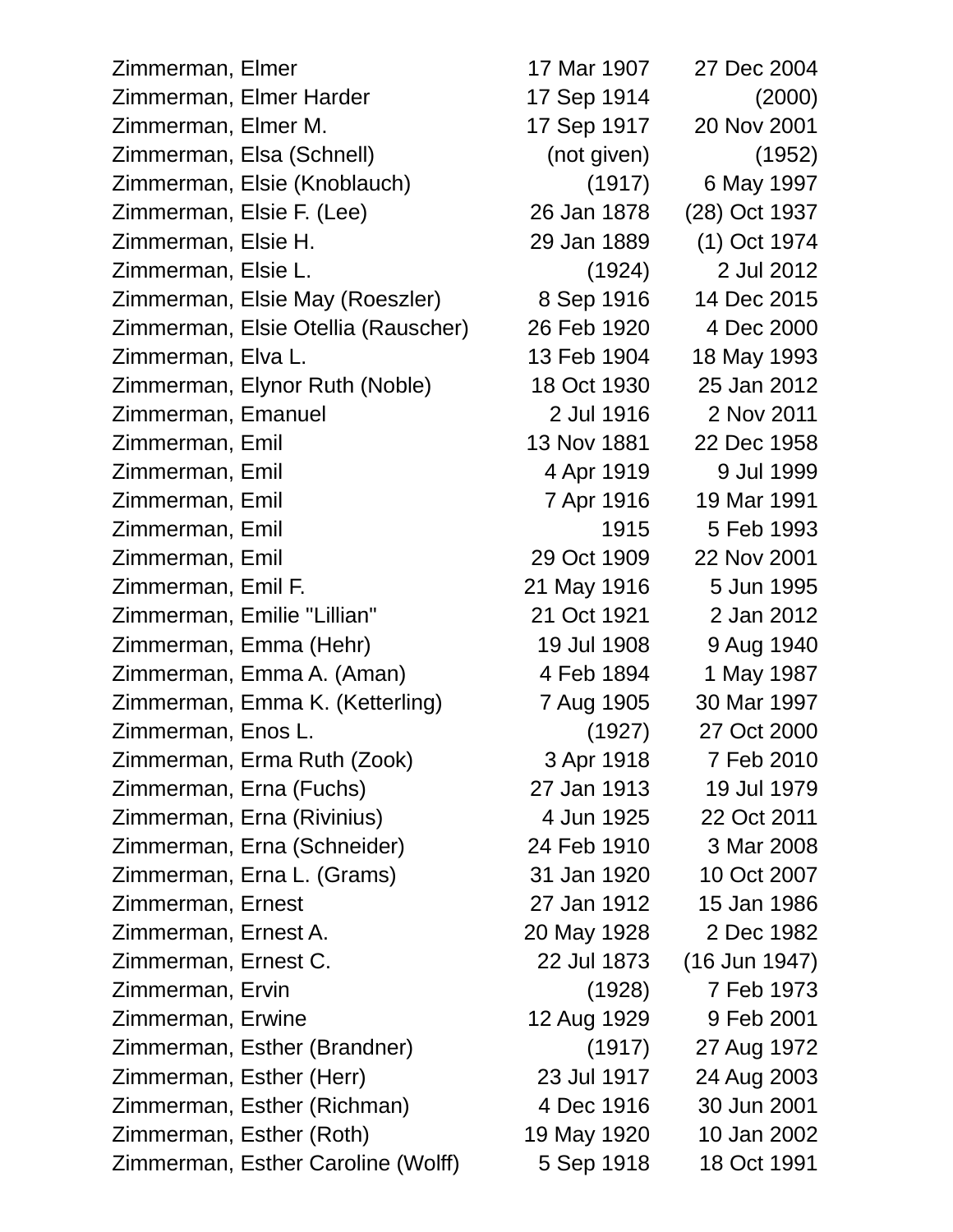Zimmerman, Elmer 17 Mar 1907 27 Dec 2004 Zimmerman, Elmer Harder 17 Sep 1914 (2000) Zimmerman, Elmer M. 17 Sep 1917 20 Nov 2001 Zimmerman, Elsa (Schnell) (not given) (1952) Zimmerman, Elsie (Knoblauch) (1917) 6 May 1997 Zimmerman, Elsie F. (Lee) 26 Jan 1878 (28) Oct 1937 Zimmerman, Elsie H. 29 Jan 1889 (1) Oct 1974 Zimmerman, Elsie L. (1924) 2 Jul 2012 Zimmerman, Elsie May (Roeszler) 8 Sep 1916 14 Dec 2015 Zimmerman, Elsie Otellia (Rauscher) 26 Feb 1920 4 Dec 2000 Zimmerman, Elva L. 13 Feb 1904 18 May 1993 Zimmerman, Elynor Ruth (Noble) 18 Oct 1930 25 Jan 2012 Zimmerman, Emanuel 2 Jul 1916 2 Nov 2011 Zimmerman, Emil 13 Nov 1881 22 Dec 1958 Zimmerman, Emil 4 Apr 1919 9 Jul 1999 Zimmerman, Emil 7 Apr 1916 19 Mar 1991 Zimmerman, Emil 1915 5 Feb 1993 Zimmerman, Emil 29 Oct 1909 22 Nov 2001 Zimmerman, Emil F. 21 May 1916 5 Jun 1995 Zimmerman, Emilie "Lillian" 21 Oct 1921 2 Jan 2012 Zimmerman, Emma (Hehr) 19 Jul 1908 9 Aug 1940 Zimmerman, Emma A. (Aman) 4 Feb 1894 1 May 1987 Zimmerman, Emma K. (Ketterling) 7 Aug 1905 30 Mar 1997 Zimmerman, Enos L. (1927) 27 Oct 2000 Zimmerman, Erma Ruth (Zook) 3 Apr 1918 7 Feb 2010 Zimmerman, Erna (Fuchs) 27 Jan 1913 19 Jul 1979 Zimmerman, Erna (Rivinius) 4 Jun 1925 22 Oct 2011 Zimmerman, Erna (Schneider) 24 Feb 1910 3 Mar 2008 Zimmerman, Erna L. (Grams) 31 Jan 1920 10 Oct 2007 Zimmerman, Ernest 27 Jan 1912 15 Jan 1986 Zimmerman, Ernest A. 20 May 1928 2 Dec 1982 Zimmerman, Ernest C. 22 Jul 1873 (16 Jun 1947) Zimmerman, Ervin (1928) 7 Feb 1973 Zimmerman, Erwine 12 Aug 1929 9 Feb 2001 Zimmerman, Esther (Brandner) (1917) 27 Aug 1972 Zimmerman, Esther (Herr) 23 Jul 1917 24 Aug 2003 Zimmerman, Esther (Richman) 4 Dec 1916 30 Jun 2001 Zimmerman, Esther (Roth) 19 May 1920 10 Jan 2002 Zimmerman, Esther Caroline (Wolff) 5 Sep 1918 18 Oct 1991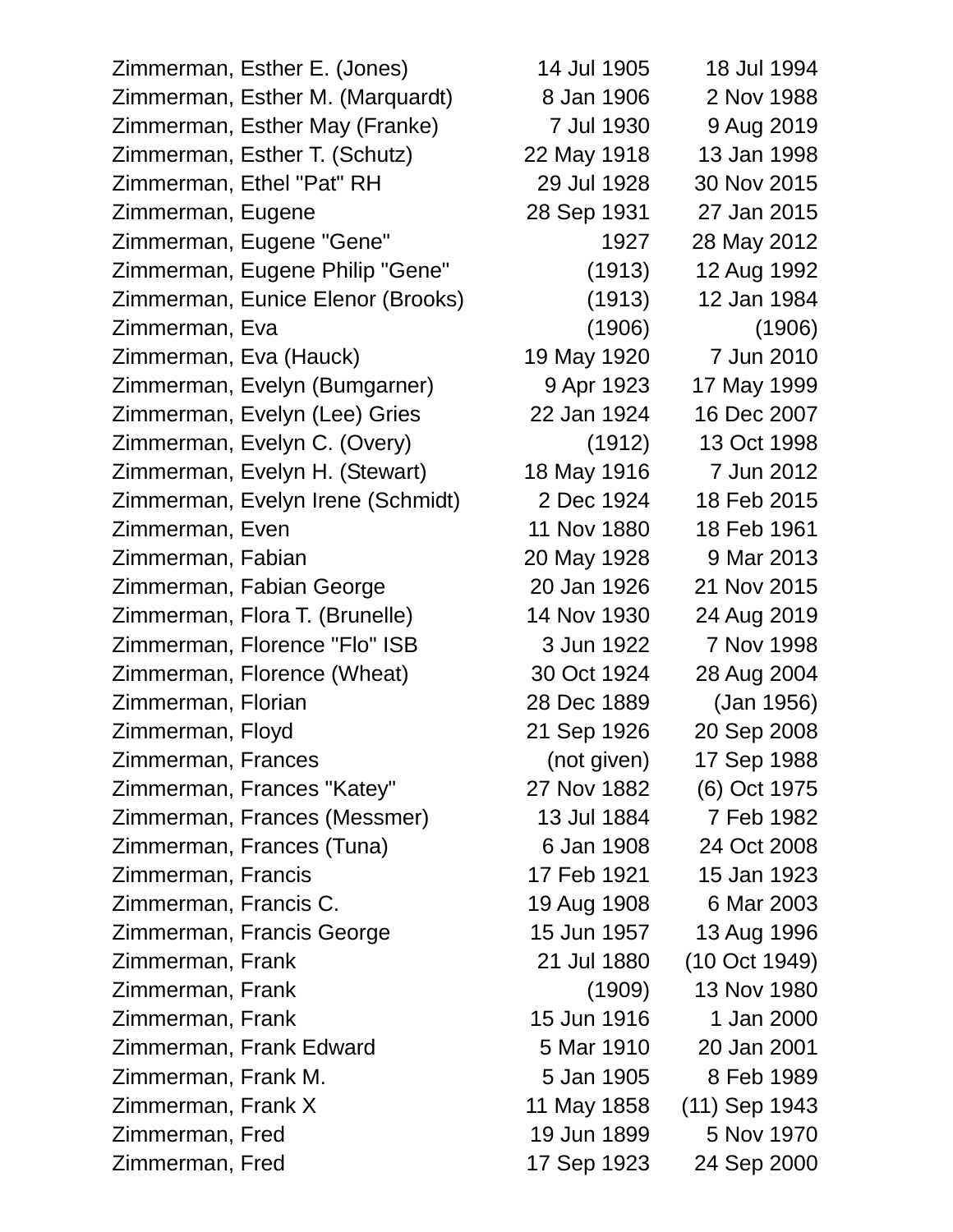Zimmerman, Esther E. (Jones) 14 Jul 1905 18 Jul 1994 Zimmerman, Esther M. (Marquardt) 8 Jan 1906 2 Nov 1988 Zimmerman, Esther May (Franke) 7 Jul 1930 9 Aug 2019 Zimmerman, Esther T. (Schutz) 22 May 1918 13 Jan 1998 Zimmerman, Ethel "Pat" RH 29 Jul 1928 30 Nov 2015 Zimmerman, Eugene 28 Sep 1931 27 Jan 2015 Zimmerman, Eugene "Gene" 1927 28 May 2012 Zimmerman, Eugene Philip "Gene" (1913) 12 Aug 1992 Zimmerman, Eunice Elenor (Brooks) (1913) 12 Jan 1984 Zimmerman, Eva (1906) (1906) Zimmerman, Eva (Hauck) 19 May 1920 7 Jun 2010 Zimmerman, Evelyn (Bumgarner) 9 Apr 1923 17 May 1999 Zimmerman, Evelyn (Lee) Gries 22 Jan 1924 16 Dec 2007 Zimmerman, Evelyn C. (Overy) (1912) 13 Oct 1998 Zimmerman, Evelyn H. (Stewart) 18 May 1916 7 Jun 2012 Zimmerman, Evelyn Irene (Schmidt) 2 Dec 1924 18 Feb 2015 Zimmerman, Even 11 Nov 1880 18 Feb 1961 Zimmerman, Fabian 20 May 1928 9 Mar 2013 Zimmerman, Fabian George 20 Jan 1926 21 Nov 2015 Zimmerman, Flora T. (Brunelle) 14 Nov 1930 24 Aug 2019 Zimmerman, Florence "Flo" ISB 3 Jun 1922 7 Nov 1998 Zimmerman, Florence (Wheat) 30 Oct 1924 28 Aug 2004 Zimmerman, Florian 28 Dec 1889 (Jan 1956) Zimmerman, Floyd 21 Sep 1926 20 Sep 2008 Zimmerman, Frances (not given) 17 Sep 1988 Zimmerman, Frances "Katey" 27 Nov 1882 (6) Oct 1975 Zimmerman, Frances (Messmer) 13 Jul 1884 7 Feb 1982 Zimmerman, Frances (Tuna) 6 Jan 1908 24 Oct 2008 Zimmerman, Francis 17 Feb 1921 15 Jan 1923 Zimmerman, Francis C. 19 Aug 1908 6 Mar 2003 Zimmerman, Francis George 15 Jun 1957 13 Aug 1996 Zimmerman, Frank 21 Jul 1880 (10 Oct 1949) Zimmerman, Frank (1909) 13 Nov 1980 Zimmerman, Frank 15 Jun 1916 1 Jan 2000 Zimmerman, Frank Edward 5 Mar 1910 20 Jan 2001 Zimmerman, Frank M. 5 Jan 1905 8 Feb 1989 Zimmerman, Frank X 11 May 1858 (11) Sep 1943 Zimmerman, Fred 19 Jun 1899 5 Nov 1970 Zimmerman, Fred 17 Sep 1923 24 Sep 2000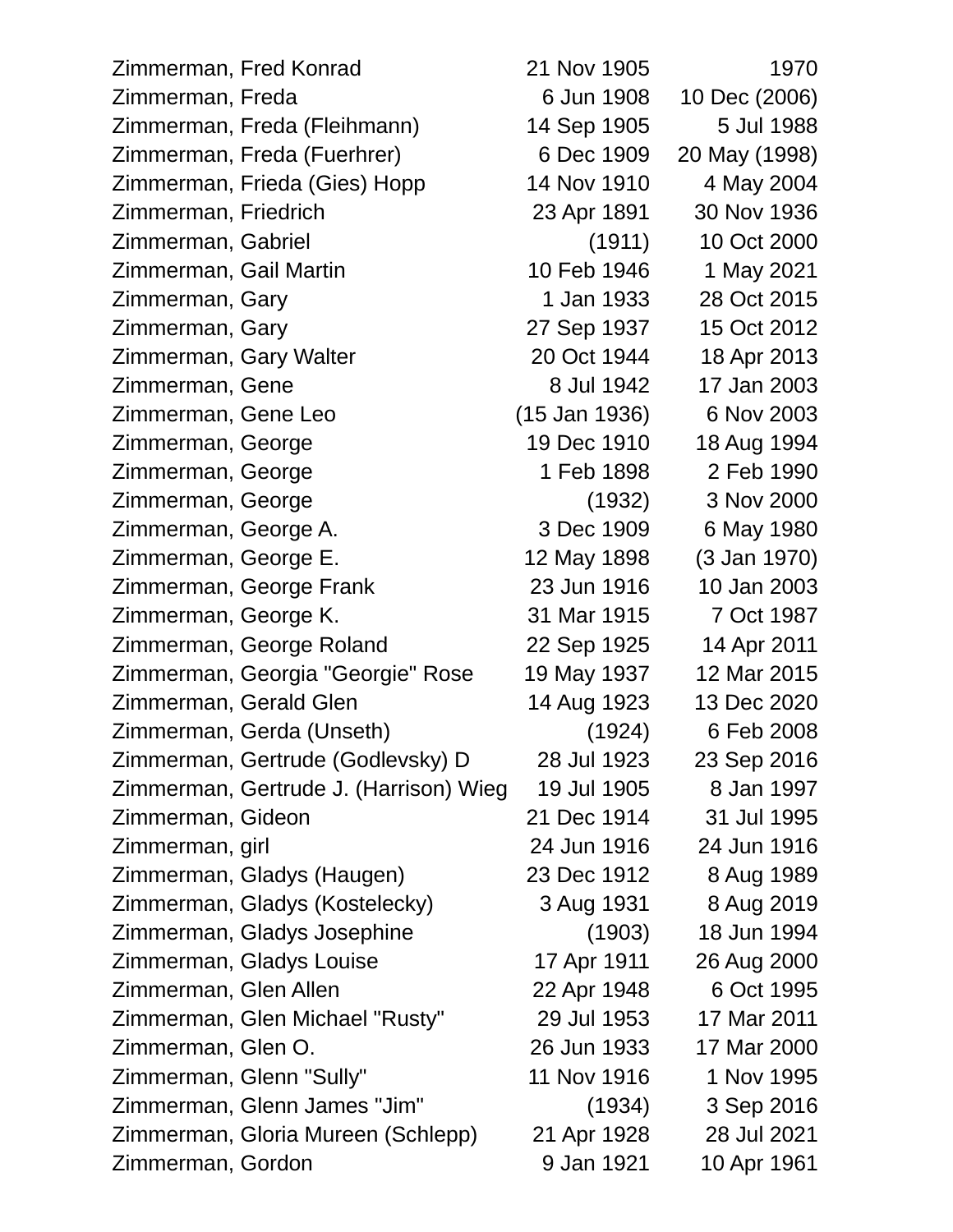| Zimmerman, Fred Konrad                 | 21 Nov 1905   | 1970          |
|----------------------------------------|---------------|---------------|
| Zimmerman, Freda                       | 6 Jun 1908    | 10 Dec (2006) |
| Zimmerman, Freda (Fleihmann)           | 14 Sep 1905   | 5 Jul 1988    |
| Zimmerman, Freda (Fuerhrer)            | 6 Dec 1909    | 20 May (1998) |
| Zimmerman, Frieda (Gies) Hopp          | 14 Nov 1910   | 4 May 2004    |
| Zimmerman, Friedrich                   | 23 Apr 1891   | 30 Nov 1936   |
| Zimmerman, Gabriel                     | (1911)        | 10 Oct 2000   |
| Zimmerman, Gail Martin                 | 10 Feb 1946   | 1 May 2021    |
| Zimmerman, Gary                        | 1 Jan 1933    | 28 Oct 2015   |
| Zimmerman, Gary                        | 27 Sep 1937   | 15 Oct 2012   |
| Zimmerman, Gary Walter                 | 20 Oct 1944   | 18 Apr 2013   |
| Zimmerman, Gene                        | 8 Jul 1942    | 17 Jan 2003   |
| Zimmerman, Gene Leo                    | (15 Jan 1936) | 6 Nov 2003    |
| Zimmerman, George                      | 19 Dec 1910   | 18 Aug 1994   |
| Zimmerman, George                      | 1 Feb 1898    | 2 Feb 1990    |
| Zimmerman, George                      | (1932)        | 3 Nov 2000    |
| Zimmerman, George A.                   | 3 Dec 1909    | 6 May 1980    |
| Zimmerman, George E.                   | 12 May 1898   | (3 Jan 1970)  |
| Zimmerman, George Frank                | 23 Jun 1916   | 10 Jan 2003   |
| Zimmerman, George K.                   | 31 Mar 1915   | 7 Oct 1987    |
| Zimmerman, George Roland               | 22 Sep 1925   | 14 Apr 2011   |
| Zimmerman, Georgia "Georgie" Rose      | 19 May 1937   | 12 Mar 2015   |
| Zimmerman, Gerald Glen                 | 14 Aug 1923   | 13 Dec 2020   |
| Zimmerman, Gerda (Unseth)              | (1924)        | 6 Feb 2008    |
| Zimmerman, Gertrude (Godlevsky) D      | 28 Jul 1923   | 23 Sep 2016   |
| Zimmerman, Gertrude J. (Harrison) Wieg | 19 Jul 1905   | 8 Jan 1997    |
| Zimmerman, Gideon                      | 21 Dec 1914   | 31 Jul 1995   |
| Zimmerman, girl                        | 24 Jun 1916   | 24 Jun 1916   |
| Zimmerman, Gladys (Haugen)             | 23 Dec 1912   | 8 Aug 1989    |
| Zimmerman, Gladys (Kostelecky)         | 3 Aug 1931    | 8 Aug 2019    |
| Zimmerman, Gladys Josephine            | (1903)        | 18 Jun 1994   |
| Zimmerman, Gladys Louise               | 17 Apr 1911   | 26 Aug 2000   |
| Zimmerman, Glen Allen                  | 22 Apr 1948   | 6 Oct 1995    |
| Zimmerman, Glen Michael "Rusty"        | 29 Jul 1953   | 17 Mar 2011   |
| Zimmerman, Glen O.                     | 26 Jun 1933   | 17 Mar 2000   |
| Zimmerman, Glenn "Sully"               | 11 Nov 1916   | 1 Nov 1995    |
| Zimmerman, Glenn James "Jim"           | (1934)        | 3 Sep 2016    |
| Zimmerman, Gloria Mureen (Schlepp)     | 21 Apr 1928   | 28 Jul 2021   |
| Zimmerman, Gordon                      | 9 Jan 1921    | 10 Apr 1961   |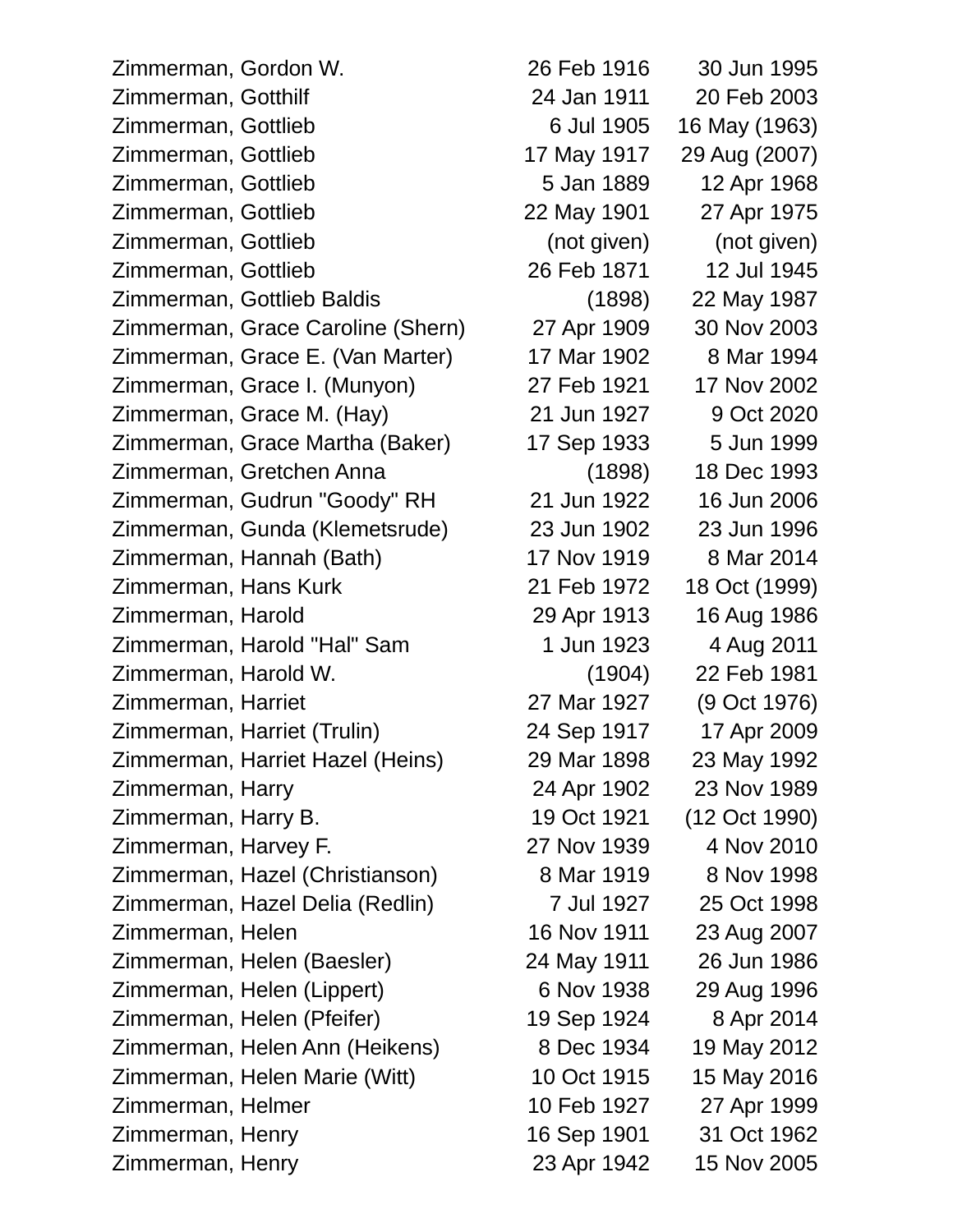Zimmerman, Gordon W. 26 Feb 1916 30 Jun 1995 Zimmerman, Gotthilf 24 Jan 1911 20 Feb 2003 Zimmerman, Gottlieb 6 Jul 1905 16 May (1963) Zimmerman, Gottlieb 17 May 1917 29 Aug (2007) Zimmerman, Gottlieb 5 Jan 1889 12 Apr 1968 Zimmerman, Gottlieb 22 May 1901 27 Apr 1975 Zimmerman, Gottlieb (not given) (not given) Zimmerman, Gottlieb 26 Feb 1871 12 Jul 1945 Zimmerman, Gottlieb Baldis (1898) 22 May 1987 Zimmerman, Grace Caroline (Shern) 27 Apr 1909 30 Nov 2003 Zimmerman, Grace E. (Van Marter) 17 Mar 1902 8 Mar 1994 Zimmerman, Grace I. (Munyon) 27 Feb 1921 17 Nov 2002 Zimmerman, Grace M. (Hay) 21 Jun 1927 9 Oct 2020 Zimmerman, Grace Martha (Baker) 17 Sep 1933 5 Jun 1999 Zimmerman, Gretchen Anna (1898) 18 Dec 1993 Zimmerman, Gudrun "Goody" RH 21 Jun 1922 16 Jun 2006 Zimmerman, Gunda (Klemetsrude) 23 Jun 1902 23 Jun 1996 Zimmerman, Hannah (Bath) 17 Nov 1919 8 Mar 2014 Zimmerman, Hans Kurk 21 Feb 1972 18 Oct (1999) Zimmerman, Harold 29 Apr 1913 16 Aug 1986 Zimmerman, Harold "Hal" Sam 1 Jun 1923 4 Aug 2011 Zimmerman, Harold W. (1904) 22 Feb 1981 Zimmerman, Harriet 27 Mar 1927 (9 Oct 1976) Zimmerman, Harriet (Trulin) 24 Sep 1917 17 Apr 2009 Zimmerman, Harriet Hazel (Heins) 29 Mar 1898 23 May 1992 Zimmerman, Harry 24 Apr 1902 23 Nov 1989 Zimmerman, Harry B. 19 Oct 1921 (12 Oct 1990) Zimmerman, Harvey F. 27 Nov 1939 4 Nov 2010 Zimmerman, Hazel (Christianson) 8 Mar 1919 8 Nov 1998 Zimmerman, Hazel Delia (Redlin) 7 Jul 1927 25 Oct 1998 Zimmerman, Helen 16 Nov 1911 23 Aug 2007 Zimmerman, Helen (Baesler) 24 May 1911 26 Jun 1986 Zimmerman, Helen (Lippert) 6 Nov 1938 29 Aug 1996 Zimmerman, Helen (Pfeifer) 19 Sep 1924 8 Apr 2014 Zimmerman, Helen Ann (Heikens) 8 Dec 1934 19 May 2012 Zimmerman, Helen Marie (Witt) 10 Oct 1915 15 May 2016 Zimmerman, Helmer 10 Feb 1927 27 Apr 1999 Zimmerman, Henry 16 Sep 1901 31 Oct 1962 Zimmerman, Henry 23 Apr 1942 15 Nov 2005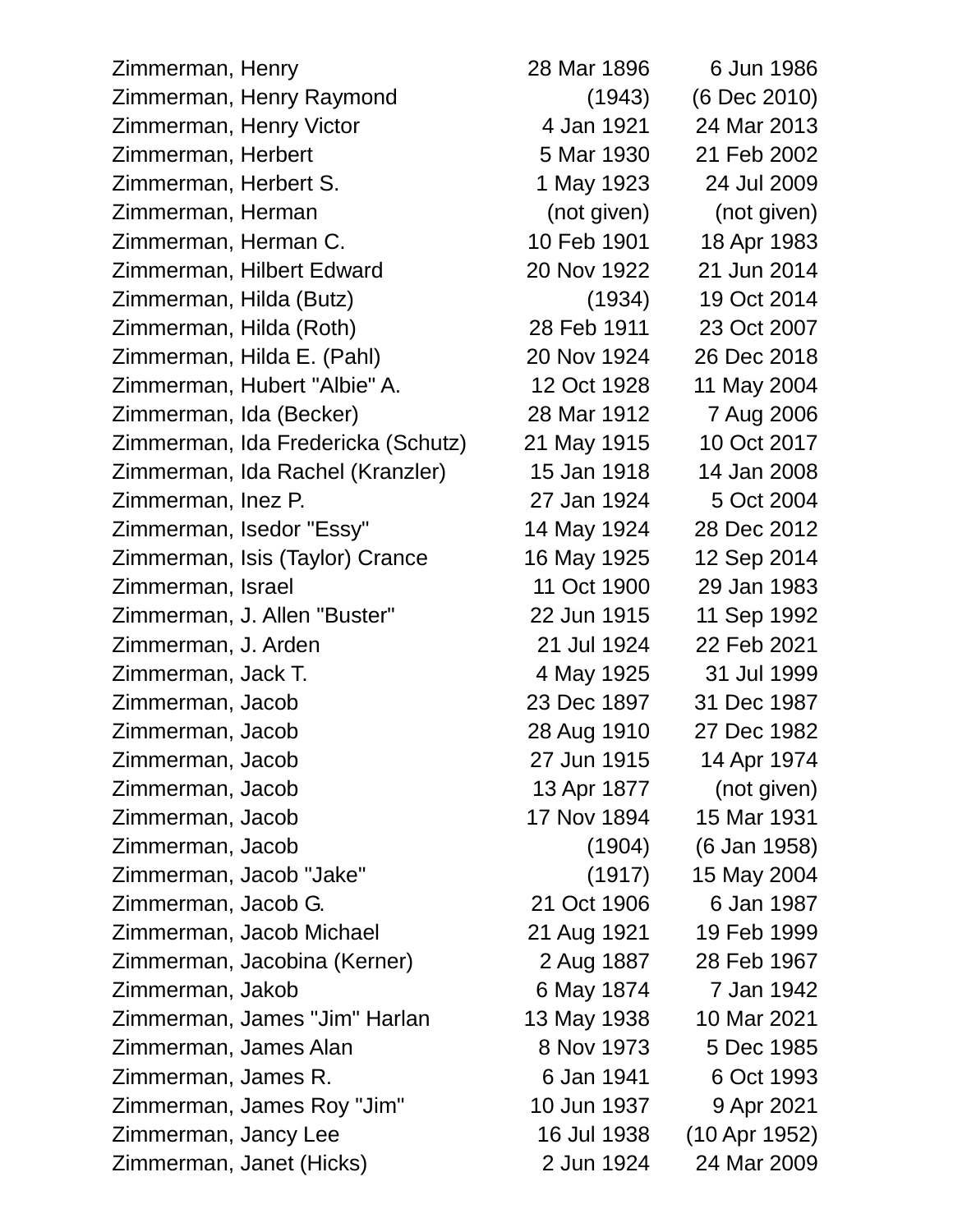Zimmerman, Henry 28 Mar 1896 6 Jun 1986 Zimmerman, Henry Raymond (1943) (6 Dec 2010) Zimmerman, Henry Victor 4 Jan 1921 24 Mar 2013 Zimmerman, Herbert 5 Mar 1930 21 Feb 2002 Zimmerman, Herbert S. 1 May 1923 24 Jul 2009 Zimmerman, Herman (not given) (not given) Zimmerman, Herman C. 10 Feb 1901 18 Apr 1983 Zimmerman, Hilbert Edward 20 Nov 1922 21 Jun 2014 Zimmerman, Hilda (Butz) (1934) 19 Oct 2014 Zimmerman, Hilda (Roth) 28 Feb 1911 23 Oct 2007 Zimmerman, Hilda E. (Pahl) 20 Nov 1924 26 Dec 2018 Zimmerman, Hubert "Albie" A. 12 Oct 1928 11 May 2004 Zimmerman, Ida (Becker) 28 Mar 1912 7 Aug 2006 Zimmerman, Ida Fredericka (Schutz) 21 May 1915 10 Oct 2017 Zimmerman, Ida Rachel (Kranzler) 15 Jan 1918 14 Jan 2008 Zimmerman, Inez P. 27 Jan 1924 5 Oct 2004 Zimmerman, Isedor "Essy" 14 May 1924 28 Dec 2012 Zimmerman, Isis (Taylor) Crance 16 May 1925 12 Sep 2014 Zimmerman, Israel 11 Oct 1900 29 Jan 1983 Zimmerman, J. Allen "Buster" 22 Jun 1915 11 Sep 1992 Zimmerman, J. Arden 21 Jul 1924 22 Feb 2021 Zimmerman, Jack T. 4 May 1925 31 Jul 1999 Zimmerman, Jacob 23 Dec 1897 31 Dec 1987 Zimmerman, Jacob 28 Aug 1910 27 Dec 1982 Zimmerman, Jacob 27 Jun 1915 14 Apr 1974 Zimmerman, Jacob 13 Apr 1877 (not given) Zimmerman, Jacob 17 Nov 1894 15 Mar 1931 Zimmerman, Jacob (1904) (6 Jan 1958) Zimmerman, Jacob "Jake" (1917) 15 May 2004 Zimmerman, Jacob G. 21 Oct 1906 6 Jan 1987 Zimmerman, Jacob Michael 21 Aug 1921 19 Feb 1999 Zimmerman, Jacobina (Kerner) 2 Aug 1887 28 Feb 1967 Zimmerman, Jakob 6 May 1874 7 Jan 1942 Zimmerman, James "Jim" Harlan 13 May 1938 10 Mar 2021 Zimmerman, James Alan 8 Nov 1973 5 Dec 1985 Zimmerman, James R. 6 Jan 1941 6 Oct 1993 Zimmerman, James Roy "Jim" 10 Jun 1937 9 Apr 2021 Zimmerman, Jancy Lee 16 Jul 1938 (10 Apr 1952)

Zimmerman, Janet (Hicks) 2 Jun 1924 24 Mar 2009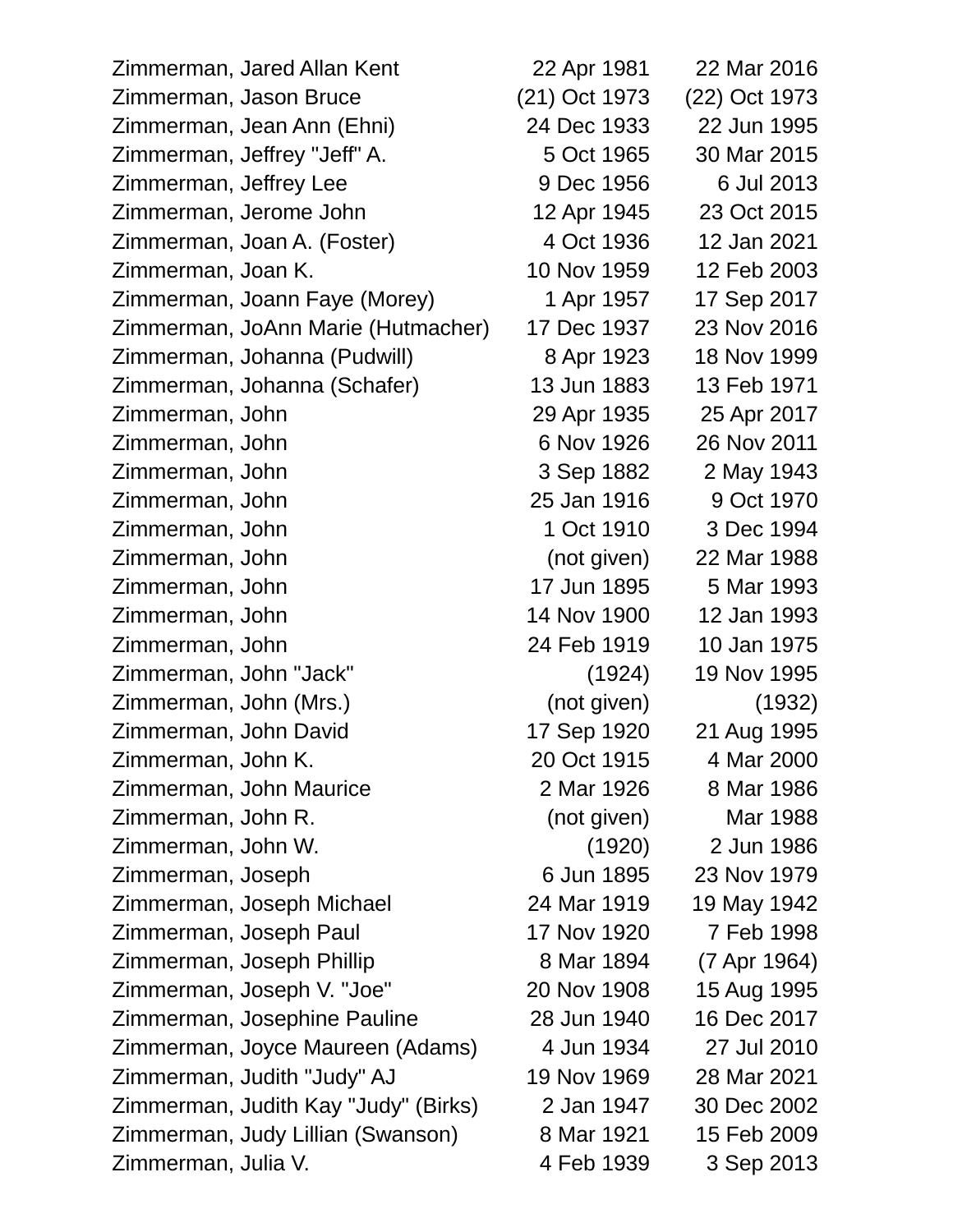Zimmerman, Jared Allan Kent 22 Apr 1981 22 Mar 2016 Zimmerman, Jason Bruce (21) Oct 1973 (22) Oct 1973 Zimmerman, Jean Ann (Ehni) 24 Dec 1933 22 Jun 1995 Zimmerman, Jeffrey "Jeff" A. 5 Oct 1965 30 Mar 2015 Zimmerman, Jeffrey Lee 9 Dec 1956 6 Jul 2013 Zimmerman, Jerome John 12 Apr 1945 23 Oct 2015 Zimmerman, Joan A. (Foster) 4 Oct 1936 12 Jan 2021 Zimmerman, Joan K. 10 Nov 1959 12 Feb 2003 Zimmerman, Joann Faye (Morey) 1 Apr 1957 17 Sep 2017 Zimmerman, JoAnn Marie (Hutmacher) 17 Dec 1937 23 Nov 2016 Zimmerman, Johanna (Pudwill) 8 Apr 1923 18 Nov 1999 Zimmerman, Johanna (Schafer) 13 Jun 1883 13 Feb 1971 Zimmerman, John 29 Apr 1935 25 Apr 2017 Zimmerman, John 6 Nov 1926 26 Nov 2011 Zimmerman, John 3 Sep 1882 2 May 1943 Zimmerman, John 25 Jan 1916 9 Oct 1970 Zimmerman, John 1 Oct 1910 3 Dec 1994 Zimmerman, John (not given) 22 Mar 1988 Zimmerman, John 17 Jun 1895 5 Mar 1993 Zimmerman, John 14 Nov 1900 12 Jan 1993 Zimmerman, John 24 Feb 1919 10 Jan 1975 Zimmerman, John "Jack" (1924) 19 Nov 1995 Zimmerman, John (Mrs.) (not given) (1932) Zimmerman, John David 17 Sep 1920 21 Aug 1995 Zimmerman, John K. 20 Oct 1915 4 Mar 2000 Zimmerman, John Maurice 2 Mar 1926 8 Mar 1986 Zimmerman, John R. (not given) Mar 1988 Zimmerman, John W. (1920) 2 Jun 1986 Zimmerman, Joseph 6 Jun 1895 23 Nov 1979 Zimmerman, Joseph Michael 24 Mar 1919 19 May 1942 Zimmerman, Joseph Paul 17 Nov 1920 7 Feb 1998 Zimmerman, Joseph Phillip 8 Mar 1894 (7 Apr 1964) Zimmerman, Joseph V. "Joe" 20 Nov 1908 15 Aug 1995 Zimmerman, Josephine Pauline 28 Jun 1940 16 Dec 2017 Zimmerman, Joyce Maureen (Adams) 4 Jun 1934 27 Jul 2010 Zimmerman, Judith "Judy" AJ 19 Nov 1969 28 Mar 2021 Zimmerman, Judith Kay "Judy" (Birks) 2 Jan 1947 30 Dec 2002 Zimmerman, Judy Lillian (Swanson) 8 Mar 1921 15 Feb 2009 Zimmerman, Julia V. 4 Feb 1939 3 Sep 2013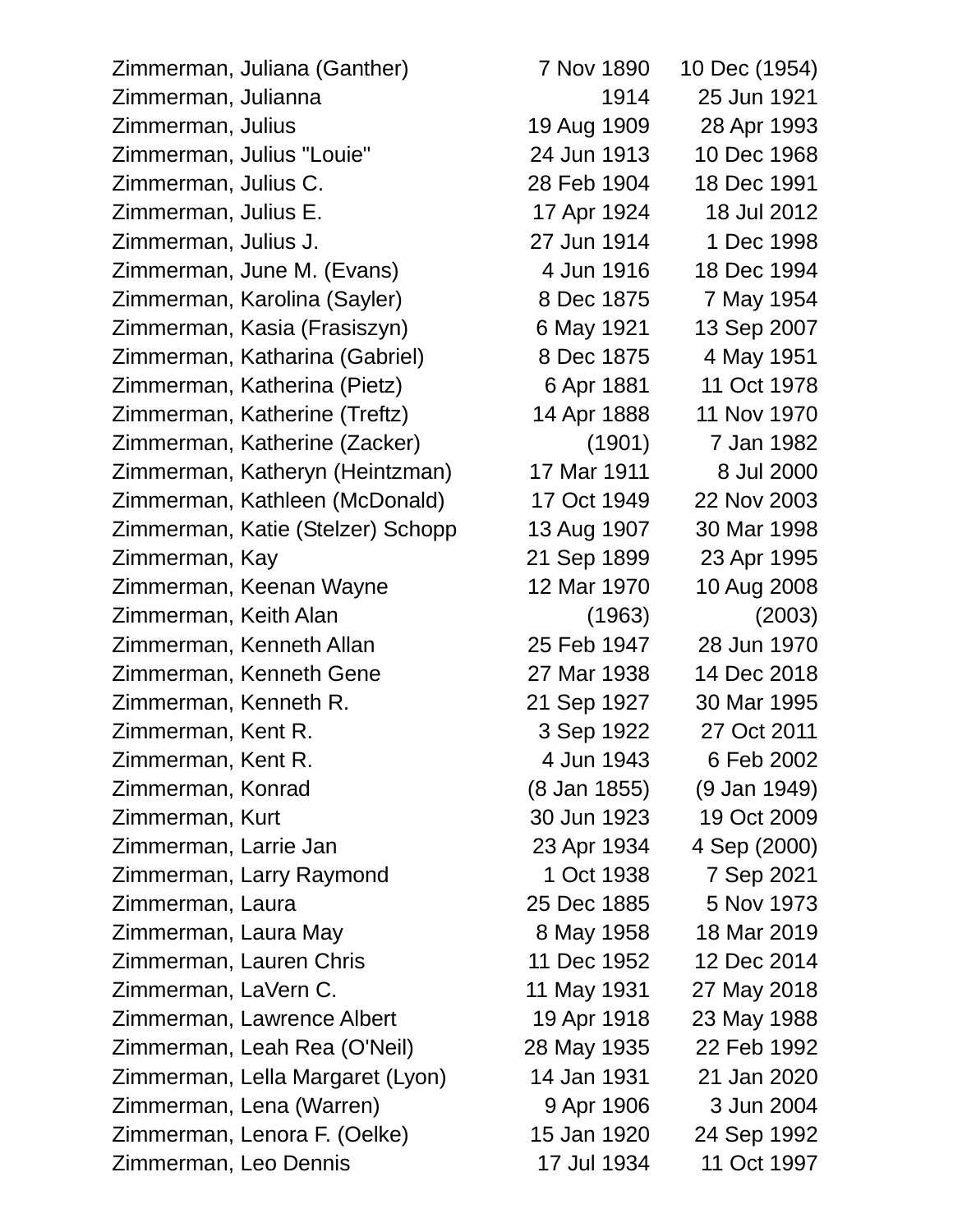Zimmerman, Juliana (Ganther) 7 Nov 1890 10 Dec (1954) Zimmerman, Julianna 1914 25 Jun 1921 Zimmerman, Julius 19 Aug 1909 28 Apr 1993 Zimmerman, Julius "Louie" 24 Jun 1913 10 Dec 1968 Zimmerman, Julius C. 28 Feb 1904 18 Dec 1991 Zimmerman, Julius E. 17 Apr 1924 18 Jul 2012 Zimmerman, Julius J. 27 Jun 1914 1 Dec 1998 Zimmerman, June M. (Evans) 4 Jun 1916 18 Dec 1994 Zimmerman, Karolina (Sayler) 8 Dec 1875 7 May 1954 Zimmerman, Kasia (Frasiszyn) 6 May 1921 13 Sep 2007 Zimmerman, Katharina (Gabriel) 8 Dec 1875 4 May 1951 Zimmerman, Katherina (Pietz) 6 Apr 1881 11 Oct 1978 Zimmerman, Katherine (Treftz) 14 Apr 1888 11 Nov 1970 Zimmerman, Katherine (Zacker) (1901) 7 Jan 1982 Zimmerman, Katheryn (Heintzman) 17 Mar 1911 8 Jul 2000 Zimmerman, Kathleen (McDonald) 17 Oct 1949 22 Nov 2003 Zimmerman, Katie (Stelzer) Schopp 13 Aug 1907 30 Mar 1998 Zimmerman, Kay 21 Sep 1899 23 Apr 1995 Zimmerman, Keenan Wayne 12 Mar 1970 10 Aug 2008 Zimmerman, Keith Alan (1963) (2003) Zimmerman, Kenneth Allan 25 Feb 1947 28 Jun 1970 Zimmerman, Kenneth Gene 27 Mar 1938 14 Dec 2018 Zimmerman, Kenneth R. 21 Sep 1927 30 Mar 1995 Zimmerman, Kent R. 3 Sep 1922 27 Oct 2011 Zimmerman, Kent R. 4 Jun 1943 6 Feb 2002 Zimmerman, Konrad (8 Jan 1855) (9 Jan 1949) Zimmerman, Kurt 30 Jun 1923 19 Oct 2009 Zimmerman, Larrie Jan 23 Apr 1934 4 Sep (2000) Zimmerman, Larry Raymond 1 Oct 1938 7 Sep 2021 Zimmerman, Laura 25 Dec 1885 5 Nov 1973 Zimmerman, Laura May 8 May 1958 18 Mar 2019 Zimmerman, Lauren Chris 11 Dec 1952 12 Dec 2014 Zimmerman, LaVern C. 11 May 1931 27 May 2018 Zimmerman, Lawrence Albert 19 Apr 1918 23 May 1988 Zimmerman, Leah Rea (O'Neil) 28 May 1935 22 Feb 1992 Zimmerman, Lella Margaret (Lyon) 14 Jan 1931 21 Jan 2020 Zimmerman, Lena (Warren) 9 Apr 1906 3 Jun 2004 Zimmerman, Lenora F. (Oelke) 15 Jan 1920 24 Sep 1992 Zimmerman, Leo Dennis 17 Jul 1934 11 Oct 1997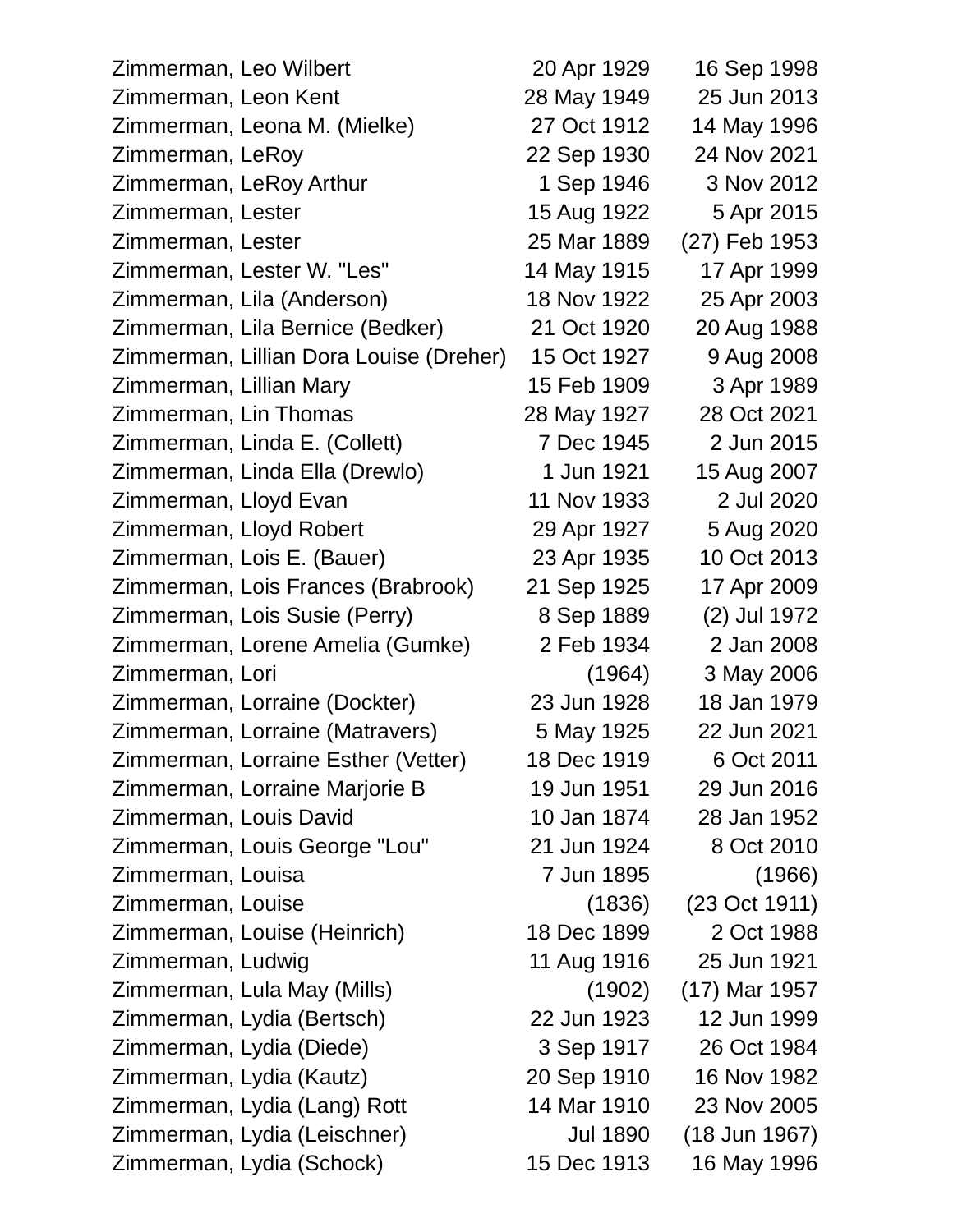| Zimmerman, Leo Wilbert                  | 20 Apr 1929     | 16 Sep 1998   |
|-----------------------------------------|-----------------|---------------|
| Zimmerman, Leon Kent                    | 28 May 1949     | 25 Jun 2013   |
| Zimmerman, Leona M. (Mielke)            | 27 Oct 1912     | 14 May 1996   |
| Zimmerman, LeRoy                        | 22 Sep 1930     | 24 Nov 2021   |
| Zimmerman, LeRoy Arthur                 | 1 Sep 1946      | 3 Nov 2012    |
| Zimmerman, Lester                       | 15 Aug 1922     | 5 Apr 2015    |
| Zimmerman, Lester                       | 25 Mar 1889     | (27) Feb 1953 |
| Zimmerman, Lester W. "Les"              | 14 May 1915     | 17 Apr 1999   |
| Zimmerman, Lila (Anderson)              | 18 Nov 1922     | 25 Apr 2003   |
| Zimmerman, Lila Bernice (Bedker)        | 21 Oct 1920     | 20 Aug 1988   |
| Zimmerman, Lillian Dora Louise (Dreher) | 15 Oct 1927     | 9 Aug 2008    |
| Zimmerman, Lillian Mary                 | 15 Feb 1909     | 3 Apr 1989    |
| Zimmerman, Lin Thomas                   | 28 May 1927     | 28 Oct 2021   |
| Zimmerman, Linda E. (Collett)           | 7 Dec 1945      | 2 Jun 2015    |
| Zimmerman, Linda Ella (Drewlo)          | 1 Jun 1921      | 15 Aug 2007   |
| Zimmerman, Lloyd Evan                   | 11 Nov 1933     | 2 Jul 2020    |
| Zimmerman, Lloyd Robert                 | 29 Apr 1927     | 5 Aug 2020    |
| Zimmerman, Lois E. (Bauer)              | 23 Apr 1935     | 10 Oct 2013   |
| Zimmerman, Lois Frances (Brabrook)      | 21 Sep 1925     | 17 Apr 2009   |
| Zimmerman, Lois Susie (Perry)           | 8 Sep 1889      | (2) Jul 1972  |
| Zimmerman, Lorene Amelia (Gumke)        | 2 Feb 1934      | 2 Jan 2008    |
| Zimmerman, Lori                         | (1964)          | 3 May 2006    |
| Zimmerman, Lorraine (Dockter)           | 23 Jun 1928     | 18 Jan 1979   |
| Zimmerman, Lorraine (Matravers)         | 5 May 1925      | 22 Jun 2021   |
| Zimmerman, Lorraine Esther (Vetter)     | 18 Dec 1919     | 6 Oct 2011    |
| Zimmerman, Lorraine Marjorie B          | 19 Jun 1951     | 29 Jun 2016   |
| Zimmerman, Louis David                  | 10 Jan 1874     | 28 Jan 1952   |
| Zimmerman, Louis George "Lou"           | 21 Jun 1924     | 8 Oct 2010    |
| Zimmerman, Louisa                       | 7 Jun 1895      | (1966)        |
| Zimmerman, Louise                       | (1836)          | (23 Oct 1911) |
| Zimmerman, Louise (Heinrich)            | 18 Dec 1899     | 2 Oct 1988    |
| Zimmerman, Ludwig                       | 11 Aug 1916     | 25 Jun 1921   |
| Zimmerman, Lula May (Mills)             | (1902)          | (17) Mar 1957 |
| Zimmerman, Lydia (Bertsch)              | 22 Jun 1923     | 12 Jun 1999   |
| Zimmerman, Lydia (Diede)                | 3 Sep 1917      | 26 Oct 1984   |
| Zimmerman, Lydia (Kautz)                | 20 Sep 1910     | 16 Nov 1982   |
| Zimmerman, Lydia (Lang) Rott            | 14 Mar 1910     | 23 Nov 2005   |
| Zimmerman, Lydia (Leischner)            | <b>Jul 1890</b> | (18 Jun 1967) |
| Zimmerman, Lydia (Schock)               | 15 Dec 1913     | 16 May 1996   |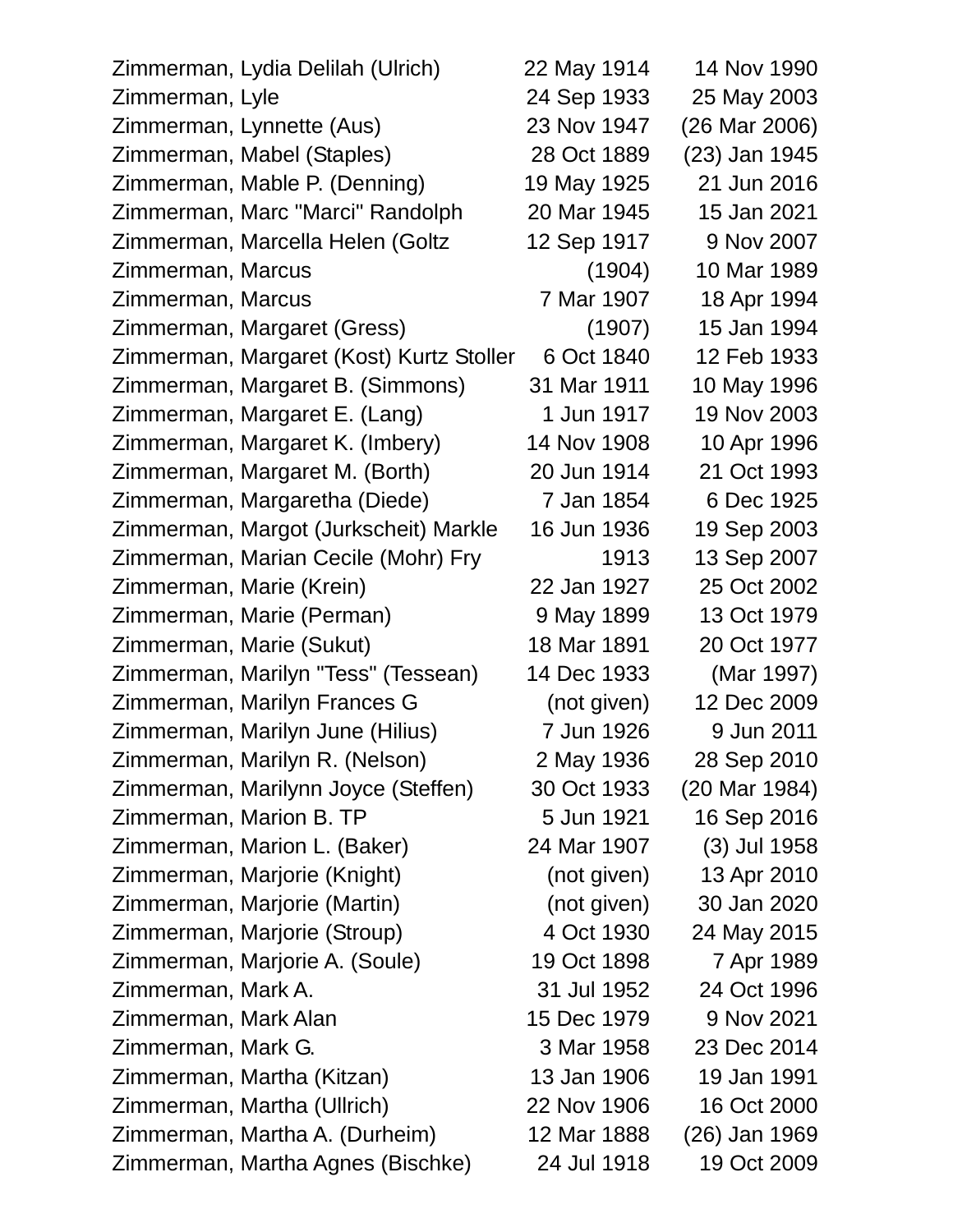| Zimmerman, Lydia Delilah (Ulrich)        | 22 May 1914 | 14 Nov 1990   |
|------------------------------------------|-------------|---------------|
| Zimmerman, Lyle                          | 24 Sep 1933 | 25 May 2003   |
| Zimmerman, Lynnette (Aus)                | 23 Nov 1947 | (26 Mar 2006) |
| Zimmerman, Mabel (Staples)               | 28 Oct 1889 | (23) Jan 1945 |
| Zimmerman, Mable P. (Denning)            | 19 May 1925 | 21 Jun 2016   |
| Zimmerman, Marc "Marci" Randolph         | 20 Mar 1945 | 15 Jan 2021   |
| Zimmerman, Marcella Helen (Goltz         | 12 Sep 1917 | 9 Nov 2007    |
| Zimmerman, Marcus                        | (1904)      | 10 Mar 1989   |
| Zimmerman, Marcus                        | 7 Mar 1907  | 18 Apr 1994   |
| Zimmerman, Margaret (Gress)              | (1907)      | 15 Jan 1994   |
| Zimmerman, Margaret (Kost) Kurtz Stoller | 6 Oct 1840  | 12 Feb 1933   |
| Zimmerman, Margaret B. (Simmons)         | 31 Mar 1911 | 10 May 1996   |
| Zimmerman, Margaret E. (Lang)            | 1 Jun 1917  | 19 Nov 2003   |
| Zimmerman, Margaret K. (Imbery)          | 14 Nov 1908 | 10 Apr 1996   |
| Zimmerman, Margaret M. (Borth)           | 20 Jun 1914 | 21 Oct 1993   |
| Zimmerman, Margaretha (Diede)            | 7 Jan 1854  | 6 Dec 1925    |
| Zimmerman, Margot (Jurkscheit) Markle    | 16 Jun 1936 | 19 Sep 2003   |
| Zimmerman, Marian Cecile (Mohr) Fry      | 1913        | 13 Sep 2007   |
| Zimmerman, Marie (Krein)                 | 22 Jan 1927 | 25 Oct 2002   |
| Zimmerman, Marie (Perman)                | 9 May 1899  | 13 Oct 1979   |
| Zimmerman, Marie (Sukut)                 | 18 Mar 1891 | 20 Oct 1977   |
| Zimmerman, Marilyn "Tess" (Tessean)      | 14 Dec 1933 | (Mar 1997)    |
| Zimmerman, Marilyn Frances G             | (not given) | 12 Dec 2009   |
| Zimmerman, Marilyn June (Hilius)         | 7 Jun 1926  | 9 Jun 2011    |
| Zimmerman, Marilyn R. (Nelson)           | 2 May 1936  | 28 Sep 2010   |
| Zimmerman, Marilynn Joyce (Steffen)      | 30 Oct 1933 | (20 Mar 1984) |
| Zimmerman, Marion B. TP                  | 5 Jun 1921  | 16 Sep 2016   |
| Zimmerman, Marion L. (Baker)             | 24 Mar 1907 | (3) Jul 1958  |
| Zimmerman, Marjorie (Knight)             | (not given) | 13 Apr 2010   |
| Zimmerman, Marjorie (Martin)             | (not given) | 30 Jan 2020   |
| Zimmerman, Marjorie (Stroup)             | 4 Oct 1930  | 24 May 2015   |
| Zimmerman, Marjorie A. (Soule)           | 19 Oct 1898 | 7 Apr 1989    |
| Zimmerman, Mark A.                       | 31 Jul 1952 | 24 Oct 1996   |
| Zimmerman, Mark Alan                     | 15 Dec 1979 | 9 Nov 2021    |
| Zimmerman, Mark G.                       | 3 Mar 1958  | 23 Dec 2014   |
| Zimmerman, Martha (Kitzan)               | 13 Jan 1906 | 19 Jan 1991   |
| Zimmerman, Martha (Ullrich)              | 22 Nov 1906 | 16 Oct 2000   |
| Zimmerman, Martha A. (Durheim)           | 12 Mar 1888 | (26) Jan 1969 |
| Zimmerman, Martha Agnes (Bischke)        | 24 Jul 1918 | 19 Oct 2009   |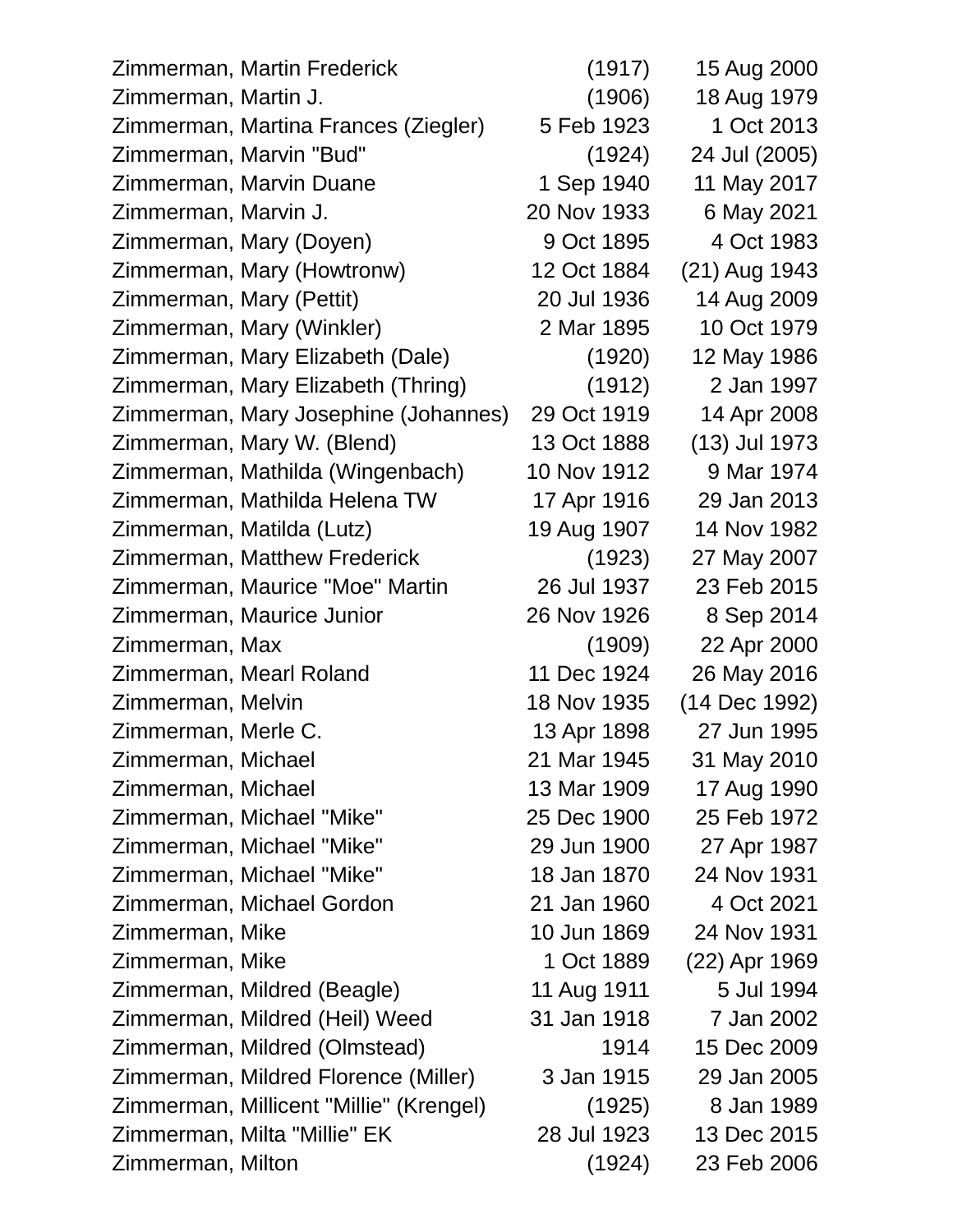| Zimmerman, Martin Frederick             | (1917)      | 15 Aug 2000   |
|-----------------------------------------|-------------|---------------|
| Zimmerman, Martin J.                    | (1906)      | 18 Aug 1979   |
| Zimmerman, Martina Frances (Ziegler)    | 5 Feb 1923  | 1 Oct 2013    |
| Zimmerman, Marvin "Bud"                 | (1924)      | 24 Jul (2005) |
| Zimmerman, Marvin Duane                 | 1 Sep 1940  | 11 May 2017   |
| Zimmerman, Marvin J.                    | 20 Nov 1933 | 6 May 2021    |
| Zimmerman, Mary (Doyen)                 | 9 Oct 1895  | 4 Oct 1983    |
| Zimmerman, Mary (Howtronw)              | 12 Oct 1884 | (21) Aug 1943 |
| Zimmerman, Mary (Pettit)                | 20 Jul 1936 | 14 Aug 2009   |
| Zimmerman, Mary (Winkler)               | 2 Mar 1895  | 10 Oct 1979   |
| Zimmerman, Mary Elizabeth (Dale)        | (1920)      | 12 May 1986   |
| Zimmerman, Mary Elizabeth (Thring)      | (1912)      | 2 Jan 1997    |
| Zimmerman, Mary Josephine (Johannes)    | 29 Oct 1919 | 14 Apr 2008   |
| Zimmerman, Mary W. (Blend)              | 13 Oct 1888 | (13) Jul 1973 |
| Zimmerman, Mathilda (Wingenbach)        | 10 Nov 1912 | 9 Mar 1974    |
| Zimmerman, Mathilda Helena TW           | 17 Apr 1916 | 29 Jan 2013   |
| Zimmerman, Matilda (Lutz)               | 19 Aug 1907 | 14 Nov 1982   |
| Zimmerman, Matthew Frederick            | (1923)      | 27 May 2007   |
| Zimmerman, Maurice "Moe" Martin         | 26 Jul 1937 | 23 Feb 2015   |
| Zimmerman, Maurice Junior               | 26 Nov 1926 | 8 Sep 2014    |
| Zimmerman, Max                          | (1909)      | 22 Apr 2000   |
| Zimmerman, Mearl Roland                 | 11 Dec 1924 | 26 May 2016   |
| Zimmerman, Melvin                       | 18 Nov 1935 | (14 Dec 1992) |
| Zimmerman, Merle C.                     | 13 Apr 1898 | 27 Jun 1995   |
| Zimmerman, Michael                      | 21 Mar 1945 | 31 May 2010   |
| Zimmerman, Michael                      | 13 Mar 1909 | 17 Aug 1990   |
| Zimmerman, Michael "Mike"               | 25 Dec 1900 | 25 Feb 1972   |
| Zimmerman, Michael "Mike"               | 29 Jun 1900 | 27 Apr 1987   |
| Zimmerman, Michael "Mike"               | 18 Jan 1870 | 24 Nov 1931   |
| Zimmerman, Michael Gordon               | 21 Jan 1960 | 4 Oct 2021    |
| Zimmerman, Mike                         | 10 Jun 1869 | 24 Nov 1931   |
| Zimmerman, Mike                         | 1 Oct 1889  | (22) Apr 1969 |
| Zimmerman, Mildred (Beagle)             | 11 Aug 1911 | 5 Jul 1994    |
| Zimmerman, Mildred (Heil) Weed          | 31 Jan 1918 | 7 Jan 2002    |
| Zimmerman, Mildred (Olmstead)           | 1914        | 15 Dec 2009   |
| Zimmerman, Mildred Florence (Miller)    | 3 Jan 1915  | 29 Jan 2005   |
| Zimmerman, Millicent "Millie" (Krengel) | (1925)      | 8 Jan 1989    |
| Zimmerman, Milta "Millie" EK            | 28 Jul 1923 | 13 Dec 2015   |
| Zimmerman, Milton                       | (1924)      | 23 Feb 2006   |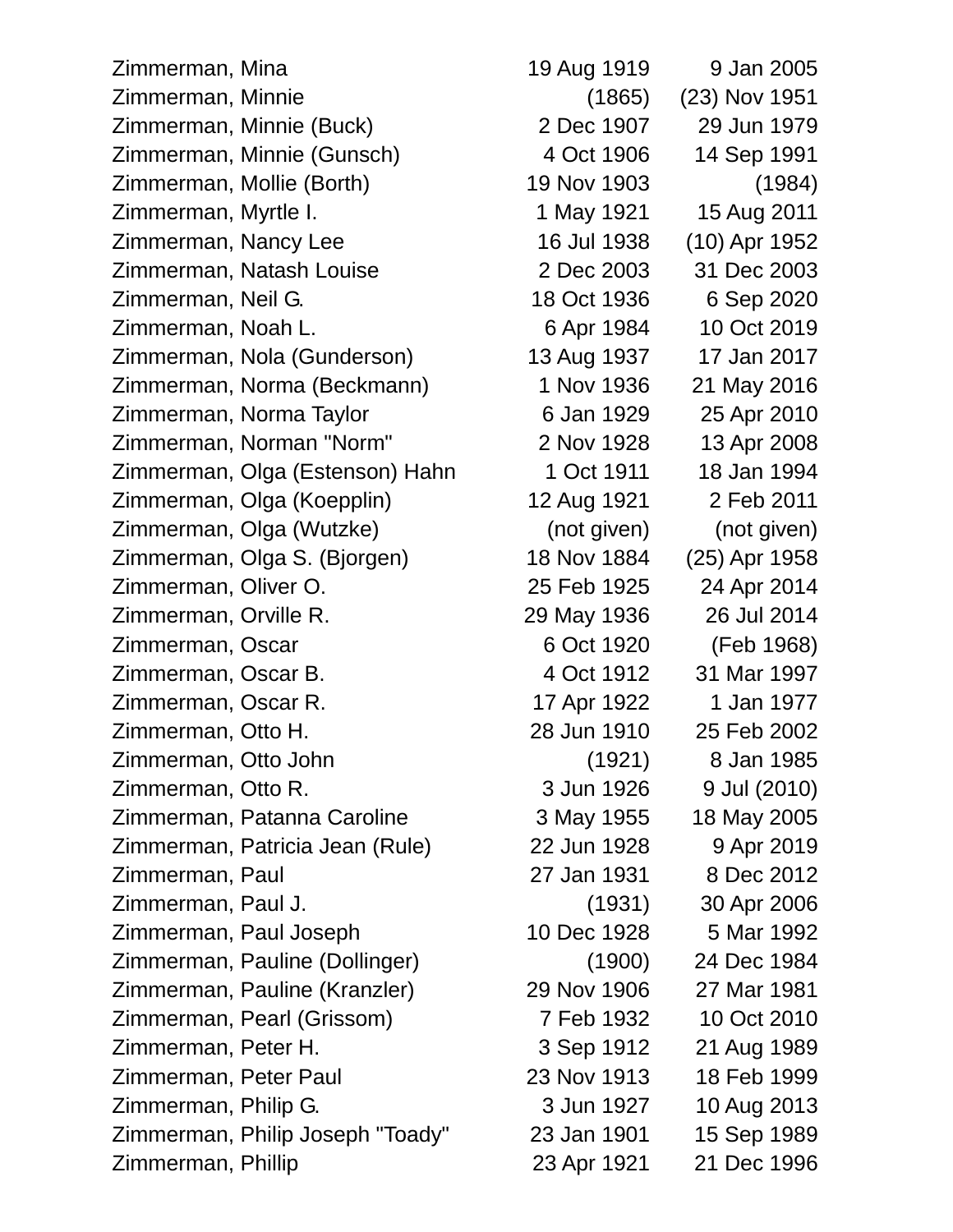Zimmerman, Mina 19 Aug 1919 9 Jan 2005 Zimmerman, Minnie (1865) (23) Nov 1951 Zimmerman, Minnie (Buck) 2 Dec 1907 29 Jun 1979 Zimmerman, Minnie (Gunsch) 4 Oct 1906 14 Sep 1991 Zimmerman, Mollie (Borth) 19 Nov 1903 (1984) Zimmerman, Myrtle I. 1992 1 May 1921 15 Aug 2011 Zimmerman, Nancy Lee 16 Jul 1938 (10) Apr 1952 Zimmerman, Natash Louise 2 Dec 2003 31 Dec 2003 Zimmerman, Neil G. 18 Oct 1936 6 Sep 2020 Zimmerman, Noah L. 6 Apr 1984 10 Oct 2019 Zimmerman, Nola (Gunderson) 13 Aug 1937 17 Jan 2017 Zimmerman, Norma (Beckmann) 1 Nov 1936 21 May 2016 Zimmerman, Norma Taylor 6 Jan 1929 25 Apr 2010 Zimmerman, Norman "Norm" 2 Nov 1928 13 Apr 2008 Zimmerman, Olga (Estenson) Hahn 1 Oct 1911 18 Jan 1994 Zimmerman, Olga (Koepplin) 12 Aug 1921 2 Feb 2011 Zimmerman, Olga (Wutzke) (not given) (not given) Zimmerman, Olga S. (Bjorgen) 18 Nov 1884 (25) Apr 1958 Zimmerman, Oliver O. 25 Feb 1925 24 Apr 2014 Zimmerman, Orville R. 29 May 1936 26 Jul 2014 Zimmerman, Oscar 6 Oct 1920 (Feb 1968) Zimmerman, Oscar B. 4 Oct 1912 31 Mar 1997 Zimmerman, Oscar R. 17 Apr 1922 1 Jan 1977 Zimmerman, Otto H. 28 Jun 1910 25 Feb 2002 Zimmerman, Otto John (1921) 8 Jan 1985 Zimmerman, Otto R. 3 Jun 1926 9 Jul (2010) Zimmerman, Patanna Caroline 3 May 1955 18 May 2005 Zimmerman, Patricia Jean (Rule) 22 Jun 1928 9 Apr 2019 Zimmerman, Paul 27 Jan 1931 8 Dec 2012 Zimmerman, Paul J. (1931) 30 Apr 2006 Zimmerman, Paul Joseph 10 Dec 1928 5 Mar 1992 Zimmerman, Pauline (Dollinger) (1900) 24 Dec 1984 Zimmerman, Pauline (Kranzler) 29 Nov 1906 27 Mar 1981 Zimmerman, Pearl (Grissom) 7 Feb 1932 10 Oct 2010 Zimmerman, Peter H. 3 Sep 1912 21 Aug 1989 Zimmerman, Peter Paul 23 Nov 1913 18 Feb 1999 Zimmerman, Philip G. 3 Jun 1927 10 Aug 2013 Zimmerman, Philip Joseph "Toady" 23 Jan 1901 15 Sep 1989 Zimmerman, Phillip 23 Apr 1921 21 Dec 1996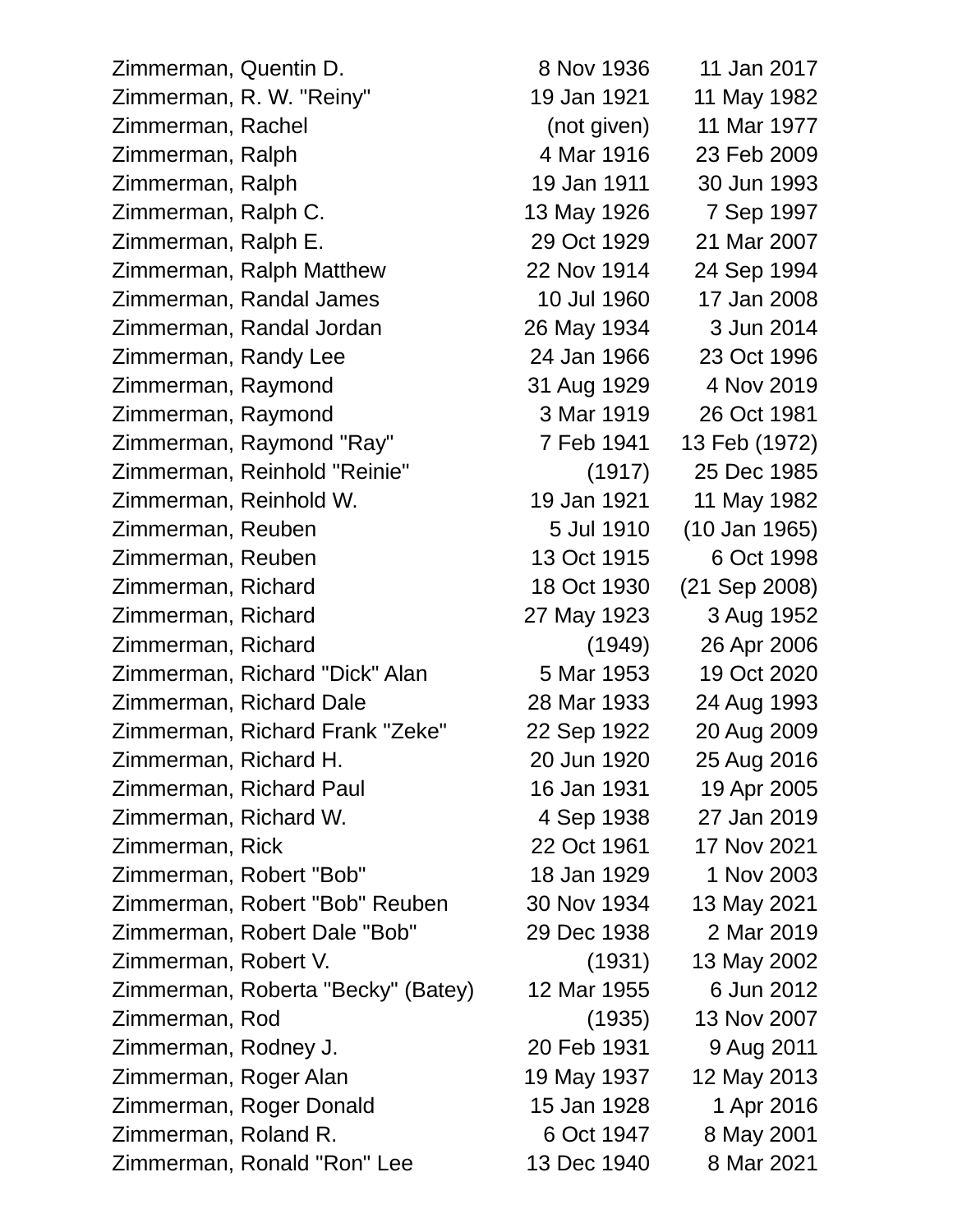Zimmerman, Quentin D. 8 Nov 1936 11 Jan 2017 Zimmerman, R. W. "Reiny" 19 Jan 1921 11 May 1982 Zimmerman, Rachel (not given) 11 Mar 1977 Zimmerman, Ralph 4 Mar 1916 23 Feb 2009 Zimmerman, Ralph 19 Jan 1911 30 Jun 1993 Zimmerman, Ralph C. 13 May 1926 7 Sep 1997 Zimmerman, Ralph E. 29 Oct 1929 21 Mar 2007 Zimmerman, Ralph Matthew 22 Nov 1914 24 Sep 1994 Zimmerman, Randal James 10 Jul 1960 17 Jan 2008 Zimmerman, Randal Jordan 26 May 1934 3 Jun 2014 Zimmerman, Randy Lee 24 Jan 1966 23 Oct 1996 Zimmerman, Raymond 31 Aug 1929 4 Nov 2019 Zimmerman, Raymond 3 Mar 1919 26 Oct 1981 Zimmerman, Raymond "Ray" 7 Feb 1941 13 Feb (1972) Zimmerman, Reinhold "Reinie" (1917) 25 Dec 1985 Zimmerman, Reinhold W. 19 Jan 1921 11 May 1982 Zimmerman, Reuben 5 Jul 1910 (10 Jan 1965) Zimmerman, Reuben 13 Oct 1915 6 Oct 1998 Zimmerman, Richard 18 Oct 1930 (21 Sep 2008) Zimmerman, Richard 27 May 1923 3 Aug 1952 Zimmerman, Richard (1949) 26 Apr 2006 Zimmerman, Richard "Dick" Alan 5 Mar 1953 19 Oct 2020 Zimmerman, Richard Dale 28 Mar 1933 24 Aug 1993 Zimmerman, Richard Frank "Zeke" 22 Sep 1922 20 Aug 2009 Zimmerman, Richard H. 20 Jun 1920 25 Aug 2016 Zimmerman, Richard Paul 16 Jan 1931 19 Apr 2005 Zimmerman, Richard W. 4 Sep 1938 27 Jan 2019 Zimmerman, Rick 22 Oct 1961 17 Nov 2021 Zimmerman, Robert "Bob" 18 Jan 1929 1 Nov 2003 Zimmerman, Robert "Bob" Reuben 30 Nov 1934 13 May 2021 Zimmerman, Robert Dale "Bob" 29 Dec 1938 2 Mar 2019 Zimmerman, Robert V. (1931) 13 May 2002 Zimmerman, Roberta "Becky" (Batey) 12 Mar 1955 6 Jun 2012 Zimmerman, Rod (1935) 13 Nov 2007 Zimmerman, Rodney J. 20 Feb 1931 9 Aug 2011 Zimmerman, Roger Alan 19 May 1937 12 May 2013 Zimmerman, Roger Donald 15 Jan 1928 1 Apr 2016 Zimmerman, Roland R. 6 Oct 1947 8 May 2001

Zimmerman, Ronald "Ron" Lee 13 Dec 1940 8 Mar 2021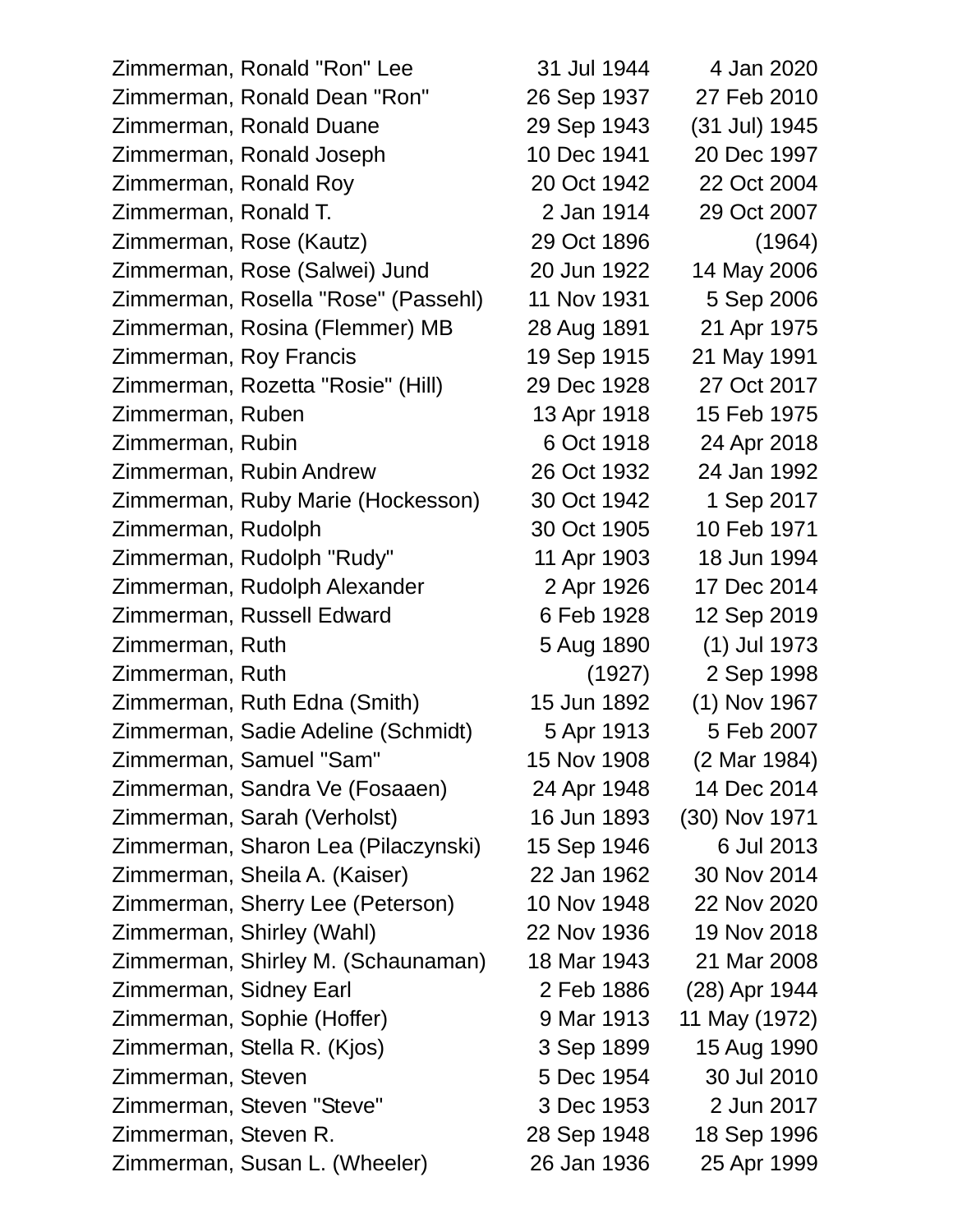| Zimmerman, Ronald "Ron" Lee         | 31 Jul 1944 | 4 Jan 2020     |
|-------------------------------------|-------------|----------------|
| Zimmerman, Ronald Dean "Ron"        | 26 Sep 1937 | 27 Feb 2010    |
| Zimmerman, Ronald Duane             | 29 Sep 1943 | (31 Jul) 1945  |
| Zimmerman, Ronald Joseph            | 10 Dec 1941 | 20 Dec 1997    |
| Zimmerman, Ronald Roy               | 20 Oct 1942 | 22 Oct 2004    |
| Zimmerman, Ronald T.                | 2 Jan 1914  | 29 Oct 2007    |
| Zimmerman, Rose (Kautz)             | 29 Oct 1896 | (1964)         |
| Zimmerman, Rose (Salwei) Jund       | 20 Jun 1922 | 14 May 2006    |
| Zimmerman, Rosella "Rose" (Passehl) | 11 Nov 1931 | 5 Sep 2006     |
| Zimmerman, Rosina (Flemmer) MB      | 28 Aug 1891 | 21 Apr 1975    |
| Zimmerman, Roy Francis              | 19 Sep 1915 | 21 May 1991    |
| Zimmerman, Rozetta "Rosie" (Hill)   | 29 Dec 1928 | 27 Oct 2017    |
| Zimmerman, Ruben                    | 13 Apr 1918 | 15 Feb 1975    |
| Zimmerman, Rubin                    | 6 Oct 1918  | 24 Apr 2018    |
| Zimmerman, Rubin Andrew             | 26 Oct 1932 | 24 Jan 1992    |
| Zimmerman, Ruby Marie (Hockesson)   | 30 Oct 1942 | 1 Sep 2017     |
| Zimmerman, Rudolph                  | 30 Oct 1905 | 10 Feb 1971    |
| Zimmerman, Rudolph "Rudy"           | 11 Apr 1903 | 18 Jun 1994    |
| Zimmerman, Rudolph Alexander        | 2 Apr 1926  | 17 Dec 2014    |
| Zimmerman, Russell Edward           | 6 Feb 1928  | 12 Sep 2019    |
| Zimmerman, Ruth                     | 5 Aug 1890  | $(1)$ Jul 1973 |
| Zimmerman, Ruth                     | (1927)      | 2 Sep 1998     |
| Zimmerman, Ruth Edna (Smith)        | 15 Jun 1892 | (1) Nov 1967   |
| Zimmerman, Sadie Adeline (Schmidt)  | 5 Apr 1913  | 5 Feb 2007     |
| Zimmerman, Samuel "Sam"             | 15 Nov 1908 | (2 Mar 1984)   |
| Zimmerman, Sandra Ve (Fosaaen)      | 24 Apr 1948 | 14 Dec 2014    |
| Zimmerman, Sarah (Verholst)         | 16 Jun 1893 | (30) Nov 1971  |
| Zimmerman, Sharon Lea (Pilaczynski) | 15 Sep 1946 | 6 Jul 2013     |
| Zimmerman, Sheila A. (Kaiser)       | 22 Jan 1962 | 30 Nov 2014    |
| Zimmerman, Sherry Lee (Peterson)    | 10 Nov 1948 | 22 Nov 2020    |
| Zimmerman, Shirley (Wahl)           | 22 Nov 1936 | 19 Nov 2018    |
| Zimmerman, Shirley M. (Schaunaman)  | 18 Mar 1943 | 21 Mar 2008    |
| Zimmerman, Sidney Earl              | 2 Feb 1886  | (28) Apr 1944  |
| Zimmerman, Sophie (Hoffer)          | 9 Mar 1913  | 11 May (1972)  |
| Zimmerman, Stella R. (Kjos)         | 3 Sep 1899  | 15 Aug 1990    |
| Zimmerman, Steven                   | 5 Dec 1954  | 30 Jul 2010    |
| Zimmerman, Steven "Steve"           | 3 Dec 1953  | 2 Jun 2017     |
| Zimmerman, Steven R.                | 28 Sep 1948 | 18 Sep 1996    |
| Zimmerman, Susan L. (Wheeler)       | 26 Jan 1936 | 25 Apr 1999    |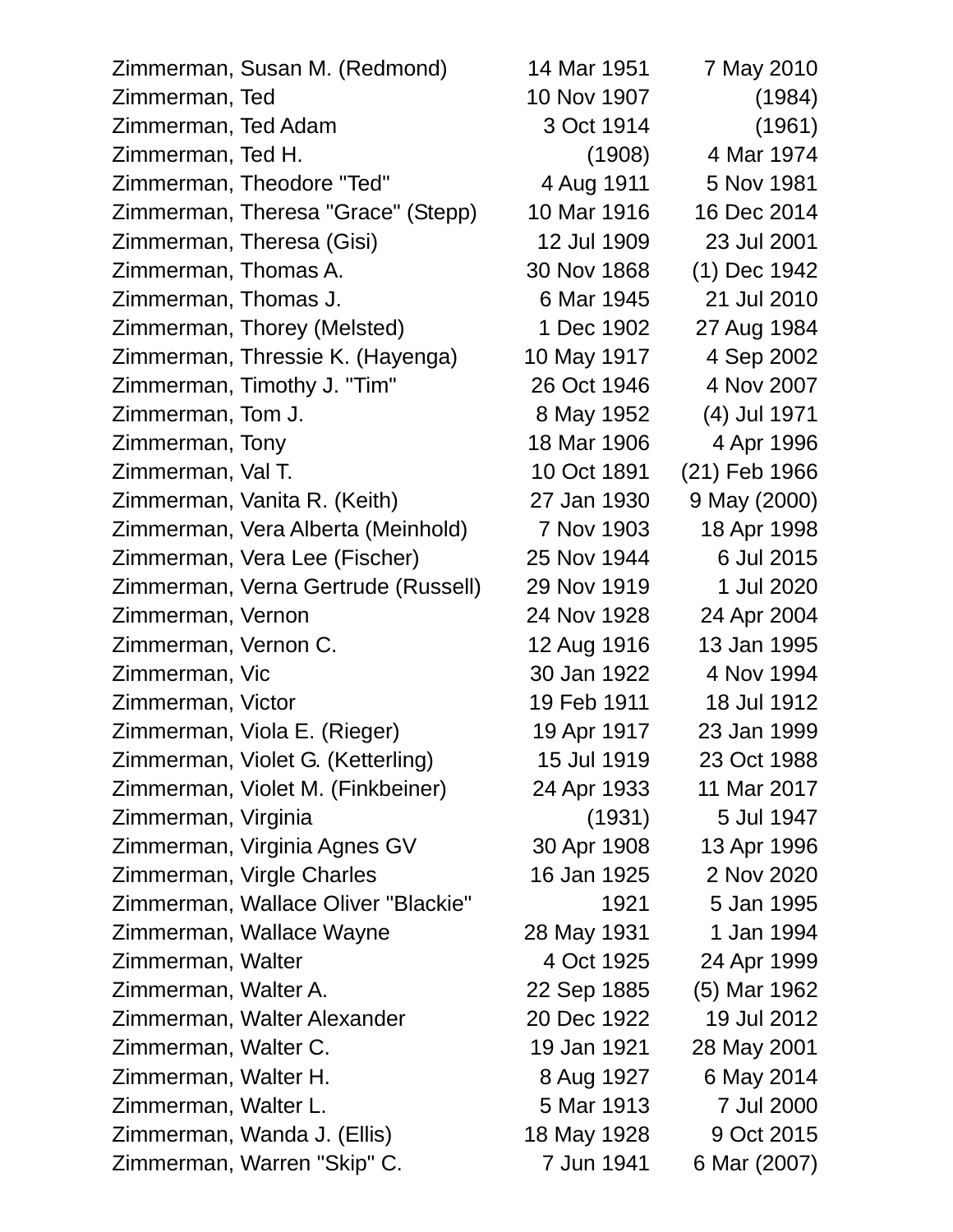| Zimmerman, Susan M. (Redmond)       | 14 Mar 1951 | 7 May 2010    |
|-------------------------------------|-------------|---------------|
| Zimmerman, Ted                      | 10 Nov 1907 | (1984)        |
| Zimmerman, Ted Adam                 | 3 Oct 1914  | (1961)        |
| Zimmerman, Ted H.                   | (1908)      | 4 Mar 1974    |
| Zimmerman, Theodore "Ted"           | 4 Aug 1911  | 5 Nov 1981    |
| Zimmerman, Theresa "Grace" (Stepp)  | 10 Mar 1916 | 16 Dec 2014   |
| Zimmerman, Theresa (Gisi)           | 12 Jul 1909 | 23 Jul 2001   |
| Zimmerman, Thomas A.                | 30 Nov 1868 | (1) Dec 1942  |
| Zimmerman, Thomas J.                | 6 Mar 1945  | 21 Jul 2010   |
| Zimmerman, Thorey (Melsted)         | 1 Dec 1902  | 27 Aug 1984   |
| Zimmerman, Thressie K. (Hayenga)    | 10 May 1917 | 4 Sep 2002    |
| Zimmerman, Timothy J. "Tim"         | 26 Oct 1946 | 4 Nov 2007    |
| Zimmerman, Tom J.                   | 8 May 1952  | (4) Jul 1971  |
| Zimmerman, Tony                     | 18 Mar 1906 | 4 Apr 1996    |
| Zimmerman, Val T.                   | 10 Oct 1891 | (21) Feb 1966 |
| Zimmerman, Vanita R. (Keith)        | 27 Jan 1930 | 9 May (2000)  |
| Zimmerman, Vera Alberta (Meinhold)  | 7 Nov 1903  | 18 Apr 1998   |
| Zimmerman, Vera Lee (Fischer)       | 25 Nov 1944 | 6 Jul 2015    |
| Zimmerman, Verna Gertrude (Russell) | 29 Nov 1919 | 1 Jul 2020    |
| Zimmerman, Vernon                   | 24 Nov 1928 | 24 Apr 2004   |
| Zimmerman, Vernon C.                | 12 Aug 1916 | 13 Jan 1995   |
| Zimmerman, Vic                      | 30 Jan 1922 | 4 Nov 1994    |
| Zimmerman, Victor                   | 19 Feb 1911 | 18 Jul 1912   |
| Zimmerman, Viola E. (Rieger)        | 19 Apr 1917 | 23 Jan 1999   |
| Zimmerman, Violet G. (Ketterling)   | 15 Jul 1919 | 23 Oct 1988   |
| Zimmerman, Violet M. (Finkbeiner)   | 24 Apr 1933 | 11 Mar 2017   |
| Zimmerman, Virginia                 | (1931)      | 5 Jul 1947    |
| Zimmerman, Virginia Agnes GV        | 30 Apr 1908 | 13 Apr 1996   |
| Zimmerman, Virgle Charles           | 16 Jan 1925 | 2 Nov 2020    |
| Zimmerman, Wallace Oliver "Blackie" | 1921        | 5 Jan 1995    |
| Zimmerman, Wallace Wayne            | 28 May 1931 | 1 Jan 1994    |
| Zimmerman, Walter                   | 4 Oct 1925  | 24 Apr 1999   |
| Zimmerman, Walter A.                | 22 Sep 1885 | (5) Mar 1962  |
| Zimmerman, Walter Alexander         | 20 Dec 1922 | 19 Jul 2012   |
| Zimmerman, Walter C.                | 19 Jan 1921 | 28 May 2001   |
| Zimmerman, Walter H.                | 8 Aug 1927  | 6 May 2014    |
| Zimmerman, Walter L.                | 5 Mar 1913  | 7 Jul 2000    |
| Zimmerman, Wanda J. (Ellis)         | 18 May 1928 | 9 Oct 2015    |
| Zimmerman, Warren "Skip" C.         | 7 Jun 1941  | 6 Mar (2007)  |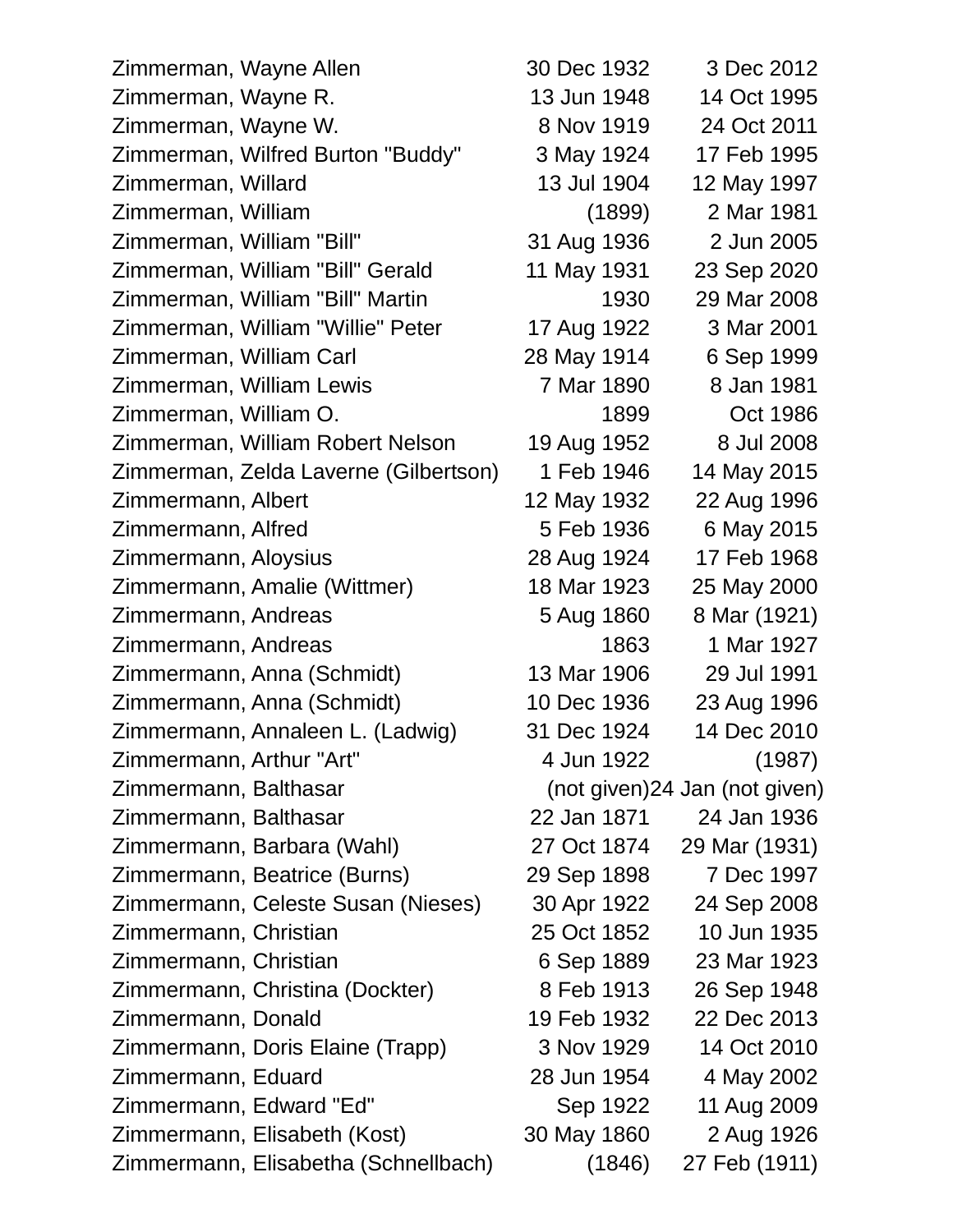| Zimmerman, Wayne Allen                | 30 Dec 1932 | 3 Dec 2012                     |
|---------------------------------------|-------------|--------------------------------|
| Zimmerman, Wayne R.                   | 13 Jun 1948 | 14 Oct 1995                    |
| Zimmerman, Wayne W.                   | 8 Nov 1919  | 24 Oct 2011                    |
| Zimmerman, Wilfred Burton "Buddy"     | 3 May 1924  | 17 Feb 1995                    |
| Zimmerman, Willard                    | 13 Jul 1904 | 12 May 1997                    |
| Zimmerman, William                    | (1899)      | 2 Mar 1981                     |
| Zimmerman, William "Bill"             | 31 Aug 1936 | 2 Jun 2005                     |
| Zimmerman, William "Bill" Gerald      | 11 May 1931 | 23 Sep 2020                    |
| Zimmerman, William "Bill" Martin      | 1930        | 29 Mar 2008                    |
| Zimmerman, William "Willie" Peter     | 17 Aug 1922 | 3 Mar 2001                     |
| Zimmerman, William Carl               | 28 May 1914 | 6 Sep 1999                     |
| Zimmerman, William Lewis              | 7 Mar 1890  | 8 Jan 1981                     |
| Zimmerman, William O.                 | 1899        | Oct 1986                       |
| Zimmerman, William Robert Nelson      | 19 Aug 1952 | 8 Jul 2008                     |
| Zimmerman, Zelda Laverne (Gilbertson) | 1 Feb 1946  | 14 May 2015                    |
| Zimmermann, Albert                    | 12 May 1932 | 22 Aug 1996                    |
| Zimmermann, Alfred                    | 5 Feb 1936  | 6 May 2015                     |
| Zimmermann, Aloysius                  | 28 Aug 1924 | 17 Feb 1968                    |
| Zimmermann, Amalie (Wittmer)          | 18 Mar 1923 | 25 May 2000                    |
| Zimmermann, Andreas                   | 5 Aug 1860  | 8 Mar (1921)                   |
| Zimmermann, Andreas                   | 1863        | 1 Mar 1927                     |
| Zimmermann, Anna (Schmidt)            | 13 Mar 1906 | 29 Jul 1991                    |
| Zimmermann, Anna (Schmidt)            | 10 Dec 1936 | 23 Aug 1996                    |
| Zimmermann, Annaleen L. (Ladwig)      | 31 Dec 1924 | 14 Dec 2010                    |
| Zimmermann, Arthur "Art"              | 4 Jun 1922  | (1987)                         |
| Zimmermann, Balthasar                 |             | (not given) 24 Jan (not given) |
| Zimmermann, Balthasar                 | 22 Jan 1871 | 24 Jan 1936                    |
| Zimmermann, Barbara (Wahl)            | 27 Oct 1874 | 29 Mar (1931)                  |
| Zimmermann, Beatrice (Burns)          | 29 Sep 1898 | 7 Dec 1997                     |
| Zimmermann, Celeste Susan (Nieses)    | 30 Apr 1922 | 24 Sep 2008                    |
| Zimmermann, Christian                 | 25 Oct 1852 | 10 Jun 1935                    |
| Zimmermann, Christian                 | 6 Sep 1889  | 23 Mar 1923                    |
| Zimmermann, Christina (Dockter)       | 8 Feb 1913  | 26 Sep 1948                    |
| Zimmermann, Donald                    | 19 Feb 1932 | 22 Dec 2013                    |
| Zimmermann, Doris Elaine (Trapp)      | 3 Nov 1929  | 14 Oct 2010                    |
| Zimmermann, Eduard                    | 28 Jun 1954 | 4 May 2002                     |
| Zimmermann, Edward "Ed"               | Sep 1922    | 11 Aug 2009                    |
| Zimmermann, Elisabeth (Kost)          | 30 May 1860 | 2 Aug 1926                     |
| Zimmermann, Elisabetha (Schnellbach)  | (1846)      | 27 Feb (1911)                  |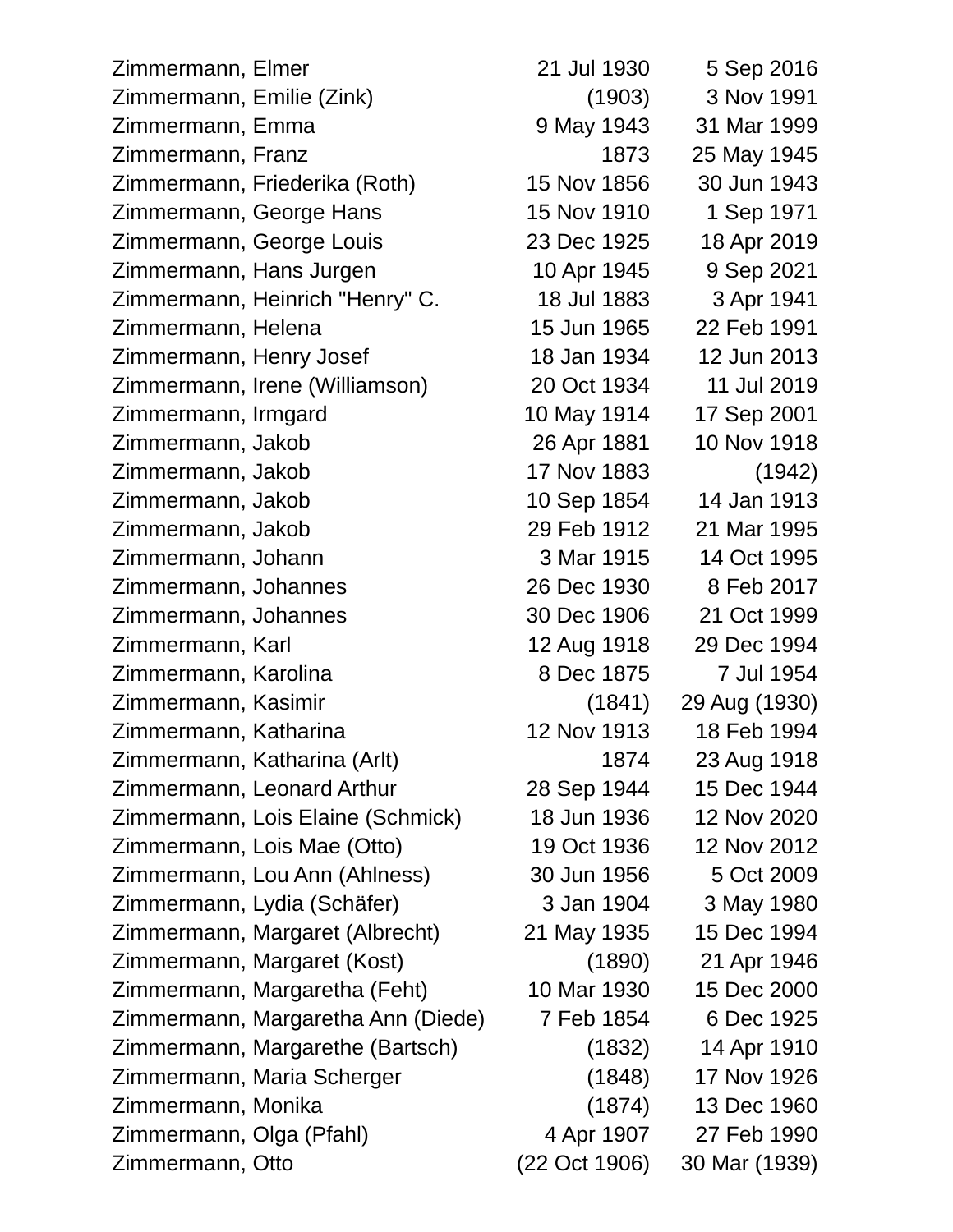Zimmermann, Elmer 21 Jul 1930 5 Sep 2016 Zimmermann, Emilie (Zink) (1903) 3 Nov 1991 Zimmermann, Emma 9 May 1943 31 Mar 1999 Zimmermann, Franz 1873 25 May 1945 Zimmermann, Friederika (Roth) 15 Nov 1856 30 Jun 1943 Zimmermann, George Hans 15 Nov 1910 1 Sep 1971 Zimmermann, George Louis 23 Dec 1925 18 Apr 2019 Zimmermann, Hans Jurgen 10 Apr 1945 9 Sep 2021 Zimmermann, Heinrich "Henry" C. 18 Jul 1883 3 Apr 1941 Zimmermann, Helena 15 Jun 1965 22 Feb 1991 Zimmermann, Henry Josef 18 Jan 1934 12 Jun 2013 Zimmermann, Irene (Williamson) 20 Oct 1934 11 Jul 2019 Zimmermann, Irmgard 10 May 1914 17 Sep 2001 Zimmermann, Jakob 26 Apr 1881 10 Nov 1918 Zimmermann, Jakob 17 Nov 1883 (1942) Zimmermann, Jakob 10 Sep 1854 14 Jan 1913 Zimmermann, Jakob 29 Feb 1912 21 Mar 1995 Zimmermann, Johann 3 Mar 1915 14 Oct 1995 Zimmermann, Johannes 26 Dec 1930 8 Feb 2017 Zimmermann, Johannes 30 Dec 1906 21 Oct 1999 Zimmermann, Karl 12 Aug 1918 29 Dec 1994 Zimmermann, Karolina 8 Dec 1875 7 Jul 1954 Zimmermann, Kasimir (1841) 29 Aug (1930) Zimmermann, Katharina 12 Nov 1913 18 Feb 1994 Zimmermann, Katharina (Arlt) 1874 23 Aug 1918 Zimmermann, Leonard Arthur 28 Sep 1944 15 Dec 1944 Zimmermann, Lois Elaine (Schmick) 18 Jun 1936 12 Nov 2020 Zimmermann, Lois Mae (Otto) 19 Oct 1936 12 Nov 2012 Zimmermann, Lou Ann (Ahlness) 30 Jun 1956 5 Oct 2009 Zimmermann, Lydia (Schäfer) 3 Jan 1904 3 May 1980 Zimmermann, Margaret (Albrecht) 21 May 1935 15 Dec 1994 Zimmermann, Margaret (Kost) (1890) 21 Apr 1946 Zimmermann, Margaretha (Feht) 10 Mar 1930 15 Dec 2000 Zimmermann, Margaretha Ann (Diede) 7 Feb 1854 6 Dec 1925 Zimmermann, Margarethe (Bartsch) (1832) 14 Apr 1910 Zimmermann, Maria Scherger (1848) 17 Nov 1926 Zimmermann, Monika (1874) 13 Dec 1960 Zimmermann, Olga (Pfahl) 4 Apr 1907 27 Feb 1990 Zimmermann, Otto (22 Oct 1906) 30 Mar (1939)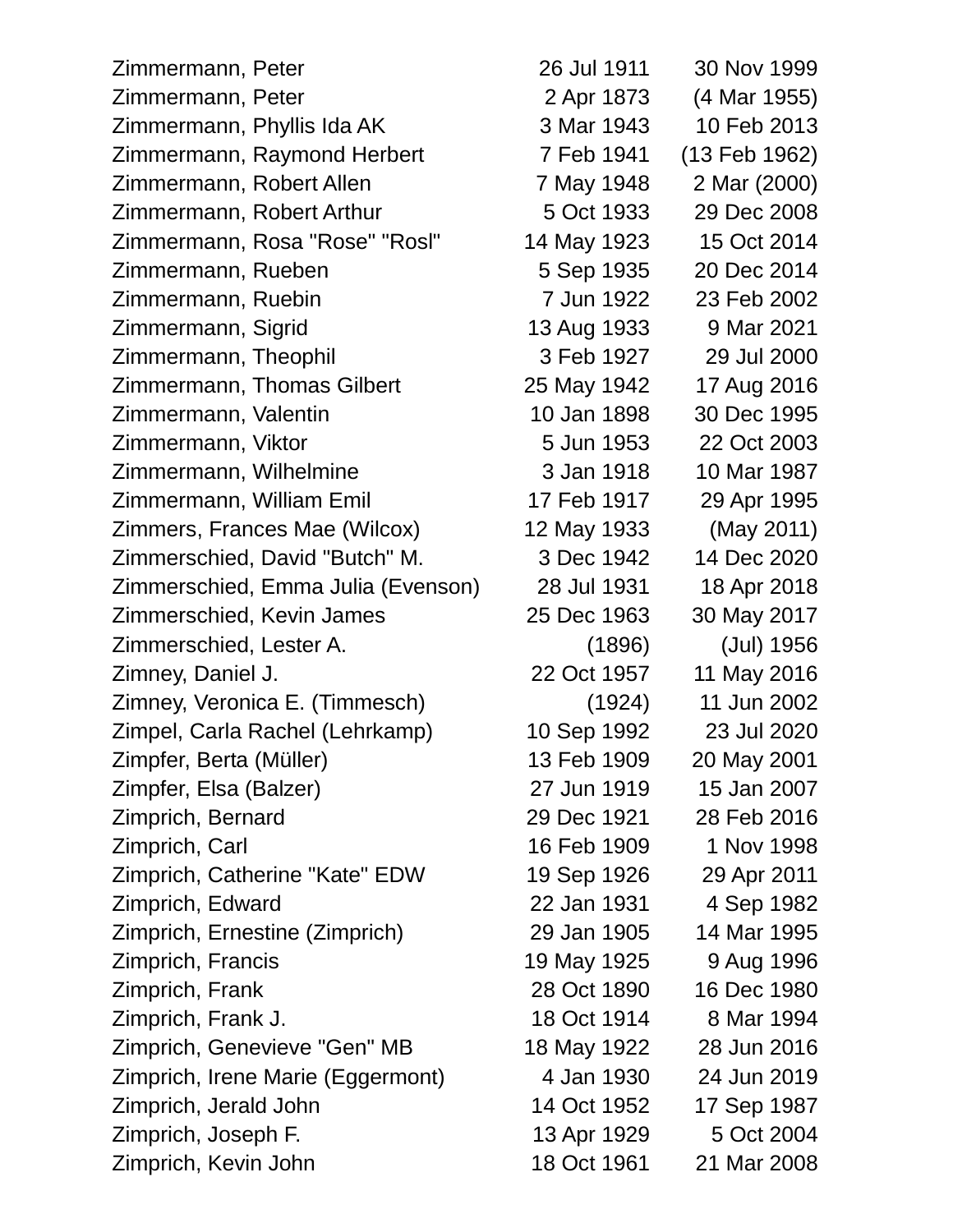| Zimmermann, Peter                  | 26 Jul 1911 | 30 Nov 1999   |
|------------------------------------|-------------|---------------|
| Zimmermann, Peter                  | 2 Apr 1873  | (4 Mar 1955)  |
| Zimmermann, Phyllis Ida AK         | 3 Mar 1943  | 10 Feb 2013   |
| Zimmermann, Raymond Herbert        | 7 Feb 1941  | (13 Feb 1962) |
| Zimmermann, Robert Allen           | 7 May 1948  | 2 Mar (2000)  |
| Zimmermann, Robert Arthur          | 5 Oct 1933  | 29 Dec 2008   |
| Zimmermann, Rosa "Rose" "Rosl"     | 14 May 1923 | 15 Oct 2014   |
| Zimmermann, Rueben                 | 5 Sep 1935  | 20 Dec 2014   |
| Zimmermann, Ruebin                 | 7 Jun 1922  | 23 Feb 2002   |
| Zimmermann, Sigrid                 | 13 Aug 1933 | 9 Mar 2021    |
| Zimmermann, Theophil               | 3 Feb 1927  | 29 Jul 2000   |
| Zimmermann, Thomas Gilbert         | 25 May 1942 | 17 Aug 2016   |
| Zimmermann, Valentin               | 10 Jan 1898 | 30 Dec 1995   |
| Zimmermann, Viktor                 | 5 Jun 1953  | 22 Oct 2003   |
| Zimmermann, Wilhelmine             | 3 Jan 1918  | 10 Mar 1987   |
| Zimmermann, William Emil           | 17 Feb 1917 | 29 Apr 1995   |
| Zimmers, Frances Mae (Wilcox)      | 12 May 1933 | (May 2011)    |
| Zimmerschied, David "Butch" M.     | 3 Dec 1942  | 14 Dec 2020   |
| Zimmerschied, Emma Julia (Evenson) | 28 Jul 1931 | 18 Apr 2018   |
| Zimmerschied, Kevin James          | 25 Dec 1963 | 30 May 2017   |
| Zimmerschied, Lester A.            | (1896)      | (Jul) 1956    |
| Zimney, Daniel J.                  | 22 Oct 1957 | 11 May 2016   |
| Zimney, Veronica E. (Timmesch)     | (1924)      | 11 Jun 2002   |
| Zimpel, Carla Rachel (Lehrkamp)    | 10 Sep 1992 | 23 Jul 2020   |
| Zimpfer, Berta (Müller)            | 13 Feb 1909 | 20 May 2001   |
| Zimpfer, Elsa (Balzer)             | 27 Jun 1919 | 15 Jan 2007   |
| Zimprich, Bernard                  | 29 Dec 1921 | 28 Feb 2016   |
| Zimprich, Carl                     | 16 Feb 1909 | 1 Nov 1998    |
| Zimprich, Catherine "Kate" EDW     | 19 Sep 1926 | 29 Apr 2011   |
| Zimprich, Edward                   | 22 Jan 1931 | 4 Sep 1982    |
| Zimprich, Ernestine (Zimprich)     | 29 Jan 1905 | 14 Mar 1995   |
| Zimprich, Francis                  | 19 May 1925 | 9 Aug 1996    |
| Zimprich, Frank                    | 28 Oct 1890 | 16 Dec 1980   |
| Zimprich, Frank J.                 | 18 Oct 1914 | 8 Mar 1994    |
| Zimprich, Genevieve "Gen" MB       | 18 May 1922 | 28 Jun 2016   |
| Zimprich, Irene Marie (Eggermont)  | 4 Jan 1930  | 24 Jun 2019   |
| Zimprich, Jerald John              | 14 Oct 1952 | 17 Sep 1987   |
| Zimprich, Joseph F.                | 13 Apr 1929 | 5 Oct 2004    |
| Zimprich, Kevin John               | 18 Oct 1961 | 21 Mar 2008   |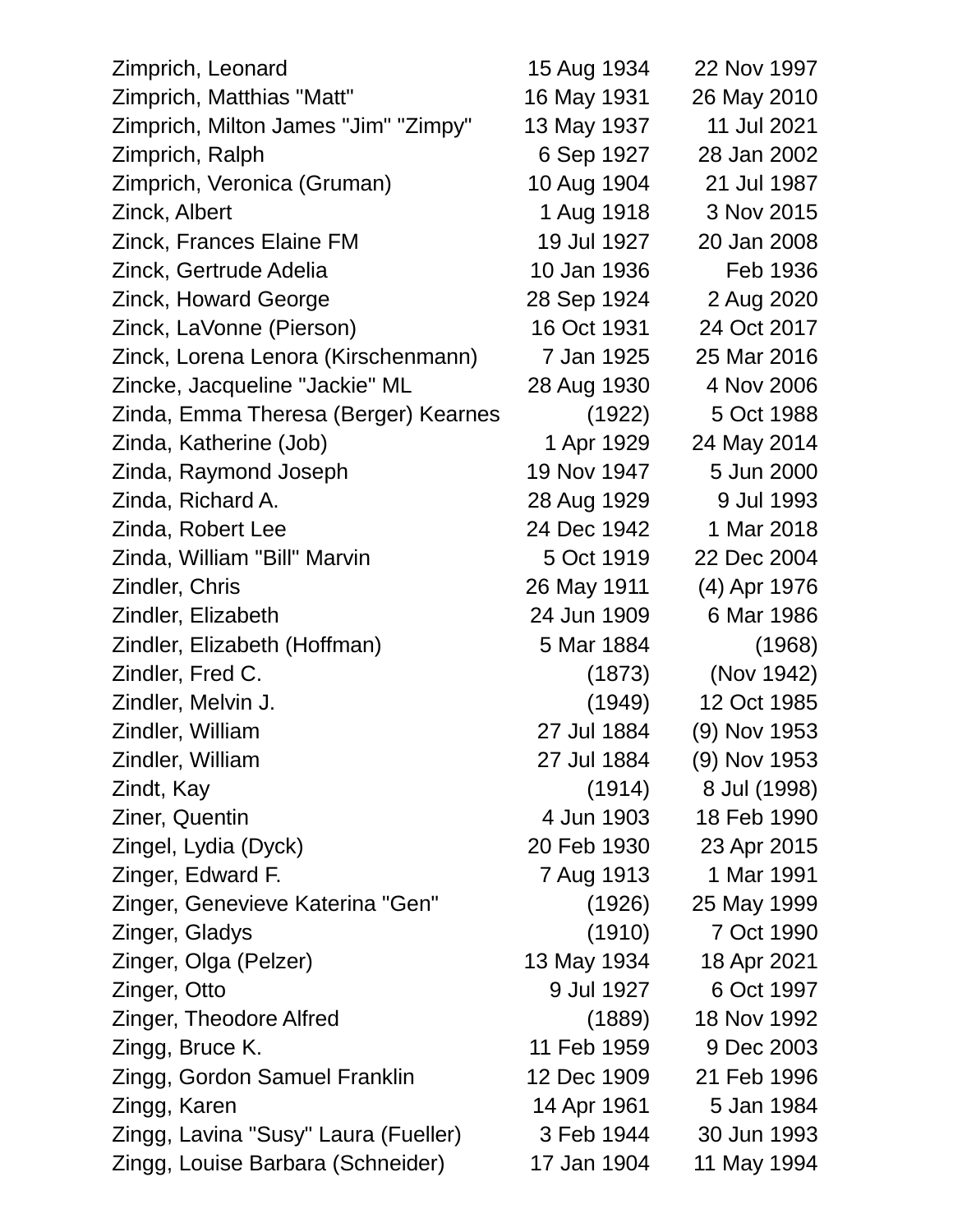| Zimprich, Leonard                    | 15 Aug 1934 | 22 Nov 1997  |
|--------------------------------------|-------------|--------------|
| Zimprich, Matthias "Matt"            | 16 May 1931 | 26 May 2010  |
| Zimprich, Milton James "Jim" "Zimpy" | 13 May 1937 | 11 Jul 2021  |
| Zimprich, Ralph                      | 6 Sep 1927  | 28 Jan 2002  |
| Zimprich, Veronica (Gruman)          | 10 Aug 1904 | 21 Jul 1987  |
| Zinck, Albert                        | 1 Aug 1918  | 3 Nov 2015   |
| <b>Zinck, Frances Elaine FM</b>      | 19 Jul 1927 | 20 Jan 2008  |
| Zinck, Gertrude Adelia               | 10 Jan 1936 | Feb 1936     |
| Zinck, Howard George                 | 28 Sep 1924 | 2 Aug 2020   |
| Zinck, LaVonne (Pierson)             | 16 Oct 1931 | 24 Oct 2017  |
| Zinck, Lorena Lenora (Kirschenmann)  | 7 Jan 1925  | 25 Mar 2016  |
| Zincke, Jacqueline "Jackie" ML       | 28 Aug 1930 | 4 Nov 2006   |
| Zinda, Emma Theresa (Berger) Kearnes | (1922)      | 5 Oct 1988   |
| Zinda, Katherine (Job)               | 1 Apr 1929  | 24 May 2014  |
| Zinda, Raymond Joseph                | 19 Nov 1947 | 5 Jun 2000   |
| Zinda, Richard A.                    | 28 Aug 1929 | 9 Jul 1993   |
| Zinda, Robert Lee                    | 24 Dec 1942 | 1 Mar 2018   |
| Zinda, William "Bill" Marvin         | 5 Oct 1919  | 22 Dec 2004  |
| Zindler, Chris                       | 26 May 1911 | (4) Apr 1976 |
| Zindler, Elizabeth                   | 24 Jun 1909 | 6 Mar 1986   |
| Zindler, Elizabeth (Hoffman)         | 5 Mar 1884  | (1968)       |
| Zindler, Fred C.                     | (1873)      | (Nov 1942)   |
| Zindler, Melvin J.                   | (1949)      | 12 Oct 1985  |
| Zindler, William                     | 27 Jul 1884 | (9) Nov 1953 |
| Zindler, William                     | 27 Jul 1884 | (9) Nov 1953 |
| Zindt, Kay                           | (1914)      | 8 Jul (1998) |
| Ziner, Quentin                       | 4 Jun 1903  | 18 Feb 1990  |
| Zingel, Lydia (Dyck)                 | 20 Feb 1930 | 23 Apr 2015  |
| Zinger, Edward F.                    | 7 Aug 1913  | 1 Mar 1991   |
| Zinger, Genevieve Katerina "Gen"     | (1926)      | 25 May 1999  |
| Zinger, Gladys                       | (1910)      | 7 Oct 1990   |
| Zinger, Olga (Pelzer)                | 13 May 1934 | 18 Apr 2021  |
| Zinger, Otto                         | 9 Jul 1927  | 6 Oct 1997   |
| Zinger, Theodore Alfred              | (1889)      | 18 Nov 1992  |
| Zingg, Bruce K.                      | 11 Feb 1959 | 9 Dec 2003   |
| Zingg, Gordon Samuel Franklin        | 12 Dec 1909 | 21 Feb 1996  |
| Zingg, Karen                         | 14 Apr 1961 | 5 Jan 1984   |
| Zingg, Lavina "Susy" Laura (Fueller) | 3 Feb 1944  | 30 Jun 1993  |
| Zingg, Louise Barbara (Schneider)    | 17 Jan 1904 | 11 May 1994  |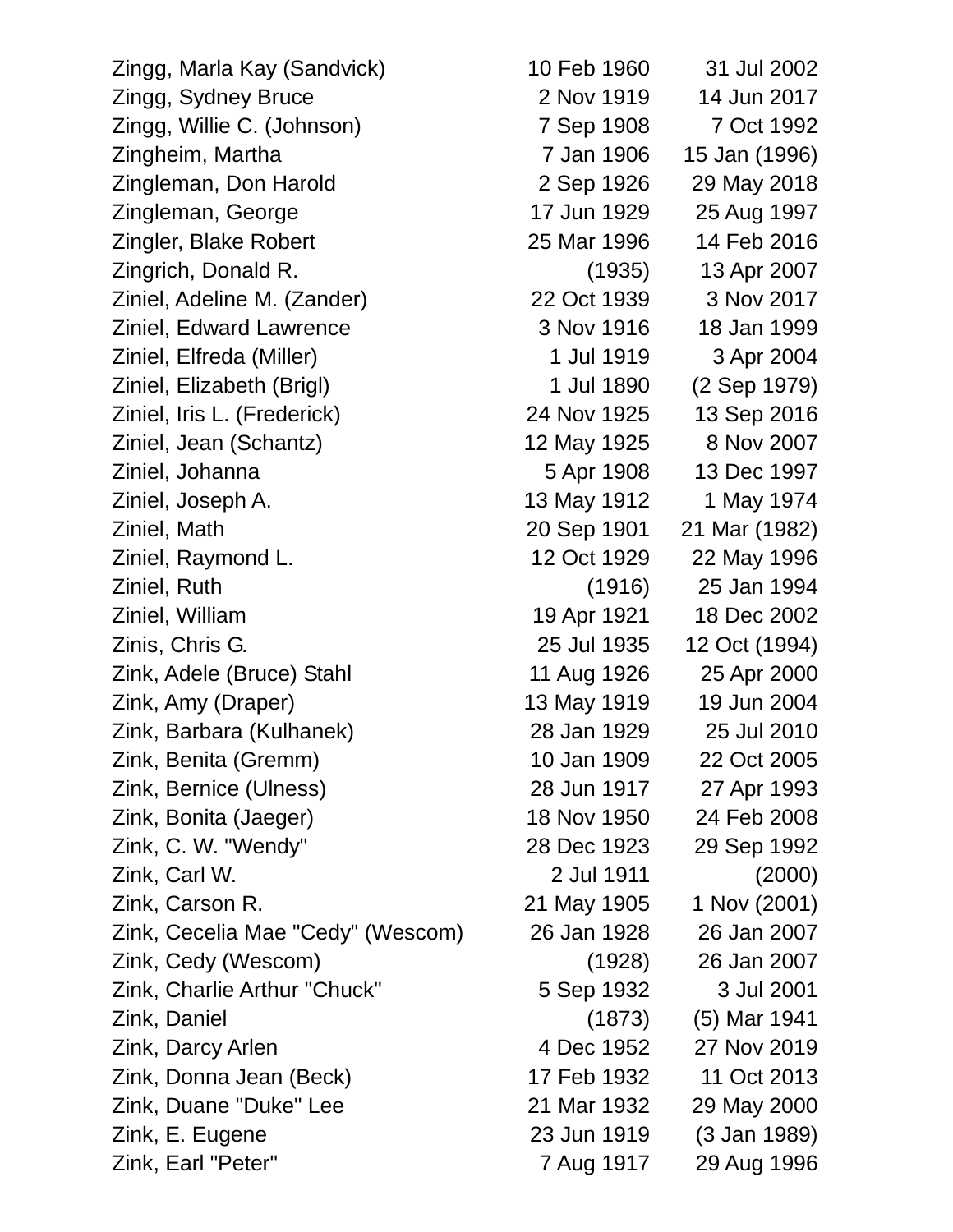Zingg, Marla Kay (Sandvick) 10 Feb 1960 31 Jul 2002 Zingg, Sydney Bruce 2 Nov 1919 14 Jun 2017 Zingg, Willie C. (Johnson) 7 Sep 1908 7 Oct 1992 Zingheim, Martha 7 Jan 1906 15 Jan (1996) Zingleman, Don Harold 2 Sep 1926 29 May 2018 Zingleman, George 17 Jun 1929 25 Aug 1997 Zingler, Blake Robert 25 Mar 1996 14 Feb 2016 Zingrich, Donald R. (1935) 13 Apr 2007 Ziniel, Adeline M. (Zander) 22 Oct 1939 3 Nov 2017 Ziniel, Edward Lawrence 3 Nov 1916 18 Jan 1999 Ziniel, Elfreda (Miller) 1 Jul 1919 3 Apr 2004 Ziniel, Elizabeth (Brigl) 1 Jul 1890 (2 Sep 1979) Ziniel, Iris L. (Frederick) 24 Nov 1925 13 Sep 2016 Ziniel, Jean (Schantz) 12 May 1925 8 Nov 2007 Ziniel, Johanna 5 Apr 1908 13 Dec 1997 Ziniel, Joseph A. 13 May 1912 1 May 1974 Ziniel, Math 20 Sep 1901 21 Mar (1982) Ziniel, Raymond L. 12 Oct 1929 22 May 1996 Ziniel, Ruth (1916) 25 Jan 1994 Ziniel, William 19 Apr 1921 18 Dec 2002 Zinis, Chris G. 25 Jul 1935 12 Oct (1994) Zink, Adele (Bruce) Stahl 11 Aug 1926 25 Apr 2000 Zink, Amy (Draper) 13 May 1919 19 Jun 2004 Zink, Barbara (Kulhanek) 28 Jan 1929 25 Jul 2010 Zink, Benita (Gremm) 10 Jan 1909 22 Oct 2005 Zink, Bernice (Ulness) 28 Jun 1917 27 Apr 1993 Zink, Bonita (Jaeger) 18 Nov 1950 24 Feb 2008 Zink, C. W. "Wendy" 28 Dec 1923 29 Sep 1992 Zink, Carl W. 2 Jul 1911 (2000) Zink, Carson R. 21 May 1905 1 Nov (2001) Zink, Cecelia Mae "Cedy" (Wescom) 26 Jan 1928 26 Jan 2007 Zink, Cedy (Wescom) (1928) 26 Jan 2007 Zink, Charlie Arthur "Chuck" 5 Sep 1932 3 Jul 2001 Zink, Daniel (1873) (5) Mar 1941 Zink, Darcy Arlen 4 Dec 1952 27 Nov 2019 Zink, Donna Jean (Beck) 17 Feb 1932 11 Oct 2013 Zink, Duane "Duke" Lee 21 Mar 1932 29 May 2000 Zink, E. Eugene 23 Jun 1919 (3 Jan 1989)

Zink, Earl "Peter" 7 Aug 1917 29 Aug 1996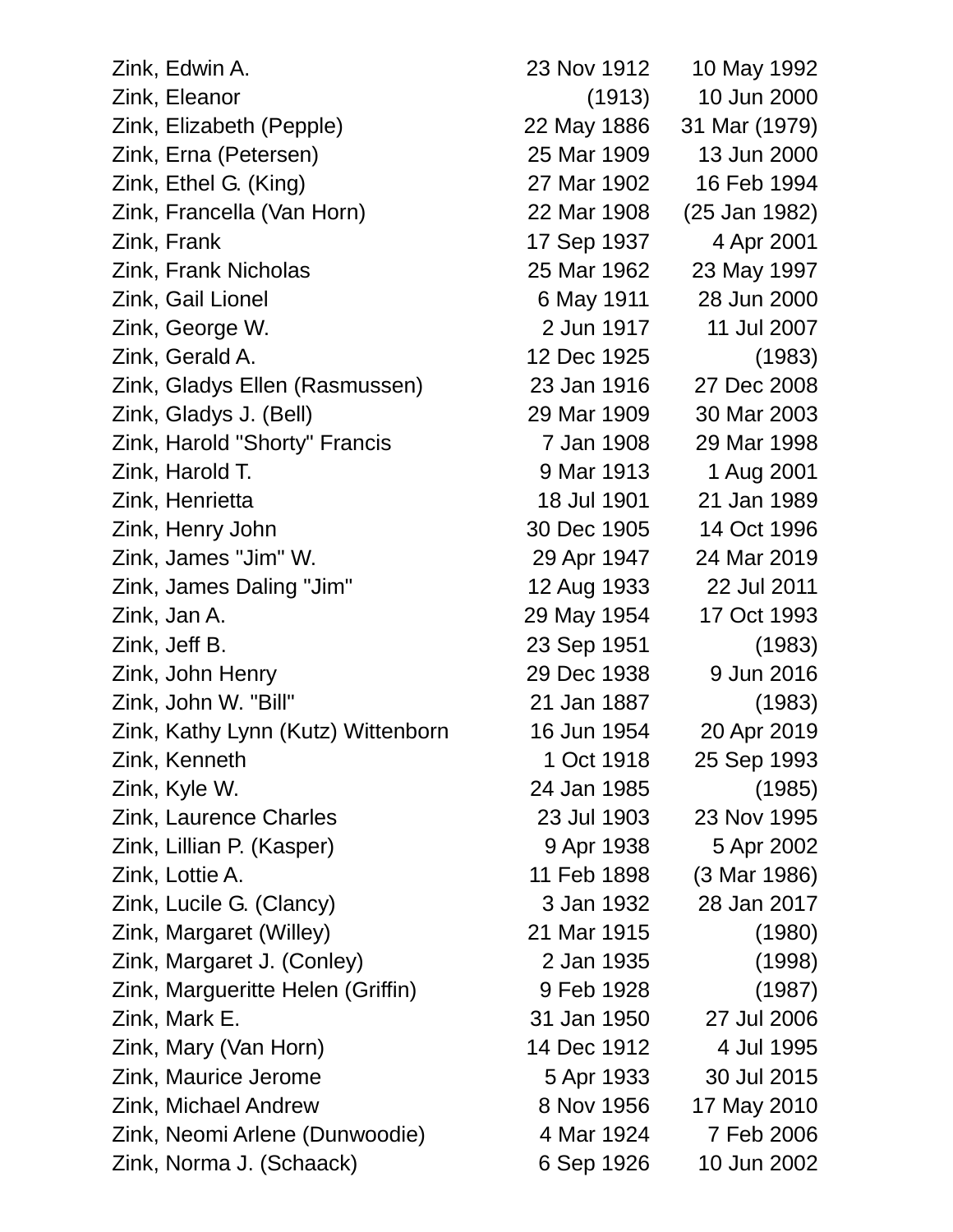| Zink, Edwin A.                     | 23 Nov 1912 | 10 May 1992   |
|------------------------------------|-------------|---------------|
| Zink, Eleanor                      | (1913)      | 10 Jun 2000   |
| Zink, Elizabeth (Pepple)           | 22 May 1886 | 31 Mar (1979) |
| Zink, Erna (Petersen)              | 25 Mar 1909 | 13 Jun 2000   |
| Zink, Ethel G. (King)              | 27 Mar 1902 | 16 Feb 1994   |
| Zink, Francella (Van Horn)         | 22 Mar 1908 | (25 Jan 1982) |
| Zink, Frank                        | 17 Sep 1937 | 4 Apr 2001    |
| Zink, Frank Nicholas               | 25 Mar 1962 | 23 May 1997   |
| Zink, Gail Lionel                  | 6 May 1911  | 28 Jun 2000   |
| Zink, George W.                    | 2 Jun 1917  | 11 Jul 2007   |
| Zink, Gerald A.                    | 12 Dec 1925 | (1983)        |
| Zink, Gladys Ellen (Rasmussen)     | 23 Jan 1916 | 27 Dec 2008   |
| Zink, Gladys J. (Bell)             | 29 Mar 1909 | 30 Mar 2003   |
| Zink, Harold "Shorty" Francis      | 7 Jan 1908  | 29 Mar 1998   |
| Zink, Harold T.                    | 9 Mar 1913  | 1 Aug 2001    |
| Zink, Henrietta                    | 18 Jul 1901 | 21 Jan 1989   |
| Zink, Henry John                   | 30 Dec 1905 | 14 Oct 1996   |
| Zink, James "Jim" W.               | 29 Apr 1947 | 24 Mar 2019   |
| Zink, James Daling "Jim"           | 12 Aug 1933 | 22 Jul 2011   |
| Zink, Jan A.                       | 29 May 1954 | 17 Oct 1993   |
| Zink, Jeff B.                      | 23 Sep 1951 | (1983)        |
| Zink, John Henry                   | 29 Dec 1938 | 9 Jun 2016    |
| Zink, John W. "Bill"               | 21 Jan 1887 | (1983)        |
| Zink, Kathy Lynn (Kutz) Wittenborn | 16 Jun 1954 | 20 Apr 2019   |
| Zink, Kenneth                      | 1 Oct 1918  | 25 Sep 1993   |
| Zink, Kyle W.                      | 24 Jan 1985 | (1985)        |
| Zink, Laurence Charles             | 23 Jul 1903 | 23 Nov 1995   |
| Zink, Lillian P. (Kasper)          | 9 Apr 1938  | 5 Apr 2002    |
| Zink, Lottie A.                    | 11 Feb 1898 | (3 Mar 1986)  |
| Zink, Lucile G. (Clancy)           | 3 Jan 1932  | 28 Jan 2017   |
| Zink, Margaret (Willey)            | 21 Mar 1915 | (1980)        |
| Zink, Margaret J. (Conley)         | 2 Jan 1935  | (1998)        |
| Zink, Margueritte Helen (Griffin)  | 9 Feb 1928  | (1987)        |
| Zink, Mark E.                      | 31 Jan 1950 | 27 Jul 2006   |
| Zink, Mary (Van Horn)              | 14 Dec 1912 | 4 Jul 1995    |
| Zink, Maurice Jerome               | 5 Apr 1933  | 30 Jul 2015   |
| Zink, Michael Andrew               | 8 Nov 1956  | 17 May 2010   |
| Zink, Neomi Arlene (Dunwoodie)     | 4 Mar 1924  | 7 Feb 2006    |
| Zink, Norma J. (Schaack)           | 6 Sep 1926  | 10 Jun 2002   |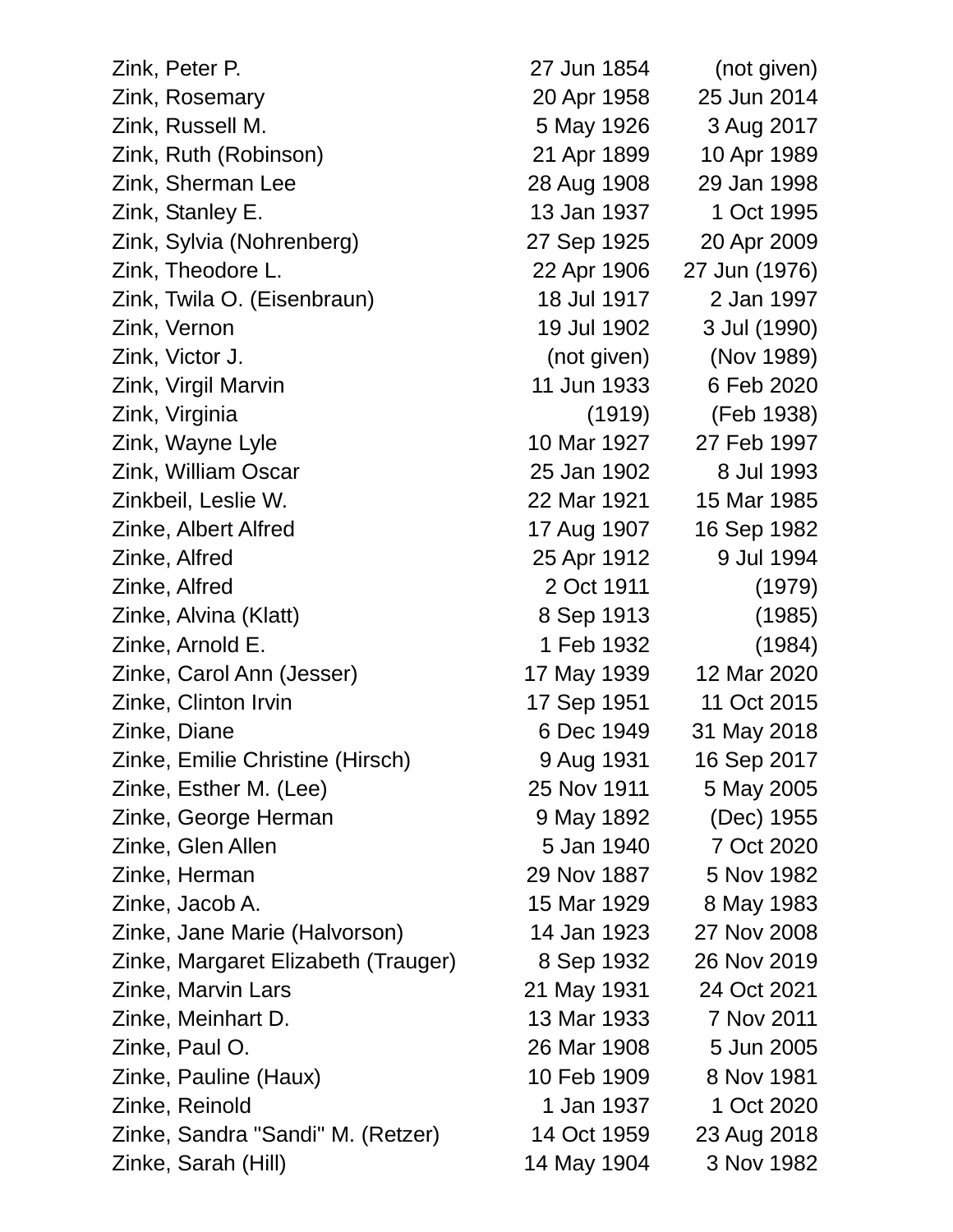| Zink, Peter P.                      | 27 Jun 1854 | (not given)   |
|-------------------------------------|-------------|---------------|
| Zink, Rosemary                      | 20 Apr 1958 | 25 Jun 2014   |
| Zink, Russell M.                    | 5 May 1926  | 3 Aug 2017    |
| Zink, Ruth (Robinson)               | 21 Apr 1899 | 10 Apr 1989   |
| Zink, Sherman Lee                   | 28 Aug 1908 | 29 Jan 1998   |
| Zink, Stanley E.                    | 13 Jan 1937 | 1 Oct 1995    |
| Zink, Sylvia (Nohrenberg)           | 27 Sep 1925 | 20 Apr 2009   |
| Zink, Theodore L.                   | 22 Apr 1906 | 27 Jun (1976) |
| Zink, Twila O. (Eisenbraun)         | 18 Jul 1917 | 2 Jan 1997    |
| Zink, Vernon                        | 19 Jul 1902 | 3 Jul (1990)  |
| Zink, Victor J.                     | (not given) | (Nov 1989)    |
| Zink, Virgil Marvin                 | 11 Jun 1933 | 6 Feb 2020    |
| Zink, Virginia                      | (1919)      | (Feb 1938)    |
| Zink, Wayne Lyle                    | 10 Mar 1927 | 27 Feb 1997   |
| Zink, William Oscar                 | 25 Jan 1902 | 8 Jul 1993    |
| Zinkbeil, Leslie W.                 | 22 Mar 1921 | 15 Mar 1985   |
| Zinke, Albert Alfred                | 17 Aug 1907 | 16 Sep 1982   |
| Zinke, Alfred                       | 25 Apr 1912 | 9 Jul 1994    |
| Zinke, Alfred                       | 2 Oct 1911  | (1979)        |
| Zinke, Alvina (Klatt)               | 8 Sep 1913  | (1985)        |
| Zinke, Arnold E.                    | 1 Feb 1932  | (1984)        |
| Zinke, Carol Ann (Jesser)           | 17 May 1939 | 12 Mar 2020   |
| Zinke, Clinton Irvin                | 17 Sep 1951 | 11 Oct 2015   |
| Zinke, Diane                        | 6 Dec 1949  | 31 May 2018   |
| Zinke, Emilie Christine (Hirsch)    | 9 Aug 1931  | 16 Sep 2017   |
| Zinke, Esther M. (Lee)              | 25 Nov 1911 | 5 May 2005    |
| Zinke, George Herman                | 9 May 1892  | (Dec) 1955    |
| Zinke, Glen Allen                   | 5 Jan 1940  | 7 Oct 2020    |
| Zinke, Herman                       | 29 Nov 1887 | 5 Nov 1982    |
| Zinke, Jacob A.                     | 15 Mar 1929 | 8 May 1983    |
| Zinke, Jane Marie (Halvorson)       | 14 Jan 1923 | 27 Nov 2008   |
| Zinke, Margaret Elizabeth (Trauger) | 8 Sep 1932  | 26 Nov 2019   |
| Zinke, Marvin Lars                  | 21 May 1931 | 24 Oct 2021   |
| Zinke, Meinhart D.                  | 13 Mar 1933 | 7 Nov 2011    |
| Zinke, Paul O.                      | 26 Mar 1908 | 5 Jun 2005    |
| Zinke, Pauline (Haux)               | 10 Feb 1909 | 8 Nov 1981    |
| Zinke, Reinold                      | 1 Jan 1937  | 1 Oct 2020    |
| Zinke, Sandra "Sandi" M. (Retzer)   | 14 Oct 1959 | 23 Aug 2018   |
| Zinke, Sarah (Hill)                 | 14 May 1904 | 3 Nov 1982    |
|                                     |             |               |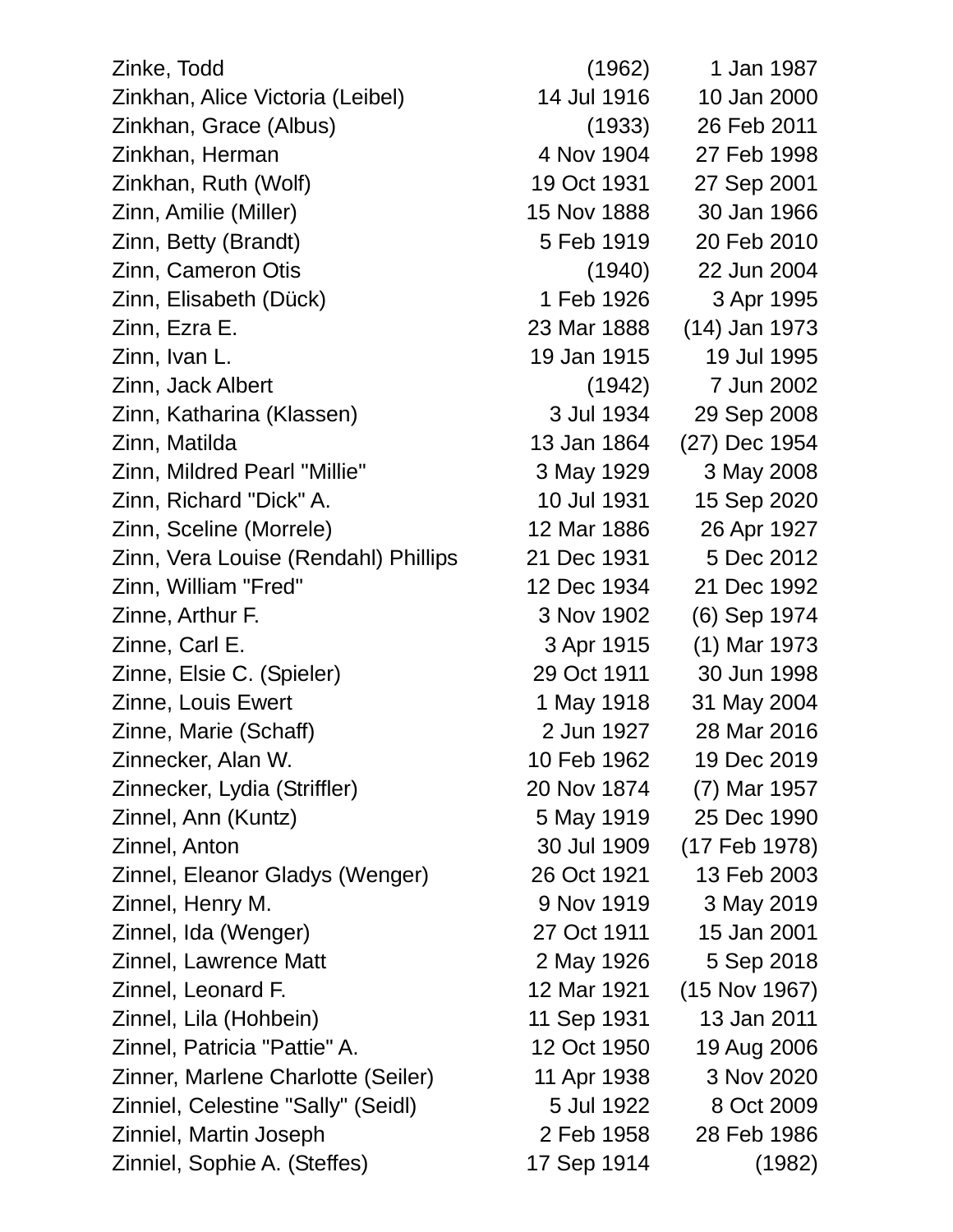Zinke, Todd (1962) 1 Jan 1987 Zinkhan, Alice Victoria (Leibel) 14 Jul 1916 10 Jan 2000 Zinkhan, Grace (Albus) (1933) 26 Feb 2011 Zinkhan, Herman 4 Nov 1904 27 Feb 1998 Zinkhan, Ruth (Wolf) 19 Oct 1931 27 Sep 2001 Zinn, Amilie (Miller) 15 Nov 1888 30 Jan 1966 Zinn, Betty (Brandt) 5 Feb 1919 20 Feb 2010 Zinn, Cameron Otis (1940) 22 Jun 2004 Zinn, Elisabeth (Dück) 1 Feb 1926 3 Apr 1995 Zinn, Ezra E. 23 Mar 1888 (14) Jan 1973 Zinn, Ivan L. 19 Jan 1915 19 Jul 1995 Zinn, Jack Albert (1942) 7 Jun 2002 Zinn, Katharina (Klassen) 3 Jul 1934 29 Sep 2008 Zinn, Matilda 13 Jan 1864 (27) Dec 1954 Zinn, Mildred Pearl "Millie" 3 May 1929 3 May 2008 Zinn, Richard "Dick" A. 10 Jul 1931 15 Sep 2020 Zinn, Sceline (Morrele) 12 Mar 1886 26 Apr 1927 Zinn, Vera Louise (Rendahl) Phillips 21 Dec 1931 5 Dec 2012 Zinn, William "Fred" 12 Dec 1934 21 Dec 1992 Zinne, Arthur F. 3 Nov 1902 (6) Sep 1974 Zinne, Carl E. 3 Apr 1915 (1) Mar 1973 Zinne, Elsie C. (Spieler) 29 Oct 1911 30 Jun 1998 Zinne, Louis Ewert 1 May 1918 31 May 2004 Zinne, Marie (Schaff) 2 Jun 1927 28 Mar 2016 Zinnecker, Alan W. 10 Feb 1962 19 Dec 2019 Zinnecker, Lydia (Striffler) 20 Nov 1874 (7) Mar 1957 Zinnel, Ann (Kuntz) 5 May 1919 25 Dec 1990 Zinnel, Anton 30 Jul 1909 (17 Feb 1978) Zinnel, Eleanor Gladys (Wenger) 26 Oct 1921 13 Feb 2003 Zinnel, Henry M. 9 Nov 1919 3 May 2019 Zinnel, Ida (Wenger) 27 Oct 1911 15 Jan 2001 Zinnel, Lawrence Matt 2 May 1926 5 Sep 2018 Zinnel, Leonard F. 12 Mar 1921 (15 Nov 1967) Zinnel, Lila (Hohbein) 11 Sep 1931 13 Jan 2011 Zinnel, Patricia "Pattie" A. 12 Oct 1950 19 Aug 2006 Zinner, Marlene Charlotte (Seiler) 11 Apr 1938 3 Nov 2020 Zinniel, Celestine "Sally" (Seidl) 5 Jul 1922 8 Oct 2009 Zinniel, Martin Joseph 2 Feb 1958 28 Feb 1986 Zinniel, Sophie A. (Steffes) 17 Sep 1914 (1982)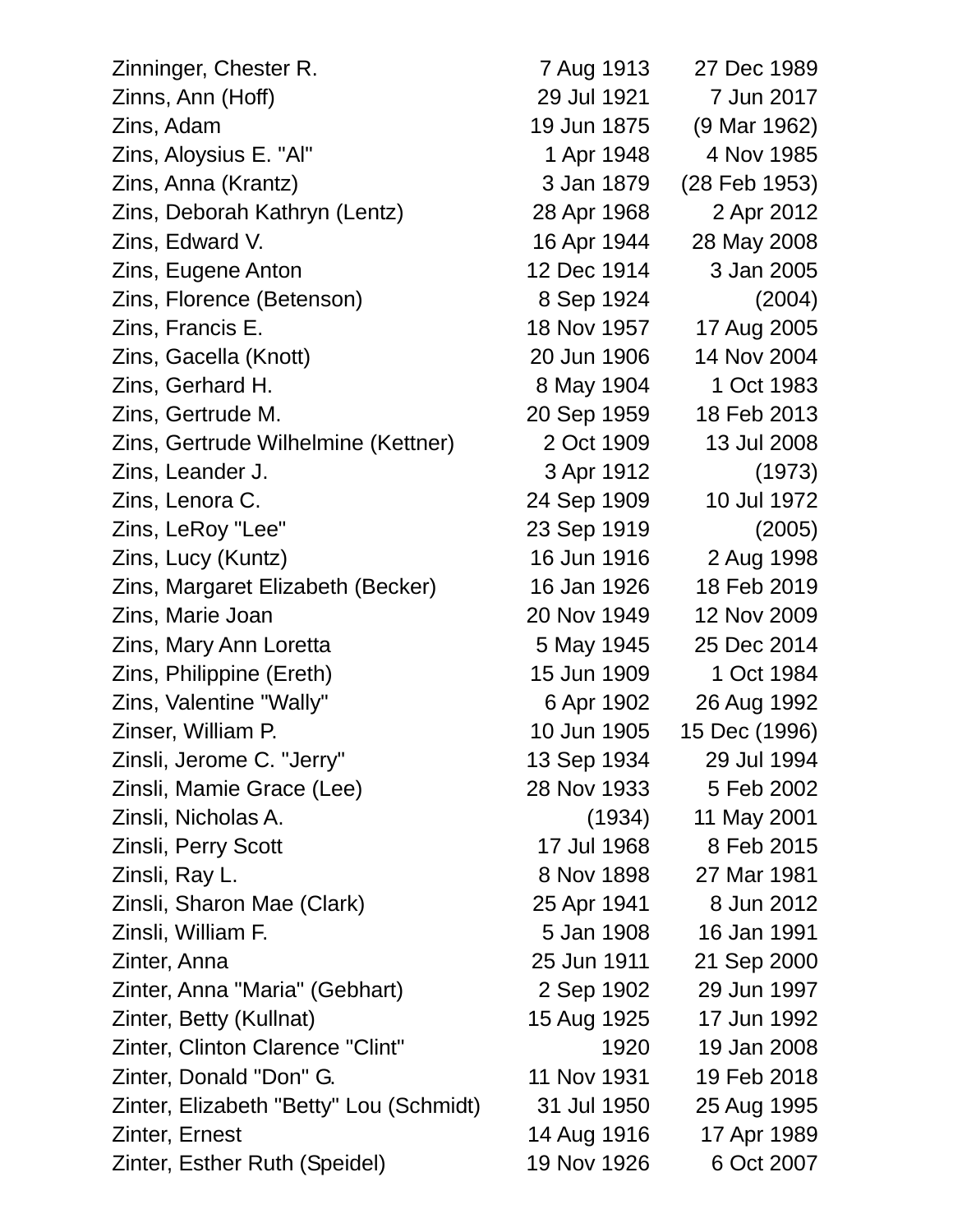| Zinninger, Chester R.                   | 7 Aug 1913  | 27 Dec 1989   |
|-----------------------------------------|-------------|---------------|
| Zinns, Ann (Hoff)                       | 29 Jul 1921 | 7 Jun 2017    |
| Zins, Adam                              | 19 Jun 1875 | (9 Mar 1962)  |
| Zins, Aloysius E. "Al"                  | 1 Apr 1948  | 4 Nov 1985    |
| Zins, Anna (Krantz)                     | 3 Jan 1879  | (28 Feb 1953) |
| Zins, Deborah Kathryn (Lentz)           | 28 Apr 1968 | 2 Apr 2012    |
| Zins, Edward V.                         | 16 Apr 1944 | 28 May 2008   |
| Zins, Eugene Anton                      | 12 Dec 1914 | 3 Jan 2005    |
| Zins, Florence (Betenson)               | 8 Sep 1924  | (2004)        |
| Zins, Francis E.                        | 18 Nov 1957 | 17 Aug 2005   |
| Zins, Gacella (Knott)                   | 20 Jun 1906 | 14 Nov 2004   |
| Zins, Gerhard H.                        | 8 May 1904  | 1 Oct 1983    |
| Zins, Gertrude M.                       | 20 Sep 1959 | 18 Feb 2013   |
| Zins, Gertrude Wilhelmine (Kettner)     | 2 Oct 1909  | 13 Jul 2008   |
| Zins, Leander J.                        | 3 Apr 1912  | (1973)        |
| Zins, Lenora C.                         | 24 Sep 1909 | 10 Jul 1972   |
| Zins, LeRoy "Lee"                       | 23 Sep 1919 | (2005)        |
| Zins, Lucy (Kuntz)                      | 16 Jun 1916 | 2 Aug 1998    |
| Zins, Margaret Elizabeth (Becker)       | 16 Jan 1926 | 18 Feb 2019   |
| Zins, Marie Joan                        | 20 Nov 1949 | 12 Nov 2009   |
| Zins, Mary Ann Loretta                  | 5 May 1945  | 25 Dec 2014   |
| Zins, Philippine (Ereth)                | 15 Jun 1909 | 1 Oct 1984    |
| Zins, Valentine "Wally"                 | 6 Apr 1902  | 26 Aug 1992   |
| Zinser, William P.                      | 10 Jun 1905 | 15 Dec (1996) |
| Zinsli, Jerome C. "Jerry"               | 13 Sep 1934 | 29 Jul 1994   |
| Zinsli, Mamie Grace (Lee)               | 28 Nov 1933 | 5 Feb 2002    |
| Zinsli, Nicholas A.                     | (1934)      | 11 May 2001   |
| Zinsli, Perry Scott                     | 17 Jul 1968 | 8 Feb 2015    |
| Zinsli, Ray L.                          | 8 Nov 1898  | 27 Mar 1981   |
| Zinsli, Sharon Mae (Clark)              | 25 Apr 1941 | 8 Jun 2012    |
| Zinsli, William F.                      | 5 Jan 1908  | 16 Jan 1991   |
| Zinter, Anna                            | 25 Jun 1911 | 21 Sep 2000   |
| Zinter, Anna "Maria" (Gebhart)          | 2 Sep 1902  | 29 Jun 1997   |
| Zinter, Betty (Kullnat)                 | 15 Aug 1925 | 17 Jun 1992   |
| Zinter, Clinton Clarence "Clint"        | 1920        | 19 Jan 2008   |
| Zinter, Donald "Don" G.                 | 11 Nov 1931 | 19 Feb 2018   |
| Zinter, Elizabeth "Betty" Lou (Schmidt) | 31 Jul 1950 | 25 Aug 1995   |
| Zinter, Ernest                          | 14 Aug 1916 | 17 Apr 1989   |
| Zinter, Esther Ruth (Speidel)           | 19 Nov 1926 | 6 Oct 2007    |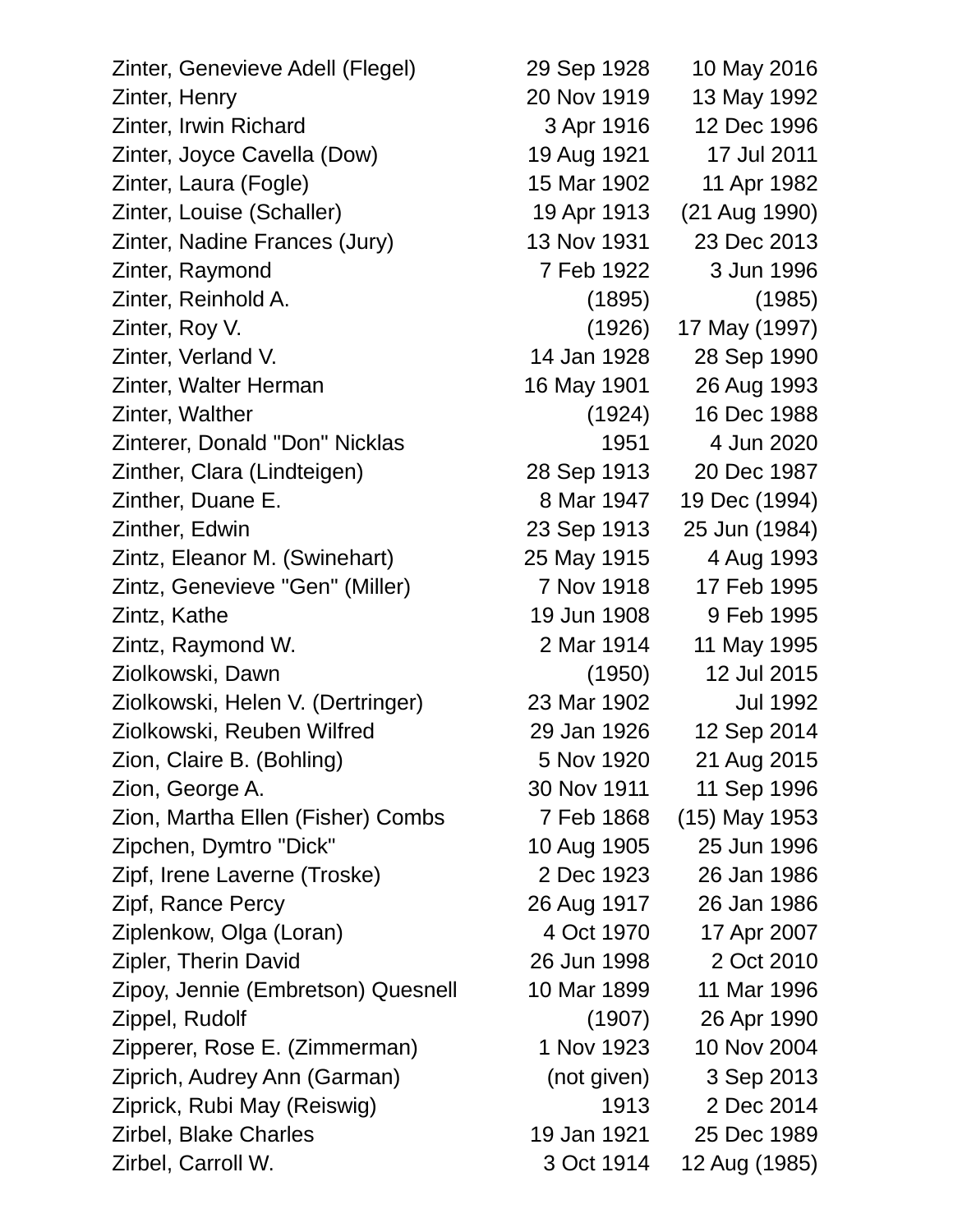Zinter, Genevieve Adell (Flegel) 29 Sep 1928 10 May 2016 Zinter, Henry 20 Nov 1919 13 May 1992 Zinter, Irwin Richard 3 Apr 1916 12 Dec 1996 Zinter, Joyce Cavella (Dow) 19 Aug 1921 17 Jul 2011 Zinter, Laura (Fogle) 15 Mar 1902 11 Apr 1982 Zinter, Louise (Schaller) 19 Apr 1913 (21 Aug 1990) Zinter, Nadine Frances (Jury) 13 Nov 1931 23 Dec 2013 Zinter, Raymond 7 Feb 1922 3 Jun 1996 Zinter, Reinhold A. (1895) (1985) Zinter, Roy V. (1926) 17 May (1997) Zinter, Verland V. 14 Jan 1928 28 Sep 1990 Zinter, Walter Herman 16 May 1901 26 Aug 1993 Zinter, Walther (1924) 16 Dec 1988 Zinterer, Donald "Don" Nicklas 1951 4 Jun 2020 Zinther, Clara (Lindteigen) 28 Sep 1913 20 Dec 1987 Zinther, Duane E. 8 Mar 1947 19 Dec (1994) Zinther, Edwin 23 Sep 1913 25 Jun (1984) Zintz, Eleanor M. (Swinehart) 25 May 1915 4 Aug 1993 Zintz, Genevieve "Gen" (Miller) 7 Nov 1918 17 Feb 1995 Zintz, Kathe 19 Jun 1908 9 Feb 1995 Zintz, Raymond W. 2 Mar 1914 11 May 1995 Ziolkowski, Dawn (1950) 12 Jul 2015 Ziolkowski, Helen V. (Dertringer) 23 Mar 1902 Jul 1992 Ziolkowski, Reuben Wilfred 29 Jan 1926 12 Sep 2014 Zion, Claire B. (Bohling) 5 Nov 1920 21 Aug 2015 Zion, George A. 30 Nov 1911 11 Sep 1996 Zion, Martha Ellen (Fisher) Combs 7 Feb 1868 (15) May 1953 Zipchen, Dymtro "Dick" 10 Aug 1905 25 Jun 1996 Zipf, Irene Laverne (Troske) 2 Dec 1923 26 Jan 1986 Zipf, Rance Percy 26 Aug 1917 26 Jan 1986 Ziplenkow, Olga (Loran) 4 Oct 1970 17 Apr 2007 Zipler, Therin David 26 Jun 1998 2 Oct 2010 Zipoy, Jennie (Embretson) Quesnell 10 Mar 1899 11 Mar 1996 Zippel, Rudolf (1907) 26 Apr 1990 Zipperer, Rose E. (Zimmerman) 1 Nov 1923 10 Nov 2004 Ziprich, Audrey Ann (Garman) (not given) 3 Sep 2013 Ziprick, Rubi May (Reiswig) 1913 2 Dec 2014 Zirbel, Blake Charles 19 Jan 1921 25 Dec 1989

Zirbel, Carroll W. 3 Oct 1914 12 Aug (1985)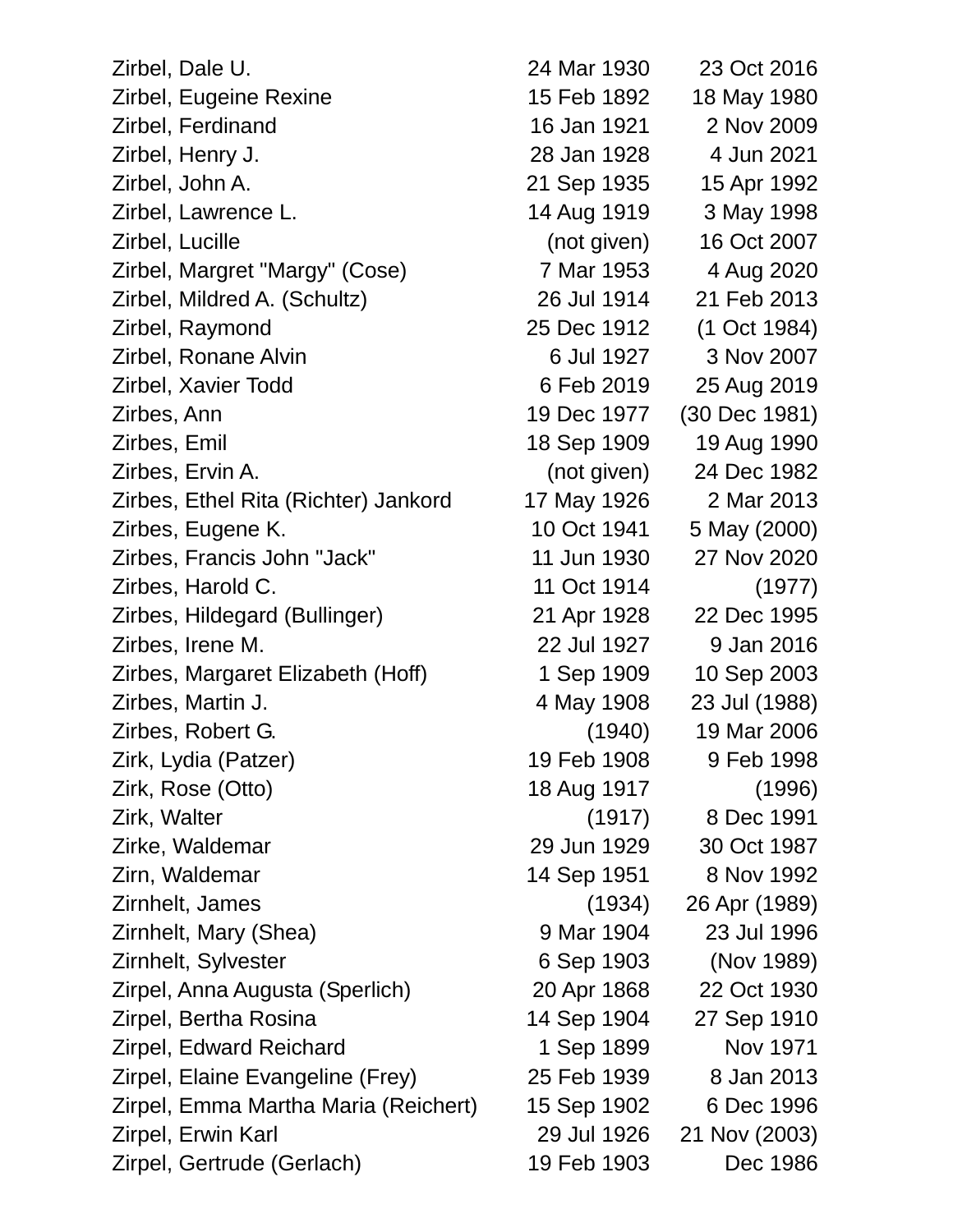Zirbel, Dale U. 24 Mar 1930 23 Oct 2016 Zirbel, Eugeine Rexine 15 Feb 1892 18 May 1980 Zirbel, Ferdinand 16 Jan 1921 2 Nov 2009 Zirbel, Henry J. 28 Jan 1928 4 Jun 2021 Zirbel, John A. 21 Sep 1935 15 Apr 1992 Zirbel, Lawrence L. 14 Aug 1919 3 May 1998 Zirbel, Lucille (not given) 16 Oct 2007 Zirbel, Margret "Margy" (Cose) 7 Mar 1953 4 Aug 2020 Zirbel, Mildred A. (Schultz) 26 Jul 1914 21 Feb 2013 Zirbel, Raymond 25 Dec 1912 (1 Oct 1984) Zirbel, Ronane Alvin 6 Jul 1927 3 Nov 2007 Zirbel, Xavier Todd 6 Feb 2019 25 Aug 2019 Zirbes, Ann 19 Dec 1977 (30 Dec 1981) Zirbes, Emil 18 Sep 1909 19 Aug 1990 Zirbes, Ervin A. (not given) 24 Dec 1982 Zirbes, Ethel Rita (Richter) Jankord 17 May 1926 2 Mar 2013 Zirbes, Eugene K. 10 Oct 1941 5 May (2000) Zirbes, Francis John "Jack" 11 Jun 1930 27 Nov 2020 Zirbes, Harold C. 11 Oct 1914 (1977) Zirbes, Hildegard (Bullinger) 21 Apr 1928 22 Dec 1995 Zirbes, Irene M. 22 Jul 1927 9 Jan 2016 Zirbes, Margaret Elizabeth (Hoff) 1 Sep 1909 10 Sep 2003 Zirbes, Martin J. 4 May 1908 23 Jul (1988) Zirbes, Robert G. (1940) 19 Mar 2006 Zirk, Lydia (Patzer) 19 Feb 1908 9 Feb 1998 Zirk, Rose (Otto) 18 Aug 1917 (1996) Zirk, Walter (1917) 8 Dec 1991 Zirke, Waldemar 29 Jun 1929 30 Oct 1987 Zirn, Waldemar 14 Sep 1951 8 Nov 1992 Zirnhelt, James (1934) 26 Apr (1989) Zirnhelt, Mary (Shea) 9 Mar 1904 23 Jul 1996 Zirnhelt, Sylvester 6 Sep 1903 (Nov 1989) Zirpel, Anna Augusta (Sperlich) 20 Apr 1868 22 Oct 1930 Zirpel, Bertha Rosina 14 Sep 1904 27 Sep 1910 Zirpel, Edward Reichard 1 Sep 1899 Nov 1971 Zirpel, Elaine Evangeline (Frey) 25 Feb 1939 8 Jan 2013 Zirpel, Emma Martha Maria (Reichert) 15 Sep 1902 6 Dec 1996 Zirpel, Erwin Karl 29 Jul 1926 21 Nov (2003) Zirpel, Gertrude (Gerlach) 19 Feb 1903 Dec 1986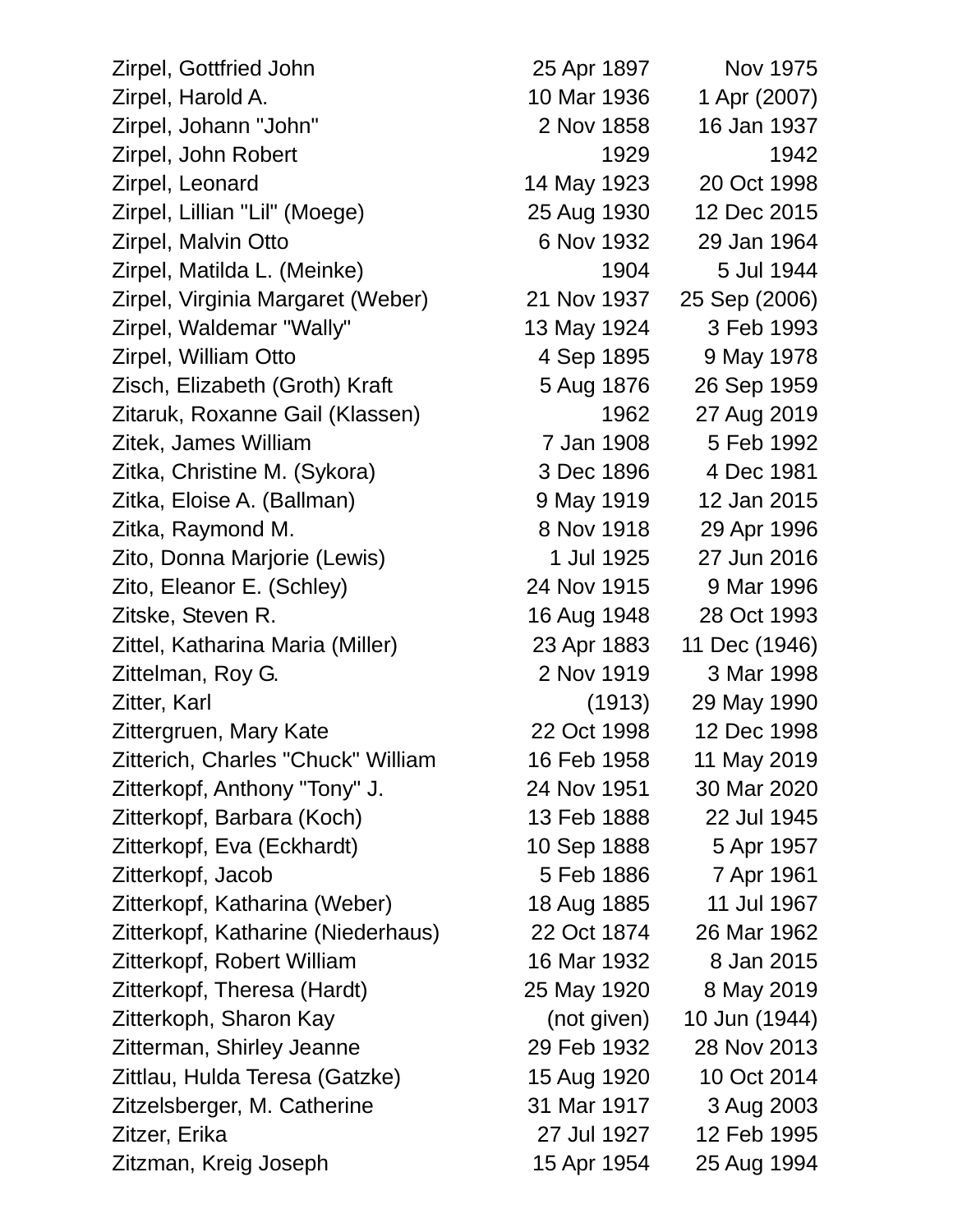Zirpel, Gottfried John 25 Apr 1897 Nov 1975 Zirpel, Harold A. 10 Mar 1936 1 Apr (2007) Zirpel, Johann "John" 2 Nov 1858 16 Jan 1937 Zirpel, John Robert 1929 1942 Zirpel, Leonard 14 May 1923 20 Oct 1998 Zirpel, Lillian "Lil" (Moege) 25 Aug 1930 12 Dec 2015 Zirpel, Malvin Otto 6 Nov 1932 29 Jan 1964 Zirpel, Matilda L. (Meinke) 1904 5 Jul 1944 Zirpel, Virginia Margaret (Weber) 21 Nov 1937 25 Sep (2006) Zirpel, Waldemar "Wally" 13 May 1924 3 Feb 1993 Zirpel, William Otto 4 Sep 1895 9 May 1978 Zisch, Elizabeth (Groth) Kraft 5 Aug 1876 26 Sep 1959 Zitaruk, Roxanne Gail (Klassen) 1962 27 Aug 2019 Zitek, James William 7 Jan 1908 5 Feb 1992 Zitka, Christine M. (Sykora) 3 Dec 1896 4 Dec 1981 Zitka, Eloise A. (Ballman) 9 May 1919 12 Jan 2015 Zitka, Raymond M. 8 Nov 1918 29 Apr 1996 Zito, Donna Marjorie (Lewis) 1 Jul 1925 27 Jun 2016 Zito, Eleanor E. (Schley) 24 Nov 1915 9 Mar 1996 Zitske, Steven R. 16 Aug 1948 28 Oct 1993 Zittel, Katharina Maria (Miller) 23 Apr 1883 11 Dec (1946) Zittelman, Roy G. 2 Nov 1919 3 Mar 1998 Zitter, Karl (1913) 29 May 1990 Zittergruen, Mary Kate 22 Oct 1998 12 Dec 1998 Zitterich, Charles "Chuck" William 16 Feb 1958 11 May 2019 Zitterkopf, Anthony "Tony" J. 24 Nov 1951 30 Mar 2020 Zitterkopf, Barbara (Koch) 13 Feb 1888 22 Jul 1945 Zitterkopf, Eva (Eckhardt) 10 Sep 1888 5 Apr 1957 Zitterkopf, Jacob 5 Feb 1886 7 Apr 1961 Zitterkopf, Katharina (Weber) 18 Aug 1885 11 Jul 1967 Zitterkopf, Katharine (Niederhaus) 22 Oct 1874 26 Mar 1962 Zitterkopf, Robert William 16 Mar 1932 8 Jan 2015 Zitterkopf, Theresa (Hardt) 25 May 1920 8 May 2019 Zitterkoph, Sharon Kay (not given) 10 Jun (1944) Zitterman, Shirley Jeanne 29 Feb 1932 28 Nov 2013 Zittlau, Hulda Teresa (Gatzke) 15 Aug 1920 10 Oct 2014 Zitzelsberger, M. Catherine 31 Mar 1917 3 Aug 2003 Zitzer, Erika 27 Jul 1927 12 Feb 1995 Zitzman, Kreig Joseph 15 Apr 1954 25 Aug 1994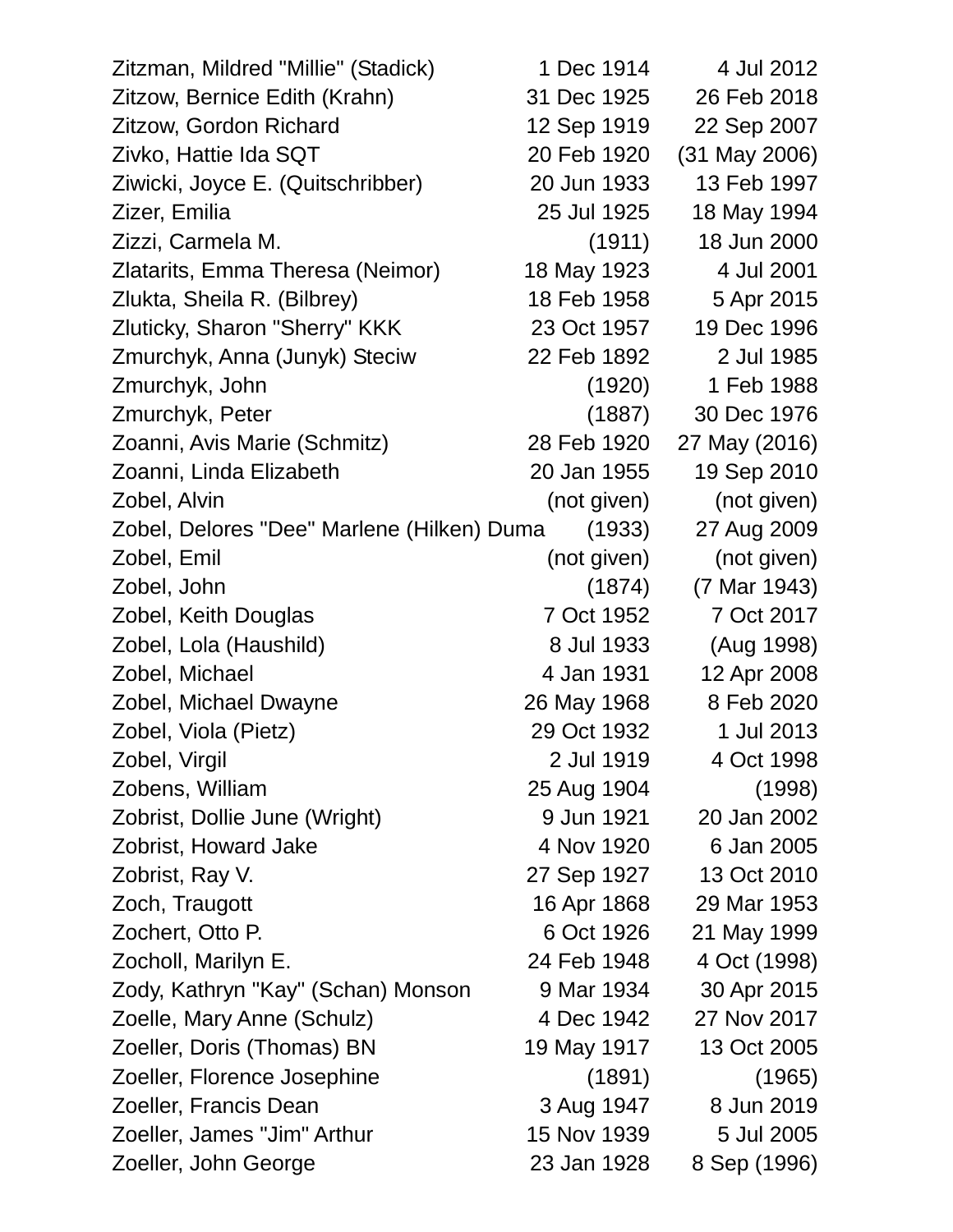| Zitzman, Mildred "Millie" (Stadick)        | 1 Dec 1914  | 4 Jul 2012      |
|--------------------------------------------|-------------|-----------------|
| Zitzow, Bernice Edith (Krahn)              | 31 Dec 1925 | 26 Feb 2018     |
| Zitzow, Gordon Richard                     | 12 Sep 1919 | 22 Sep 2007     |
| Zivko, Hattie Ida SQT                      | 20 Feb 1920 | $(31$ May 2006) |
| Ziwicki, Joyce E. (Quitschribber)          | 20 Jun 1933 | 13 Feb 1997     |
| Zizer, Emilia                              | 25 Jul 1925 | 18 May 1994     |
| Zizzi, Carmela M.                          | (1911)      | 18 Jun 2000     |
| Zlatarits, Emma Theresa (Neimor)           | 18 May 1923 | 4 Jul 2001      |
| Zlukta, Sheila R. (Bilbrey)                | 18 Feb 1958 | 5 Apr 2015      |
| Zluticky, Sharon "Sherry" KKK              | 23 Oct 1957 | 19 Dec 1996     |
| Zmurchyk, Anna (Junyk) Steciw              | 22 Feb 1892 | 2 Jul 1985      |
| Zmurchyk, John                             | (1920)      | 1 Feb 1988      |
| Zmurchyk, Peter                            | (1887)      | 30 Dec 1976     |
| Zoanni, Avis Marie (Schmitz)               | 28 Feb 1920 | 27 May (2016)   |
| Zoanni, Linda Elizabeth                    | 20 Jan 1955 | 19 Sep 2010     |
| Zobel, Alvin                               | (not given) | (not given)     |
| Zobel, Delores "Dee" Marlene (Hilken) Duma | (1933)      | 27 Aug 2009     |
| Zobel, Emil                                | (not given) | (not given)     |
| Zobel, John                                | (1874)      | (7 Mar 1943)    |
| Zobel, Keith Douglas                       | 7 Oct 1952  | 7 Oct 2017      |
| Zobel, Lola (Haushild)                     | 8 Jul 1933  | (Aug 1998)      |
| Zobel, Michael                             | 4 Jan 1931  | 12 Apr 2008     |
| Zobel, Michael Dwayne                      | 26 May 1968 | 8 Feb 2020      |
| Zobel, Viola (Pietz)                       | 29 Oct 1932 | 1 Jul 2013      |
| Zobel, Virgil                              | 2 Jul 1919  | 4 Oct 1998      |
| Zobens, William                            | 25 Aug 1904 | (1998)          |
| Zobrist, Dollie June (Wright)              | 9 Jun 1921  | 20 Jan 2002     |
| Zobrist, Howard Jake                       | 4 Nov 1920  | 6 Jan 2005      |
| Zobrist, Ray V.                            | 27 Sep 1927 | 13 Oct 2010     |
| Zoch, Traugott                             | 16 Apr 1868 | 29 Mar 1953     |
| Zochert, Otto P.                           | 6 Oct 1926  | 21 May 1999     |
| Zocholl, Marilyn E.                        | 24 Feb 1948 | 4 Oct (1998)    |
| Zody, Kathryn "Kay" (Schan) Monson         | 9 Mar 1934  | 30 Apr 2015     |
| Zoelle, Mary Anne (Schulz)                 | 4 Dec 1942  | 27 Nov 2017     |
| Zoeller, Doris (Thomas) BN                 | 19 May 1917 | 13 Oct 2005     |
| Zoeller, Florence Josephine                | (1891)      | (1965)          |
| Zoeller, Francis Dean                      | 3 Aug 1947  | 8 Jun 2019      |
| Zoeller, James "Jim" Arthur                | 15 Nov 1939 | 5 Jul 2005      |
| Zoeller, John George                       | 23 Jan 1928 | 8 Sep (1996)    |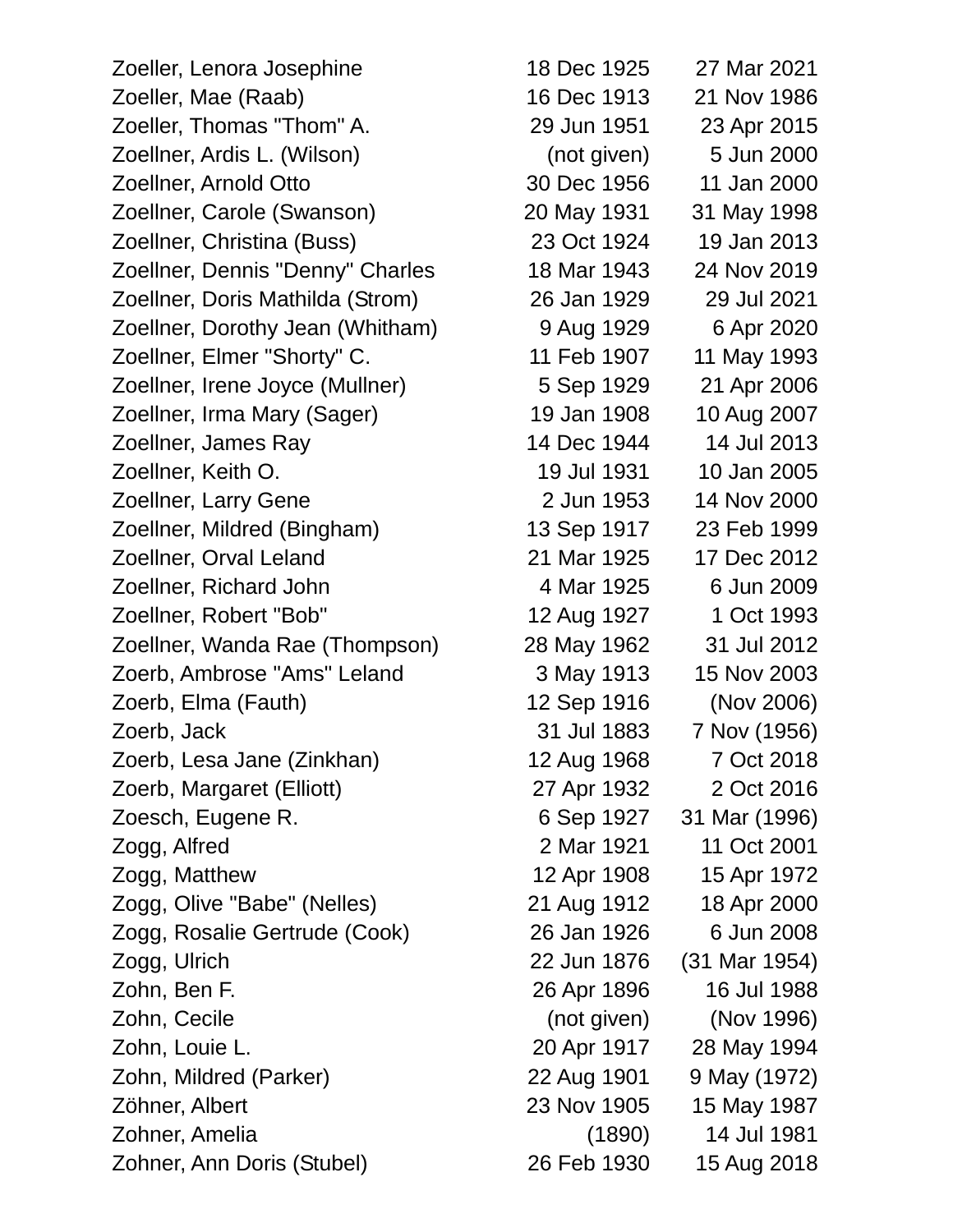Zoeller, Lenora Josephine 18 Dec 1925 27 Mar 2021 Zoeller, Mae (Raab) 16 Dec 1913 21 Nov 1986 Zoeller, Thomas "Thom" A. 29 Jun 1951 23 Apr 2015 Zoellner, Ardis L. (Wilson) (not given) 5 Jun 2000 Zoellner, Arnold Otto 30 Dec 1956 11 Jan 2000 Zoellner, Carole (Swanson) 20 May 1931 31 May 1998 Zoellner, Christina (Buss) 23 Oct 1924 19 Jan 2013 Zoellner, Dennis "Denny" Charles 18 Mar 1943 24 Nov 2019 Zoellner, Doris Mathilda (Strom) 26 Jan 1929 29 Jul 2021 Zoellner, Dorothy Jean (Whitham) 9 Aug 1929 6 Apr 2020 Zoellner, Elmer "Shorty" C. 11 Feb 1907 11 May 1993 Zoellner, Irene Joyce (Mullner) 5 Sep 1929 21 Apr 2006 Zoellner, Irma Mary (Sager) 19 Jan 1908 10 Aug 2007 Zoellner, James Ray 14 Dec 1944 14 Jul 2013 Zoellner, Keith O. 19 Jul 1931 10 Jan 2005 Zoellner, Larry Gene 2 Jun 1953 14 Nov 2000 Zoellner, Mildred (Bingham) 13 Sep 1917 23 Feb 1999 Zoellner, Orval Leland 21 Mar 1925 17 Dec 2012 Zoellner, Richard John 4 Mar 1925 6 Jun 2009 Zoellner, Robert "Bob" 12 Aug 1927 1 Oct 1993 Zoellner, Wanda Rae (Thompson) 28 May 1962 31 Jul 2012 Zoerb, Ambrose "Ams" Leland 3 May 1913 15 Nov 2003 Zoerb, Elma (Fauth) 12 Sep 1916 (Nov 2006) Zoerb, Jack 31 Jul 1883 7 Nov (1956) Zoerb, Lesa Jane (Zinkhan) 12 Aug 1968 7 Oct 2018 Zoerb, Margaret (Elliott) 27 Apr 1932 2 Oct 2016 Zoesch, Eugene R. 6 Sep 1927 31 Mar (1996) Zogg, Alfred 2 Mar 1921 11 Oct 2001 Zogg, Matthew 12 Apr 1908 15 Apr 1972 Zogg, Olive "Babe" (Nelles) 21 Aug 1912 18 Apr 2000 Zogg, Rosalie Gertrude (Cook) 26 Jan 1926 6 Jun 2008 Zogg, Ulrich 22 Jun 1876 (31 Mar 1954) Zohn, Ben F. 26 Apr 1896 16 Jul 1988 Zohn, Cecile (not given) (Nov 1996) Zohn, Louie L. 20 Apr 1917 28 May 1994 Zohn, Mildred (Parker) 22 Aug 1901 9 May (1972) Zöhner, Albert 23 Nov 1905 15 May 1987 Zohner, Amelia (1890) 14 Jul 1981 Zohner, Ann Doris (Stubel) 26 Feb 1930 15 Aug 2018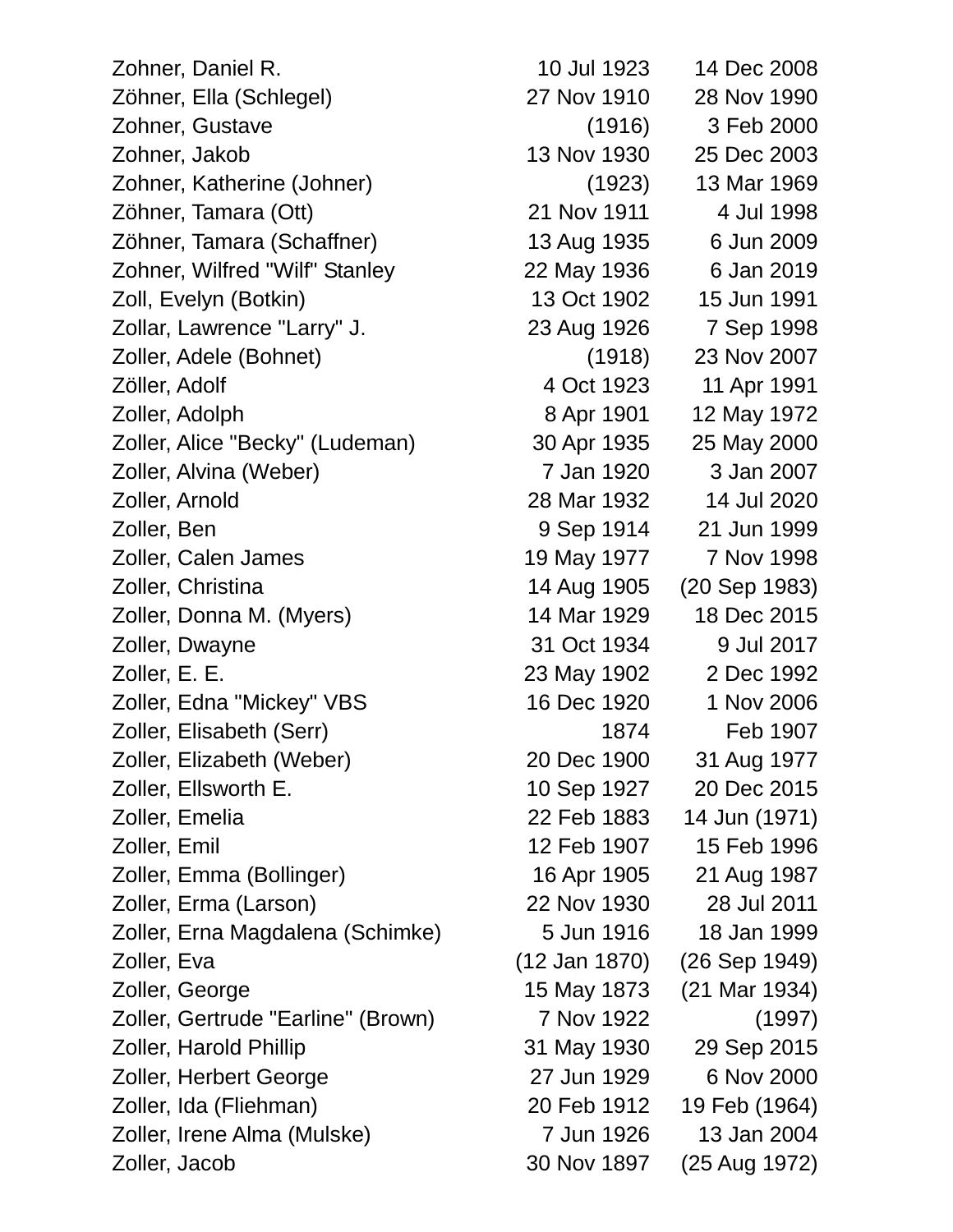Zohner, Daniel R. 10 Jul 1923 14 Dec 2008 Zöhner, Ella (Schlegel) 27 Nov 1910 28 Nov 1990 Zohner, Gustave (1916) 3 Feb 2000 Zohner, Jakob 13 Nov 1930 25 Dec 2003 Zohner, Katherine (Johner) (1923) 13 Mar 1969 Zöhner, Tamara (Ott) 21 Nov 1911 4 Jul 1998 Zöhner, Tamara (Schaffner) 13 Aug 1935 6 Jun 2009 Zohner, Wilfred "Wilf" Stanley 22 May 1936 6 Jan 2019 Zoll, Evelyn (Botkin) 13 Oct 1902 15 Jun 1991 Zollar, Lawrence "Larry" J. 23 Aug 1926 7 Sep 1998 Zoller, Adele (Bohnet) (1918) 23 Nov 2007 Zöller, Adolf 4 Oct 1923 11 Apr 1991 Zoller, Adolph 8 Apr 1901 12 May 1972 Zoller, Alice "Becky" (Ludeman) 30 Apr 1935 25 May 2000 Zoller, Alvina (Weber) 7 Jan 1920 3 Jan 2007 Zoller, Arnold 28 Mar 1932 14 Jul 2020 Zoller, Ben 9 Sep 1914 21 Jun 1999 Zoller, Calen James 2018 19 May 1977 7 Nov 1998 Zoller, Christina 14 Aug 1905 (20 Sep 1983) Zoller, Donna M. (Myers) 14 Mar 1929 18 Dec 2015 Zoller, Dwayne 31 Oct 1934 9 Jul 2017 Zoller, E. E. 23 May 1902 2 Dec 1992 Zoller, Edna "Mickey" VBS 16 Dec 1920 1 Nov 2006 Zoller, Elisabeth (Serr) 1874 Feb 1907 Zoller, Elizabeth (Weber) 20 Dec 1900 31 Aug 1977 Zoller, Ellsworth E. 10 Sep 1927 20 Dec 2015 Zoller, Emelia 22 Feb 1883 14 Jun (1971) Zoller, Emil 12 Feb 1907 15 Feb 1996 Zoller, Emma (Bollinger) 16 Apr 1905 21 Aug 1987 Zoller, Erma (Larson) 22 Nov 1930 28 Jul 2011 Zoller, Erna Magdalena (Schimke) 5 Jun 1916 18 Jan 1999 Zoller, Eva (12 Jan 1870) (26 Sep 1949) Zoller, George 15 May 1873 (21 Mar 1934) Zoller, Gertrude "Earline" (Brown) 7 Nov 1922 (1997) Zoller, Harold Phillip 31 May 1930 29 Sep 2015 Zoller, Herbert George 27 Jun 1929 6 Nov 2000 Zoller, Ida (Fliehman) 20 Feb 1912 19 Feb (1964) Zoller, Irene Alma (Mulske) 7 Jun 1926 13 Jan 2004 Zoller, Jacob 30 Nov 1897 (25 Aug 1972)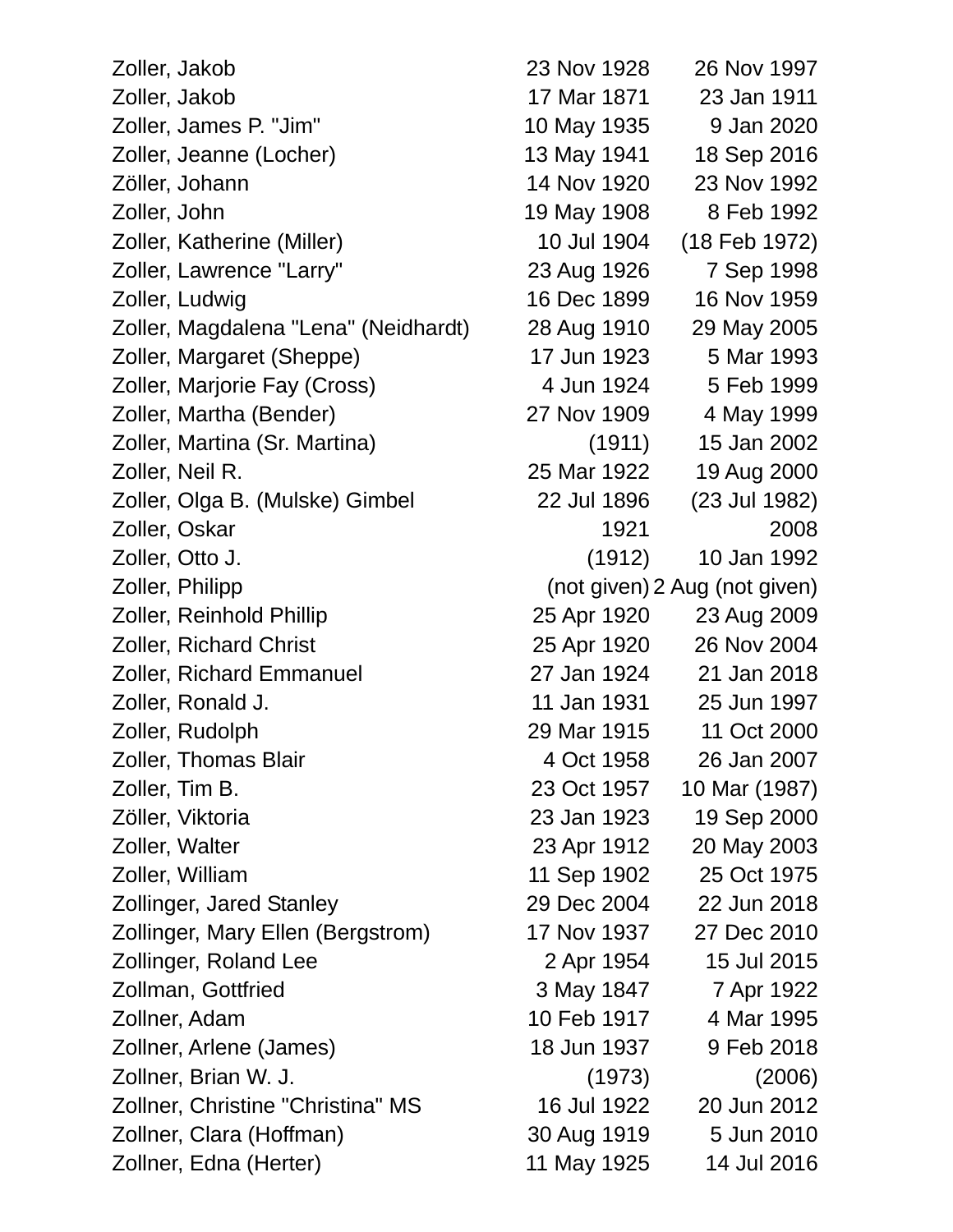Zoller, Jakob 23 Nov 1928 26 Nov 1997 Zoller, Jakob 17 Mar 1871 23 Jan 1911 Zoller, James P. "Jim" 10 May 1935 9 Jan 2020 Zoller, Jeanne (Locher) 13 May 1941 18 Sep 2016 Zöller, Johann 14 Nov 1920 23 Nov 1992 Zoller, John 19 May 1908 8 Feb 1992 Zoller, Katherine (Miller) 10 Jul 1904 (18 Feb 1972) Zoller, Lawrence "Larry" 23 Aug 1926 7 Sep 1998 Zoller, Ludwig 16 Dec 1899 16 Nov 1959 Zoller, Magdalena "Lena" (Neidhardt) 28 Aug 1910 29 May 2005 Zoller, Margaret (Sheppe) 17 Jun 1923 5 Mar 1993 Zoller, Marjorie Fay (Cross) 4 Jun 1924 5 Feb 1999 Zoller, Martha (Bender) 27 Nov 1909 4 May 1999 Zoller, Martina (Sr. Martina) (1911) 15 Jan 2002 Zoller, Neil R. 25 Mar 1922 19 Aug 2000 Zoller, Olga B. (Mulske) Gimbel 22 Jul 1896 (23 Jul 1982) Zoller, Oskar 1921 2008 Zoller, Otto J. (1912) 10 Jan 1992 Zoller, Philipp (not given) 2 Aug (not given) Zoller, Reinhold Phillip 25 Apr 1920 23 Aug 2009 Zoller, Richard Christ 25 Apr 1920 26 Nov 2004 Zoller, Richard Emmanuel 27 Jan 1924 21 Jan 2018 Zoller, Ronald J. 11 Jan 1931 25 Jun 1997 Zoller, Rudolph 29 Mar 1915 11 Oct 2000 Zoller, Thomas Blair 4 Oct 1958 26 Jan 2007 Zoller, Tim B. 23 Oct 1957 10 Mar (1987) Zöller, Viktoria 23 Jan 1923 19 Sep 2000 Zoller, Walter 23 Apr 1912 20 May 2003 Zoller, William 11 Sep 1902 25 Oct 1975 Zollinger, Jared Stanley 29 Dec 2004 22 Jun 2018 Zollinger, Mary Ellen (Bergstrom) 17 Nov 1937 27 Dec 2010 Zollinger, Roland Lee 2 Apr 1954 15 Jul 2015 Zollman, Gottfried 3 May 1847 7 Apr 1922 Zollner, Adam 10 Feb 1917 4 Mar 1995 Zollner, Arlene (James) 18 Jun 1937 9 Feb 2018 Zollner, Brian W. J. (1973) (2006) Zollner, Christine "Christina" MS 16 Jul 1922 20 Jun 2012 Zollner, Clara (Hoffman) 30 Aug 1919 5 Jun 2010 Zollner, Edna (Herter) 11 May 1925 14 Jul 2016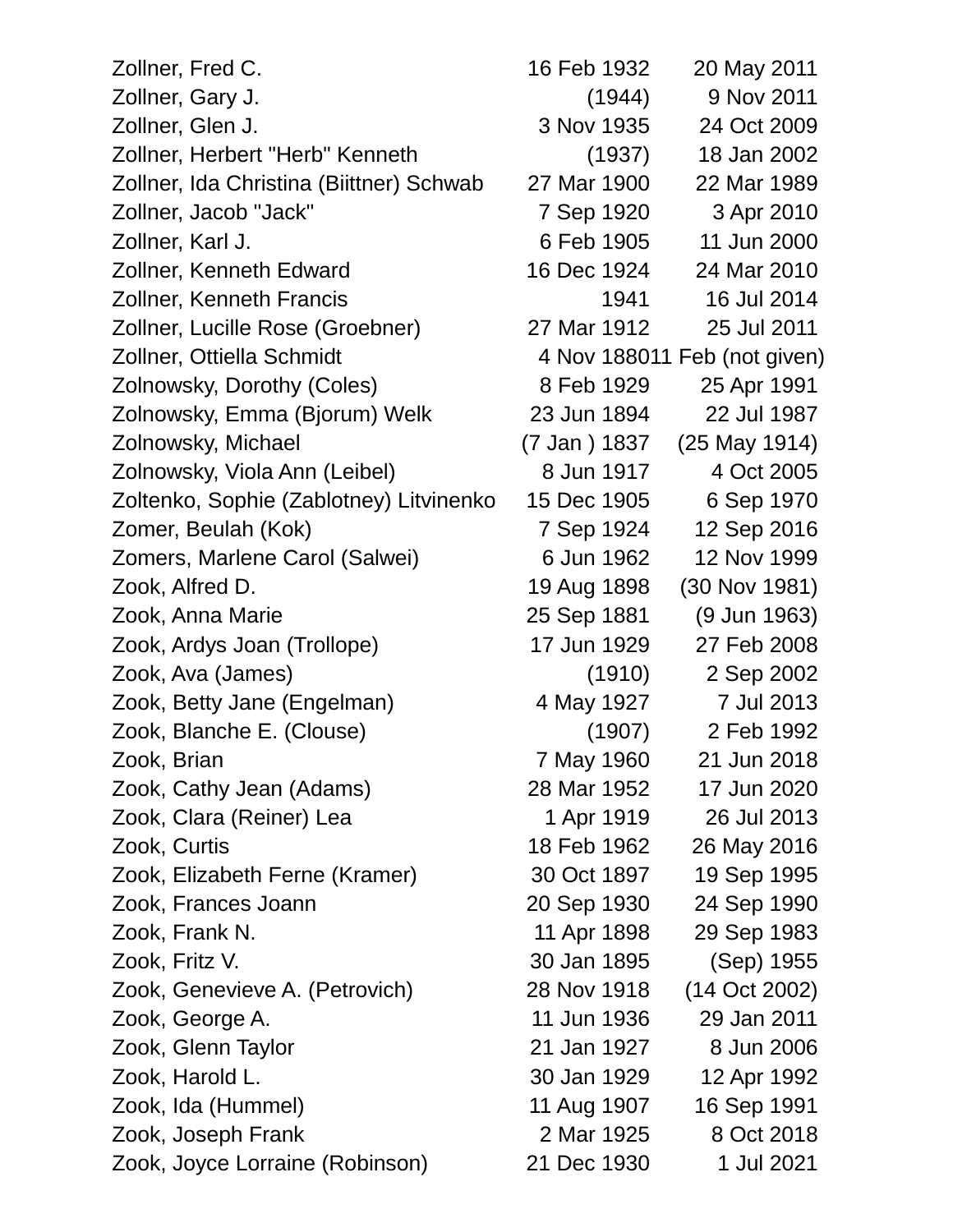| Zollner, Fred C.                         | 16 Feb 1932  | 20 May 2011                  |
|------------------------------------------|--------------|------------------------------|
| Zollner, Gary J.                         | (1944)       | 9 Nov 2011                   |
| Zollner, Glen J.                         | 3 Nov 1935   | 24 Oct 2009                  |
| Zollner, Herbert "Herb" Kenneth          | (1937)       | 18 Jan 2002                  |
| Zollner, Ida Christina (Biittner) Schwab | 27 Mar 1900  | 22 Mar 1989                  |
| Zollner, Jacob "Jack"                    | 7 Sep 1920   | 3 Apr 2010                   |
| Zollner, Karl J.                         | 6 Feb 1905   | 11 Jun 2000                  |
| Zollner, Kenneth Edward                  | 16 Dec 1924  | 24 Mar 2010                  |
| <b>Zollner, Kenneth Francis</b>          | 1941         | 16 Jul 2014                  |
| Zollner, Lucille Rose (Groebner)         | 27 Mar 1912  | 25 Jul 2011                  |
| Zollner, Ottiella Schmidt                |              | 4 Nov 188011 Feb (not given) |
| Zolnowsky, Dorothy (Coles)               | 8 Feb 1929   | 25 Apr 1991                  |
| Zolnowsky, Emma (Bjorum) Welk            | 23 Jun 1894  | 22 Jul 1987                  |
| Zolnowsky, Michael                       | (7 Jan) 1837 | (25 May 1914)                |
| Zolnowsky, Viola Ann (Leibel)            | 8 Jun 1917   | 4 Oct 2005                   |
| Zoltenko, Sophie (Zablotney) Litvinenko  | 15 Dec 1905  | 6 Sep 1970                   |
| Zomer, Beulah (Kok)                      | 7 Sep 1924   | 12 Sep 2016                  |
| Zomers, Marlene Carol (Salwei)           | 6 Jun 1962   | 12 Nov 1999                  |
| Zook, Alfred D.                          | 19 Aug 1898  | (30 Nov 1981)                |
| Zook, Anna Marie                         | 25 Sep 1881  | (9 Jun 1963)                 |
| Zook, Ardys Joan (Trollope)              | 17 Jun 1929  | 27 Feb 2008                  |
| Zook, Ava (James)                        | (1910)       | 2 Sep 2002                   |
| Zook, Betty Jane (Engelman)              | 4 May 1927   | 7 Jul 2013                   |
| Zook, Blanche E. (Clouse)                | (1907)       | 2 Feb 1992                   |
| Zook, Brian                              | 7 May 1960   | 21 Jun 2018                  |
| Zook, Cathy Jean (Adams)                 | 28 Mar 1952  | 17 Jun 2020                  |
| Zook, Clara (Reiner) Lea                 | 1 Apr 1919   | 26 Jul 2013                  |
| Zook, Curtis                             | 18 Feb 1962  | 26 May 2016                  |
| Zook, Elizabeth Ferne (Kramer)           | 30 Oct 1897  | 19 Sep 1995                  |
| Zook, Frances Joann                      | 20 Sep 1930  | 24 Sep 1990                  |
| Zook, Frank N.                           | 11 Apr 1898  | 29 Sep 1983                  |
| Zook, Fritz V.                           | 30 Jan 1895  | (Sep) 1955                   |
| Zook, Genevieve A. (Petrovich)           | 28 Nov 1918  | (14 Oct 2002)                |
| Zook, George A.                          | 11 Jun 1936  | 29 Jan 2011                  |
| Zook, Glenn Taylor                       | 21 Jan 1927  | 8 Jun 2006                   |
| Zook, Harold L.                          | 30 Jan 1929  | 12 Apr 1992                  |
| Zook, Ida (Hummel)                       | 11 Aug 1907  | 16 Sep 1991                  |
| Zook, Joseph Frank                       | 2 Mar 1925   | 8 Oct 2018                   |
| Zook, Joyce Lorraine (Robinson)          | 21 Dec 1930  | 1 Jul 2021                   |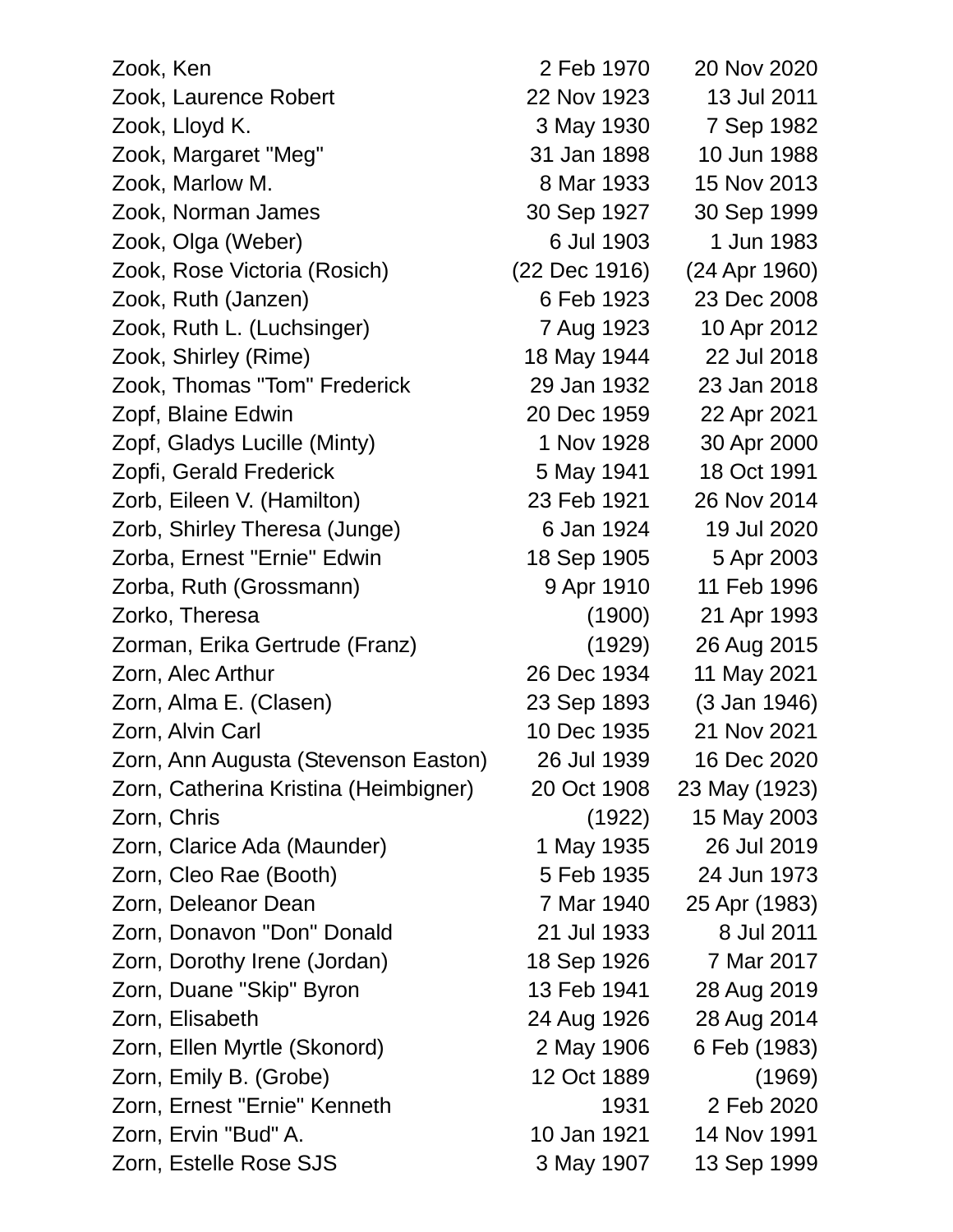| Zook, Ken                             | 2 Feb 1970    | 20 Nov 2020   |
|---------------------------------------|---------------|---------------|
| Zook, Laurence Robert                 | 22 Nov 1923   | 13 Jul 2011   |
| Zook, Lloyd K.                        | 3 May 1930    | 7 Sep 1982    |
| Zook, Margaret "Meg"                  | 31 Jan 1898   | 10 Jun 1988   |
| Zook, Marlow M.                       | 8 Mar 1933    | 15 Nov 2013   |
| Zook, Norman James                    | 30 Sep 1927   | 30 Sep 1999   |
| Zook, Olga (Weber)                    | 6 Jul 1903    | 1 Jun 1983    |
| Zook, Rose Victoria (Rosich)          | (22 Dec 1916) | (24 Apr 1960) |
| Zook, Ruth (Janzen)                   | 6 Feb 1923    | 23 Dec 2008   |
| Zook, Ruth L. (Luchsinger)            | 7 Aug 1923    | 10 Apr 2012   |
| Zook, Shirley (Rime)                  | 18 May 1944   | 22 Jul 2018   |
| Zook, Thomas "Tom" Frederick          | 29 Jan 1932   | 23 Jan 2018   |
| Zopf, Blaine Edwin                    | 20 Dec 1959   | 22 Apr 2021   |
| Zopf, Gladys Lucille (Minty)          | 1 Nov 1928    | 30 Apr 2000   |
| Zopfi, Gerald Frederick               | 5 May 1941    | 18 Oct 1991   |
| Zorb, Eileen V. (Hamilton)            | 23 Feb 1921   | 26 Nov 2014   |
| Zorb, Shirley Theresa (Junge)         | 6 Jan 1924    | 19 Jul 2020   |
| Zorba, Ernest "Ernie" Edwin           | 18 Sep 1905   | 5 Apr 2003    |
| Zorba, Ruth (Grossmann)               | 9 Apr 1910    | 11 Feb 1996   |
| Zorko, Theresa                        | (1900)        | 21 Apr 1993   |
| Zorman, Erika Gertrude (Franz)        | (1929)        | 26 Aug 2015   |
| Zorn, Alec Arthur                     | 26 Dec 1934   | 11 May 2021   |
| Zorn, Alma E. (Clasen)                | 23 Sep 1893   | (3 Jan 1946)  |
| Zorn, Alvin Carl                      | 10 Dec 1935   | 21 Nov 2021   |
| Zorn, Ann Augusta (Stevenson Easton)  | 26 Jul 1939   | 16 Dec 2020   |
| Zorn, Catherina Kristina (Heimbigner) | 20 Oct 1908   | 23 May (1923) |
| Zorn, Chris                           | (1922)        | 15 May 2003   |
| Zorn, Clarice Ada (Maunder)           | 1 May 1935    | 26 Jul 2019   |
| Zorn, Cleo Rae (Booth)                | 5 Feb 1935    | 24 Jun 1973   |
| Zorn, Deleanor Dean                   | 7 Mar 1940    | 25 Apr (1983) |
| Zorn, Donavon "Don" Donald            | 21 Jul 1933   | 8 Jul 2011    |
| Zorn, Dorothy Irene (Jordan)          | 18 Sep 1926   | 7 Mar 2017    |
| Zorn, Duane "Skip" Byron              | 13 Feb 1941   | 28 Aug 2019   |
| Zorn, Elisabeth                       | 24 Aug 1926   | 28 Aug 2014   |
| Zorn, Ellen Myrtle (Skonord)          | 2 May 1906    | 6 Feb (1983)  |
| Zorn, Emily B. (Grobe)                | 12 Oct 1889   | (1969)        |
| Zorn, Ernest "Ernie" Kenneth          | 1931          | 2 Feb 2020    |
| Zorn, Ervin "Bud" A.                  | 10 Jan 1921   | 14 Nov 1991   |
| Zorn, Estelle Rose SJS                | 3 May 1907    | 13 Sep 1999   |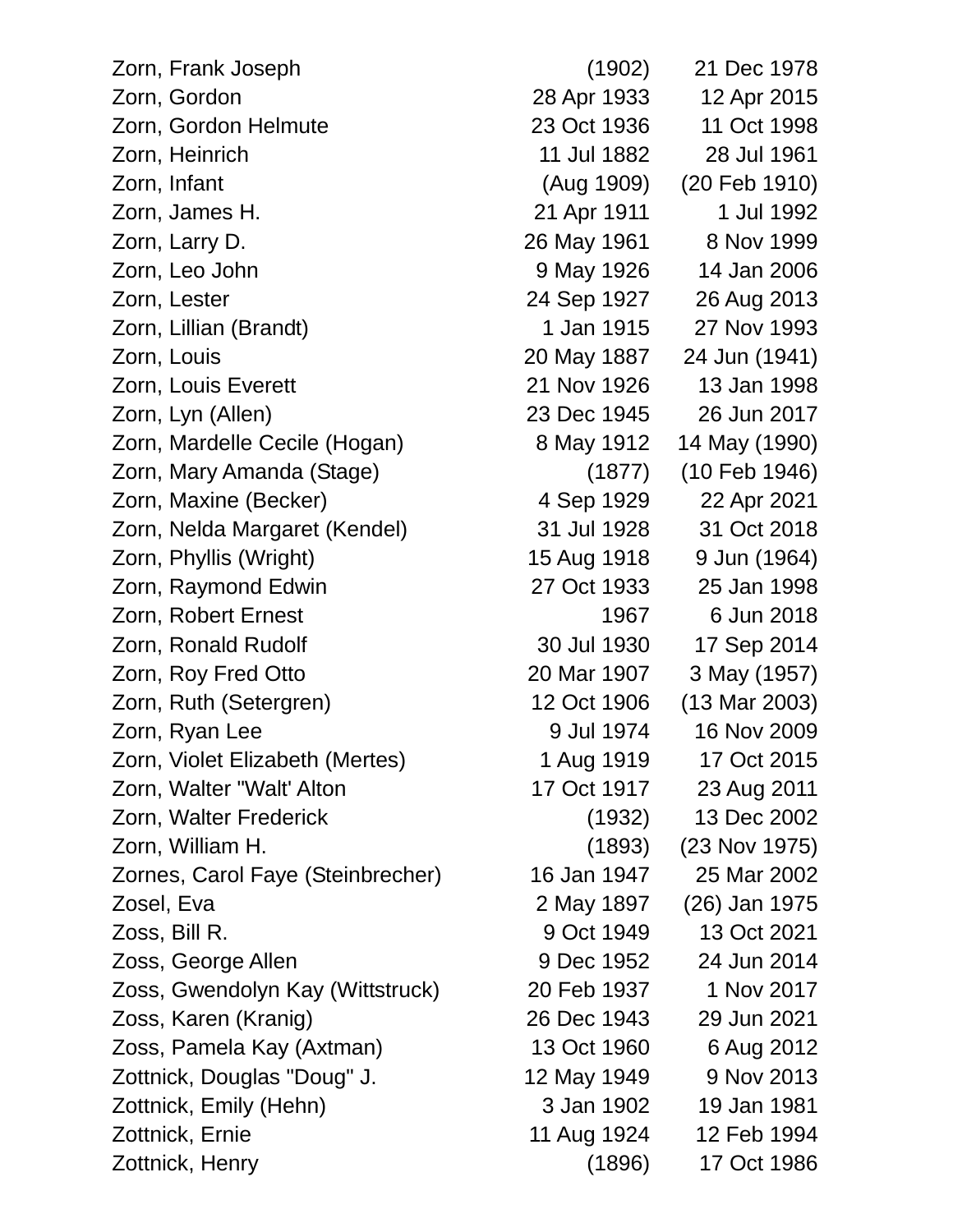| Zorn, Frank Joseph                | (1902)      | 21 Dec 1978              |
|-----------------------------------|-------------|--------------------------|
| Zorn, Gordon                      | 28 Apr 1933 | 12 Apr 2015              |
| Zorn, Gordon Helmute              | 23 Oct 1936 | 11 Oct 1998              |
| Zorn, Heinrich                    | 11 Jul 1882 | 28 Jul 1961              |
| Zorn, Infant                      | (Aug 1909)  | (20 Feb 1910)            |
| Zorn, James H.                    | 21 Apr 1911 | 1 Jul 1992               |
| Zorn, Larry D.                    | 26 May 1961 | 8 Nov 1999               |
| Zorn, Leo John                    | 9 May 1926  | 14 Jan 2006              |
| Zorn, Lester                      | 24 Sep 1927 | 26 Aug 2013              |
| Zorn, Lillian (Brandt)            | 1 Jan 1915  | 27 Nov 1993              |
| Zorn, Louis                       | 20 May 1887 | 24 Jun (1941)            |
| Zorn, Louis Everett               | 21 Nov 1926 | 13 Jan 1998              |
| Zorn, Lyn (Allen)                 | 23 Dec 1945 | 26 Jun 2017              |
| Zorn, Mardelle Cecile (Hogan)     | 8 May 1912  | 14 May (1990)            |
| Zorn, Mary Amanda (Stage)         | (1877)      | (10 Feb 1946)            |
| Zorn, Maxine (Becker)             | 4 Sep 1929  | 22 Apr 2021              |
| Zorn, Nelda Margaret (Kendel)     | 31 Jul 1928 | 31 Oct 2018              |
| Zorn, Phyllis (Wright)            | 15 Aug 1918 | 9 Jun (1964)             |
| Zorn, Raymond Edwin               | 27 Oct 1933 | 25 Jan 1998              |
| Zorn, Robert Ernest               | 1967        | 6 Jun 2018               |
| Zorn, Ronald Rudolf               | 30 Jul 1930 | 17 Sep 2014              |
| Zorn, Roy Fred Otto               | 20 Mar 1907 | 3 May (1957)             |
| Zorn, Ruth (Setergren)            | 12 Oct 1906 | $(13 \text{ Mar } 2003)$ |
| Zorn, Ryan Lee                    | 9 Jul 1974  | 16 Nov 2009              |
| Zorn, Violet Elizabeth (Mertes)   | 1 Aug 1919  | 17 Oct 2015              |
| Zorn, Walter "Walt' Alton         | 17 Oct 1917 | 23 Aug 2011              |
| Zorn, Walter Frederick            | (1932)      | 13 Dec 2002              |
| Zorn, William H.                  | (1893)      | (23 Nov 1975)            |
| Zornes, Carol Faye (Steinbrecher) | 16 Jan 1947 | 25 Mar 2002              |
| Zosel, Eva                        | 2 May 1897  | (26) Jan 1975            |
| Zoss, Bill R.                     | 9 Oct 1949  | 13 Oct 2021              |
| Zoss, George Allen                | 9 Dec 1952  | 24 Jun 2014              |
| Zoss, Gwendolyn Kay (Wittstruck)  | 20 Feb 1937 | 1 Nov 2017               |
| Zoss, Karen (Kranig)              | 26 Dec 1943 | 29 Jun 2021              |
| Zoss, Pamela Kay (Axtman)         | 13 Oct 1960 | 6 Aug 2012               |
| Zottnick, Douglas "Doug" J.       | 12 May 1949 | 9 Nov 2013               |
| Zottnick, Emily (Hehn)            | 3 Jan 1902  | 19 Jan 1981              |
| Zottnick, Ernie                   | 11 Aug 1924 | 12 Feb 1994              |
| Zottnick, Henry                   | (1896)      | 17 Oct 1986              |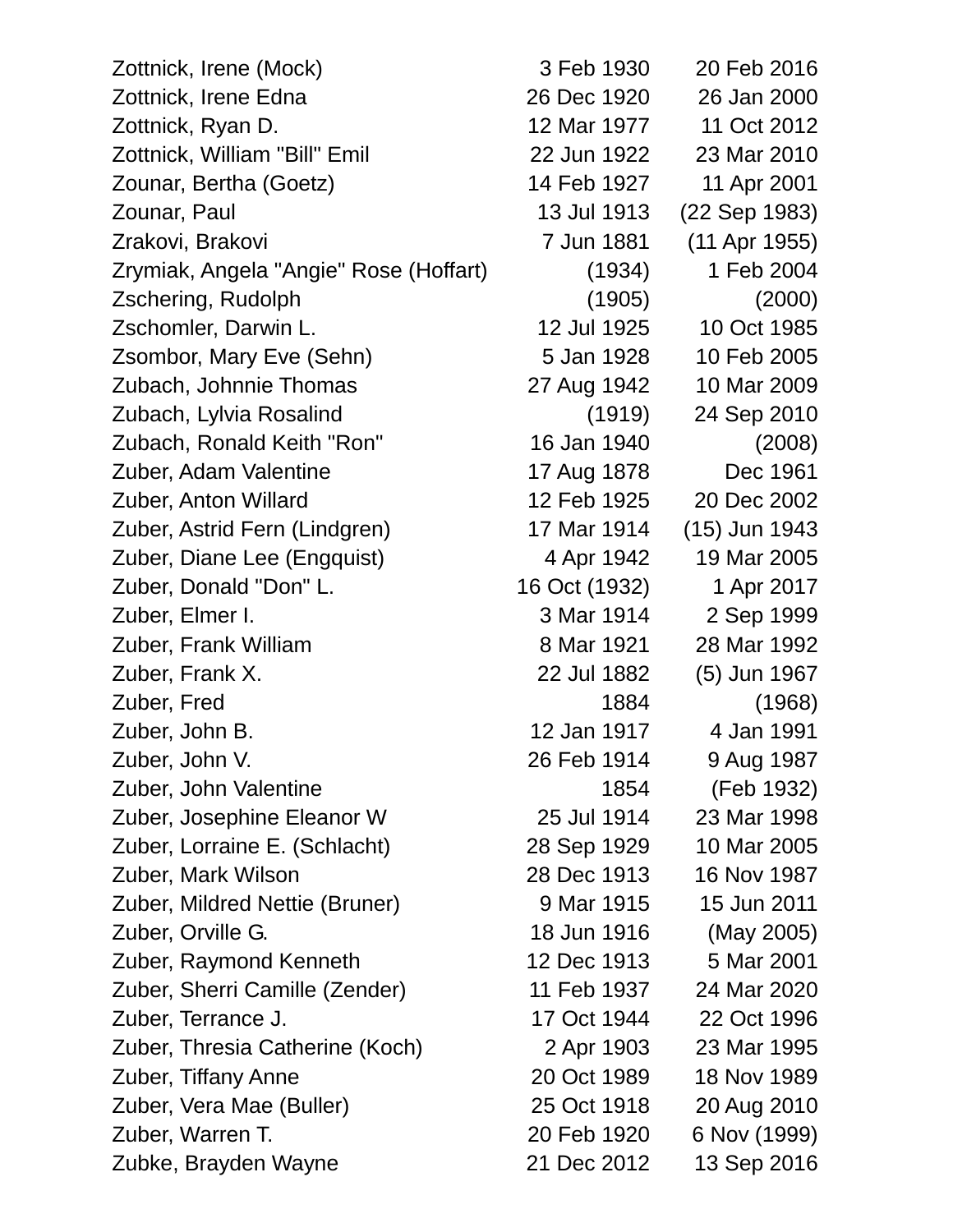| Zottnick, Irene (Mock)                 | 3 Feb 1930    | 20 Feb 2016   |
|----------------------------------------|---------------|---------------|
| Zottnick, Irene Edna                   | 26 Dec 1920   | 26 Jan 2000   |
| Zottnick, Ryan D.                      | 12 Mar 1977   | 11 Oct 2012   |
| Zottnick, William "Bill" Emil          | 22 Jun 1922   | 23 Mar 2010   |
| Zounar, Bertha (Goetz)                 | 14 Feb 1927   | 11 Apr 2001   |
| Zounar, Paul                           | 13 Jul 1913   | (22 Sep 1983) |
| Zrakovi, Brakovi                       | 7 Jun 1881    | (11 Apr 1955) |
| Zrymiak, Angela "Angie" Rose (Hoffart) | (1934)        | 1 Feb 2004    |
| Zschering, Rudolph                     | (1905)        | (2000)        |
| Zschomler, Darwin L.                   | 12 Jul 1925   | 10 Oct 1985   |
| Zsombor, Mary Eve (Sehn)               | 5 Jan 1928    | 10 Feb 2005   |
| Zubach, Johnnie Thomas                 | 27 Aug 1942   | 10 Mar 2009   |
| Zubach, Lylvia Rosalind                | (1919)        | 24 Sep 2010   |
| Zubach, Ronald Keith "Ron"             | 16 Jan 1940   | (2008)        |
| Zuber, Adam Valentine                  | 17 Aug 1878   | Dec 1961      |
| Zuber, Anton Willard                   | 12 Feb 1925   | 20 Dec 2002   |
| Zuber, Astrid Fern (Lindgren)          | 17 Mar 1914   | (15) Jun 1943 |
| Zuber, Diane Lee (Engquist)            | 4 Apr 1942    | 19 Mar 2005   |
| Zuber, Donald "Don" L.                 | 16 Oct (1932) | 1 Apr 2017    |
| Zuber, Elmer I.                        | 3 Mar 1914    | 2 Sep 1999    |
| Zuber, Frank William                   | 8 Mar 1921    | 28 Mar 1992   |
| Zuber, Frank X.                        | 22 Jul 1882   | (5) Jun 1967  |
| Zuber, Fred                            | 1884          | (1968)        |
| Zuber, John B.                         | 12 Jan 1917   | 4 Jan 1991    |
| Zuber, John V.                         | 26 Feb 1914   | 9 Aug 1987    |
| Zuber, John Valentine                  | 1854          | (Feb 1932)    |
| Zuber, Josephine Eleanor W             | 25 Jul 1914   | 23 Mar 1998   |
| Zuber, Lorraine E. (Schlacht)          | 28 Sep 1929   | 10 Mar 2005   |
| Zuber, Mark Wilson                     | 28 Dec 1913   | 16 Nov 1987   |
| Zuber, Mildred Nettie (Bruner)         | 9 Mar 1915    | 15 Jun 2011   |
| Zuber, Orville G.                      | 18 Jun 1916   | (May 2005)    |
| Zuber, Raymond Kenneth                 | 12 Dec 1913   | 5 Mar 2001    |
| Zuber, Sherri Camille (Zender)         | 11 Feb 1937   | 24 Mar 2020   |
| Zuber, Terrance J.                     | 17 Oct 1944   | 22 Oct 1996   |
| Zuber, Thresia Catherine (Koch)        | 2 Apr 1903    | 23 Mar 1995   |
| Zuber, Tiffany Anne                    | 20 Oct 1989   | 18 Nov 1989   |
| Zuber, Vera Mae (Buller)               | 25 Oct 1918   | 20 Aug 2010   |
| Zuber, Warren T.                       | 20 Feb 1920   | 6 Nov (1999)  |
| Zubke, Brayden Wayne                   | 21 Dec 2012   | 13 Sep 2016   |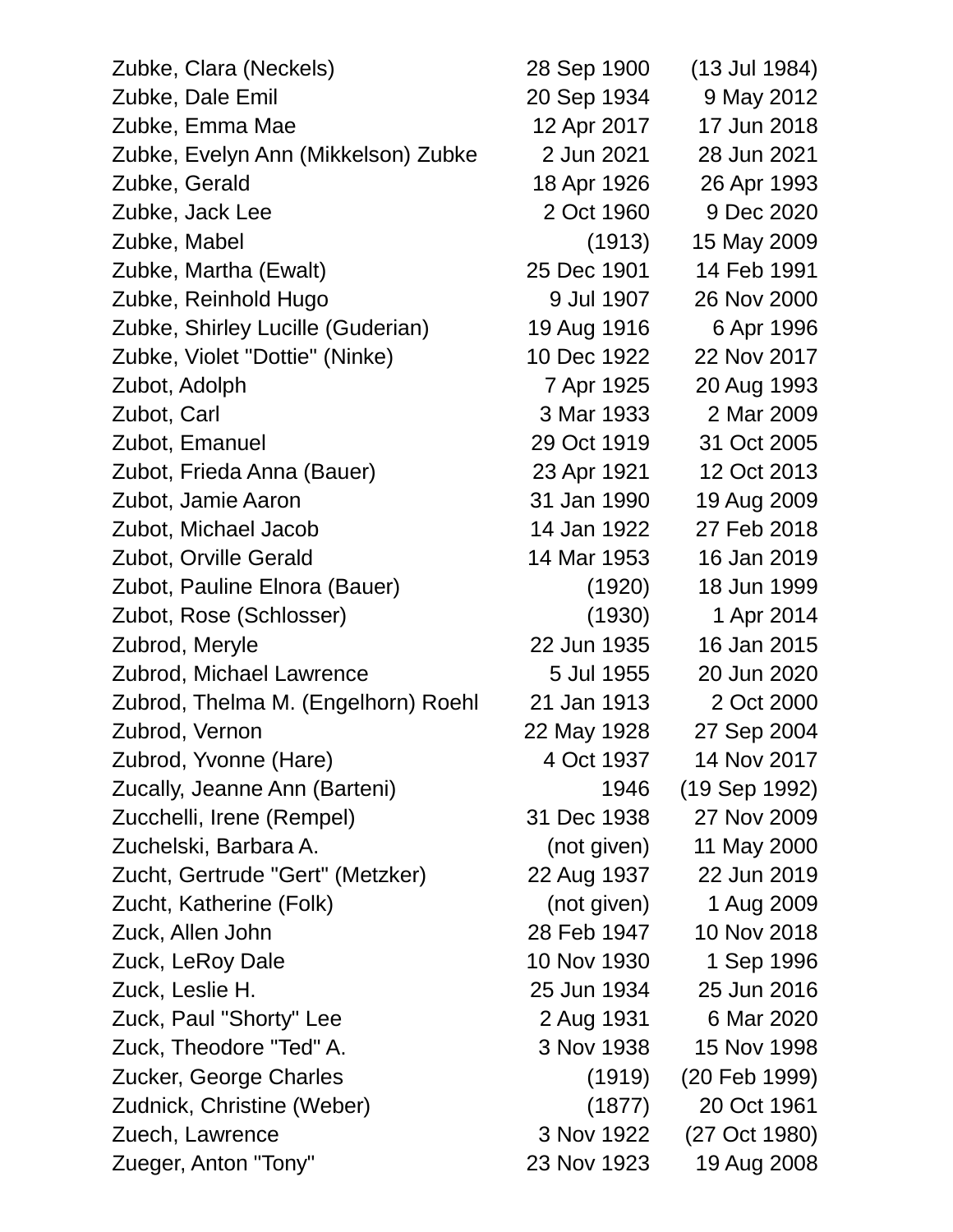| Zubke, Clara (Neckels)              | 28 Sep 1900 | (13 Jul 1984) |
|-------------------------------------|-------------|---------------|
| Zubke, Dale Emil                    | 20 Sep 1934 | 9 May 2012    |
| Zubke, Emma Mae                     | 12 Apr 2017 | 17 Jun 2018   |
| Zubke, Evelyn Ann (Mikkelson) Zubke | 2 Jun 2021  | 28 Jun 2021   |
| Zubke, Gerald                       | 18 Apr 1926 | 26 Apr 1993   |
| Zubke, Jack Lee                     | 2 Oct 1960  | 9 Dec 2020    |
| Zubke, Mabel                        | (1913)      | 15 May 2009   |
| Zubke, Martha (Ewalt)               | 25 Dec 1901 | 14 Feb 1991   |
| Zubke, Reinhold Hugo                | 9 Jul 1907  | 26 Nov 2000   |
| Zubke, Shirley Lucille (Guderian)   | 19 Aug 1916 | 6 Apr 1996    |
| Zubke, Violet "Dottie" (Ninke)      | 10 Dec 1922 | 22 Nov 2017   |
| Zubot, Adolph                       | 7 Apr 1925  | 20 Aug 1993   |
| Zubot, Carl                         | 3 Mar 1933  | 2 Mar 2009    |
| Zubot, Emanuel                      | 29 Oct 1919 | 31 Oct 2005   |
| Zubot, Frieda Anna (Bauer)          | 23 Apr 1921 | 12 Oct 2013   |
| Zubot, Jamie Aaron                  | 31 Jan 1990 | 19 Aug 2009   |
| Zubot, Michael Jacob                | 14 Jan 1922 | 27 Feb 2018   |
| Zubot, Orville Gerald               | 14 Mar 1953 | 16 Jan 2019   |
| Zubot, Pauline Elnora (Bauer)       | (1920)      | 18 Jun 1999   |
| Zubot, Rose (Schlosser)             | (1930)      | 1 Apr 2014    |
| Zubrod, Meryle                      | 22 Jun 1935 | 16 Jan 2015   |
| Zubrod, Michael Lawrence            | 5 Jul 1955  | 20 Jun 2020   |
| Zubrod, Thelma M. (Engelhorn) Roehl | 21 Jan 1913 | 2 Oct 2000    |
| Zubrod, Vernon                      | 22 May 1928 | 27 Sep 2004   |
| Zubrod, Yvonne (Hare)               | 4 Oct 1937  | 14 Nov 2017   |
| Zucally, Jeanne Ann (Barteni)       | 1946        | (19 Sep 1992) |
| Zucchelli, Irene (Rempel)           | 31 Dec 1938 | 27 Nov 2009   |
| Zuchelski, Barbara A.               | (not given) | 11 May 2000   |
| Zucht, Gertrude "Gert" (Metzker)    | 22 Aug 1937 | 22 Jun 2019   |
| Zucht, Katherine (Folk)             | (not given) | 1 Aug 2009    |
| Zuck, Allen John                    | 28 Feb 1947 | 10 Nov 2018   |
| Zuck, LeRoy Dale                    | 10 Nov 1930 | 1 Sep 1996    |
| Zuck, Leslie H.                     | 25 Jun 1934 | 25 Jun 2016   |
| Zuck, Paul "Shorty" Lee             | 2 Aug 1931  | 6 Mar 2020    |
| Zuck, Theodore "Ted" A.             | 3 Nov 1938  | 15 Nov 1998   |
| Zucker, George Charles              | (1919)      | (20 Feb 1999) |
| Zudnick, Christine (Weber)          | (1877)      | 20 Oct 1961   |
| Zuech, Lawrence                     | 3 Nov 1922  | (27 Oct 1980) |
| Zueger, Anton "Tony"                | 23 Nov 1923 | 19 Aug 2008   |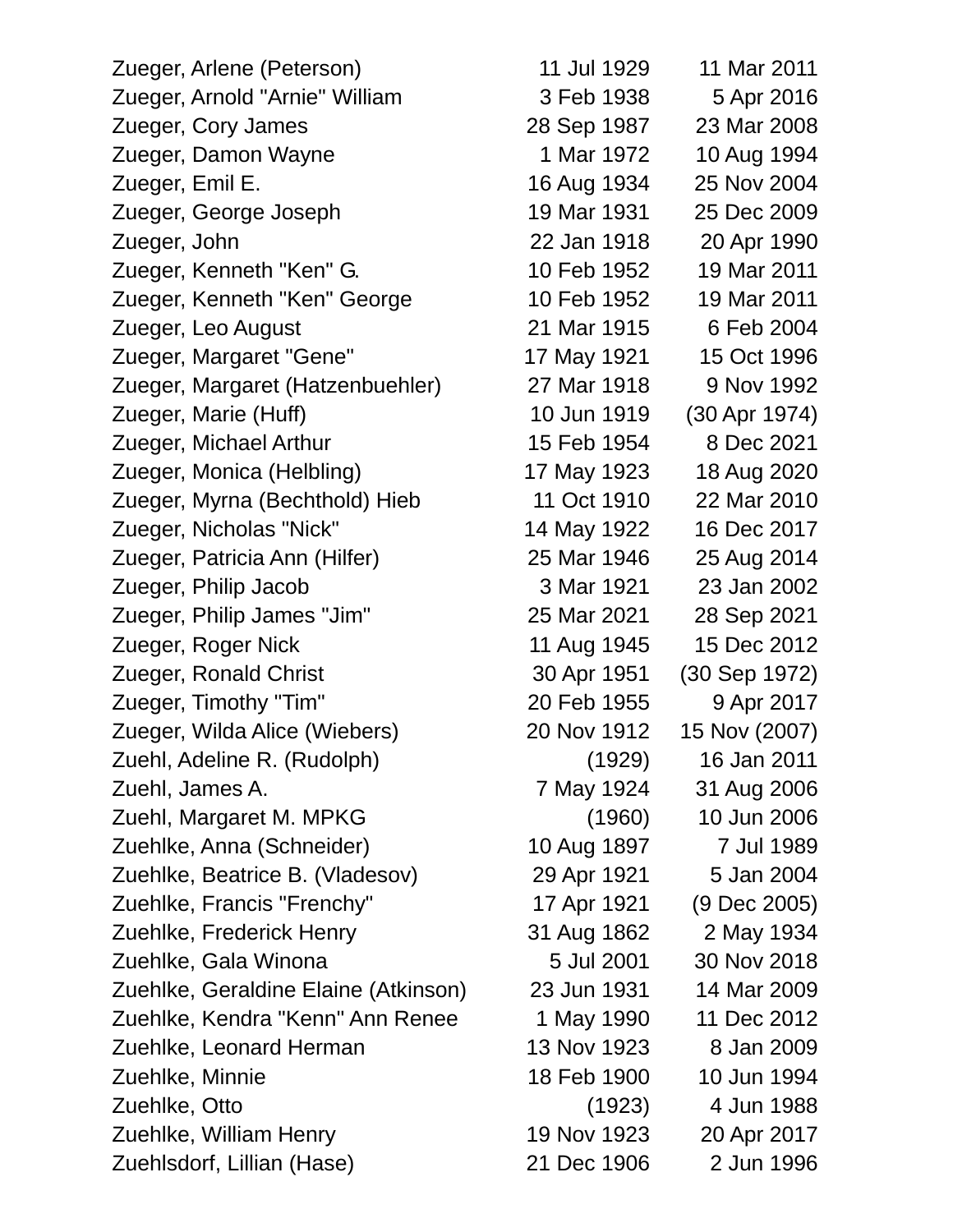| Zueger, Arlene (Peterson)            | 11 Jul 1929 | 11 Mar 2011   |
|--------------------------------------|-------------|---------------|
| Zueger, Arnold "Arnie" William       | 3 Feb 1938  | 5 Apr 2016    |
| Zueger, Cory James                   | 28 Sep 1987 | 23 Mar 2008   |
| Zueger, Damon Wayne                  | 1 Mar 1972  | 10 Aug 1994   |
| Zueger, Emil E.                      | 16 Aug 1934 | 25 Nov 2004   |
| Zueger, George Joseph                | 19 Mar 1931 | 25 Dec 2009   |
| Zueger, John                         | 22 Jan 1918 | 20 Apr 1990   |
| Zueger, Kenneth "Ken" G.             | 10 Feb 1952 | 19 Mar 2011   |
| Zueger, Kenneth "Ken" George         | 10 Feb 1952 | 19 Mar 2011   |
| Zueger, Leo August                   | 21 Mar 1915 | 6 Feb 2004    |
| Zueger, Margaret "Gene"              | 17 May 1921 | 15 Oct 1996   |
| Zueger, Margaret (Hatzenbuehler)     | 27 Mar 1918 | 9 Nov 1992    |
| Zueger, Marie (Huff)                 | 10 Jun 1919 | (30 Apr 1974) |
| Zueger, Michael Arthur               | 15 Feb 1954 | 8 Dec 2021    |
| Zueger, Monica (Helbling)            | 17 May 1923 | 18 Aug 2020   |
| Zueger, Myrna (Bechthold) Hieb       | 11 Oct 1910 | 22 Mar 2010   |
| Zueger, Nicholas "Nick"              | 14 May 1922 | 16 Dec 2017   |
| Zueger, Patricia Ann (Hilfer)        | 25 Mar 1946 | 25 Aug 2014   |
| Zueger, Philip Jacob                 | 3 Mar 1921  | 23 Jan 2002   |
| Zueger, Philip James "Jim"           | 25 Mar 2021 | 28 Sep 2021   |
| Zueger, Roger Nick                   | 11 Aug 1945 | 15 Dec 2012   |
| Zueger, Ronald Christ                | 30 Apr 1951 | (30 Sep 1972) |
| Zueger, Timothy "Tim"                | 20 Feb 1955 | 9 Apr 2017    |
| Zueger, Wilda Alice (Wiebers)        | 20 Nov 1912 | 15 Nov (2007) |
| Zuehl, Adeline R. (Rudolph)          | (1929)      | 16 Jan 2011   |
| Zuehl, James A.                      | 7 May 1924  | 31 Aug 2006   |
| Zuehl, Margaret M. MPKG              | (1960)      | 10 Jun 2006   |
| Zuehlke, Anna (Schneider)            | 10 Aug 1897 | 7 Jul 1989    |
| Zuehlke, Beatrice B. (Vladesov)      | 29 Apr 1921 | 5 Jan 2004    |
| Zuehlke, Francis "Frenchy"           | 17 Apr 1921 | (9 Dec 2005)  |
| Zuehlke, Frederick Henry             | 31 Aug 1862 | 2 May 1934    |
| Zuehlke, Gala Winona                 | 5 Jul 2001  | 30 Nov 2018   |
| Zuehlke, Geraldine Elaine (Atkinson) | 23 Jun 1931 | 14 Mar 2009   |
| Zuehlke, Kendra "Kenn" Ann Renee     | 1 May 1990  | 11 Dec 2012   |
| Zuehlke, Leonard Herman              | 13 Nov 1923 | 8 Jan 2009    |
| Zuehlke, Minnie                      | 18 Feb 1900 | 10 Jun 1994   |
| Zuehlke, Otto                        | (1923)      | 4 Jun 1988    |
| Zuehlke, William Henry               | 19 Nov 1923 | 20 Apr 2017   |
| Zuehlsdorf, Lillian (Hase)           | 21 Dec 1906 | 2 Jun 1996    |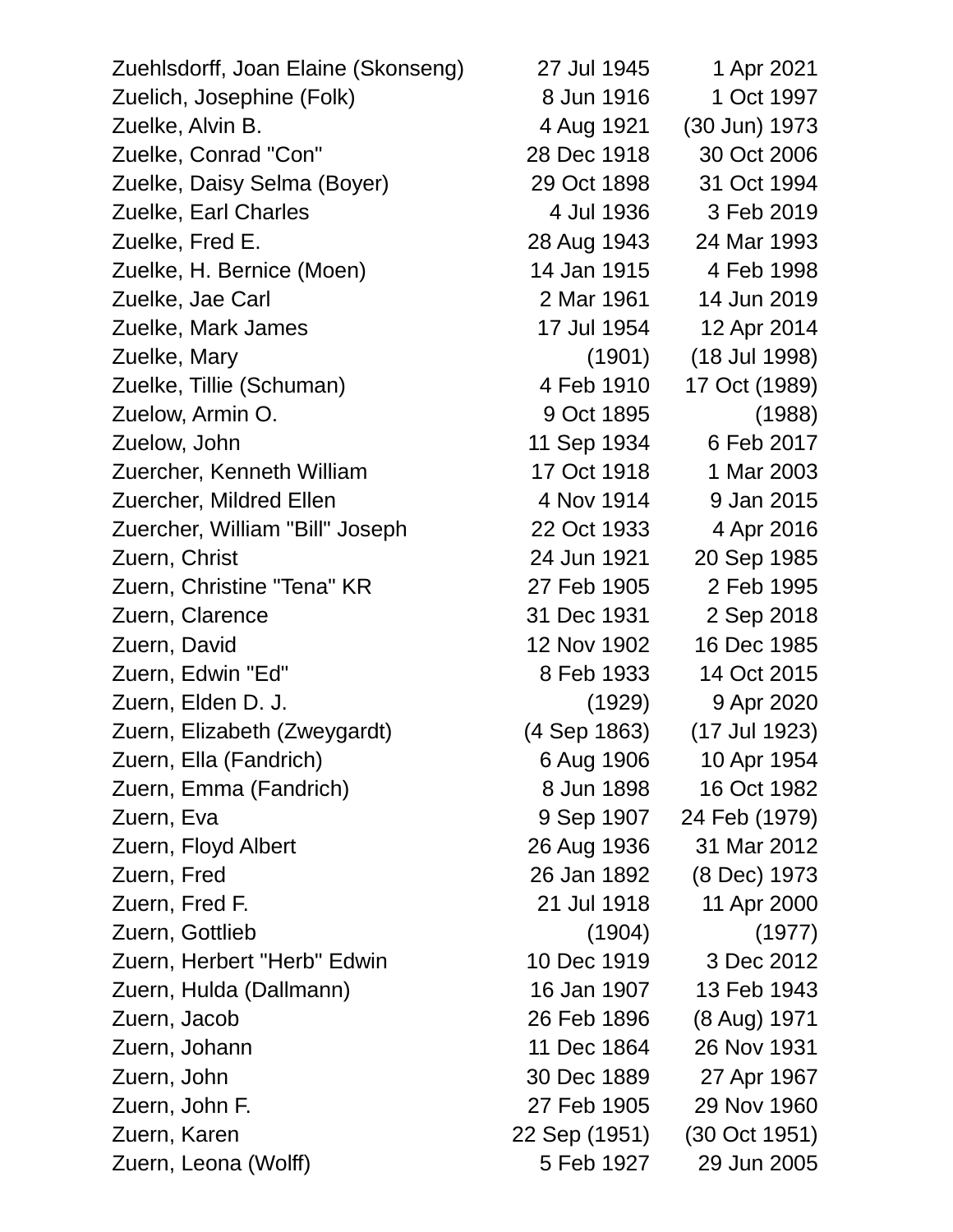| Zuehlsdorff, Joan Elaine (Skonseng) | 27 Jul 1945   | 1 Apr 2021    |
|-------------------------------------|---------------|---------------|
| Zuelich, Josephine (Folk)           | 8 Jun 1916    | 1 Oct 1997    |
| Zuelke, Alvin B.                    | 4 Aug 1921    | (30 Jun) 1973 |
| Zuelke, Conrad "Con"                | 28 Dec 1918   | 30 Oct 2006   |
| Zuelke, Daisy Selma (Boyer)         | 29 Oct 1898   | 31 Oct 1994   |
| Zuelke, Earl Charles                | 4 Jul 1936    | 3 Feb 2019    |
| Zuelke, Fred E.                     | 28 Aug 1943   | 24 Mar 1993   |
| Zuelke, H. Bernice (Moen)           | 14 Jan 1915   | 4 Feb 1998    |
| Zuelke, Jae Carl                    | 2 Mar 1961    | 14 Jun 2019   |
| Zuelke, Mark James                  | 17 Jul 1954   | 12 Apr 2014   |
| Zuelke, Mary                        | (1901)        | (18 Jul 1998) |
| Zuelke, Tillie (Schuman)            | 4 Feb 1910    | 17 Oct (1989) |
| Zuelow, Armin O.                    | 9 Oct 1895    | (1988)        |
| Zuelow, John                        | 11 Sep 1934   | 6 Feb 2017    |
| Zuercher, Kenneth William           | 17 Oct 1918   | 1 Mar 2003    |
| Zuercher, Mildred Ellen             | 4 Nov 1914    | 9 Jan 2015    |
| Zuercher, William "Bill" Joseph     | 22 Oct 1933   | 4 Apr 2016    |
| Zuern, Christ                       | 24 Jun 1921   | 20 Sep 1985   |
| Zuern, Christine "Tena" KR          | 27 Feb 1905   | 2 Feb 1995    |
| Zuern, Clarence                     | 31 Dec 1931   | 2 Sep 2018    |
| Zuern, David                        | 12 Nov 1902   | 16 Dec 1985   |
| Zuern, Edwin "Ed"                   | 8 Feb 1933    | 14 Oct 2015   |
| Zuern, Elden D. J.                  | (1929)        | 9 Apr 2020    |
| Zuern, Elizabeth (Zweygardt)        | (4 Sep 1863)  | (17 Jul 1923) |
| Zuern, Ella (Fandrich)              | 6 Aug 1906    | 10 Apr 1954   |
| Zuern, Emma (Fandrich)              | 8 Jun 1898    | 16 Oct 1982   |
| Zuern, Eva                          | 9 Sep 1907    | 24 Feb (1979) |
| Zuern, Floyd Albert                 | 26 Aug 1936   | 31 Mar 2012   |
| Zuern, Fred                         | 26 Jan 1892   | (8 Dec) 1973  |
| Zuern, Fred F.                      | 21 Jul 1918   | 11 Apr 2000   |
| Zuern, Gottlieb                     | (1904)        | (1977)        |
| Zuern, Herbert "Herb" Edwin         | 10 Dec 1919   | 3 Dec 2012    |
| Zuern, Hulda (Dallmann)             | 16 Jan 1907   | 13 Feb 1943   |
| Zuern, Jacob                        | 26 Feb 1896   | (8 Aug) 1971  |
| Zuern, Johann                       | 11 Dec 1864   | 26 Nov 1931   |
| Zuern, John                         | 30 Dec 1889   | 27 Apr 1967   |
| Zuern, John F.                      | 27 Feb 1905   | 29 Nov 1960   |
| Zuern, Karen                        | 22 Sep (1951) | (30 Oct 1951) |
| Zuern, Leona (Wolff)                | 5 Feb 1927    | 29 Jun 2005   |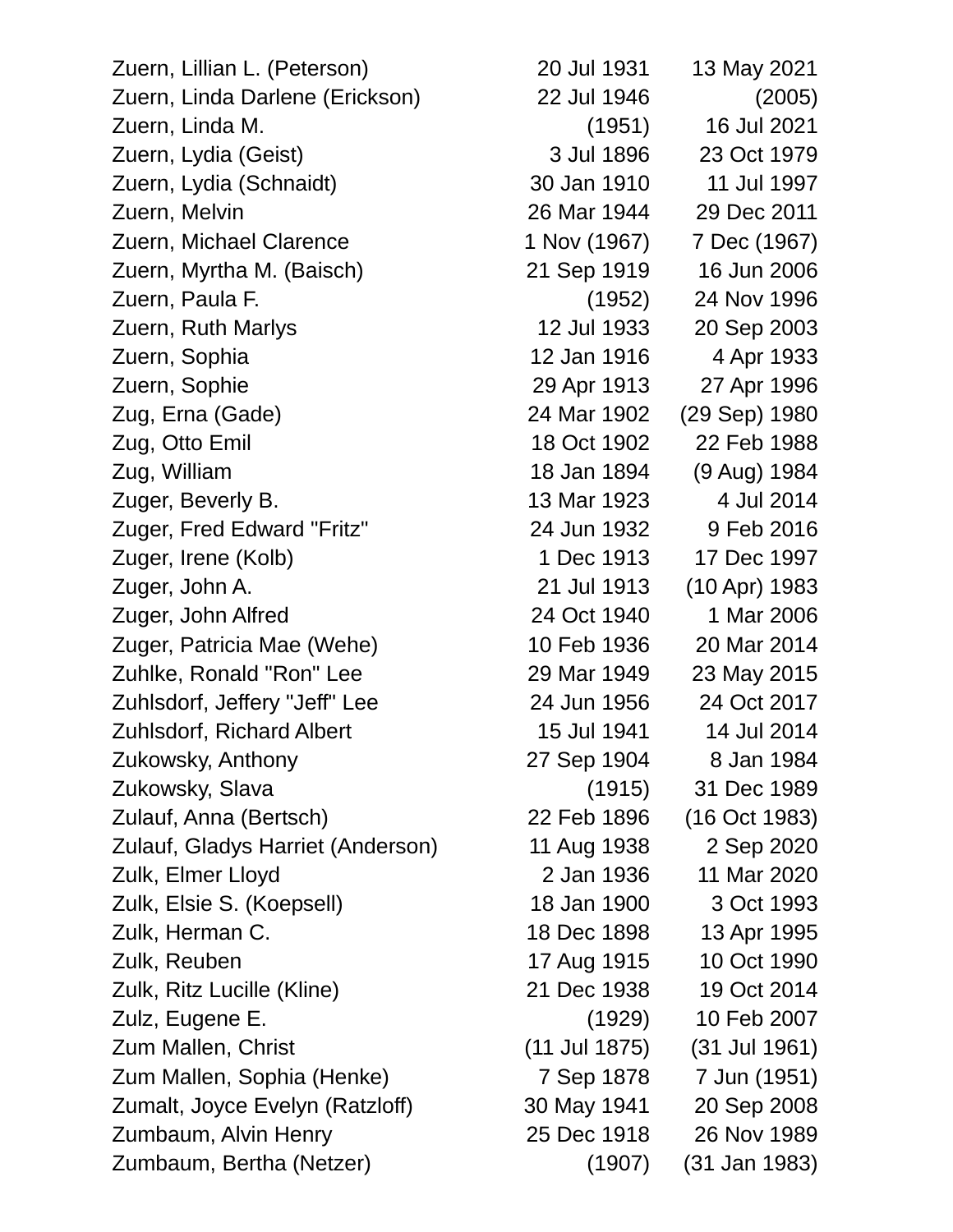Zuern, Lillian L. (Peterson) 20 Jul 1931 13 May 2021 Zuern, Linda Darlene (Erickson) 22 Jul 1946 (2005) Zuern, Linda M. (1951) 16 Jul 2021 Zuern, Lydia (Geist) 3 Jul 1896 23 Oct 1979 Zuern, Lydia (Schnaidt) 30 Jan 1910 11 Jul 1997 Zuern, Melvin 26 Mar 1944 29 Dec 2011 Zuern, Michael Clarence 1 Nov (1967) 7 Dec (1967) Zuern, Myrtha M. (Baisch) 21 Sep 1919 16 Jun 2006 Zuern, Paula F. (1952) 24 Nov 1996 Zuern, Ruth Marlys 12 Jul 1933 20 Sep 2003 Zuern, Sophia 12 Jan 1916 4 Apr 1933 Zuern, Sophie 29 Apr 1913 27 Apr 1996 Zug, Erna (Gade) 24 Mar 1902 (29 Sep) 1980 Zug, Otto Emil 18 Oct 1902 22 Feb 1988 Zug, William 18 Jan 1894 (9 Aug) 1984 Zuger, Beverly B. 13 Mar 1923 4 Jul 2014 Zuger, Fred Edward "Fritz" 24 Jun 1932 9 Feb 2016 Zuger, Irene (Kolb) 1 Dec 1913 17 Dec 1997 Zuger, John A. 21 Jul 1913 (10 Apr) 1983 Zuger, John Alfred 24 Oct 1940 1 Mar 2006 Zuger, Patricia Mae (Wehe) 10 Feb 1936 20 Mar 2014 Zuhlke, Ronald "Ron" Lee 29 Mar 1949 23 May 2015 Zuhlsdorf, Jeffery "Jeff" Lee 24 Jun 1956 24 Oct 2017 Zuhlsdorf, Richard Albert 15 Jul 1941 14 Jul 2014 Zukowsky, Anthony 27 Sep 1904 8 Jan 1984 Zukowsky, Slava (1915) 31 Dec 1989 Zulauf, Anna (Bertsch) 22 Feb 1896 (16 Oct 1983) Zulauf, Gladys Harriet (Anderson) 11 Aug 1938 2 Sep 2020 Zulk, Elmer Lloyd 2 Jan 1936 11 Mar 2020 Zulk, Elsie S. (Koepsell) 18 Jan 1900 3 Oct 1993 Zulk, Herman C. 18 Dec 1898 13 Apr 1995 Zulk, Reuben 17 Aug 1915 10 Oct 1990 Zulk, Ritz Lucille (Kline) 21 Dec 1938 19 Oct 2014 Zulz, Eugene E. (1929) 10 Feb 2007 Zum Mallen, Christ (11 Jul 1875) (31 Jul 1961) Zum Mallen, Sophia (Henke) 7 Sep 1878 7 Jun (1951) Zumalt, Joyce Evelyn (Ratzloff) 30 May 1941 20 Sep 2008 Zumbaum, Alvin Henry 25 Dec 1918 26 Nov 1989

Zumbaum, Bertha (Netzer) (1907) (31 Jan 1983)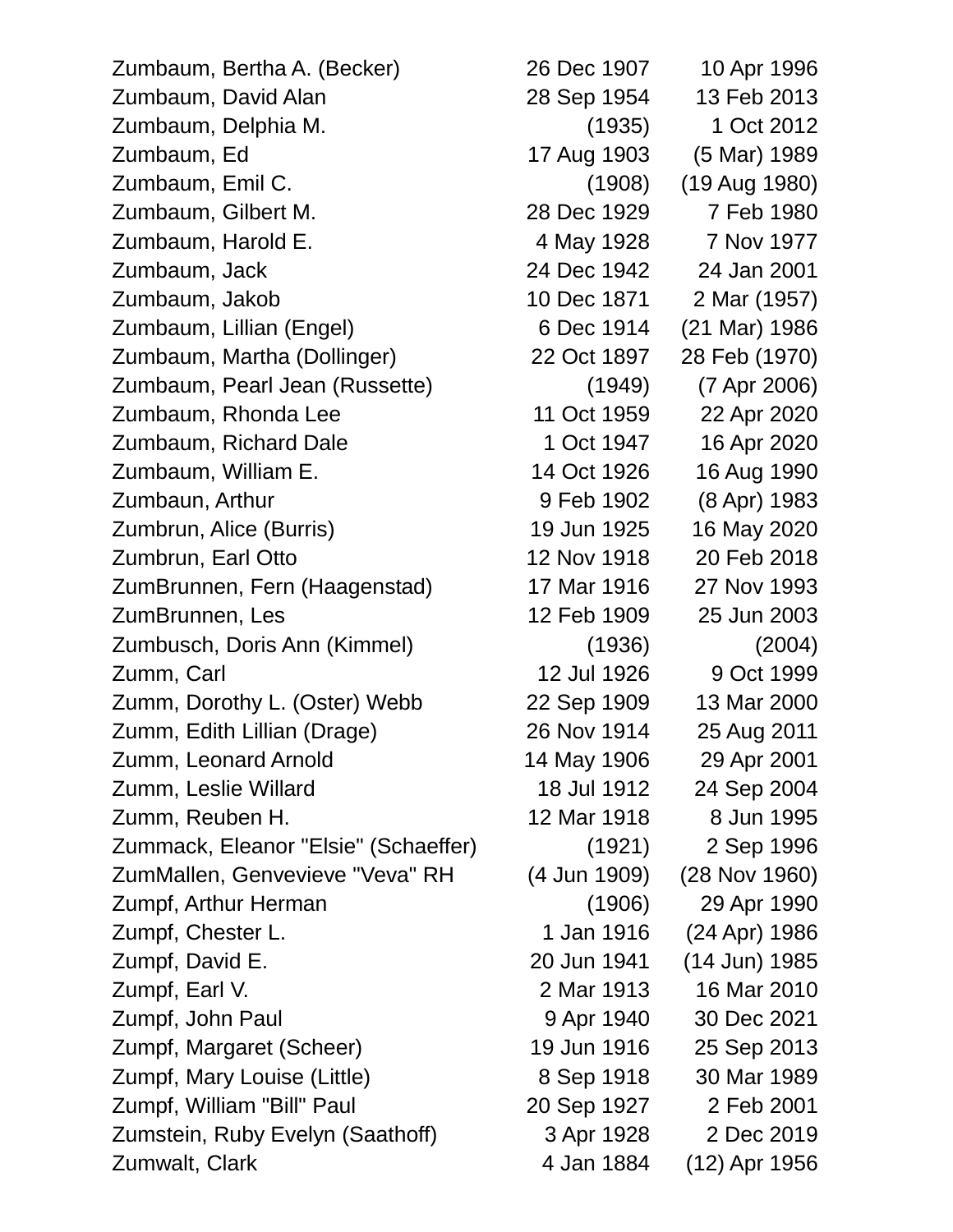Zumbaum, Bertha A. (Becker) 26 Dec 1907 10 Apr 1996 Zumbaum, David Alan 28 Sep 1954 13 Feb 2013 Zumbaum, Delphia M. (1935) 1 Oct 2012 Zumbaum, Ed 17 Aug 1903 (5 Mar) 1989 Zumbaum, Emil C. (1908) (19 Aug 1980) Zumbaum, Gilbert M. 28 Dec 1929 7 Feb 1980 Zumbaum, Harold E. 4 May 1928 7 Nov 1977 Zumbaum, Jack 24 Dec 1942 24 Jan 2001 Zumbaum, Jakob 10 Dec 1871 2 Mar (1957) Zumbaum, Lillian (Engel) 6 Dec 1914 (21 Mar) 1986 Zumbaum, Martha (Dollinger) 22 Oct 1897 28 Feb (1970) Zumbaum, Pearl Jean (Russette) (1949) (7 Apr 2006) Zumbaum, Rhonda Lee 11 Oct 1959 22 Apr 2020 Zumbaum, Richard Dale 1 Oct 1947 16 Apr 2020 Zumbaum, William E. 14 Oct 1926 16 Aug 1990 Zumbaun, Arthur 9 Feb 1902 (8 Apr) 1983 Zumbrun, Alice (Burris) 19 Jun 1925 16 May 2020 Zumbrun, Earl Otto 12 Nov 1918 20 Feb 2018 ZumBrunnen, Fern (Haagenstad) 17 Mar 1916 27 Nov 1993 ZumBrunnen, Les 12 Feb 1909 25 Jun 2003 Zumbusch, Doris Ann (Kimmel) (1936) (2004) Zumm, Carl 12 Jul 1926 9 Oct 1999 Zumm, Dorothy L. (Oster) Webb 22 Sep 1909 13 Mar 2000 Zumm, Edith Lillian (Drage) 26 Nov 1914 25 Aug 2011 Zumm, Leonard Arnold 14 May 1906 29 Apr 2001 Zumm, Leslie Willard 18 Jul 1912 24 Sep 2004 Zumm, Reuben H. 12 Mar 1918 8 Jun 1995 Zummack, Eleanor "Elsie" (Schaeffer) (1921) 2 Sep 1996 ZumMallen, Genvevieve "Veva" RH (4 Jun 1909) (28 Nov 1960) Zumpf, Arthur Herman (1906) 29 Apr 1990 Zumpf, Chester L. 1 Jan 1916 (24 Apr) 1986 Zumpf, David E. 20 Jun 1941 (14 Jun) 1985 Zumpf, Earl V. 2 Mar 1913 16 Mar 2010 Zumpf, John Paul 9 Apr 1940 30 Dec 2021 Zumpf, Margaret (Scheer) 19 Jun 1916 25 Sep 2013 Zumpf, Mary Louise (Little) 8 Sep 1918 30 Mar 1989 Zumpf, William "Bill" Paul 20 Sep 1927 2 Feb 2001 Zumstein, Ruby Evelyn (Saathoff) 3 Apr 1928 2 Dec 2019 Zumwalt, Clark 1956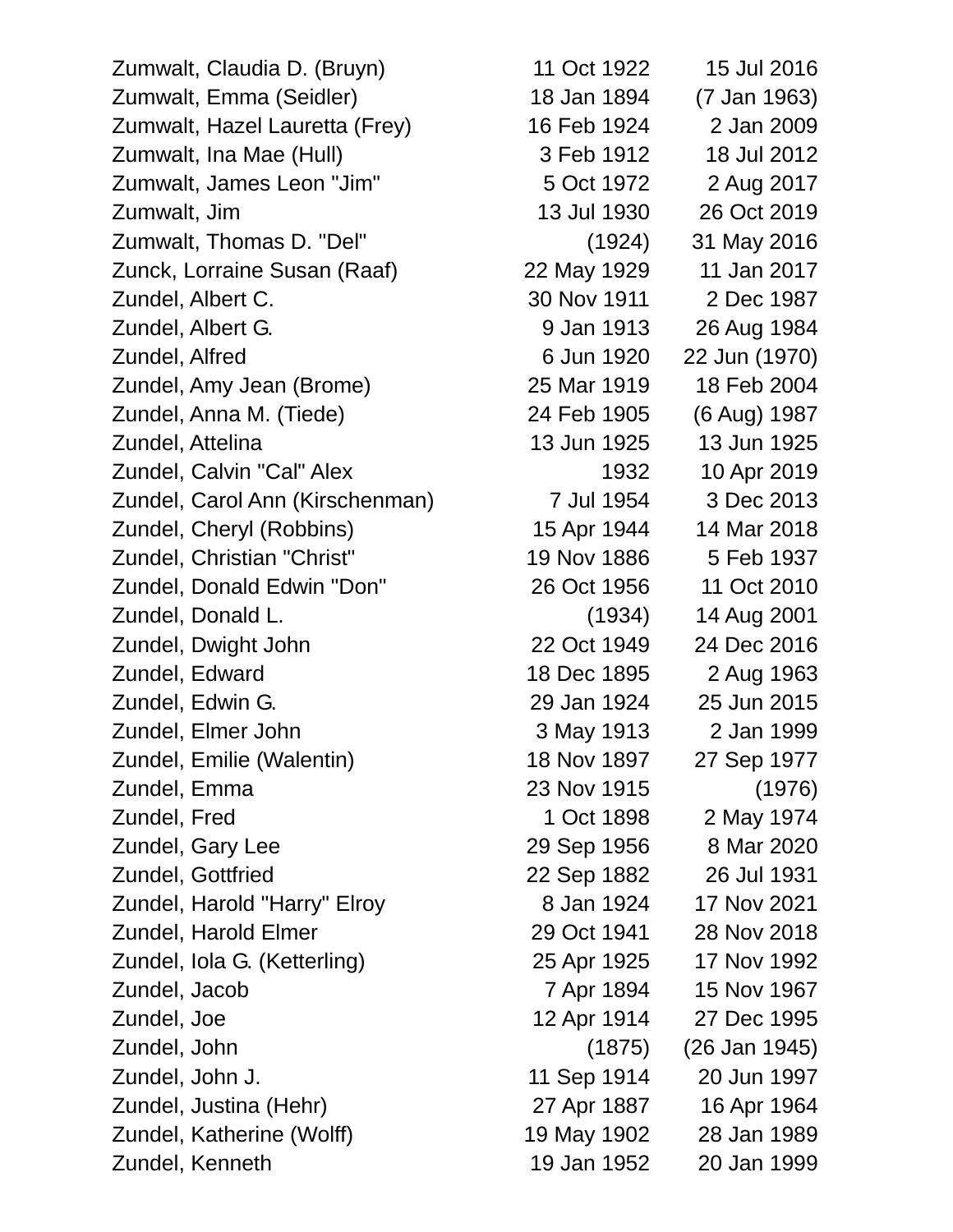Zumwalt, Claudia D. (Bruyn) 11 Oct 1922 15 Jul 2016 Zumwalt, Emma (Seidler) 18 Jan 1894 (7 Jan 1963) Zumwalt, Hazel Lauretta (Frey) 16 Feb 1924 2 Jan 2009 Zumwalt, Ina Mae (Hull) 3 Feb 1912 18 Jul 2012 Zumwalt, James Leon "Jim" 5 Oct 1972 2 Aug 2017 Zumwalt, Jim 13 Jul 1930 26 Oct 2019 Zumwalt, Thomas D. "Del" (1924) 31 May 2016 Zunck, Lorraine Susan (Raaf) 22 May 1929 11 Jan 2017 Zundel, Albert C. 30 Nov 1911 2 Dec 1987 Zundel, Albert G. 9 Jan 1913 26 Aug 1984 Zundel, Alfred 6 Jun 1920 22 Jun (1970) Zundel, Amy Jean (Brome) 25 Mar 1919 18 Feb 2004 Zundel, Anna M. (Tiede) 24 Feb 1905 (6 Aug) 1987 Zundel, Attelina 13 Jun 1925 13 Jun 1925 Zundel, Calvin "Cal" Alex 1932 10 Apr 2019 Zundel, Carol Ann (Kirschenman) 7 Jul 1954 3 Dec 2013 Zundel, Cheryl (Robbins) 15 Apr 1944 14 Mar 2018 Zundel, Christian "Christ" 19 Nov 1886 5 Feb 1937 Zundel, Donald Edwin "Don" 26 Oct 1956 11 Oct 2010 Zundel, Donald L. (1934) 14 Aug 2001 Zundel, Dwight John 22 Oct 1949 24 Dec 2016 Zundel, Edward 18 Dec 1895 2 Aug 1963 Zundel, Edwin G. 29 Jan 1924 25 Jun 2015 Zundel, Elmer John 3 May 1913 2 Jan 1999 Zundel, Emilie (Walentin) 18 Nov 1897 27 Sep 1977 Zundel, Emma 23 Nov 1915 (1976) Zundel, Fred 1 Oct 1898 2 May 1974 Zundel, Gary Lee 29 Sep 1956 8 Mar 2020 Zundel, Gottfried 22 Sep 1882 26 Jul 1931 Zundel, Harold "Harry" Elroy 8 Jan 1924 17 Nov 2021 Zundel, Harold Elmer 29 Oct 1941 28 Nov 2018 Zundel, Iola G. (Ketterling) 25 Apr 1925 17 Nov 1992 Zundel, Jacob 7 Apr 1894 15 Nov 1967 Zundel, Joe 12 Apr 1914 27 Dec 1995 Zundel, John (1875) (26 Jan 1945) Zundel, John J. 11 Sep 1914 20 Jun 1997 Zundel, Justina (Hehr) 27 Apr 1887 16 Apr 1964 Zundel, Katherine (Wolff) 19 May 1902 28 Jan 1989

Zundel, Kenneth 19 Jan 1952 20 Jan 1999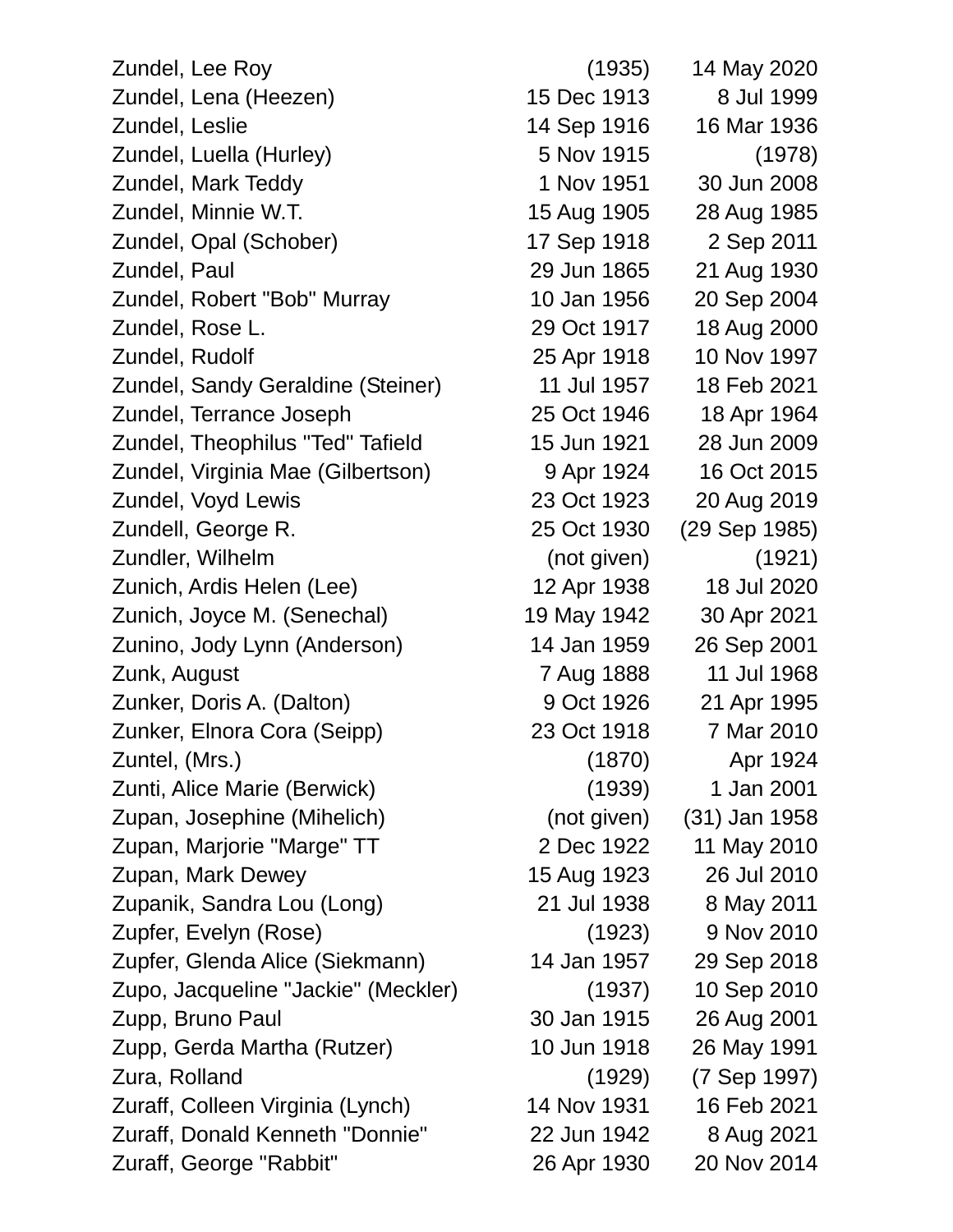Zundel, Lee Roy (1935) 14 May 2020 Zundel, Lena (Heezen) 15 Dec 1913 8 Jul 1999 Zundel, Leslie 14 Sep 1916 16 Mar 1936 Zundel, Luella (Hurley) 5 Nov 1915 (1978) Zundel, Mark Teddy 1 Nov 1951 30 Jun 2008 Zundel, Minnie W.T. 15 Aug 1905 28 Aug 1985 Zundel, Opal (Schober) 17 Sep 1918 2 Sep 2011 Zundel, Paul 29 Jun 1865 21 Aug 1930 Zundel, Robert "Bob" Murray 10 Jan 1956 20 Sep 2004 Zundel, Rose L. 29 Oct 1917 18 Aug 2000 Zundel, Rudolf 25 Apr 1918 10 Nov 1997 Zundel, Sandy Geraldine (Steiner) 11 Jul 1957 18 Feb 2021 Zundel, Terrance Joseph 25 Oct 1946 18 Apr 1964 Zundel, Theophilus "Ted" Tafield 15 Jun 1921 28 Jun 2009 Zundel, Virginia Mae (Gilbertson) 9 Apr 1924 16 Oct 2015 Zundel, Voyd Lewis 23 Oct 1923 20 Aug 2019 Zundell, George R. 25 Oct 1930 (29 Sep 1985) Zundler, Wilhelm (not given) (1921) Zunich, Ardis Helen (Lee) 12 Apr 1938 18 Jul 2020 Zunich, Joyce M. (Senechal) 19 May 1942 30 Apr 2021 Zunino, Jody Lynn (Anderson) 14 Jan 1959 26 Sep 2001 Zunk, August 7 Aug 1888 11 Jul 1968 Zunker, Doris A. (Dalton) 9 Oct 1926 21 Apr 1995 Zunker, Elnora Cora (Seipp) 23 Oct 1918 7 Mar 2010 Zuntel, (Mrs.) (1870) Apr 1924 Zunti, Alice Marie (Berwick) (1939) 1 Jan 2001 Zupan, Josephine (Mihelich) (not given) (31) Jan 1958 Zupan, Marjorie "Marge" TT 2 Dec 1922 11 May 2010 Zupan, Mark Dewey 15 Aug 1923 26 Jul 2010 Zupanik, Sandra Lou (Long) 21 Jul 1938 8 May 2011 Zupfer, Evelyn (Rose) (1923) 9 Nov 2010 Zupfer, Glenda Alice (Siekmann) 14 Jan 1957 29 Sep 2018 Zupo, Jacqueline "Jackie" (Meckler) (1937) 10 Sep 2010 Zupp, Bruno Paul 30 Jan 1915 26 Aug 2001 Zupp, Gerda Martha (Rutzer) 10 Jun 1918 26 May 1991 Zura, Rolland (1929) (7 Sep 1997) Zuraff, Colleen Virginia (Lynch) 14 Nov 1931 16 Feb 2021 Zuraff, Donald Kenneth "Donnie" 22 Jun 1942 8 Aug 2021 Zuraff, George "Rabbit" 26 Apr 1930 20 Nov 2014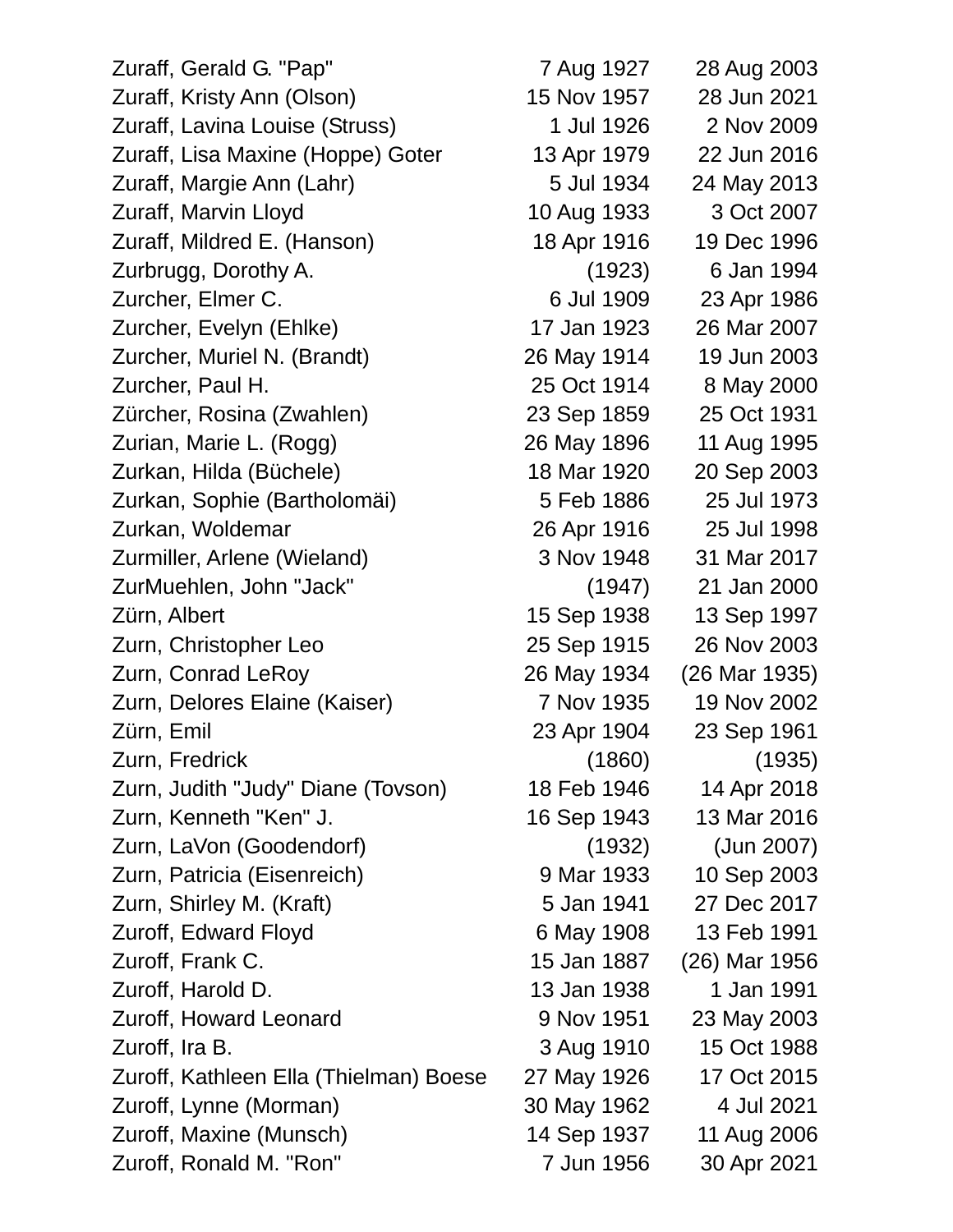| Zuraff, Gerald G. "Pap"                | 7 Aug 1927  | 28 Aug 2003   |
|----------------------------------------|-------------|---------------|
| Zuraff, Kristy Ann (Olson)             | 15 Nov 1957 | 28 Jun 2021   |
| Zuraff, Lavina Louise (Struss)         | 1 Jul 1926  | 2 Nov 2009    |
| Zuraff, Lisa Maxine (Hoppe) Goter      | 13 Apr 1979 | 22 Jun 2016   |
| Zuraff, Margie Ann (Lahr)              | 5 Jul 1934  | 24 May 2013   |
| Zuraff, Marvin Lloyd                   | 10 Aug 1933 | 3 Oct 2007    |
| Zuraff, Mildred E. (Hanson)            | 18 Apr 1916 | 19 Dec 1996   |
| Zurbrugg, Dorothy A.                   | (1923)      | 6 Jan 1994    |
| Zurcher, Elmer C.                      | 6 Jul 1909  | 23 Apr 1986   |
| Zurcher, Evelyn (Ehlke)                | 17 Jan 1923 | 26 Mar 2007   |
| Zurcher, Muriel N. (Brandt)            | 26 May 1914 | 19 Jun 2003   |
| Zurcher, Paul H.                       | 25 Oct 1914 | 8 May 2000    |
| Zürcher, Rosina (Zwahlen)              | 23 Sep 1859 | 25 Oct 1931   |
| Zurian, Marie L. (Rogg)                | 26 May 1896 | 11 Aug 1995   |
| Zurkan, Hilda (Büchele)                | 18 Mar 1920 | 20 Sep 2003   |
| Zurkan, Sophie (Bartholomäi)           | 5 Feb 1886  | 25 Jul 1973   |
| Zurkan, Woldemar                       | 26 Apr 1916 | 25 Jul 1998   |
| Zurmiller, Arlene (Wieland)            | 3 Nov 1948  | 31 Mar 2017   |
| ZurMuehlen, John "Jack"                | (1947)      | 21 Jan 2000   |
| Zürn, Albert                           | 15 Sep 1938 | 13 Sep 1997   |
| Zurn, Christopher Leo                  | 25 Sep 1915 | 26 Nov 2003   |
| Zurn, Conrad LeRoy                     | 26 May 1934 | (26 Mar 1935) |
| Zurn, Delores Elaine (Kaiser)          | 7 Nov 1935  | 19 Nov 2002   |
| Zürn, Emil                             | 23 Apr 1904 | 23 Sep 1961   |
| Zurn, Fredrick                         | (1860)      | (1935)        |
| Zurn, Judith "Judy" Diane (Tovson)     | 18 Feb 1946 | 14 Apr 2018   |
| Zurn, Kenneth "Ken" J.                 | 16 Sep 1943 | 13 Mar 2016   |
| Zurn, LaVon (Goodendorf)               | (1932)      | (Jun 2007)    |
| Zurn, Patricia (Eisenreich)            | 9 Mar 1933  | 10 Sep 2003   |
| Zurn, Shirley M. (Kraft)               | 5 Jan 1941  | 27 Dec 2017   |
| Zuroff, Edward Floyd                   | 6 May 1908  | 13 Feb 1991   |
| Zuroff, Frank C.                       | 15 Jan 1887 | (26) Mar 1956 |
| Zuroff, Harold D.                      | 13 Jan 1938 | 1 Jan 1991    |
| Zuroff, Howard Leonard                 | 9 Nov 1951  | 23 May 2003   |
| Zuroff, Ira B.                         | 3 Aug 1910  | 15 Oct 1988   |
| Zuroff, Kathleen Ella (Thielman) Boese | 27 May 1926 | 17 Oct 2015   |
| Zuroff, Lynne (Morman)                 | 30 May 1962 | 4 Jul 2021    |
| Zuroff, Maxine (Munsch)                | 14 Sep 1937 | 11 Aug 2006   |
| Zuroff, Ronald M. "Ron"                | 7 Jun 1956  | 30 Apr 2021   |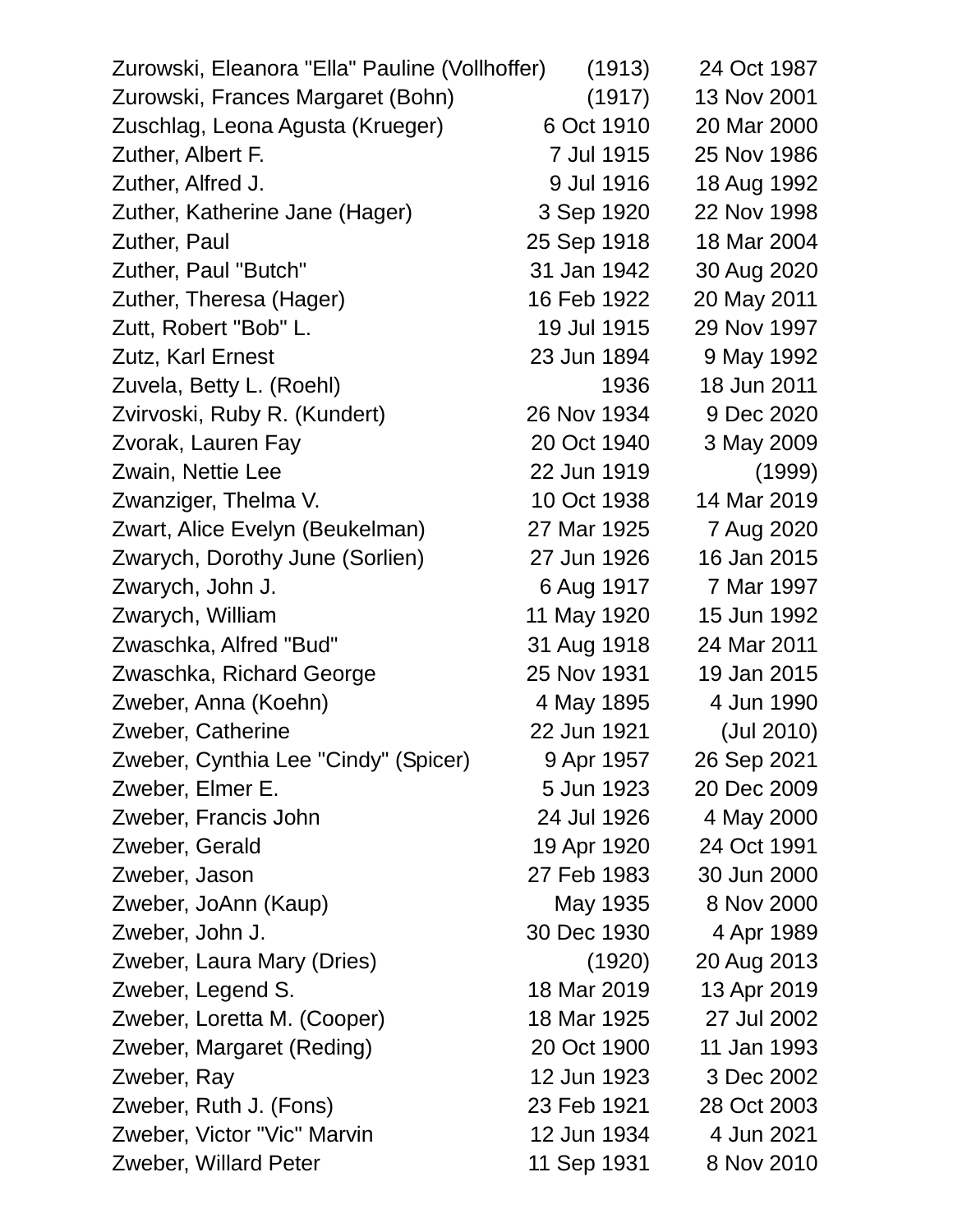| Zurowski, Eleanora "Ella" Pauline (Vollhoffer) | (1913)      | 24 Oct 1987 |
|------------------------------------------------|-------------|-------------|
| Zurowski, Frances Margaret (Bohn)              | (1917)      | 13 Nov 2001 |
| Zuschlag, Leona Agusta (Krueger)               | 6 Oct 1910  | 20 Mar 2000 |
| Zuther, Albert F.                              | 7 Jul 1915  | 25 Nov 1986 |
| Zuther, Alfred J.                              | 9 Jul 1916  | 18 Aug 1992 |
| Zuther, Katherine Jane (Hager)                 | 3 Sep 1920  | 22 Nov 1998 |
| Zuther, Paul                                   | 25 Sep 1918 | 18 Mar 2004 |
| Zuther, Paul "Butch"                           | 31 Jan 1942 | 30 Aug 2020 |
| Zuther, Theresa (Hager)                        | 16 Feb 1922 | 20 May 2011 |
| Zutt, Robert "Bob" L.                          | 19 Jul 1915 | 29 Nov 1997 |
| Zutz, Karl Ernest                              | 23 Jun 1894 | 9 May 1992  |
| Zuvela, Betty L. (Roehl)                       | 1936        | 18 Jun 2011 |
| Zvirvoski, Ruby R. (Kundert)                   | 26 Nov 1934 | 9 Dec 2020  |
| Zvorak, Lauren Fay                             | 20 Oct 1940 | 3 May 2009  |
| Zwain, Nettie Lee                              | 22 Jun 1919 | (1999)      |
| Zwanziger, Thelma V.                           | 10 Oct 1938 | 14 Mar 2019 |
| Zwart, Alice Evelyn (Beukelman)                | 27 Mar 1925 | 7 Aug 2020  |
| Zwarych, Dorothy June (Sorlien)                | 27 Jun 1926 | 16 Jan 2015 |
| Zwarych, John J.                               | 6 Aug 1917  | 7 Mar 1997  |
| Zwarych, William                               | 11 May 1920 | 15 Jun 1992 |
| Zwaschka, Alfred "Bud"                         | 31 Aug 1918 | 24 Mar 2011 |
| Zwaschka, Richard George                       | 25 Nov 1931 | 19 Jan 2015 |
| Zweber, Anna (Koehn)                           | 4 May 1895  | 4 Jun 1990  |
| Zweber, Catherine                              | 22 Jun 1921 | (Jul 2010)  |
| Zweber, Cynthia Lee "Cindy" (Spicer)           | 9 Apr 1957  | 26 Sep 2021 |
| Zweber, Elmer E.                               | 5 Jun 1923  | 20 Dec 2009 |
| Zweber, Francis John                           | 24 Jul 1926 | 4 May 2000  |
| Zweber, Gerald                                 | 19 Apr 1920 | 24 Oct 1991 |
| Zweber, Jason                                  | 27 Feb 1983 | 30 Jun 2000 |
| Zweber, JoAnn (Kaup)                           | May 1935    | 8 Nov 2000  |
| Zweber, John J.                                | 30 Dec 1930 | 4 Apr 1989  |
| Zweber, Laura Mary (Dries)                     | (1920)      | 20 Aug 2013 |
| Zweber, Legend S.                              | 18 Mar 2019 | 13 Apr 2019 |
| Zweber, Loretta M. (Cooper)                    | 18 Mar 1925 | 27 Jul 2002 |
| Zweber, Margaret (Reding)                      | 20 Oct 1900 | 11 Jan 1993 |
| Zweber, Ray                                    | 12 Jun 1923 | 3 Dec 2002  |
| Zweber, Ruth J. (Fons)                         | 23 Feb 1921 | 28 Oct 2003 |
| Zweber, Victor "Vic" Marvin                    | 12 Jun 1934 | 4 Jun 2021  |
| Zweber, Willard Peter                          | 11 Sep 1931 | 8 Nov 2010  |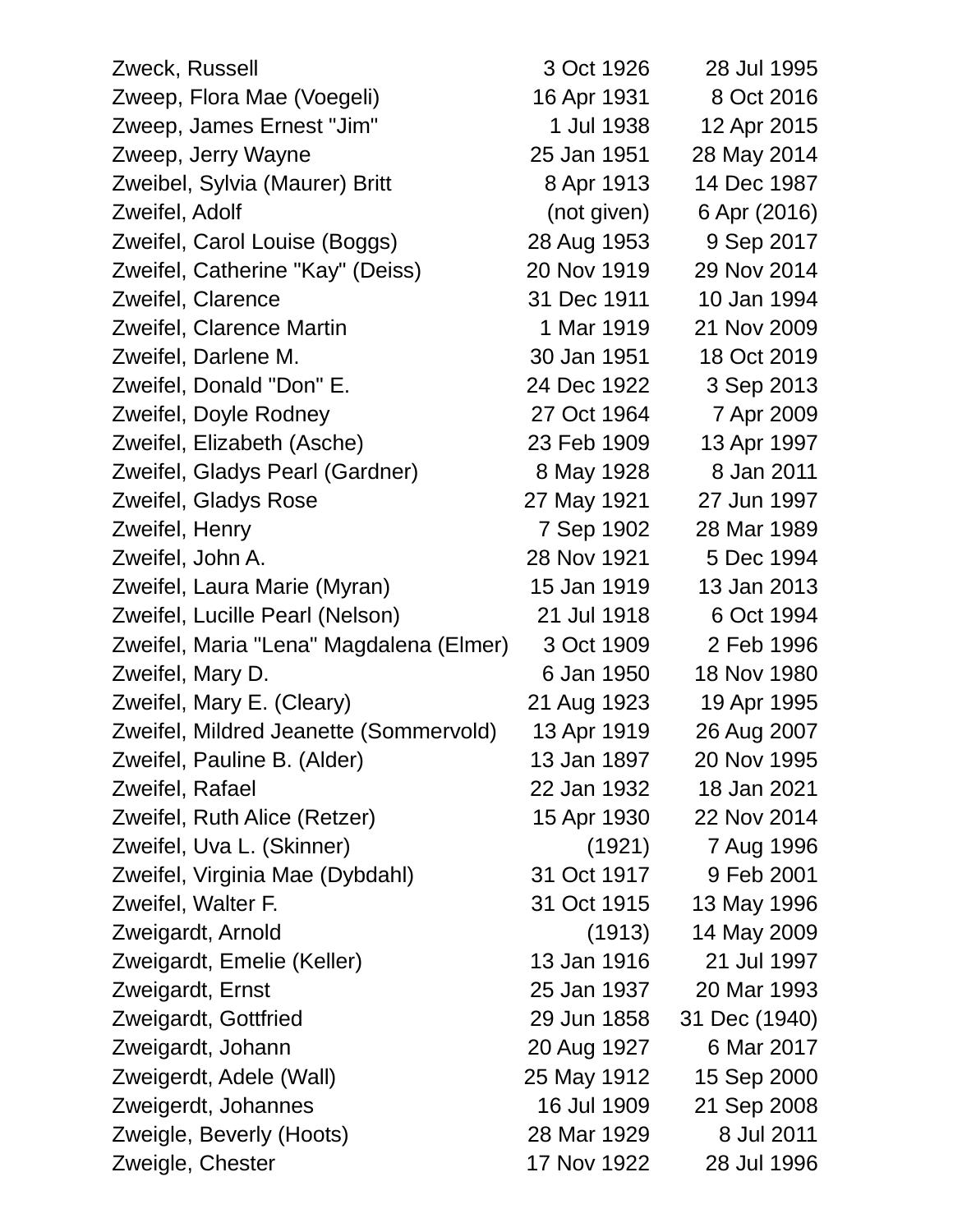| Zweck, Russell                          | 3 Oct 1926  | 28 Jul 1995   |
|-----------------------------------------|-------------|---------------|
| Zweep, Flora Mae (Voegeli)              | 16 Apr 1931 | 8 Oct 2016    |
| Zweep, James Ernest "Jim"               | 1 Jul 1938  | 12 Apr 2015   |
| Zweep, Jerry Wayne                      | 25 Jan 1951 | 28 May 2014   |
| Zweibel, Sylvia (Maurer) Britt          | 8 Apr 1913  | 14 Dec 1987   |
| Zweifel, Adolf                          | (not given) | 6 Apr (2016)  |
| Zweifel, Carol Louise (Boggs)           | 28 Aug 1953 | 9 Sep 2017    |
| Zweifel, Catherine "Kay" (Deiss)        | 20 Nov 1919 | 29 Nov 2014   |
| Zweifel, Clarence                       | 31 Dec 1911 | 10 Jan 1994   |
| Zweifel, Clarence Martin                | 1 Mar 1919  | 21 Nov 2009   |
| Zweifel, Darlene M.                     | 30 Jan 1951 | 18 Oct 2019   |
| Zweifel, Donald "Don" E.                | 24 Dec 1922 | 3 Sep 2013    |
| Zweifel, Doyle Rodney                   | 27 Oct 1964 | 7 Apr 2009    |
| Zweifel, Elizabeth (Asche)              | 23 Feb 1909 | 13 Apr 1997   |
| Zweifel, Gladys Pearl (Gardner)         | 8 May 1928  | 8 Jan 2011    |
| Zweifel, Gladys Rose                    | 27 May 1921 | 27 Jun 1997   |
| Zweifel, Henry                          | 7 Sep 1902  | 28 Mar 1989   |
| Zweifel, John A.                        | 28 Nov 1921 | 5 Dec 1994    |
| Zweifel, Laura Marie (Myran)            | 15 Jan 1919 | 13 Jan 2013   |
| Zweifel, Lucille Pearl (Nelson)         | 21 Jul 1918 | 6 Oct 1994    |
| Zweifel, Maria "Lena" Magdalena (Elmer) | 3 Oct 1909  | 2 Feb 1996    |
| Zweifel, Mary D.                        | 6 Jan 1950  | 18 Nov 1980   |
| Zweifel, Mary E. (Cleary)               | 21 Aug 1923 | 19 Apr 1995   |
| Zweifel, Mildred Jeanette (Sommervold)  | 13 Apr 1919 | 26 Aug 2007   |
| Zweifel, Pauline B. (Alder)             | 13 Jan 1897 | 20 Nov 1995   |
| Zweifel, Rafael                         | 22 Jan 1932 | 18 Jan 2021   |
| Zweifel, Ruth Alice (Retzer)            | 15 Apr 1930 | 22 Nov 2014   |
| Zweifel, Uva L. (Skinner)               | (1921)      | 7 Aug 1996    |
| Zweifel, Virginia Mae (Dybdahl)         | 31 Oct 1917 | 9 Feb 2001    |
| Zweifel, Walter F.                      | 31 Oct 1915 | 13 May 1996   |
| Zweigardt, Arnold                       | (1913)      | 14 May 2009   |
| Zweigardt, Emelie (Keller)              | 13 Jan 1916 | 21 Jul 1997   |
| Zweigardt, Ernst                        | 25 Jan 1937 | 20 Mar 1993   |
| Zweigardt, Gottfried                    | 29 Jun 1858 | 31 Dec (1940) |
| Zweigardt, Johann                       | 20 Aug 1927 | 6 Mar 2017    |
| Zweigerdt, Adele (Wall)                 | 25 May 1912 | 15 Sep 2000   |
| Zweigerdt, Johannes                     | 16 Jul 1909 | 21 Sep 2008   |
| Zweigle, Beverly (Hoots)                | 28 Mar 1929 | 8 Jul 2011    |
| Zweigle, Chester                        | 17 Nov 1922 | 28 Jul 1996   |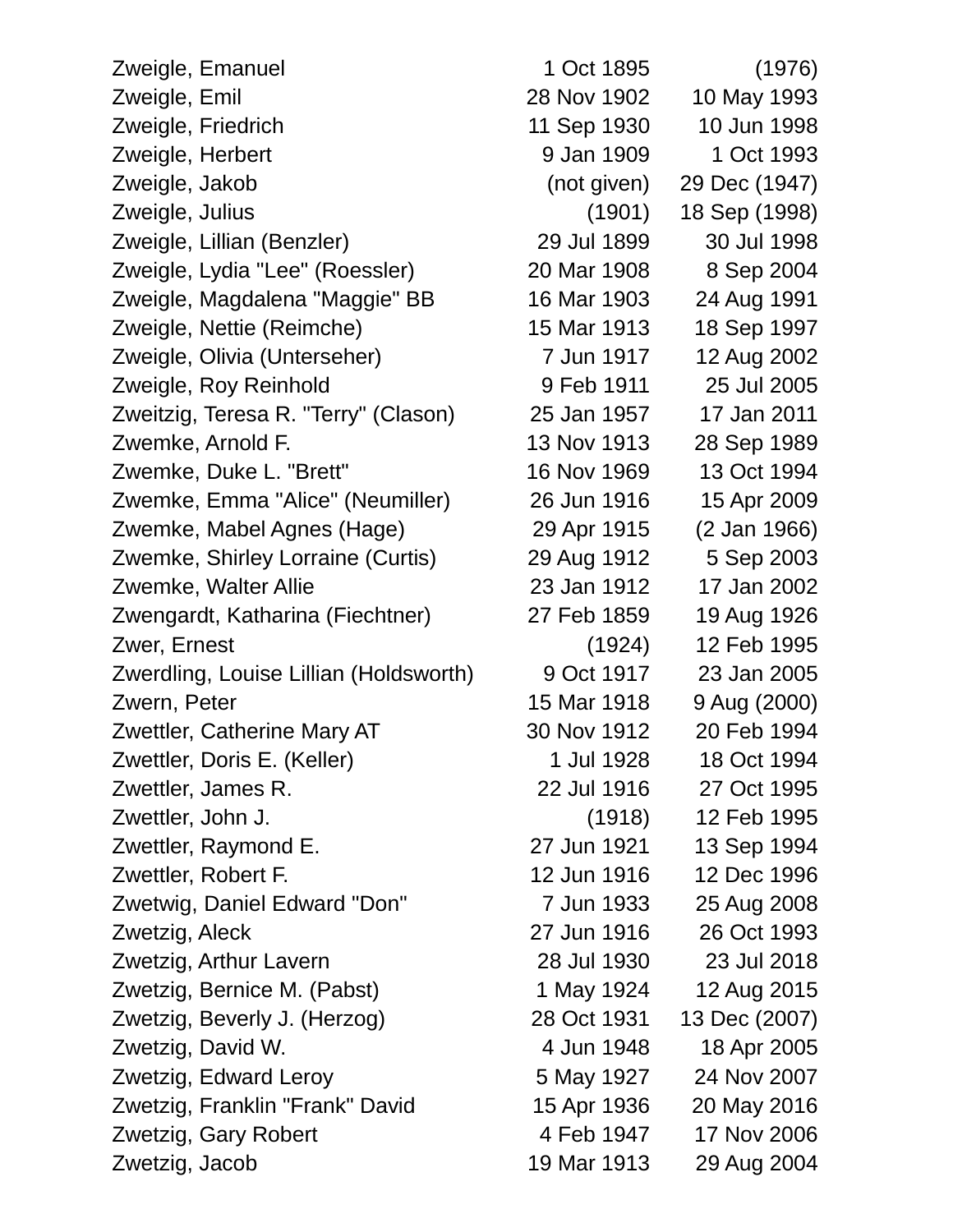| Zweigle, Emanuel                       | 1 Oct 1895  | (1976)        |
|----------------------------------------|-------------|---------------|
| Zweigle, Emil                          | 28 Nov 1902 | 10 May 1993   |
| Zweigle, Friedrich                     | 11 Sep 1930 | 10 Jun 1998   |
| Zweigle, Herbert                       | 9 Jan 1909  | 1 Oct 1993    |
| Zweigle, Jakob                         | (not given) | 29 Dec (1947) |
| Zweigle, Julius                        | (1901)      | 18 Sep (1998) |
| Zweigle, Lillian (Benzler)             | 29 Jul 1899 | 30 Jul 1998   |
| Zweigle, Lydia "Lee" (Roessler)        | 20 Mar 1908 | 8 Sep 2004    |
| Zweigle, Magdalena "Maggie" BB         | 16 Mar 1903 | 24 Aug 1991   |
| Zweigle, Nettie (Reimche)              | 15 Mar 1913 | 18 Sep 1997   |
| Zweigle, Olivia (Unterseher)           | 7 Jun 1917  | 12 Aug 2002   |
| Zweigle, Roy Reinhold                  | 9 Feb 1911  | 25 Jul 2005   |
| Zweitzig, Teresa R. "Terry" (Clason)   | 25 Jan 1957 | 17 Jan 2011   |
| Zwemke, Arnold F.                      | 13 Nov 1913 | 28 Sep 1989   |
| Zwemke, Duke L. "Brett"                | 16 Nov 1969 | 13 Oct 1994   |
| Zwemke, Emma "Alice" (Neumiller)       | 26 Jun 1916 | 15 Apr 2009   |
| Zwemke, Mabel Agnes (Hage)             | 29 Apr 1915 | (2 Jan 1966)  |
| Zwemke, Shirley Lorraine (Curtis)      | 29 Aug 1912 | 5 Sep 2003    |
| Zwemke, Walter Allie                   | 23 Jan 1912 | 17 Jan 2002   |
| Zwengardt, Katharina (Fiechtner)       | 27 Feb 1859 | 19 Aug 1926   |
| Zwer, Ernest                           | (1924)      | 12 Feb 1995   |
| Zwerdling, Louise Lillian (Holdsworth) | 9 Oct 1917  | 23 Jan 2005   |
| Zwern, Peter                           | 15 Mar 1918 | 9 Aug (2000)  |
| Zwettler, Catherine Mary AT            | 30 Nov 1912 | 20 Feb 1994   |
| Zwettler, Doris E. (Keller)            | 1 Jul 1928  | 18 Oct 1994   |
| Zwettler, James R.                     | 22 Jul 1916 | 27 Oct 1995   |
| Zwettler, John J.                      | (1918)      | 12 Feb 1995   |
| Zwettler, Raymond E.                   | 27 Jun 1921 | 13 Sep 1994   |
| Zwettler, Robert F.                    | 12 Jun 1916 | 12 Dec 1996   |
| Zwetwig, Daniel Edward "Don"           | 7 Jun 1933  | 25 Aug 2008   |
| Zwetzig, Aleck                         | 27 Jun 1916 | 26 Oct 1993   |
| Zwetzig, Arthur Lavern                 | 28 Jul 1930 | 23 Jul 2018   |
| Zwetzig, Bernice M. (Pabst)            | 1 May 1924  | 12 Aug 2015   |
| Zwetzig, Beverly J. (Herzog)           | 28 Oct 1931 | 13 Dec (2007) |
| Zwetzig, David W.                      | 4 Jun 1948  | 18 Apr 2005   |
| Zwetzig, Edward Leroy                  | 5 May 1927  | 24 Nov 2007   |
| Zwetzig, Franklin "Frank" David        | 15 Apr 1936 | 20 May 2016   |
| Zwetzig, Gary Robert                   | 4 Feb 1947  | 17 Nov 2006   |
| Zwetzig, Jacob                         | 19 Mar 1913 | 29 Aug 2004   |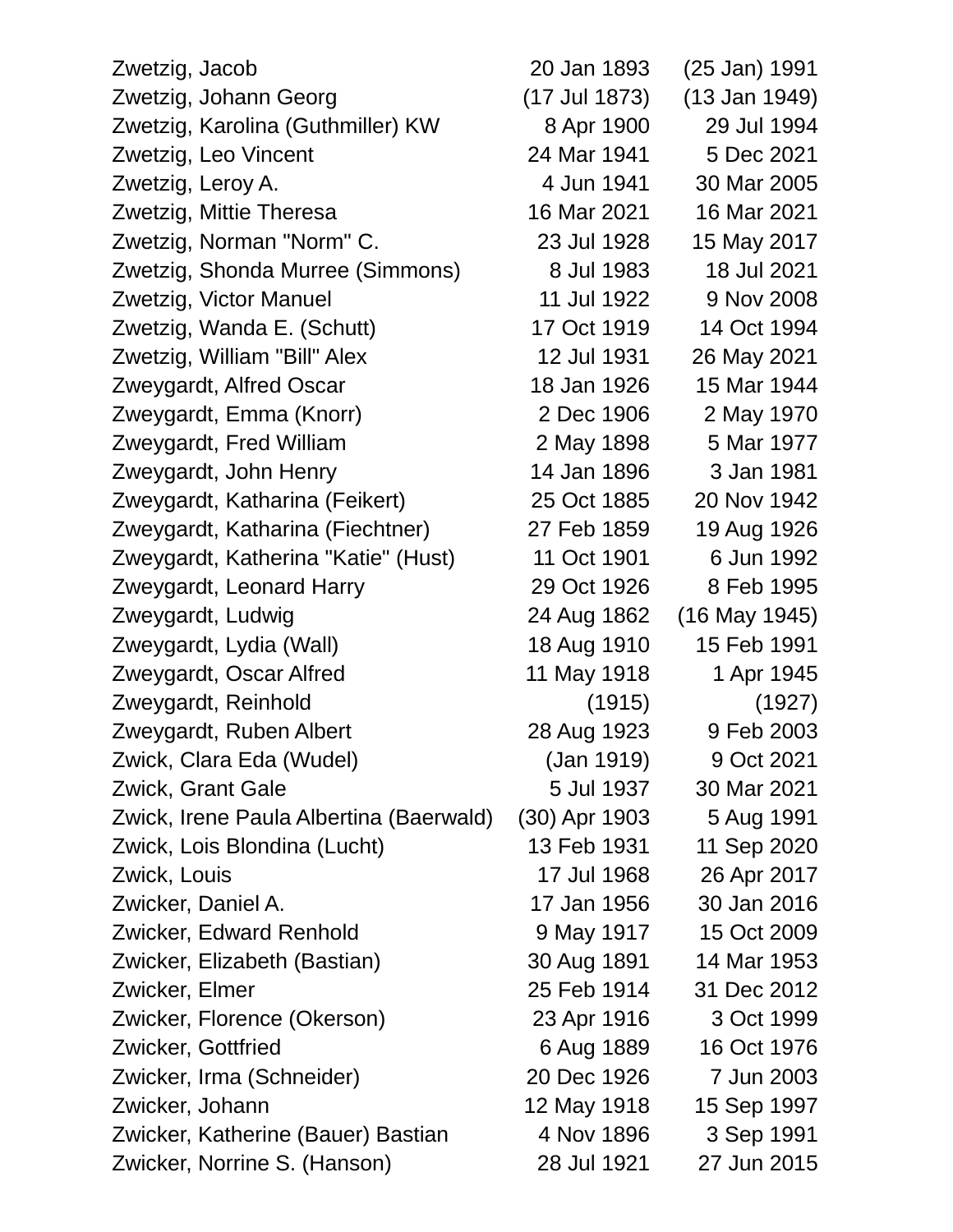| Zwetzig, Jacob                          | 20 Jan 1893   | (25 Jan) 1991   |  |
|-----------------------------------------|---------------|-----------------|--|
| Zwetzig, Johann Georg                   | (17 Jul 1873) | $(13$ Jan 1949) |  |
| Zwetzig, Karolina (Guthmiller) KW       | 8 Apr 1900    | 29 Jul 1994     |  |
| Zwetzig, Leo Vincent                    | 24 Mar 1941   | 5 Dec 2021      |  |
| Zwetzig, Leroy A.                       | 4 Jun 1941    | 30 Mar 2005     |  |
| Zwetzig, Mittie Theresa                 | 16 Mar 2021   | 16 Mar 2021     |  |
| Zwetzig, Norman "Norm" C.               | 23 Jul 1928   | 15 May 2017     |  |
| Zwetzig, Shonda Murree (Simmons)        | 8 Jul 1983    | 18 Jul 2021     |  |
| Zwetzig, Victor Manuel                  | 11 Jul 1922   | 9 Nov 2008      |  |
| Zwetzig, Wanda E. (Schutt)              | 17 Oct 1919   | 14 Oct 1994     |  |
| Zwetzig, William "Bill" Alex            | 12 Jul 1931   | 26 May 2021     |  |
| Zweygardt, Alfred Oscar                 | 18 Jan 1926   | 15 Mar 1944     |  |
| Zweygardt, Emma (Knorr)                 | 2 Dec 1906    | 2 May 1970      |  |
| Zweygardt, Fred William                 | 2 May 1898    | 5 Mar 1977      |  |
| Zweygardt, John Henry                   | 14 Jan 1896   | 3 Jan 1981      |  |
| Zweygardt, Katharina (Feikert)          | 25 Oct 1885   | 20 Nov 1942     |  |
| Zweygardt, Katharina (Fiechtner)        | 27 Feb 1859   | 19 Aug 1926     |  |
| Zweygardt, Katherina "Katie" (Hust)     | 11 Oct 1901   | 6 Jun 1992      |  |
| Zweygardt, Leonard Harry                | 29 Oct 1926   | 8 Feb 1995      |  |
| Zweygardt, Ludwig                       | 24 Aug 1862   | $(16$ May 1945) |  |
| Zweygardt, Lydia (Wall)                 | 18 Aug 1910   | 15 Feb 1991     |  |
| Zweygardt, Oscar Alfred                 | 11 May 1918   | 1 Apr 1945      |  |
| Zweygardt, Reinhold                     | (1915)        | (1927)          |  |
| Zweygardt, Ruben Albert                 | 28 Aug 1923   | 9 Feb 2003      |  |
| Zwick, Clara Eda (Wudel)                | (Jan 1919)    | 9 Oct 2021      |  |
| <b>Zwick, Grant Gale</b>                | 5 Jul 1937    | 30 Mar 2021     |  |
| Zwick, Irene Paula Albertina (Baerwald) | (30) Apr 1903 | 5 Aug 1991      |  |
| Zwick, Lois Blondina (Lucht)            | 13 Feb 1931   | 11 Sep 2020     |  |
| Zwick, Louis                            | 17 Jul 1968   | 26 Apr 2017     |  |
| Zwicker, Daniel A.                      | 17 Jan 1956   | 30 Jan 2016     |  |
| Zwicker, Edward Renhold                 | 9 May 1917    | 15 Oct 2009     |  |
| Zwicker, Elizabeth (Bastian)            | 30 Aug 1891   | 14 Mar 1953     |  |
| Zwicker, Elmer                          | 25 Feb 1914   | 31 Dec 2012     |  |
| Zwicker, Florence (Okerson)             | 23 Apr 1916   | 3 Oct 1999      |  |
| Zwicker, Gottfried                      | 6 Aug 1889    | 16 Oct 1976     |  |
| Zwicker, Irma (Schneider)               | 20 Dec 1926   | 7 Jun 2003      |  |
| Zwicker, Johann                         | 12 May 1918   | 15 Sep 1997     |  |
| Zwicker, Katherine (Bauer) Bastian      | 4 Nov 1896    | 3 Sep 1991      |  |
| Zwicker, Norrine S. (Hanson)            | 28 Jul 1921   | 27 Jun 2015     |  |